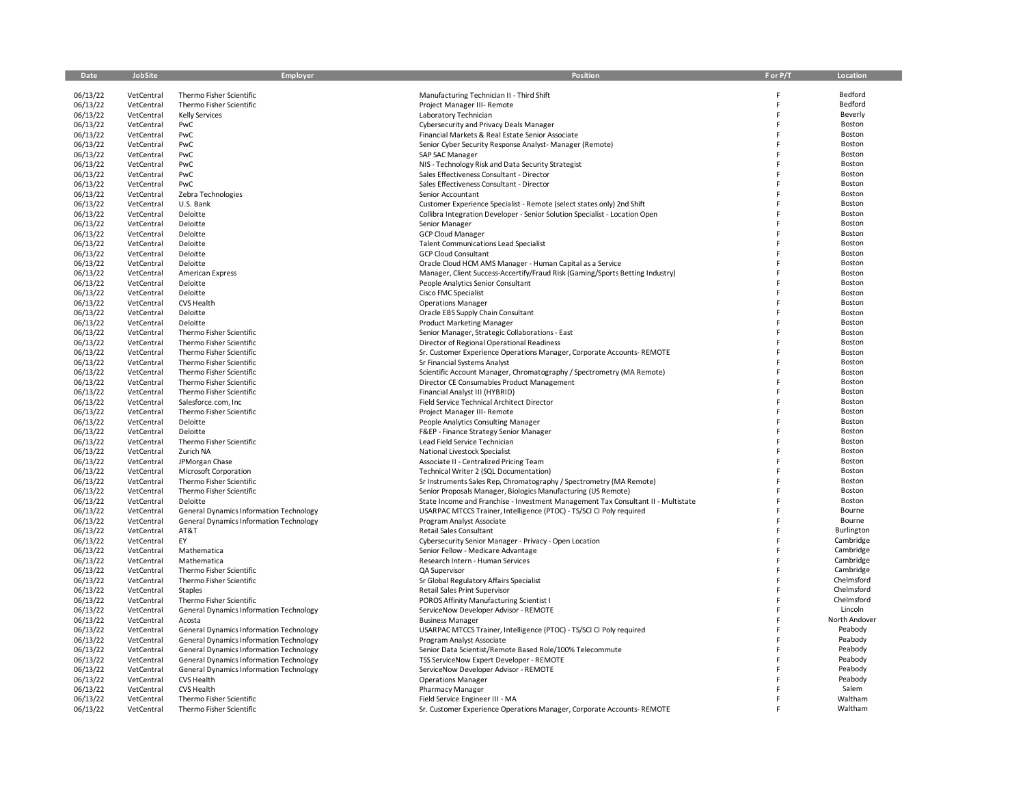| Date                 | JobSite                  | Employer                                        | Position                                                                          | F or P/T | Location         |
|----------------------|--------------------------|-------------------------------------------------|-----------------------------------------------------------------------------------|----------|------------------|
|                      |                          |                                                 |                                                                                   |          |                  |
| 06/13/22             | VetCentral               | Thermo Fisher Scientific                        | Manufacturing Technician II - Third Shift                                         |          | Bedford          |
| 06/13/22             | VetCentral               | Thermo Fisher Scientific                        | Project Manager III- Remote                                                       | F        | Bedford          |
| 06/13/22             | VetCentral               | <b>Kelly Services</b>                           | Laboratory Technician                                                             | F        | Beverly          |
| 06/13/22             | VetCentral               | PwC                                             | Cybersecurity and Privacy Deals Manager                                           | F        | Boston           |
| 06/13/22             | VetCentral               | PwC                                             | Financial Markets & Real Estate Senior Associate                                  | F        | Boston           |
| 06/13/22             | VetCentral               | PwC                                             | Senior Cyber Security Response Analyst-Manager (Remote)                           | F        | Boston           |
| 06/13/22             | VetCentral               | PwC                                             | SAP SAC Manager                                                                   |          | Boston           |
| 06/13/22             | VetCentral               | PwC                                             | NIS - Technology Risk and Data Security Strategist                                |          | Boston           |
| 06/13/22             | VetCentral               | PwC                                             | Sales Effectiveness Consultant - Director                                         |          | Boston           |
| 06/13/22             | VetCentral               | PwC                                             | Sales Effectiveness Consultant - Director                                         |          | Boston           |
| 06/13/22             | VetCentral               | Zebra Technologies                              | Senior Accountant                                                                 | F        | Boston           |
| 06/13/22             | VetCentral               | U.S. Bank                                       | Customer Experience Specialist - Remote (select states only) 2nd Shift            | F        | Boston           |
| 06/13/22             | VetCentral               | Deloitte                                        | Collibra Integration Developer - Senior Solution Specialist - Location Open       | F        | Boston           |
| 06/13/22             | VetCentral               | Deloitte                                        | Senior Manager                                                                    |          | Boston           |
| 06/13/22             | VetCentral               | Deloitte                                        | <b>GCP Cloud Manager</b>                                                          |          | Boston           |
| 06/13/22             | VetCentral               | Deloitte                                        | <b>Talent Communications Lead Specialist</b>                                      |          | Boston           |
| 06/13/22             | VetCentral               | Deloitte                                        | <b>GCP Cloud Consultant</b>                                                       |          | Boston           |
| 06/13/22             | VetCentral               | Deloitte                                        | Oracle Cloud HCM AMS Manager - Human Capital as a Service                         | F        | Boston           |
| 06/13/22             | VetCentral               | American Express                                | Manager, Client Success-Accertify/Fraud Risk (Gaming/Sports Betting Industry)     |          | Boston           |
| 06/13/22             | VetCentral               | Deloitte                                        | People Analytics Senior Consultant                                                |          | Boston           |
| 06/13/22             | VetCentral               | Deloitte                                        | Cisco FMC Specialist                                                              |          | Boston           |
| 06/13/22             | VetCentral               | CVS Health                                      | <b>Operations Manager</b>                                                         |          | Boston           |
| 06/13/22             | VetCentral               | Deloitte                                        | Oracle EBS Supply Chain Consultant                                                |          | Boston           |
| 06/13/22             | VetCentral               | Deloitte                                        | <b>Product Marketing Manager</b>                                                  |          | Boston           |
| 06/13/22             | VetCentral               | Thermo Fisher Scientific                        | Senior Manager, Strategic Collaborations - East                                   |          | Boston           |
| 06/13/22             | VetCentral               | Thermo Fisher Scientific                        | Director of Regional Operational Readiness                                        |          | Boston           |
| 06/13/22             | VetCentral               | Thermo Fisher Scientific                        | Sr. Customer Experience Operations Manager, Corporate Accounts-REMOTE             |          | Boston           |
| 06/13/22             | VetCentral               | Thermo Fisher Scientific                        | Sr Financial Systems Analyst                                                      |          | Boston           |
| 06/13/22             | VetCentral               | Thermo Fisher Scientific                        | Scientific Account Manager, Chromatography / Spectrometry (MA Remote)             |          | Boston           |
| 06/13/22             | VetCentral               | Thermo Fisher Scientific                        | Director CE Consumables Product Management                                        |          | Boston<br>Boston |
| 06/13/22             | VetCentral               | Thermo Fisher Scientific                        | Financial Analyst III (HYBRID)                                                    | F        | Boston           |
| 06/13/22             | VetCentral<br>VetCentral | Salesforce.com, Inc<br>Thermo Fisher Scientific | Field Service Technical Architect Director                                        | F        | Boston           |
| 06/13/22             | VetCentral               | Deloitte                                        | Project Manager III- Remote                                                       | F        | Boston           |
| 06/13/22<br>06/13/22 | VetCentral               | Deloitte                                        | People Analytics Consulting Manager<br>F&EP - Finance Strategy Senior Manager     |          | Boston           |
| 06/13/22             | VetCentral               | Thermo Fisher Scientific                        | Lead Field Service Technician                                                     |          | Boston           |
| 06/13/22             | VetCentral               | Zurich NA                                       | National Livestock Specialist                                                     |          | Boston           |
| 06/13/22             | VetCentral               | JPMorgan Chase                                  | Associate II - Centralized Pricing Team                                           | F        | Boston           |
| 06/13/22             | VetCentral               | Microsoft Corporation                           | Technical Writer 2 (SQL Documentation)                                            | F        | Boston           |
| 06/13/22             | VetCentral               | Thermo Fisher Scientific                        | Sr Instruments Sales Rep, Chromatography / Spectrometry (MA Remote)               | F        | Boston           |
| 06/13/22             | VetCentral               | Thermo Fisher Scientific                        | Senior Proposals Manager, Biologics Manufacturing (US Remote)                     |          | Boston           |
| 06/13/22             | VetCentral               | Deloitte                                        | State Income and Franchise - Investment Management Tax Consultant II - Multistate |          | Boston           |
| 06/13/22             | VetCentral               | General Dynamics Information Technology         | USARPAC MTCCS Trainer, Intelligence (PTOC) - TS/SCI CI Poly required              |          | Bourne           |
| 06/13/22             | VetCentral               | <b>General Dynamics Information Technology</b>  | Program Analyst Associate                                                         |          | Bourne           |
| 06/13/22             | VetCentral               | AT&T                                            | Retail Sales Consultant                                                           | F        | Burlington       |
| 06/13/22             | VetCentral               | EY                                              | Cybersecurity Senior Manager - Privacy - Open Location                            | F        | Cambridge        |
| 06/13/22             | VetCentral               | Mathematica                                     | Senior Fellow - Medicare Advantage                                                |          | Cambridge        |
| 06/13/22             | VetCentral               | Mathematica                                     | Research Intern - Human Services                                                  | F        | Cambridge        |
| 06/13/22             | VetCentral               | Thermo Fisher Scientific                        | QA Supervisor                                                                     |          | Cambridge        |
| 06/13/22             | VetCentral               | Thermo Fisher Scientific                        | Sr Global Regulatory Affairs Specialist                                           |          | Chelmsford       |
| 06/13/22             | VetCentral               | Staples                                         | <b>Retail Sales Print Supervisor</b>                                              | F        | Chelmsford       |
| 06/13/22             | VetCentral               | Thermo Fisher Scientific                        | POROS Affinity Manufacturing Scientist I                                          | F        | Chelmsford       |
| 06/13/22             | VetCentral               | <b>General Dynamics Information Technology</b>  | ServiceNow Developer Advisor - REMOTE                                             | F        | Lincoln          |
| 06/13/22             | VetCentral               | Acosta                                          | <b>Business Manager</b>                                                           | F        | North Andover    |
| 06/13/22             | VetCentral               | <b>General Dynamics Information Technology</b>  | USARPAC MTCCS Trainer, Intelligence (PTOC) - TS/SCI CI Poly required              | F        | Peabody          |
| 06/13/22             | VetCentral               | <b>General Dynamics Information Technology</b>  | Program Analyst Associate                                                         |          | Peabody          |
| 06/13/22             | VetCentral               | <b>General Dynamics Information Technology</b>  | Senior Data Scientist/Remote Based Role/100% Telecommute                          |          | Peabody          |
| 06/13/22             | VetCentral               | <b>General Dynamics Information Technology</b>  | TSS ServiceNow Expert Developer - REMOTE                                          |          | Peabody          |
| 06/13/22             | VetCentral               | General Dynamics Information Technology         | ServiceNow Developer Advisor - REMOTE                                             |          | Peabody          |
| 06/13/22             | VetCentral               | CVS Health                                      | <b>Operations Manager</b>                                                         |          | Peabody          |
| 06/13/22             | VetCentral               | CVS Health                                      | <b>Pharmacy Manager</b>                                                           |          | Salem            |
| 06/13/22             | VetCentral               | Thermo Fisher Scientific                        | Field Service Engineer III - MA                                                   |          | Waltham          |
| 06/13/22             | VetCentral               | Thermo Fisher Scientific                        | Sr. Customer Experience Operations Manager, Corporate Accounts-REMOTE             |          | Waltham          |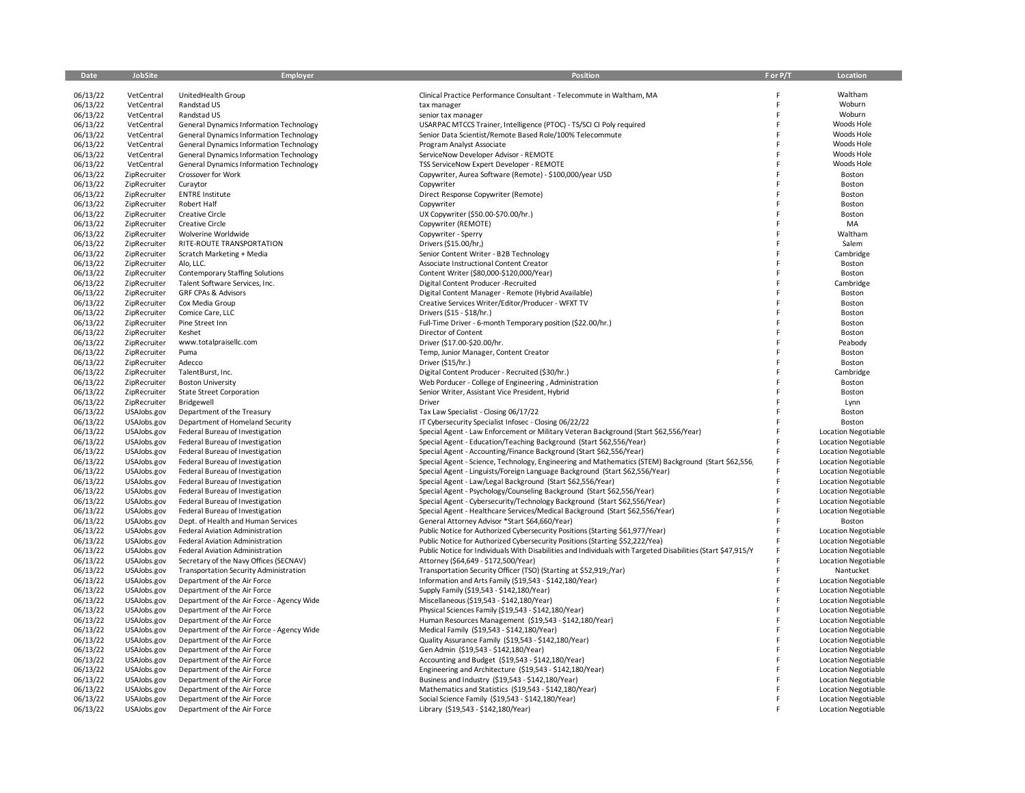| Date                 | JobSite                      | Employer                                                              | Position                                                                                                                        | F or P/T | Location                             |
|----------------------|------------------------------|-----------------------------------------------------------------------|---------------------------------------------------------------------------------------------------------------------------------|----------|--------------------------------------|
|                      |                              |                                                                       |                                                                                                                                 |          |                                      |
| 06/13/22             | VetCentral                   | UnitedHealth Group                                                    | Clinical Practice Performance Consultant - Telecommute in Waltham, MA                                                           |          | Waltham                              |
| 06/13/22             | VetCentral                   | Randstad US                                                           | tax manager                                                                                                                     |          | Woburn                               |
| 06/13/22             | VetCentral                   | Randstad US                                                           | senior tax manager                                                                                                              |          | Woburn                               |
| 06/13/22             | VetCentral                   | General Dynamics Information Technology                               | USARPAC MTCCS Trainer, Intelligence (PTOC) - TS/SCI CI Poly required                                                            | E        | Woods Hole                           |
| 06/13/22             | VetCentral                   | General Dynamics Information Technology                               | Senior Data Scientist/Remote Based Role/100% Telecommute                                                                        |          | Woods Hole                           |
| 06/13/22             | VetCentral                   | <b>General Dynamics Information Technology</b>                        | Program Analyst Associate                                                                                                       |          | Woods Hole                           |
| 06/13/22             | VetCentral                   | General Dynamics Information Technology                               | ServiceNow Developer Advisor - REMOTE                                                                                           | F        | Woods Hole                           |
| 06/13/22             | VetCentral                   | General Dynamics Information Technology                               | TSS ServiceNow Expert Developer - REMOTE                                                                                        |          | Woods Hole                           |
| 06/13/22             | ZipRecruiter                 | Crossover for Work                                                    | Copywriter, Aurea Software (Remote) - \$100,000/year USD                                                                        |          | Boston                               |
| 06/13/22             | ZipRecruiter                 | Curaytor                                                              | Copywriter                                                                                                                      |          | Boston                               |
| 06/13/22             | ZipRecruiter                 | <b>ENTRE Institute</b>                                                | Direct Response Copywriter (Remote)                                                                                             |          | Boston                               |
| 06/13/22             | ZipRecruiter                 | Robert Half                                                           | Copywriter                                                                                                                      |          | Boston                               |
| 06/13/22             | ZipRecruiter                 | <b>Creative Circle</b>                                                | UX Copywriter (\$50.00-\$70.00/hr.)                                                                                             | E        | Boston                               |
| 06/13/22             | ZipRecruiter                 | <b>Creative Circle</b>                                                | Copywriter (REMOTE)                                                                                                             |          | MA                                   |
| 06/13/22             | ZipRecruiter                 | Wolverine Worldwide<br>RITE-ROUTE TRANSPORTATION                      | Copywriter - Sperry                                                                                                             |          | Waltham                              |
| 06/13/22<br>06/13/22 | ZipRecruiter<br>ZipRecruiter | Scratch Marketing + Media                                             | Drivers (\$15.00/hr,)<br>Senior Content Writer - B2B Technology                                                                 |          | Salem<br>Cambridge                   |
| 06/13/22             | ZipRecruiter                 | Alo, LLC.                                                             | Associate Instructional Content Creator                                                                                         |          | Boston                               |
| 06/13/22             | ZipRecruiter                 | <b>Contemporary Staffing Solutions</b>                                | Content Writer (\$80,000-\$120,000/Year)                                                                                        | F        | Boston                               |
| 06/13/22             | ZipRecruiter                 | Talent Software Services, Inc.                                        | Digital Content Producer-Recruited                                                                                              | F        | Cambridge                            |
| 06/13/22             | ZipRecruiter                 | <b>GRF CPAs &amp; Advisors</b>                                        | Digital Content Manager - Remote (Hybrid Available)                                                                             |          | Boston                               |
| 06/13/22             | ZipRecruiter                 | Cox Media Group                                                       | Creative Services Writer/Editor/Producer - WFXT TV                                                                              |          | Boston                               |
| 06/13/22             | ZipRecruiter                 | Comice Care, LLC                                                      | Drivers (\$15 - \$18/hr.)                                                                                                       |          | Boston                               |
| 06/13/22             | ZipRecruiter                 | Pine Street Inn                                                       | Full-Time Driver - 6-month Temporary position (\$22.00/hr.)                                                                     | F        | Boston                               |
| 06/13/22             | ZipRecruiter                 | Keshet                                                                | Director of Content                                                                                                             |          | Boston                               |
| 06/13/22             | ZipRecruiter                 | www.totalpraisellc.com                                                | Driver (\$17.00-\$20.00/hr.                                                                                                     |          | Peabody                              |
| 06/13/22             | ZipRecruiter                 | Puma                                                                  | Temp, Junior Manager, Content Creator                                                                                           | E        | Boston                               |
| 06/13/22             | ZipRecruiter                 | Adecco                                                                | Driver (\$15/hr.)                                                                                                               |          | Boston                               |
| 06/13/22             | ZipRecruiter                 | TalentBurst, Inc.                                                     | Digital Content Producer - Recruited (\$30/hr.)                                                                                 |          | Cambridge                            |
| 06/13/22             | ZipRecruiter                 | <b>Boston University</b>                                              | Web Porducer - College of Engineering, Administration                                                                           |          | Boston                               |
| 06/13/22             | ZipRecruiter                 | <b>State Street Corporation</b>                                       | Senior Writer, Assistant Vice President, Hybrid                                                                                 |          | Boston                               |
| 06/13/22             | ZipRecruiter                 | Bridgewell                                                            | Driver                                                                                                                          |          | Lynn                                 |
| 06/13/22             | USAJobs.gov                  | Department of the Treasury                                            | Tax Law Specialist - Closing 06/17/22                                                                                           |          | Boston                               |
| 06/13/22             | USAJobs.gov                  | Department of Homeland Security                                       | IT Cybersecurity Specialist Infosec - Closing 06/22/22                                                                          | F        | Boston                               |
| 06/13/22             | USAJobs.gov                  | Federal Bureau of Investigation                                       | Special Agent - Law Enforcement or Military Veteran Background (Start \$62,556/Year)                                            | F        | <b>Location Negotiable</b>           |
| 06/13/22             | USAJobs.gov                  | Federal Bureau of Investigation                                       | Special Agent - Education/Teaching Background (Start \$62,556/Year)                                                             |          | <b>Location Negotiable</b>           |
| 06/13/22             | USAJobs.gov                  | Federal Bureau of Investigation                                       | Special Agent - Accounting/Finance Background (Start \$62,556/Year)                                                             |          | <b>Location Negotiable</b>           |
| 06/13/22             | USAJobs.gov                  | Federal Bureau of Investigation                                       | Special Agent - Science, Technology, Engineering and Mathematics (STEM) Background (Start \$62,556,                             |          | <b>Location Negotiable</b>           |
| 06/13/22             | USAJobs.gov                  | Federal Bureau of Investigation                                       | Special Agent - Linguists/Foreign Language Background (Start \$62,556/Year)                                                     |          | <b>Location Negotiable</b>           |
| 06/13/22             | USAJobs.gov                  | Federal Bureau of Investigation                                       | Special Agent - Law/Legal Background (Start \$62,556/Year)                                                                      | F        | <b>Location Negotiable</b>           |
| 06/13/22             | USAJobs.gov                  | Federal Bureau of Investigation                                       | Special Agent - Psychology/Counseling Background (Start \$62,556/Year)                                                          | F<br>F   | <b>Location Negotiable</b>           |
| 06/13/22             | USAJobs.gov                  | Federal Bureau of Investigation                                       | Special Agent - Cybersecurity/Technology Background (Start \$62,556/Year)                                                       |          | Location Negotiable                  |
| 06/13/22             | USAJobs.gov                  | Federal Bureau of Investigation                                       | Special Agent - Healthcare Services/Medical Background (Start \$62,556/Year)                                                    |          | Location Negotiable                  |
| 06/13/22<br>06/13/22 | USAJobs.gov<br>USAJobs.gov   | Dept. of Health and Human Services<br>Federal Aviation Administration | General Attorney Advisor *Start \$64,660/Year)<br>Public Notice for Authorized Cybersecurity Positions (Starting \$61,977/Year) | F        | Boston<br><b>Location Negotiable</b> |
| 06/13/22             | USAJobs.gov                  | Federal Aviation Administration                                       | Public Notice for Authorized Cybersecurity Positions (Starting \$52,222/Yea)                                                    | F        | <b>Location Negotiable</b>           |
| 06/13/22             | USAJobs.gov                  | Federal Aviation Administration                                       | Public Notice for Individuals With Disabilities and Individuals with Targeted Disabilities (Start \$47,915/Y                    | F        | Location Negotiable                  |
| 06/13/22             | USAJobs.gov                  | Secretary of the Navy Offices (SECNAV)                                | Attorney (\$64,649 - \$172,500/Year)                                                                                            |          | Location Negotiable                  |
| 06/13/22             | USAJobs.gov                  | <b>Transportation Security Administration</b>                         | Transportation Security Officer (TSO) (Starting at \$52,919;/Yar)                                                               | F        | Nantucket                            |
| 06/13/22             | USAJobs.gov                  | Department of the Air Force                                           | Information and Arts Family (\$19,543 - \$142,180/Year)                                                                         |          | <b>Location Negotiable</b>           |
| 06/13/22             | USAJobs.gov                  | Department of the Air Force                                           | Supply Family (\$19,543 - \$142,180/Year)                                                                                       | F        | <b>Location Negotiable</b>           |
| 06/13/22             | USAJobs.gov                  | Department of the Air Force - Agency Wide                             | Miscellaneous (\$19,543 - \$142,180/Year)                                                                                       | F        | <b>Location Negotiable</b>           |
| 06/13/22             | USAJobs.gov                  | Department of the Air Force                                           | Physical Sciences Family (\$19,543 - \$142,180/Year)                                                                            |          | Location Negotiable                  |
| 06/13/22             | USAJobs.gov                  | Department of the Air Force                                           | Human Resources Management (\$19,543 - \$142,180/Year)                                                                          | F        | <b>Location Negotiable</b>           |
| 06/13/22             | USAJobs.gov                  | Department of the Air Force - Agency Wide                             | Medical Family (\$19,543 - \$142,180/Year)                                                                                      |          | <b>Location Negotiable</b>           |
| 06/13/22             | USAJobs.gov                  | Department of the Air Force                                           | Quality Assurance Family (\$19,543 - \$142,180/Year)                                                                            |          | <b>Location Negotiable</b>           |
| 06/13/22             | USAJobs.gov                  | Department of the Air Force                                           | Gen Admin (\$19,543 - \$142,180/Year)                                                                                           |          | <b>Location Negotiable</b>           |
| 06/13/22             | USAJobs.gov                  | Department of the Air Force                                           | Accounting and Budget (\$19,543 - \$142,180/Year)                                                                               |          | Location Negotiable                  |
| 06/13/22             | USAJobs.gov                  | Department of the Air Force                                           | Engineering and Architecture (\$19,543 - \$142,180/Year)                                                                        |          | <b>Location Negotiable</b>           |
| 06/13/22             | USAJobs.gov                  | Department of the Air Force                                           | Business and Industry (\$19,543 - \$142,180/Year)                                                                               |          | <b>Location Negotiable</b>           |
| 06/13/22             | USAJobs.gov                  | Department of the Air Force                                           | Mathematics and Statistics (\$19,543 - \$142,180/Year)                                                                          | F        | <b>Location Negotiable</b>           |
| 06/13/22             | USAJobs.gov                  | Department of the Air Force                                           | Social Science Family (\$19,543 - \$142,180/Year)                                                                               | E        | <b>Location Negotiable</b>           |
| 06/13/22             | USAJobs.gov                  | Department of the Air Force                                           | Library (\$19,543 - \$142,180/Year)                                                                                             |          | <b>Location Negotiable</b>           |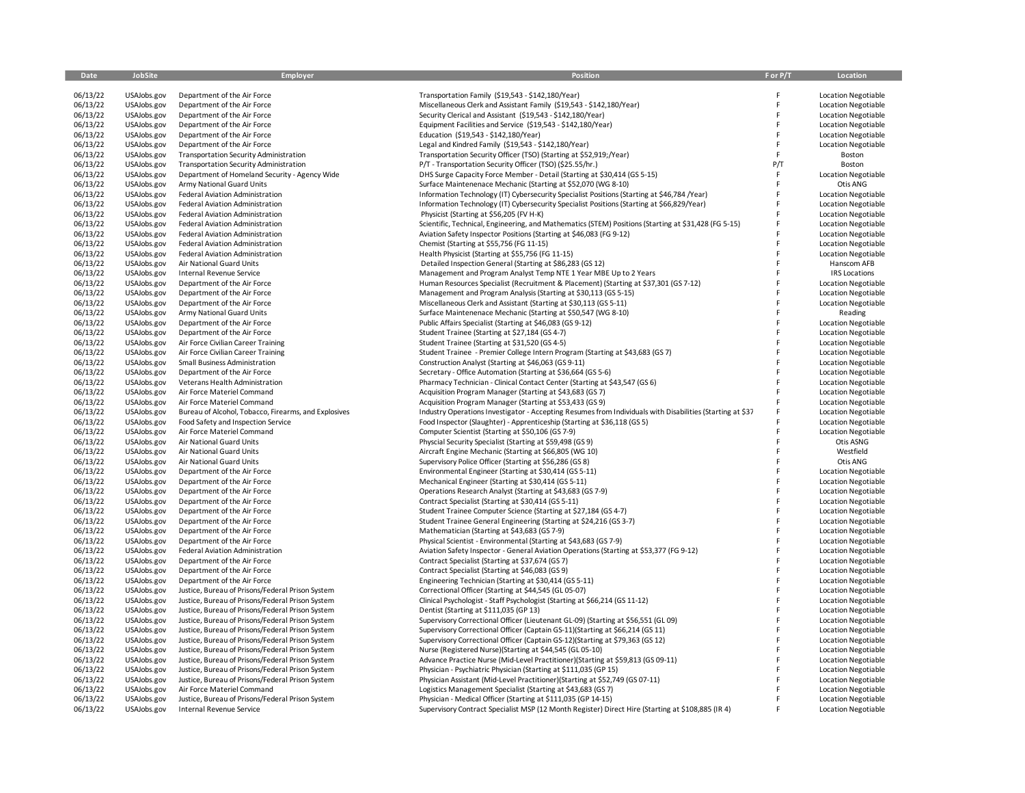| Date     | JobSite     | <b>Employer</b>                                      | Position                                                                                                  | F or P/T | Location                   |
|----------|-------------|------------------------------------------------------|-----------------------------------------------------------------------------------------------------------|----------|----------------------------|
|          |             |                                                      |                                                                                                           |          |                            |
| 06/13/22 | USAJobs.gov | Department of the Air Force                          | Transportation Family (\$19,543 - \$142,180/Year)                                                         | F        | <b>Location Negotiable</b> |
| 06/13/22 | USAJobs.gov | Department of the Air Force                          | Miscellaneous Clerk and Assistant Family (\$19,543 - \$142,180/Year)                                      | F        | <b>Location Negotiable</b> |
| 06/13/22 | USAJobs.gov | Department of the Air Force                          | Security Clerical and Assistant (\$19,543 - \$142,180/Year)                                               | F        | <b>Location Negotiable</b> |
| 06/13/22 | USAJobs.gov | Department of the Air Force                          | Equipment Facilities and Service (\$19,543 - \$142,180/Year)                                              | F        | <b>Location Negotiable</b> |
| 06/13/22 | USAJobs.gov | Department of the Air Force                          | Education (\$19,543 - \$142,180/Year)                                                                     | F        | <b>Location Negotiable</b> |
| 06/13/22 | USAJobs.gov | Department of the Air Force                          | Legal and Kindred Family (\$19,543 - \$142,180/Year)                                                      | F        | <b>Location Negotiable</b> |
| 06/13/22 | USAJobs.gov | <b>Transportation Security Administration</b>        | Transportation Security Officer (TSO) (Starting at \$52,919;/Year)                                        | F        | Boston                     |
| 06/13/22 | USAJobs.gov | <b>Transportation Security Administration</b>        | P/T - Transportation Security Officer (TSO) (\$25.55/hr.)                                                 | P/T      | Boston                     |
| 06/13/22 | USAJobs.gov | Department of Homeland Security - Agency Wide        | DHS Surge Capacity Force Member - Detail (Starting at \$30,414 (GS 5-15)                                  | F        | <b>Location Negotiable</b> |
| 06/13/22 | USAJobs.gov | Army National Guard Units                            | Surface Maintenenace Mechanic (Starting at \$52,070 (WG 8-10)                                             | F        | Otis ANG                   |
| 06/13/22 | USAJobs.gov | Federal Aviation Administration                      | Information Technology (IT) Cybersecurity Specialist Positions (Starting at \$46,784 /Year)               | F        | <b>Location Negotiable</b> |
| 06/13/22 | USAJobs.gov | Federal Aviation Administration                      | Information Technology (IT) Cybersecurity Specialist Positions (Starting at \$66,829/Year)                | F        | <b>Location Negotiable</b> |
| 06/13/22 | USAJobs.gov | Federal Aviation Administration                      | Physicist (Starting at \$56,205 (FV H-K)                                                                  | F        | <b>Location Negotiable</b> |
| 06/13/22 | USAJobs.gov | Federal Aviation Administration                      | Scientific, Technical, Engineering, and Mathematics (STEM) Positions (Starting at \$31,428 (FG 5-15)      | F        | <b>Location Negotiable</b> |
| 06/13/22 | USAJobs.gov | Federal Aviation Administration                      | Aviation Safety Inspector Positions (Starting at \$46,083 (FG 9-12)                                       |          | <b>Location Negotiable</b> |
| 06/13/22 | USAJobs.gov | Federal Aviation Administration                      | Chemist (Starting at \$55,756 (FG 11-15)                                                                  |          | <b>Location Negotiable</b> |
| 06/13/22 | USAJobs.gov | Federal Aviation Administration                      | Health Physicist (Starting at \$55,756 (FG 11-15)                                                         | F        | <b>Location Negotiable</b> |
| 06/13/22 | USAJobs.gov | Air National Guard Units                             | Detailed Inspection General (Starting at \$86,283 (GS 12)                                                 | F        | Hanscom AFB                |
| 06/13/22 | USAJobs.gov | Internal Revenue Service                             | Management and Program Analyst Temp NTE 1 Year MBE Up to 2 Years                                          |          | <b>IRS</b> Locations       |
| 06/13/22 | USAJobs.gov | Department of the Air Force                          | Human Resources Specialist (Recruitment & Placement) (Starting at \$37,301 (GS 7-12)                      |          | <b>Location Negotiable</b> |
| 06/13/22 | USAJobs.gov | Department of the Air Force                          | Management and Program Analysis (Starting at \$30,113 (GS 5-15)                                           |          | <b>Location Negotiable</b> |
| 06/13/22 | USAJobs.gov | Department of the Air Force                          | Miscellaneous Clerk and Assistant (Starting at \$30,113 (GS 5-11)                                         |          | <b>Location Negotiable</b> |
| 06/13/22 |             |                                                      |                                                                                                           |          |                            |
|          | USAJobs.gov | Army National Guard Units                            | Surface Maintenenace Mechanic (Starting at \$50,547 (WG 8-10)                                             |          | Reading                    |
| 06/13/22 | USAJobs.gov | Department of the Air Force                          | Public Affairs Specialist (Starting at \$46,083 (GS 9-12)                                                 | F        | Location Negotiable        |
| 06/13/22 | USAJobs.gov | Department of the Air Force                          | Student Trainee (Starting at \$27,184 (GS 4-7)                                                            | F        | <b>Location Negotiable</b> |
| 06/13/22 | USAJobs.gov | Air Force Civilian Career Training                   | Student Trainee (Starting at \$31,520 (GS 4-5)                                                            | F        | <b>Location Negotiable</b> |
| 06/13/22 | USAJobs.gov | Air Force Civilian Career Training                   | Student Trainee - Premier College Intern Program (Starting at \$43,683 (GS 7)                             | F        | <b>Location Negotiable</b> |
| 06/13/22 | USAJobs.gov | Small Business Administration                        | Construction Analyst (Starting at \$46,063 (GS 9-11)                                                      |          | Location Negotiable        |
| 06/13/22 | USAJobs.gov | Department of the Air Force                          | Secretary - Office Automation (Starting at \$36,664 (GS 5-6)                                              |          | <b>Location Negotiable</b> |
| 06/13/22 | USAJobs.gov | Veterans Health Administration                       | Pharmacy Technician - Clinical Contact Center (Starting at \$43,547 (GS 6)                                | F        | <b>Location Negotiable</b> |
| 06/13/22 | USAJobs.gov | Air Force Materiel Command                           | Acquisition Program Manager (Starting at \$43,683 (GS 7)                                                  | F        | Location Negotiable        |
| 06/13/22 | USAJobs.gov | Air Force Materiel Command                           | Acquisition Program Manager (Starting at \$53,433 (GS 9)                                                  | F        | <b>Location Negotiable</b> |
| 06/13/22 | USAJobs.gov | Bureau of Alcohol, Tobacco, Firearms, and Explosives | Industry Operations Investigator - Accepting Resumes from Individuals with Disabilities (Starting at \$37 | F        | <b>Location Negotiable</b> |
| 06/13/22 | USAJobs.gov | Food Safety and Inspection Service                   | Food Inspector (Slaughter) - Apprenticeship (Starting at \$36,118 (GS 5)                                  | F        | <b>Location Negotiable</b> |
| 06/13/22 | USAJobs.gov | Air Force Materiel Command                           | Computer Scientist (Starting at \$50,106 (GS 7-9)                                                         | F        | <b>Location Negotiable</b> |
| 06/13/22 | USAJobs.gov | Air National Guard Units                             | Physcial Security Specialist (Starting at \$59,498 (GS 9)                                                 | F        | Otis ASNG                  |
| 06/13/22 | USAJobs.gov | Air National Guard Units                             | Aircraft Engine Mechanic (Starting at \$66,805 (WG 10)                                                    |          | Westfield                  |
| 06/13/22 | USAJobs.gov | Air National Guard Units                             | Supervisory Police Officer (Starting at \$56,286 (GS 8)                                                   | F        | Otis ANG                   |
| 06/13/22 | USAJobs.gov | Department of the Air Force                          | Environmental Engineer (Starting at \$30,414 (GS 5-11)                                                    | F        | <b>Location Negotiable</b> |
| 06/13/22 | USAJobs.gov | Department of the Air Force                          | Mechanical Engineer (Starting at \$30,414 (GS 5-11)                                                       | F        | <b>Location Negotiable</b> |
| 06/13/22 | USAJobs.gov | Department of the Air Force                          | Operations Research Analyst (Starting at \$43,683 (GS 7-9)                                                | F        | <b>Location Negotiable</b> |
| 06/13/22 | USAJobs.gov | Department of the Air Force                          | Contract Specialist (Starting at \$30,414 (GS 5-11)                                                       |          | <b>Location Negotiable</b> |
| 06/13/22 | USAJobs.gov | Department of the Air Force                          | Student Trainee Computer Science (Starting at \$27,184 (GS 4-7)                                           |          | <b>Location Negotiable</b> |
| 06/13/22 | USAJobs.gov | Department of the Air Force                          | Student Trainee General Engineering (Starting at \$24,216 (GS 3-7)                                        | F        | <b>Location Negotiable</b> |
| 06/13/22 | USAJobs.gov | Department of the Air Force                          | Mathematician (Starting at \$43,683 (GS 7-9)                                                              | F        | <b>Location Negotiable</b> |
| 06/13/22 | USAJobs.gov | Department of the Air Force                          | Physical Scientist - Environmental (Starting at \$43,683 (GS 7-9)                                         |          | <b>Location Negotiable</b> |
| 06/13/22 | USAJobs.gov | Federal Aviation Administration                      | Aviation Safety Inspector - General Aviation Operations (Starting at \$53,377 (FG 9-12)                   |          | <b>Location Negotiable</b> |
| 06/13/22 | USAJobs.gov | Department of the Air Force                          | Contract Specialist (Starting at \$37,674 (GS 7)                                                          |          | <b>Location Negotiable</b> |
| 06/13/22 | USAJobs.gov | Department of the Air Force                          | Contract Specialist (Starting at \$46,083 (GS 9)                                                          |          | <b>Location Negotiable</b> |
| 06/13/22 | USAJobs.gov | Department of the Air Force                          | Engineering Technician (Starting at \$30,414 (GS 5-11)                                                    | F        | <b>Location Negotiable</b> |
| 06/13/22 | USAJobs.gov | Justice, Bureau of Prisons/Federal Prison System     | Correctional Officer (Starting at \$44,545 (GL 05-07)                                                     | F        | <b>Location Negotiable</b> |
| 06/13/22 | USAJobs.gov | Justice, Bureau of Prisons/Federal Prison System     | Clinical Psychologist - Staff Psychologist (Starting at \$66,214 (GS 11-12)                               |          | Location Negotiable        |
| 06/13/22 | USAJobs.gov | Justice, Bureau of Prisons/Federal Prison System     | Dentist (Starting at \$111,035 (GP 13)                                                                    | F        | <b>Location Negotiable</b> |
| 06/13/22 | USAJobs.gov | Justice, Bureau of Prisons/Federal Prison System     | Supervisory Correctional Officer (Lieutenant GL-09) (Starting at \$56,551 (GL 09)                         | F        | <b>Location Negotiable</b> |
| 06/13/22 | USAJobs.gov | Justice, Bureau of Prisons/Federal Prison System     | Supervisory Correctional Officer (Captain GS-11)(Starting at \$66,214 (GS 11)                             | F        | <b>Location Negotiable</b> |
| 06/13/22 | USAJobs.gov | Justice, Bureau of Prisons/Federal Prison System     | Supervisory Correctional Officer (Captain GS-12)(Starting at \$79,363 (GS 12)                             | F        | <b>Location Negotiable</b> |
| 06/13/22 | USAJobs.gov | Justice, Bureau of Prisons/Federal Prison System     | Nurse (Registered Nurse)(Starting at \$44,545 (GL 05-10)                                                  | F        | <b>Location Negotiable</b> |
| 06/13/22 | USAJobs.gov | Justice, Bureau of Prisons/Federal Prison System     | Advance Practice Nurse (Mid-Level Practitioner) (Starting at \$59,813 (GS 09-11)                          | F        | <b>Location Negotiable</b> |
| 06/13/22 | USAJobs.gov | Justice, Bureau of Prisons/Federal Prison System     | Physician - Psychiatric Physician (Starting at \$111,035 (GP 15)                                          |          | <b>Location Negotiable</b> |
| 06/13/22 | USAJobs.gov | Justice, Bureau of Prisons/Federal Prison System     | Physician Assistant (Mid-Level Practitioner)(Starting at \$52,749 (GS 07-11)                              |          | <b>Location Negotiable</b> |
| 06/13/22 | USAJobs.gov | Air Force Materiel Command                           | Logistics Management Specialist (Starting at \$43,683 (GS 7)                                              |          | <b>Location Negotiable</b> |
| 06/13/22 | USAJobs.gov | Justice, Bureau of Prisons/Federal Prison System     | Physician - Medical Officer (Starting at \$111,035 (GP 14-15)                                             |          | <b>Location Negotiable</b> |
| 06/13/22 | USAJobs.gov | Internal Revenue Service                             | Supervisory Contract Specialist MSP (12 Month Register) Direct Hire (Starting at \$108,885 (IR 4)         |          | <b>Location Negotiable</b> |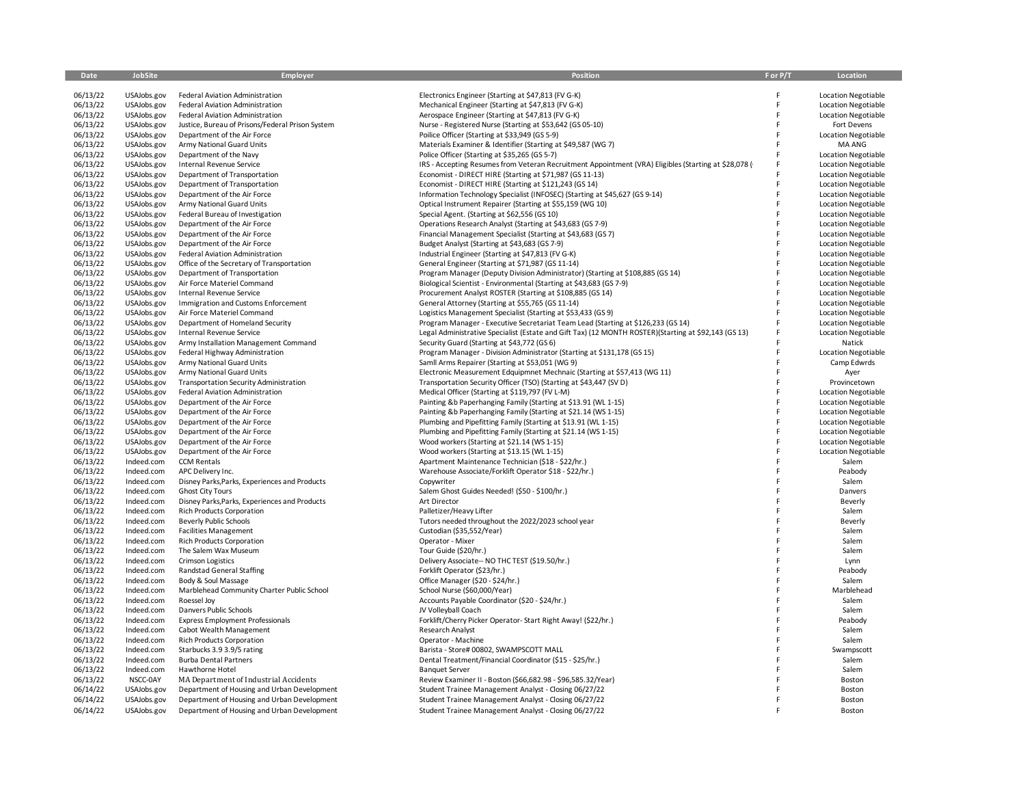| Date                 | JobSite                    | <b>Employer</b>                                                   | Position                                                                                                                                         | F or P/T | Location                                                 |
|----------------------|----------------------------|-------------------------------------------------------------------|--------------------------------------------------------------------------------------------------------------------------------------------------|----------|----------------------------------------------------------|
|                      |                            |                                                                   |                                                                                                                                                  |          |                                                          |
| 06/13/22             | USAJobs.gov                | Federal Aviation Administration                                   | Electronics Engineer (Starting at \$47,813 (FV G-K)                                                                                              |          | <b>Location Negotiable</b>                               |
| 06/13/22             | USAJobs.gov                | Federal Aviation Administration                                   | Mechanical Engineer (Starting at \$47,813 (FV G-K)                                                                                               | E        | <b>Location Negotiable</b>                               |
| 06/13/22             | USAJobs.gov                | Federal Aviation Administration                                   | Aerospace Engineer (Starting at \$47,813 (FV G-K)                                                                                                | F        | <b>Location Negotiable</b>                               |
| 06/13/22             | USAJobs.gov                | Justice, Bureau of Prisons/Federal Prison System                  | Nurse - Registered Nurse (Starting at \$53,642 (GS 05-10)                                                                                        | E        | Fort Devens                                              |
| 06/13/22             | USAJobs.gov                | Department of the Air Force                                       | Poilice Officer (Starting at \$33,949 (GS 5-9)                                                                                                   | E        | Location Negotiable                                      |
| 06/13/22             | USAJobs.gov                | Army National Guard Units                                         | Materials Examiner & Identifier (Starting at \$49,587 (WG 7)                                                                                     |          | MA ANG                                                   |
| 06/13/22             | USAJobs.gov                | Department of the Navy                                            | Police Officer (Starting at \$35,265 (GS 5-7)                                                                                                    | F        | <b>Location Negotiable</b>                               |
| 06/13/22             | USAJobs.gov                | <b>Internal Revenue Service</b>                                   | IRS - Accepting Resumes from Veteran Recruitment Appointment (VRA) Eligibles (Starting at \$28,078 (                                             |          | <b>Location Negotiable</b>                               |
| 06/13/22             | USAJobs.gov                | Department of Transportation                                      | Economist - DIRECT HIRE (Starting at \$71,987 (GS 11-13)                                                                                         |          | <b>Location Negotiable</b>                               |
| 06/13/22             | USAJobs.gov                | Department of Transportation                                      | Economist - DIRECT HIRE (Starting at \$121,243 (GS 14)                                                                                           | F        | <b>Location Negotiable</b>                               |
| 06/13/22             | USAJobs.gov                | Department of the Air Force                                       | Information Technology Specialist (INFOSEC) (Starting at \$45,627 (GS 9-14)                                                                      | F        | Location Negotiable                                      |
| 06/13/22             | USAJobs.gov                | Army National Guard Units                                         | Optical Instrument Repairer (Starting at \$55,159 (WG 10)                                                                                        | F        | <b>Location Negotiable</b>                               |
| 06/13/22             | USAJobs.gov                | Federal Bureau of Investigation                                   | Special Agent. (Starting at \$62,556 (GS 10)                                                                                                     |          | <b>Location Negotiable</b>                               |
| 06/13/22             | USAJobs.gov                | Department of the Air Force                                       | Operations Research Analyst (Starting at \$43,683 (GS 7-9)                                                                                       | F        | <b>Location Negotiable</b>                               |
| 06/13/22             | USAJobs.gov                | Department of the Air Force                                       | Financial Management Specialist (Starting at \$43,683 (GS 7)                                                                                     | F        | <b>Location Negotiable</b>                               |
| 06/13/22             | USAJobs.gov                | Department of the Air Force                                       | Budget Analyst (Starting at \$43,683 (GS 7-9)                                                                                                    |          | <b>Location Negotiable</b>                               |
| 06/13/22             | USAJobs.gov                | Federal Aviation Administration                                   | Industrial Engineer (Starting at \$47,813 (FV G-K)                                                                                               | F        | <b>Location Negotiable</b>                               |
| 06/13/22             | USAJobs.gov                | Office of the Secretary of Transportation                         | General Engineer (Starting at \$71,987 (GS 11-14)                                                                                                | F        | Location Negotiable                                      |
| 06/13/22             | USAJobs.gov                | Department of Transportation                                      | Program Manager (Deputy Division Administrator) (Starting at \$108,885 (GS 14)                                                                   |          | <b>Location Negotiable</b>                               |
| 06/13/22             | USAJobs.gov                | Air Force Materiel Command                                        | Biological Scientist - Environmental (Starting at \$43,683 (GS 7-9)                                                                              |          | <b>Location Negotiable</b>                               |
| 06/13/22             | USAJobs.gov                | Internal Revenue Service                                          | Procurement Analyst ROSTER (Starting at \$108,885 (GS 14)                                                                                        | F<br>F   | <b>Location Negotiable</b>                               |
| 06/13/22<br>06/13/22 | USAJobs.gov                | Immigration and Customs Enforcement<br>Air Force Materiel Command | General Attorney (Starting at \$55,765 (GS 11-14)                                                                                                | F        | <b>Location Negotiable</b>                               |
| 06/13/22             | USAJobs.gov<br>USAJobs.gov | Department of Homeland Security                                   | Logistics Management Specialist (Starting at \$53,433 (GS 9)<br>Program Manager - Executive Secretariat Team Lead (Starting at \$126,233 (GS 14) | F        | <b>Location Negotiable</b><br><b>Location Negotiable</b> |
| 06/13/22             | USAJobs.gov                | Internal Revenue Service                                          | Legal Administrative Specialist (Estate and Gift Tax) (12 MONTH ROSTER) (Starting at \$92,143 (GS 13)                                            |          | <b>Location Negotiable</b>                               |
| 06/13/22             | USAJobs.gov                | Army Installation Management Command                              | Security Guard (Starting at \$43,772 (GS 6)                                                                                                      |          | Natick                                                   |
| 06/13/22             | USAJobs.gov                | Federal Highway Administration                                    | Program Manager - Division Administrator (Starting at \$131,178 (GS 15)                                                                          | F        | <b>Location Negotiable</b>                               |
| 06/13/22             | USAJobs.gov                | Army National Guard Units                                         | Samll Arms Repairer (Starting at \$53,051 (WG 9)                                                                                                 | E        | Camp Edwrds                                              |
| 06/13/22             | USAJobs.gov                | Army National Guard Units                                         | Electronic Measurement Edquipmnet Mechnaic (Starting at \$57,413 (WG 11)                                                                         |          | Ayer                                                     |
| 06/13/22             | USAJobs.gov                | <b>Transportation Security Administration</b>                     | Transportation Security Officer (TSO) (Starting at \$43,447 (SV D)                                                                               |          | Provincetown                                             |
| 06/13/22             | USAJobs.gov                | Federal Aviation Administration                                   | Medical Officer (Starting at \$119,797 (FV L-M)                                                                                                  | E        | <b>Location Negotiable</b>                               |
| 06/13/22             | USAJobs.gov                | Department of the Air Force                                       | Painting &b Paperhanging Family (Starting at \$13.91 (WL 1-15)                                                                                   | F        | <b>Location Negotiable</b>                               |
| 06/13/22             | USAJobs.gov                | Department of the Air Force                                       | Painting &b Paperhanging Family (Starting at \$21.14 (WS 1-15)                                                                                   | F        | <b>Location Negotiable</b>                               |
| 06/13/22             | USAJobs.gov                | Department of the Air Force                                       | Plumbing and Pipefitting Family (Starting at \$13.91 (WL 1-15)                                                                                   | F        | <b>Location Negotiable</b>                               |
| 06/13/22             | USAJobs.gov                | Department of the Air Force                                       | Plumbing and Pipefitting Family (Starting at \$21.14 (WS 1-15)                                                                                   |          | <b>Location Negotiable</b>                               |
| 06/13/22             | USAJobs.gov                | Department of the Air Force                                       | Wood workers (Starting at \$21.14 (WS 1-15)                                                                                                      | F        | <b>Location Negotiable</b>                               |
| 06/13/22             | USAJobs.gov                | Department of the Air Force                                       | Wood workers (Starting at \$13.15 (WL 1-15)                                                                                                      | F        | <b>Location Negotiable</b>                               |
| 06/13/22             | Indeed.com                 | <b>CCM Rentals</b>                                                | Apartment Maintenance Technician (\$18 - \$22/hr.)                                                                                               | E        | Salem                                                    |
| 06/13/22             | Indeed.com                 | APC Delivery Inc.                                                 | Warehouse Associate/Forklift Operator \$18 - \$22/hr.)                                                                                           |          | Peabody                                                  |
| 06/13/22             | Indeed.com                 | Disney Parks, Parks, Experiences and Products                     | Copywriter                                                                                                                                       |          | Salem                                                    |
| 06/13/22             | Indeed.com                 | <b>Ghost City Tours</b>                                           | Salem Ghost Guides Needed! (\$50 - \$100/hr.)                                                                                                    | E        | Danvers                                                  |
| 06/13/22             | Indeed.com                 | Disney Parks, Parks, Experiences and Products                     | Art Director                                                                                                                                     |          | Beverly                                                  |
| 06/13/22             | Indeed.com                 | <b>Rich Products Corporation</b>                                  | Palletizer/Heavy Lifter                                                                                                                          |          | Salem                                                    |
| 06/13/22             | Indeed.com                 | <b>Beverly Public Schools</b>                                     | Tutors needed throughout the 2022/2023 school year                                                                                               |          | Beverly                                                  |
| 06/13/22             | Indeed.com                 | <b>Facilities Management</b>                                      | Custodian (\$35,552/Year)                                                                                                                        |          | Salem                                                    |
| 06/13/22             | Indeed.com                 | <b>Rich Products Corporation</b>                                  | Operator - Mixer                                                                                                                                 |          | Salem                                                    |
| 06/13/22             | Indeed.com                 | The Salem Wax Museum                                              | Tour Guide (\$20/hr.)                                                                                                                            | E        | Salem                                                    |
| 06/13/22             | Indeed.com                 | <b>Crimson Logistics</b>                                          | Delivery Associate -- NO THC TEST (\$19.50/hr.)                                                                                                  |          | Lynn                                                     |
| 06/13/22             | Indeed.com<br>Indeed.com   | <b>Randstad General Staffing</b><br>Body & Soul Massage           | Forklift Operator (\$23/hr.)<br>Office Manager (\$20 - \$24/hr.)                                                                                 |          | Peabody<br>Salem                                         |
| 06/13/22<br>06/13/22 | Indeed.com                 | Marblehead Community Charter Public School                        | School Nurse (\$60,000/Year)                                                                                                                     | F        | Marblehead                                               |
| 06/13/22             | Indeed.com                 | Roessel Joy                                                       | Accounts Payable Coordinator (\$20 - \$24/hr.)                                                                                                   |          | Salem                                                    |
| 06/13/22             | Indeed.com                 | Danvers Public Schools                                            | JV Volleyball Coach                                                                                                                              |          | Salem                                                    |
| 06/13/22             | Indeed.com                 | <b>Express Employment Professionals</b>                           | Forklift/Cherry Picker Operator- Start Right Away! (\$22/hr.)                                                                                    |          | Peabody                                                  |
| 06/13/22             | Indeed.com                 | Cabot Wealth Management                                           | Research Analyst                                                                                                                                 |          | Salem                                                    |
| 06/13/22             | Indeed.com                 | <b>Rich Products Corporation</b>                                  | Operator - Machine                                                                                                                               |          | Salem                                                    |
| 06/13/22             | Indeed.com                 | Starbucks 3.9 3.9/5 rating                                        | Barista - Store# 00802, SWAMPSCOTT MALL                                                                                                          |          | Swampscott                                               |
| 06/13/22             | Indeed.com                 | <b>Burba Dental Partners</b>                                      | Dental Treatment/Financial Coordinator (\$15 - \$25/hr.)                                                                                         |          | Salem                                                    |
| 06/13/22             | Indeed.com                 | Hawthorne Hotel                                                   | <b>Banquet Server</b>                                                                                                                            |          | Salem                                                    |
| 06/13/22             | NSCC-0AY                   | MA Department of Industrial Accidents                             | Review Examiner II - Boston (\$66,682.98 - \$96,585.32/Year)                                                                                     |          | Boston                                                   |
| 06/14/22             | USAJobs.gov                | Department of Housing and Urban Development                       | Student Trainee Management Analyst - Closing 06/27/22                                                                                            |          | Boston                                                   |
| 06/14/22             | USAJobs.gov                | Department of Housing and Urban Development                       | Student Trainee Management Analyst - Closing 06/27/22                                                                                            |          | Boston                                                   |
| 06/14/22             | USAJobs.gov                | Department of Housing and Urban Development                       | Student Trainee Management Analyst - Closing 06/27/22                                                                                            |          | Boston                                                   |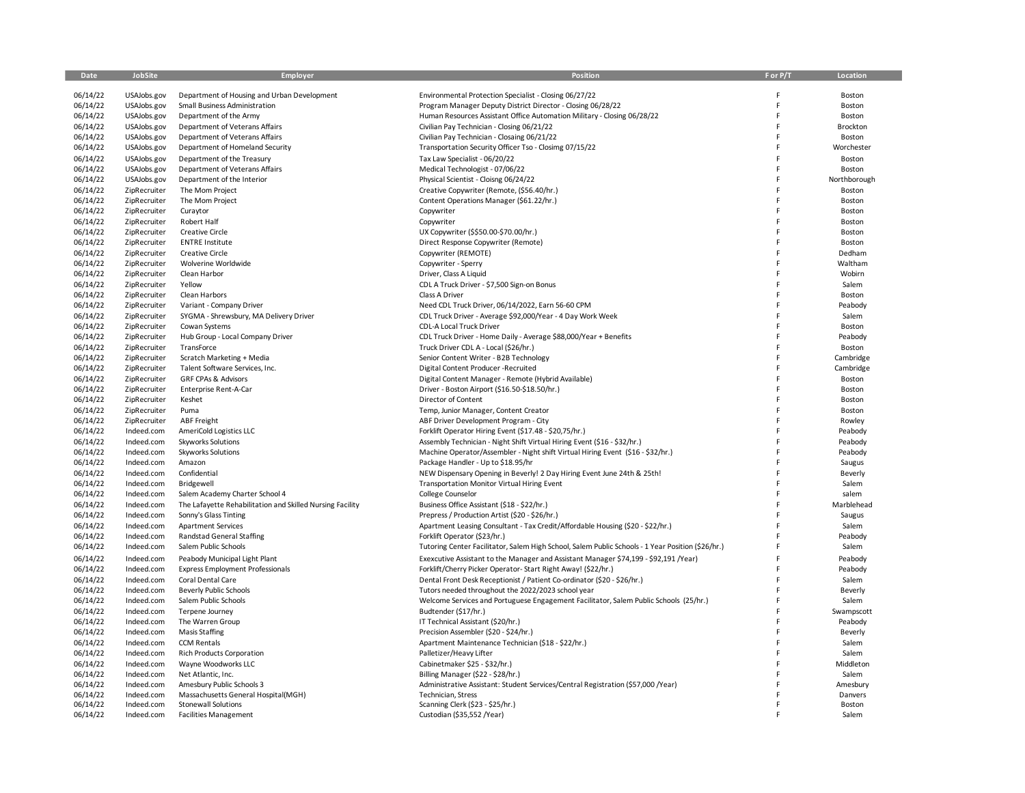| 06/14/22<br>USAJobs.gov<br>Department of Housing and Urban Development<br>Environmental Protection Specialist - Closing 06/27/22<br>06/14/22<br>USAJobs.gov<br>Small Business Administration<br>Program Manager Deputy District Director - Closing 06/28/22<br>F<br>06/14/22<br>Human Resources Assistant Office Automation Military - Closing 06/28/22<br>USAJobs.gov<br>Department of the Army<br>F<br>06/14/22<br>USAJobs.gov<br>Civilian Pay Technician - Closing 06/21/22<br>F<br>Department of Veterans Affairs<br>06/14/22<br>F<br>USAJobs.gov<br>Department of Veterans Affairs<br>Civilian Pay Technician - Closaing 06/21/22<br>06/14/22<br>USAJobs.gov<br>Department of Homeland Security<br>Transportation Security Officer Tso - Closimg 07/15/22<br>F<br>06/14/22<br>USAJobs.gov<br>Department of the Treasury<br>Tax Law Specialist - 06/20/22<br>F<br>06/14/22<br>USAJobs.gov<br>Department of Veterans Affairs<br>Medical Technologist - 07/06/22<br>F<br>06/14/22<br>Department of the Interior<br>Physical Scientist - Cloisng 06/24/22<br>F<br>USAJobs.gov<br>06/14/22<br>F<br>ZipRecruiter<br>The Mom Project<br>Creative Copywriter (Remote, (\$56.40/hr.)<br>06/14/22<br>F<br>ZipRecruiter<br>The Mom Project<br>Content Operations Manager (\$61.22/hr.)<br>06/14/22<br>ZipRecruiter<br>Curaytor<br>Copywriter<br>06/14/22<br>ZipRecruiter<br>Robert Half<br>Copywriter<br>06/14/22<br>ZipRecruiter<br><b>Creative Circle</b><br>UX Copywriter (\$\$50.00-\$70.00/hr.)<br>F<br>06/14/22<br>ZipRecruiter<br><b>ENTRE Institute</b><br>Direct Response Copywriter (Remote)<br>F<br>06/14/22<br>ZipRecruiter<br><b>Creative Circle</b><br>Copywriter (REMOTE)<br>06/14/22<br>ZipRecruiter<br>Wolverine Worldwide<br>Copywriter - Sperry<br>06/14/22<br>ZipRecruiter<br>Clean Harbor<br>Driver, Class A Liquid<br>06/14/22<br>Yellow<br>CDL A Truck Driver - \$7,500 Sign-on Bonus<br>Salem<br>ZipRecruiter<br>06/14/22<br>F<br>ZipRecruiter<br>Clean Harbors<br>Class A Driver<br>06/14/22<br>ZipRecruiter<br>Variant - Company Driver<br>Need CDL Truck Driver, 06/14/2022, Earn 56-60 CPM<br>06/14/22<br>F<br>ZipRecruiter<br>SYGMA - Shrewsbury, MA Delivery Driver<br>CDL Truck Driver - Average \$92,000/Year - 4 Day Work Week<br>Salem<br>F<br>06/14/22<br>ZipRecruiter<br>Cowan Systems<br>CDL-A Local Truck Driver<br>06/14/22<br>F<br>ZipRecruiter<br>Hub Group - Local Company Driver<br>CDL Truck Driver - Home Daily - Average \$88,000/Year + Benefits<br>06/14/22<br>ZipRecruiter<br>TransForce<br>Truck Driver CDL A - Local (\$26/hr.)<br>F<br>06/14/22<br>Senior Content Writer - B2B Technology<br>F<br>ZipRecruiter<br>Scratch Marketing + Media<br>06/14/22<br>ZipRecruiter<br>Talent Software Services, Inc.<br>Digital Content Producer-Recruited<br>F<br>F<br>06/14/22<br>ZipRecruiter<br>GRF CPAs & Advisors<br>Boston<br>Digital Content Manager - Remote (Hybrid Available)<br>06/14/22<br>F<br>ZipRecruiter<br>Enterprise Rent-A-Car<br>Driver - Boston Airport (\$16.50-\$18.50/hr.)<br>06/14/22<br>Keshet<br>F<br>ZipRecruiter<br>Director of Content<br>06/14/22<br>ZipRecruiter<br>Temp, Junior Manager, Content Creator<br>Boston<br>Puma<br>06/14/22<br>ZipRecruiter<br><b>ABF</b> Freight<br>ABF Driver Development Program - City<br>F<br>F<br>06/14/22<br>Indeed.com<br>AmeriCold Logistics LLC<br>Forklift Operator Hiring Event (\$17.48 - \$20,75/hr.)<br>06/14/22<br>Assembly Technician - Night Shift Virtual Hiring Event (\$16 - \$32/hr.)<br>F<br>Indeed.com<br><b>Skyworks Solutions</b><br>06/14/22<br>Indeed.com<br><b>Skyworks Solutions</b><br>Machine Operator/Assembler - Night shift Virtual Hiring Event (\$16 - \$32/hr.)<br>06/14/22<br>Indeed.com<br>Amazon<br>Package Handler - Up to \$18.95/hr<br>Saugus<br>06/14/22<br>Confidential<br>F<br>Indeed.com<br>NEW Dispensary Opening in Beverly! 2 Day Hiring Event June 24th & 25th!<br>06/14/22<br>Bridgewell<br>Transportation Monitor Virtual Hiring Event<br>F<br>Salem<br>Indeed.com<br>06/14/22<br>Indeed.com<br>Salem Academy Charter School 4<br>College Counselor<br>F<br>salem<br>06/14/22<br>F<br>Indeed.com<br>The Lafayette Rehabilitation and Skilled Nursing Facility<br>Business Office Assistant (\$18 - \$22/hr.)<br>06/14/22<br>Indeed.com<br>Sonny's Glass Tinting<br>Prepress / Production Artist (\$20 - \$26/hr.)<br>Saugus<br>06/14/22<br>Indeed.com<br><b>Apartment Services</b><br>Apartment Leasing Consultant - Tax Credit/Affordable Housing (\$20 - \$22/hr.)<br>F<br>Salem<br>06/14/22<br>Indeed.com<br><b>Randstad General Staffing</b><br>Forklift Operator (\$23/hr.)<br>F<br>06/14/22<br>Tutoring Center Facilitator, Salem High School, Salem Public Schools - 1 Year Position (\$26/hr.)<br>F<br>Salem<br>Indeed.com<br>Salem Public Schools<br>06/14/22<br>F<br>Indeed.com<br>Peabody Municipal Light Plant<br>Exexcutive Assistant to the Manager and Assistant Manager \$74,199 - \$92,191 /Year)<br>Peabody<br>06/14/22<br>F<br>Indeed.com<br><b>Express Employment Professionals</b><br>Forklift/Cherry Picker Operator-Start Right Away! (\$22/hr.)<br>Peabody<br>06/14/22<br>Indeed.com<br>Coral Dental Care<br>Dental Front Desk Receptionist / Patient Co-ordinator (\$20 - \$26/hr.)<br>F<br>Salem<br>06/14/22<br>E<br>Indeed.com<br><b>Beverly Public Schools</b><br>Tutors needed throughout the 2022/2023 school year<br>Beverly<br>06/14/22<br>Indeed.com<br>Salem Public Schools<br>Welcome Services and Portuguese Engagement Facilitator, Salem Public Schools (25/hr.)<br>Salem<br>06/14/22<br>Indeed.com<br>Terpene Journey<br>Budtender (\$17/hr.)<br>Swampscott<br>06/14/22<br>Indeed.com<br>The Warren Group<br>IT Technical Assistant (\$20/hr.)<br>Peabody<br>06/14/22<br>Indeed.com<br><b>Masis Staffing</b><br>Precision Assembler (\$20 - \$24/hr.)<br>Beverly<br>06/14/22<br>Indeed.com<br><b>CCM Rentals</b><br>Apartment Maintenance Technician (\$18 - \$22/hr.)<br>Salem<br>06/14/22<br><b>Rich Products Corporation</b><br>Palletizer/Heavy Lifter<br>Indeed.com<br>Salem<br>06/14/22<br>Indeed.com<br>Wayne Woodworks LLC<br>Cabinetmaker \$25 - \$32/hr.) | Date | JobSite | Employer | Position | F or P/T | Location     |
|------------------------------------------------------------------------------------------------------------------------------------------------------------------------------------------------------------------------------------------------------------------------------------------------------------------------------------------------------------------------------------------------------------------------------------------------------------------------------------------------------------------------------------------------------------------------------------------------------------------------------------------------------------------------------------------------------------------------------------------------------------------------------------------------------------------------------------------------------------------------------------------------------------------------------------------------------------------------------------------------------------------------------------------------------------------------------------------------------------------------------------------------------------------------------------------------------------------------------------------------------------------------------------------------------------------------------------------------------------------------------------------------------------------------------------------------------------------------------------------------------------------------------------------------------------------------------------------------------------------------------------------------------------------------------------------------------------------------------------------------------------------------------------------------------------------------------------------------------------------------------------------------------------------------------------------------------------------------------------------------------------------------------------------------------------------------------------------------------------------------------------------------------------------------------------------------------------------------------------------------------------------------------------------------------------------------------------------------------------------------------------------------------------------------------------------------------------------------------------------------------------------------------------------------------------------------------------------------------------------------------------------------------------------------------------------------------------------------------------------------------------------------------------------------------------------------------------------------------------------------------------------------------------------------------------------------------------------------------------------------------------------------------------------------------------------------------------------------------------------------------------------------------------------------------------------------------------------------------------------------------------------------------------------------------------------------------------------------------------------------------------------------------------------------------------------------------------------------------------------------------------------------------------------------------------------------------------------------------------------------------------------------------------------------------------------------------------------------------------------------------------------------------------------------------------------------------------------------------------------------------------------------------------------------------------------------------------------------------------------------------------------------------------------------------------------------------------------------------------------------------------------------------------------------------------------------------------------------------------------------------------------------------------------------------------------------------------------------------------------------------------------------------------------------------------------------------------------------------------------------------------------------------------------------------------------------------------------------------------------------------------------------------------------------------------------------------------------------------------------------------------------------------------------------------------------------------------------------------------------------------------------------------------------------------------------------------------------------------------------------------------------------------------------------------------------------------------------------------------------------------------------------------------------------------------------------------------------------------------------------------------------------------------------------------------------------------------------------------------------------------------------------------------------------------------------------------------------------------------------------------------------------------------------------------------------------------------------------------------------------------------------------------------------------------------------------------------------------------------------------------------------------------------------------------------------------------------------------------------------------------------------------------------------------------------------------------------------------------------------------------------------------------------------------------------------------------------------------------------------------------------------------------------------|------|---------|----------|----------|----------|--------------|
|                                                                                                                                                                                                                                                                                                                                                                                                                                                                                                                                                                                                                                                                                                                                                                                                                                                                                                                                                                                                                                                                                                                                                                                                                                                                                                                                                                                                                                                                                                                                                                                                                                                                                                                                                                                                                                                                                                                                                                                                                                                                                                                                                                                                                                                                                                                                                                                                                                                                                                                                                                                                                                                                                                                                                                                                                                                                                                                                                                                                                                                                                                                                                                                                                                                                                                                                                                                                                                                                                                                                                                                                                                                                                                                                                                                                                                                                                                                                                                                                                                                                                                                                                                                                                                                                                                                                                                                                                                                                                                                                                                                                                                                                                                                                                                                                                                                                                                                                                                                                                                                                                                                                                                                                                                                                                                                                                                                                                                                                                                                                                                                                                                                                                                                                                                                                                                                                                                                                                                                                                                                                                                                                                                  |      |         |          |          |          |              |
|                                                                                                                                                                                                                                                                                                                                                                                                                                                                                                                                                                                                                                                                                                                                                                                                                                                                                                                                                                                                                                                                                                                                                                                                                                                                                                                                                                                                                                                                                                                                                                                                                                                                                                                                                                                                                                                                                                                                                                                                                                                                                                                                                                                                                                                                                                                                                                                                                                                                                                                                                                                                                                                                                                                                                                                                                                                                                                                                                                                                                                                                                                                                                                                                                                                                                                                                                                                                                                                                                                                                                                                                                                                                                                                                                                                                                                                                                                                                                                                                                                                                                                                                                                                                                                                                                                                                                                                                                                                                                                                                                                                                                                                                                                                                                                                                                                                                                                                                                                                                                                                                                                                                                                                                                                                                                                                                                                                                                                                                                                                                                                                                                                                                                                                                                                                                                                                                                                                                                                                                                                                                                                                                                                  |      |         |          |          |          | Boston       |
|                                                                                                                                                                                                                                                                                                                                                                                                                                                                                                                                                                                                                                                                                                                                                                                                                                                                                                                                                                                                                                                                                                                                                                                                                                                                                                                                                                                                                                                                                                                                                                                                                                                                                                                                                                                                                                                                                                                                                                                                                                                                                                                                                                                                                                                                                                                                                                                                                                                                                                                                                                                                                                                                                                                                                                                                                                                                                                                                                                                                                                                                                                                                                                                                                                                                                                                                                                                                                                                                                                                                                                                                                                                                                                                                                                                                                                                                                                                                                                                                                                                                                                                                                                                                                                                                                                                                                                                                                                                                                                                                                                                                                                                                                                                                                                                                                                                                                                                                                                                                                                                                                                                                                                                                                                                                                                                                                                                                                                                                                                                                                                                                                                                                                                                                                                                                                                                                                                                                                                                                                                                                                                                                                                  |      |         |          |          |          | Boston       |
|                                                                                                                                                                                                                                                                                                                                                                                                                                                                                                                                                                                                                                                                                                                                                                                                                                                                                                                                                                                                                                                                                                                                                                                                                                                                                                                                                                                                                                                                                                                                                                                                                                                                                                                                                                                                                                                                                                                                                                                                                                                                                                                                                                                                                                                                                                                                                                                                                                                                                                                                                                                                                                                                                                                                                                                                                                                                                                                                                                                                                                                                                                                                                                                                                                                                                                                                                                                                                                                                                                                                                                                                                                                                                                                                                                                                                                                                                                                                                                                                                                                                                                                                                                                                                                                                                                                                                                                                                                                                                                                                                                                                                                                                                                                                                                                                                                                                                                                                                                                                                                                                                                                                                                                                                                                                                                                                                                                                                                                                                                                                                                                                                                                                                                                                                                                                                                                                                                                                                                                                                                                                                                                                                                  |      |         |          |          |          | Boston       |
|                                                                                                                                                                                                                                                                                                                                                                                                                                                                                                                                                                                                                                                                                                                                                                                                                                                                                                                                                                                                                                                                                                                                                                                                                                                                                                                                                                                                                                                                                                                                                                                                                                                                                                                                                                                                                                                                                                                                                                                                                                                                                                                                                                                                                                                                                                                                                                                                                                                                                                                                                                                                                                                                                                                                                                                                                                                                                                                                                                                                                                                                                                                                                                                                                                                                                                                                                                                                                                                                                                                                                                                                                                                                                                                                                                                                                                                                                                                                                                                                                                                                                                                                                                                                                                                                                                                                                                                                                                                                                                                                                                                                                                                                                                                                                                                                                                                                                                                                                                                                                                                                                                                                                                                                                                                                                                                                                                                                                                                                                                                                                                                                                                                                                                                                                                                                                                                                                                                                                                                                                                                                                                                                                                  |      |         |          |          |          | Brockton     |
|                                                                                                                                                                                                                                                                                                                                                                                                                                                                                                                                                                                                                                                                                                                                                                                                                                                                                                                                                                                                                                                                                                                                                                                                                                                                                                                                                                                                                                                                                                                                                                                                                                                                                                                                                                                                                                                                                                                                                                                                                                                                                                                                                                                                                                                                                                                                                                                                                                                                                                                                                                                                                                                                                                                                                                                                                                                                                                                                                                                                                                                                                                                                                                                                                                                                                                                                                                                                                                                                                                                                                                                                                                                                                                                                                                                                                                                                                                                                                                                                                                                                                                                                                                                                                                                                                                                                                                                                                                                                                                                                                                                                                                                                                                                                                                                                                                                                                                                                                                                                                                                                                                                                                                                                                                                                                                                                                                                                                                                                                                                                                                                                                                                                                                                                                                                                                                                                                                                                                                                                                                                                                                                                                                  |      |         |          |          |          | Boston       |
|                                                                                                                                                                                                                                                                                                                                                                                                                                                                                                                                                                                                                                                                                                                                                                                                                                                                                                                                                                                                                                                                                                                                                                                                                                                                                                                                                                                                                                                                                                                                                                                                                                                                                                                                                                                                                                                                                                                                                                                                                                                                                                                                                                                                                                                                                                                                                                                                                                                                                                                                                                                                                                                                                                                                                                                                                                                                                                                                                                                                                                                                                                                                                                                                                                                                                                                                                                                                                                                                                                                                                                                                                                                                                                                                                                                                                                                                                                                                                                                                                                                                                                                                                                                                                                                                                                                                                                                                                                                                                                                                                                                                                                                                                                                                                                                                                                                                                                                                                                                                                                                                                                                                                                                                                                                                                                                                                                                                                                                                                                                                                                                                                                                                                                                                                                                                                                                                                                                                                                                                                                                                                                                                                                  |      |         |          |          |          | Worchester   |
|                                                                                                                                                                                                                                                                                                                                                                                                                                                                                                                                                                                                                                                                                                                                                                                                                                                                                                                                                                                                                                                                                                                                                                                                                                                                                                                                                                                                                                                                                                                                                                                                                                                                                                                                                                                                                                                                                                                                                                                                                                                                                                                                                                                                                                                                                                                                                                                                                                                                                                                                                                                                                                                                                                                                                                                                                                                                                                                                                                                                                                                                                                                                                                                                                                                                                                                                                                                                                                                                                                                                                                                                                                                                                                                                                                                                                                                                                                                                                                                                                                                                                                                                                                                                                                                                                                                                                                                                                                                                                                                                                                                                                                                                                                                                                                                                                                                                                                                                                                                                                                                                                                                                                                                                                                                                                                                                                                                                                                                                                                                                                                                                                                                                                                                                                                                                                                                                                                                                                                                                                                                                                                                                                                  |      |         |          |          |          | Boston       |
|                                                                                                                                                                                                                                                                                                                                                                                                                                                                                                                                                                                                                                                                                                                                                                                                                                                                                                                                                                                                                                                                                                                                                                                                                                                                                                                                                                                                                                                                                                                                                                                                                                                                                                                                                                                                                                                                                                                                                                                                                                                                                                                                                                                                                                                                                                                                                                                                                                                                                                                                                                                                                                                                                                                                                                                                                                                                                                                                                                                                                                                                                                                                                                                                                                                                                                                                                                                                                                                                                                                                                                                                                                                                                                                                                                                                                                                                                                                                                                                                                                                                                                                                                                                                                                                                                                                                                                                                                                                                                                                                                                                                                                                                                                                                                                                                                                                                                                                                                                                                                                                                                                                                                                                                                                                                                                                                                                                                                                                                                                                                                                                                                                                                                                                                                                                                                                                                                                                                                                                                                                                                                                                                                                  |      |         |          |          |          | Boston       |
|                                                                                                                                                                                                                                                                                                                                                                                                                                                                                                                                                                                                                                                                                                                                                                                                                                                                                                                                                                                                                                                                                                                                                                                                                                                                                                                                                                                                                                                                                                                                                                                                                                                                                                                                                                                                                                                                                                                                                                                                                                                                                                                                                                                                                                                                                                                                                                                                                                                                                                                                                                                                                                                                                                                                                                                                                                                                                                                                                                                                                                                                                                                                                                                                                                                                                                                                                                                                                                                                                                                                                                                                                                                                                                                                                                                                                                                                                                                                                                                                                                                                                                                                                                                                                                                                                                                                                                                                                                                                                                                                                                                                                                                                                                                                                                                                                                                                                                                                                                                                                                                                                                                                                                                                                                                                                                                                                                                                                                                                                                                                                                                                                                                                                                                                                                                                                                                                                                                                                                                                                                                                                                                                                                  |      |         |          |          |          | Northborough |
|                                                                                                                                                                                                                                                                                                                                                                                                                                                                                                                                                                                                                                                                                                                                                                                                                                                                                                                                                                                                                                                                                                                                                                                                                                                                                                                                                                                                                                                                                                                                                                                                                                                                                                                                                                                                                                                                                                                                                                                                                                                                                                                                                                                                                                                                                                                                                                                                                                                                                                                                                                                                                                                                                                                                                                                                                                                                                                                                                                                                                                                                                                                                                                                                                                                                                                                                                                                                                                                                                                                                                                                                                                                                                                                                                                                                                                                                                                                                                                                                                                                                                                                                                                                                                                                                                                                                                                                                                                                                                                                                                                                                                                                                                                                                                                                                                                                                                                                                                                                                                                                                                                                                                                                                                                                                                                                                                                                                                                                                                                                                                                                                                                                                                                                                                                                                                                                                                                                                                                                                                                                                                                                                                                  |      |         |          |          |          | Boston       |
|                                                                                                                                                                                                                                                                                                                                                                                                                                                                                                                                                                                                                                                                                                                                                                                                                                                                                                                                                                                                                                                                                                                                                                                                                                                                                                                                                                                                                                                                                                                                                                                                                                                                                                                                                                                                                                                                                                                                                                                                                                                                                                                                                                                                                                                                                                                                                                                                                                                                                                                                                                                                                                                                                                                                                                                                                                                                                                                                                                                                                                                                                                                                                                                                                                                                                                                                                                                                                                                                                                                                                                                                                                                                                                                                                                                                                                                                                                                                                                                                                                                                                                                                                                                                                                                                                                                                                                                                                                                                                                                                                                                                                                                                                                                                                                                                                                                                                                                                                                                                                                                                                                                                                                                                                                                                                                                                                                                                                                                                                                                                                                                                                                                                                                                                                                                                                                                                                                                                                                                                                                                                                                                                                                  |      |         |          |          |          | Boston       |
|                                                                                                                                                                                                                                                                                                                                                                                                                                                                                                                                                                                                                                                                                                                                                                                                                                                                                                                                                                                                                                                                                                                                                                                                                                                                                                                                                                                                                                                                                                                                                                                                                                                                                                                                                                                                                                                                                                                                                                                                                                                                                                                                                                                                                                                                                                                                                                                                                                                                                                                                                                                                                                                                                                                                                                                                                                                                                                                                                                                                                                                                                                                                                                                                                                                                                                                                                                                                                                                                                                                                                                                                                                                                                                                                                                                                                                                                                                                                                                                                                                                                                                                                                                                                                                                                                                                                                                                                                                                                                                                                                                                                                                                                                                                                                                                                                                                                                                                                                                                                                                                                                                                                                                                                                                                                                                                                                                                                                                                                                                                                                                                                                                                                                                                                                                                                                                                                                                                                                                                                                                                                                                                                                                  |      |         |          |          |          | Boston       |
|                                                                                                                                                                                                                                                                                                                                                                                                                                                                                                                                                                                                                                                                                                                                                                                                                                                                                                                                                                                                                                                                                                                                                                                                                                                                                                                                                                                                                                                                                                                                                                                                                                                                                                                                                                                                                                                                                                                                                                                                                                                                                                                                                                                                                                                                                                                                                                                                                                                                                                                                                                                                                                                                                                                                                                                                                                                                                                                                                                                                                                                                                                                                                                                                                                                                                                                                                                                                                                                                                                                                                                                                                                                                                                                                                                                                                                                                                                                                                                                                                                                                                                                                                                                                                                                                                                                                                                                                                                                                                                                                                                                                                                                                                                                                                                                                                                                                                                                                                                                                                                                                                                                                                                                                                                                                                                                                                                                                                                                                                                                                                                                                                                                                                                                                                                                                                                                                                                                                                                                                                                                                                                                                                                  |      |         |          |          |          | Boston       |
|                                                                                                                                                                                                                                                                                                                                                                                                                                                                                                                                                                                                                                                                                                                                                                                                                                                                                                                                                                                                                                                                                                                                                                                                                                                                                                                                                                                                                                                                                                                                                                                                                                                                                                                                                                                                                                                                                                                                                                                                                                                                                                                                                                                                                                                                                                                                                                                                                                                                                                                                                                                                                                                                                                                                                                                                                                                                                                                                                                                                                                                                                                                                                                                                                                                                                                                                                                                                                                                                                                                                                                                                                                                                                                                                                                                                                                                                                                                                                                                                                                                                                                                                                                                                                                                                                                                                                                                                                                                                                                                                                                                                                                                                                                                                                                                                                                                                                                                                                                                                                                                                                                                                                                                                                                                                                                                                                                                                                                                                                                                                                                                                                                                                                                                                                                                                                                                                                                                                                                                                                                                                                                                                                                  |      |         |          |          |          | Boston       |
|                                                                                                                                                                                                                                                                                                                                                                                                                                                                                                                                                                                                                                                                                                                                                                                                                                                                                                                                                                                                                                                                                                                                                                                                                                                                                                                                                                                                                                                                                                                                                                                                                                                                                                                                                                                                                                                                                                                                                                                                                                                                                                                                                                                                                                                                                                                                                                                                                                                                                                                                                                                                                                                                                                                                                                                                                                                                                                                                                                                                                                                                                                                                                                                                                                                                                                                                                                                                                                                                                                                                                                                                                                                                                                                                                                                                                                                                                                                                                                                                                                                                                                                                                                                                                                                                                                                                                                                                                                                                                                                                                                                                                                                                                                                                                                                                                                                                                                                                                                                                                                                                                                                                                                                                                                                                                                                                                                                                                                                                                                                                                                                                                                                                                                                                                                                                                                                                                                                                                                                                                                                                                                                                                                  |      |         |          |          |          | Boston       |
|                                                                                                                                                                                                                                                                                                                                                                                                                                                                                                                                                                                                                                                                                                                                                                                                                                                                                                                                                                                                                                                                                                                                                                                                                                                                                                                                                                                                                                                                                                                                                                                                                                                                                                                                                                                                                                                                                                                                                                                                                                                                                                                                                                                                                                                                                                                                                                                                                                                                                                                                                                                                                                                                                                                                                                                                                                                                                                                                                                                                                                                                                                                                                                                                                                                                                                                                                                                                                                                                                                                                                                                                                                                                                                                                                                                                                                                                                                                                                                                                                                                                                                                                                                                                                                                                                                                                                                                                                                                                                                                                                                                                                                                                                                                                                                                                                                                                                                                                                                                                                                                                                                                                                                                                                                                                                                                                                                                                                                                                                                                                                                                                                                                                                                                                                                                                                                                                                                                                                                                                                                                                                                                                                                  |      |         |          |          |          | Dedham       |
|                                                                                                                                                                                                                                                                                                                                                                                                                                                                                                                                                                                                                                                                                                                                                                                                                                                                                                                                                                                                                                                                                                                                                                                                                                                                                                                                                                                                                                                                                                                                                                                                                                                                                                                                                                                                                                                                                                                                                                                                                                                                                                                                                                                                                                                                                                                                                                                                                                                                                                                                                                                                                                                                                                                                                                                                                                                                                                                                                                                                                                                                                                                                                                                                                                                                                                                                                                                                                                                                                                                                                                                                                                                                                                                                                                                                                                                                                                                                                                                                                                                                                                                                                                                                                                                                                                                                                                                                                                                                                                                                                                                                                                                                                                                                                                                                                                                                                                                                                                                                                                                                                                                                                                                                                                                                                                                                                                                                                                                                                                                                                                                                                                                                                                                                                                                                                                                                                                                                                                                                                                                                                                                                                                  |      |         |          |          |          | Waltham      |
|                                                                                                                                                                                                                                                                                                                                                                                                                                                                                                                                                                                                                                                                                                                                                                                                                                                                                                                                                                                                                                                                                                                                                                                                                                                                                                                                                                                                                                                                                                                                                                                                                                                                                                                                                                                                                                                                                                                                                                                                                                                                                                                                                                                                                                                                                                                                                                                                                                                                                                                                                                                                                                                                                                                                                                                                                                                                                                                                                                                                                                                                                                                                                                                                                                                                                                                                                                                                                                                                                                                                                                                                                                                                                                                                                                                                                                                                                                                                                                                                                                                                                                                                                                                                                                                                                                                                                                                                                                                                                                                                                                                                                                                                                                                                                                                                                                                                                                                                                                                                                                                                                                                                                                                                                                                                                                                                                                                                                                                                                                                                                                                                                                                                                                                                                                                                                                                                                                                                                                                                                                                                                                                                                                  |      |         |          |          |          | Wobirn       |
|                                                                                                                                                                                                                                                                                                                                                                                                                                                                                                                                                                                                                                                                                                                                                                                                                                                                                                                                                                                                                                                                                                                                                                                                                                                                                                                                                                                                                                                                                                                                                                                                                                                                                                                                                                                                                                                                                                                                                                                                                                                                                                                                                                                                                                                                                                                                                                                                                                                                                                                                                                                                                                                                                                                                                                                                                                                                                                                                                                                                                                                                                                                                                                                                                                                                                                                                                                                                                                                                                                                                                                                                                                                                                                                                                                                                                                                                                                                                                                                                                                                                                                                                                                                                                                                                                                                                                                                                                                                                                                                                                                                                                                                                                                                                                                                                                                                                                                                                                                                                                                                                                                                                                                                                                                                                                                                                                                                                                                                                                                                                                                                                                                                                                                                                                                                                                                                                                                                                                                                                                                                                                                                                                                  |      |         |          |          |          |              |
|                                                                                                                                                                                                                                                                                                                                                                                                                                                                                                                                                                                                                                                                                                                                                                                                                                                                                                                                                                                                                                                                                                                                                                                                                                                                                                                                                                                                                                                                                                                                                                                                                                                                                                                                                                                                                                                                                                                                                                                                                                                                                                                                                                                                                                                                                                                                                                                                                                                                                                                                                                                                                                                                                                                                                                                                                                                                                                                                                                                                                                                                                                                                                                                                                                                                                                                                                                                                                                                                                                                                                                                                                                                                                                                                                                                                                                                                                                                                                                                                                                                                                                                                                                                                                                                                                                                                                                                                                                                                                                                                                                                                                                                                                                                                                                                                                                                                                                                                                                                                                                                                                                                                                                                                                                                                                                                                                                                                                                                                                                                                                                                                                                                                                                                                                                                                                                                                                                                                                                                                                                                                                                                                                                  |      |         |          |          |          | Boston       |
|                                                                                                                                                                                                                                                                                                                                                                                                                                                                                                                                                                                                                                                                                                                                                                                                                                                                                                                                                                                                                                                                                                                                                                                                                                                                                                                                                                                                                                                                                                                                                                                                                                                                                                                                                                                                                                                                                                                                                                                                                                                                                                                                                                                                                                                                                                                                                                                                                                                                                                                                                                                                                                                                                                                                                                                                                                                                                                                                                                                                                                                                                                                                                                                                                                                                                                                                                                                                                                                                                                                                                                                                                                                                                                                                                                                                                                                                                                                                                                                                                                                                                                                                                                                                                                                                                                                                                                                                                                                                                                                                                                                                                                                                                                                                                                                                                                                                                                                                                                                                                                                                                                                                                                                                                                                                                                                                                                                                                                                                                                                                                                                                                                                                                                                                                                                                                                                                                                                                                                                                                                                                                                                                                                  |      |         |          |          |          | Peabody      |
|                                                                                                                                                                                                                                                                                                                                                                                                                                                                                                                                                                                                                                                                                                                                                                                                                                                                                                                                                                                                                                                                                                                                                                                                                                                                                                                                                                                                                                                                                                                                                                                                                                                                                                                                                                                                                                                                                                                                                                                                                                                                                                                                                                                                                                                                                                                                                                                                                                                                                                                                                                                                                                                                                                                                                                                                                                                                                                                                                                                                                                                                                                                                                                                                                                                                                                                                                                                                                                                                                                                                                                                                                                                                                                                                                                                                                                                                                                                                                                                                                                                                                                                                                                                                                                                                                                                                                                                                                                                                                                                                                                                                                                                                                                                                                                                                                                                                                                                                                                                                                                                                                                                                                                                                                                                                                                                                                                                                                                                                                                                                                                                                                                                                                                                                                                                                                                                                                                                                                                                                                                                                                                                                                                  |      |         |          |          |          |              |
|                                                                                                                                                                                                                                                                                                                                                                                                                                                                                                                                                                                                                                                                                                                                                                                                                                                                                                                                                                                                                                                                                                                                                                                                                                                                                                                                                                                                                                                                                                                                                                                                                                                                                                                                                                                                                                                                                                                                                                                                                                                                                                                                                                                                                                                                                                                                                                                                                                                                                                                                                                                                                                                                                                                                                                                                                                                                                                                                                                                                                                                                                                                                                                                                                                                                                                                                                                                                                                                                                                                                                                                                                                                                                                                                                                                                                                                                                                                                                                                                                                                                                                                                                                                                                                                                                                                                                                                                                                                                                                                                                                                                                                                                                                                                                                                                                                                                                                                                                                                                                                                                                                                                                                                                                                                                                                                                                                                                                                                                                                                                                                                                                                                                                                                                                                                                                                                                                                                                                                                                                                                                                                                                                                  |      |         |          |          |          | Boston       |
|                                                                                                                                                                                                                                                                                                                                                                                                                                                                                                                                                                                                                                                                                                                                                                                                                                                                                                                                                                                                                                                                                                                                                                                                                                                                                                                                                                                                                                                                                                                                                                                                                                                                                                                                                                                                                                                                                                                                                                                                                                                                                                                                                                                                                                                                                                                                                                                                                                                                                                                                                                                                                                                                                                                                                                                                                                                                                                                                                                                                                                                                                                                                                                                                                                                                                                                                                                                                                                                                                                                                                                                                                                                                                                                                                                                                                                                                                                                                                                                                                                                                                                                                                                                                                                                                                                                                                                                                                                                                                                                                                                                                                                                                                                                                                                                                                                                                                                                                                                                                                                                                                                                                                                                                                                                                                                                                                                                                                                                                                                                                                                                                                                                                                                                                                                                                                                                                                                                                                                                                                                                                                                                                                                  |      |         |          |          |          | Peabody      |
|                                                                                                                                                                                                                                                                                                                                                                                                                                                                                                                                                                                                                                                                                                                                                                                                                                                                                                                                                                                                                                                                                                                                                                                                                                                                                                                                                                                                                                                                                                                                                                                                                                                                                                                                                                                                                                                                                                                                                                                                                                                                                                                                                                                                                                                                                                                                                                                                                                                                                                                                                                                                                                                                                                                                                                                                                                                                                                                                                                                                                                                                                                                                                                                                                                                                                                                                                                                                                                                                                                                                                                                                                                                                                                                                                                                                                                                                                                                                                                                                                                                                                                                                                                                                                                                                                                                                                                                                                                                                                                                                                                                                                                                                                                                                                                                                                                                                                                                                                                                                                                                                                                                                                                                                                                                                                                                                                                                                                                                                                                                                                                                                                                                                                                                                                                                                                                                                                                                                                                                                                                                                                                                                                                  |      |         |          |          |          | Boston       |
|                                                                                                                                                                                                                                                                                                                                                                                                                                                                                                                                                                                                                                                                                                                                                                                                                                                                                                                                                                                                                                                                                                                                                                                                                                                                                                                                                                                                                                                                                                                                                                                                                                                                                                                                                                                                                                                                                                                                                                                                                                                                                                                                                                                                                                                                                                                                                                                                                                                                                                                                                                                                                                                                                                                                                                                                                                                                                                                                                                                                                                                                                                                                                                                                                                                                                                                                                                                                                                                                                                                                                                                                                                                                                                                                                                                                                                                                                                                                                                                                                                                                                                                                                                                                                                                                                                                                                                                                                                                                                                                                                                                                                                                                                                                                                                                                                                                                                                                                                                                                                                                                                                                                                                                                                                                                                                                                                                                                                                                                                                                                                                                                                                                                                                                                                                                                                                                                                                                                                                                                                                                                                                                                                                  |      |         |          |          |          | Cambridge    |
|                                                                                                                                                                                                                                                                                                                                                                                                                                                                                                                                                                                                                                                                                                                                                                                                                                                                                                                                                                                                                                                                                                                                                                                                                                                                                                                                                                                                                                                                                                                                                                                                                                                                                                                                                                                                                                                                                                                                                                                                                                                                                                                                                                                                                                                                                                                                                                                                                                                                                                                                                                                                                                                                                                                                                                                                                                                                                                                                                                                                                                                                                                                                                                                                                                                                                                                                                                                                                                                                                                                                                                                                                                                                                                                                                                                                                                                                                                                                                                                                                                                                                                                                                                                                                                                                                                                                                                                                                                                                                                                                                                                                                                                                                                                                                                                                                                                                                                                                                                                                                                                                                                                                                                                                                                                                                                                                                                                                                                                                                                                                                                                                                                                                                                                                                                                                                                                                                                                                                                                                                                                                                                                                                                  |      |         |          |          |          | Cambridge    |
|                                                                                                                                                                                                                                                                                                                                                                                                                                                                                                                                                                                                                                                                                                                                                                                                                                                                                                                                                                                                                                                                                                                                                                                                                                                                                                                                                                                                                                                                                                                                                                                                                                                                                                                                                                                                                                                                                                                                                                                                                                                                                                                                                                                                                                                                                                                                                                                                                                                                                                                                                                                                                                                                                                                                                                                                                                                                                                                                                                                                                                                                                                                                                                                                                                                                                                                                                                                                                                                                                                                                                                                                                                                                                                                                                                                                                                                                                                                                                                                                                                                                                                                                                                                                                                                                                                                                                                                                                                                                                                                                                                                                                                                                                                                                                                                                                                                                                                                                                                                                                                                                                                                                                                                                                                                                                                                                                                                                                                                                                                                                                                                                                                                                                                                                                                                                                                                                                                                                                                                                                                                                                                                                                                  |      |         |          |          |          |              |
|                                                                                                                                                                                                                                                                                                                                                                                                                                                                                                                                                                                                                                                                                                                                                                                                                                                                                                                                                                                                                                                                                                                                                                                                                                                                                                                                                                                                                                                                                                                                                                                                                                                                                                                                                                                                                                                                                                                                                                                                                                                                                                                                                                                                                                                                                                                                                                                                                                                                                                                                                                                                                                                                                                                                                                                                                                                                                                                                                                                                                                                                                                                                                                                                                                                                                                                                                                                                                                                                                                                                                                                                                                                                                                                                                                                                                                                                                                                                                                                                                                                                                                                                                                                                                                                                                                                                                                                                                                                                                                                                                                                                                                                                                                                                                                                                                                                                                                                                                                                                                                                                                                                                                                                                                                                                                                                                                                                                                                                                                                                                                                                                                                                                                                                                                                                                                                                                                                                                                                                                                                                                                                                                                                  |      |         |          |          |          | Boston       |
|                                                                                                                                                                                                                                                                                                                                                                                                                                                                                                                                                                                                                                                                                                                                                                                                                                                                                                                                                                                                                                                                                                                                                                                                                                                                                                                                                                                                                                                                                                                                                                                                                                                                                                                                                                                                                                                                                                                                                                                                                                                                                                                                                                                                                                                                                                                                                                                                                                                                                                                                                                                                                                                                                                                                                                                                                                                                                                                                                                                                                                                                                                                                                                                                                                                                                                                                                                                                                                                                                                                                                                                                                                                                                                                                                                                                                                                                                                                                                                                                                                                                                                                                                                                                                                                                                                                                                                                                                                                                                                                                                                                                                                                                                                                                                                                                                                                                                                                                                                                                                                                                                                                                                                                                                                                                                                                                                                                                                                                                                                                                                                                                                                                                                                                                                                                                                                                                                                                                                                                                                                                                                                                                                                  |      |         |          |          |          | Boston       |
|                                                                                                                                                                                                                                                                                                                                                                                                                                                                                                                                                                                                                                                                                                                                                                                                                                                                                                                                                                                                                                                                                                                                                                                                                                                                                                                                                                                                                                                                                                                                                                                                                                                                                                                                                                                                                                                                                                                                                                                                                                                                                                                                                                                                                                                                                                                                                                                                                                                                                                                                                                                                                                                                                                                                                                                                                                                                                                                                                                                                                                                                                                                                                                                                                                                                                                                                                                                                                                                                                                                                                                                                                                                                                                                                                                                                                                                                                                                                                                                                                                                                                                                                                                                                                                                                                                                                                                                                                                                                                                                                                                                                                                                                                                                                                                                                                                                                                                                                                                                                                                                                                                                                                                                                                                                                                                                                                                                                                                                                                                                                                                                                                                                                                                                                                                                                                                                                                                                                                                                                                                                                                                                                                                  |      |         |          |          |          |              |
|                                                                                                                                                                                                                                                                                                                                                                                                                                                                                                                                                                                                                                                                                                                                                                                                                                                                                                                                                                                                                                                                                                                                                                                                                                                                                                                                                                                                                                                                                                                                                                                                                                                                                                                                                                                                                                                                                                                                                                                                                                                                                                                                                                                                                                                                                                                                                                                                                                                                                                                                                                                                                                                                                                                                                                                                                                                                                                                                                                                                                                                                                                                                                                                                                                                                                                                                                                                                                                                                                                                                                                                                                                                                                                                                                                                                                                                                                                                                                                                                                                                                                                                                                                                                                                                                                                                                                                                                                                                                                                                                                                                                                                                                                                                                                                                                                                                                                                                                                                                                                                                                                                                                                                                                                                                                                                                                                                                                                                                                                                                                                                                                                                                                                                                                                                                                                                                                                                                                                                                                                                                                                                                                                                  |      |         |          |          |          | Rowley       |
|                                                                                                                                                                                                                                                                                                                                                                                                                                                                                                                                                                                                                                                                                                                                                                                                                                                                                                                                                                                                                                                                                                                                                                                                                                                                                                                                                                                                                                                                                                                                                                                                                                                                                                                                                                                                                                                                                                                                                                                                                                                                                                                                                                                                                                                                                                                                                                                                                                                                                                                                                                                                                                                                                                                                                                                                                                                                                                                                                                                                                                                                                                                                                                                                                                                                                                                                                                                                                                                                                                                                                                                                                                                                                                                                                                                                                                                                                                                                                                                                                                                                                                                                                                                                                                                                                                                                                                                                                                                                                                                                                                                                                                                                                                                                                                                                                                                                                                                                                                                                                                                                                                                                                                                                                                                                                                                                                                                                                                                                                                                                                                                                                                                                                                                                                                                                                                                                                                                                                                                                                                                                                                                                                                  |      |         |          |          |          | Peabody      |
|                                                                                                                                                                                                                                                                                                                                                                                                                                                                                                                                                                                                                                                                                                                                                                                                                                                                                                                                                                                                                                                                                                                                                                                                                                                                                                                                                                                                                                                                                                                                                                                                                                                                                                                                                                                                                                                                                                                                                                                                                                                                                                                                                                                                                                                                                                                                                                                                                                                                                                                                                                                                                                                                                                                                                                                                                                                                                                                                                                                                                                                                                                                                                                                                                                                                                                                                                                                                                                                                                                                                                                                                                                                                                                                                                                                                                                                                                                                                                                                                                                                                                                                                                                                                                                                                                                                                                                                                                                                                                                                                                                                                                                                                                                                                                                                                                                                                                                                                                                                                                                                                                                                                                                                                                                                                                                                                                                                                                                                                                                                                                                                                                                                                                                                                                                                                                                                                                                                                                                                                                                                                                                                                                                  |      |         |          |          |          | Peabody      |
|                                                                                                                                                                                                                                                                                                                                                                                                                                                                                                                                                                                                                                                                                                                                                                                                                                                                                                                                                                                                                                                                                                                                                                                                                                                                                                                                                                                                                                                                                                                                                                                                                                                                                                                                                                                                                                                                                                                                                                                                                                                                                                                                                                                                                                                                                                                                                                                                                                                                                                                                                                                                                                                                                                                                                                                                                                                                                                                                                                                                                                                                                                                                                                                                                                                                                                                                                                                                                                                                                                                                                                                                                                                                                                                                                                                                                                                                                                                                                                                                                                                                                                                                                                                                                                                                                                                                                                                                                                                                                                                                                                                                                                                                                                                                                                                                                                                                                                                                                                                                                                                                                                                                                                                                                                                                                                                                                                                                                                                                                                                                                                                                                                                                                                                                                                                                                                                                                                                                                                                                                                                                                                                                                                  |      |         |          |          |          | Peabody      |
|                                                                                                                                                                                                                                                                                                                                                                                                                                                                                                                                                                                                                                                                                                                                                                                                                                                                                                                                                                                                                                                                                                                                                                                                                                                                                                                                                                                                                                                                                                                                                                                                                                                                                                                                                                                                                                                                                                                                                                                                                                                                                                                                                                                                                                                                                                                                                                                                                                                                                                                                                                                                                                                                                                                                                                                                                                                                                                                                                                                                                                                                                                                                                                                                                                                                                                                                                                                                                                                                                                                                                                                                                                                                                                                                                                                                                                                                                                                                                                                                                                                                                                                                                                                                                                                                                                                                                                                                                                                                                                                                                                                                                                                                                                                                                                                                                                                                                                                                                                                                                                                                                                                                                                                                                                                                                                                                                                                                                                                                                                                                                                                                                                                                                                                                                                                                                                                                                                                                                                                                                                                                                                                                                                  |      |         |          |          |          |              |
|                                                                                                                                                                                                                                                                                                                                                                                                                                                                                                                                                                                                                                                                                                                                                                                                                                                                                                                                                                                                                                                                                                                                                                                                                                                                                                                                                                                                                                                                                                                                                                                                                                                                                                                                                                                                                                                                                                                                                                                                                                                                                                                                                                                                                                                                                                                                                                                                                                                                                                                                                                                                                                                                                                                                                                                                                                                                                                                                                                                                                                                                                                                                                                                                                                                                                                                                                                                                                                                                                                                                                                                                                                                                                                                                                                                                                                                                                                                                                                                                                                                                                                                                                                                                                                                                                                                                                                                                                                                                                                                                                                                                                                                                                                                                                                                                                                                                                                                                                                                                                                                                                                                                                                                                                                                                                                                                                                                                                                                                                                                                                                                                                                                                                                                                                                                                                                                                                                                                                                                                                                                                                                                                                                  |      |         |          |          |          | Beverly      |
|                                                                                                                                                                                                                                                                                                                                                                                                                                                                                                                                                                                                                                                                                                                                                                                                                                                                                                                                                                                                                                                                                                                                                                                                                                                                                                                                                                                                                                                                                                                                                                                                                                                                                                                                                                                                                                                                                                                                                                                                                                                                                                                                                                                                                                                                                                                                                                                                                                                                                                                                                                                                                                                                                                                                                                                                                                                                                                                                                                                                                                                                                                                                                                                                                                                                                                                                                                                                                                                                                                                                                                                                                                                                                                                                                                                                                                                                                                                                                                                                                                                                                                                                                                                                                                                                                                                                                                                                                                                                                                                                                                                                                                                                                                                                                                                                                                                                                                                                                                                                                                                                                                                                                                                                                                                                                                                                                                                                                                                                                                                                                                                                                                                                                                                                                                                                                                                                                                                                                                                                                                                                                                                                                                  |      |         |          |          |          |              |
|                                                                                                                                                                                                                                                                                                                                                                                                                                                                                                                                                                                                                                                                                                                                                                                                                                                                                                                                                                                                                                                                                                                                                                                                                                                                                                                                                                                                                                                                                                                                                                                                                                                                                                                                                                                                                                                                                                                                                                                                                                                                                                                                                                                                                                                                                                                                                                                                                                                                                                                                                                                                                                                                                                                                                                                                                                                                                                                                                                                                                                                                                                                                                                                                                                                                                                                                                                                                                                                                                                                                                                                                                                                                                                                                                                                                                                                                                                                                                                                                                                                                                                                                                                                                                                                                                                                                                                                                                                                                                                                                                                                                                                                                                                                                                                                                                                                                                                                                                                                                                                                                                                                                                                                                                                                                                                                                                                                                                                                                                                                                                                                                                                                                                                                                                                                                                                                                                                                                                                                                                                                                                                                                                                  |      |         |          |          |          |              |
|                                                                                                                                                                                                                                                                                                                                                                                                                                                                                                                                                                                                                                                                                                                                                                                                                                                                                                                                                                                                                                                                                                                                                                                                                                                                                                                                                                                                                                                                                                                                                                                                                                                                                                                                                                                                                                                                                                                                                                                                                                                                                                                                                                                                                                                                                                                                                                                                                                                                                                                                                                                                                                                                                                                                                                                                                                                                                                                                                                                                                                                                                                                                                                                                                                                                                                                                                                                                                                                                                                                                                                                                                                                                                                                                                                                                                                                                                                                                                                                                                                                                                                                                                                                                                                                                                                                                                                                                                                                                                                                                                                                                                                                                                                                                                                                                                                                                                                                                                                                                                                                                                                                                                                                                                                                                                                                                                                                                                                                                                                                                                                                                                                                                                                                                                                                                                                                                                                                                                                                                                                                                                                                                                                  |      |         |          |          |          | Marblehead   |
|                                                                                                                                                                                                                                                                                                                                                                                                                                                                                                                                                                                                                                                                                                                                                                                                                                                                                                                                                                                                                                                                                                                                                                                                                                                                                                                                                                                                                                                                                                                                                                                                                                                                                                                                                                                                                                                                                                                                                                                                                                                                                                                                                                                                                                                                                                                                                                                                                                                                                                                                                                                                                                                                                                                                                                                                                                                                                                                                                                                                                                                                                                                                                                                                                                                                                                                                                                                                                                                                                                                                                                                                                                                                                                                                                                                                                                                                                                                                                                                                                                                                                                                                                                                                                                                                                                                                                                                                                                                                                                                                                                                                                                                                                                                                                                                                                                                                                                                                                                                                                                                                                                                                                                                                                                                                                                                                                                                                                                                                                                                                                                                                                                                                                                                                                                                                                                                                                                                                                                                                                                                                                                                                                                  |      |         |          |          |          |              |
|                                                                                                                                                                                                                                                                                                                                                                                                                                                                                                                                                                                                                                                                                                                                                                                                                                                                                                                                                                                                                                                                                                                                                                                                                                                                                                                                                                                                                                                                                                                                                                                                                                                                                                                                                                                                                                                                                                                                                                                                                                                                                                                                                                                                                                                                                                                                                                                                                                                                                                                                                                                                                                                                                                                                                                                                                                                                                                                                                                                                                                                                                                                                                                                                                                                                                                                                                                                                                                                                                                                                                                                                                                                                                                                                                                                                                                                                                                                                                                                                                                                                                                                                                                                                                                                                                                                                                                                                                                                                                                                                                                                                                                                                                                                                                                                                                                                                                                                                                                                                                                                                                                                                                                                                                                                                                                                                                                                                                                                                                                                                                                                                                                                                                                                                                                                                                                                                                                                                                                                                                                                                                                                                                                  |      |         |          |          |          |              |
|                                                                                                                                                                                                                                                                                                                                                                                                                                                                                                                                                                                                                                                                                                                                                                                                                                                                                                                                                                                                                                                                                                                                                                                                                                                                                                                                                                                                                                                                                                                                                                                                                                                                                                                                                                                                                                                                                                                                                                                                                                                                                                                                                                                                                                                                                                                                                                                                                                                                                                                                                                                                                                                                                                                                                                                                                                                                                                                                                                                                                                                                                                                                                                                                                                                                                                                                                                                                                                                                                                                                                                                                                                                                                                                                                                                                                                                                                                                                                                                                                                                                                                                                                                                                                                                                                                                                                                                                                                                                                                                                                                                                                                                                                                                                                                                                                                                                                                                                                                                                                                                                                                                                                                                                                                                                                                                                                                                                                                                                                                                                                                                                                                                                                                                                                                                                                                                                                                                                                                                                                                                                                                                                                                  |      |         |          |          |          | Peabody      |
|                                                                                                                                                                                                                                                                                                                                                                                                                                                                                                                                                                                                                                                                                                                                                                                                                                                                                                                                                                                                                                                                                                                                                                                                                                                                                                                                                                                                                                                                                                                                                                                                                                                                                                                                                                                                                                                                                                                                                                                                                                                                                                                                                                                                                                                                                                                                                                                                                                                                                                                                                                                                                                                                                                                                                                                                                                                                                                                                                                                                                                                                                                                                                                                                                                                                                                                                                                                                                                                                                                                                                                                                                                                                                                                                                                                                                                                                                                                                                                                                                                                                                                                                                                                                                                                                                                                                                                                                                                                                                                                                                                                                                                                                                                                                                                                                                                                                                                                                                                                                                                                                                                                                                                                                                                                                                                                                                                                                                                                                                                                                                                                                                                                                                                                                                                                                                                                                                                                                                                                                                                                                                                                                                                  |      |         |          |          |          |              |
|                                                                                                                                                                                                                                                                                                                                                                                                                                                                                                                                                                                                                                                                                                                                                                                                                                                                                                                                                                                                                                                                                                                                                                                                                                                                                                                                                                                                                                                                                                                                                                                                                                                                                                                                                                                                                                                                                                                                                                                                                                                                                                                                                                                                                                                                                                                                                                                                                                                                                                                                                                                                                                                                                                                                                                                                                                                                                                                                                                                                                                                                                                                                                                                                                                                                                                                                                                                                                                                                                                                                                                                                                                                                                                                                                                                                                                                                                                                                                                                                                                                                                                                                                                                                                                                                                                                                                                                                                                                                                                                                                                                                                                                                                                                                                                                                                                                                                                                                                                                                                                                                                                                                                                                                                                                                                                                                                                                                                                                                                                                                                                                                                                                                                                                                                                                                                                                                                                                                                                                                                                                                                                                                                                  |      |         |          |          |          |              |
|                                                                                                                                                                                                                                                                                                                                                                                                                                                                                                                                                                                                                                                                                                                                                                                                                                                                                                                                                                                                                                                                                                                                                                                                                                                                                                                                                                                                                                                                                                                                                                                                                                                                                                                                                                                                                                                                                                                                                                                                                                                                                                                                                                                                                                                                                                                                                                                                                                                                                                                                                                                                                                                                                                                                                                                                                                                                                                                                                                                                                                                                                                                                                                                                                                                                                                                                                                                                                                                                                                                                                                                                                                                                                                                                                                                                                                                                                                                                                                                                                                                                                                                                                                                                                                                                                                                                                                                                                                                                                                                                                                                                                                                                                                                                                                                                                                                                                                                                                                                                                                                                                                                                                                                                                                                                                                                                                                                                                                                                                                                                                                                                                                                                                                                                                                                                                                                                                                                                                                                                                                                                                                                                                                  |      |         |          |          |          |              |
|                                                                                                                                                                                                                                                                                                                                                                                                                                                                                                                                                                                                                                                                                                                                                                                                                                                                                                                                                                                                                                                                                                                                                                                                                                                                                                                                                                                                                                                                                                                                                                                                                                                                                                                                                                                                                                                                                                                                                                                                                                                                                                                                                                                                                                                                                                                                                                                                                                                                                                                                                                                                                                                                                                                                                                                                                                                                                                                                                                                                                                                                                                                                                                                                                                                                                                                                                                                                                                                                                                                                                                                                                                                                                                                                                                                                                                                                                                                                                                                                                                                                                                                                                                                                                                                                                                                                                                                                                                                                                                                                                                                                                                                                                                                                                                                                                                                                                                                                                                                                                                                                                                                                                                                                                                                                                                                                                                                                                                                                                                                                                                                                                                                                                                                                                                                                                                                                                                                                                                                                                                                                                                                                                                  |      |         |          |          |          |              |
|                                                                                                                                                                                                                                                                                                                                                                                                                                                                                                                                                                                                                                                                                                                                                                                                                                                                                                                                                                                                                                                                                                                                                                                                                                                                                                                                                                                                                                                                                                                                                                                                                                                                                                                                                                                                                                                                                                                                                                                                                                                                                                                                                                                                                                                                                                                                                                                                                                                                                                                                                                                                                                                                                                                                                                                                                                                                                                                                                                                                                                                                                                                                                                                                                                                                                                                                                                                                                                                                                                                                                                                                                                                                                                                                                                                                                                                                                                                                                                                                                                                                                                                                                                                                                                                                                                                                                                                                                                                                                                                                                                                                                                                                                                                                                                                                                                                                                                                                                                                                                                                                                                                                                                                                                                                                                                                                                                                                                                                                                                                                                                                                                                                                                                                                                                                                                                                                                                                                                                                                                                                                                                                                                                  |      |         |          |          |          |              |
|                                                                                                                                                                                                                                                                                                                                                                                                                                                                                                                                                                                                                                                                                                                                                                                                                                                                                                                                                                                                                                                                                                                                                                                                                                                                                                                                                                                                                                                                                                                                                                                                                                                                                                                                                                                                                                                                                                                                                                                                                                                                                                                                                                                                                                                                                                                                                                                                                                                                                                                                                                                                                                                                                                                                                                                                                                                                                                                                                                                                                                                                                                                                                                                                                                                                                                                                                                                                                                                                                                                                                                                                                                                                                                                                                                                                                                                                                                                                                                                                                                                                                                                                                                                                                                                                                                                                                                                                                                                                                                                                                                                                                                                                                                                                                                                                                                                                                                                                                                                                                                                                                                                                                                                                                                                                                                                                                                                                                                                                                                                                                                                                                                                                                                                                                                                                                                                                                                                                                                                                                                                                                                                                                                  |      |         |          |          |          |              |
|                                                                                                                                                                                                                                                                                                                                                                                                                                                                                                                                                                                                                                                                                                                                                                                                                                                                                                                                                                                                                                                                                                                                                                                                                                                                                                                                                                                                                                                                                                                                                                                                                                                                                                                                                                                                                                                                                                                                                                                                                                                                                                                                                                                                                                                                                                                                                                                                                                                                                                                                                                                                                                                                                                                                                                                                                                                                                                                                                                                                                                                                                                                                                                                                                                                                                                                                                                                                                                                                                                                                                                                                                                                                                                                                                                                                                                                                                                                                                                                                                                                                                                                                                                                                                                                                                                                                                                                                                                                                                                                                                                                                                                                                                                                                                                                                                                                                                                                                                                                                                                                                                                                                                                                                                                                                                                                                                                                                                                                                                                                                                                                                                                                                                                                                                                                                                                                                                                                                                                                                                                                                                                                                                                  |      |         |          |          |          |              |
|                                                                                                                                                                                                                                                                                                                                                                                                                                                                                                                                                                                                                                                                                                                                                                                                                                                                                                                                                                                                                                                                                                                                                                                                                                                                                                                                                                                                                                                                                                                                                                                                                                                                                                                                                                                                                                                                                                                                                                                                                                                                                                                                                                                                                                                                                                                                                                                                                                                                                                                                                                                                                                                                                                                                                                                                                                                                                                                                                                                                                                                                                                                                                                                                                                                                                                                                                                                                                                                                                                                                                                                                                                                                                                                                                                                                                                                                                                                                                                                                                                                                                                                                                                                                                                                                                                                                                                                                                                                                                                                                                                                                                                                                                                                                                                                                                                                                                                                                                                                                                                                                                                                                                                                                                                                                                                                                                                                                                                                                                                                                                                                                                                                                                                                                                                                                                                                                                                                                                                                                                                                                                                                                                                  |      |         |          |          |          |              |
|                                                                                                                                                                                                                                                                                                                                                                                                                                                                                                                                                                                                                                                                                                                                                                                                                                                                                                                                                                                                                                                                                                                                                                                                                                                                                                                                                                                                                                                                                                                                                                                                                                                                                                                                                                                                                                                                                                                                                                                                                                                                                                                                                                                                                                                                                                                                                                                                                                                                                                                                                                                                                                                                                                                                                                                                                                                                                                                                                                                                                                                                                                                                                                                                                                                                                                                                                                                                                                                                                                                                                                                                                                                                                                                                                                                                                                                                                                                                                                                                                                                                                                                                                                                                                                                                                                                                                                                                                                                                                                                                                                                                                                                                                                                                                                                                                                                                                                                                                                                                                                                                                                                                                                                                                                                                                                                                                                                                                                                                                                                                                                                                                                                                                                                                                                                                                                                                                                                                                                                                                                                                                                                                                                  |      |         |          |          |          |              |
|                                                                                                                                                                                                                                                                                                                                                                                                                                                                                                                                                                                                                                                                                                                                                                                                                                                                                                                                                                                                                                                                                                                                                                                                                                                                                                                                                                                                                                                                                                                                                                                                                                                                                                                                                                                                                                                                                                                                                                                                                                                                                                                                                                                                                                                                                                                                                                                                                                                                                                                                                                                                                                                                                                                                                                                                                                                                                                                                                                                                                                                                                                                                                                                                                                                                                                                                                                                                                                                                                                                                                                                                                                                                                                                                                                                                                                                                                                                                                                                                                                                                                                                                                                                                                                                                                                                                                                                                                                                                                                                                                                                                                                                                                                                                                                                                                                                                                                                                                                                                                                                                                                                                                                                                                                                                                                                                                                                                                                                                                                                                                                                                                                                                                                                                                                                                                                                                                                                                                                                                                                                                                                                                                                  |      |         |          |          |          |              |
|                                                                                                                                                                                                                                                                                                                                                                                                                                                                                                                                                                                                                                                                                                                                                                                                                                                                                                                                                                                                                                                                                                                                                                                                                                                                                                                                                                                                                                                                                                                                                                                                                                                                                                                                                                                                                                                                                                                                                                                                                                                                                                                                                                                                                                                                                                                                                                                                                                                                                                                                                                                                                                                                                                                                                                                                                                                                                                                                                                                                                                                                                                                                                                                                                                                                                                                                                                                                                                                                                                                                                                                                                                                                                                                                                                                                                                                                                                                                                                                                                                                                                                                                                                                                                                                                                                                                                                                                                                                                                                                                                                                                                                                                                                                                                                                                                                                                                                                                                                                                                                                                                                                                                                                                                                                                                                                                                                                                                                                                                                                                                                                                                                                                                                                                                                                                                                                                                                                                                                                                                                                                                                                                                                  |      |         |          |          |          |              |
|                                                                                                                                                                                                                                                                                                                                                                                                                                                                                                                                                                                                                                                                                                                                                                                                                                                                                                                                                                                                                                                                                                                                                                                                                                                                                                                                                                                                                                                                                                                                                                                                                                                                                                                                                                                                                                                                                                                                                                                                                                                                                                                                                                                                                                                                                                                                                                                                                                                                                                                                                                                                                                                                                                                                                                                                                                                                                                                                                                                                                                                                                                                                                                                                                                                                                                                                                                                                                                                                                                                                                                                                                                                                                                                                                                                                                                                                                                                                                                                                                                                                                                                                                                                                                                                                                                                                                                                                                                                                                                                                                                                                                                                                                                                                                                                                                                                                                                                                                                                                                                                                                                                                                                                                                                                                                                                                                                                                                                                                                                                                                                                                                                                                                                                                                                                                                                                                                                                                                                                                                                                                                                                                                                  |      |         |          |          |          | Middleton    |
| 06/14/22<br>Indeed.com<br>Net Atlantic, Inc.<br>Billing Manager (\$22 - \$28/hr.)<br>Salem                                                                                                                                                                                                                                                                                                                                                                                                                                                                                                                                                                                                                                                                                                                                                                                                                                                                                                                                                                                                                                                                                                                                                                                                                                                                                                                                                                                                                                                                                                                                                                                                                                                                                                                                                                                                                                                                                                                                                                                                                                                                                                                                                                                                                                                                                                                                                                                                                                                                                                                                                                                                                                                                                                                                                                                                                                                                                                                                                                                                                                                                                                                                                                                                                                                                                                                                                                                                                                                                                                                                                                                                                                                                                                                                                                                                                                                                                                                                                                                                                                                                                                                                                                                                                                                                                                                                                                                                                                                                                                                                                                                                                                                                                                                                                                                                                                                                                                                                                                                                                                                                                                                                                                                                                                                                                                                                                                                                                                                                                                                                                                                                                                                                                                                                                                                                                                                                                                                                                                                                                                                                       |      |         |          |          |          |              |
| 06/14/22<br>Administrative Assistant: Student Services/Central Registration (\$57,000 /Year)<br>Indeed.com<br>Amesbury Public Schools 3                                                                                                                                                                                                                                                                                                                                                                                                                                                                                                                                                                                                                                                                                                                                                                                                                                                                                                                                                                                                                                                                                                                                                                                                                                                                                                                                                                                                                                                                                                                                                                                                                                                                                                                                                                                                                                                                                                                                                                                                                                                                                                                                                                                                                                                                                                                                                                                                                                                                                                                                                                                                                                                                                                                                                                                                                                                                                                                                                                                                                                                                                                                                                                                                                                                                                                                                                                                                                                                                                                                                                                                                                                                                                                                                                                                                                                                                                                                                                                                                                                                                                                                                                                                                                                                                                                                                                                                                                                                                                                                                                                                                                                                                                                                                                                                                                                                                                                                                                                                                                                                                                                                                                                                                                                                                                                                                                                                                                                                                                                                                                                                                                                                                                                                                                                                                                                                                                                                                                                                                                          |      |         |          |          |          | Amesbury     |
| 06/14/22<br>Indeed.com<br>Massachusetts General Hospital(MGH)<br>Technician, Stress                                                                                                                                                                                                                                                                                                                                                                                                                                                                                                                                                                                                                                                                                                                                                                                                                                                                                                                                                                                                                                                                                                                                                                                                                                                                                                                                                                                                                                                                                                                                                                                                                                                                                                                                                                                                                                                                                                                                                                                                                                                                                                                                                                                                                                                                                                                                                                                                                                                                                                                                                                                                                                                                                                                                                                                                                                                                                                                                                                                                                                                                                                                                                                                                                                                                                                                                                                                                                                                                                                                                                                                                                                                                                                                                                                                                                                                                                                                                                                                                                                                                                                                                                                                                                                                                                                                                                                                                                                                                                                                                                                                                                                                                                                                                                                                                                                                                                                                                                                                                                                                                                                                                                                                                                                                                                                                                                                                                                                                                                                                                                                                                                                                                                                                                                                                                                                                                                                                                                                                                                                                                              |      |         |          |          |          | Danvers      |
| 06/14/22<br>Indeed.com<br>Scanning Clerk (\$23 - \$25/hr.)<br><b>Stonewall Solutions</b>                                                                                                                                                                                                                                                                                                                                                                                                                                                                                                                                                                                                                                                                                                                                                                                                                                                                                                                                                                                                                                                                                                                                                                                                                                                                                                                                                                                                                                                                                                                                                                                                                                                                                                                                                                                                                                                                                                                                                                                                                                                                                                                                                                                                                                                                                                                                                                                                                                                                                                                                                                                                                                                                                                                                                                                                                                                                                                                                                                                                                                                                                                                                                                                                                                                                                                                                                                                                                                                                                                                                                                                                                                                                                                                                                                                                                                                                                                                                                                                                                                                                                                                                                                                                                                                                                                                                                                                                                                                                                                                                                                                                                                                                                                                                                                                                                                                                                                                                                                                                                                                                                                                                                                                                                                                                                                                                                                                                                                                                                                                                                                                                                                                                                                                                                                                                                                                                                                                                                                                                                                                                         |      |         |          |          |          | Boston       |
| 06/14/22<br>Indeed.com<br><b>Facilities Management</b><br>Custodian (\$35,552 /Year)<br>Salem                                                                                                                                                                                                                                                                                                                                                                                                                                                                                                                                                                                                                                                                                                                                                                                                                                                                                                                                                                                                                                                                                                                                                                                                                                                                                                                                                                                                                                                                                                                                                                                                                                                                                                                                                                                                                                                                                                                                                                                                                                                                                                                                                                                                                                                                                                                                                                                                                                                                                                                                                                                                                                                                                                                                                                                                                                                                                                                                                                                                                                                                                                                                                                                                                                                                                                                                                                                                                                                                                                                                                                                                                                                                                                                                                                                                                                                                                                                                                                                                                                                                                                                                                                                                                                                                                                                                                                                                                                                                                                                                                                                                                                                                                                                                                                                                                                                                                                                                                                                                                                                                                                                                                                                                                                                                                                                                                                                                                                                                                                                                                                                                                                                                                                                                                                                                                                                                                                                                                                                                                                                                    |      |         |          |          |          |              |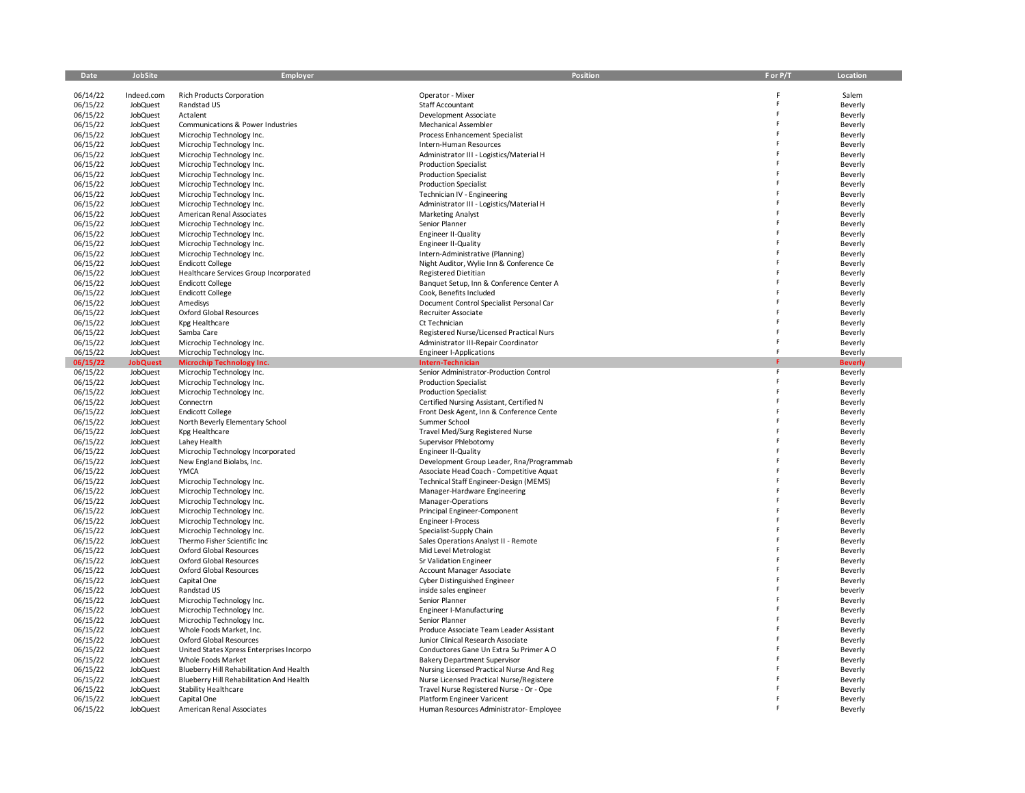| Date     | JobSite         | <b>Employer</b>                          | Position                                 | F or P/T | Location       |
|----------|-----------------|------------------------------------------|------------------------------------------|----------|----------------|
|          |                 |                                          |                                          |          |                |
| 06/14/22 | Indeed.com      | <b>Rich Products Corporation</b>         | Operator - Mixer                         |          | Salem          |
| 06/15/22 | JobQuest        | Randstad US                              | Staff Accountant                         |          | Beverly        |
| 06/15/22 | JobQuest        | Actalent                                 | Development Associate                    |          | Beverly        |
| 06/15/22 | JobQuest        | Communications & Power Industries        | Mechanical Assembler                     |          | Beverly        |
| 06/15/22 | <b>JobQuest</b> | Microchip Technology Inc.                | <b>Process Enhancement Specialist</b>    |          | Beverly        |
| 06/15/22 | JobQuest        | Microchip Technology Inc.                | Intern-Human Resources                   |          | Beverly        |
| 06/15/22 | <b>JobQuest</b> | Microchip Technology Inc.                | Administrator III - Logistics/Material H |          | Beverly        |
| 06/15/22 | JobQuest        | Microchip Technology Inc.                | <b>Production Specialist</b>             |          | Beverly        |
| 06/15/22 | <b>JobQuest</b> | Microchip Technology Inc.                | <b>Production Specialist</b>             |          | Beverly        |
| 06/15/22 | <b>JobQuest</b> | Microchip Technology Inc.                | <b>Production Specialist</b>             |          | Beverly        |
| 06/15/22 | JobQuest        | Microchip Technology Inc.                | Technician IV - Engineering              |          | Beverly        |
| 06/15/22 | <b>JobQuest</b> | Microchip Technology Inc.                | Administrator III - Logistics/Material H |          | Beverly        |
| 06/15/22 | JobQuest        | American Renal Associates                | <b>Marketing Analyst</b>                 |          | Beverly        |
| 06/15/22 | <b>JobQuest</b> | Microchip Technology Inc.                | Senior Planner                           |          | Beverly        |
| 06/15/22 | <b>JobQuest</b> | Microchip Technology Inc.                | Engineer II-Quality                      |          | Beverly        |
| 06/15/22 | <b>JobQuest</b> | Microchip Technology Inc.                | Engineer II-Quality                      |          | Beverly        |
| 06/15/22 | <b>JobQuest</b> | Microchip Technology Inc.                | Intern-Administrative (Planning)         |          | Beverly        |
| 06/15/22 | JobQuest        | <b>Endicott College</b>                  | Night Auditor, Wylie Inn & Conference Ce |          | Beverly        |
| 06/15/22 | JobQuest        | Healthcare Services Group Incorporated   | <b>Registered Dietitian</b>              |          | Beverly        |
| 06/15/22 | <b>JobQuest</b> | <b>Endicott College</b>                  | Banquet Setup, Inn & Conference Center A |          | Beverly        |
| 06/15/22 | <b>JobQuest</b> | <b>Endicott College</b>                  | Cook, Benefits Included                  |          | Beverly        |
| 06/15/22 | <b>JobQuest</b> | Amedisys                                 | Document Control Specialist Personal Car |          | Beverly        |
| 06/15/22 | JobQuest        | <b>Oxford Global Resources</b>           | Recruiter Associate                      |          | Beverly        |
| 06/15/22 | <b>JobQuest</b> | Kpg Healthcare                           | Ct Technician                            |          | Beverly        |
| 06/15/22 | <b>JobQuest</b> | Samba Care                               | Registered Nurse/Licensed Practical Nurs |          | Beverly        |
| 06/15/22 | JobQuest        | Microchip Technology Inc.                | Administrator III-Repair Coordinator     |          | Beverly        |
| 06/15/22 | <b>JobQuest</b> | Microchip Technology Inc.                | <b>Engineer I-Applications</b>           | F        | Beverly        |
| 06/15/22 | <b>JobQuest</b> | <b>Microchip Technology Inc.</b>         | Intern-Technician                        |          | <b>Beverly</b> |
| 06/15/22 | <b>JobQuest</b> | Microchip Technology Inc.                | Senior Administrator-Production Control  | F        | Beverly        |
| 06/15/22 | <b>JobQuest</b> | Microchip Technology Inc.                | <b>Production Specialist</b>             |          | Beverly        |
| 06/15/22 | <b>JobQuest</b> | Microchip Technology Inc.                | <b>Production Specialist</b>             |          | Beverly        |
| 06/15/22 | <b>JobQuest</b> | Connectrn                                | Certified Nursing Assistant, Certified N |          | Beverly        |
| 06/15/22 | JobQuest        | <b>Endicott College</b>                  | Front Desk Agent, Inn & Conference Cente |          | Beverly        |
| 06/15/22 | <b>JobQuest</b> | North Beverly Elementary School          | Summer School                            |          | Beverly        |
| 06/15/22 | <b>JobQuest</b> | Kpg Healthcare                           | Travel Med/Surg Registered Nurse         |          | Beverly        |
| 06/15/22 | JobQuest        | Lahey Health                             | Supervisor Phlebotomy                    |          | Beverly        |
| 06/15/22 | <b>JobQuest</b> | Microchip Technology Incorporated        | <b>Engineer II-Quality</b>               |          | Beverly        |
| 06/15/22 | JobQuest        | New England Biolabs, Inc.                | Development Group Leader, Rna/Programmab |          | Beverly        |
| 06/15/22 | <b>JobQuest</b> | <b>YMCA</b>                              | Associate Head Coach - Competitive Aquat |          | Beverly        |
| 06/15/22 | <b>JobQuest</b> | Microchip Technology Inc.                | Technical Staff Engineer-Design (MEMS)   |          | Beverly        |
| 06/15/22 | JobQuest        | Microchip Technology Inc.                | Manager-Hardware Engineering             |          | Beverly        |
| 06/15/22 | <b>JobQuest</b> | Microchip Technology Inc.                | Manager-Operations                       |          | Beverly        |
| 06/15/22 | JobQuest        | Microchip Technology Inc.                | Principal Engineer-Component             |          | Beverly        |
| 06/15/22 | <b>JobQuest</b> | Microchip Technology Inc.                | <b>Engineer I-Process</b>                |          | Beverly        |
| 06/15/22 | JobQuest        | Microchip Technology Inc.                | Specialist-Supply Chain                  |          | Beverly        |
| 06/15/22 | JobQuest        | Thermo Fisher Scientific Inc             | Sales Operations Analyst II - Remote     |          | Beverly        |
| 06/15/22 | <b>JobQuest</b> | <b>Oxford Global Resources</b>           | Mid Level Metrologist                    |          | Beverly        |
| 06/15/22 | JobQuest        | <b>Oxford Global Resources</b>           | Sr Validation Engineer                   |          | Beverly        |
| 06/15/22 | <b>JobQuest</b> | Oxford Global Resources                  | <b>Account Manager Associate</b>         |          | Beverly        |
| 06/15/22 | JobQuest        | Capital One                              | Cyber Distinguished Engineer             |          | Beverly        |
| 06/15/22 | JobQuest        | Randstad US                              | inside sales engineer                    |          | beverly        |
| 06/15/22 | <b>JobQuest</b> | Microchip Technology Inc.                | Senior Planner                           |          | Beverly        |
| 06/15/22 | JobQuest        | Microchip Technology Inc.                | <b>Engineer I-Manufacturing</b>          |          | Beverly        |
| 06/15/22 | <b>JobQuest</b> | Microchip Technology Inc.                | Senior Planner                           |          | Beverly        |
| 06/15/22 | JobQuest        | Whole Foods Market, Inc.                 | Produce Associate Team Leader Assistant  |          | Beverly        |
| 06/15/22 | JobQuest        | <b>Oxford Global Resources</b>           | Junior Clinical Research Associate       |          | Beverly        |
| 06/15/22 | <b>JobQuest</b> | United States Xpress Enterprises Incorpo | Conductores Gane Un Extra Su Primer A O  |          | Beverly        |
| 06/15/22 | JobQuest        | Whole Foods Market                       | <b>Bakery Department Supervisor</b>      |          | Beverly        |
| 06/15/22 | <b>JobQuest</b> | Blueberry Hill Rehabilitation And Health | Nursing Licensed Practical Nurse And Reg |          | Beverly        |
| 06/15/22 | JobQuest        | Blueberry Hill Rehabilitation And Health | Nurse Licensed Practical Nurse/Registere |          | Beverly        |
| 06/15/22 | JobQuest        | <b>Stability Healthcare</b>              | Travel Nurse Registered Nurse - Or - Ope |          | Beverly        |
| 06/15/22 | <b>JobQuest</b> | Capital One                              | Platform Engineer Varicent               |          | Beverly        |
| 06/15/22 | JobQuest        | American Renal Associates                | Human Resources Administrator- Employee  |          | Beverly        |
|          |                 |                                          |                                          |          |                |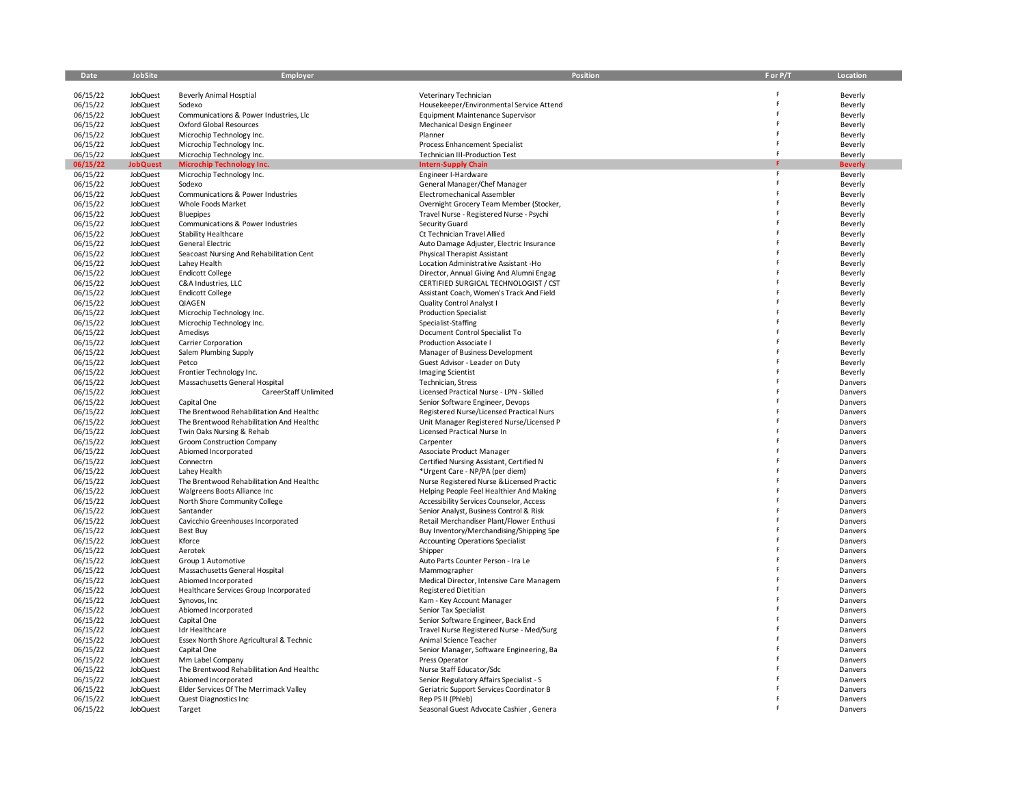| Date     | <b>JobSite</b>  | <b>Employer</b>                                         | Position                                  | F or P/T | Location       |
|----------|-----------------|---------------------------------------------------------|-------------------------------------------|----------|----------------|
|          |                 |                                                         |                                           |          |                |
| 06/15/22 | <b>JobQuest</b> | <b>Beverly Animal Hosptial</b>                          | Veterinary Technician                     | F        | Beverly        |
| 06/15/22 | JobQuest        | Sodexo                                                  | Housekeeper/Environmental Service Attend  |          | Beverly        |
| 06/15/22 | <b>JobQuest</b> | Communications & Power Industries, Llc                  | <b>Equipment Maintenance Supervisor</b>   | F        | Beverly        |
| 06/15/22 | JobQuest        | <b>Oxford Global Resources</b>                          | Mechanical Design Engineer                |          | Beverly        |
| 06/15/22 | JobQuest        | Microchip Technology Inc.                               | Planner                                   | Ë        | Beverly        |
| 06/15/22 | <b>JobQuest</b> | Microchip Technology Inc.                               | <b>Process Enhancement Specialist</b>     | F        | Beverly        |
| 06/15/22 | JobQuest        | Microchip Technology Inc.                               | Technician III-Production Test            | F        | Beverly        |
| 06/15/22 | <b>JobQuest</b> | <b>Microchip Technology Inc.</b>                        | <b>Intern-Supply Chain</b>                |          | <b>Beverly</b> |
| 06/15/22 | JobQuest        | Microchip Technology Inc.                               | Engineer I-Hardware                       | F        | Beverly        |
| 06/15/22 | JobQuest        | Sodexo                                                  | General Manager/Chef Manager              | Ė        | Beverly        |
| 06/15/22 | <b>JobQuest</b> | Communications & Power Industries                       | Electromechanical Assembler               |          | Beverly        |
| 06/15/22 | JobQuest        | Whole Foods Market                                      | Overnight Grocery Team Member (Stocker,   |          | Beverly        |
| 06/15/22 | JobQuest        |                                                         |                                           | Ë        |                |
|          |                 | <b>Bluepipes</b>                                        | Travel Nurse - Registered Nurse - Psychi  |          | Beverly        |
| 06/15/22 | <b>JobQuest</b> | Communications & Power Industries                       | Security Guard                            |          | Beverly        |
| 06/15/22 | JobQuest        | Stability Healthcare                                    | Ct Technician Travel Allied               | Ė        | Beverly        |
| 06/15/22 | JobQuest        | General Electric                                        | Auto Damage Adjuster, Electric Insurance  |          | Beverly        |
| 06/15/22 | <b>JobQuest</b> | Seacoast Nursing And Rehabilitation Cent                | Physical Therapist Assistant              |          | Beverly        |
| 06/15/22 | JobQuest        | Lahey Health                                            | Location Administrative Assistant -Ho     |          | Beverly        |
| 06/15/22 | JobQuest        | <b>Endicott College</b>                                 | Director, Annual Giving And Alumni Engag  |          | Beverly        |
| 06/15/22 | JobQuest        | C&A Industries, LLC                                     | CERTIFIED SURGICAL TECHNOLOGIST / CST     |          | Beverly        |
| 06/15/22 | <b>JobQuest</b> | <b>Endicott College</b>                                 | Assistant Coach, Women's Track And Field  |          | Beverly        |
| 06/15/22 | JobQuest        | QIAGEN                                                  | <b>Quality Control Analyst I</b>          | Ë        | Beverly        |
| 06/15/22 | JobQuest        | Microchip Technology Inc.                               | <b>Production Specialist</b>              |          | Beverly        |
| 06/15/22 | JobQuest        | Microchip Technology Inc.                               | Specialist-Staffing                       | p        | Beverly        |
| 06/15/22 | JobQuest        | Amedisys                                                | Document Control Specialist To            |          | Beverly        |
| 06/15/22 | JobQuest        | Carrier Corporation                                     | Production Associate I                    |          | Beverly        |
| 06/15/22 | JobQuest        | Salem Plumbing Supply                                   | Manager of Business Development           |          | Beverly        |
| 06/15/22 | JobQuest        | Petco                                                   | Guest Advisor - Leader on Duty            |          | Beverly        |
| 06/15/22 | JobQuest        | Frontier Technology Inc.                                | <b>Imaging Scientist</b>                  |          | Beverly        |
| 06/15/22 | JobQuest        | Massachusetts General Hospital                          | Technician, Stress                        |          | Danvers        |
| 06/15/22 | JobQuest        | CareerStaff Unlimited                                   | Licensed Practical Nurse - LPN - Skilled  |          | Danvers        |
| 06/15/22 | JobQuest        |                                                         |                                           |          | Danvers        |
|          |                 | Capital One<br>The Brentwood Rehabilitation And Healthc | Senior Software Engineer, Devops          |          |                |
| 06/15/22 | JobQuest        |                                                         | Registered Nurse/Licensed Practical Nurs  |          | Danvers        |
| 06/15/22 | JobQuest        | The Brentwood Rehabilitation And Healthc                | Unit Manager Registered Nurse/Licensed P  | Ė        | Danvers        |
| 06/15/22 | JobQuest        | Twin Oaks Nursing & Rehab                               | Licensed Practical Nurse In               |          | Danvers        |
| 06/15/22 | JobQuest        | Groom Construction Company                              | Carpenter                                 |          | Danvers        |
| 06/15/22 | <b>JobQuest</b> | Abiomed Incorporated                                    | Associate Product Manager                 |          | Danvers        |
| 06/15/22 | JobQuest        | Connectrn                                               | Certified Nursing Assistant, Certified N  |          | Danvers        |
| 06/15/22 | JobQuest        | Lahey Health                                            | *Urgent Care - NP/PA (per diem)           | F        | Danvers        |
| 06/15/22 | JobQuest        | The Brentwood Rehabilitation And Healthc                | Nurse Registered Nurse & Licensed Practic |          | Danvers        |
| 06/15/22 | JobQuest        | Walgreens Boots Alliance Inc                            | Helping People Feel Healthier And Making  |          | Danvers        |
| 06/15/22 | JobQuest        | North Shore Community College                           | Accessibility Services Counselor, Access  |          | Danvers        |
| 06/15/22 | JobQuest        | Santander                                               | Senior Analyst, Business Control & Risk   |          | Danvers        |
| 06/15/22 | JobQuest        | Cavicchio Greenhouses Incorporated                      | Retail Merchandiser Plant/Flower Enthusi  |          | Danvers        |
| 06/15/22 | <b>JobQuest</b> | Best Buy                                                | Buy Inventory/Merchandising/Shipping Spe  | Ė        | Danvers        |
| 06/15/22 | <b>JobQuest</b> | Kforce                                                  | <b>Accounting Operations Specialist</b>   | F        | Danvers        |
| 06/15/22 | JobQuest        | Aerotek                                                 | Shipper                                   |          | Danvers        |
| 06/15/22 | JobQuest        | Group 1 Automotive                                      | Auto Parts Counter Person - Ira Le        |          | Danvers        |
| 06/15/22 | JobQuest        | Massachusetts General Hospital                          | Mammographer                              |          | Danvers        |
| 06/15/22 | JobQuest        | Abiomed Incorporated                                    | Medical Director, Intensive Care Managem  |          | Danvers        |
| 06/15/22 | JobQuest        | Healthcare Services Group Incorporated                  | <b>Registered Dietitian</b>               | Ë        | Danvers        |
| 06/15/22 | JobQuest        | Synovos, Inc                                            | Kam - Key Account Manager                 |          | Danvers        |
|          | <b>JobQuest</b> | Abiomed Incorporated                                    | Senior Tax Specialist                     |          |                |
| 06/15/22 |                 |                                                         |                                           | F        | Danvers        |
| 06/15/22 | <b>JobQuest</b> | Capital One                                             | Senior Software Engineer, Back End        |          | Danvers        |
| 06/15/22 | JobQuest        | Idr Healthcare                                          | Travel Nurse Registered Nurse - Med/Surg  |          | Danvers        |
| 06/15/22 | <b>JobQuest</b> | Essex North Shore Agricultural & Technic                | Animal Science Teacher                    |          | Danvers        |
| 06/15/22 | JobQuest        | Capital One                                             | Senior Manager, Software Engineering, Ba  | Ë        | Danvers        |
| 06/15/22 | JobQuest        | Mm Label Company                                        | Press Operator                            | F        | Danvers        |
| 06/15/22 | JobQuest        | The Brentwood Rehabilitation And Healthc                | Nurse Staff Educator/Sdc                  |          | Danvers        |
| 06/15/22 | JobQuest        | Abiomed Incorporated                                    | Senior Regulatory Affairs Specialist - S  |          | Danvers        |
| 06/15/22 | JobQuest        | Elder Services Of The Merrimack Valley                  | Geriatric Support Services Coordinator B  |          | Danvers        |
| 06/15/22 | <b>JobQuest</b> | Quest Diagnostics Inc                                   | Rep PS II (Phleb)                         |          | Danvers        |
| 06/15/22 | JobQuest        | Target                                                  | Seasonal Guest Advocate Cashier, Genera   |          | Danvers        |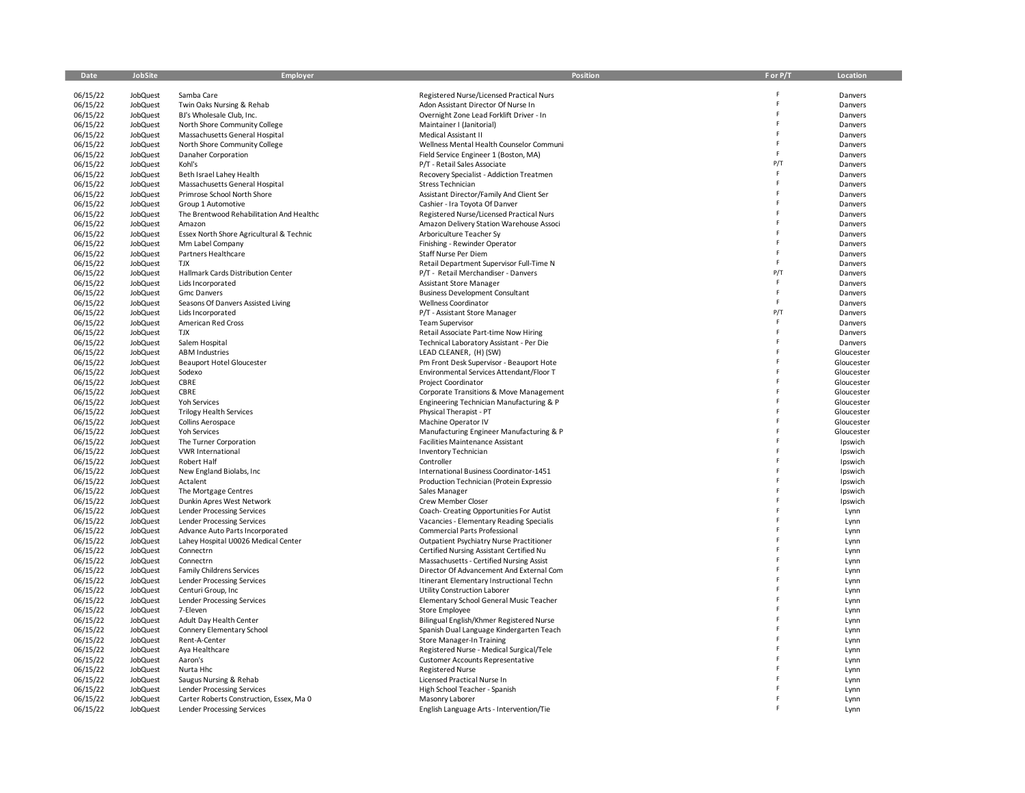| Date                 | <b>JobSite</b>              | Employer                                                        | Position                                                                             | F or P/T | Location              |
|----------------------|-----------------------------|-----------------------------------------------------------------|--------------------------------------------------------------------------------------|----------|-----------------------|
| 06/15/22             | <b>JobQuest</b>             | Samba Care                                                      | Registered Nurse/Licensed Practical Nurs                                             |          | Danvers               |
| 06/15/22             | <b>JobQuest</b>             | Twin Oaks Nursing & Rehab                                       | Adon Assistant Director Of Nurse In                                                  | F        | Danvers               |
| 06/15/22             | JobQuest                    | BJ's Wholesale Club, Inc.                                       | Overnight Zone Lead Forklift Driver - In                                             | Ė        | Danvers               |
| 06/15/22             | JobQuest                    | North Shore Community College                                   | Maintainer I (Janitorial)                                                            | F        | Danvers               |
| 06/15/22             | JobQuest                    | Massachusetts General Hospital                                  | Medical Assistant II                                                                 | Ė        | Danvers               |
| 06/15/22             | JobQuest                    | North Shore Community College                                   | Wellness Mental Health Counselor Communi                                             | F        | Danvers               |
| 06/15/22             | <b>JobQuest</b>             | Danaher Corporation                                             | Field Service Engineer 1 (Boston, MA)                                                | F        | Danvers               |
| 06/15/22             | JobQuest                    | Kohl's                                                          | P/T - Retail Sales Associate                                                         | P/T<br>F | Danvers               |
| 06/15/22             | JobQuest                    | Beth Israel Lahey Health                                        | Recovery Specialist - Addiction Treatmen                                             | F        | Danvers               |
| 06/15/22             | JobQuest                    | Massachusetts General Hospital<br>Primrose School North Shore   | Stress Technician                                                                    | F        | Danvers               |
| 06/15/22<br>06/15/22 | JobQuest<br>JobQuest        | Group 1 Automotive                                              | Assistant Director/Family And Client Ser<br>Cashier - Ira Toyota Of Danver           |          | Danvers<br>Danvers    |
| 06/15/22             | JobQuest                    | The Brentwood Rehabilitation And Healthc                        | Registered Nurse/Licensed Practical Nurs                                             |          | Danvers               |
| 06/15/22             | <b>JobQuest</b>             | Amazon                                                          | Amazon Delivery Station Warehouse Associ                                             |          | Danvers               |
| 06/15/22             | JobQuest                    | Essex North Shore Agricultural & Technic                        | Arboriculture Teacher Sy                                                             |          | Danvers               |
| 06/15/22             | JobQuest                    | Mm Label Company                                                | Finishing - Rewinder Operator                                                        | Ë        | Danvers               |
| 06/15/22             | JobQuest                    | Partners Healthcare                                             | Staff Nurse Per Diem                                                                 | F        | Danvers               |
| 06/15/22             | JobQuest                    | <b>TJX</b>                                                      | Retail Department Supervisor Full-Time N                                             | E        | Danvers               |
| 06/15/22             | <b>JobQuest</b>             | Hallmark Cards Distribution Center                              | P/T - Retail Merchandiser - Danvers                                                  | P/T      | Danvers               |
| 06/15/22             | JobQuest                    | Lids Incorporated                                               | Assistant Store Manager                                                              | F        | Danvers               |
| 06/15/22             | JobQuest                    | <b>Gmc Danvers</b>                                              | <b>Business Development Consultant</b>                                               | F        | Danvers               |
| 06/15/22             | JobQuest                    | Seasons Of Danvers Assisted Living                              | Wellness Coordinator                                                                 | F        | Danvers               |
| 06/15/22             | JobQuest                    | Lids Incorporated                                               | P/T - Assistant Store Manager                                                        | P/T<br>E | Danvers               |
| 06/15/22             | JobQuest                    | American Red Cross                                              | <b>Team Supervisor</b>                                                               | F        | Danvers               |
| 06/15/22             | JobQuest                    | TJX                                                             | Retail Associate Part-time Now Hiring                                                | F        | Danvers               |
| 06/15/22<br>06/15/22 | <b>JobQuest</b><br>JobQuest | Salem Hospital<br><b>ABM Industries</b>                         | Technical Laboratory Assistant - Per Die<br>LEAD CLEANER, (H) (SW)                   | F        | Danvers<br>Gloucester |
| 06/15/22             | JobQuest                    | <b>Beauport Hotel Gloucester</b>                                | Pm Front Desk Supervisor - Beauport Hote                                             |          | Gloucester            |
| 06/15/22             | JobQuest                    | Sodexo                                                          | Environmental Services Attendant/Floor T                                             |          | Gloucester            |
| 06/15/22             | JobQuest                    | CBRE                                                            | Project Coordinator                                                                  | Ë        | Gloucester            |
| 06/15/22             | <b>JobQuest</b>             | CBRE                                                            | Corporate Transitions & Move Management                                              |          | Gloucester            |
| 06/15/22             | JobQuest                    | Yoh Services                                                    | Engineering Technician Manufacturing & P                                             |          | Gloucester            |
| 06/15/22             | JobQuest                    | <b>Trilogy Health Services</b>                                  | Physical Therapist - PT                                                              |          | Gloucester            |
| 06/15/22             | JobQuest                    | Collins Aerospace                                               | Machine Operator IV                                                                  |          | Gloucester            |
| 06/15/22             | JobQuest                    | <b>Yoh Services</b>                                             | Manufacturing Engineer Manufacturing & P                                             | p        | Gloucester            |
| 06/15/22             | JobQuest                    | The Turner Corporation                                          | <b>Facilities Maintenance Assistant</b>                                              |          | Ipswich               |
| 06/15/22             | JobQuest                    | <b>VWR International</b>                                        | Inventory Technician                                                                 |          | Ipswich               |
| 06/15/22             | JobQuest                    | Robert Half                                                     | Controller                                                                           |          | Ipswich               |
| 06/15/22             | JobQuest                    | New England Biolabs, Inc                                        | International Business Coordinator-1451                                              |          | Ipswich               |
| 06/15/22             | JobQuest                    | Actalent                                                        | Production Technician (Protein Expressio                                             | F        | Ipswich               |
| 06/15/22             | JobQuest                    | The Mortgage Centres                                            | Sales Manager                                                                        | p        | Ipswich               |
| 06/15/22             | JobQuest                    | Dunkin Apres West Network                                       | Crew Member Closer                                                                   |          | Ipswich               |
| 06/15/22             | JobQuest<br>JobQuest        | Lender Processing Services<br><b>Lender Processing Services</b> | Coach- Creating Opportunities For Autist<br>Vacancies - Elementary Reading Specialis |          | Lynn                  |
| 06/15/22<br>06/15/22 | JobQuest                    | Advance Auto Parts Incorporated                                 | Commercial Parts Professional                                                        |          | Lynn<br>Lynn          |
| 06/15/22             | JobQuest                    | Lahey Hospital U0026 Medical Center                             | Outpatient Psychiatry Nurse Practitioner                                             |          | Lynn                  |
| 06/15/22             | JobQuest                    | Connectrn                                                       | Certified Nursing Assistant Certified Nu                                             | Ė        | Lynn                  |
| 06/15/22             | JobQuest                    | Connectrn                                                       | Massachusetts - Certified Nursing Assist                                             |          | Lynn                  |
| 06/15/22             | JobQuest                    | <b>Family Childrens Services</b>                                | Director Of Advancement And External Com                                             |          | Lynn                  |
| 06/15/22             | JobQuest                    | Lender Processing Services                                      | Itinerant Elementary Instructional Techn                                             |          | Lynn                  |
| 06/15/22             | <b>JobQuest</b>             | Centuri Group, Inc                                              | Utility Construction Laborer                                                         |          | Lynn                  |
| 06/15/22             | JobQuest                    | Lender Processing Services                                      | Elementary School General Music Teacher                                              |          | Lynn                  |
| 06/15/22             | JobQuest                    | 7-Eleven                                                        | Store Employee                                                                       |          | Lynn                  |
| 06/15/22             | <b>JobQuest</b>             | Adult Day Health Center                                         | Bilingual English/Khmer Registered Nurse                                             | F        | Lynn                  |
| 06/15/22             | JobQuest                    | Connery Elementary School                                       | Spanish Dual Language Kindergarten Teach                                             |          | Lynn                  |
| 06/15/22             | JobQuest                    | Rent-A-Center                                                   | <b>Store Manager-In Training</b>                                                     |          | Lynn                  |
| 06/15/22             | JobQuest                    | Aya Healthcare                                                  | Registered Nurse - Medical Surgical/Tele                                             |          | Lynn                  |
| 06/15/22             | JobQuest                    | Aaron's                                                         | <b>Customer Accounts Representative</b>                                              |          | Lynn                  |
| 06/15/22<br>06/15/22 | JobQuest                    | Nurta Hhc                                                       | <b>Registered Nurse</b>                                                              |          | Lynn                  |
| 06/15/22             | JobQuest<br>JobQuest        | Saugus Nursing & Rehab<br><b>Lender Processing Services</b>     | Licensed Practical Nurse In<br>High School Teacher - Spanish                         |          | Lynn<br>Lynn          |
| 06/15/22             | JobQuest                    | Carter Roberts Construction, Essex, Ma 0                        | Masonry Laborer                                                                      |          | Lynn                  |
| 06/15/22             | <b>JobQuest</b>             | Lender Processing Services                                      | English Language Arts - Intervention/Tie                                             |          | Lynn                  |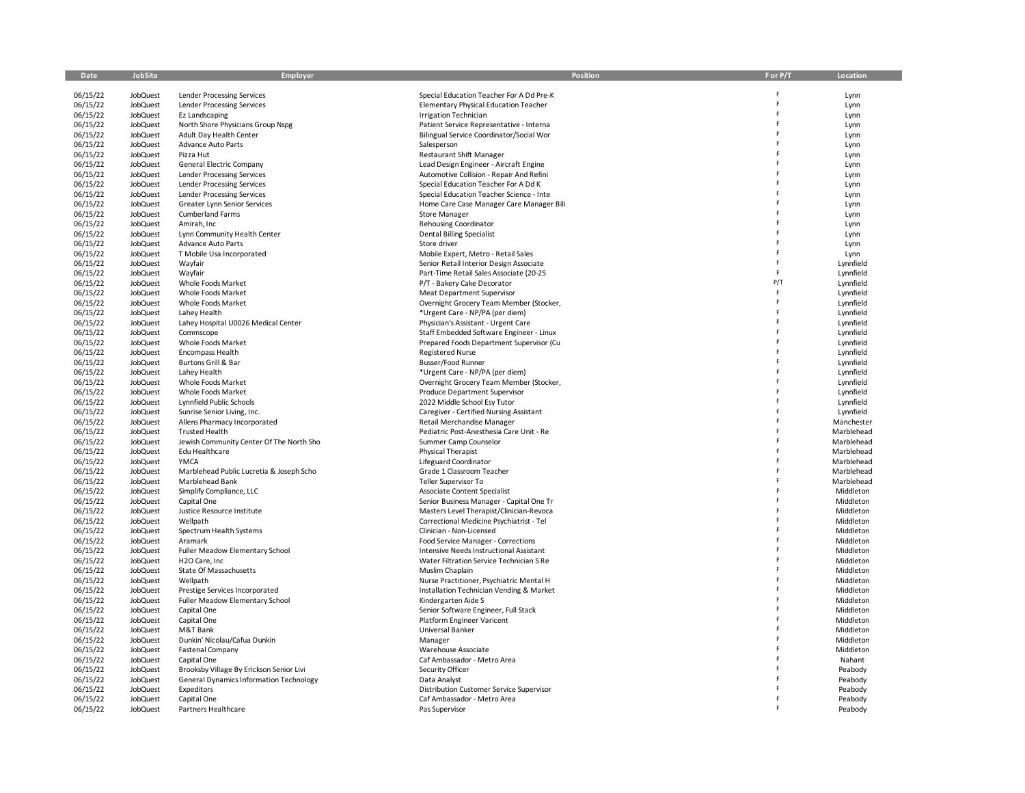| Date                 | JobSite              | Employer                                                          | <b>Position</b>                                                                | F or P/T | Location                 |
|----------------------|----------------------|-------------------------------------------------------------------|--------------------------------------------------------------------------------|----------|--------------------------|
| 06/15/22             | JobQuest             | Lender Processing Services                                        | Special Education Teacher For A Dd Pre-K                                       |          | Lynn                     |
| 06/15/22             | JobQuest             | Lender Processing Services                                        | <b>Elementary Physical Education Teacher</b>                                   |          | Lynn                     |
| 06/15/22             | JobQuest             | Ez Landscaping                                                    | <b>Irrigation Technician</b>                                                   | F        | Lynn                     |
| 06/15/22             | JobQuest             | North Shore Physicians Group Nspg                                 | Patient Service Representative - Interna                                       |          | Lynn                     |
| 06/15/22             | JobQuest             | Adult Day Health Center                                           | Bilingual Service Coordinator/Social Wor                                       | F        | Lynn                     |
| 06/15/22             | JobQuest             | Advance Auto Parts                                                | Salesperson                                                                    | F        | Lynn                     |
| 06/15/22             | JobQuest             | Pizza Hut                                                         | Restaurant Shift Manager                                                       |          | Lynn                     |
| 06/15/22             | JobQuest             | General Electric Company                                          | Lead Design Engineer - Aircraft Engine                                         |          | Lynn                     |
| 06/15/22             | JobQuest             | Lender Processing Services                                        | Automotive Collision - Repair And Refini                                       |          | Lynn                     |
| 06/15/22             | JobQuest             | Lender Processing Services                                        | Special Education Teacher For A Dd K                                           |          | Lynn                     |
| 06/15/22             | JobQuest             | Lender Processing Services                                        | Special Education Teacher Science - Inte                                       |          | Lynn                     |
| 06/15/22             | JobQuest             | Greater Lynn Senior Services                                      | Home Care Case Manager Care Manager Bili                                       |          | Lynn                     |
| 06/15/22             | JobQuest             | <b>Cumberland Farms</b>                                           | <b>Store Manager</b>                                                           |          | Lynn                     |
| 06/15/22             | JobQuest             | Amirah, Inc                                                       | Rehousing Coordinator                                                          |          | Lynn                     |
| 06/15/22             | JobQuest             | Lynn Community Health Center                                      | <b>Dental Billing Specialist</b>                                               |          | Lynn                     |
| 06/15/22             | JobQuest             | Advance Auto Parts                                                | Store driver                                                                   | F        | Lynn                     |
| 06/15/22<br>06/15/22 | JobQuest<br>JobQuest | T Mobile Usa Incorporated<br>Wayfair                              | Mobile Expert, Metro - Retail Sales<br>Senior Retail Interior Design Associate | F        | Lynn<br>Lynnfield        |
| 06/15/22             | JobQuest             | Wayfair                                                           | Part-Time Retail Sales Associate (20-25                                        | F        | Lynnfield                |
| 06/15/22             | JobQuest             | Whole Foods Market                                                | P/T - Bakery Cake Decorator                                                    | P/T      | Lynnfield                |
| 06/15/22             | JobQuest             | Whole Foods Market                                                | <b>Meat Department Supervisor</b>                                              | F        | Lynnfield                |
| 06/15/22             | JobQuest             | Whole Foods Market                                                | Overnight Grocery Team Member (Stocker,                                        |          | Lynnfield                |
| 06/15/22             | JobQuest             | Lahey Health                                                      | *Urgent Care - NP/PA (per diem)                                                |          | Lynnfield                |
| 06/15/22             | JobQuest             | Lahey Hospital U0026 Medical Center                               | Physician's Assistant - Urgent Care                                            |          | Lynnfield                |
| 06/15/22             | JobQuest             | Commscope                                                         | Staff Embedded Software Engineer - Linux                                       |          | Lynnfield                |
| 06/15/22             | JobQuest             | Whole Foods Market                                                | Prepared Foods Department Supervisor (Cu                                       |          | Lynnfield                |
| 06/15/22             | JobQuest             | Encompass Health                                                  | <b>Registered Nurse</b>                                                        |          | Lynnfield                |
| 06/15/22             | JobQuest             | <b>Burtons Grill &amp; Bar</b>                                    | Busser/Food Runner                                                             |          | Lynnfield                |
| 06/15/22             | JobQuest             | Lahey Health                                                      | *Urgent Care - NP/PA (per diem)                                                |          | Lynnfield                |
| 06/15/22             | JobQuest             | Whole Foods Market                                                | Overnight Grocery Team Member (Stocker,                                        |          | Lynnfield                |
| 06/15/22             | JobQuest             | Whole Foods Market                                                | Produce Department Supervisor                                                  |          | Lynnfield                |
| 06/15/22             | JobQuest             | Lynnfield Public Schools                                          | 2022 Middle School Esy Tutor                                                   |          | Lynnfield                |
| 06/15/22             | JobQuest             | Sunrise Senior Living, Inc.                                       | Caregiver - Certified Nursing Assistant                                        |          | Lynnfield                |
| 06/15/22             | JobQuest<br>JobQuest | Allens Pharmacy Incorporated                                      | Retail Merchandise Manager<br>Pediatric Post-Anesthesia Care Unit - Re         |          | Manchester<br>Marblehead |
| 06/15/22<br>06/15/22 | JobQuest             | <b>Trusted Health</b><br>Jewish Community Center Of The North Sho | Summer Camp Counselor                                                          |          | Marblehead               |
| 06/15/22             | JobQuest             | Edu Healthcare                                                    | Physical Therapist                                                             |          | Marblehead               |
| 06/15/22             | JobQuest             | YMCA                                                              | Lifeguard Coordinator                                                          |          | Marblehead               |
| 06/15/22             | JobQuest             | Marblehead Public Lucretia & Joseph Scho                          | Grade 1 Classroom Teacher                                                      |          | Marblehead               |
| 06/15/22             | JobQuest             | Marblehead Bank                                                   | Teller Supervisor To                                                           |          | Marblehead               |
| 06/15/22             | JobQuest             | Simplify Compliance, LLC                                          | Associate Content Specialist                                                   |          | Middleton                |
| 06/15/22             | JobQuest             | Capital One                                                       | Senior Business Manager - Capital One Tr                                       |          | Middleton                |
| 06/15/22             | JobQuest             | Justice Resource Institute                                        | Masters Level Therapist/Clinician-Revoca                                       |          | Middleton                |
| 06/15/22             | JobQuest             | Wellpath                                                          | Correctional Medicine Psychiatrist - Tel                                       |          | Middleton                |
| 06/15/22             | JobQuest             | Spectrum Health Systems                                           | Clinician - Non-Licensed                                                       |          | Middleton                |
| 06/15/22             | JobQuest             | Aramark                                                           | Food Service Manager - Corrections                                             |          | Middleton                |
| 06/15/22             | JobQuest             | Fuller Meadow Elementary School                                   | Intensive Needs Instructional Assistant                                        |          | Middleton                |
| 06/15/22             | JobQuest             | H <sub>2</sub> O Care, Inc                                        | Water Filtration Service Technician S Re                                       |          | Middleton                |
| 06/15/22             | JobQuest             | State Of Massachusetts                                            | Muslim Chaplain                                                                |          | Middleton                |
| 06/15/22             | JobQuest             | Wellpath                                                          | Nurse Practitioner, Psychiatric Mental H                                       |          | Middleton                |
| 06/15/22             | JobQuest<br>JobQuest | Prestige Services Incorporated<br>Fuller Meadow Elementary School | Installation Technician Vending & Market<br>Kindergarten Aide S                |          | Middleton<br>Middleton   |
| 06/15/22<br>06/15/22 | JobQuest             | Capital One                                                       | Senior Software Engineer, Full Stack                                           |          | Middleton                |
| 06/15/22             | JobQuest             | Capital One                                                       | Platform Engineer Varicent                                                     |          | Middleton                |
| 06/15/22             | JobQuest             | M&T Bank                                                          | Universal Banker                                                               |          | Middleton                |
| 06/15/22             | JobQuest             | Dunkin' Nicolau/Cafua Dunkin                                      | Manager                                                                        |          | Middleton                |
| 06/15/22             | JobQuest             | <b>Fastenal Company</b>                                           | Warehouse Associate                                                            |          | Middleton                |
| 06/15/22             | JobQuest             | Capital One                                                       | Caf Ambassador - Metro Area                                                    |          | Nahant                   |
| 06/15/22             | JobQuest             | Brooksby Village By Erickson Senior Livi                          | Security Officer                                                               |          | Peabody                  |
| 06/15/22             | JobQuest             | General Dynamics Information Technology                           | Data Analyst                                                                   |          | Peabody                  |
| 06/15/22             | JobQuest             | Expeditors                                                        | Distribution Customer Service Supervisor                                       |          | Peabody                  |
| 06/15/22             | JobQuest             | Capital One                                                       | Caf Ambassador - Metro Area                                                    |          | Peabody                  |
| 06/15/22             | <b>JobQuest</b>      | Partners Healthcare                                               | Pas Supervisor                                                                 |          | Peabody                  |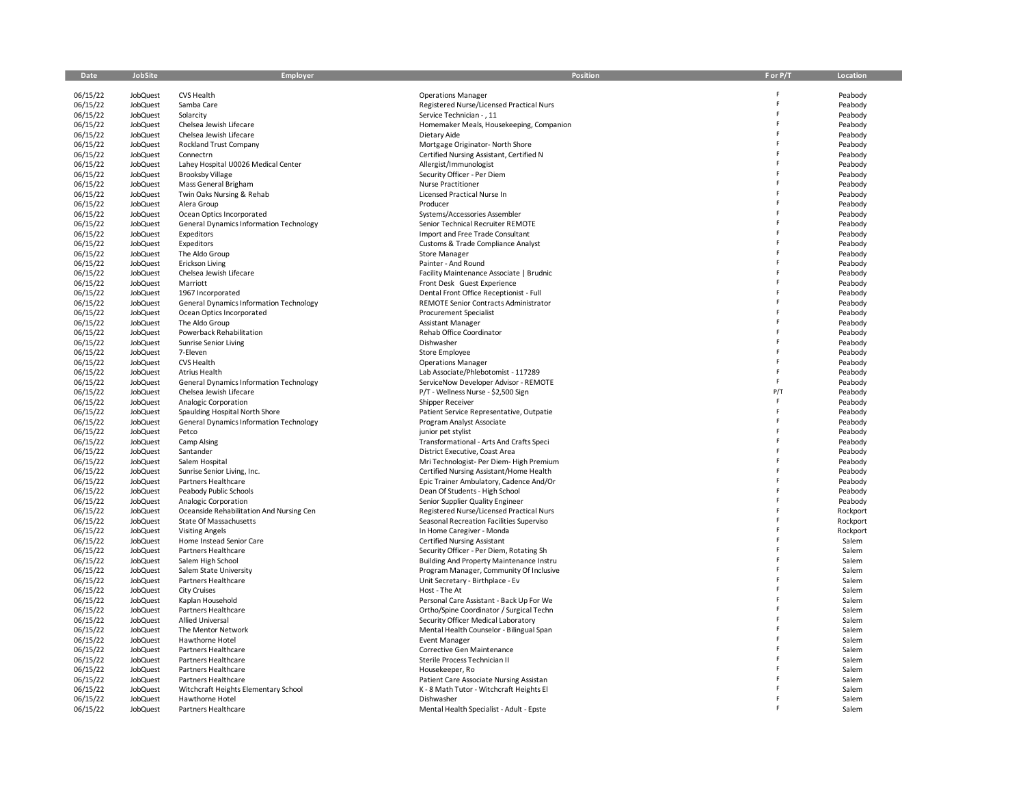| Date                 | <b>JobSite</b>                     | Employer                                          | <b>Position</b>                                                             | F or P/T | Location           |
|----------------------|------------------------------------|---------------------------------------------------|-----------------------------------------------------------------------------|----------|--------------------|
|                      |                                    | CVS Health                                        |                                                                             |          |                    |
| 06/15/22<br>06/15/22 | <b>JobQuest</b><br><b>JobQuest</b> | Samba Care                                        | <b>Operations Manager</b><br>Registered Nurse/Licensed Practical Nurs       | F        | Peabody<br>Peabody |
| 06/15/22             | JobQuest                           | Solarcity                                         | Service Technician - , 11                                                   | Ė        | Peabody            |
| 06/15/22             | JobQuest                           | Chelsea Jewish Lifecare                           | Homemaker Meals, Housekeeping, Companion                                    | F        | Peabody            |
| 06/15/22             | JobQuest                           | Chelsea Jewish Lifecare                           | Dietary Aide                                                                |          | Peabody            |
| 06/15/22             | JobQuest                           | <b>Rockland Trust Company</b>                     | Mortgage Originator- North Shore                                            | F        | Peabody            |
| 06/15/22             | <b>JobQuest</b>                    | Connectrn                                         | Certified Nursing Assistant, Certified N                                    |          | Peabody            |
| 06/15/22             | JobQuest                           | Lahey Hospital U0026 Medical Center               | Allergist/Immunologist                                                      |          | Peabody            |
| 06/15/22             | JobQuest                           | <b>Brooksby Village</b>                           | Security Officer - Per Diem                                                 |          | Peabody            |
| 06/15/22             | <b>JobQuest</b>                    | Mass General Brigham                              | <b>Nurse Practitioner</b>                                                   |          | Peabody            |
| 06/15/22             | JobQuest                           | Twin Oaks Nursing & Rehab                         | Licensed Practical Nurse In                                                 | F        | Peabody            |
| 06/15/22             | JobQuest                           | Alera Group                                       | Producer                                                                    |          | Peabody            |
| 06/15/22             | JobQuest                           | Ocean Optics Incorporated                         | Systems/Accessories Assembler                                               |          | Peabody            |
| 06/15/22             | <b>JobQuest</b>                    | General Dynamics Information Technology           | Senior Technical Recruiter REMOTE                                           |          | Peabody            |
| 06/15/22             | JobQuest                           | Expeditors                                        | Import and Free Trade Consultant                                            |          | Peabody            |
| 06/15/22             | <b>JobQuest</b>                    | Expeditors                                        | Customs & Trade Compliance Analyst                                          |          | Peabody            |
| 06/15/22             | JobQuest                           | The Aldo Group                                    | <b>Store Manager</b>                                                        |          | Peabody            |
| 06/15/22             | <b>JobQuest</b>                    | Erickson Living                                   | Painter - And Round                                                         |          | Peabody            |
| 06/15/22             | <b>JobQuest</b>                    | Chelsea Jewish Lifecare                           | Facility Maintenance Associate   Brudnic                                    |          | Peabody            |
| 06/15/22             | JobQuest                           | Marriott                                          | Front Desk Guest Experience                                                 |          | Peabody            |
| 06/15/22             | JobQuest                           | 1967 Incorporated                                 | Dental Front Office Receptionist - Full                                     |          | Peabody            |
| 06/15/22             | JobQuest                           | General Dynamics Information Technology           | REMOTE Senior Contracts Administrator                                       |          | Peabody            |
| 06/15/22             | JobQuest                           | Ocean Optics Incorporated                         | <b>Procurement Specialist</b>                                               |          | Peabody            |
| 06/15/22<br>06/15/22 | <b>JobQuest</b><br>JobQuest        | The Aldo Group                                    | Assistant Manager<br>Rehab Office Coordinator                               |          | Peabody            |
| 06/15/22             | JobQuest                           | Powerback Rehabilitation<br>Sunrise Senior Living | Dishwasher                                                                  |          | Peabody<br>Peabody |
| 06/15/22             | JobQuest                           | 7-Eleven                                          | Store Employee                                                              |          | Peabody            |
| 06/15/22             | JobQuest                           | <b>CVS Health</b>                                 | <b>Operations Manager</b>                                                   |          | Peabody            |
| 06/15/22             | JobQuest                           | Atrius Health                                     | Lab Associate/Phlebotomist - 117289                                         | F        | Peabody            |
| 06/15/22             | JobQuest                           | General Dynamics Information Technology           | ServiceNow Developer Advisor - REMOTE                                       | F        | Peabody            |
| 06/15/22             | <b>JobQuest</b>                    | Chelsea Jewish Lifecare                           | P/T - Wellness Nurse - \$2,500 Sign                                         | P/T      | Peabody            |
| 06/15/22             | JobQuest                           | Analogic Corporation                              | Shipper Receiver                                                            | F        | Peabody            |
| 06/15/22             | <b>JobQuest</b>                    | Spaulding Hospital North Shore                    | Patient Service Representative, Outpatie                                    | F        | Peabody            |
| 06/15/22             | JobQuest                           | <b>General Dynamics Information Technology</b>    | Program Analyst Associate                                                   | F        | Peabody            |
| 06/15/22             | <b>JobQuest</b>                    | Petco                                             | junior pet stylist                                                          |          | Peabody            |
| 06/15/22             | JobQuest                           | Camp Alsing                                       | Transformational - Arts And Crafts Speci                                    |          | Peabody            |
| 06/15/22             | JobQuest                           | Santander                                         | District Executive, Coast Area                                              |          | Peabody            |
| 06/15/22             | JobQuest                           | Salem Hospital                                    | Mri Technologist- Per Diem- High Premium                                    | F        | Peabody            |
| 06/15/22             | JobQuest                           | Sunrise Senior Living, Inc.                       | Certified Nursing Assistant/Home Health                                     |          | Peabody            |
| 06/15/22             | JobQuest                           | Partners Healthcare                               | Epic Trainer Ambulatory, Cadence And/Or                                     |          | Peabody            |
| 06/15/22             | <b>JobQuest</b>                    | Peabody Public Schools                            | Dean Of Students - High School                                              |          | Peabody            |
| 06/15/22             | JobQuest                           | Analogic Corporation                              | Senior Supplier Quality Engineer                                            |          | Peabody            |
| 06/15/22             | JobQuest                           | Oceanside Rehabilitation And Nursing Cen          | Registered Nurse/Licensed Practical Nurs                                    |          | Rockport           |
| 06/15/22             | <b>JobQuest</b>                    | State Of Massachusetts                            | Seasonal Recreation Facilities Superviso                                    |          | Rockport           |
| 06/15/22             | JobQuest                           | <b>Visiting Angels</b>                            | In Home Caregiver - Monda                                                   | F        | Rockport           |
| 06/15/22             | JobQuest                           | Home Instead Senior Care                          | <b>Certified Nursing Assistant</b>                                          |          | Salem              |
| 06/15/22             | JobQuest                           | Partners Healthcare                               | Security Officer - Per Diem, Rotating Sh                                    |          | Salem              |
| 06/15/22             | JobQuest<br><b>JobQuest</b>        | Salem High School                                 | Building And Property Maintenance Instru                                    |          | Salem              |
| 06/15/22<br>06/15/22 | <b>JobQuest</b>                    | Salem State University<br>Partners Healthcare     | Program Manager, Community Of Inclusive<br>Unit Secretary - Birthplace - Ev | Ë        | Salem<br>Salem     |
| 06/15/22             | JobQuest                           | <b>City Cruises</b>                               | Host - The At                                                               | F        | Salem              |
| 06/15/22             | JobQuest                           | Kaplan Household                                  | Personal Care Assistant - Back Up For We                                    |          | Salem              |
| 06/15/22             | JobQuest                           | Partners Healthcare                               | Ortho/Spine Coordinator / Surgical Techn                                    |          | Salem              |
| 06/15/22             | JobQuest                           | <b>Allied Universal</b>                           | Security Officer Medical Laboratory                                         |          | Salem              |
| 06/15/22             | JobQuest                           | The Mentor Network                                | Mental Health Counselor - Bilingual Span                                    |          | Salem              |
| 06/15/22             | JobQuest                           | Hawthorne Hotel                                   | <b>Event Manager</b>                                                        |          | Salem              |
| 06/15/22             | <b>JobQuest</b>                    | Partners Healthcare                               | Corrective Gen Maintenance                                                  |          | Salem              |
| 06/15/22             | JobQuest                           | Partners Healthcare                               | Sterile Process Technician II                                               | p        | Salem              |
| 06/15/22             | JobQuest                           | Partners Healthcare                               | Housekeeper, Ro                                                             |          | Salem              |
| 06/15/22             | JobQuest                           | Partners Healthcare                               | Patient Care Associate Nursing Assistan                                     |          | Salem              |
| 06/15/22             | <b>JobQuest</b>                    | Witchcraft Heights Elementary School              | K - 8 Math Tutor - Witchcraft Heights El                                    |          | Salem              |
| 06/15/22             | JobQuest                           | Hawthorne Hotel                                   | Dishwasher                                                                  |          | Salem              |
| 06/15/22             | JobQuest                           | Partners Healthcare                               | Mental Health Specialist - Adult - Epste                                    |          | Salem              |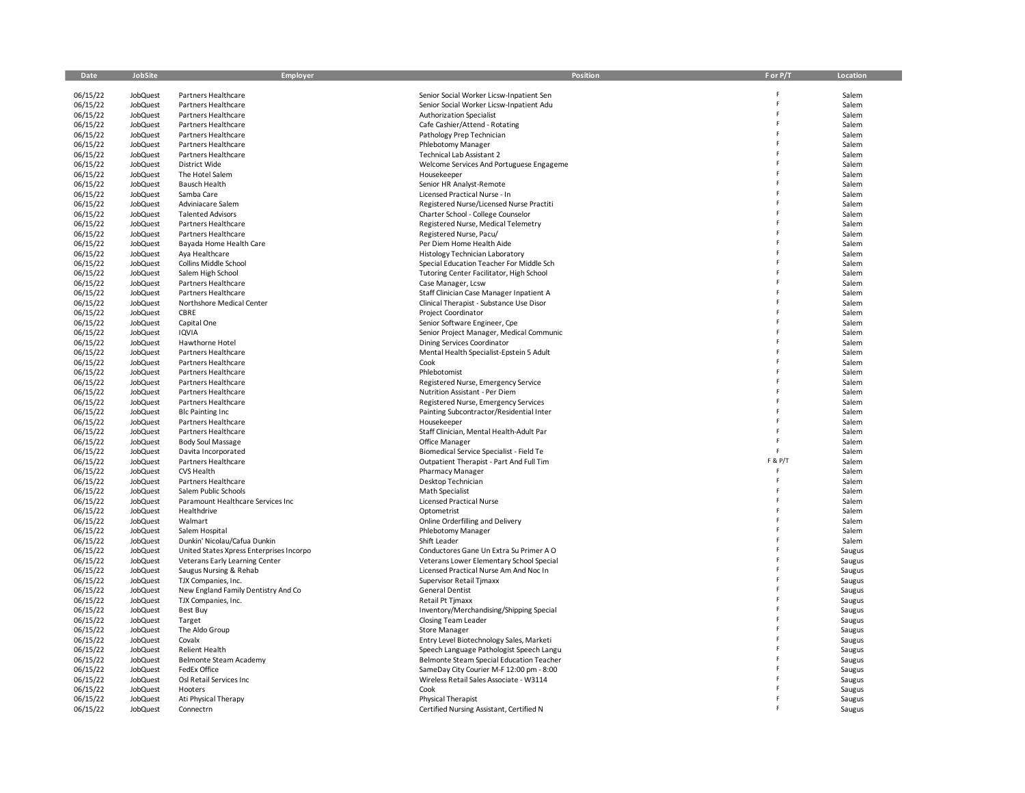| Date                 | <b>JobSite</b>              | Employer                                        | <b>Position</b>                                                                      | F or P/T | Location         |
|----------------------|-----------------------------|-------------------------------------------------|--------------------------------------------------------------------------------------|----------|------------------|
|                      |                             |                                                 |                                                                                      |          |                  |
| 06/15/22<br>06/15/22 | <b>JobQuest</b><br>JobQuest | Partners Healthcare<br>Partners Healthcare      | Senior Social Worker Licsw-Inpatient Sen<br>Senior Social Worker Licsw-Inpatient Adu | F        | Salem<br>Salem   |
| 06/15/22             | JobQuest                    | Partners Healthcare                             | Authorization Specialist                                                             | Ė        | Salem            |
| 06/15/22             | JobQuest                    | Partners Healthcare                             | Cafe Cashier/Attend - Rotating                                                       | F        | Salem            |
| 06/15/22             | JobQuest                    | Partners Healthcare                             | Pathology Prep Technician                                                            |          | Salem            |
| 06/15/22             | JobQuest                    | Partners Healthcare                             | Phlebotomy Manager                                                                   | F        | Salem            |
| 06/15/22             | JobQuest                    | Partners Healthcare                             | Technical Lab Assistant 2                                                            |          | Salem            |
| 06/15/22             | JobQuest                    | District Wide                                   | Welcome Services And Portuguese Engageme                                             |          | Salem            |
| 06/15/22             | <b>JobQuest</b>             | The Hotel Salem                                 | Housekeeper                                                                          |          | Salem            |
| 06/15/22             | JobQuest                    | Bausch Health                                   | Senior HR Analyst-Remote                                                             | F        | Salem            |
| 06/15/22             | <b>JobQuest</b>             | Samba Care                                      | Licensed Practical Nurse - In                                                        | F        | Salem            |
| 06/15/22             | JobQuest<br><b>JobQuest</b> | Adviniacare Salem<br><b>Talented Advisors</b>   | Registered Nurse/Licensed Nurse Practiti                                             | F        | Salem<br>Salem   |
| 06/15/22<br>06/15/22 | <b>JobQuest</b>             | Partners Healthcare                             | Charter School - College Counselor<br>Registered Nurse, Medical Telemetry            |          | Salem            |
| 06/15/22             | JobQuest                    | Partners Healthcare                             | Registered Nurse, Pacu/                                                              |          | Salem            |
| 06/15/22             | JobQuest                    | Bayada Home Health Care                         | Per Diem Home Health Aide                                                            |          | Salem            |
| 06/15/22             | <b>JobQuest</b>             | Aya Healthcare                                  | Histology Technician Laboratory                                                      |          | Salem            |
| 06/15/22             | JobQuest                    | Collins Middle School                           | Special Education Teacher For Middle Sch                                             | F        | Salem            |
| 06/15/22             | JobQuest                    | Salem High School                               | Tutoring Center Facilitator, High School                                             | Ė        | Salem            |
| 06/15/22             | JobQuest                    | Partners Healthcare                             | Case Manager, Lcsw                                                                   |          | Salem            |
| 06/15/22             | JobQuest                    | Partners Healthcare                             | Staff Clinician Case Manager Inpatient A                                             |          | Salem            |
| 06/15/22             | <b>JobQuest</b>             | Northshore Medical Center                       | Clinical Therapist - Substance Use Disor                                             |          | Salem            |
| 06/15/22             | JobQuest                    | CBRE                                            | <b>Project Coordinator</b>                                                           |          | Salem            |
| 06/15/22             | JobQuest                    | Capital One                                     | Senior Software Engineer, Cpe                                                        |          | Salem            |
| 06/15/22             | JobQuest                    | <b>IQVIA</b>                                    | Senior Project Manager, Medical Communic                                             | F<br>F   | Salem            |
| 06/15/22             | <b>JobQuest</b>             | Hawthorne Hotel                                 | Dining Services Coordinator                                                          |          | Salem            |
| 06/15/22<br>06/15/22 | JobQuest<br>JobQuest        | Partners Healthcare<br>Partners Healthcare      | Mental Health Specialist-Epstein 5 Adult<br>Cook                                     |          | Salem<br>Salem   |
| 06/15/22             | JobQuest                    | Partners Healthcare                             | Phlebotomist                                                                         |          | Salem            |
| 06/15/22             | JobQuest                    | Partners Healthcare                             | Registered Nurse, Emergency Service                                                  | F        | Salem            |
| 06/15/22             | JobQuest                    | Partners Healthcare                             | Nutrition Assistant - Per Diem                                                       | F        | Salem            |
| 06/15/22             | JobQuest                    | Partners Healthcare                             | Registered Nurse, Emergency Services                                                 |          | Salem            |
| 06/15/22             | JobQuest                    | <b>Blc Painting Inc</b>                         | Painting Subcontractor/Residential Inter                                             | F        | Salem            |
| 06/15/22             | JobQuest                    | Partners Healthcare                             | Housekeeper                                                                          |          | Salem            |
| 06/15/22             | <b>JobQuest</b>             | Partners Healthcare                             | Staff Clinician, Mental Health-Adult Par                                             |          | Salem            |
| 06/15/22             | JobQuest                    | <b>Body Soul Massage</b>                        | Office Manager                                                                       |          | Salem            |
| 06/15/22             | JobQuest                    | Davita Incorporated                             | Biomedical Service Specialist - Field Te                                             | F        | Salem            |
| 06/15/22             | JobQuest                    | Partners Healthcare                             | Outpatient Therapist - Part And Full Tim                                             | F & P/T  | Salem            |
| 06/15/22             | JobQuest                    | CVS Health                                      | Pharmacy Manager                                                                     | F        | Salem            |
| 06/15/22             | JobQuest                    | Partners Healthcare                             | Desktop Technician                                                                   |          | Salem            |
| 06/15/22             | <b>JobQuest</b>             | Salem Public Schools                            | <b>Math Specialist</b>                                                               |          | Salem            |
| 06/15/22             | JobQuest                    | Paramount Healthcare Services Inc               | <b>Licensed Practical Nurse</b>                                                      |          | Salem            |
| 06/15/22<br>06/15/22 | JobQuest<br><b>JobQuest</b> | Healthdrive<br>Walmart                          | Optometrist<br>Online Orderfilling and Delivery                                      | F        | Salem<br>Salem   |
| 06/15/22             | JobQuest                    | Salem Hospital                                  | Phlebotomy Manager                                                                   |          | Salem            |
| 06/15/22             | JobQuest                    | Dunkin' Nicolau/Cafua Dunkin                    | Shift Leader                                                                         |          | Salem            |
| 06/15/22             | JobQuest                    | United States Xpress Enterprises Incorpo        | Conductores Gane Un Extra Su Primer A O                                              |          | Saugus           |
| 06/15/22             | JobQuest                    | Veterans Early Learning Center                  | Veterans Lower Elementary School Special                                             |          | Saugus           |
| 06/15/22             | JobQuest                    | Saugus Nursing & Rehab                          | Licensed Practical Nurse Am And Noc In                                               |          | Saugus           |
| 06/15/22             | JobQuest                    | TJX Companies, Inc.                             | Supervisor Retail Tjmaxx                                                             |          | Saugus           |
| 06/15/22             | JobQuest                    | New England Family Dentistry And Co             | <b>General Dentist</b>                                                               |          | Saugus           |
| 06/15/22             | JobQuest                    | TJX Companies, Inc.                             | Retail Pt Timaxx                                                                     |          | Saugus           |
| 06/15/22             | JobQuest                    | Best Buy                                        | Inventory/Merchandising/Shipping Special                                             |          | Saugus           |
| 06/15/22             | JobQuest                    | Target                                          | <b>Closing Team Leader</b>                                                           | F        | Saugus           |
| 06/15/22             | <b>JobQuest</b>             | The Aldo Group                                  | <b>Store Manager</b>                                                                 |          | Saugus           |
| 06/15/22             | <b>JobQuest</b>             | Covalx                                          | Entry Level Biotechnology Sales, Marketi                                             |          | Saugus           |
| 06/15/22<br>06/15/22 | JobQuest<br>JobQuest        | <b>Relient Health</b><br>Belmonte Steam Academy | Speech Language Pathologist Speech Langu                                             |          | Saugus           |
| 06/15/22             | <b>JobQuest</b>             | FedEx Office                                    | Belmonte Steam Special Education Teacher<br>SameDay City Courier M-F 12:00 pm - 8:00 |          | Saugus<br>Saugus |
| 06/15/22             | JobQuest                    | Osl Retail Services Inc                         | Wireless Retail Sales Associate - W3114                                              |          | Saugus           |
| 06/15/22             | JobQuest                    | Hooters                                         | Cook                                                                                 |          | Saugus           |
| 06/15/22             | <b>JobQuest</b>             | Ati Physical Therapy                            | Physical Therapist                                                                   |          | Saugus           |
| 06/15/22             | JobQuest                    | Connectrn                                       | Certified Nursing Assistant, Certified N                                             | F        | Saugus           |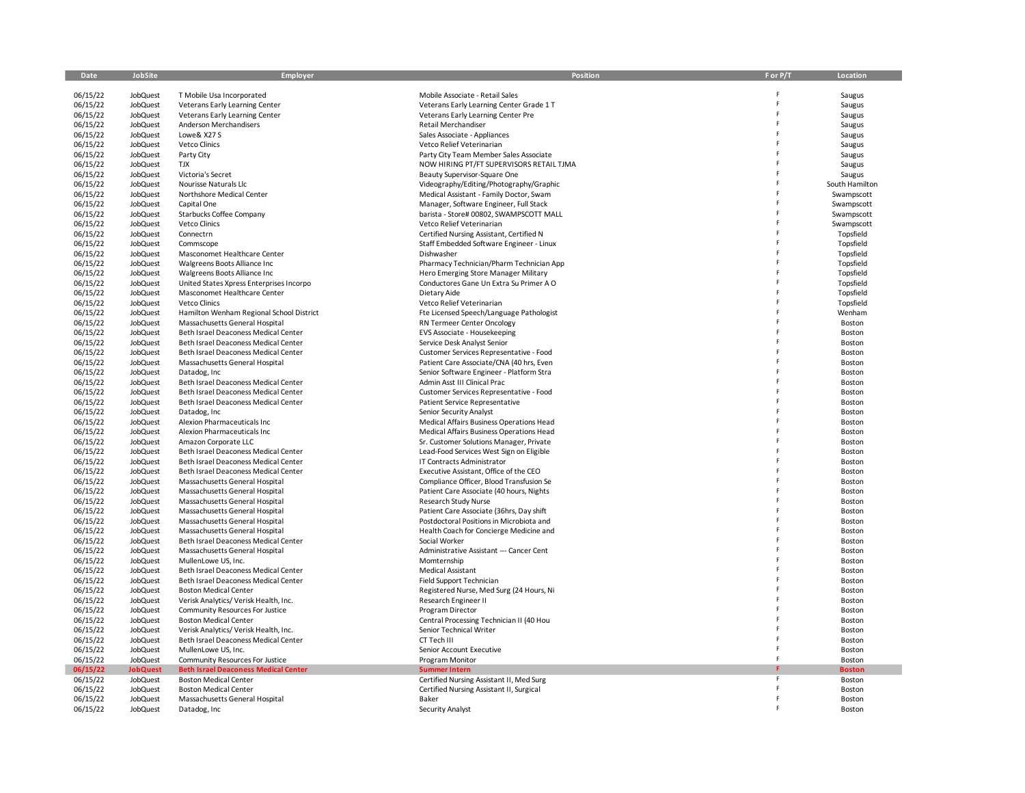| Date                 | JobSite                     | <b>Employer</b>                                                             | Position                                                         | F or P/T | Location               |
|----------------------|-----------------------------|-----------------------------------------------------------------------------|------------------------------------------------------------------|----------|------------------------|
|                      |                             |                                                                             |                                                                  |          |                        |
| 06/15/22             | JobQuest                    | T Mobile Usa Incorporated                                                   | Mobile Associate - Retail Sales                                  |          | Saugus                 |
| 06/15/22             | JobQuest                    | Veterans Early Learning Center                                              | Veterans Early Learning Center Grade 1 T                         |          | Saugus                 |
| 06/15/22             | JobQuest                    | Veterans Early Learning Center                                              | Veterans Early Learning Center Pre                               |          | Saugus                 |
| 06/15/22             | <b>JobQuest</b>             | Anderson Merchandisers                                                      | Retail Merchandiser                                              |          | Saugus                 |
| 06/15/22             | JobQuest                    | Lowe& X27 S                                                                 | Sales Associate - Appliances                                     |          | Saugus                 |
| 06/15/22             | JobQuest                    | Vetco Clinics                                                               | Vetco Relief Veterinarian                                        |          | Saugus                 |
| 06/15/22             | JobQuest                    | Party City                                                                  | Party City Team Member Sales Associate                           |          | Saugus                 |
| 06/15/22             | JobQuest                    | <b>TJX</b>                                                                  | NOW HIRING PT/FT SUPERVISORS RETAIL TJMA                         |          | Saugus                 |
| 06/15/22             | <b>JobQuest</b>             | Victoria's Secret                                                           | Beauty Supervisor-Square One                                     |          | Saugus                 |
| 06/15/22             | JobQuest                    | Nourisse Naturals Llc                                                       | Videography/Editing/Photography/Graphic                          |          | South Hamilton         |
| 06/15/22             | JobQuest                    | Northshore Medical Center                                                   | Medical Assistant - Family Doctor, Swam                          |          | Swampscott             |
| 06/15/22             | JobQuest                    | Capital One                                                                 | Manager, Software Engineer, Full Stack                           |          | Swampscott             |
| 06/15/22             | JobQuest                    | Starbucks Coffee Company                                                    | barista - Store# 00802, SWAMPSCOTT MALL                          |          | Swampscott             |
| 06/15/22             | <b>JobQuest</b>             | Vetco Clinics                                                               | Vetco Relief Veterinarian                                        |          | Swampscott             |
| 06/15/22             | JobQuest                    | Connectrn                                                                   | Certified Nursing Assistant, Certified N                         |          | Topsfield              |
| 06/15/22<br>06/15/22 | JobQuest                    | Commscope                                                                   | Staff Embedded Software Engineer - Linux<br>Dishwasher           |          | Topsfield<br>Topsfield |
| 06/15/22             | JobQuest<br>JobQuest        | Masconomet Healthcare Center<br>Walgreens Boots Alliance Inc                | Pharmacy Technician/Pharm Technician App                         |          | Topsfield              |
| 06/15/22             | <b>JobQuest</b>             | Walgreens Boots Alliance Inc                                                | Hero Emerging Store Manager Military                             |          | Topsfield              |
| 06/15/22             | JobQuest                    | United States Xpress Enterprises Incorpo                                    | Conductores Gane Un Extra Su Primer A O                          |          | Topsfield              |
| 06/15/22             | JobQuest                    | Masconomet Healthcare Center                                                | Dietary Aide                                                     |          | Topsfield              |
| 06/15/22             | JobQuest                    | Vetco Clinics                                                               | Vetco Relief Veterinarian                                        |          | Topsfield              |
| 06/15/22             | JobQuest                    | Hamilton Wenham Regional School District                                    | Fte Licensed Speech/Language Pathologist                         |          | Wenham                 |
| 06/15/22             | <b>JobQuest</b>             | Massachusetts General Hospital                                              | RN Termeer Center Oncology                                       |          | Boston                 |
| 06/15/22             | JobQuest                    | Beth Israel Deaconess Medical Center                                        | EVS Associate - Housekeeping                                     |          | Boston                 |
| 06/15/22             | <b>JobQuest</b>             | Beth Israel Deaconess Medical Center                                        | Service Desk Analyst Senior                                      |          | Boston                 |
| 06/15/22             | JobQuest                    | Beth Israel Deaconess Medical Center                                        | Customer Services Representative - Food                          |          | Boston                 |
| 06/15/22             | JobQuest                    | Massachusetts General Hospital                                              | Patient Care Associate/CNA (40 hrs, Even                         |          | Boston                 |
| 06/15/22             | <b>JobQuest</b>             | Datadog, Inc                                                                | Senior Software Engineer - Platform Stra                         |          | Boston                 |
| 06/15/22             | JobQuest                    | Beth Israel Deaconess Medical Center                                        | Admin Asst III Clinical Prac                                     |          | Boston                 |
| 06/15/22             | JobQuest                    | Beth Israel Deaconess Medical Center                                        | Customer Services Representative - Food                          |          | Boston                 |
| 06/15/22             | JobQuest                    | Beth Israel Deaconess Medical Center                                        | Patient Service Representative                                   |          | Boston                 |
| 06/15/22             | JobQuest                    | Datadog, Inc                                                                | Senior Security Analyst                                          |          | Boston                 |
| 06/15/22             | <b>JobQuest</b>             | Alexion Pharmaceuticals Inc                                                 | Medical Affairs Business Operations Head                         |          | Boston                 |
| 06/15/22             | JobQuest                    | Alexion Pharmaceuticals Inc                                                 | Medical Affairs Business Operations Head                         |          | Boston                 |
| 06/15/22             | <b>JobQuest</b>             | Amazon Corporate LLC                                                        | Sr. Customer Solutions Manager, Private                          |          | Boston                 |
| 06/15/22             | JobQuest                    | Beth Israel Deaconess Medical Center                                        | Lead-Food Services West Sign on Eligible                         |          | Boston                 |
| 06/15/22             | JobQuest                    | Beth Israel Deaconess Medical Center                                        | IT Contracts Administrator                                       |          | Boston                 |
| 06/15/22             | JobQuest                    | Beth Israel Deaconess Medical Center                                        | Executive Assistant, Office of the CEO                           |          | Boston                 |
| 06/15/22             | JobQuest                    | Massachusetts General Hospital                                              | Compliance Officer, Blood Transfusion Se                         |          | Boston                 |
| 06/15/22             | JobQuest                    | Massachusetts General Hospital                                              | Patient Care Associate (40 hours, Nights                         |          | Boston                 |
| 06/15/22             | JobQuest                    | Massachusetts General Hospital                                              | Research Study Nurse                                             |          | Boston                 |
| 06/15/22             | JobQuest                    | Massachusetts General Hospital                                              | Patient Care Associate (36hrs, Day shift                         |          | Boston                 |
| 06/15/22             | JobQuest                    | Massachusetts General Hospital                                              | Postdoctoral Positions in Microbiota and                         |          | Boston                 |
| 06/15/22             | JobQuest                    | Massachusetts General Hospital                                              | Health Coach for Concierge Medicine and                          |          | Boston                 |
| 06/15/22             | JobQuest                    | Beth Israel Deaconess Medical Center                                        | Social Worker                                                    |          | Boston                 |
| 06/15/22             | JobQuest                    | Massachusetts General Hospital                                              | Administrative Assistant --- Cancer Cent                         |          | Boston                 |
| 06/15/22             | JobQuest                    | MullenLowe US, Inc.                                                         | Momternship                                                      |          | Boston                 |
| 06/15/22             | JobQuest                    | Beth Israel Deaconess Medical Center                                        | Medical Assistant                                                |          | Boston                 |
| 06/15/22             | JobQuest                    | Beth Israel Deaconess Medical Center                                        | Field Support Technician                                         |          | Boston                 |
| 06/15/22             | JobQuest                    | <b>Boston Medical Center</b>                                                | Registered Nurse, Med Surg (24 Hours, Ni                         |          | Boston                 |
| 06/15/22             | JobQuest                    | Verisk Analytics/ Verisk Health, Inc.                                       | Research Engineer II                                             |          | Boston                 |
| 06/15/22             | JobQuest                    | Community Resources For Justice                                             | Program Director                                                 |          | Boston                 |
| 06/15/22             | JobQuest                    | <b>Boston Medical Center</b>                                                | Central Processing Technician II (40 Hou                         |          | Boston                 |
| 06/15/22             | JobQuest                    | Verisk Analytics/ Verisk Health, Inc.                                       | Senior Technical Writer                                          |          | Boston                 |
| 06/15/22             | JobQuest                    | Beth Israel Deaconess Medical Center                                        | CT Tech III                                                      |          | Boston                 |
| 06/15/22<br>06/15/22 | JobQuest                    | MullenLowe US, Inc.                                                         | Senior Account Executive                                         |          | Boston                 |
|                      | JobQuest                    | Community Resources For Justice                                             | Program Monitor                                                  |          | Boston                 |
| 06/15/22<br>06/15/22 | <b>JobQuest</b><br>JobQuest | <b>Beth Israel Deaconess Medical Center</b><br><b>Boston Medical Center</b> | <b>Summer Intern</b><br>Certified Nursing Assistant II, Med Surg | F        | <b>Boston</b>          |
| 06/15/22             | JobQuest                    | <b>Boston Medical Center</b>                                                | Certified Nursing Assistant II, Surgical                         |          | Boston<br>Boston       |
| 06/15/22             | JobQuest                    |                                                                             | Baker                                                            |          | Boston                 |
| 06/15/22             | JobQuest                    | Massachusetts General Hospital<br>Datadog, Inc                              | Security Analyst                                                 |          | Boston                 |
|                      |                             |                                                                             |                                                                  |          |                        |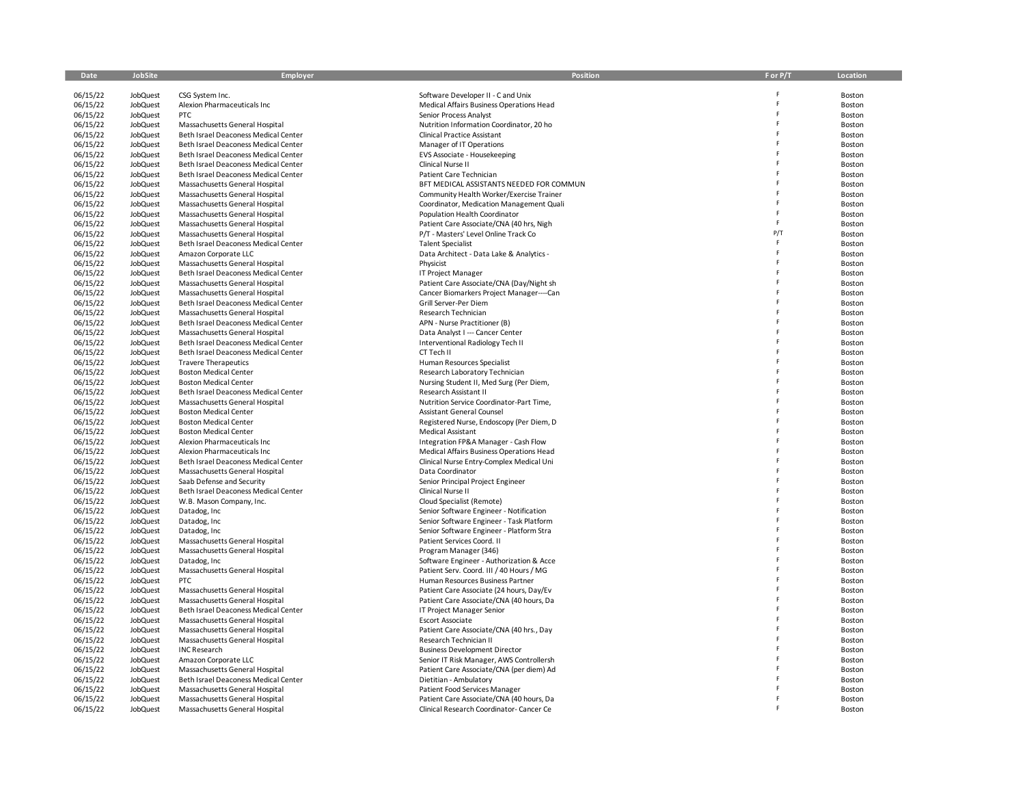| Date                 | <b>JobSite</b>                     | Employer                                                               | Position                                                                             | F or P/T | Location         |
|----------------------|------------------------------------|------------------------------------------------------------------------|--------------------------------------------------------------------------------------|----------|------------------|
|                      |                                    |                                                                        |                                                                                      |          |                  |
| 06/15/22<br>06/15/22 | <b>JobQuest</b><br><b>JobQuest</b> | CSG System Inc.<br>Alexion Pharmaceuticals Inc                         | Software Developer II - C and Unix<br>Medical Affairs Business Operations Head       | F        | Boston<br>Boston |
| 06/15/22             | JobQuest                           | <b>PTC</b>                                                             | Senior Process Analyst                                                               | F        | Boston           |
| 06/15/22             | <b>JobQuest</b>                    | Massachusetts General Hospital                                         | Nutrition Information Coordinator, 20 ho                                             | F        | Boston           |
| 06/15/22             | JobQuest                           | Beth Israel Deaconess Medical Center                                   | <b>Clinical Practice Assistant</b>                                                   |          | Boston           |
| 06/15/22             | JobQuest                           | Beth Israel Deaconess Medical Center                                   | Manager of IT Operations                                                             |          | Boston           |
| 06/15/22             | JobQuest                           | Beth Israel Deaconess Medical Center                                   | EVS Associate - Housekeeping                                                         |          | Boston           |
| 06/15/22             | JobQuest                           | Beth Israel Deaconess Medical Center                                   | Clinical Nurse II                                                                    |          | Boston           |
| 06/15/22             | JobQuest                           | Beth Israel Deaconess Medical Center                                   | Patient Care Technician                                                              |          | Boston           |
| 06/15/22             | JobQuest                           | Massachusetts General Hospital                                         | BFT MEDICAL ASSISTANTS NEEDED FOR COMMUN                                             |          | Boston           |
| 06/15/22<br>06/15/22 | JobQuest<br><b>JobQuest</b>        | Massachusetts General Hospital<br>Massachusetts General Hospital       | Community Health Worker/Exercise Trainer<br>Coordinator, Medication Management Quali |          | Boston<br>Boston |
| 06/15/22             | JobQuest                           | Massachusetts General Hospital                                         | Population Health Coordinator                                                        |          | Boston           |
| 06/15/22             | JobQuest                           | Massachusetts General Hospital                                         | Patient Care Associate/CNA (40 hrs, Nigh                                             | F        | Boston           |
| 06/15/22             | JobQuest                           | Massachusetts General Hospital                                         | P/T - Masters' Level Online Track Co                                                 | P/T      | Boston           |
| 06/15/22             | JobQuest                           | Beth Israel Deaconess Medical Center                                   | <b>Talent Specialist</b>                                                             | F        | Boston           |
| 06/15/22             | JobQuest                           | Amazon Corporate LLC                                                   | Data Architect - Data Lake & Analytics -                                             | F        | Boston           |
| 06/15/22             | JobQuest                           | Massachusetts General Hospital                                         | Physicist                                                                            |          | Boston           |
| 06/15/22             | JobQuest                           | Beth Israel Deaconess Medical Center                                   | IT Project Manager                                                                   |          | Boston           |
| 06/15/22             | JobQuest                           | Massachusetts General Hospital                                         | Patient Care Associate/CNA (Day/Night sh                                             |          | Boston           |
| 06/15/22             | <b>JobQuest</b>                    | Massachusetts General Hospital                                         | Cancer Biomarkers Project Manager----Can                                             |          | Boston           |
| 06/15/22<br>06/15/22 | JobQuest<br>JobQuest               | Beth Israel Deaconess Medical Center<br>Massachusetts General Hospital | Grill Server-Per Diem<br>Research Technician                                         |          | Boston<br>Boston |
| 06/15/22             | <b>JobQuest</b>                    | Beth Israel Deaconess Medical Center                                   | APN - Nurse Practitioner (B)                                                         |          | Boston           |
| 06/15/22             | JobQuest                           | Massachusetts General Hospital                                         | Data Analyst I --- Cancer Center                                                     |          | Boston           |
| 06/15/22             | JobQuest                           | Beth Israel Deaconess Medical Center                                   | Interventional Radiology Tech II                                                     | F        | Boston           |
| 06/15/22             | JobQuest                           | Beth Israel Deaconess Medical Center                                   | CT Tech II                                                                           |          | Boston           |
| 06/15/22             | JobQuest                           | <b>Travere Therapeutics</b>                                            | Human Resources Specialist                                                           |          | Boston           |
| 06/15/22             | JobQuest                           | <b>Boston Medical Center</b>                                           | Research Laboratory Technician                                                       |          | Boston           |
| 06/15/22             | JobQuest                           | <b>Boston Medical Center</b>                                           | Nursing Student II, Med Surg (Per Diem,                                              |          | Boston           |
| 06/15/22             | JobQuest                           | Beth Israel Deaconess Medical Center                                   | Research Assistant II                                                                |          | Boston           |
| 06/15/22             | JobQuest                           | Massachusetts General Hospital<br><b>Boston Medical Center</b>         | Nutrition Service Coordinator-Part Time,                                             |          | Boston           |
| 06/15/22<br>06/15/22 | JobQuest<br>JobQuest               | <b>Boston Medical Center</b>                                           | Assistant General Counsel<br>Registered Nurse, Endoscopy (Per Diem, D                |          | Boston<br>Boston |
| 06/15/22             | JobQuest                           | <b>Boston Medical Center</b>                                           | Medical Assistant                                                                    |          | Boston           |
| 06/15/22             | JobQuest                           | Alexion Pharmaceuticals Inc                                            | Integration FP&A Manager - Cash Flow                                                 |          | Boston           |
| 06/15/22             | JobQuest                           | Alexion Pharmaceuticals Inc                                            | Medical Affairs Business Operations Head                                             |          | Boston           |
| 06/15/22             | JobQuest                           | Beth Israel Deaconess Medical Center                                   | Clinical Nurse Entry-Complex Medical Uni                                             |          | Boston           |
| 06/15/22             | <b>JobQuest</b>                    | Massachusetts General Hospital                                         | Data Coordinator                                                                     |          | Boston           |
| 06/15/22             | JobQuest                           | Saab Defense and Security                                              | Senior Principal Project Engineer                                                    |          | Boston           |
| 06/15/22             | JobQuest                           | Beth Israel Deaconess Medical Center                                   | Clinical Nurse II                                                                    |          | Boston           |
| 06/15/22             | JobQuest                           | W.B. Mason Company, Inc.                                               | Cloud Specialist (Remote)                                                            |          | Boston           |
| 06/15/22<br>06/15/22 | JobQuest<br>JobQuest               | Datadog, Inc<br>Datadog, Inc.                                          | Senior Software Engineer - Notification<br>Senior Software Engineer - Task Platform  |          | Boston<br>Boston |
| 06/15/22             | JobQuest                           | Datadog, Inc                                                           | Senior Software Engineer - Platform Stra                                             |          | Boston           |
| 06/15/22             | <b>JobQuest</b>                    | Massachusetts General Hospital                                         | Patient Services Coord. II                                                           |          | Boston           |
| 06/15/22             | JobQuest                           | Massachusetts General Hospital                                         | Program Manager (346)                                                                |          | Boston           |
| 06/15/22             | JobQuest                           | Datadog, Inc                                                           | Software Engineer - Authorization & Acce                                             |          | Boston           |
| 06/15/22             | JobQuest                           | Massachusetts General Hospital                                         | Patient Serv. Coord. III / 40 Hours / MG                                             |          | Boston           |
| 06/15/22             | JobQuest                           | PTC                                                                    | Human Resources Business Partner                                                     |          | Boston           |
| 06/15/22             | <b>JobQuest</b>                    | Massachusetts General Hospital                                         | Patient Care Associate (24 hours, Day/Ev                                             |          | Boston           |
| 06/15/22             | JobQuest                           | Massachusetts General Hospital                                         | Patient Care Associate/CNA (40 hours, Da                                             |          | Boston           |
| 06/15/22             | <b>JobQuest</b>                    | Beth Israel Deaconess Medical Center                                   | IT Project Manager Senior                                                            |          | Boston           |
| 06/15/22<br>06/15/22 | JobQuest<br>JobQuest               | Massachusetts General Hospital<br>Massachusetts General Hospital       | <b>Escort Associate</b><br>Patient Care Associate/CNA (40 hrs., Day                  |          | Boston<br>Boston |
| 06/15/22             | JobQuest                           | Massachusetts General Hospital                                         | Research Technician II                                                               |          | Boston           |
| 06/15/22             | JobQuest                           | <b>INC Research</b>                                                    | <b>Business Development Director</b>                                                 |          | Boston           |
| 06/15/22             | JobQuest                           | Amazon Corporate LLC                                                   | Senior IT Risk Manager, AWS Controllersh                                             |          | Boston           |
| 06/15/22             | JobQuest                           | Massachusetts General Hospital                                         | Patient Care Associate/CNA (per diem) Ad                                             |          | Boston           |
| 06/15/22             | JobQuest                           | Beth Israel Deaconess Medical Center                                   | Dietitian - Ambulatory                                                               |          | Boston           |
| 06/15/22             | JobQuest                           | Massachusetts General Hospital                                         | Patient Food Services Manager                                                        |          | Boston           |
| 06/15/22             | JobQuest                           | Massachusetts General Hospital                                         | Patient Care Associate/CNA (40 hours, Da                                             |          | Boston           |
| 06/15/22             | JobQuest                           | Massachusetts General Hospital                                         | Clinical Research Coordinator-Cancer Ce                                              |          | Boston           |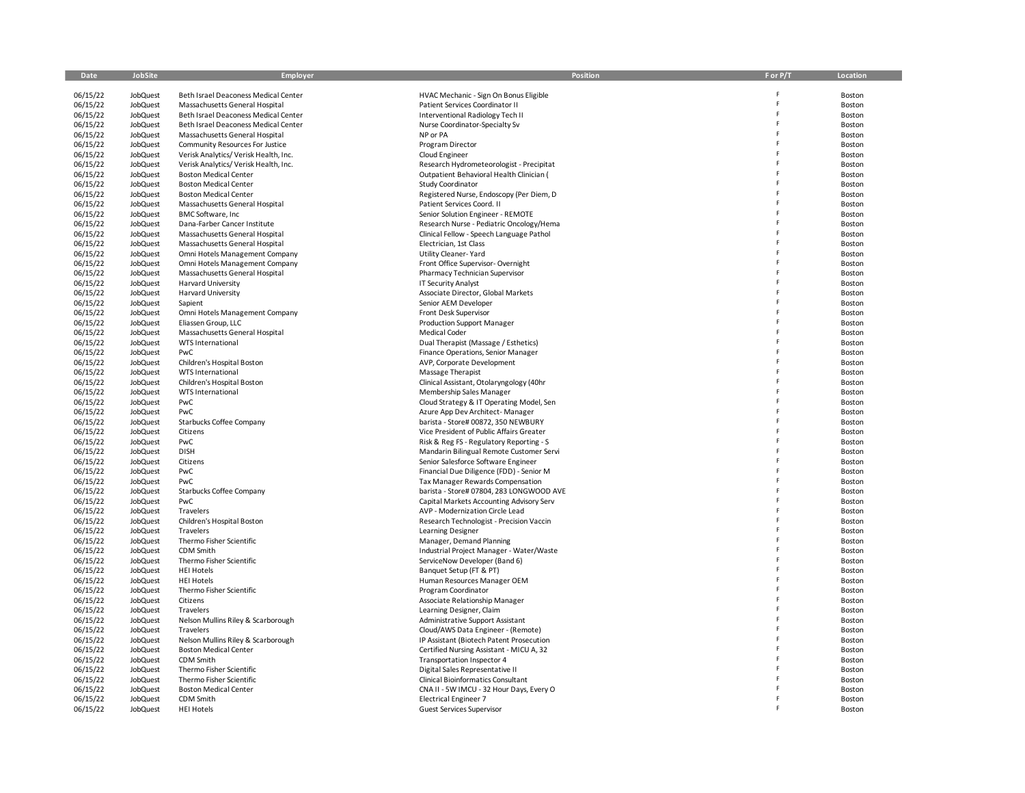| Date                 | JobSite                     | Employer                                                       | Position                                                                    | F or P/T | Location         |
|----------------------|-----------------------------|----------------------------------------------------------------|-----------------------------------------------------------------------------|----------|------------------|
| 06/15/22             | JobQuest                    | Beth Israel Deaconess Medical Center                           | HVAC Mechanic - Sign On Bonus Eligible                                      |          | Boston           |
| 06/15/22             | JobQuest                    | Massachusetts General Hospital                                 | Patient Services Coordinator II                                             |          | Boston           |
| 06/15/22             | JobQuest                    | Beth Israel Deaconess Medical Center                           | Interventional Radiology Tech II                                            | F        | Boston           |
| 06/15/22             | <b>JobQuest</b>             | Beth Israel Deaconess Medical Center                           | Nurse Coordinator-Specialty Sv                                              | F        | Boston           |
| 06/15/22             | JobQuest                    | Massachusetts General Hospital                                 | NP or PA                                                                    | F        | Boston           |
| 06/15/22             | JobQuest                    | Community Resources For Justice                                | Program Director                                                            | F        | Boston           |
| 06/15/22             | JobQuest                    | Verisk Analytics/ Verisk Health, Inc.                          | Cloud Engineer                                                              | p        | Boston           |
| 06/15/22             | JobQuest                    | Verisk Analytics/ Verisk Health, Inc.                          | Research Hydrometeorologist - Precipitat                                    |          | Boston           |
| 06/15/22             | JobQuest                    | <b>Boston Medical Center</b>                                   | Outpatient Behavioral Health Clinician (                                    |          | Boston           |
| 06/15/22             | JobQuest                    | <b>Boston Medical Center</b>                                   | Study Coordinator                                                           | Ė        | Boston           |
| 06/15/22<br>06/15/22 | JobQuest<br>JobQuest        | <b>Boston Medical Center</b><br>Massachusetts General Hospital | Registered Nurse, Endoscopy (Per Diem, D<br>Patient Services Coord. II      |          | Boston           |
| 06/15/22             | JobQuest                    | <b>BMC Software, Inc</b>                                       | Senior Solution Engineer - REMOTE                                           | F        | Boston<br>Boston |
| 06/15/22             | JobQuest                    | Dana-Farber Cancer Institute                                   | Research Nurse - Pediatric Oncology/Hema                                    |          | Boston           |
| 06/15/22             | JobQuest                    | Massachusetts General Hospital                                 | Clinical Fellow - Speech Language Pathol                                    |          | Boston           |
| 06/15/22             | JobQuest                    | Massachusetts General Hospital                                 | Electrician, 1st Class                                                      |          | Boston           |
| 06/15/22             | JobQuest                    | Omni Hotels Management Company                                 | Utility Cleaner-Yard                                                        |          | Boston           |
| 06/15/22             | JobQuest                    | Omni Hotels Management Company                                 | Front Office Supervisor-Overnight                                           |          | Boston           |
| 06/15/22             | JobQuest                    | Massachusetts General Hospital                                 | Pharmacy Technician Supervisor                                              | F        | Boston           |
| 06/15/22             | JobQuest                    | Harvard University                                             | <b>IT Security Analyst</b>                                                  | Ė        | Boston           |
| 06/15/22             | JobQuest                    | <b>Harvard University</b>                                      | Associate Director, Global Markets                                          |          | Boston           |
| 06/15/22             | JobQuest                    | Sapient                                                        | Senior AEM Developer                                                        |          | Boston           |
| 06/15/22             | JobQuest                    | Omni Hotels Management Company                                 | Front Desk Supervisor                                                       |          | Boston           |
| 06/15/22             | <b>JobQuest</b>             | Eliassen Group, LLC                                            | <b>Production Support Manager</b>                                           |          | Boston           |
| 06/15/22             | JobQuest                    | Massachusetts General Hospital                                 | Medical Coder                                                               | Ė<br>F   | Boston           |
| 06/15/22             | JobQuest                    | <b>WTS International</b>                                       | Dual Therapist (Massage / Esthetics)                                        | F        | Boston           |
| 06/15/22<br>06/15/22 | JobQuest<br>JobQuest        | PwC<br>Children's Hospital Boston                              | Finance Operations, Senior Manager<br>AVP, Corporate Development            |          | Boston<br>Boston |
| 06/15/22             | JobQuest                    | WTS International                                              | Massage Therapist                                                           |          | Boston           |
| 06/15/22             | JobQuest                    | Children's Hospital Boston                                     | Clinical Assistant, Otolaryngology (40hr                                    |          | Boston           |
| 06/15/22             | JobQuest                    | <b>WTS International</b>                                       | Membership Sales Manager                                                    |          | Boston           |
| 06/15/22             | <b>JobQuest</b>             | PwC                                                            | Cloud Strategy & IT Operating Model, Sen                                    |          | Boston           |
| 06/15/22             | JobQuest                    | PwC                                                            | Azure App Dev Architect-Manager                                             | F        | Boston           |
| 06/15/22             | JobQuest                    | Starbucks Coffee Company                                       | barista - Store# 00872, 350 NEWBURY                                         | F        | Boston           |
| 06/15/22             | JobQuest                    | Citizens                                                       | Vice President of Public Affairs Greater                                    | F        | Boston           |
| 06/15/22             | JobQuest                    | PwC                                                            | Risk & Reg FS - Regulatory Reporting - S                                    |          | Boston           |
| 06/15/22             | JobQuest                    | <b>DISH</b>                                                    | Mandarin Bilingual Remote Customer Servi                                    |          | Boston           |
| 06/15/22             | JobQuest                    | Citizens                                                       | Senior Salesforce Software Engineer                                         |          | Boston           |
| 06/15/22             | JobQuest                    | PwC                                                            | Financial Due Diligence (FDD) - Senior M                                    |          | Boston           |
| 06/15/22             | <b>JobQuest</b>             | PwC                                                            | Tax Manager Rewards Compensation                                            |          | Boston           |
| 06/15/22             | <b>JobQuest</b>             | Starbucks Coffee Company                                       | barista - Store# 07804, 283 LONGWOOD AVE                                    |          | Boston           |
| 06/15/22<br>06/15/22 | JobQuest<br>JobQuest        | PwC<br>Travelers                                               | Capital Markets Accounting Advisory Serv<br>AVP - Modernization Circle Lead | F        | Boston<br>Boston |
| 06/15/22             | JobQuest                    | Children's Hospital Boston                                     | Research Technologist - Precision Vaccin                                    | F        | Boston           |
| 06/15/22             | JobQuest                    | Travelers                                                      | Learning Designer                                                           |          | Boston           |
| 06/15/22             | JobQuest                    | Thermo Fisher Scientific                                       | Manager, Demand Planning                                                    |          | Boston           |
| 06/15/22             | JobQuest                    | CDM Smith                                                      | Industrial Project Manager - Water/Waste                                    |          | Boston           |
| 06/15/22             | <b>JobQuest</b>             | Thermo Fisher Scientific                                       | ServiceNow Developer (Band 6)                                               | F        | Boston           |
| 06/15/22             | JobQuest                    | <b>HEI Hotels</b>                                              | Banquet Setup (FT & PT)                                                     | Ė        | Boston           |
| 06/15/22             | JobQuest                    | <b>HEI Hotels</b>                                              | Human Resources Manager OEM                                                 | F        | Boston           |
| 06/15/22             | JobQuest                    | Thermo Fisher Scientific                                       | Program Coordinator                                                         |          | Boston           |
| 06/15/22             | JobQuest                    | Citizens                                                       | Associate Relationship Manager                                              |          | Boston           |
| 06/15/22             | JobQuest                    | Travelers                                                      | Learning Designer, Claim                                                    | F        | Boston           |
| 06/15/22             | JobQuest                    | Nelson Mullins Riley & Scarborough                             | Administrative Support Assistant                                            | F        | Boston           |
| 06/15/22             | JobQuest                    | Travelers                                                      | Cloud/AWS Data Engineer - (Remote)                                          | F<br>F   | Boston           |
| 06/15/22             | JobQuest                    | Nelson Mullins Riley & Scarborough                             | IP Assistant (Biotech Patent Prosecution                                    |          | Boston           |
| 06/15/22<br>06/15/22 | <b>JobQuest</b><br>JobQuest | <b>Boston Medical Center</b><br>CDM Smith                      | Certified Nursing Assistant - MICU A, 32                                    |          | Boston           |
| 06/15/22             | JobQuest                    | Thermo Fisher Scientific                                       | Transportation Inspector 4<br>Digital Sales Representative II               |          | Boston<br>Boston |
| 06/15/22             | JobQuest                    | Thermo Fisher Scientific                                       | <b>Clinical Bioinformatics Consultant</b>                                   |          | Boston           |
| 06/15/22             | JobQuest                    | <b>Boston Medical Center</b>                                   | CNA II - 5W IMCU - 32 Hour Days, Every O                                    |          | Boston           |
| 06/15/22             | JobQuest                    | CDM Smith                                                      | <b>Electrical Engineer 7</b>                                                |          | Boston           |
| 06/15/22             | <b>JobQuest</b>             | <b>HEI Hotels</b>                                              | <b>Guest Services Supervisor</b>                                            |          | Boston           |
|                      |                             |                                                                |                                                                             |          |                  |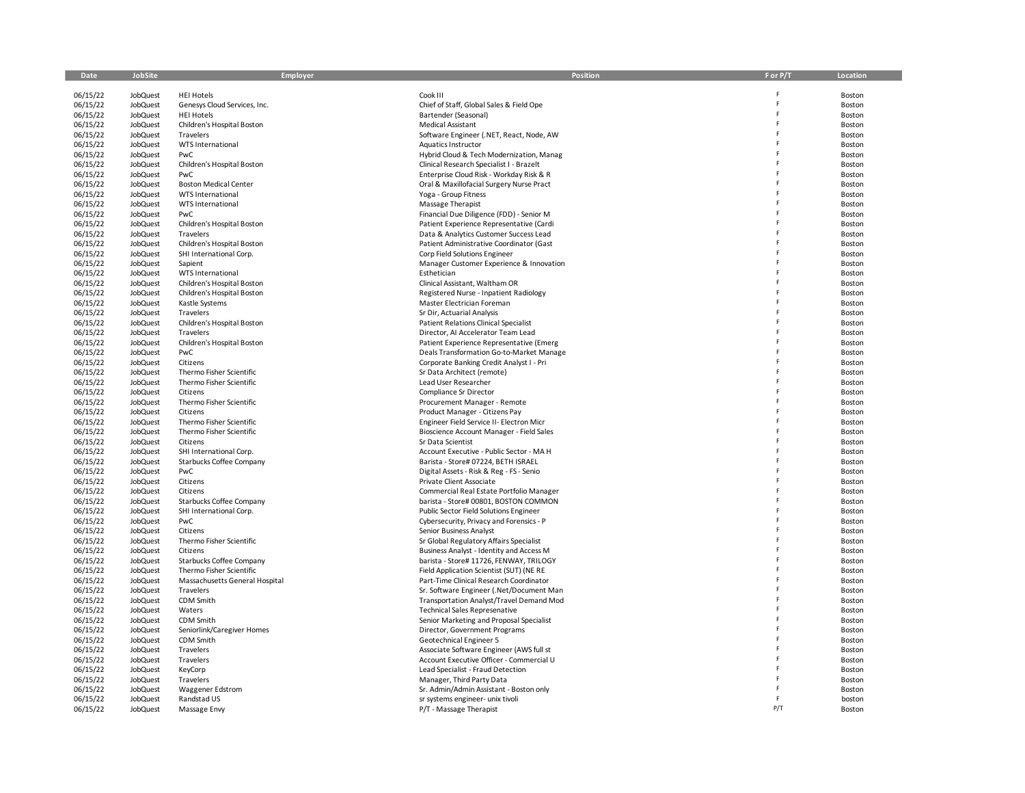| Date                 | JobSite                            | Employer                                | <b>Position</b>                                                                    | F or P/T | Location         |
|----------------------|------------------------------------|-----------------------------------------|------------------------------------------------------------------------------------|----------|------------------|
|                      |                                    |                                         |                                                                                    |          |                  |
| 06/15/22             | JobQuest                           | <b>HEI Hotels</b>                       | Cook III                                                                           |          | Boston           |
| 06/15/22             | <b>JobQuest</b>                    | Genesys Cloud Services, Inc.            | Chief of Staff, Global Sales & Field Ope                                           | Ë        | Boston           |
| 06/15/22             | <b>JobQuest</b>                    | <b>HEI Hotels</b>                       | Bartender (Seasonal)                                                               | F        | Boston           |
| 06/15/22             | <b>JobQuest</b>                    | Children's Hospital Boston              | Medical Assistant                                                                  |          | Boston           |
| 06/15/22             | <b>JobQuest</b>                    | Travelers                               | Software Engineer (.NET, React, Node, AW                                           |          | Boston           |
| 06/15/22             | <b>JobQuest</b>                    | WTS International                       | Aquatics Instructor                                                                |          | Boston           |
| 06/15/22             | <b>JobQuest</b>                    | PwC                                     | Hybrid Cloud & Tech Modernization, Manag                                           |          | Boston           |
| 06/15/22             | JobQuest                           | Children's Hospital Boston              | Clinical Research Specialist I - Brazelt                                           |          | Boston           |
| 06/15/22             | <b>JobQuest</b>                    | PwC                                     | Enterprise Cloud Risk - Workday Risk & R                                           |          | Boston           |
| 06/15/22             | JobQuest                           | <b>Boston Medical Center</b>            | Oral & Maxillofacial Surgery Nurse Pract                                           |          | Boston           |
| 06/15/22<br>06/15/22 | <b>JobQuest</b><br><b>JobQuest</b> | WTS International<br>WTS International  | Yoga - Group Fitness<br>Massage Therapist                                          |          | Boston           |
| 06/15/22             | <b>JobQuest</b>                    | PwC                                     | Financial Due Diligence (FDD) - Senior M                                           |          | Boston           |
|                      |                                    |                                         |                                                                                    |          | Boston<br>Boston |
| 06/15/22<br>06/15/22 | JobQuest                           | Children's Hospital Boston<br>Travelers | Patient Experience Representative (Cardi                                           |          | Boston           |
| 06/15/22             | <b>JobQuest</b><br><b>JobQuest</b> | Children's Hospital Boston              | Data & Analytics Customer Success Lead<br>Patient Administrative Coordinator (Gast |          |                  |
| 06/15/22             | <b>JobQuest</b>                    | SHI International Corp.                 | Corp Field Solutions Engineer                                                      |          | Boston<br>Boston |
| 06/15/22             | <b>JobQuest</b>                    | Sapient                                 | Manager Customer Experience & Innovation                                           |          | Boston           |
| 06/15/22             | <b>JobQuest</b>                    | WTS International                       | Esthetician                                                                        |          | Boston           |
| 06/15/22             | <b>JobQuest</b>                    | Children's Hospital Boston              | Clinical Assistant, Waltham OR                                                     |          | Boston           |
| 06/15/22             | <b>JobQuest</b>                    | Children's Hospital Boston              | Registered Nurse - Inpatient Radiology                                             |          | Boston           |
| 06/15/22             | <b>JobQuest</b>                    | Kastle Systems                          | Master Electrician Foreman                                                         |          | Boston           |
| 06/15/22             | <b>JobQuest</b>                    | Travelers                               | Sr Dir, Actuarial Analysis                                                         |          | Boston           |
| 06/15/22             | <b>JobQuest</b>                    | Children's Hospital Boston              | <b>Patient Relations Clinical Specialist</b>                                       |          | Boston           |
| 06/15/22             | <b>JobQuest</b>                    | Travelers                               | Director, AI Accelerator Team Lead                                                 |          | Boston           |
| 06/15/22             | <b>JobQuest</b>                    | Children's Hospital Boston              | Patient Experience Representative (Emerg                                           |          | Boston           |
| 06/15/22             | <b>JobQuest</b>                    | PwC                                     | Deals Transformation Go-to-Market Manage                                           |          | Boston           |
| 06/15/22             | <b>JobQuest</b>                    | Citizens                                | Corporate Banking Credit Analyst I - Pri                                           |          | Boston           |
| 06/15/22             | <b>JobQuest</b>                    | Thermo Fisher Scientific                | Sr Data Architect (remote)                                                         |          | Boston           |
| 06/15/22             | <b>JobQuest</b>                    | Thermo Fisher Scientific                | Lead User Researcher                                                               |          | Boston           |
| 06/15/22             | <b>JobQuest</b>                    | Citizens                                | Compliance Sr Director                                                             |          | Boston           |
| 06/15/22             | <b>JobQuest</b>                    | Thermo Fisher Scientific                | Procurement Manager - Remote                                                       |          | Boston           |
| 06/15/22             | <b>JobQuest</b>                    | Citizens                                | Product Manager - Citizens Pay                                                     |          | Boston           |
| 06/15/22             | <b>JobQuest</b>                    | Thermo Fisher Scientific                | Engineer Field Service II- Electron Micr                                           |          | Boston           |
| 06/15/22             | <b>JobQuest</b>                    | Thermo Fisher Scientific                | Bioscience Account Manager - Field Sales                                           |          | Boston           |
| 06/15/22             | <b>JobQuest</b>                    | Citizens                                | Sr Data Scientist                                                                  |          | Boston           |
| 06/15/22             | <b>JobQuest</b>                    | SHI International Corp.                 | Account Executive - Public Sector - MA H                                           |          | Boston           |
| 06/15/22             | <b>JobQuest</b>                    | Starbucks Coffee Company                | Barista - Store# 07224, BETH ISRAEL                                                |          | Boston           |
| 06/15/22             | <b>JobQuest</b>                    | PwC                                     | Digital Assets - Risk & Reg - FS - Senio                                           |          | Boston           |
| 06/15/22             | <b>JobQuest</b>                    | Citizens                                | Private Client Associate                                                           |          | Boston           |
| 06/15/22             | <b>JobQuest</b>                    | Citizens                                | Commercial Real Estate Portfolio Manager                                           |          | Boston           |
| 06/15/22             | <b>JobQuest</b>                    | Starbucks Coffee Company                | barista - Store# 00801, BOSTON COMMON                                              |          | Boston           |
| 06/15/22             | <b>JobQuest</b>                    | SHI International Corp.                 | Public Sector Field Solutions Engineer                                             |          | Boston           |
| 06/15/22             | <b>JobQuest</b>                    | PwC                                     | Cybersecurity, Privacy and Forensics - P                                           |          | Boston           |
| 06/15/22             | JobQuest                           | Citizens                                | Senior Business Analyst                                                            |          | Boston           |
| 06/15/22             | <b>JobQuest</b>                    | Thermo Fisher Scientific                | Sr Global Regulatory Affairs Specialist                                            |          | Boston           |
| 06/15/22             | <b>JobQuest</b>                    | Citizens                                | Business Analyst - Identity and Access M                                           |          | Boston           |
| 06/15/22             | <b>JobQuest</b>                    | Starbucks Coffee Company                | barista - Store# 11726, FENWAY, TRILOGY                                            |          | Boston           |
| 06/15/22             | <b>JobQuest</b>                    | Thermo Fisher Scientific                | Field Application Scientist (SUT) (NE RE                                           |          | Boston           |
| 06/15/22             | <b>JobQuest</b>                    | Massachusetts General Hospital          | Part-Time Clinical Research Coordinator                                            |          | Boston           |
| 06/15/22             | <b>JobQuest</b>                    | Travelers                               | Sr. Software Engineer (.Net/Document Man                                           |          | Boston           |
| 06/15/22             | <b>JobQuest</b>                    | CDM Smith                               | Transportation Analyst/Travel Demand Mod                                           |          | Boston           |
| 06/15/22             | <b>JobQuest</b>                    | Waters                                  | <b>Technical Sales Represenative</b>                                               |          | Boston           |
| 06/15/22             | JobQuest                           | CDM Smith                               | Senior Marketing and Proposal Specialist                                           |          | Boston           |
| 06/15/22             | JobQuest                           | Seniorlink/Caregiver Homes              | Director, Government Programs                                                      |          | Boston           |
| 06/15/22<br>06/15/22 | <b>JobQuest</b><br>JobQuest        | CDM Smith<br>Travelers                  | Geotechnical Engineer 5<br>Associate Software Engineer (AWS full st                |          | Boston           |
| 06/15/22             | JobQuest                           | Travelers                               | Account Executive Officer - Commercial U                                           |          | Boston<br>Boston |
| 06/15/22             | JobQuest                           | KeyCorp                                 | Lead Specialist - Fraud Detection                                                  |          | Boston           |
| 06/15/22             | JobQuest                           | Travelers                               | Manager, Third Party Data                                                          |          | Boston           |
| 06/15/22             | <b>JobQuest</b>                    | <b>Waggener Edstrom</b>                 | Sr. Admin/Admin Assistant - Boston only                                            |          | Boston           |
| 06/15/22             | JobQuest                           | Randstad US                             | sr systems engineer- unix tivoli                                                   |          | boston           |
| 06/15/22             | JobQuest                           | Massage Envy                            | P/T - Massage Therapist                                                            | P/T      | Boston           |
|                      |                                    |                                         |                                                                                    |          |                  |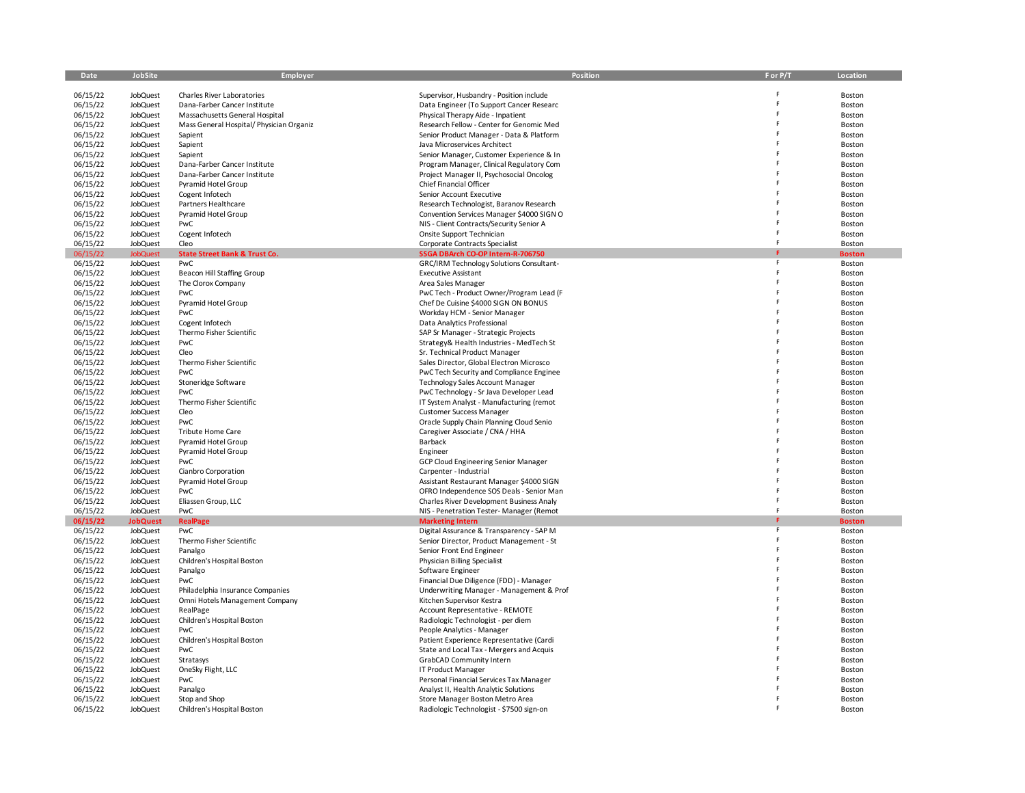| Date     | <b>JobSite</b>  | <b>Employer</b>                            | Position                                    | F or P/T | Location      |
|----------|-----------------|--------------------------------------------|---------------------------------------------|----------|---------------|
|          |                 |                                            |                                             |          |               |
| 06/15/22 | JobQuest        | Charles River Laboratories                 | Supervisor, Husbandry - Position include    |          | Boston        |
| 06/15/22 | JobQuest        | Dana-Farber Cancer Institute               | Data Engineer (To Support Cancer Researc    |          | Boston        |
| 06/15/22 | JobQuest        | Massachusetts General Hospital             | Physical Therapy Aide - Inpatient           |          | Boston        |
| 06/15/22 | JobQuest        | Mass General Hospital/ Physician Organiz   | Research Fellow - Center for Genomic Med    |          | Boston        |
| 06/15/22 | JobQuest        | Sapient                                    | Senior Product Manager - Data & Platform    | F        | Boston        |
| 06/15/22 | JobQuest        | Sapient                                    | Java Microservices Architect                |          | Boston        |
| 06/15/22 | JobQuest        | Sapient                                    | Senior Manager, Customer Experience & In    |          | Boston        |
| 06/15/22 | JobQuest        | Dana-Farber Cancer Institute               | Program Manager, Clinical Regulatory Com    |          | Boston        |
|          |                 |                                            |                                             |          |               |
| 06/15/22 | JobQuest        | Dana-Farber Cancer Institute               | Project Manager II, Psychosocial Oncolog    |          | Boston        |
| 06/15/22 | JobQuest        | Pyramid Hotel Group                        | Chief Financial Officer                     |          | Boston        |
| 06/15/22 | JobQuest        | Cogent Infotech                            | Senior Account Executive                    |          | Boston        |
| 06/15/22 | JobQuest        | Partners Healthcare                        | Research Technologist, Baranov Research     |          | Boston        |
| 06/15/22 | JobQuest        | Pyramid Hotel Group                        | Convention Services Manager \$4000 SIGN O   |          | Boston        |
| 06/15/22 | JobQuest        | PwC                                        | NIS - Client Contracts/Security Senior A    |          | Boston        |
| 06/15/22 | JobQuest        | Cogent Infotech                            | Onsite Support Technician                   | F        | Boston        |
| 06/15/22 | JobQuest        | Cleo                                       | Corporate Contracts Specialist              | F        | Boston        |
| 06/15/22 | <b>JobQuest</b> | <b>State Street Bank &amp; Trust Co.</b>   | SSGA DBArch CO-OP Intern-R-706750           |          | <b>Boston</b> |
| 06/15/22 | JobQuest        | PwC                                        | GRC/IRM Technology Solutions Consultant-    | F        | Boston        |
| 06/15/22 | JobQuest        | <b>Beacon Hill Staffing Group</b>          | <b>Executive Assistant</b>                  |          | Boston        |
| 06/15/22 | JobQuest        | The Clorox Company                         | Area Sales Manager                          |          | Boston        |
| 06/15/22 | JobQuest        | PwC                                        | PwC Tech - Product Owner/Program Lead (F    |          | Boston        |
| 06/15/22 | JobQuest        | Pyramid Hotel Group                        | Chef De Cuisine \$4000 SIGN ON BONUS        |          | Boston        |
| 06/15/22 | JobQuest        | PwC                                        | Workday HCM - Senior Manager                |          | Boston        |
| 06/15/22 | JobQuest        | Cogent Infotech                            | Data Analytics Professional                 |          | Boston        |
| 06/15/22 | JobQuest        | Thermo Fisher Scientific                   | SAP Sr Manager - Strategic Projects         | F        | Boston        |
| 06/15/22 | JobQuest        | PwC                                        | Strategy& Health Industries - MedTech St    | F        | Boston        |
| 06/15/22 | JobQuest        | Cleo                                       | Sr. Technical Product Manager               |          | Boston        |
| 06/15/22 | JobQuest        | Thermo Fisher Scientific                   | Sales Director, Global Electron Microsco    |          | Boston        |
| 06/15/22 | JobQuest        | PwC                                        | PwC Tech Security and Compliance Enginee    |          | Boston        |
| 06/15/22 | JobQuest        | Stoneridge Software                        | Technology Sales Account Manager            |          | Boston        |
|          |                 | PwC                                        |                                             | F        |               |
| 06/15/22 | JobQuest        |                                            | PwC Technology - Sr Java Developer Lead     |          | Boston        |
| 06/15/22 | JobQuest        | Thermo Fisher Scientific                   | IT System Analyst - Manufacturing (remot    | F        | Boston        |
| 06/15/22 | JobQuest        | Cleo                                       | <b>Customer Success Manager</b>             |          | Boston        |
| 06/15/22 | JobQuest        | PwC                                        | Oracle Supply Chain Planning Cloud Senio    |          | Boston        |
| 06/15/22 | <b>JobQuest</b> | <b>Tribute Home Care</b>                   | Caregiver Associate / CNA / HHA             |          | Boston        |
| 06/15/22 | JobQuest        | Pyramid Hotel Group                        | Barback                                     |          | Boston        |
| 06/15/22 | JobQuest        | Pyramid Hotel Group                        | Engineer                                    |          | Boston        |
| 06/15/22 | JobQuest        | PwC                                        | <b>GCP Cloud Engineering Senior Manager</b> | F        | Boston        |
| 06/15/22 | JobQuest        | Cianbro Corporation                        | Carpenter - Industrial                      |          | Boston        |
| 06/15/22 | <b>JobQuest</b> | Pyramid Hotel Group                        | Assistant Restaurant Manager \$4000 SIGN    |          | Boston        |
| 06/15/22 | JobQuest        | PwC                                        | OFRO Independence SOS Deals - Senior Man    | F        | Boston        |
| 06/15/22 | JobQuest        | Eliassen Group, LLC                        | Charles River Development Business Analy    |          | Boston        |
| 06/15/22 | <b>JobQuest</b> | PwC                                        | NIS - Penetration Tester- Manager (Remot    | F        | Boston        |
| 06/15/22 | <b>JobQuest</b> | <b>RealPage</b>                            | <b>Marketing Intern</b>                     |          | <b>Boston</b> |
| 06/15/22 | JobQuest        | PwC                                        | Digital Assurance & Transparency - SAP M    | F        | Boston        |
| 06/15/22 | <b>JobQuest</b> | Thermo Fisher Scientific                   | Senior Director, Product Management - St    | F        | Boston        |
| 06/15/22 | <b>JobQuest</b> | Panalgo                                    | Senior Front End Engineer                   |          | Boston        |
| 06/15/22 | JobQuest        | Children's Hospital Boston                 | Physician Billing Specialist                |          | Boston        |
| 06/15/22 | <b>JobQuest</b> | Panalgo                                    | Software Engineer                           |          | Boston        |
| 06/15/22 | JobQuest        | PwC                                        | Financial Due Diligence (FDD) - Manager     |          | Boston        |
| 06/15/22 | <b>JobQuest</b> | Philadelphia Insurance Companies           | Underwriting Manager - Management & Prof    | F        | Boston        |
| 06/15/22 | JobQuest        |                                            | Kitchen Supervisor Kestra                   |          | Boston        |
| 06/15/22 | <b>JobQuest</b> | Omni Hotels Management Company<br>RealPage | Account Representative - REMOTE             | F        | Boston        |
|          |                 |                                            |                                             |          |               |
| 06/15/22 | <b>JobQuest</b> | Children's Hospital Boston                 | Radiologic Technologist - per diem          |          | Boston        |
| 06/15/22 | JobQuest        | PwC                                        | People Analytics - Manager                  |          | Boston        |
| 06/15/22 | JobQuest        | Children's Hospital Boston                 | Patient Experience Representative (Cardi    |          | Boston        |
| 06/15/22 | <b>JobQuest</b> | PwC                                        | State and Local Tax - Mergers and Acquis    |          | Boston        |
| 06/15/22 | JobQuest        | Stratasys                                  | GrabCAD Community Intern                    | F        | Boston        |
| 06/15/22 | <b>JobQuest</b> | OneSky Flight, LLC                         | <b>IT Product Manager</b>                   |          | Boston        |
| 06/15/22 | JobQuest        | PwC                                        | Personal Financial Services Tax Manager     |          | Boston        |
| 06/15/22 | JobQuest        | Panalgo                                    | Analyst II, Health Analytic Solutions       |          | Boston        |
| 06/15/22 | JobQuest        | Stop and Shop                              | Store Manager Boston Metro Area             |          | Boston        |
| 06/15/22 | JobQuest        | Children's Hospital Boston                 | Radiologic Technologist - \$7500 sign-on    |          | Boston        |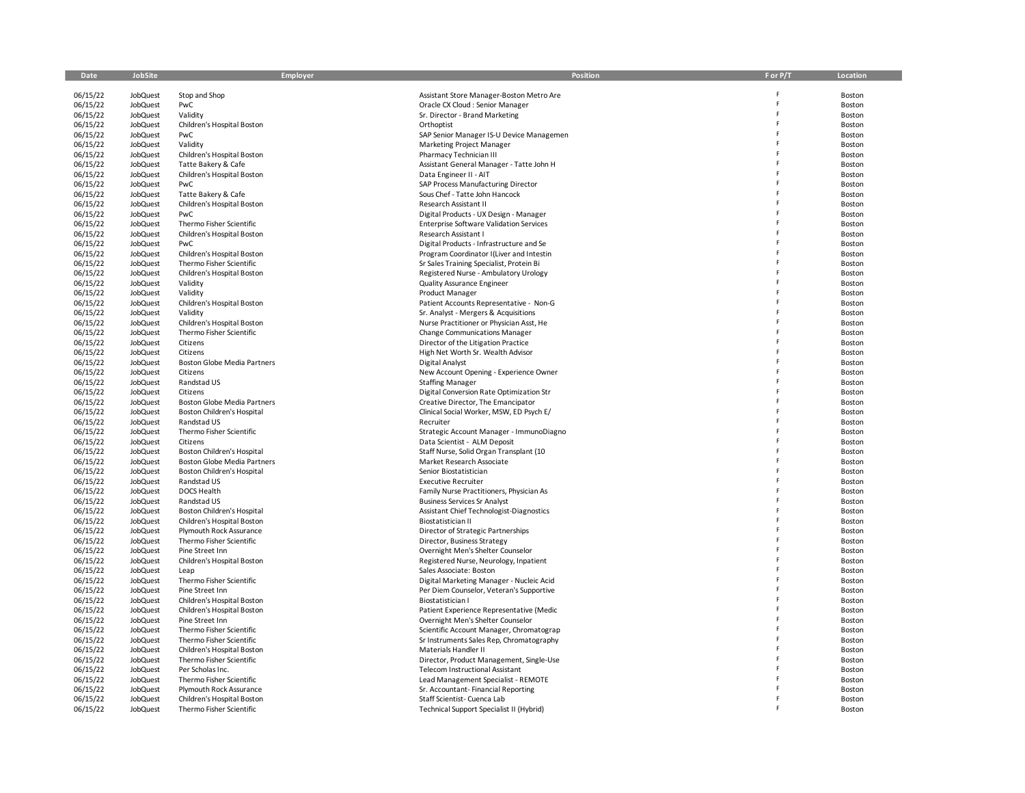| Date                 | JobSite              | Employer                                               | Position                                                                 | F or P/T | Location         |
|----------------------|----------------------|--------------------------------------------------------|--------------------------------------------------------------------------|----------|------------------|
|                      |                      |                                                        |                                                                          |          |                  |
| 06/15/22             | <b>JobQuest</b>      | Stop and Shop                                          | Assistant Store Manager-Boston Metro Are                                 | F        | Boston           |
| 06/15/22             | <b>JobQuest</b>      | PwC                                                    | Oracle CX Cloud : Senior Manager                                         | F        | Boston           |
| 06/15/22             | <b>JobQuest</b>      | Validity                                               | Sr. Director - Brand Marketing                                           | F        | Boston           |
| 06/15/22             | JobQuest             | Children's Hospital Boston                             | Orthoptist                                                               | F        | Boston           |
| 06/15/22             | JobQuest             | PwC                                                    | SAP Senior Manager IS-U Device Managemen                                 |          | Boston           |
| 06/15/22             | <b>JobQuest</b>      | Validity                                               | Marketing Project Manager                                                | Ė        | Boston           |
| 06/15/22             | JobQuest             | Children's Hospital Boston                             | Pharmacy Technician III                                                  | F.       | Boston           |
| 06/15/22             | JobQuest             | Tatte Bakery & Cafe                                    | Assistant General Manager - Tatte John H                                 | F        | Boston           |
| 06/15/22             | JobQuest             | Children's Hospital Boston                             | Data Engineer II - AIT                                                   |          | Boston           |
| 06/15/22             | JobQuest             | PwC                                                    | SAP Process Manufacturing Director                                       |          | Boston           |
| 06/15/22             | <b>JobQuest</b>      | Tatte Bakery & Cafe                                    | Sous Chef - Tatte John Hancock                                           | Ė        | Boston           |
| 06/15/22             | JobQuest             | Children's Hospital Boston                             | Research Assistant II                                                    | F        | Boston           |
| 06/15/22             | <b>JobQuest</b>      | PwC                                                    | Digital Products - UX Design - Manager                                   | F        | Boston           |
| 06/15/22             | JobQuest             | Thermo Fisher Scientific                               | <b>Enterprise Software Validation Services</b>                           |          | Boston           |
| 06/15/22             | JobQuest             | Children's Hospital Boston                             | Research Assistant I                                                     |          | Boston           |
| 06/15/22             | JobQuest             | PwC                                                    | Digital Products - Infrastructure and Se                                 |          | Boston           |
| 06/15/22             | JobQuest             | Children's Hospital Boston                             | Program Coordinator I(Liver and Intestin                                 | F        | Boston           |
| 06/15/22             | JobQuest             | Thermo Fisher Scientific                               | Sr Sales Training Specialist, Protein Bi                                 |          | Boston           |
| 06/15/22             | JobQuest             | Children's Hospital Boston                             | Registered Nurse - Ambulatory Urology                                    |          | Boston           |
| 06/15/22             | JobQuest             | Validity                                               | <b>Quality Assurance Engineer</b>                                        |          | Boston           |
| 06/15/22             | JobQuest             | Validity                                               | Product Manager                                                          |          | Boston           |
| 06/15/22             | JobQuest             | Children's Hospital Boston                             | Patient Accounts Representative - Non-G                                  |          | Boston           |
| 06/15/22             | JobQuest             | Validity                                               | Sr. Analyst - Mergers & Acquisitions                                     |          | Boston           |
| 06/15/22             | JobQuest             | Children's Hospital Boston<br>Thermo Fisher Scientific | Nurse Practitioner or Physician Asst, He                                 | F        | Boston           |
| 06/15/22             | JobQuest             |                                                        | <b>Change Communications Manager</b>                                     | F        | Boston           |
| 06/15/22<br>06/15/22 | JobQuest<br>JobQuest | Citizens<br>Citizens                                   | Director of the Litigation Practice<br>High Net Worth Sr. Wealth Advisor |          | Boston<br>Boston |
| 06/15/22             | JobQuest             | Boston Globe Media Partners                            | Digital Analyst                                                          |          | Boston           |
| 06/15/22             | JobQuest             | Citizens                                               | New Account Opening - Experience Owner                                   |          | Boston           |
| 06/15/22             | JobQuest             | Randstad US                                            | <b>Staffing Manager</b>                                                  |          | Boston           |
| 06/15/22             | <b>JobQuest</b>      | Citizens                                               | Digital Conversion Rate Optimization Str                                 | F        | Boston           |
| 06/15/22             | JobQuest             | Boston Globe Media Partners                            | Creative Director, The Emancipator                                       |          | Boston           |
| 06/15/22             | <b>JobQuest</b>      | Boston Children's Hospital                             | Clinical Social Worker, MSW, ED Psych E/                                 | F        | Boston           |
| 06/15/22             | JobQuest             | Randstad US                                            | Recruiter                                                                | F        | Boston           |
| 06/15/22             | <b>JobQuest</b>      | Thermo Fisher Scientific                               | Strategic Account Manager - ImmunoDiagno                                 |          | Boston           |
| 06/15/22             | <b>JobQuest</b>      | Citizens                                               | Data Scientist - ALM Deposit                                             |          | Boston           |
| 06/15/22             | JobQuest             | Boston Children's Hospital                             | Staff Nurse, Solid Organ Transplant (10                                  |          | Boston           |
| 06/15/22             | <b>JobQuest</b>      | Boston Globe Media Partners                            | Market Research Associate                                                | F        | Boston           |
| 06/15/22             | JobQuest             | <b>Boston Children's Hospital</b>                      | Senior Biostatistician                                                   | F        | Boston           |
| 06/15/22             | <b>JobQuest</b>      | Randstad US                                            | <b>Executive Recruiter</b>                                               | F        | Boston           |
| 06/15/22             | <b>JobQuest</b>      | DOCS Health                                            | Family Nurse Practitioners, Physician As                                 |          | Boston           |
| 06/15/22             | <b>JobQuest</b>      | Randstad US                                            | <b>Business Services Sr Analyst</b>                                      |          | Boston           |
| 06/15/22             | <b>JobQuest</b>      | Boston Children's Hospital                             | Assistant Chief Technologist-Diagnostics                                 |          | Boston           |
| 06/15/22             | <b>JobQuest</b>      | Children's Hospital Boston                             | Biostatistician II                                                       | F        | Boston           |
| 06/15/22             | <b>JobQuest</b>      | Plymouth Rock Assurance                                | Director of Strategic Partnerships                                       |          | Boston           |
| 06/15/22             | <b>JobQuest</b>      | Thermo Fisher Scientific                               | Director, Business Strategy                                              | F        | Boston           |
| 06/15/22             | <b>JobQuest</b>      | Pine Street Inn                                        | Overnight Men's Shelter Counselor                                        | F        | Boston           |
| 06/15/22             | <b>JobQuest</b>      | Children's Hospital Boston                             | Registered Nurse, Neurology, Inpatient                                   | F        | Boston           |
| 06/15/22             | <b>JobQuest</b>      | Leap                                                   | Sales Associate: Boston                                                  |          | Boston           |
| 06/15/22             | <b>JobQuest</b>      | Thermo Fisher Scientific                               | Digital Marketing Manager - Nucleic Acid                                 |          | Boston           |
| 06/15/22             | <b>JobQuest</b>      | Pine Street Inn                                        | Per Diem Counselor, Veteran's Supportive                                 | F        | Boston           |
| 06/15/22             | <b>JobQuest</b>      | Children's Hospital Boston                             | Biostatistician I                                                        |          | Boston           |
| 06/15/22             | <b>JobQuest</b>      | Children's Hospital Boston                             | Patient Experience Representative (Medic                                 | F        | Boston           |
| 06/15/22             | <b>JobQuest</b>      | Pine Street Inn                                        | Overnight Men's Shelter Counselor                                        |          | Boston           |
| 06/15/22             | <b>JobQuest</b>      | Thermo Fisher Scientific                               | Scientific Account Manager, Chromatograp                                 |          | Boston           |
| 06/15/22             | <b>JobQuest</b>      | Thermo Fisher Scientific                               | Sr Instruments Sales Rep, Chromatography                                 |          | Boston           |
| 06/15/22             | <b>JobQuest</b>      | Children's Hospital Boston                             | Materials Handler II                                                     |          | Boston           |
| 06/15/22             | <b>JobQuest</b>      | Thermo Fisher Scientific                               | Director, Product Management, Single-Use                                 | F        | Boston           |
| 06/15/22             | <b>JobQuest</b>      | Per Scholas Inc.                                       | <b>Telecom Instructional Assistant</b>                                   |          | Boston           |
| 06/15/22             | <b>JobQuest</b>      | Thermo Fisher Scientific                               | Lead Management Specialist - REMOTE                                      |          | Boston           |
| 06/15/22             | <b>JobQuest</b>      | Plymouth Rock Assurance                                | Sr. Accountant-Financial Reporting                                       |          | Boston           |
| 06/15/22             | JobQuest             | Children's Hospital Boston                             | Staff Scientist- Cuenca Lab                                              |          | Boston           |
| 06/15/22             | <b>JobQuest</b>      | Thermo Fisher Scientific                               | Technical Support Specialist II (Hybrid)                                 |          | Boston           |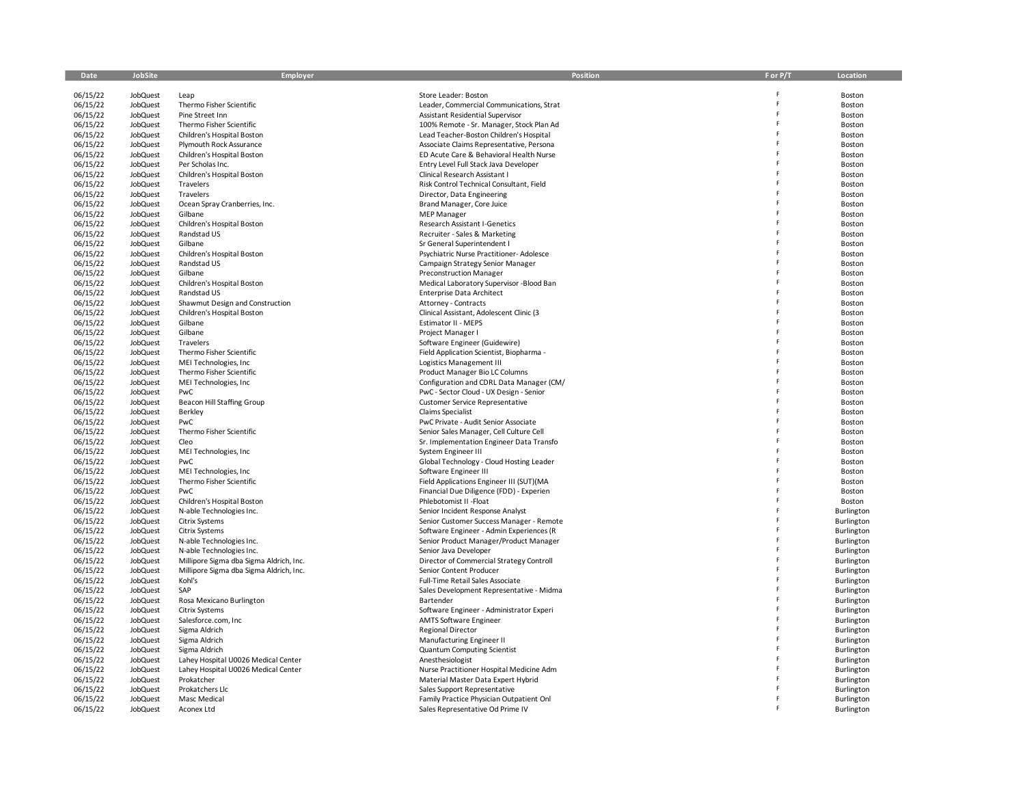| Date                 | <b>JobSite</b>              | Employer                                          | <b>Position</b>                                                        | F or P/T | Location                 |
|----------------------|-----------------------------|---------------------------------------------------|------------------------------------------------------------------------|----------|--------------------------|
| 06/15/22             | <b>JobQuest</b>             | Leap                                              | Store Leader: Boston                                                   |          | Boston                   |
| 06/15/22             | JobQuest                    | Thermo Fisher Scientific                          | Leader, Commercial Communications, Strat                               |          | Boston                   |
| 06/15/22             | <b>JobQuest</b>             | Pine Street Inn                                   | Assistant Residential Supervisor                                       |          | Boston                   |
| 06/15/22             | JobQuest                    | Thermo Fisher Scientific                          | 100% Remote - Sr. Manager, Stock Plan Ad                               |          | Boston                   |
| 06/15/22             | JobQuest                    | Children's Hospital Boston                        | Lead Teacher-Boston Children's Hospital                                | F        | Boston                   |
| 06/15/22             | JobQuest                    | Plymouth Rock Assurance                           | Associate Claims Representative, Persona                               | F        | Boston                   |
| 06/15/22             | JobQuest                    | Children's Hospital Boston                        | ED Acute Care & Behavioral Health Nurse                                |          | Boston                   |
| 06/15/22             | JobQuest                    | Per Scholas Inc.                                  | Entry Level Full Stack Java Developer                                  |          | Boston                   |
| 06/15/22             | JobQuest                    | Children's Hospital Boston                        | Clinical Research Assistant I                                          |          | Boston                   |
| 06/15/22             | <b>JobQuest</b>             | Travelers                                         | Risk Control Technical Consultant, Field                               |          | Boston                   |
| 06/15/22             | JobQuest                    | Travelers                                         | Director, Data Engineering                                             |          | Boston                   |
| 06/15/22             | <b>JobQuest</b>             | Ocean Spray Cranberries, Inc.                     | Brand Manager, Core Juice                                              |          | Boston                   |
| 06/15/22             | JobQuest                    | Gilbane                                           | <b>MEP Manager</b>                                                     |          | Boston                   |
| 06/15/22             | <b>JobQuest</b>             | Children's Hospital Boston                        | <b>Research Assistant I-Genetics</b>                                   |          | Boston                   |
| 06/15/22             | <b>JobQuest</b><br>JobQuest | Randstad US<br>Gilbane                            | Recruiter - Sales & Marketing                                          |          | Boston                   |
| 06/15/22<br>06/15/22 | <b>JobQuest</b>             | Children's Hospital Boston                        | Sr General Superintendent I<br>Psychiatric Nurse Practitioner-Adolesce |          | Boston<br>Boston         |
| 06/15/22             | JobQuest                    | Randstad US                                       | Campaign Strategy Senior Manager                                       |          | Boston                   |
| 06/15/22             | JobQuest                    | Gilbane                                           | <b>Preconstruction Manager</b>                                         | F        | Boston                   |
| 06/15/22             | JobQuest                    | Children's Hospital Boston                        | Medical Laboratory Supervisor -Blood Ban                               |          | Boston                   |
| 06/15/22             | JobQuest                    | Randstad US                                       | <b>Enterprise Data Architect</b>                                       |          | Boston                   |
| 06/15/22             | JobQuest                    | Shawmut Design and Construction                   | Attorney - Contracts                                                   |          | Boston                   |
| 06/15/22             | JobQuest                    | Children's Hospital Boston                        | Clinical Assistant, Adolescent Clinic (3                               |          | Boston                   |
| 06/15/22             | JobQuest                    | Gilbane                                           | <b>Estimator II - MEPS</b>                                             |          | Boston                   |
| 06/15/22             | JobQuest                    | Gilbane                                           | Project Manager I                                                      |          | Boston                   |
| 06/15/22             | JobQuest                    | Travelers                                         | Software Engineer (Guidewire)                                          |          | Boston                   |
| 06/15/22             | <b>JobQuest</b>             | Thermo Fisher Scientific                          | Field Application Scientist, Biopharma -                               |          | Boston                   |
| 06/15/22             | JobQuest                    | MEI Technologies, Inc                             | Logistics Management III                                               |          | Boston                   |
| 06/15/22             | JobQuest                    | Thermo Fisher Scientific                          | Product Manager Bio LC Columns                                         |          | Boston                   |
| 06/15/22             | JobQuest                    | MEI Technologies, Inc                             | Configuration and CDRL Data Manager (CM/                               |          | Boston                   |
| 06/15/22             | JobQuest                    | PwC                                               | PwC - Sector Cloud - UX Design - Senior                                |          | Boston                   |
| 06/15/22             | JobQuest                    | Beacon Hill Staffing Group                        | Customer Service Representative                                        |          | Boston                   |
| 06/15/22<br>06/15/22 | JobQuest<br><b>JobQuest</b> | Berkley<br>PwC                                    | Claims Specialist<br>PwC Private - Audit Senior Associate              |          | Boston<br>Boston         |
| 06/15/22             | <b>JobQuest</b>             | Thermo Fisher Scientific                          | Senior Sales Manager, Cell Culture Cell                                |          | Boston                   |
| 06/15/22             | JobQuest                    | Cleo                                              | Sr. Implementation Engineer Data Transfo                               |          | Boston                   |
| 06/15/22             | JobQuest                    | MEI Technologies, Inc                             | System Engineer III                                                    |          | Boston                   |
| 06/15/22             | JobQuest                    | PwC                                               | Global Technology - Cloud Hosting Leader                               |          | Boston                   |
| 06/15/22             | JobQuest                    | MEI Technologies, Inc                             | Software Engineer III                                                  |          | Boston                   |
| 06/15/22             | JobQuest                    | Thermo Fisher Scientific                          | Field Applications Engineer III (SUT)(MA                               |          | Boston                   |
| 06/15/22             | JobQuest                    | PwC                                               | Financial Due Diligence (FDD) - Experien                               |          | Boston                   |
| 06/15/22             | JobQuest                    | Children's Hospital Boston                        | Phlebotomist II - Float                                                |          | Boston                   |
| 06/15/22             | JobQuest                    | N-able Technologies Inc.                          | Senior Incident Response Analyst                                       |          | Burlington               |
| 06/15/22             | JobQuest                    | <b>Citrix Systems</b>                             | Senior Customer Success Manager - Remote                               |          | Burlington               |
| 06/15/22             | JobQuest                    | <b>Citrix Systems</b>                             | Software Engineer - Admin Experiences (R                               |          | Burlington               |
| 06/15/22             | JobQuest                    | N-able Technologies Inc.                          | Senior Product Manager/Product Manager                                 |          | Burlington               |
| 06/15/22             | JobQuest                    | N-able Technologies Inc.                          | Senior Java Developer                                                  |          | Burlington               |
| 06/15/22             | <b>JobQuest</b>             | Millipore Sigma dba Sigma Aldrich, Inc.           | Director of Commercial Strategy Controll                               |          | Burlington               |
| 06/15/22<br>06/15/22 | JobQuest<br>JobQuest        | Millipore Sigma dba Sigma Aldrich, Inc.<br>Kohl's | Senior Content Producer<br>Full-Time Retail Sales Associate            |          | Burlington<br>Burlington |
| 06/15/22             | JobQuest                    | SAP                                               | Sales Development Representative - Midma                               |          | Burlington               |
| 06/15/22             | JobQuest                    | Rosa Mexicano Burlington                          | Bartender                                                              |          | Burlington               |
| 06/15/22             | JobQuest                    | <b>Citrix Systems</b>                             | Software Engineer - Administrator Experi                               |          | Burlington               |
| 06/15/22             | JobQuest                    | Salesforce.com, Inc                               | <b>AMTS Software Engineer</b>                                          |          | Burlington               |
| 06/15/22             | JobQuest                    | Sigma Aldrich                                     | <b>Regional Director</b>                                               |          | Burlington               |
| 06/15/22             | JobQuest                    | Sigma Aldrich                                     | Manufacturing Engineer II                                              |          | Burlington               |
| 06/15/22             | JobQuest                    | Sigma Aldrich                                     | <b>Quantum Computing Scientist</b>                                     |          | Burlington               |
| 06/15/22             | <b>JobQuest</b>             | Lahey Hospital U0026 Medical Center               | Anesthesiologist                                                       |          | Burlington               |
| 06/15/22             | JobQuest                    | Lahey Hospital U0026 Medical Center               | Nurse Practitioner Hospital Medicine Adm                               |          | Burlington               |
| 06/15/22             | <b>JobQuest</b>             | Prokatcher                                        | Material Master Data Expert Hybrid                                     |          | Burlington               |
| 06/15/22             | <b>JobQuest</b>             | Prokatchers Llc                                   | Sales Support Representative                                           |          | Burlington               |
| 06/15/22             | JobQuest                    | Masc Medical                                      | Family Practice Physician Outpatient Onl                               |          | Burlington               |
| 06/15/22             | JobQuest                    | Aconex Ltd                                        | Sales Representative Od Prime IV                                       |          | Burlington               |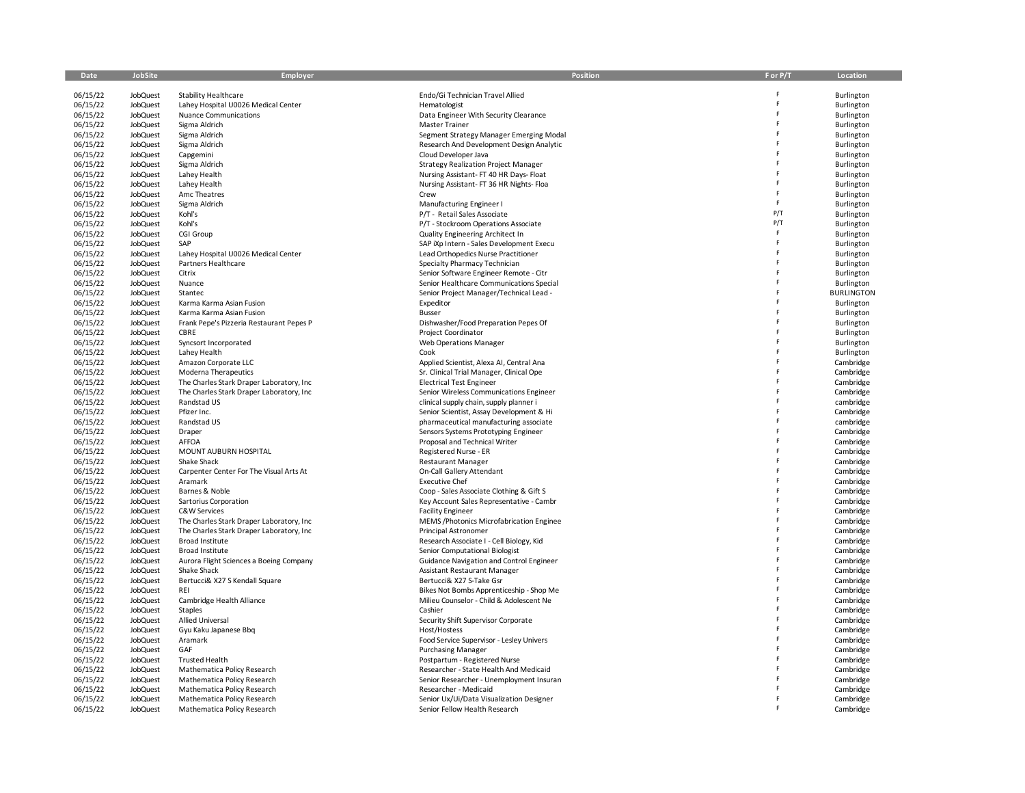| Date                 | JobSite                     | Employer                                                   | Position                                                                     | F or P/T | Location                 |
|----------------------|-----------------------------|------------------------------------------------------------|------------------------------------------------------------------------------|----------|--------------------------|
|                      |                             |                                                            |                                                                              |          |                          |
| 06/15/22             | <b>JobQuest</b>             | <b>Stability Healthcare</b>                                | Endo/Gi Technician Travel Allied                                             |          | Burlington               |
| 06/15/22             | JobQuest                    | Lahey Hospital U0026 Medical Center                        | Hematologist                                                                 | Þ        | Burlington               |
| 06/15/22             | JobQuest                    | <b>Nuance Communications</b>                               | Data Engineer With Security Clearance                                        | F        | Burlington               |
| 06/15/22             | <b>JobQuest</b>             | Sigma Aldrich                                              | <b>Master Trainer</b>                                                        | Ë        | Burlington               |
| 06/15/22             | <b>JobQuest</b>             | Sigma Aldrich                                              | Segment Strategy Manager Emerging Modal                                      | F.       | Burlington               |
| 06/15/22             | <b>JobQuest</b>             | Sigma Aldrich                                              | Research And Development Design Analytic                                     | F<br>Ė   | Burlington               |
| 06/15/22             | JobQuest                    | Capgemini                                                  | Cloud Developer Java                                                         |          | Burlington               |
| 06/15/22             | <b>JobQuest</b>             | Sigma Aldrich                                              | <b>Strategy Realization Project Manager</b>                                  | F        | Burlington               |
| 06/15/22             | <b>JobQuest</b>             | Lahey Health                                               | Nursing Assistant-FT 40 HR Days-Float                                        | F.       | Burlington               |
| 06/15/22             | JobQuest                    | Lahey Health                                               | Nursing Assistant-FT 36 HR Nights-Floa                                       | F        | Burlington               |
| 06/15/22             | JobQuest                    | Amc Theatres                                               | Crew                                                                         | F.       | Burlington               |
| 06/15/22             | <b>JobQuest</b>             | Sigma Aldrich                                              | Manufacturing Engineer I                                                     | P/T      | Burlington               |
| 06/15/22             | <b>JobQuest</b>             | Kohl's                                                     | P/T - Retail Sales Associate                                                 | P/T      | Burlington               |
| 06/15/22             | JobQuest                    | Kohl's<br>CGI Group                                        | P/T - Stockroom Operations Associate                                         | F        | Burlington               |
| 06/15/22<br>06/15/22 | JobQuest<br>JobQuest        | SAP                                                        | Quality Engineering Architect In<br>SAP iXp Intern - Sales Development Execu | F        | Burlington<br>Burlington |
| 06/15/22             | JobQuest                    | Lahey Hospital U0026 Medical Center                        | Lead Orthopedics Nurse Practitioner                                          | Ė        | Burlington               |
| 06/15/22             | JobQuest                    | Partners Healthcare                                        | Specialty Pharmacy Technician                                                | F        | Burlington               |
| 06/15/22             | <b>JobQuest</b>             | Citrix                                                     | Senior Software Engineer Remote - Citr                                       | F        | Burlington               |
| 06/15/22             | JobQuest                    | Nuance                                                     | Senior Healthcare Communications Special                                     | F.       | Burlington               |
| 06/15/22             | JobQuest                    | Stantec                                                    | Senior Project Manager/Technical Lead -                                      | Ė        | <b>BURLINGTON</b>        |
| 06/15/22             | JobQuest                    | Karma Karma Asian Fusion                                   | Expeditor                                                                    |          | Burlington               |
| 06/15/22             | JobQuest                    | Karma Karma Asian Fusion                                   | <b>Busser</b>                                                                | F        | Burlington               |
| 06/15/22             | JobQuest                    | Frank Pepe's Pizzeria Restaurant Pepes P                   | Dishwasher/Food Preparation Pepes Of                                         | Ė        | Burlington               |
| 06/15/22             | JobQuest                    | CBRE                                                       | Project Coordinator                                                          | F        | Burlington               |
| 06/15/22             | <b>JobQuest</b>             | Syncsort Incorporated                                      | <b>Web Operations Manager</b>                                                | Ė        | Burlington               |
| 06/15/22             | JobQuest                    | Lahey Health                                               | Cook                                                                         | Ė        | Burlington               |
| 06/15/22             | JobQuest                    | Amazon Corporate LLC                                       | Applied Scientist, Alexa AI, Central Ana                                     | Ė        | Cambridge                |
| 06/15/22             | JobQuest                    | Moderna Therapeutics                                       | Sr. Clinical Trial Manager, Clinical Ope                                     | Ė        | Cambridge                |
| 06/15/22             | JobQuest                    | The Charles Stark Draper Laboratory, Inc.                  | <b>Electrical Test Engineer</b>                                              | F        | Cambridge                |
| 06/15/22             | JobQuest                    | The Charles Stark Draper Laboratory, Inc.                  | Senior Wireless Communications Engineer                                      | Ë        | Cambridge                |
| 06/15/22             | <b>JobQuest</b>             | Randstad US                                                | clinical supply chain, supply planner i                                      | F        | cambridge                |
| 06/15/22             | <b>JobQuest</b>             | Pfizer Inc.                                                | Senior Scientist, Assay Development & Hi                                     | F        | Cambridge                |
| 06/15/22             | JobQuest                    | Randstad US                                                | pharmaceutical manufacturing associate                                       | F        | cambridge                |
| 06/15/22             | <b>JobQuest</b>             | Draper                                                     | Sensors Systems Prototyping Engineer                                         | F        | Cambridge                |
| 06/15/22             | <b>JobQuest</b>             | <b>AFFOA</b>                                               | Proposal and Technical Writer                                                | F        | Cambridge                |
| 06/15/22             | JobQuest                    | MOUNT AUBURN HOSPITAL                                      | Registered Nurse - ER                                                        | F        | Cambridge                |
| 06/15/22             | JobQuest                    | Shake Shack                                                | <b>Restaurant Manager</b>                                                    | F        | Cambridge                |
| 06/15/22             | <b>JobQuest</b>             | Carpenter Center For The Visual Arts At                    | On-Call Gallery Attendant                                                    | F.       | Cambridge                |
| 06/15/22             | <b>JobQuest</b>             | Aramark                                                    | <b>Executive Chef</b>                                                        | F        | Cambridge                |
| 06/15/22             | JobQuest                    | Barnes & Noble                                             | Coop - Sales Associate Clothing & Gift S                                     | F        | Cambridge                |
| 06/15/22             | <b>JobQuest</b>             | Sartorius Corporation                                      | Key Account Sales Representative - Cambr                                     | Ė        | Cambridge                |
| 06/15/22             | <b>JobQuest</b>             | C&W Services                                               | <b>Facility Engineer</b>                                                     | Ė        | Cambridge                |
| 06/15/22             | JobQuest                    | The Charles Stark Draper Laboratory, Inc                   | MEMS / Photonics Microfabrication Enginee                                    | F.       | Cambridge                |
| 06/15/22             | JobQuest                    | The Charles Stark Draper Laboratory, Inc                   | Principal Astronomer                                                         | F        | Cambridge                |
| 06/15/22             | JobQuest                    | Broad Institute                                            | Research Associate I - Cell Biology, Kid                                     | F        | Cambridge                |
| 06/15/22             | JobQuest                    | <b>Broad Institute</b>                                     | Senior Computational Biologist                                               | F        | Cambridge                |
| 06/15/22             | JobQuest                    | Aurora Flight Sciences a Boeing Company                    | Guidance Navigation and Control Engineer                                     | Ė        | Cambridge                |
| 06/15/22             | JobQuest                    | Shake Shack                                                | Assistant Restaurant Manager                                                 | F        | Cambridge                |
| 06/15/22             | JobQuest                    | Bertucci& X27 S Kendall Square                             | Bertucci& X27 S-Take Gsr                                                     | F        | Cambridge                |
| 06/15/22             | JobQuest                    | REI                                                        | Bikes Not Bombs Apprenticeship - Shop Me                                     | Ė        | Cambridge                |
| 06/15/22             | JobQuest                    | Cambridge Health Alliance                                  | Milieu Counselor - Child & Adolescent Ne                                     | F<br>Ė   | Cambridge                |
| 06/15/22             | JobQuest                    | Staples                                                    | Cashier                                                                      | F        | Cambridge                |
| 06/15/22             | JobQuest                    | Allied Universal                                           | Security Shift Supervisor Corporate                                          | Ė        | Cambridge                |
| 06/15/22             | JobQuest                    | Gyu Kaku Japanese Bbq                                      | Host/Hostess                                                                 |          | Cambridge                |
| 06/15/22             | <b>JobQuest</b>             | Aramark                                                    | Food Service Supervisor - Lesley Univers                                     | F        | Cambridge                |
| 06/15/22             | <b>JobQuest</b>             | GAF                                                        | <b>Purchasing Manager</b>                                                    | F        | Cambridge                |
| 06/15/22             | JobQuest                    | <b>Trusted Health</b>                                      | Postpartum - Registered Nurse                                                | F        | Cambridge                |
| 06/15/22             | <b>JobQuest</b>             | Mathematica Policy Research                                | Researcher - State Health And Medicaid                                       |          | Cambridge                |
| 06/15/22             | JobQuest                    | Mathematica Policy Research                                | Senior Researcher - Unemployment Insuran                                     |          | Cambridge                |
| 06/15/22             | JobQuest                    | Mathematica Policy Research<br>Mathematica Policy Research | Researcher - Medicaid                                                        |          | Cambridge                |
| 06/15/22<br>06/15/22 | <b>JobQuest</b><br>JobQuest | Mathematica Policy Research                                | Senior Ux/Ui/Data Visualization Designer<br>Senior Fellow Health Research    |          | Cambridge<br>Cambridge   |
|                      |                             |                                                            |                                                                              |          |                          |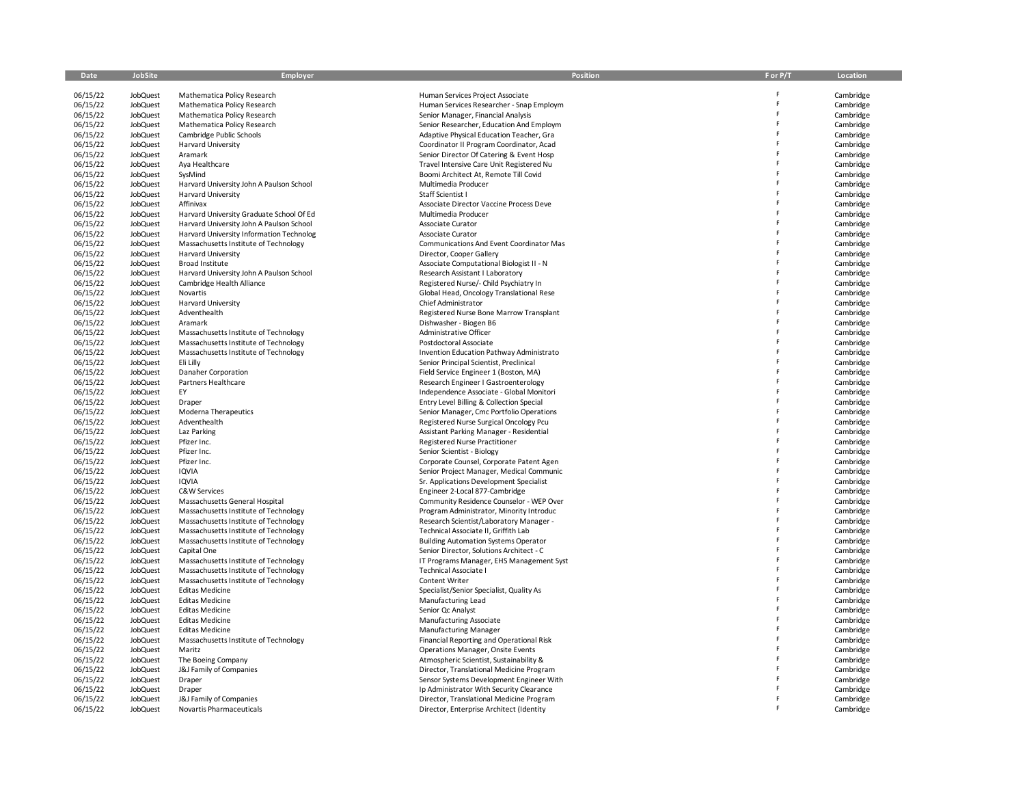| Date                 | <b>JobSite</b>              | Employer                                                                          | Position                                                                             | F or P/T | Location               |
|----------------------|-----------------------------|-----------------------------------------------------------------------------------|--------------------------------------------------------------------------------------|----------|------------------------|
| 06/15/22             | <b>JobQuest</b>             | Mathematica Policy Research                                                       | Human Services Project Associate                                                     |          | Cambridge              |
| 06/15/22             | JobQuest                    | Mathematica Policy Research                                                       | Human Services Researcher - Snap Employm                                             | F        | Cambridge              |
| 06/15/22             | JobQuest                    | Mathematica Policy Research                                                       | Senior Manager, Financial Analysis                                                   | Ė        | Cambridge              |
| 06/15/22             | JobQuest                    | Mathematica Policy Research                                                       | Senior Researcher, Education And Employm                                             | F        | Cambridge              |
| 06/15/22             | JobQuest                    | Cambridge Public Schools                                                          | Adaptive Physical Education Teacher, Gra                                             | Ė        | Cambridge              |
| 06/15/22             | JobQuest                    | Harvard University                                                                | Coordinator II Program Coordinator, Acad                                             | Ė        | Cambridge              |
| 06/15/22             | <b>JobQuest</b>             | Aramark                                                                           | Senior Director Of Catering & Event Hosp                                             |          | Cambridge              |
| 06/15/22             | JobQuest                    | Aya Healthcare                                                                    | Travel Intensive Care Unit Registered Nu                                             |          | Cambridge              |
| 06/15/22             | JobQuest                    | SysMind                                                                           | Boomi Architect At, Remote Till Covid                                                |          | Cambridge              |
| 06/15/22             | JobQuest                    | Harvard University John A Paulson School                                          | Multimedia Producer                                                                  |          | Cambridge              |
| 06/15/22             | <b>JobQuest</b>             | Harvard University                                                                | Staff Scientist I                                                                    | F        | Cambridge              |
| 06/15/22             | JobQuest                    | Affinivax                                                                         | Associate Director Vaccine Process Deve                                              | Ë        | Cambridge              |
| 06/15/22             | JobQuest                    | Harvard University Graduate School Of Ed                                          | Multimedia Producer                                                                  |          | Cambridge              |
| 06/15/22             | JobQuest<br>JobQuest        | Harvard University John A Paulson School                                          | Associate Curator                                                                    |          | Cambridge              |
| 06/15/22<br>06/15/22 | JobQuest                    | Harvard University Information Technolog<br>Massachusetts Institute of Technology | Associate Curator<br>Communications And Event Coordinator Mas                        |          | Cambridge<br>Cambridge |
| 06/15/22             | JobQuest                    | <b>Harvard University</b>                                                         | Director, Cooper Gallery                                                             |          | Cambridge              |
| 06/15/22             | JobQuest                    | Broad Institute                                                                   | Associate Computational Biologist II - N                                             | Ė        | Cambridge              |
| 06/15/22             | JobQuest                    | Harvard University John A Paulson School                                          | Research Assistant I Laboratory                                                      | Ė        | Cambridge              |
| 06/15/22             | JobQuest                    | Cambridge Health Alliance                                                         | Registered Nurse/- Child Psychiatry In                                               |          | Cambridge              |
| 06/15/22             | JobQuest                    | Novartis                                                                          | Global Head, Oncology Translational Rese                                             |          | Cambridge              |
| 06/15/22             | JobQuest                    | Harvard University                                                                | Chief Administrator                                                                  |          | Cambridge              |
| 06/15/22             | JobQuest                    | Adventhealth                                                                      | Registered Nurse Bone Marrow Transplant                                              |          | Cambridge              |
| 06/15/22             | JobQuest                    | Aramark                                                                           | Dishwasher - Biogen B6                                                               |          | Cambridge              |
| 06/15/22             | JobQuest                    | Massachusetts Institute of Technology                                             | Administrative Officer                                                               | Ė        | Cambridge              |
| 06/15/22             | JobQuest                    | Massachusetts Institute of Technology                                             | Postdoctoral Associate                                                               |          | Cambridge              |
| 06/15/22             | JobQuest                    | Massachusetts Institute of Technology                                             | Invention Education Pathway Administrato                                             |          | Cambridge              |
| 06/15/22             | JobQuest                    | Eli Lilly                                                                         | Senior Principal Scientist, Preclinical                                              |          | Cambridge              |
| 06/15/22             | JobQuest                    | Danaher Corporation                                                               | Field Service Engineer 1 (Boston, MA)                                                | Ë        | Cambridge              |
| 06/15/22             | JobQuest                    | Partners Healthcare<br>EY                                                         | Research Engineer I Gastroenterology                                                 |          | Cambridge              |
| 06/15/22<br>06/15/22 | JobQuest<br>JobQuest        | Draper                                                                            | Independence Associate - Global Monitori<br>Entry Level Billing & Collection Special | Ë        | Cambridge<br>Cambridge |
| 06/15/22             | JobQuest                    | Moderna Therapeutics                                                              | Senior Manager, Cmc Portfolio Operations                                             | F        | Cambridge              |
| 06/15/22             | JobQuest                    | Adventhealth                                                                      | Registered Nurse Surgical Oncology Pcu                                               |          | Cambridge              |
| 06/15/22             | <b>JobQuest</b>             | Laz Parking                                                                       | Assistant Parking Manager - Residential                                              |          | Cambridge              |
| 06/15/22             | JobQuest                    | Pfizer Inc.                                                                       | Registered Nurse Practitioner                                                        |          | Cambridge              |
| 06/15/22             | JobQuest                    | Pfizer Inc.                                                                       | Senior Scientist - Biology                                                           | Ë        | Cambridge              |
| 06/15/22             | JobQuest                    | Pfizer Inc.                                                                       | Corporate Counsel, Corporate Patent Agen                                             |          | Cambridge              |
| 06/15/22             | JobQuest                    | IQVIA                                                                             | Senior Project Manager, Medical Communic                                             | Ė        | Cambridge              |
| 06/15/22             | JobQuest                    | <b>IQVIA</b>                                                                      | Sr. Applications Development Specialist                                              |          | Cambridge              |
| 06/15/22             | JobQuest                    | C&W Services                                                                      | Engineer 2-Local 877-Cambridge                                                       |          | Cambridge              |
| 06/15/22             | JobQuest                    | Massachusetts General Hospital                                                    | Community Residence Counselor - WEP Over                                             |          | Cambridge              |
| 06/15/22             | JobQuest                    | Massachusetts Institute of Technology                                             | Program Administrator, Minority Introduc                                             | Ë        | Cambridge              |
| 06/15/22<br>06/15/22 | JobQuest<br>JobQuest        | Massachusetts Institute of Technology<br>Massachusetts Institute of Technology    | Research Scientist/Laboratory Manager -<br>Technical Associate II, Griffith Lab      |          | Cambridge<br>Cambridge |
| 06/15/22             | JobQuest                    | Massachusetts Institute of Technology                                             | <b>Building Automation Systems Operator</b>                                          | Ë        | Cambridge              |
| 06/15/22             | <b>JobQuest</b>             | Capital One                                                                       | Senior Director, Solutions Architect - C                                             |          | Cambridge              |
| 06/15/22             | JobQuest                    | Massachusetts Institute of Technology                                             | IT Programs Manager, EHS Management Syst                                             |          | Cambridge              |
| 06/15/22             | JobQuest                    | Massachusetts Institute of Technology                                             | <b>Technical Associate I</b>                                                         |          | Cambridge              |
| 06/15/22             | JobQuest                    | Massachusetts Institute of Technology                                             | Content Writer                                                                       |          | Cambridge              |
| 06/15/22             | JobQuest                    | <b>Editas Medicine</b>                                                            | Specialist/Senior Specialist, Quality As                                             | p        | Cambridge              |
| 06/15/22             | <b>JobQuest</b>             | <b>Editas Medicine</b>                                                            | Manufacturing Lead                                                                   |          | Cambridge              |
| 06/15/22             | JobQuest                    | <b>Editas Medicine</b>                                                            | Senior Qc Analyst                                                                    |          | Cambridge              |
| 06/15/22             | <b>JobQuest</b>             | <b>Editas Medicine</b>                                                            | Manufacturing Associate                                                              |          | Cambridge              |
| 06/15/22             | JobQuest                    | <b>Editas Medicine</b>                                                            | <b>Manufacturing Manager</b>                                                         |          | Cambridge              |
| 06/15/22             | <b>JobQuest</b>             | Massachusetts Institute of Technology                                             | Financial Reporting and Operational Risk                                             |          | Cambridge              |
| 06/15/22<br>06/15/22 | <b>JobQuest</b><br>JobQuest | Maritz                                                                            | Operations Manager, Onsite Events                                                    |          | Cambridge<br>Cambridge |
| 06/15/22             | JobQuest                    | The Boeing Company<br>J&J Family of Companies                                     | Atmospheric Scientist, Sustainability &<br>Director, Translational Medicine Program  |          | Cambridge              |
| 06/15/22             | JobQuest                    | Draper                                                                            | Sensor Systems Development Engineer With                                             |          | Cambridge              |
| 06/15/22             | JobQuest                    | Draper                                                                            | Ip Administrator With Security Clearance                                             |          | Cambridge              |
| 06/15/22             | JobQuest                    | J&J Family of Companies                                                           | Director, Translational Medicine Program                                             |          | Cambridge              |
| 06/15/22             | <b>JobQuest</b>             | Novartis Pharmaceuticals                                                          | Director, Enterprise Architect (Identity                                             |          | Cambridge              |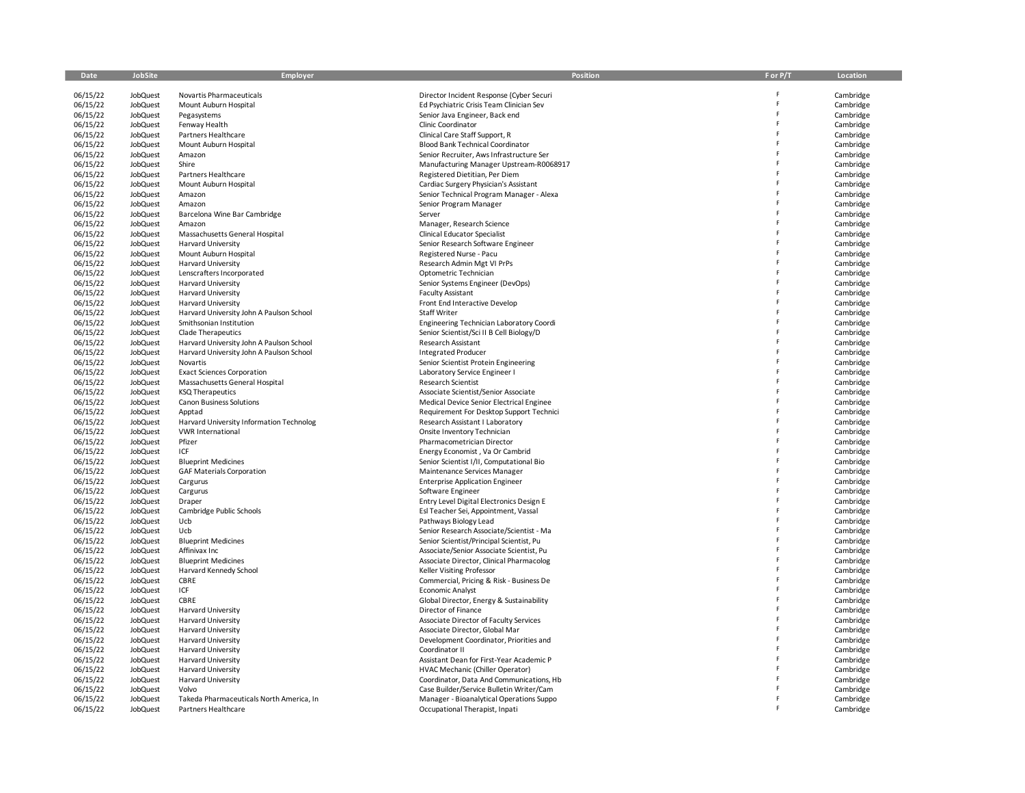| Date                 | JobSite                            | Employer                                                             | Position                                                        | F or P/T | Location               |
|----------------------|------------------------------------|----------------------------------------------------------------------|-----------------------------------------------------------------|----------|------------------------|
| 06/15/22             | JobQuest                           | Novartis Pharmaceuticals                                             | Director Incident Response (Cyber Securi                        |          | Cambridge              |
| 06/15/22             | <b>JobQuest</b>                    | Mount Auburn Hospital                                                | Ed Psychiatric Crisis Team Clinician Sev                        | Ë        | Cambridge              |
| 06/15/22             | <b>JobQuest</b>                    | Pegasystems                                                          | Senior Java Engineer, Back end                                  | Ė        | Cambridge              |
| 06/15/22             | <b>JobQuest</b>                    | Fenway Health                                                        | Clinic Coordinator                                              | Ë        | Cambridge              |
| 06/15/22             | JobQuest                           | Partners Healthcare                                                  | Clinical Care Staff Support, R                                  |          | Cambridge              |
| 06/15/22             | <b>JobQuest</b>                    | Mount Auburn Hospital                                                | Blood Bank Technical Coordinator                                | Ë        | Cambridge              |
| 06/15/22             | <b>JobQuest</b>                    | Amazon                                                               | Senior Recruiter, Aws Infrastructure Ser                        |          | Cambridge              |
| 06/15/22             | <b>JobQuest</b>                    | Shire                                                                | Manufacturing Manager Upstream-R0068917                         |          | Cambridge              |
| 06/15/22             | <b>JobQuest</b>                    | Partners Healthcare                                                  | Registered Dietitian, Per Diem                                  |          | Cambridge              |
| 06/15/22             | <b>JobQuest</b>                    | Mount Auburn Hospital                                                | Cardiac Surgery Physician's Assistant                           |          | Cambridge              |
| 06/15/22             | JobQuest                           | Amazon                                                               | Senior Technical Program Manager - Alexa                        |          | Cambridge              |
| 06/15/22             | <b>JobQuest</b>                    | Amazon                                                               | Senior Program Manager                                          |          | Cambridge              |
| 06/15/22             | JobQuest                           | Barcelona Wine Bar Cambridge                                         | Server                                                          |          | Cambridge              |
| 06/15/22             | <b>JobQuest</b>                    | Amazon                                                               | Manager, Research Science                                       |          | Cambridge              |
| 06/15/22             | JobQuest                           | Massachusetts General Hospital                                       | <b>Clinical Educator Specialist</b>                             |          | Cambridge              |
| 06/15/22             | <b>JobQuest</b><br><b>JobQuest</b> | <b>Harvard University</b><br>Mount Auburn Hospital                   | Senior Research Software Engineer<br>Registered Nurse - Pacu    |          | Cambridge<br>Cambridge |
| 06/15/22<br>06/15/22 | <b>JobQuest</b>                    | Harvard University                                                   | Research Admin Mgt VI PrPs                                      |          | Cambridge              |
| 06/15/22             | <b>JobQuest</b>                    | Lenscrafters Incorporated                                            | Optometric Technician                                           |          | Cambridge              |
| 06/15/22             | <b>JobQuest</b>                    | Harvard University                                                   | Senior Systems Engineer (DevOps)                                |          | Cambridge              |
| 06/15/22             | <b>JobQuest</b>                    | Harvard University                                                   | <b>Faculty Assistant</b>                                        |          | Cambridge              |
| 06/15/22             | JobQuest                           | Harvard University                                                   | Front End Interactive Develop                                   |          | Cambridge              |
| 06/15/22             | <b>JobQuest</b>                    | Harvard University John A Paulson School                             | <b>Staff Writer</b>                                             |          | Cambridge              |
| 06/15/22             | <b>JobQuest</b>                    | Smithsonian Institution                                              | Engineering Technician Laboratory Coordi                        |          | Cambridge              |
| 06/15/22             | <b>JobQuest</b>                    | Clade Therapeutics                                                   | Senior Scientist/Sci II B Cell Biology/D                        |          | Cambridge              |
| 06/15/22             | JobQuest                           | Harvard University John A Paulson School                             | Research Assistant                                              |          | Cambridge              |
| 06/15/22             | JobQuest                           | Harvard University John A Paulson School                             | <b>Integrated Producer</b>                                      |          | Cambridge              |
| 06/15/22             | JobQuest                           | Novartis                                                             | Senior Scientist Protein Engineering                            |          | Cambridge              |
| 06/15/22             | <b>JobQuest</b>                    | <b>Exact Sciences Corporation</b>                                    | Laboratory Service Engineer I                                   |          | Cambridge              |
| 06/15/22             | JobQuest                           | Massachusetts General Hospital                                       | Research Scientist                                              |          | Cambridge              |
| 06/15/22             | <b>JobQuest</b>                    | <b>KSQ Therapeutics</b>                                              | Associate Scientist/Senior Associate                            |          | Cambridge              |
| 06/15/22             | JobQuest                           | <b>Canon Business Solutions</b>                                      | Medical Device Senior Electrical Enginee                        |          | Cambridge              |
| 06/15/22             | JobQuest                           | Apptad                                                               | Requirement For Desktop Support Technici                        |          | Cambridge              |
| 06/15/22             | <b>JobQuest</b><br><b>JobQuest</b> | Harvard University Information Technolog<br><b>VWR International</b> | Research Assistant I Laboratory                                 |          | Cambridge              |
| 06/15/22<br>06/15/22 | <b>JobQuest</b>                    | Pfizer                                                               | Onsite Inventory Technician<br>Pharmacometrician Director       |          | Cambridge<br>Cambridge |
| 06/15/22             | JobQuest                           | ICF                                                                  | Energy Economist, Va Or Cambrid                                 |          | Cambridge              |
| 06/15/22             | <b>JobQuest</b>                    | <b>Blueprint Medicines</b>                                           | Senior Scientist I/II, Computational Bio                        |          | Cambridge              |
| 06/15/22             | JobQuest                           | <b>GAF Materials Corporation</b>                                     | Maintenance Services Manager                                    |          | Cambridge              |
| 06/15/22             | <b>JobQuest</b>                    | Cargurus                                                             | <b>Enterprise Application Engineer</b>                          |          | Cambridge              |
| 06/15/22             | <b>JobQuest</b>                    | Cargurus                                                             | Software Engineer                                               |          | Cambridge              |
| 06/15/22             | <b>JobQuest</b>                    | Draper                                                               | Entry Level Digital Electronics Design E                        |          | Cambridge              |
| 06/15/22             | <b>JobQuest</b>                    | Cambridge Public Schools                                             | Esl Teacher Sei, Appointment, Vassal                            |          | Cambridge              |
| 06/15/22             | <b>JobQuest</b>                    | Ucb                                                                  | Pathways Biology Lead                                           |          | Cambridge              |
| 06/15/22             | <b>JobQuest</b>                    | Ucb                                                                  | Senior Research Associate/Scientist - Ma                        |          | Cambridge              |
| 06/15/22             | <b>JobQuest</b>                    | <b>Blueprint Medicines</b>                                           | Senior Scientist/Principal Scientist, Pu                        |          | Cambridge              |
| 06/15/22             | <b>JobQuest</b>                    | Affinivax Inc                                                        | Associate/Senior Associate Scientist, Pu                        |          | Cambridge              |
| 06/15/22             | <b>JobQuest</b>                    | <b>Blueprint Medicines</b>                                           | Associate Director, Clinical Pharmacolog                        |          | Cambridge              |
| 06/15/22             | <b>JobQuest</b>                    | Harvard Kennedy School                                               | <b>Keller Visiting Professor</b>                                |          | Cambridge              |
| 06/15/22             | <b>JobQuest</b>                    | <b>CBRE</b>                                                          | Commercial, Pricing & Risk - Business De                        |          | Cambridge              |
| 06/15/22             | JobQuest                           | ICF<br><b>CBRE</b>                                                   | <b>Economic Analyst</b>                                         |          | Cambridge              |
| 06/15/22<br>06/15/22 | <b>JobQuest</b><br><b>JobQuest</b> | Harvard University                                                   | Global Director, Energy & Sustainability<br>Director of Finance |          | Cambridge<br>Cambridge |
| 06/15/22             | <b>JobQuest</b>                    | Harvard University                                                   | Associate Director of Faculty Services                          |          | Cambridge              |
| 06/15/22             | <b>JobQuest</b>                    | Harvard University                                                   | Associate Director, Global Mar                                  |          | Cambridge              |
| 06/15/22             | <b>JobQuest</b>                    | Harvard University                                                   | Development Coordinator, Priorities and                         |          | Cambridge              |
| 06/15/22             | <b>JobQuest</b>                    | Harvard University                                                   | Coordinator II                                                  |          | Cambridge              |
| 06/15/22             | <b>JobQuest</b>                    | Harvard University                                                   | Assistant Dean for First-Year Academic P                        |          | Cambridge              |
| 06/15/22             | <b>JobQuest</b>                    | Harvard University                                                   | HVAC Mechanic (Chiller Operator)                                |          | Cambridge              |
| 06/15/22             | <b>JobQuest</b>                    | <b>Harvard University</b>                                            | Coordinator, Data And Communications, Hb                        |          | Cambridge              |
| 06/15/22             | <b>JobQuest</b>                    | Volvo                                                                | Case Builder/Service Bulletin Writer/Cam                        |          | Cambridge              |
| 06/15/22             | JobQuest                           | Takeda Pharmaceuticals North America, In                             | Manager - Bioanalytical Operations Suppo                        |          | Cambridge              |
| 06/15/22             | JobQuest                           | Partners Healthcare                                                  | Occupational Therapist, Inpati                                  |          | Cambridge              |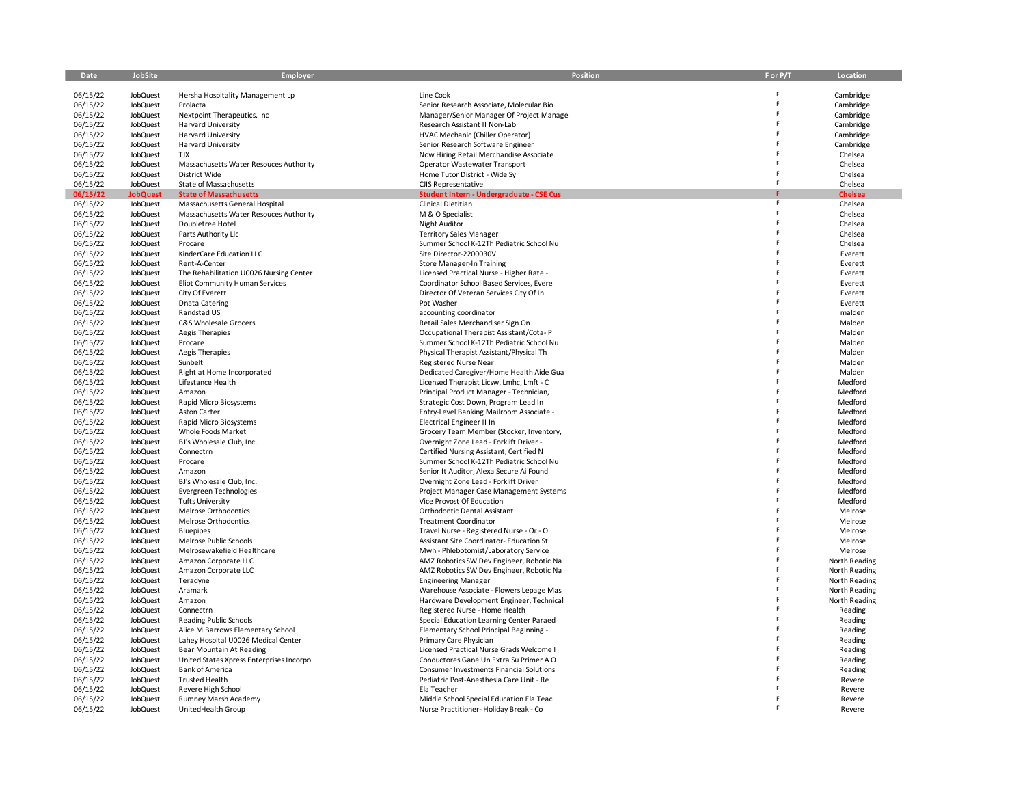| Date     | <b>JobSite</b>  | <b>Employer</b>                          | Position                                        | F or P/T | Location       |
|----------|-----------------|------------------------------------------|-------------------------------------------------|----------|----------------|
|          |                 |                                          |                                                 |          |                |
| 06/15/22 | JobQuest        | Hersha Hospitality Management Lp         | Line Cook                                       |          | Cambridge      |
| 06/15/22 | JobQuest        | Prolacta                                 | Senior Research Associate, Molecular Bio        |          | Cambridge      |
| 06/15/22 | JobQuest        | Nextpoint Therapeutics, Inc.             | Manager/Senior Manager Of Project Manage        |          | Cambridge      |
| 06/15/22 | JobQuest        | Harvard University                       | Research Assistant II Non-Lab                   |          | Cambridge      |
| 06/15/22 | JobQuest        | Harvard University                       | HVAC Mechanic (Chiller Operator)                |          | Cambridge      |
|          | JobQuest        | Harvard University                       | Senior Research Software Engineer               |          | Cambridge      |
| 06/15/22 |                 | <b>TJX</b>                               | Now Hiring Retail Merchandise Associate         |          |                |
| 06/15/22 | <b>JobQuest</b> |                                          |                                                 |          | Chelsea        |
| 06/15/22 | JobQuest        | Massachusetts Water Resouces Authority   | Operator Wastewater Transport                   |          | Chelsea        |
| 06/15/22 | <b>JobQuest</b> | District Wide                            | Home Tutor District - Wide Sy                   |          | Chelsea        |
| 06/15/22 | JobQuest        | State of Massachusetts                   | CJIS Representative                             | F        | Chelsea        |
| 06/15/22 | <b>JobQuest</b> | <b>State of Massachusetts</b>            | Student Intern - Undergraduate - CSE Cus        |          | <b>Chelsea</b> |
| 06/15/22 | JobQuest        | Massachusetts General Hospital           | Clinical Dietitian                              | F        | Chelsea        |
| 06/15/22 | JobQuest        | Massachusetts Water Resouces Authority   | M & O Specialist                                |          | Chelsea        |
| 06/15/22 | JobQuest        | Doubletree Hotel                         | Night Auditor                                   |          | Chelsea        |
| 06/15/22 | JobQuest        | Parts Authority Llc                      | <b>Territory Sales Manager</b>                  |          | Chelsea        |
| 06/15/22 | JobQuest        | Procare                                  | Summer School K-12Th Pediatric School Nu        |          | Chelsea        |
| 06/15/22 | JobQuest        | KinderCare Education LLC                 | Site Director-2200030V                          |          | Everett        |
| 06/15/22 | JobQuest        | Rent-A-Center                            | <b>Store Manager-In Training</b>                |          | Everett        |
| 06/15/22 | JobQuest        | The Rehabilitation U0026 Nursing Center  | Licensed Practical Nurse - Higher Rate -        |          | Everett        |
| 06/15/22 | JobQuest        | Eliot Community Human Services           | Coordinator School Based Services, Evere        |          | Everett        |
| 06/15/22 | JobQuest        | City Of Everett                          | Director Of Veteran Services City Of In         |          | Everett        |
| 06/15/22 | JobQuest        | <b>Dnata Catering</b>                    | Pot Washer                                      |          | Everett        |
| 06/15/22 | <b>JobQuest</b> | Randstad US                              | accounting coordinator                          |          | malden         |
| 06/15/22 | JobQuest        | C&S Wholesale Grocers                    | Retail Sales Merchandiser Sign On               |          | Malden         |
| 06/15/22 | JobQuest        | Aegis Therapies                          | Occupational Therapist Assistant/Cota-P         |          | Malden         |
|          |                 |                                          |                                                 |          |                |
| 06/15/22 | <b>JobQuest</b> | Procare                                  | Summer School K-12Th Pediatric School Nu        |          | Malden         |
| 06/15/22 | JobQuest        | Aegis Therapies                          | Physical Therapist Assistant/Physical Th        |          | Malden         |
| 06/15/22 | JobQuest        | Sunbelt                                  | Registered Nurse Near                           |          | Malden         |
| 06/15/22 | JobQuest        | Right at Home Incorporated               | Dedicated Caregiver/Home Health Aide Gua        |          | Malden         |
| 06/15/22 | JobQuest        | Lifestance Health                        | Licensed Therapist Licsw, Lmhc, Lmft - C        |          | Medford        |
| 06/15/22 | JobQuest        | Amazon                                   | Principal Product Manager - Technician,         |          | Medford        |
| 06/15/22 | JobQuest        | Rapid Micro Biosystems                   | Strategic Cost Down, Program Lead In            |          | Medford        |
| 06/15/22 | <b>JobQuest</b> | Aston Carter                             | Entry-Level Banking Mailroom Associate -        |          | Medford        |
| 06/15/22 | <b>JobQuest</b> | Rapid Micro Biosystems                   | Electrical Engineer II In                       |          | Medford        |
| 06/15/22 | JobQuest        | Whole Foods Market                       | Grocery Team Member (Stocker, Inventory,        |          | Medford        |
| 06/15/22 | JobQuest        | BJ's Wholesale Club, Inc.                | Overnight Zone Lead - Forklift Driver -         |          | Medford        |
| 06/15/22 | <b>JobQuest</b> | Connectrn                                | Certified Nursing Assistant, Certified N        |          | Medford        |
| 06/15/22 | JobQuest        | Procare                                  | Summer School K-12Th Pediatric School Nu        |          | Medford        |
| 06/15/22 | <b>JobQuest</b> | Amazon                                   | Senior It Auditor, Alexa Secure Ai Found        |          | Medford        |
| 06/15/22 | JobQuest        | BJ's Wholesale Club, Inc.                | Overnight Zone Lead - Forklift Driver           |          | Medford        |
| 06/15/22 | JobQuest        | Evergreen Technologies                   | Project Manager Case Management Systems         |          | Medford        |
| 06/15/22 | JobQuest        | <b>Tufts University</b>                  | Vice Provost Of Education                       |          | Medford        |
| 06/15/22 | JobQuest        | Melrose Orthodontics                     | Orthodontic Dental Assistant                    |          | Melrose        |
| 06/15/22 | JobQuest        | Melrose Orthodontics                     | <b>Treatment Coordinator</b>                    |          | Melrose        |
| 06/15/22 | JobQuest        | Bluepipes                                | Travel Nurse - Registered Nurse - Or - O        |          | Melrose        |
| 06/15/22 | JobQuest        | Melrose Public Schools                   | Assistant Site Coordinator- Education St        |          | Melrose        |
| 06/15/22 | JobQuest        | Melrosewakefield Healthcare              | Mwh - Phlebotomist/Laboratory Service           | F        | Melrose        |
| 06/15/22 | JobQuest        | Amazon Corporate LLC                     | AMZ Robotics SW Dev Engineer, Robotic Na        |          | North Reading  |
| 06/15/22 | JobQuest        | Amazon Corporate LLC                     | AMZ Robotics SW Dev Engineer, Robotic Na        |          | North Reading  |
| 06/15/22 | JobQuest        | Teradyne                                 | <b>Engineering Manager</b>                      |          | North Reading  |
| 06/15/22 | JobQuest        | Aramark                                  |                                                 |          | North Reading  |
|          |                 |                                          | Warehouse Associate - Flowers Lepage Mas        |          |                |
| 06/15/22 | <b>JobQuest</b> | Amazon                                   | Hardware Development Engineer, Technical        |          | North Reading  |
| 06/15/22 | JobQuest        | Connectrn                                | Registered Nurse - Home Health                  |          | Reading        |
| 06/15/22 | JobQuest        | Reading Public Schools                   | Special Education Learning Center Paraed        |          | Reading        |
| 06/15/22 | <b>JobQuest</b> | Alice M Barrows Elementary School        | Elementary School Principal Beginning -         |          | Reading        |
| 06/15/22 | JobQuest        | Lahey Hospital U0026 Medical Center      | Primary Care Physician                          |          | Reading        |
| 06/15/22 | JobQuest        | Bear Mountain At Reading                 | Licensed Practical Nurse Grads Welcome I        |          | Reading        |
| 06/15/22 | JobQuest        | United States Xpress Enterprises Incorpo | Conductores Gane Un Extra Su Primer A O         |          | Reading        |
| 06/15/22 | JobQuest        | <b>Bank of America</b>                   | <b>Consumer Investments Financial Solutions</b> |          | Reading        |
| 06/15/22 | JobQuest        | <b>Trusted Health</b>                    | Pediatric Post-Anesthesia Care Unit - Re        |          | Revere         |
| 06/15/22 | JobQuest        | Revere High School                       | Ela Teacher                                     |          | Revere         |
| 06/15/22 | <b>JobQuest</b> | Rumney Marsh Academy                     | Middle School Special Education Ela Teac        |          | Revere         |
| 06/15/22 | JobQuest        | UnitedHealth Group                       | Nurse Practitioner- Holiday Break - Co          |          | Revere         |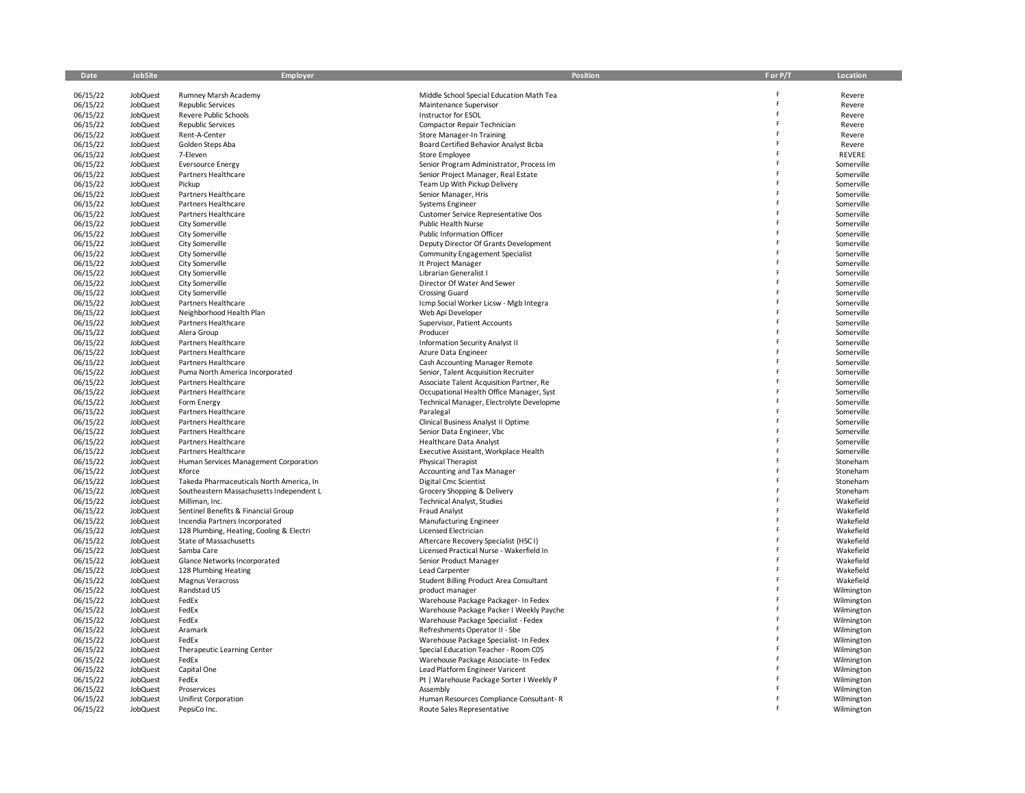| Date                 | <b>JobSite</b>              | Employer                                                              | Position                                                                    | F or P/T | Location                 |
|----------------------|-----------------------------|-----------------------------------------------------------------------|-----------------------------------------------------------------------------|----------|--------------------------|
| 06/15/22             | <b>JobQuest</b>             | Rumney Marsh Academy                                                  | Middle School Special Education Math Tea                                    |          | Revere                   |
| 06/15/22             | <b>JobQuest</b>             | <b>Republic Services</b>                                              | Maintenance Supervisor                                                      | F        | Revere                   |
| 06/15/22             | JobQuest                    | Revere Public Schools                                                 | Instructor for ESOL                                                         | F        | Revere                   |
| 06/15/22             | JobQuest                    | <b>Republic Services</b>                                              | Compactor Repair Technician                                                 | F        | Revere                   |
| 06/15/22             | JobQuest                    | Rent-A-Center                                                         | <b>Store Manager-In Training</b>                                            |          | Revere                   |
| 06/15/22             | JobQuest                    | Golden Steps Aba                                                      | Board Certified Behavior Analyst Bcba                                       | F        | Revere                   |
| 06/15/22             | JobQuest                    | 7-Eleven                                                              | Store Employee                                                              |          | <b>REVERE</b>            |
| 06/15/22             | JobQuest                    | <b>Eversource Energy</b>                                              | Senior Program Administrator, Process Im                                    |          | Somerville               |
| 06/15/22             | JobQuest                    | Partners Healthcare                                                   | Senior Project Manager, Real Estate                                         | p        | Somerville               |
| 06/15/22<br>06/15/22 | <b>JobQuest</b><br>JobQuest | Pickup                                                                | Team Up With Pickup Delivery                                                | Ė        | Somerville               |
| 06/15/22             | JobQuest                    | Partners Healthcare<br>Partners Healthcare                            | Senior Manager, Hris<br><b>Systems Engineer</b>                             |          | Somerville<br>Somerville |
| 06/15/22             | JobQuest                    | Partners Healthcare                                                   | Customer Service Representative Oos                                         |          | Somerville               |
| 06/15/22             | JobQuest                    | City Somerville                                                       | <b>Public Health Nurse</b>                                                  |          | Somerville               |
| 06/15/22             | JobQuest                    | City Somerville                                                       | <b>Public Information Officer</b>                                           |          | Somerville               |
| 06/15/22             | <b>JobQuest</b>             | City Somerville                                                       | Deputy Director Of Grants Development                                       | Ë        | Somerville               |
| 06/15/22             | JobQuest                    | City Somerville                                                       | <b>Community Engagement Specialist</b>                                      | Ė        | Somerville               |
| 06/15/22             | JobQuest                    | City Somerville                                                       | It Project Manager                                                          | F        | Somerville               |
| 06/15/22             | <b>JobQuest</b>             | City Somerville                                                       | <b>Librarian Generalist I</b>                                               | F        | Somerville               |
| 06/15/22             | JobQuest                    | City Somerville                                                       | Director Of Water And Sewer                                                 |          | Somerville               |
| 06/15/22             | JobQuest                    | City Somerville                                                       | Crossing Guard                                                              |          | Somerville               |
| 06/15/22             | JobQuest                    | Partners Healthcare                                                   | Icmp Social Worker Licsw - Mgb Integra                                      |          | Somerville               |
| 06/15/22             | JobQuest                    | Neighborhood Health Plan                                              | Web Api Developer                                                           | p        | Somerville               |
| 06/15/22             | <b>JobQuest</b>             | Partners Healthcare                                                   | Supervisor, Patient Accounts                                                |          | Somerville               |
| 06/15/22             | JobQuest                    | Alera Group                                                           | Producer                                                                    | Ė        | Somerville               |
| 06/15/22<br>06/15/22 | JobQuest                    | Partners Healthcare<br>Partners Healthcare                            | <b>Information Security Analyst II</b>                                      |          | Somerville<br>Somerville |
| 06/15/22             | <b>JobQuest</b><br>JobQuest | Partners Healthcare                                                   | Azure Data Engineer<br>Cash Accounting Manager Remote                       |          | Somerville               |
| 06/15/22             | JobQuest                    | Puma North America Incorporated                                       | Senior, Talent Acquisition Recruiter                                        |          | Somerville               |
| 06/15/22             | JobQuest                    | Partners Healthcare                                                   | Associate Talent Acquisition Partner, Re                                    |          | Somerville               |
| 06/15/22             | JobQuest                    | Partners Healthcare                                                   | Occupational Health Office Manager, Syst                                    |          | Somerville               |
| 06/15/22             | JobQuest                    | Form Energy                                                           | Technical Manager, Electrolyte Developme                                    |          | Somerville               |
| 06/15/22             | JobQuest                    | Partners Healthcare                                                   | Paralegal                                                                   | F        | Somerville               |
| 06/15/22             | <b>JobQuest</b>             | Partners Healthcare                                                   | Clinical Business Analyst II Optime                                         |          | Somerville               |
| 06/15/22             | <b>JobQuest</b>             | Partners Healthcare                                                   | Senior Data Engineer, Vbc                                                   |          | Somerville               |
| 06/15/22             | JobQuest                    | <b>Partners Healthcare</b>                                            | <b>Healthcare Data Analyst</b>                                              |          | Somerville               |
| 06/15/22             | JobQuest                    | Partners Healthcare                                                   | Executive Assistant, Workplace Health                                       |          | Somerville               |
| 06/15/22             | JobQuest                    | Human Services Management Corporation                                 | Physical Therapist                                                          | F        | Stoneham                 |
| 06/15/22             | JobQuest                    | Kforce                                                                | Accounting and Tax Manager                                                  |          | Stoneham                 |
| 06/15/22             | JobQuest                    | Takeda Pharmaceuticals North America, In                              | Digital Cmc Scientist                                                       | Ė        | Stoneham                 |
| 06/15/22             | <b>JobQuest</b>             | Southeastern Massachusetts Independent L                              | Grocery Shopping & Delivery                                                 |          | Stoneham                 |
| 06/15/22             | JobQuest                    | Milliman, Inc.                                                        | <b>Technical Analyst, Studies</b>                                           |          | Wakefield                |
| 06/15/22<br>06/15/22 | JobQuest<br><b>JobQuest</b> | Sentinel Benefits & Financial Group<br>Incendia Partners Incorporated | Fraud Analyst                                                               | Ė        | Wakefield<br>Wakefield   |
| 06/15/22             | JobQuest                    | 128 Plumbing, Heating, Cooling & Electri                              | Manufacturing Engineer<br>Licensed Electrician                              | F        | Wakefield                |
| 06/15/22             | JobQuest                    | State of Massachusetts                                                | Aftercare Recovery Specialist (HSCI)                                        |          | Wakefield                |
| 06/15/22             | JobQuest                    | Samba Care                                                            | Licensed Practical Nurse - Wakerfield In                                    |          | Wakefield                |
| 06/15/22             | JobQuest                    | Glance Networks Incorporated                                          | Senior Product Manager                                                      |          | Wakefield                |
| 06/15/22             | <b>JobQuest</b>             | 128 Plumbing Heating                                                  | Lead Carpenter                                                              |          | Wakefield                |
| 06/15/22             | JobQuest                    | <b>Magnus Veracross</b>                                               | Student Billing Product Area Consultant                                     | Ë        | Wakefield                |
| 06/15/22             | JobQuest                    | Randstad US                                                           | product manager                                                             | F        | Wilmington               |
| 06/15/22             | JobQuest                    | FedEx                                                                 | Warehouse Package Packager- In Fedex                                        | Ė        | Wilmington               |
| 06/15/22             | JobQuest                    | FedEx                                                                 | Warehouse Package Packer I Weekly Payche                                    |          | Wilmington               |
| 06/15/22             | JobQuest                    | FedEx                                                                 | Warehouse Package Specialist - Fedex                                        | Ë        | Wilmington               |
| 06/15/22             | JobQuest                    | Aramark                                                               | Refreshments Operator II - Sbe                                              |          | Wilmington               |
| 06/15/22             | JobQuest                    | FedEx                                                                 | Warehouse Package Specialist- In Fedex                                      | Ë        | Wilmington               |
| 06/15/22             | JobQuest                    | Therapeutic Learning Center                                           | Special Education Teacher - Room C05                                        | Ė        | Wilmington               |
| 06/15/22<br>06/15/22 | <b>JobQuest</b><br>JobQuest | FedEx                                                                 | Warehouse Package Associate- In Fedex                                       | F        | Wilmington               |
| 06/15/22             | JobQuest                    | Capital One<br>FedEx                                                  | Lead Platform Engineer Varicent<br>Pt   Warehouse Package Sorter I Weekly P |          | Wilmington<br>Wilmington |
| 06/15/22             | <b>JobQuest</b>             | Proservices                                                           | Assembly                                                                    |          | Wilmington               |
| 06/15/22             | JobQuest                    | Unifirst Corporation                                                  | Human Resources Compliance Consultant-R                                     |          | Wilmington               |
| 06/15/22             | JobQuest                    | PepsiCo Inc.                                                          | Route Sales Representative                                                  |          | Wilmington               |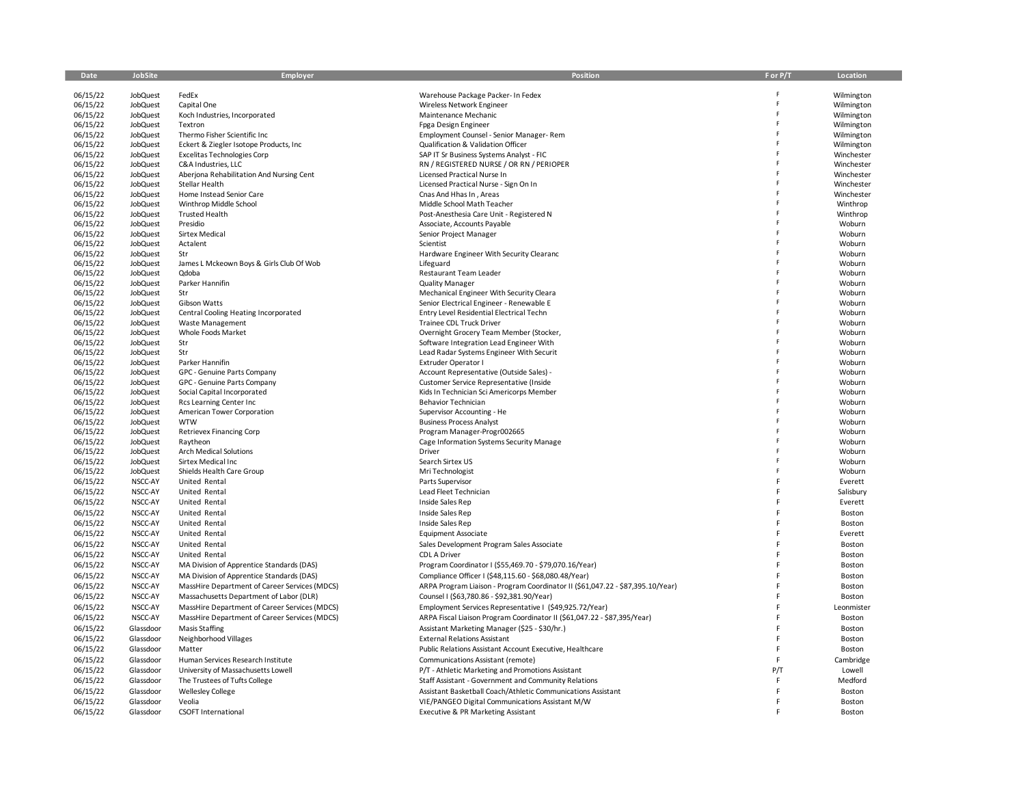| Date                 | JobSite              | Employer                                              | Position                                                                       | F or P/T | Location         |
|----------------------|----------------------|-------------------------------------------------------|--------------------------------------------------------------------------------|----------|------------------|
| 06/15/22             | JobQuest             | FedEx                                                 | Warehouse Package Packer- In Fedex                                             |          | Wilmington       |
| 06/15/22             | <b>JobQuest</b>      | Capital One                                           | Wireless Network Engineer                                                      | Ë        | Wilmington       |
| 06/15/22             | <b>JobQuest</b>      | Koch Industries, Incorporated                         | Maintenance Mechanic                                                           | Ë        | Wilmington       |
| 06/15/22             | <b>JobQuest</b>      | Textron                                               | Fpga Design Engineer                                                           |          | Wilmington       |
| 06/15/22             | <b>JobQuest</b>      | Thermo Fisher Scientific Inc                          | Employment Counsel - Senior Manager-Rem                                        | Ë        | Wilmington       |
| 06/15/22             | JobQuest             | Eckert & Ziegler Isotope Products, Inc                | Qualification & Validation Officer                                             | F        | Wilmington       |
| 06/15/22             | JobQuest             | Excelitas Technologies Corp                           | SAP IT Sr Business Systems Analyst - FIC                                       |          | Winchester       |
| 06/15/22             | JobQuest             | C&A Industries, LLC                                   | RN / REGISTERED NURSE / OR RN / PERIOPER                                       |          | Winchester       |
| 06/15/22             | <b>JobQuest</b>      | Aberjona Rehabilitation And Nursing Cent              | Licensed Practical Nurse In                                                    |          | Winchester       |
| 06/15/22             | <b>JobQuest</b>      | Stellar Health                                        | Licensed Practical Nurse - Sign On In                                          |          | Winchester       |
| 06/15/22             | <b>JobQuest</b>      | Home Instead Senior Care                              | Cnas And Hhas In, Areas                                                        |          | Winchester       |
| 06/15/22             | JobQuest             | Winthrop Middle School                                | Middle School Math Teacher                                                     |          | Winthrop         |
| 06/15/22             | JobQuest             | <b>Trusted Health</b>                                 | Post-Anesthesia Care Unit - Registered N                                       |          | Winthrop         |
| 06/15/22             | <b>JobQuest</b>      | Presidio                                              | Associate, Accounts Payable                                                    |          | Woburn           |
| 06/15/22             | <b>JobQuest</b>      | <b>Sirtex Medical</b>                                 | Senior Project Manager                                                         |          | Woburn           |
| 06/15/22             | <b>JobQuest</b>      | Actalent                                              | Scientist                                                                      |          | Woburn           |
| 06/15/22             | <b>JobQuest</b>      | Str                                                   | Hardware Engineer With Security Clearanc                                       |          | Woburn           |
| 06/15/22             | <b>JobQuest</b>      | James L Mckeown Boys & Girls Club Of Wob              | Lifeguard                                                                      |          | Woburn           |
| 06/15/22             | JobQuest             | Qdoba                                                 | Restaurant Team Leader                                                         |          | Woburn           |
| 06/15/22             | <b>JobQuest</b>      | Parker Hannifin                                       | <b>Quality Manager</b>                                                         |          | Woburn           |
| 06/15/22             | <b>JobQuest</b>      | Str                                                   | Mechanical Engineer With Security Cleara                                       |          | Woburn           |
| 06/15/22             | <b>JobQuest</b>      | Gibson Watts                                          | Senior Electrical Engineer - Renewable E                                       |          | Woburn           |
| 06/15/22             | <b>JobQuest</b>      | Central Cooling Heating Incorporated                  | Entry Level Residential Electrical Techn                                       |          | Woburn           |
| 06/15/22             | JobQuest             | <b>Waste Management</b>                               | Trainee CDL Truck Driver                                                       |          | Woburn           |
| 06/15/22             | JobQuest             | Whole Foods Market                                    | Overnight Grocery Team Member (Stocker,                                        |          | Woburn           |
| 06/15/22             | JobQuest             | Str                                                   | Software Integration Lead Engineer With                                        |          | Woburn           |
| 06/15/22             | <b>JobQuest</b>      | Str                                                   | Lead Radar Systems Engineer With Securit                                       |          | Woburn           |
| 06/15/22             | JobQuest             | Parker Hannifin                                       | Extruder Operator I                                                            |          | Woburn           |
| 06/15/22             | <b>JobQuest</b>      | GPC - Genuine Parts Company                           | Account Representative (Outside Sales) -                                       |          | Woburn           |
| 06/15/22             | JobQuest             | GPC - Genuine Parts Company                           | Customer Service Representative (Inside                                        |          | Woburn           |
| 06/15/22             | JobQuest             | Social Capital Incorporated                           | Kids In Technician Sci Americorps Member                                       |          | Woburn           |
| 06/15/22<br>06/15/22 | JobQuest<br>JobQuest | Rcs Learning Center Inc<br>American Tower Corporation | Behavior Technician<br>Supervisor Accounting - He                              |          | Woburn<br>Woburn |
| 06/15/22             | <b>JobQuest</b>      | <b>WTW</b>                                            | <b>Business Process Analyst</b>                                                |          | Woburn           |
| 06/15/22             | JobQuest             | <b>Retrievex Financing Corp</b>                       | Program Manager-Progr002665                                                    |          | Woburn           |
| 06/15/22             | <b>JobQuest</b>      | Raytheon                                              | Cage Information Systems Security Manage                                       |          | Woburn           |
| 06/15/22             | JobQuest             | Arch Medical Solutions                                | Driver                                                                         |          | Woburn           |
| 06/15/22             | <b>JobQuest</b>      | Sirtex Medical Inc                                    | Search Sirtex US                                                               |          | Woburn           |
| 06/15/22             | <b>JobQuest</b>      | Shields Health Care Group                             | Mri Technologist                                                               |          | Woburn           |
| 06/15/22             | NSCC-AY              | United Rental                                         | Parts Supervisor                                                               | F        | Everett          |
| 06/15/22             | NSCC-AY              | United Rental                                         | Lead Fleet Technician                                                          | F        | Salisbury        |
| 06/15/22             | NSCC-AY              | United Rental                                         | Inside Sales Rep                                                               |          | Everett          |
| 06/15/22             | NSCC-AY              | United Rental                                         | Inside Sales Rep                                                               | F        | Boston           |
| 06/15/22             | NSCC-AY              | United Rental                                         | Inside Sales Rep                                                               |          | Boston           |
| 06/15/22             | NSCC-AY              | United Rental                                         | <b>Equipment Associate</b>                                                     |          | Everett          |
| 06/15/22             | NSCC-AY              | United Rental                                         | Sales Development Program Sales Associate                                      |          | Boston           |
| 06/15/22             | NSCC-AY              | United Rental                                         | CDL A Driver                                                                   |          | Boston           |
|                      | NSCC-AY              |                                                       |                                                                                |          |                  |
| 06/15/22             |                      | MA Division of Apprentice Standards (DAS)             | Program Coordinator I (\$55,469.70 - \$79,070.16/Year)                         |          | Boston           |
| 06/15/22             | NSCC-AY              | MA Division of Apprentice Standards (DAS)             | Compliance Officer I (\$48,115.60 - \$68,080.48/Year)                          |          | Boston           |
| 06/15/22             | NSCC-AY              | MassHire Department of Career Services (MDCS)         | ARPA Program Liaison - Program Coordinator II (\$61,047.22 - \$87,395.10/Year) |          | Boston           |
| 06/15/22             | NSCC-AY              | Massachusetts Department of Labor (DLR)               | Counsel I (\$63,780.86 - \$92,381.90/Year)                                     |          | Boston           |
| 06/15/22             | NSCC-AY              | MassHire Department of Career Services (MDCS)         | Employment Services Representative I (\$49,925.72/Year)                        |          | Leonmister       |
| 06/15/22             | NSCC-AY              | MassHire Department of Career Services (MDCS)         | ARPA Fiscal Liaison Program Coordinator II (\$61,047.22 - \$87,395/Year)       |          | Boston           |
| 06/15/22             | Glassdoor            | <b>Masis Staffing</b>                                 | Assistant Marketing Manager (\$25 - \$30/hr.)                                  |          | Boston           |
| 06/15/22             | Glassdoor            | Neighborhood Villages                                 | <b>External Relations Assistant</b>                                            | F        | Boston           |
| 06/15/22             | Glassdoor            | Matter                                                | Public Relations Assistant Account Executive, Healthcare                       | F        | Boston           |
| 06/15/22             | Glassdoor            | Human Services Research Institute                     | Communications Assistant (remote)                                              | F        | Cambridge        |
| 06/15/22             | Glassdoor            | University of Massachusetts Lowell                    | P/T - Athletic Marketing and Promotions Assistant                              | P/T      | Lowell           |
| 06/15/22             | Glassdoor            | The Trustees of Tufts College                         | Staff Assistant - Government and Community Relations                           | F        | Medford          |
| 06/15/22             | Glassdoor            | <b>Wellesley College</b>                              | Assistant Basketball Coach/Athletic Communications Assistant                   | F        | Boston           |
| 06/15/22             | Glassdoor            | Veolia                                                | VIE/PANGEO Digital Communications Assistant M/W                                |          | Boston           |
| 06/15/22             | Glassdoor            | <b>CSOFT International</b>                            | Executive & PR Marketing Assistant                                             |          | Boston           |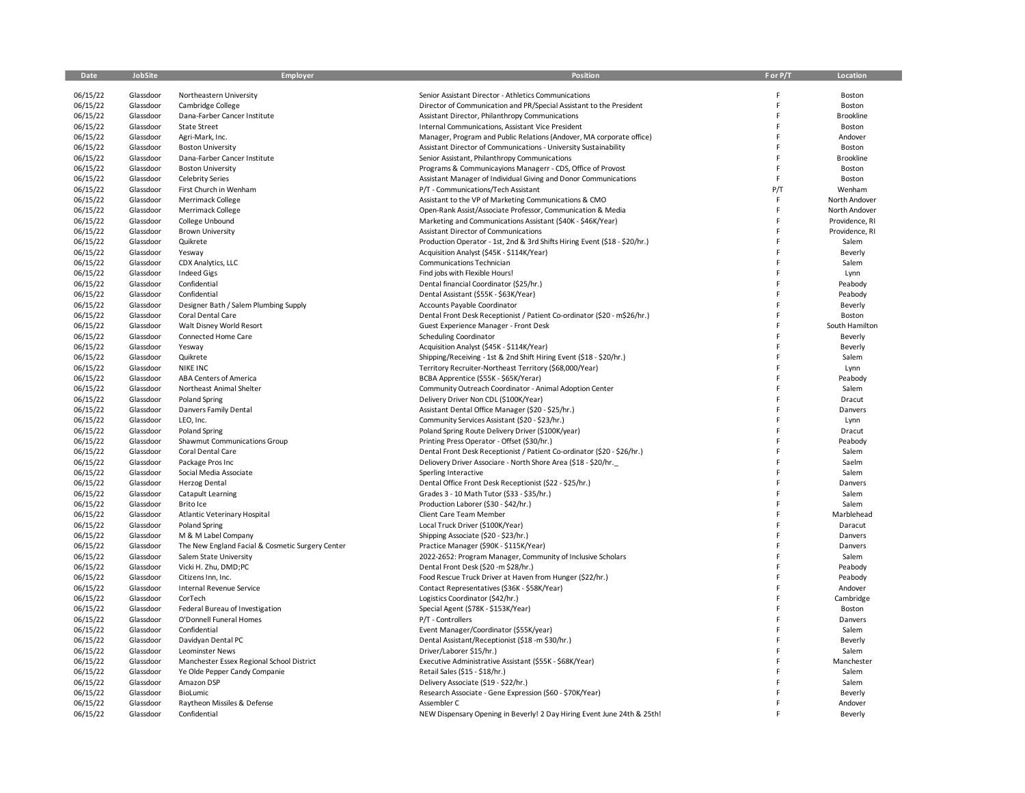| 06/15/22<br>Glassdoor<br>Northeastern University<br>Senior Assistant Director - Athletics Communications<br>06/15/22<br>Glassdoor<br>Director of Communication and PR/Special Assistant to the President<br>Cambridge College<br>06/15/22<br>Glassdoor<br>Dana-Farber Cancer Institute<br>Assistant Director, Philanthropy Communications<br>06/15/22<br>Glassdoor<br><b>State Street</b><br>Internal Communications, Assistant Vice President<br>06/15/22<br>Glassdoor<br>Agri-Mark, Inc.<br>Manager, Program and Public Relations (Andover, MA corporate office)<br>06/15/22<br>Glassdoor<br><b>Boston University</b><br>Assistant Director of Communications - University Sustainability<br>06/15/22<br>Glassdoor<br>Dana-Farber Cancer Institute<br>Senior Assistant, Philanthropy Communications<br>06/15/22<br>Glassdoor<br><b>Boston University</b><br>Programs & Communicayions Managerr - CDS, Office of Provost<br>06/15/22<br>Glassdoor<br><b>Celebrity Series</b><br>Assistant Manager of Individual Giving and Donor Communications | F<br>F<br>F<br>F<br>F<br>F.<br>P/T<br>F<br>F | Boston<br>Boston<br><b>Brookline</b><br>Boston<br>Andover<br>Boston<br><b>Brookline</b><br>Boston<br>Boston |
|--------------------------------------------------------------------------------------------------------------------------------------------------------------------------------------------------------------------------------------------------------------------------------------------------------------------------------------------------------------------------------------------------------------------------------------------------------------------------------------------------------------------------------------------------------------------------------------------------------------------------------------------------------------------------------------------------------------------------------------------------------------------------------------------------------------------------------------------------------------------------------------------------------------------------------------------------------------------------------------------------------------------------------------------------|----------------------------------------------|-------------------------------------------------------------------------------------------------------------|
|                                                                                                                                                                                                                                                                                                                                                                                                                                                                                                                                                                                                                                                                                                                                                                                                                                                                                                                                                                                                                                                  |                                              |                                                                                                             |
|                                                                                                                                                                                                                                                                                                                                                                                                                                                                                                                                                                                                                                                                                                                                                                                                                                                                                                                                                                                                                                                  |                                              |                                                                                                             |
|                                                                                                                                                                                                                                                                                                                                                                                                                                                                                                                                                                                                                                                                                                                                                                                                                                                                                                                                                                                                                                                  |                                              |                                                                                                             |
|                                                                                                                                                                                                                                                                                                                                                                                                                                                                                                                                                                                                                                                                                                                                                                                                                                                                                                                                                                                                                                                  |                                              |                                                                                                             |
|                                                                                                                                                                                                                                                                                                                                                                                                                                                                                                                                                                                                                                                                                                                                                                                                                                                                                                                                                                                                                                                  |                                              |                                                                                                             |
|                                                                                                                                                                                                                                                                                                                                                                                                                                                                                                                                                                                                                                                                                                                                                                                                                                                                                                                                                                                                                                                  |                                              |                                                                                                             |
|                                                                                                                                                                                                                                                                                                                                                                                                                                                                                                                                                                                                                                                                                                                                                                                                                                                                                                                                                                                                                                                  |                                              |                                                                                                             |
|                                                                                                                                                                                                                                                                                                                                                                                                                                                                                                                                                                                                                                                                                                                                                                                                                                                                                                                                                                                                                                                  |                                              |                                                                                                             |
|                                                                                                                                                                                                                                                                                                                                                                                                                                                                                                                                                                                                                                                                                                                                                                                                                                                                                                                                                                                                                                                  |                                              |                                                                                                             |
|                                                                                                                                                                                                                                                                                                                                                                                                                                                                                                                                                                                                                                                                                                                                                                                                                                                                                                                                                                                                                                                  |                                              |                                                                                                             |
| 06/15/22<br>Glassdoor<br>First Church in Wenham<br>P/T - Communications/Tech Assistant                                                                                                                                                                                                                                                                                                                                                                                                                                                                                                                                                                                                                                                                                                                                                                                                                                                                                                                                                           |                                              | Wenham                                                                                                      |
| 06/15/22<br>Glassdoor<br>Merrimack College<br>Assistant to the VP of Marketing Communications & CMO                                                                                                                                                                                                                                                                                                                                                                                                                                                                                                                                                                                                                                                                                                                                                                                                                                                                                                                                              |                                              | North Andover                                                                                               |
| 06/15/22<br>Glassdoor<br>Merrimack College<br>Open-Rank Assist/Associate Professor, Communication & Media                                                                                                                                                                                                                                                                                                                                                                                                                                                                                                                                                                                                                                                                                                                                                                                                                                                                                                                                        |                                              | North Andover                                                                                               |
| 06/15/22<br>Glassdoor<br>College Unbound<br>Marketing and Communications Assistant (\$40K - \$46K/Year)                                                                                                                                                                                                                                                                                                                                                                                                                                                                                                                                                                                                                                                                                                                                                                                                                                                                                                                                          | F                                            | Providence, RI                                                                                              |
| 06/15/22<br>Glassdoor<br><b>Brown University</b><br>Assistant Director of Communications                                                                                                                                                                                                                                                                                                                                                                                                                                                                                                                                                                                                                                                                                                                                                                                                                                                                                                                                                         | F                                            | Providence, RI                                                                                              |
| 06/15/22<br>Glassdoor<br>Quikrete<br>Production Operator - 1st, 2nd & 3rd Shifts Hiring Event (\$18 - \$20/hr.)                                                                                                                                                                                                                                                                                                                                                                                                                                                                                                                                                                                                                                                                                                                                                                                                                                                                                                                                  | F                                            | Salem                                                                                                       |
| 06/15/22<br>Glassdoor<br>Acquisition Analyst (\$45K - \$114K/Year)<br>Yesway                                                                                                                                                                                                                                                                                                                                                                                                                                                                                                                                                                                                                                                                                                                                                                                                                                                                                                                                                                     | F                                            | Beverly                                                                                                     |
| 06/15/22<br>Glassdoor<br>CDX Analytics, LLC<br>Communications Technician                                                                                                                                                                                                                                                                                                                                                                                                                                                                                                                                                                                                                                                                                                                                                                                                                                                                                                                                                                         |                                              | Salem                                                                                                       |
| 06/15/22<br>Glassdoor<br><b>Indeed Gigs</b><br>Find jobs with Flexible Hours!                                                                                                                                                                                                                                                                                                                                                                                                                                                                                                                                                                                                                                                                                                                                                                                                                                                                                                                                                                    |                                              | Lynn                                                                                                        |
| 06/15/22<br>Glassdoor<br>Confidential<br>Dental financial Coordinator (\$25/hr.)                                                                                                                                                                                                                                                                                                                                                                                                                                                                                                                                                                                                                                                                                                                                                                                                                                                                                                                                                                 | F                                            | Peabody                                                                                                     |
| 06/15/22<br>Glassdoor<br>Confidential<br>Dental Assistant (\$55K - \$63K/Year)                                                                                                                                                                                                                                                                                                                                                                                                                                                                                                                                                                                                                                                                                                                                                                                                                                                                                                                                                                   |                                              | Peabody                                                                                                     |
| 06/15/22<br>Glassdoor<br>Designer Bath / Salem Plumbing Supply<br>Accounts Payable Coordinator                                                                                                                                                                                                                                                                                                                                                                                                                                                                                                                                                                                                                                                                                                                                                                                                                                                                                                                                                   |                                              | Beverly                                                                                                     |
| 06/15/22<br>Glassdoor<br>Coral Dental Care<br>Dental Front Desk Receptionist / Patient Co-ordinator (\$20 - m\$26/hr.)                                                                                                                                                                                                                                                                                                                                                                                                                                                                                                                                                                                                                                                                                                                                                                                                                                                                                                                           | F                                            | Boston                                                                                                      |
| 06/15/22<br>Glassdoor<br>Walt Disney World Resort<br>Guest Experience Manager - Front Desk                                                                                                                                                                                                                                                                                                                                                                                                                                                                                                                                                                                                                                                                                                                                                                                                                                                                                                                                                       |                                              | South Hamilton                                                                                              |
| 06/15/22<br>Glassdoor<br>Scheduling Coordinator<br>Connected Home Care                                                                                                                                                                                                                                                                                                                                                                                                                                                                                                                                                                                                                                                                                                                                                                                                                                                                                                                                                                           | F                                            | Beverly                                                                                                     |
| 06/15/22<br>Glassdoor<br>Yesway<br>Acquisition Analyst (\$45K - \$114K/Year)                                                                                                                                                                                                                                                                                                                                                                                                                                                                                                                                                                                                                                                                                                                                                                                                                                                                                                                                                                     | F                                            | Beverly                                                                                                     |
| 06/15/22<br>Glassdoor<br>Quikrete<br>Shipping/Receiving - 1st & 2nd Shift Hiring Event (\$18 - \$20/hr.)                                                                                                                                                                                                                                                                                                                                                                                                                                                                                                                                                                                                                                                                                                                                                                                                                                                                                                                                         |                                              | Salem                                                                                                       |
| 06/15/22<br><b>NIKE INC</b><br>Territory Recruiter-Northeast Territory (\$68,000/Year)<br>Glassdoor                                                                                                                                                                                                                                                                                                                                                                                                                                                                                                                                                                                                                                                                                                                                                                                                                                                                                                                                              | F                                            | Lynn                                                                                                        |
| 06/15/22<br>Glassdoor<br>ABA Centers of America<br>BCBA Apprentice (\$55K - \$65K/Yerar)                                                                                                                                                                                                                                                                                                                                                                                                                                                                                                                                                                                                                                                                                                                                                                                                                                                                                                                                                         | F                                            | Peabody                                                                                                     |
| 06/15/22<br>Glassdoor<br>Northeast Animal Shelter<br>Community Outreach Coordinator - Animal Adoption Center                                                                                                                                                                                                                                                                                                                                                                                                                                                                                                                                                                                                                                                                                                                                                                                                                                                                                                                                     | F                                            | Salem                                                                                                       |
| 06/15/22<br>Delivery Driver Non CDL (\$100K/Year)<br>Glassdoor<br><b>Poland Spring</b>                                                                                                                                                                                                                                                                                                                                                                                                                                                                                                                                                                                                                                                                                                                                                                                                                                                                                                                                                           | F                                            | Dracut                                                                                                      |
| 06/15/22<br>Glassdoor<br>Danvers Family Dental<br>Assistant Dental Office Manager (\$20 - \$25/hr.)                                                                                                                                                                                                                                                                                                                                                                                                                                                                                                                                                                                                                                                                                                                                                                                                                                                                                                                                              |                                              | Danvers                                                                                                     |
| 06/15/22<br>Glassdoor<br>LEO, Inc.<br>Community Services Assistant (\$20 - \$23/hr.)                                                                                                                                                                                                                                                                                                                                                                                                                                                                                                                                                                                                                                                                                                                                                                                                                                                                                                                                                             | F                                            | Lynn                                                                                                        |
| 06/15/22<br>Glassdoor<br>Poland Spring<br>Poland Spring Route Delivery Driver (\$100K/year)                                                                                                                                                                                                                                                                                                                                                                                                                                                                                                                                                                                                                                                                                                                                                                                                                                                                                                                                                      | F                                            | Dracut                                                                                                      |
| 06/15/22<br>Glassdoor<br>Shawmut Communications Group<br>Printing Press Operator - Offset (\$30/hr.)                                                                                                                                                                                                                                                                                                                                                                                                                                                                                                                                                                                                                                                                                                                                                                                                                                                                                                                                             | F                                            | Peabody                                                                                                     |
| 06/15/22<br>Dental Front Desk Receptionist / Patient Co-ordinator (\$20 - \$26/hr.)<br>Glassdoor<br>Coral Dental Care                                                                                                                                                                                                                                                                                                                                                                                                                                                                                                                                                                                                                                                                                                                                                                                                                                                                                                                            |                                              | Salem                                                                                                       |
| 06/15/22<br>Glassdoor<br>Package Pros Inc<br>Deliovery Driver Associare - North Shore Area (\$18 - \$20/hr.                                                                                                                                                                                                                                                                                                                                                                                                                                                                                                                                                                                                                                                                                                                                                                                                                                                                                                                                      |                                              | Saelm                                                                                                       |
| 06/15/22<br>Glassdoor<br>Social Media Associate<br>Sperling Interactive                                                                                                                                                                                                                                                                                                                                                                                                                                                                                                                                                                                                                                                                                                                                                                                                                                                                                                                                                                          | F                                            | Salem                                                                                                       |
| 06/15/22<br>Glassdoor<br><b>Herzog Dental</b><br>Dental Office Front Desk Receptionist (\$22 - \$25/hr.)                                                                                                                                                                                                                                                                                                                                                                                                                                                                                                                                                                                                                                                                                                                                                                                                                                                                                                                                         |                                              | Danvers                                                                                                     |
| 06/15/22<br>Glassdoor<br>Catapult Learning<br>Grades 3 - 10 Math Tutor (\$33 - \$35/hr.)                                                                                                                                                                                                                                                                                                                                                                                                                                                                                                                                                                                                                                                                                                                                                                                                                                                                                                                                                         | F                                            | Salem                                                                                                       |
| 06/15/22<br>Glassdoor<br>Brito Ice<br>Production Laborer (\$30 - \$42/hr.)                                                                                                                                                                                                                                                                                                                                                                                                                                                                                                                                                                                                                                                                                                                                                                                                                                                                                                                                                                       |                                              | Salem                                                                                                       |
| 06/15/22<br>Glassdoor<br>Atlantic Veterinary Hospital<br>Client Care Team Member                                                                                                                                                                                                                                                                                                                                                                                                                                                                                                                                                                                                                                                                                                                                                                                                                                                                                                                                                                 |                                              | Marblehead                                                                                                  |
| 06/15/22<br>Glassdoor<br>Local Truck Driver (\$100K/Year)<br>Poland Spring                                                                                                                                                                                                                                                                                                                                                                                                                                                                                                                                                                                                                                                                                                                                                                                                                                                                                                                                                                       | F                                            | Daracut                                                                                                     |
| 06/15/22<br>Glassdoor<br>M & M Label Company<br>Shipping Associate (\$20 - \$23/hr.)                                                                                                                                                                                                                                                                                                                                                                                                                                                                                                                                                                                                                                                                                                                                                                                                                                                                                                                                                             | F                                            | Danvers                                                                                                     |
| 06/15/22<br>The New England Facial & Cosmetic Surgery Center<br>Glassdoor<br>Practice Manager (\$90K - \$115K/Year)                                                                                                                                                                                                                                                                                                                                                                                                                                                                                                                                                                                                                                                                                                                                                                                                                                                                                                                              | F                                            | Danvers                                                                                                     |
| 06/15/22<br>Glassdoor<br>Salem State University<br>2022-2652: Program Manager, Community of Inclusive Scholars                                                                                                                                                                                                                                                                                                                                                                                                                                                                                                                                                                                                                                                                                                                                                                                                                                                                                                                                   | F                                            | Salem                                                                                                       |
| 06/15/22<br>Glassdoor<br>Vicki H. Zhu, DMD;PC<br>Dental Front Desk (\$20 -m \$28/hr.)                                                                                                                                                                                                                                                                                                                                                                                                                                                                                                                                                                                                                                                                                                                                                                                                                                                                                                                                                            | F                                            | Peabody                                                                                                     |
| 06/15/22<br>Glassdoor<br>Citizens Inn, Inc.<br>Food Rescue Truck Driver at Haven from Hunger (\$22/hr.)                                                                                                                                                                                                                                                                                                                                                                                                                                                                                                                                                                                                                                                                                                                                                                                                                                                                                                                                          | F                                            | Peabody                                                                                                     |
| 06/15/22<br>Glassdoor<br><b>Internal Revenue Service</b><br>Contact Representatives (\$36K - \$58K/Year)                                                                                                                                                                                                                                                                                                                                                                                                                                                                                                                                                                                                                                                                                                                                                                                                                                                                                                                                         | F                                            | Andover                                                                                                     |
| 06/15/22<br>Glassdoor<br>CorTech<br>Logistics Coordinator (\$42/hr.)                                                                                                                                                                                                                                                                                                                                                                                                                                                                                                                                                                                                                                                                                                                                                                                                                                                                                                                                                                             | F                                            | Cambridge                                                                                                   |
| 06/15/22<br>Glassdoor<br>Federal Bureau of Investigation<br>Special Agent (\$78K - \$153K/Year)                                                                                                                                                                                                                                                                                                                                                                                                                                                                                                                                                                                                                                                                                                                                                                                                                                                                                                                                                  |                                              | Boston                                                                                                      |
| 06/15/22<br>Glassdoor<br>O'Donnell Funeral Homes<br>P/T - Controllers                                                                                                                                                                                                                                                                                                                                                                                                                                                                                                                                                                                                                                                                                                                                                                                                                                                                                                                                                                            | F                                            | Danvers                                                                                                     |
| 06/15/22<br>Confidential<br>Event Manager/Coordinator (\$55K/year)<br>Glassdoor                                                                                                                                                                                                                                                                                                                                                                                                                                                                                                                                                                                                                                                                                                                                                                                                                                                                                                                                                                  | F                                            | Salem                                                                                                       |
| 06/15/22<br>Glassdoor<br>Davidyan Dental PC<br>Dental Assistant/Receptionist (\$18 -m \$30/hr.)                                                                                                                                                                                                                                                                                                                                                                                                                                                                                                                                                                                                                                                                                                                                                                                                                                                                                                                                                  | F                                            | Beverly                                                                                                     |
| 06/15/22<br>Glassdoor<br>Leominster News<br>Driver/Laborer \$15/hr.)                                                                                                                                                                                                                                                                                                                                                                                                                                                                                                                                                                                                                                                                                                                                                                                                                                                                                                                                                                             |                                              | Salem                                                                                                       |
| 06/15/22<br>Glassdoor<br>Executive Administrative Assistant (\$55K - \$68K/Year)<br>Manchester Essex Regional School District                                                                                                                                                                                                                                                                                                                                                                                                                                                                                                                                                                                                                                                                                                                                                                                                                                                                                                                    |                                              | Manchester                                                                                                  |
| 06/15/22<br>Glassdoor<br>Ye Olde Pepper Candy Companie<br>Retail Sales (\$15 - \$18/hr.)                                                                                                                                                                                                                                                                                                                                                                                                                                                                                                                                                                                                                                                                                                                                                                                                                                                                                                                                                         |                                              | Salem                                                                                                       |
| 06/15/22<br>Glassdoor<br>Amazon DSP<br>Delivery Associate (\$19 - \$22/hr.)                                                                                                                                                                                                                                                                                                                                                                                                                                                                                                                                                                                                                                                                                                                                                                                                                                                                                                                                                                      |                                              | Salem                                                                                                       |
| 06/15/22<br>Research Associate - Gene Expression (\$60 - \$70K/Year)<br>Glassdoor<br>BioLumic                                                                                                                                                                                                                                                                                                                                                                                                                                                                                                                                                                                                                                                                                                                                                                                                                                                                                                                                                    |                                              | Beverly                                                                                                     |
| 06/15/22<br>Glassdoor<br>Raytheon Missiles & Defense<br>Assembler C                                                                                                                                                                                                                                                                                                                                                                                                                                                                                                                                                                                                                                                                                                                                                                                                                                                                                                                                                                              |                                              | Andover                                                                                                     |
| 06/15/22<br>Glassdoor<br>Confidential<br>NEW Dispensary Opening in Beverly! 2 Day Hiring Event June 24th & 25th!                                                                                                                                                                                                                                                                                                                                                                                                                                                                                                                                                                                                                                                                                                                                                                                                                                                                                                                                 |                                              | Beverly                                                                                                     |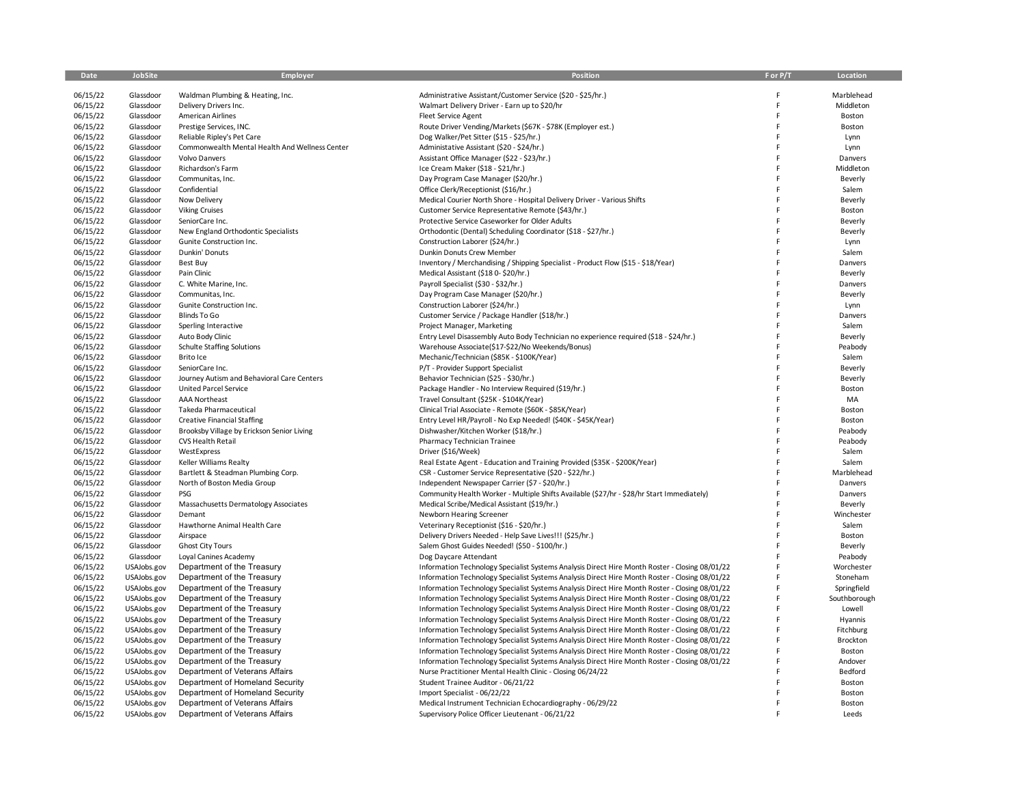| Date                 | <b>JobSite</b>         | Employer                                       | <b>Position</b>                                                                                                                             | F or P/T | Location              |
|----------------------|------------------------|------------------------------------------------|---------------------------------------------------------------------------------------------------------------------------------------------|----------|-----------------------|
| 06/15/22             | Glassdoor              | Waldman Plumbing & Heating, Inc.               | Administrative Assistant/Customer Service (\$20 - \$25/hr.)                                                                                 | F        | Marblehead            |
| 06/15/22             | Glassdoor              | Delivery Drivers Inc.                          | Walmart Delivery Driver - Earn up to \$20/hr                                                                                                | F        | Middleton             |
| 06/15/22             | Glassdoor              | <b>American Airlines</b>                       | <b>Fleet Service Agent</b>                                                                                                                  | F        | Boston                |
| 06/15/22             | Glassdoor              | Prestige Services, INC.                        | Route Driver Vending/Markets (\$67K - \$78K (Employer est.)                                                                                 | F        | Boston                |
| 06/15/22             | Glassdoor              | Reliable Ripley's Pet Care                     | Dog Walker/Pet Sitter (\$15 - \$25/hr.)                                                                                                     |          | Lynn                  |
| 06/15/22             | Glassdoor              | Commonwealth Mental Health And Wellness Center | Administative Assistant (\$20 - \$24/hr.)                                                                                                   |          | Lynn                  |
| 06/15/22             | Glassdoor              | Volvo Danvers                                  | Assistant Office Manager (\$22 - \$23/hr.)                                                                                                  |          | Danvers               |
| 06/15/22             | Glassdoor              | Richardson's Farm                              | Ice Cream Maker (\$18 - \$21/hr.)                                                                                                           |          | Middleton             |
| 06/15/22             | Glassdoor              | Communitas, Inc.                               | Day Program Case Manager (\$20/hr.)                                                                                                         |          | Beverly               |
| 06/15/22             | Glassdoor              | Confidential                                   | Office Clerk/Receptionist (\$16/hr.)                                                                                                        |          | Salem                 |
| 06/15/22             | Glassdoor              | Now Delivery                                   | Medical Courier North Shore - Hospital Delivery Driver - Various Shifts                                                                     |          | Beverly               |
| 06/15/22             | Glassdoor              | <b>Viking Cruises</b>                          | Customer Service Representative Remote (\$43/hr.)                                                                                           |          | Boston                |
| 06/15/22             | Glassdoor              | SeniorCare Inc.                                | Protective Service Caseworker for Older Adults                                                                                              |          | Beverly               |
| 06/15/22             | Glassdoor              | New England Orthodontic Specialists            | Orthodontic (Dental) Scheduling Coordinator (\$18 - \$27/hr.)                                                                               | F        | Beverly               |
| 06/15/22             | Glassdoor              | Gunite Construction Inc.                       | Construction Laborer (\$24/hr.)                                                                                                             |          | Lynn                  |
| 06/15/22             | Glassdoor              | Dunkin' Donuts                                 | Dunkin Donuts Crew Member                                                                                                                   |          | Salem                 |
| 06/15/22             | Glassdoor              | <b>Best Buy</b>                                | Inventory / Merchandising / Shipping Specialist - Product Flow (\$15 - \$18/Year)                                                           | F        | Danvers               |
| 06/15/22             | Glassdoor              | Pain Clinic                                    | Medical Assistant (\$18 0-\$20/hr.)                                                                                                         |          | Beverly               |
| 06/15/22             | Glassdoor              | C. White Marine, Inc.                          | Payroll Specialist (\$30 - \$32/hr.)                                                                                                        | F        | Danvers               |
| 06/15/22             | Glassdoor              | Communitas, Inc.                               | Day Program Case Manager (\$20/hr.)                                                                                                         | F        | Beverly               |
| 06/15/22             | Glassdoor              | Gunite Construction Inc.                       | Construction Laborer (\$24/hr.)                                                                                                             |          | Lynn                  |
| 06/15/22             | Glassdoor              | <b>Blinds To Go</b>                            | Customer Service / Package Handler (\$18/hr.)                                                                                               | F        | Danvers               |
| 06/15/22             | Glassdoor              | Sperling Interactive                           | Project Manager, Marketing                                                                                                                  | F        | Salem                 |
| 06/15/22             | Glassdoor              | Auto Body Clinic                               | Entry Level Disassembly Auto Body Technician no experience required (\$18 - \$24/hr.)                                                       | F        | Beverly               |
| 06/15/22             | Glassdoor              | <b>Schulte Staffing Solutions</b>              | Warehouse Associate(\$17-\$22/No Weekends/Bonus)                                                                                            |          | Peabody               |
| 06/15/22             | Glassdoor              | Brito Ice                                      | Mechanic/Technician (\$85K - \$100K/Year)                                                                                                   |          | Salem                 |
| 06/15/22             | Glassdoor              | SeniorCare Inc.                                | P/T - Provider Support Specialist                                                                                                           | F        | Beverly               |
| 06/15/22             | Glassdoor              | Journey Autism and Behavioral Care Centers     | Behavior Technician (\$25 - \$30/hr.)                                                                                                       | F        | Beverly               |
| 06/15/22             | Glassdoor              | United Parcel Service                          | Package Handler - No Interview Required (\$19/hr.)                                                                                          | F        | Boston                |
| 06/15/22             | Glassdoor              | AAA Northeast                                  | Travel Consultant (\$25K - \$104K/Year)                                                                                                     |          | MA                    |
| 06/15/22             | Glassdoor              | Takeda Pharmaceutical                          | Clinical Trial Associate - Remote (\$60K - \$85K/Year)                                                                                      |          | Boston                |
| 06/15/22             | Glassdoor              | <b>Creative Financial Staffing</b>             | Entry Level HR/Payroll - No Exp Needed! (\$40K - \$45K/Year)                                                                                |          | Boston                |
| 06/15/22             | Glassdoor              | Brooksby Village by Erickson Senior Living     | Dishwasher/Kitchen Worker (\$18/hr.)                                                                                                        |          | Peabody               |
| 06/15/22             | Glassdoor              | CVS Health Retail                              | Pharmacy Technician Trainee                                                                                                                 | F        | Peabody               |
| 06/15/22             | Glassdoor              | WestExpress                                    | Driver (\$16/Week)                                                                                                                          |          | Salem                 |
| 06/15/22             | Glassdoor              | Keller Williams Realty                         | Real Estate Agent - Education and Training Provided (\$35K - \$200K/Year)                                                                   |          | Salem                 |
| 06/15/22             | Glassdoor              | Bartlett & Steadman Plumbing Corp.             | CSR - Customer Service Representative (\$20 - \$22/hr.)                                                                                     |          | Marblehead            |
| 06/15/22             | Glassdoor<br>Glassdoor | North of Boston Media Group<br><b>PSG</b>      | Independent Newspaper Carrier (\$7 - \$20/hr.)<br>Community Health Worker - Multiple Shifts Available (\$27/hr - \$28/hr Start Immediately) | F        | Danvers<br>Danvers    |
| 06/15/22<br>06/15/22 | Glassdoor              |                                                | Medical Scribe/Medical Assistant (\$19/hr.)                                                                                                 |          |                       |
| 06/15/22             | Glassdoor              | Massachusetts Dermatology Associates<br>Demant | Newborn Hearing Screener                                                                                                                    | F        | Beverly<br>Winchester |
| 06/15/22             | Glassdoor              | Hawthorne Animal Health Care                   | Veterinary Receptionist (\$16 - \$20/hr.)                                                                                                   | F        | Salem                 |
| 06/15/22             | Glassdoor              | Airspace                                       | Delivery Drivers Needed - Help Save Lives!!! (\$25/hr.)                                                                                     | F        | Boston                |
| 06/15/22             | Glassdoor              | <b>Ghost City Tours</b>                        | Salem Ghost Guides Needed! (\$50 - \$100/hr.)                                                                                               | F        | Beverly               |
| 06/15/22             | Glassdoor              | Loyal Canines Academy                          | Dog Daycare Attendant                                                                                                                       | F        | Peabody               |
| 06/15/22             | USAJobs.gov            | Department of the Treasury                     | Information Technology Specialist Systems Analysis Direct Hire Month Roster - Closing 08/01/22                                              | F        | Worchester            |
| 06/15/22             | USAJobs.gov            | Department of the Treasury                     | Information Technology Specialist Systems Analysis Direct Hire Month Roster - Closing 08/01/22                                              | F        | Stoneham              |
| 06/15/22             | USAJobs.gov            | Department of the Treasury                     | Information Technology Specialist Systems Analysis Direct Hire Month Roster - Closing 08/01/22                                              | F        | Springfield           |
| 06/15/22             | USAJobs.gov            | Department of the Treasury                     | Information Technology Specialist Systems Analysis Direct Hire Month Roster - Closing 08/01/22                                              | F        | Southborough          |
| 06/15/22             | USAJobs.gov            | Department of the Treasury                     | Information Technology Specialist Systems Analysis Direct Hire Month Roster - Closing 08/01/22                                              | F        | Lowell                |
| 06/15/22             | USAJobs.gov            | Department of the Treasury                     | Information Technology Specialist Systems Analysis Direct Hire Month Roster - Closing 08/01/22                                              | F        | Hyannis               |
| 06/15/22             | USAJobs.gov            | Department of the Treasury                     | Information Technology Specialist Systems Analysis Direct Hire Month Roster - Closing 08/01/22                                              | F        | Fitchburg             |
| 06/15/22             | USAJobs.gov            | Department of the Treasury                     | Information Technology Specialist Systems Analysis Direct Hire Month Roster - Closing 08/01/22                                              | F        | Brockton              |
| 06/15/22             | USAJobs.gov            | Department of the Treasury                     | Information Technology Specialist Systems Analysis Direct Hire Month Roster - Closing 08/01/22                                              | F        | Boston                |
| 06/15/22             | USAJobs.gov            | Department of the Treasury                     | Information Technology Specialist Systems Analysis Direct Hire Month Roster - Closing 08/01/22                                              | F        | Andover               |
| 06/15/22             | USAJobs.gov            | Department of Veterans Affairs                 | Nurse Practitioner Mental Health Clinic - Closing 06/24/22                                                                                  |          | Bedford               |
| 06/15/22             | USAJobs.gov            | Department of Homeland Security                | Student Trainee Auditor - 06/21/22                                                                                                          |          | Boston                |
| 06/15/22             | USAJobs.gov            | Department of Homeland Security                | Import Specialist - 06/22/22                                                                                                                |          | Boston                |
| 06/15/22             | USAJobs.gov            | Department of Veterans Affairs                 | Medical Instrument Technician Echocardiography - 06/29/22                                                                                   |          | Boston                |
| 06/15/22             | USAJobs.gov            | Department of Veterans Affairs                 | Supervisory Police Officer Lieutenant - 06/21/22                                                                                            |          | Leeds                 |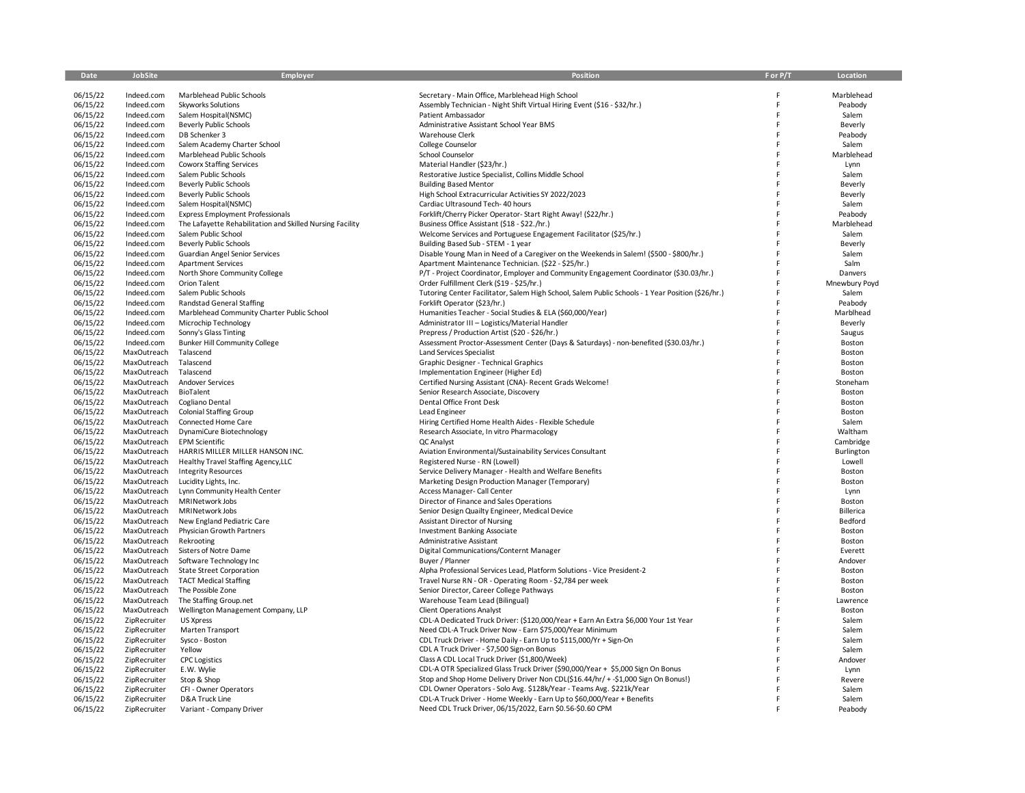| Date                 | JobSite                      | <b>Employer</b>                                           | Position                                                                                                                                       | F or P/T | Location               |
|----------------------|------------------------------|-----------------------------------------------------------|------------------------------------------------------------------------------------------------------------------------------------------------|----------|------------------------|
|                      |                              |                                                           |                                                                                                                                                |          |                        |
| 06/15/22             | Indeed.com                   | Marblehead Public Schools                                 | Secretary - Main Office, Marblehead High School                                                                                                |          | Marblehead             |
| 06/15/22             | Indeed.com                   | <b>Skyworks Solutions</b>                                 | Assembly Technician - Night Shift Virtual Hiring Event (\$16 - \$32/hr.)                                                                       | F        | Peabody                |
| 06/15/22             | Indeed.com                   | Salem Hospital(NSMC)                                      | Patient Ambassador                                                                                                                             |          | Salem                  |
| 06/15/22             | Indeed.com                   | <b>Beverly Public Schools</b>                             | Administrative Assistant School Year BMS                                                                                                       | F        | Beverly                |
| 06/15/22             | Indeed.com                   | DB Schenker 3                                             | Warehouse Clerk                                                                                                                                |          | Peabody                |
| 06/15/22             | Indeed.com                   | Salem Academy Charter School                              | College Counselor                                                                                                                              |          | Salem                  |
| 06/15/22             | Indeed.com                   | Marblehead Public Schools                                 | School Counselor                                                                                                                               | F        | Marblehead             |
| 06/15/22             | Indeed.com                   | Coworx Staffing Services                                  | Material Handler (\$23/hr.)                                                                                                                    |          | Lynn                   |
| 06/15/22             | Indeed.com                   | Salem Public Schools                                      | Restorative Justice Specialist, Collins Middle School                                                                                          |          | Salem                  |
| 06/15/22             | Indeed.com                   | <b>Beverly Public Schools</b>                             | <b>Building Based Mentor</b>                                                                                                                   |          | Beverly                |
| 06/15/22             | Indeed.com                   | <b>Beverly Public Schools</b>                             | High School Extracurricular Activities SY 2022/2023                                                                                            |          | Beverly                |
| 06/15/22             | Indeed.com                   | Salem Hospital(NSMC)                                      | Cardiac Ultrasound Tech- 40 hours                                                                                                              |          | Salem                  |
| 06/15/22             | Indeed.com                   | <b>Express Employment Professionals</b>                   | Forklift/Cherry Picker Operator- Start Right Away! (\$22/hr.)                                                                                  |          | Peabody                |
| 06/15/22             | Indeed.com                   | The Lafayette Rehabilitation and Skilled Nursing Facility | Business Office Assistant (\$18 - \$22./hr.)                                                                                                   | F        | Marblehead             |
| 06/15/22             | Indeed.com                   | Salem Public School                                       | Welcome Services and Portuguese Engagement Facilitator (\$25/hr.)                                                                              |          | Salem                  |
| 06/15/22             | Indeed.com                   | <b>Beverly Public Schools</b>                             | Building Based Sub - STEM - 1 year                                                                                                             |          | Beverly                |
| 06/15/22             | Indeed.com                   | Guardian Angel Senior Services                            | Disable Young Man in Need of a Caregiver on the Weekends in Salem! (\$500 - \$800/hr.)                                                         |          | Salem<br>Salm          |
| 06/15/22             | Indeed.com                   | <b>Apartment Services</b>                                 | Apartment Maintenance Technician. (\$22 - \$25/hr.)                                                                                            |          |                        |
| 06/15/22<br>06/15/22 | Indeed.com                   | North Shore Community College                             | P/T - Project Coordinator, Employer and Community Engagement Coordinator (\$30.03/hr.)<br>Order Fulfillment Clerk (\$19 - \$25/hr.)            |          | Danvers                |
| 06/15/22             | Indeed.com<br>Indeed.com     | Orion Talent<br>Salem Public Schools                      | Tutoring Center Facilitator, Salem High School, Salem Public Schools - 1 Year Position (\$26/hr.)                                              |          | Mnewbury Poyd<br>Salem |
| 06/15/22             | Indeed.com                   | Randstad General Staffing                                 | Forklift Operator (\$23/hr.)                                                                                                                   |          | Peabody                |
| 06/15/22             | Indeed.com                   | Marblehead Community Charter Public School                | Humanities Teacher - Social Studies & ELA (\$60,000/Year)                                                                                      |          | Marblhead              |
| 06/15/22             | Indeed.com                   | Microchip Technology                                      | Administrator III - Logistics/Material Handler                                                                                                 |          | Beverly                |
| 06/15/22             | Indeed.com                   | Sonny's Glass Tinting                                     | Prepress / Production Artist (\$20 - \$26/hr.)                                                                                                 |          | Saugus                 |
| 06/15/22             | Indeed.com                   | <b>Bunker Hill Community College</b>                      | Assessment Proctor-Assessment Center (Days & Saturdays) - non-benefited (\$30.03/hr.)                                                          |          | Boston                 |
| 06/15/22             | MaxOutreach                  | Talascend                                                 | Land Services Specialist                                                                                                                       |          | Boston                 |
| 06/15/22             | MaxOutreach                  | Talascend                                                 | Graphic Designer - Technical Graphics                                                                                                          |          | Boston                 |
| 06/15/22             | MaxOutreach                  | Talascend                                                 | Implementation Engineer (Higher Ed)                                                                                                            |          | Boston                 |
| 06/15/22             | MaxOutreach                  | Andover Services                                          | Certified Nursing Assistant (CNA)- Recent Grads Welcome!                                                                                       |          | Stoneham               |
| 06/15/22             | MaxOutreach                  | BioTalent                                                 | Senior Research Associate, Discovery                                                                                                           |          | Boston                 |
| 06/15/22             | MaxOutreach                  | Cogliano Dental                                           | Dental Office Front Desk                                                                                                                       |          | Boston                 |
| 06/15/22             | MaxOutreach                  | <b>Colonial Staffing Group</b>                            | Lead Engineer                                                                                                                                  |          | Boston                 |
| 06/15/22             | MaxOutreach                  | Connected Home Care                                       | Hiring Certified Home Health Aides - Flexible Schedule                                                                                         | F        | Salem                  |
| 06/15/22             | MaxOutreach                  | DynamiCure Biotechnology                                  | Research Associate, In vitro Pharmacology                                                                                                      |          | Waltham                |
| 06/15/22             | MaxOutreach                  | <b>EPM Scientific</b>                                     | QC Analyst                                                                                                                                     |          | Cambridge              |
| 06/15/22             | MaxOutreach                  | HARRIS MILLER MILLER HANSON INC.                          | Aviation Environmental/Sustainability Services Consultant                                                                                      |          | Burlington             |
| 06/15/22             | MaxOutreach                  | Healthy Travel Staffing Agency, LLC                       | Registered Nurse - RN (Lowell)                                                                                                                 |          | Lowell                 |
| 06/15/22             | MaxOutreach                  | <b>Integrity Resources</b>                                | Service Delivery Manager - Health and Welfare Benefits                                                                                         |          | Boston                 |
| 06/15/22             | MaxOutreach                  | Lucidity Lights, Inc.                                     | Marketing Design Production Manager (Temporary)                                                                                                |          | Boston                 |
| 06/15/22             | MaxOutreach                  | Lynn Community Health Center                              | Access Manager- Call Center                                                                                                                    |          | Lynn                   |
| 06/15/22             | MaxOutreach                  | MRINetwork Jobs                                           | Director of Finance and Sales Operations                                                                                                       |          | Boston                 |
| 06/15/22             | MaxOutreach                  | MRINetwork Jobs                                           | Senior Design Quailty Engineer, Medical Device                                                                                                 |          | <b>Billerica</b>       |
| 06/15/22             | MaxOutreach                  | New England Pediatric Care                                | <b>Assistant Director of Nursing</b>                                                                                                           | F        | Bedford                |
| 06/15/22             | MaxOutreach                  | Physician Growth Partners                                 | <b>Investment Banking Associate</b>                                                                                                            |          | Boston                 |
| 06/15/22             | MaxOutreach                  | Rekrooting                                                | Administrative Assistant                                                                                                                       |          | Boston                 |
| 06/15/22             | MaxOutreach                  | Sisters of Notre Dame                                     | Digital Communications/Conternt Manager                                                                                                        | F        | Everett                |
| 06/15/22             | MaxOutreach                  | Software Technology Inc                                   | Buyer / Planner                                                                                                                                | F        | Andover                |
| 06/15/22             | MaxOutreach                  | <b>State Street Corporation</b>                           | Alpha Professional Services Lead, Platform Solutions - Vice President-2                                                                        |          | Boston                 |
| 06/15/22             | MaxOutreach                  | <b>TACT Medical Staffing</b>                              | Travel Nurse RN - OR - Operating Room - \$2,784 per week                                                                                       |          | Boston                 |
| 06/15/22             | MaxOutreach                  | The Possible Zone                                         | Senior Director, Career College Pathways                                                                                                       | F        | Boston                 |
| 06/15/22             | MaxOutreach                  | The Staffing Group.net                                    | Warehouse Team Lead (Bilingual)                                                                                                                | F        | Lawrence               |
| 06/15/22             | MaxOutreach                  | Wellington Management Company, LLP                        | <b>Client Operations Analyst</b>                                                                                                               |          | Boston                 |
| 06/15/22             | ZipRecruiter                 | <b>US Xpress</b>                                          | CDL-A Dedicated Truck Driver: (\$120,000/Year + Earn An Extra \$6,000 Your 1st Year                                                            | F        | Salem                  |
| 06/15/22             | ZipRecruiter                 | Marten Transport                                          | Need CDL-A Truck Driver Now - Earn \$75,000/Year Minimum                                                                                       |          | Salem                  |
| 06/15/22             | ZipRecruiter                 | Sysco - Boston                                            | CDL Truck Driver - Home Daily - Earn Up to \$115,000/Yr + Sign-On                                                                              |          | Salem                  |
| 06/15/22             | ZipRecruiter                 | Yellow                                                    | CDL A Truck Driver - \$7,500 Sign-on Bonus                                                                                                     |          | Salem                  |
| 06/15/22             | ZipRecruiter                 | <b>CPC Logistics</b>                                      | Class A CDL Local Truck Driver (\$1,800/Week)                                                                                                  | F        | Andover                |
| 06/15/22             | ZipRecruiter                 | E.W. Wylie                                                | CDL-A OTR Specialized Glass Truck Driver (\$90,000/Year + \$5,000 Sign On Bonus                                                                |          | Lynn                   |
| 06/15/22             | ZipRecruiter                 | Stop & Shop                                               | Stop and Shop Home Delivery Driver Non CDL(\$16.44/hr/ + -\$1,000 Sign On Bonus!)                                                              |          | Revere                 |
| 06/15/22             | ZipRecruiter                 | CFI - Owner Operators                                     | CDL Owner Operators - Solo Avg. \$128k/Year - Teams Avg. \$221k/Year<br>CDL-A Truck Driver - Home Weekly - Earn Up to \$60,000/Year + Benefits |          | Salem                  |
| 06/15/22<br>06/15/22 | ZipRecruiter<br>ZipRecruiter | D&A Truck Line                                            | Need CDL Truck Driver, 06/15/2022, Earn \$0.56-\$0.60 CPM                                                                                      |          | Salem<br>Peabody       |
|                      |                              | Variant - Company Driver                                  |                                                                                                                                                |          |                        |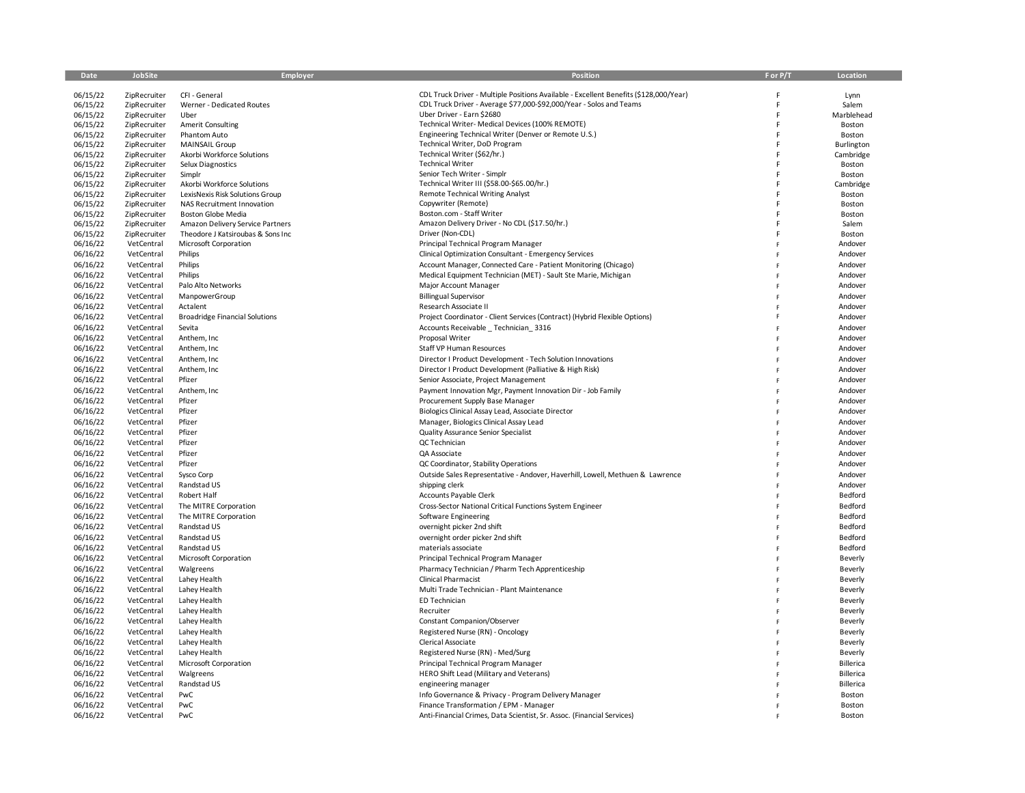| Date                 | JobSite                      | Employer                              | <b>Position</b>                                                                                 | F or P/T | Location             |
|----------------------|------------------------------|---------------------------------------|-------------------------------------------------------------------------------------------------|----------|----------------------|
| 06/15/22             | ZipRecruiter                 | CFI - General                         | CDL Truck Driver - Multiple Positions Available - Excellent Benefits (\$128,000/Year)           |          | Lynn                 |
| 06/15/22             | ZipRecruiter                 | Werner - Dedicated Routes             | CDL Truck Driver - Average \$77,000-\$92,000/Year - Solos and Teams                             |          | Salem                |
| 06/15/22             | ZipRecruiter                 | Uber                                  | Uber Driver - Earn \$2680                                                                       |          | Marblehead           |
| 06/15/22             | ZipRecruiter                 | <b>Amerit Consulting</b>              | Technical Writer- Medical Devices (100% REMOTE)                                                 |          | Boston               |
| 06/15/22             | ZipRecruiter                 | Phantom Auto                          | Engineering Technical Writer (Denver or Remote U.S.)                                            |          | Boston               |
| 06/15/22             | ZipRecruiter                 | <b>MAINSAIL Group</b>                 | Technical Writer, DoD Program                                                                   |          | Burlington           |
| 06/15/22             | ZipRecruiter                 | Akorbi Workforce Solutions            | Technical Writer (\$62/hr.)                                                                     |          | Cambridge            |
| 06/15/22             | ZipRecruiter                 | Selux Diagnostics                     | <b>Technical Writer</b>                                                                         |          | Boston               |
| 06/15/22             | ZipRecruiter<br>ZipRecruiter | Simplr<br>Akorbi Workforce Solutions  | Senior Tech Writer - Simplr<br>Technical Writer III (\$58.00-\$65.00/hr.)                       |          | Boston<br>Cambridge  |
| 06/15/22<br>06/15/22 | ZipRecruiter                 | LexisNexis Risk Solutions Group       | <b>Remote Technical Writing Analyst</b>                                                         |          | Boston               |
| 06/15/22             | ZipRecruiter                 | NAS Recruitment Innovation            | Copywriter (Remote)                                                                             |          | Boston               |
| 06/15/22             | ZipRecruiter                 | <b>Boston Globe Media</b>             | Boston.com - Staff Writer                                                                       |          | Boston               |
| 06/15/22             | ZipRecruiter                 | Amazon Delivery Service Partners      | Amazon Delivery Driver - No CDL (\$17.50/hr.)                                                   |          | Salem                |
| 06/15/22             | ZipRecruiter                 | Theodore J Katsiroubas & Sons Inc     | Driver (Non-CDL)                                                                                |          | Boston               |
| 06/16/22             | VetCentral                   | Microsoft Corporation                 | Principal Technical Program Manager                                                             |          | Andover              |
| 06/16/22             | VetCentral                   | Philips                               | Clinical Optimization Consultant - Emergency Services                                           |          | Andover              |
| 06/16/22             | VetCentral                   | Philips                               | Account Manager, Connected Care - Patient Monitoring (Chicago)                                  |          | Andover              |
| 06/16/22             | VetCentral                   | Philips                               | Medical Equipment Technician (MET) - Sault Ste Marie, Michigan                                  |          | Andover              |
| 06/16/22             | VetCentral                   | Palo Alto Networks                    | Major Account Manager                                                                           |          | Andover              |
| 06/16/22             | VetCentral                   | ManpowerGroup                         | <b>Billingual Supervisor</b>                                                                    |          | Andover              |
| 06/16/22             | VetCentral                   | Actalent                              | Research Associate II                                                                           |          | Andover              |
| 06/16/22             | VetCentral                   | <b>Broadridge Financial Solutions</b> | Project Coordinator - Client Services (Contract) (Hybrid Flexible Options)                      |          | Andover              |
| 06/16/22             | VetCentral                   | Sevita                                | Accounts Receivable _ Technician_3316                                                           |          | Andover              |
| 06/16/22             | VetCentral                   | Anthem, Inc                           | Proposal Writer                                                                                 |          | Andover              |
| 06/16/22             | VetCentral                   | Anthem, Inc                           | <b>Staff VP Human Resources</b>                                                                 |          | Andover              |
| 06/16/22             | VetCentral                   | Anthem, Inc                           | Director I Product Development - Tech Solution Innovations                                      |          | Andover              |
| 06/16/22<br>06/16/22 | VetCentral<br>VetCentral     | Anthem, Inc<br>Pfizer                 | Director I Product Development (Palliative & High Risk)<br>Senior Associate, Project Management |          | Andover<br>Andover   |
| 06/16/22             | VetCentral                   | Anthem, Inc                           | Payment Innovation Mgr, Payment Innovation Dir - Job Family                                     |          | Andover              |
| 06/16/22             | VetCentral                   | Pfizer                                | Procurement Supply Base Manager                                                                 |          | Andover              |
| 06/16/22             | VetCentral                   | Pfizer                                | Biologics Clinical Assay Lead, Associate Director                                               |          | Andover              |
| 06/16/22             | VetCentral                   | Pfizer                                | Manager, Biologics Clinical Assay Lead                                                          |          | Andover              |
| 06/16/22             | VetCentral                   | Pfizer                                | Quality Assurance Senior Specialist                                                             |          | Andover              |
| 06/16/22             | VetCentral                   | Pfizer                                | QC Technician                                                                                   |          | Andover              |
| 06/16/22             | VetCentral                   | Pfizer                                | QA Associate                                                                                    |          | Andover              |
| 06/16/22             | VetCentral                   | Pfizer                                | QC Coordinator, Stability Operations                                                            |          | Andover              |
| 06/16/22             | VetCentral                   | Sysco Corp                            | Outside Sales Representative - Andover, Haverhill, Lowell, Methuen & Lawrence                   |          | Andover              |
| 06/16/22             | VetCentral                   | Randstad US                           | shipping clerk                                                                                  |          | Andover              |
| 06/16/22             | VetCentral                   | Robert Half                           | <b>Accounts Payable Clerk</b>                                                                   |          | Bedford              |
| 06/16/22             | VetCentral                   | The MITRE Corporation                 | Cross-Sector National Critical Functions System Engineer                                        |          | Bedford              |
| 06/16/22             | VetCentral                   | The MITRE Corporation                 | Software Engineering                                                                            |          | Bedford              |
| 06/16/22             | VetCentral                   | Randstad US                           | overnight picker 2nd shift                                                                      |          | Bedford              |
| 06/16/22             | VetCentral                   | Randstad US                           | overnight order picker 2nd shift                                                                |          | Bedford              |
| 06/16/22             | VetCentral                   | Randstad US                           | materials associate                                                                             |          | Bedford              |
| 06/16/22             | VetCentral                   | Microsoft Corporation                 | Principal Technical Program Manager                                                             |          | Beverly              |
| 06/16/22             | VetCentral                   | Walgreens                             | Pharmacy Technician / Pharm Tech Apprenticeship                                                 |          | Beverly              |
| 06/16/22             | VetCentral                   | Lahey Health                          | <b>Clinical Pharmacist</b>                                                                      |          | Beverly              |
| 06/16/22             | VetCentral                   | Lahey Health                          | Multi Trade Technician - Plant Maintenance                                                      |          | Beverly              |
| 06/16/22             | VetCentral                   | Lahey Health                          | ED Technician                                                                                   |          | Beverly              |
| 06/16/22             | VetCentral                   | Lahey Health                          | Recruiter                                                                                       |          | Beverly              |
| 06/16/22             | VetCentral                   | Lahey Health                          | Constant Companion/Observer                                                                     |          | Beverly              |
| 06/16/22             | VetCentral                   | Lahey Health                          | Registered Nurse (RN) - Oncology<br>Clerical Associate                                          |          | Beverly              |
| 06/16/22<br>06/16/22 | VetCentral<br>VetCentral     | Lahey Health<br>Lahey Health          | Registered Nurse (RN) - Med/Surg                                                                |          | Beverly              |
| 06/16/22             | VetCentral                   | Microsoft Corporation                 | Principal Technical Program Manager                                                             |          | Beverly<br>Billerica |
| 06/16/22             | VetCentral                   | Walgreens                             | HERO Shift Lead (Military and Veterans)                                                         |          | Billerica            |
| 06/16/22             | VetCentral                   | Randstad US                           | engineering manager                                                                             |          | Billerica            |
| 06/16/22             | VetCentral                   | PwC                                   | Info Governance & Privacy - Program Delivery Manager                                            |          | Boston               |
| 06/16/22             | VetCentral                   | PwC                                   | Finance Transformation / EPM - Manager                                                          |          | Boston               |
| 06/16/22             | VetCentral                   | PwC                                   | Anti-Financial Crimes, Data Scientist, Sr. Assoc. (Financial Services)                          |          | Boston               |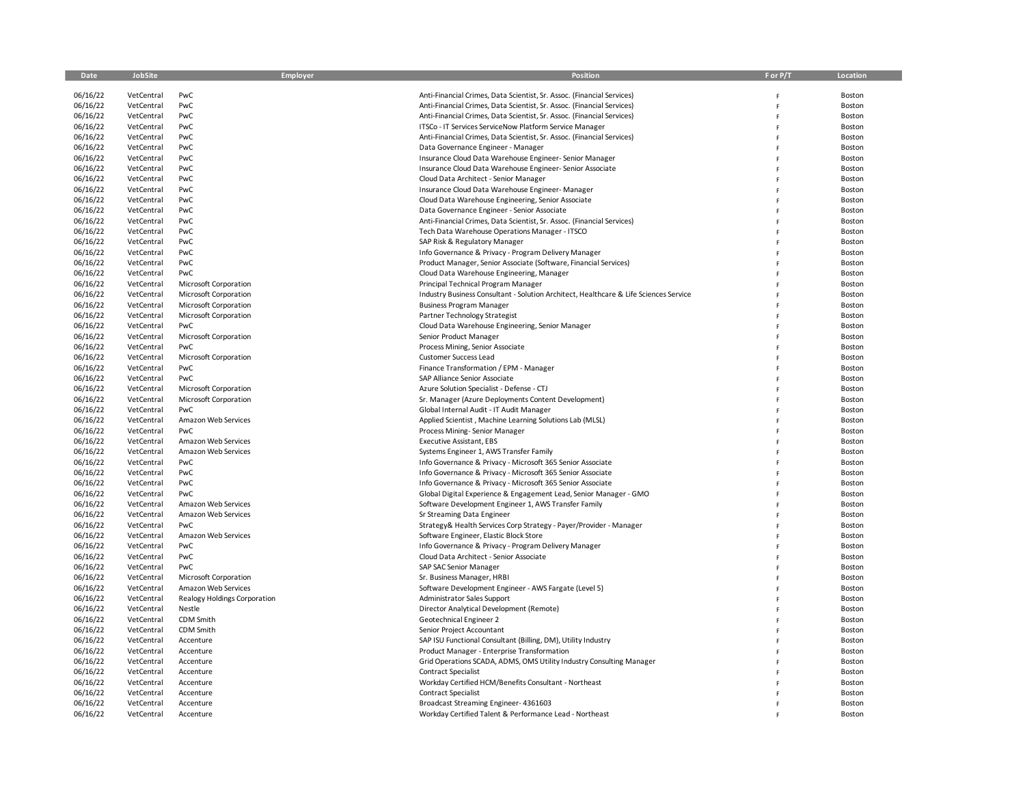| Date                 | JobSite                  | Employer                     | Position                                                                                                                          | F or P/T | Location         |
|----------------------|--------------------------|------------------------------|-----------------------------------------------------------------------------------------------------------------------------------|----------|------------------|
|                      |                          |                              |                                                                                                                                   |          |                  |
| 06/16/22             | VetCentral               | PwC<br>PwC                   | Anti-Financial Crimes, Data Scientist, Sr. Assoc. (Financial Services)                                                            |          | Boston           |
| 06/16/22<br>06/16/22 | VetCentral<br>VetCentral | PwC                          | Anti-Financial Crimes, Data Scientist, Sr. Assoc. (Financial Services)                                                            | F<br>F   | Boston<br>Boston |
| 06/16/22             | VetCentral               | PwC                          | Anti-Financial Crimes, Data Scientist, Sr. Assoc. (Financial Services)<br>ITSCo - IT Services ServiceNow Platform Service Manager | F        | Boston           |
| 06/16/22             | VetCentral               | PwC                          | Anti-Financial Crimes, Data Scientist, Sr. Assoc. (Financial Services)                                                            |          | Boston           |
| 06/16/22             | VetCentral               | PwC                          | Data Governance Engineer - Manager                                                                                                | Ë        | Boston           |
| 06/16/22             | VetCentral               | PwC                          | Insurance Cloud Data Warehouse Engineer-Senior Manager                                                                            | F        | Boston           |
| 06/16/22             | VetCentral               | PwC                          | Insurance Cloud Data Warehouse Engineer-Senior Associate                                                                          | F        | Boston           |
| 06/16/22             | VetCentral               | PwC                          | Cloud Data Architect - Senior Manager                                                                                             |          | Boston           |
| 06/16/22             | VetCentral               | PwC                          | Insurance Cloud Data Warehouse Engineer-Manager                                                                                   |          | Boston           |
| 06/16/22             | VetCentral               | PwC                          | Cloud Data Warehouse Engineering, Senior Associate                                                                                |          | Boston           |
| 06/16/22             | VetCentral               | PwC                          | Data Governance Engineer - Senior Associate                                                                                       | F        | Boston           |
| 06/16/22             | VetCentral               | PwC                          | Anti-Financial Crimes, Data Scientist, Sr. Assoc. (Financial Services)                                                            | F        | Boston           |
| 06/16/22             | VetCentral               | PwC                          | Tech Data Warehouse Operations Manager - ITSCO                                                                                    |          | Boston           |
| 06/16/22             | VetCentral               | PwC                          | SAP Risk & Regulatory Manager                                                                                                     |          | Boston           |
| 06/16/22             | VetCentral               | PwC                          | Info Governance & Privacy - Program Delivery Manager                                                                              |          | Boston           |
| 06/16/22             | VetCentral               | PwC                          | Product Manager, Senior Associate (Software, Financial Services)                                                                  | F        | Boston           |
| 06/16/22             | VetCentral               | PwC                          | Cloud Data Warehouse Engineering, Manager                                                                                         | Ë        | Boston           |
| 06/16/22             | VetCentral               | Microsoft Corporation        | Principal Technical Program Manager                                                                                               |          | Boston           |
| 06/16/22             | VetCentral               | Microsoft Corporation        | Industry Business Consultant - Solution Architect, Healthcare & Life Sciences Service                                             |          | Boston           |
| 06/16/22             | VetCentral               | Microsoft Corporation        | <b>Business Program Manager</b>                                                                                                   |          | Boston           |
| 06/16/22             | VetCentral               | Microsoft Corporation        | Partner Technology Strategist                                                                                                     | F        | Boston           |
| 06/16/22             | VetCentral               | PwC                          | Cloud Data Warehouse Engineering, Senior Manager                                                                                  | F        | Boston           |
| 06/16/22             | VetCentral               | Microsoft Corporation        | Senior Product Manager                                                                                                            |          | Boston           |
| 06/16/22             | VetCentral               | PwC                          | Process Mining, Senior Associate                                                                                                  |          | Boston           |
| 06/16/22             | VetCentral               | Microsoft Corporation        | <b>Customer Success Lead</b>                                                                                                      |          | Boston           |
| 06/16/22<br>06/16/22 | VetCentral               | PwC<br>PwC                   | Finance Transformation / EPM - Manager                                                                                            | Ë        | Boston           |
| 06/16/22             | VetCentral<br>VetCentral | Microsoft Corporation        | SAP Alliance Senior Associate<br>Azure Solution Specialist - Defense - CTJ                                                        | F        | Boston<br>Boston |
| 06/16/22             | VetCentral               | Microsoft Corporation        | Sr. Manager (Azure Deployments Content Development)                                                                               |          | Boston           |
| 06/16/22             | VetCentral               | PwC                          | Global Internal Audit - IT Audit Manager                                                                                          |          | Boston           |
| 06/16/22             | VetCentral               | Amazon Web Services          | Applied Scientist, Machine Learning Solutions Lab (MLSL)                                                                          | Ë        | Boston           |
| 06/16/22             | VetCentral               | PwC                          | Process Mining-Senior Manager                                                                                                     | F        | Boston           |
| 06/16/22             | VetCentral               | Amazon Web Services          | <b>Executive Assistant, EBS</b>                                                                                                   |          | Boston           |
| 06/16/22             | VetCentral               | Amazon Web Services          | Systems Engineer 1, AWS Transfer Family                                                                                           |          | Boston           |
| 06/16/22             | VetCentral               | PwC                          | Info Governance & Privacy - Microsoft 365 Senior Associate                                                                        |          | Boston           |
| 06/16/22             | VetCentral               | PwC                          | Info Governance & Privacy - Microsoft 365 Senior Associate                                                                        | F        | Boston           |
| 06/16/22             | VetCentral               | PwC                          | Info Governance & Privacy - Microsoft 365 Senior Associate                                                                        | Ë        | Boston           |
| 06/16/22             | VetCentral               | PwC                          | Global Digital Experience & Engagement Lead, Senior Manager - GMO                                                                 |          | Boston           |
| 06/16/22             | VetCentral               | Amazon Web Services          | Software Development Engineer 1, AWS Transfer Family                                                                              |          | Boston           |
| 06/16/22             | VetCentral               | Amazon Web Services          | Sr Streaming Data Engineer                                                                                                        |          | Boston           |
| 06/16/22             | VetCentral               | PwC                          | Strategy& Health Services Corp Strategy - Payer/Provider - Manager                                                                |          | Boston           |
| 06/16/22             | VetCentral               | Amazon Web Services          | Software Engineer, Elastic Block Store                                                                                            | Ë        | Boston           |
| 06/16/22             | VetCentral               | PwC                          | Info Governance & Privacy - Program Delivery Manager                                                                              |          | Boston           |
| 06/16/22             | VetCentral               | PwC                          | Cloud Data Architect - Senior Associate                                                                                           |          | Boston           |
| 06/16/22             | VetCentral               | PwC                          | SAP SAC Senior Manager                                                                                                            |          | Boston           |
| 06/16/22             | VetCentral               | Microsoft Corporation        | Sr. Business Manager, HRBI                                                                                                        |          | Boston           |
| 06/16/22             | VetCentral               | Amazon Web Services          | Software Development Engineer - AWS Fargate (Level 5)                                                                             |          | Boston           |
| 06/16/22             | VetCentral               | Realogy Holdings Corporation | Administrator Sales Support                                                                                                       |          | Boston           |
| 06/16/22             | VetCentral               | Nestle                       | Director Analytical Development (Remote)                                                                                          |          | Boston           |
| 06/16/22             | VetCentral<br>VetCentral | CDM Smith<br>CDM Smith       | Geotechnical Engineer 2<br>Senior Project Accountant                                                                              |          | Boston<br>Boston |
| 06/16/22<br>06/16/22 | VetCentral               | Accenture                    | SAP ISU Functional Consultant (Billing, DM), Utility Industry                                                                     |          | Boston           |
| 06/16/22             | VetCentral               | Accenture                    | Product Manager - Enterprise Transformation                                                                                       |          | Boston           |
| 06/16/22             | VetCentral               | Accenture                    | Grid Operations SCADA, ADMS, OMS Utility Industry Consulting Manager                                                              |          | Boston           |
| 06/16/22             | VetCentral               | Accenture                    | <b>Contract Specialist</b>                                                                                                        |          | Boston           |
| 06/16/22             | VetCentral               | Accenture                    | Workday Certified HCM/Benefits Consultant - Northeast                                                                             |          | Boston           |
| 06/16/22             | VetCentral               | Accenture                    | <b>Contract Specialist</b>                                                                                                        |          | Boston           |
| 06/16/22             | VetCentral               | Accenture                    | Broadcast Streaming Engineer- 4361603                                                                                             |          | Boston           |
| 06/16/22             | VetCentral               | Accenture                    | Workday Certified Talent & Performance Lead - Northeast                                                                           |          | Boston           |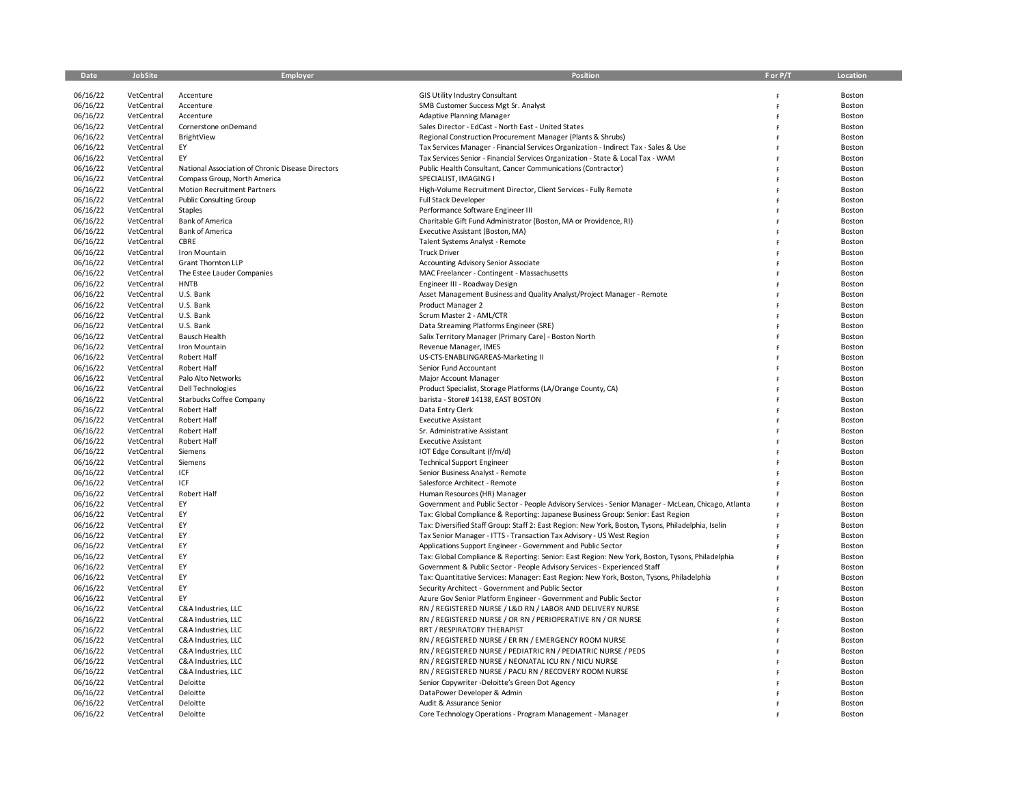| Date     | JobSite    | Employer                                          | Position                                                                                            | F or P/T     | Location |
|----------|------------|---------------------------------------------------|-----------------------------------------------------------------------------------------------------|--------------|----------|
|          |            |                                                   |                                                                                                     |              |          |
| 06/16/22 | VetCentral | Accenture                                         | GIS Utility Industry Consultant                                                                     |              | Boston   |
| 06/16/22 | VetCentral | Accenture                                         | SMB Customer Success Mgt Sr. Analyst                                                                | F            | Boston   |
| 06/16/22 | VetCentral | Accenture                                         | <b>Adaptive Planning Manager</b>                                                                    | E            | Boston   |
| 06/16/22 | VetCentral | Cornerstone onDemand                              | Sales Director - EdCast - North East - United States                                                | E            | Boston   |
| 06/16/22 | VetCentral | BrightView                                        | Regional Construction Procurement Manager (Plants & Shrubs)                                         | F            | Boston   |
| 06/16/22 | VetCentral | EY                                                | Tax Services Manager - Financial Services Organization - Indirect Tax - Sales & Use                 | F            | Boston   |
| 06/16/22 | VetCentral | EY                                                | Tax Services Senior - Financial Services Organization - State & Local Tax - WAM                     | F            | Boston   |
| 06/16/22 | VetCentral | National Association of Chronic Disease Directors | Public Health Consultant, Cancer Communications (Contractor)                                        | F            | Boston   |
| 06/16/22 | VetCentral | Compass Group, North America                      | SPECIALIST, IMAGING I                                                                               | $\mathsf{F}$ | Boston   |
| 06/16/22 | VetCentral | <b>Motion Recruitment Partners</b>                | High-Volume Recruitment Director, Client Services - Fully Remote                                    | $\mathsf F$  | Boston   |
| 06/16/22 | VetCentral | <b>Public Consulting Group</b>                    | <b>Full Stack Developer</b>                                                                         | F            | Boston   |
| 06/16/22 | VetCentral | <b>Staples</b>                                    | Performance Software Engineer III                                                                   | F            | Boston   |
| 06/16/22 | VetCentral | <b>Bank of America</b>                            | Charitable Gift Fund Administrator (Boston, MA or Providence, RI)                                   | E            | Boston   |
| 06/16/22 | VetCentral | <b>Bank of America</b>                            | Executive Assistant (Boston, MA)                                                                    | F            | Boston   |
| 06/16/22 | VetCentral | <b>CBRE</b>                                       | Talent Systems Analyst - Remote                                                                     | F            | Boston   |
| 06/16/22 | VetCentral | Iron Mountain                                     | <b>Truck Driver</b>                                                                                 | F            | Boston   |
| 06/16/22 | VetCentral | Grant Thornton LLP                                | Accounting Advisory Senior Associate                                                                | F            | Boston   |
| 06/16/22 | VetCentral | The Estee Lauder Companies                        | MAC Freelancer - Contingent - Massachusetts                                                         | F            | Boston   |
| 06/16/22 | VetCentral | <b>HNTB</b>                                       | Engineer III - Roadway Design                                                                       | F            | Boston   |
| 06/16/22 | VetCentral | U.S. Bank                                         | Asset Management Business and Quality Analyst/Project Manager - Remote                              | F            | Boston   |
| 06/16/22 | VetCentral | U.S. Bank                                         | Product Manager 2                                                                                   | F            | Boston   |
| 06/16/22 | VetCentral | U.S. Bank                                         | Scrum Master 2 - AML/CTR                                                                            | F            | Boston   |
| 06/16/22 | VetCentral | U.S. Bank                                         | Data Streaming Platforms Engineer (SRE)                                                             | F            | Boston   |
| 06/16/22 | VetCentral | <b>Bausch Health</b>                              | Salix Territory Manager (Primary Care) - Boston North                                               | F            | Boston   |
| 06/16/22 | VetCentral |                                                   |                                                                                                     | F            |          |
| 06/16/22 |            | Iron Mountain                                     | Revenue Manager, IMES                                                                               |              | Boston   |
|          | VetCentral | Robert Half                                       | US-CTS-ENABLINGAREAS-Marketing II                                                                   | F<br>F       | Boston   |
| 06/16/22 | VetCentral | Robert Half                                       | Senior Fund Accountant                                                                              | $\mathsf F$  | Boston   |
| 06/16/22 | VetCentral | Palo Alto Networks                                | Major Account Manager                                                                               |              | Boston   |
| 06/16/22 | VetCentral | Dell Technologies                                 | Product Specialist, Storage Platforms (LA/Orange County, CA)                                        | $\mathsf F$  | Boston   |
| 06/16/22 | VetCentral | Starbucks Coffee Company                          | barista - Store# 14138, EAST BOSTON                                                                 | F            | Boston   |
| 06/16/22 | VetCentral | Robert Half                                       | Data Entry Clerk                                                                                    | F            | Boston   |
| 06/16/22 | VetCentral | Robert Half                                       | <b>Executive Assistant</b>                                                                          | F            | Boston   |
| 06/16/22 | VetCentral | Robert Half                                       | Sr. Administrative Assistant                                                                        | E            | Boston   |
| 06/16/22 | VetCentral | Robert Half                                       | <b>Executive Assistant</b>                                                                          | F            | Boston   |
| 06/16/22 | VetCentral | Siemens                                           | IOT Edge Consultant (f/m/d)                                                                         | F            | Boston   |
| 06/16/22 | VetCentral | Siemens                                           | <b>Technical Support Engineer</b>                                                                   | E            | Boston   |
| 06/16/22 | VetCentral | ICF                                               | Senior Business Analyst - Remote                                                                    | E            | Boston   |
| 06/16/22 | VetCentral | ICF                                               | Salesforce Architect - Remote                                                                       | F            | Boston   |
| 06/16/22 | VetCentral | Robert Half                                       | Human Resources (HR) Manager                                                                        | F            | Boston   |
| 06/16/22 | VetCentral | EY                                                | Government and Public Sector - People Advisory Services - Senior Manager - McLean, Chicago, Atlanta | F            | Boston   |
| 06/16/22 | VetCentral | EY                                                | Tax: Global Compliance & Reporting: Japanese Business Group: Senior: East Region                    |              | Boston   |
| 06/16/22 | VetCentral | EY                                                | Tax: Diversified Staff Group: Staff 2: East Region: New York, Boston, Tysons, Philadelphia, Iselin  | E            | Boston   |
| 06/16/22 | VetCentral | EY                                                | Tax Senior Manager - ITTS - Transaction Tax Advisory - US West Region                               | F            | Boston   |
| 06/16/22 | VetCentral | EY                                                | Applications Support Engineer - Government and Public Sector                                        | F            | Boston   |
| 06/16/22 | VetCentral | EY                                                | Tax: Global Compliance & Reporting: Senior: East Region: New York, Boston, Tysons, Philadelphia     | F            | Boston   |
| 06/16/22 | VetCentral | EY                                                | Government & Public Sector - People Advisory Services - Experienced Staff                           | F            | Boston   |
| 06/16/22 | VetCentral | EY                                                | Tax: Quantitative Services: Manager: East Region: New York, Boston, Tysons, Philadelphia            | F            | Boston   |
| 06/16/22 | VetCentral | EY                                                | Security Architect - Government and Public Sector                                                   | F            | Boston   |
| 06/16/22 | VetCentral | EY                                                | Azure Gov Senior Platform Engineer - Government and Public Sector                                   | F            | Boston   |
| 06/16/22 | VetCentral | C&A Industries, LLC                               | RN / REGISTERED NURSE / L&D RN / LABOR AND DELIVERY NURSE                                           | F            | Boston   |
| 06/16/22 | VetCentral | C&A Industries, LLC                               | RN / REGISTERED NURSE / OR RN / PERIOPERATIVE RN / OR NURSE                                         | $\mathsf{F}$ | Boston   |
| 06/16/22 | VetCentral | C&A Industries, LLC                               | RRT / RESPIRATORY THERAPIST                                                                         | E            | Boston   |
| 06/16/22 | VetCentral | C&A Industries, LLC                               | RN / REGISTERED NURSE / ER RN / EMERGENCY ROOM NURSE                                                | F            | Boston   |
| 06/16/22 | VetCentral | C&A Industries, LLC                               | RN / REGISTERED NURSE / PEDIATRIC RN / PEDIATRIC NURSE / PEDS                                       |              | Boston   |
| 06/16/22 | VetCentral | C&A Industries, LLC                               | RN / REGISTERED NURSE / NEONATAL ICU RN / NICU NURSE                                                | F            | Boston   |
| 06/16/22 | VetCentral | C&A Industries, LLC                               | RN / REGISTERED NURSE / PACU RN / RECOVERY ROOM NURSE                                               | F            | Boston   |
| 06/16/22 | VetCentral | Deloitte                                          | Senior Copywriter -Deloitte's Green Dot Agency                                                      | F            | Boston   |
| 06/16/22 | VetCentral | Deloitte                                          | DataPower Developer & Admin                                                                         | F            | Boston   |
| 06/16/22 | VetCentral | Deloitte                                          | Audit & Assurance Senior                                                                            |              | Boston   |
| 06/16/22 | VetCentral | Deloitte                                          | Core Technology Operations - Program Management - Manager                                           |              | Boston   |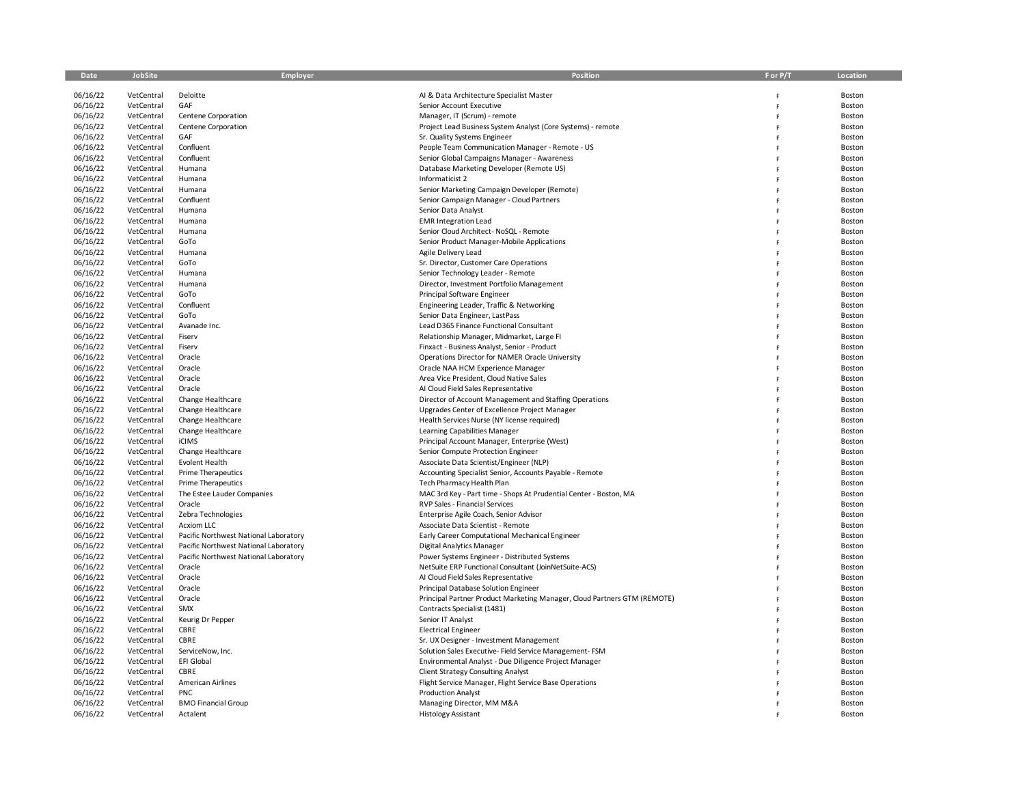| Date                 | JobSite                  | Employer                              | <b>Position</b>                                                                                     | F or P/T | Location         |
|----------------------|--------------------------|---------------------------------------|-----------------------------------------------------------------------------------------------------|----------|------------------|
|                      |                          |                                       |                                                                                                     |          |                  |
| 06/16/22             | VetCentral               | Deloitte                              | AI & Data Architecture Specialist Master                                                            |          | Boston           |
| 06/16/22             | VetCentral               | GAF                                   | Senior Account Executive                                                                            |          | Boston           |
| 06/16/22             | VetCentral               | Centene Corporation                   | Manager, IT (Scrum) - remote                                                                        | Ë        | Boston           |
| 06/16/22             | VetCentral               | Centene Corporation                   | Project Lead Business System Analyst (Core Systems) - remote                                        | F        | Boston           |
| 06/16/22             | VetCentral               | GAF                                   | Sr. Quality Systems Engineer                                                                        |          | Boston           |
| 06/16/22<br>06/16/22 | VetCentral<br>VetCentral | Confluent<br>Confluent                | People Team Communication Manager - Remote - US<br>Senior Global Campaigns Manager - Awareness      |          | Boston           |
| 06/16/22             |                          |                                       |                                                                                                     |          | Boston           |
| 06/16/22             | VetCentral<br>VetCentral | Humana<br>Humana                      | Database Marketing Developer (Remote US)<br>Informaticist 2                                         |          | Boston<br>Boston |
| 06/16/22             | VetCentral               | Humana                                | Senior Marketing Campaign Developer (Remote)                                                        |          | Boston           |
| 06/16/22             | VetCentral               | Confluent                             | Senior Campaign Manager - Cloud Partners                                                            |          | Boston           |
| 06/16/22             | VetCentral               | Humana                                | Senior Data Analyst                                                                                 |          | Boston           |
| 06/16/22             | VetCentral               | Humana                                | <b>EMR Integration Lead</b>                                                                         |          | Boston           |
| 06/16/22             | VetCentral               | Humana                                | Senior Cloud Architect- NoSQL - Remote                                                              |          | Boston           |
| 06/16/22             | VetCentral               | GoTo                                  | Senior Product Manager-Mobile Applications                                                          |          | Boston           |
| 06/16/22             | VetCentral               | Humana                                | Agile Delivery Lead                                                                                 |          | Boston           |
| 06/16/22             | VetCentral               | GoTo                                  | Sr. Director, Customer Care Operations                                                              |          | Boston           |
| 06/16/22             | VetCentral               | Humana                                | Senior Technology Leader - Remote                                                                   |          | Boston           |
| 06/16/22             | VetCentral               | Humana                                | Director, Investment Portfolio Management                                                           |          | Boston           |
| 06/16/22             | VetCentral               | GoTo                                  | Principal Software Engineer                                                                         |          | Boston           |
| 06/16/22             | VetCentral               | Confluent                             | Engineering Leader, Traffic & Networking                                                            |          | Boston           |
| 06/16/22             | VetCentral               | GoTo                                  | Senior Data Engineer, LastPass                                                                      |          | Boston           |
| 06/16/22             | VetCentral               | Avanade Inc.                          | Lead D365 Finance Functional Consultant                                                             |          | Boston           |
| 06/16/22             | VetCentral               | Fiserv                                | Relationship Manager, Midmarket, Large FI                                                           |          | Boston           |
| 06/16/22             | VetCentral               | Fiserv                                | Finxact - Business Analyst, Senior - Product                                                        |          | Boston           |
| 06/16/22             | VetCentral               | Oracle                                | Operations Director for NAMER Oracle University                                                     |          | Boston           |
| 06/16/22             | VetCentral               | Oracle                                | Oracle NAA HCM Experience Manager                                                                   | F        | Boston           |
| 06/16/22             | VetCentral               | Oracle                                | Area Vice President, Cloud Native Sales                                                             |          | Boston           |
| 06/16/22             | VetCentral               | Oracle                                | AI Cloud Field Sales Representative                                                                 |          | Boston           |
| 06/16/22             | VetCentral               | Change Healthcare                     | Director of Account Management and Staffing Operations                                              |          | Boston           |
| 06/16/22             | VetCentral               | Change Healthcare                     | Upgrades Center of Excellence Project Manager                                                       |          | Boston           |
| 06/16/22             | VetCentral               | Change Healthcare                     | Health Services Nurse (NY license required)                                                         | F        | Boston           |
| 06/16/22             | VetCentral               | Change Healthcare                     | Learning Capabilities Manager                                                                       | F        | Boston           |
| 06/16/22             | VetCentral               | <b>iCIMS</b>                          | Principal Account Manager, Enterprise (West)                                                        |          | Boston           |
| 06/16/22             | VetCentral<br>VetCentral | Change Healthcare<br>Evolent Health   | Senior Compute Protection Engineer<br>Associate Data Scientist/Engineer (NLP)                       |          | Boston           |
| 06/16/22<br>06/16/22 | VetCentral               | <b>Prime Therapeutics</b>             | Accounting Specialist Senior, Accounts Payable - Remote                                             | F        | Boston<br>Boston |
| 06/16/22             | VetCentral               | <b>Prime Therapeutics</b>             | Tech Pharmacy Health Plan                                                                           | Ė        | Boston           |
| 06/16/22             | VetCentral               | The Estee Lauder Companies            | MAC 3rd Key - Part time - Shops At Prudential Center - Boston, MA                                   |          | Boston           |
| 06/16/22             | VetCentral               | Oracle                                | RVP Sales - Financial Services                                                                      |          | Boston           |
| 06/16/22             | VetCentral               | Zebra Technologies                    | Enterprise Agile Coach, Senior Advisor                                                              |          | Boston           |
| 06/16/22             | VetCentral               | <b>Acxiom LLC</b>                     | Associate Data Scientist - Remote                                                                   |          | Boston           |
| 06/16/22             | VetCentral               | Pacific Northwest National Laboratory | Early Career Computational Mechanical Engineer                                                      |          | Boston           |
| 06/16/22             | VetCentral               | Pacific Northwest National Laboratory | Digital Analytics Manager                                                                           |          | Boston           |
| 06/16/22             | VetCentral               | Pacific Northwest National Laboratory | Power Systems Engineer - Distributed Systems                                                        |          | Boston           |
| 06/16/22             | VetCentral               | Oracle                                | NetSuite ERP Functional Consultant (JoinNetSuite-ACS)                                               |          | Boston           |
| 06/16/22             | VetCentral               | Oracle                                | Al Cloud Field Sales Representative                                                                 | F        | Boston           |
| 06/16/22             | VetCentral               | Oracle                                | Principal Database Solution Engineer                                                                |          | Boston           |
| 06/16/22             | VetCentral               | Oracle                                | Principal Partner Product Marketing Manager, Cloud Partners GTM (REMOTE)                            |          | Boston           |
| 06/16/22             | VetCentral               | SMX                                   | Contracts Specialist (1481)                                                                         | F        | Boston           |
| 06/16/22             | VetCentral               | Keurig Dr Pepper                      | Senior IT Analyst                                                                                   |          | Boston           |
| 06/16/22             | VetCentral               | CBRE                                  | <b>Electrical Engineer</b>                                                                          | p        | Boston           |
| 06/16/22             | VetCentral               | CBRE                                  | Sr. UX Designer - Investment Management                                                             |          | Boston           |
| 06/16/22             | VetCentral               | ServiceNow, Inc.                      | Solution Sales Executive- Field Service Management- FSM                                             |          | Boston           |
| 06/16/22<br>06/16/22 | VetCentral               | EFI Global<br>CBRE                    | Environmental Analyst - Due Diligence Project Manager                                               | F        | Boston           |
| 06/16/22             | VetCentral<br>VetCentral | American Airlines                     | <b>Client Strategy Consulting Analyst</b><br>Flight Service Manager, Flight Service Base Operations | F        | Boston<br>Boston |
| 06/16/22             | VetCentral               | <b>PNC</b>                            | <b>Production Analyst</b>                                                                           |          | Boston           |
| 06/16/22             | VetCentral               | <b>BMO Financial Group</b>            | Managing Director, MM M&A                                                                           |          | Boston           |
| 06/16/22             | VetCentral               | Actalent                              | <b>Histology Assistant</b>                                                                          |          | Boston           |
|                      |                          |                                       |                                                                                                     |          |                  |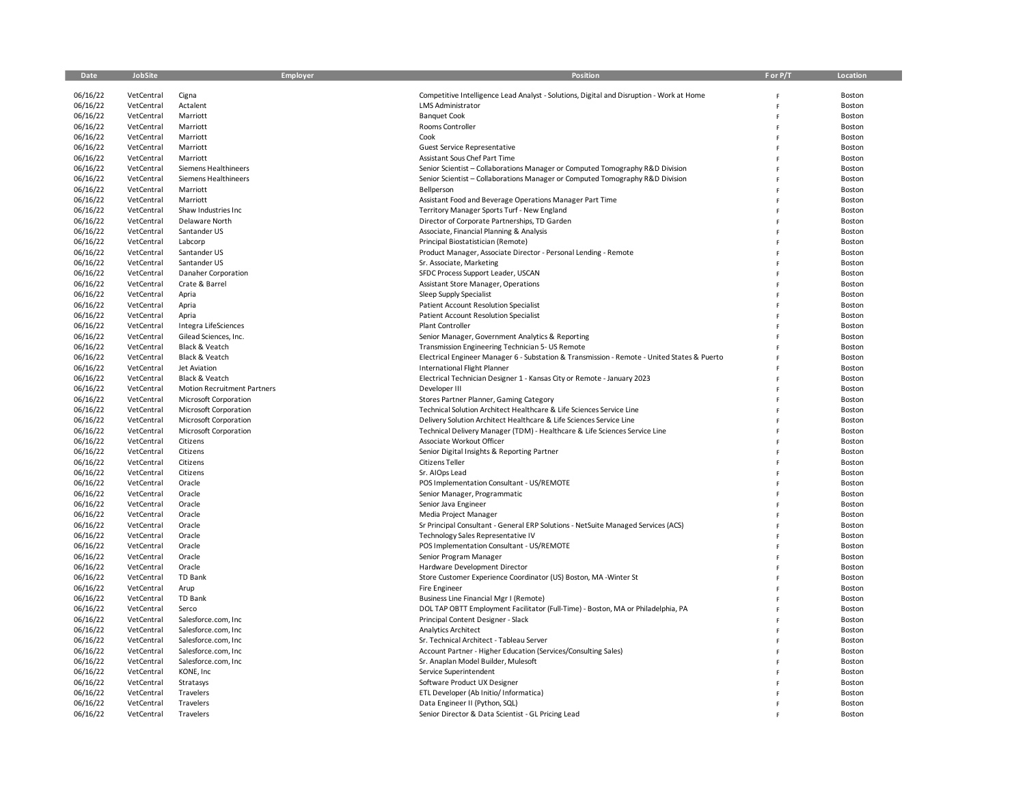| Date                 | JobSite                  | Employer                                             | Position                                                                                    | F or P/T | Location         |
|----------------------|--------------------------|------------------------------------------------------|---------------------------------------------------------------------------------------------|----------|------------------|
| 06/16/22             | VetCentral               | Cigna                                                | Competitive Intelligence Lead Analyst - Solutions, Digital and Disruption - Work at Home    |          | Boston           |
| 06/16/22             | VetCentral               | Actalent                                             | <b>LMS Administrator</b>                                                                    |          | Boston           |
| 06/16/22             | VetCentral               | Marriott                                             | <b>Banquet Cook</b>                                                                         |          | Boston           |
| 06/16/22             | VetCentral               | Marriott                                             | Rooms Controller                                                                            |          | Boston           |
| 06/16/22             | VetCentral               | Marriott                                             | Cook                                                                                        |          | Boston           |
| 06/16/22             | VetCentral               | Marriott                                             | Guest Service Representative                                                                |          | Boston           |
| 06/16/22             | VetCentral               | Marriott                                             | Assistant Sous Chef Part Time                                                               |          | Boston           |
| 06/16/22             | VetCentral               | Siemens Healthineers                                 | Senior Scientist - Collaborations Manager or Computed Tomography R&D Division               |          | Boston           |
| 06/16/22             | VetCentral               | Siemens Healthineers                                 | Senior Scientist - Collaborations Manager or Computed Tomography R&D Division               |          | Boston           |
| 06/16/22             | VetCentral               | Marriott                                             | Bellperson                                                                                  |          | Boston           |
| 06/16/22             | VetCentral               | Marriott                                             | Assistant Food and Beverage Operations Manager Part Time                                    |          | Boston           |
| 06/16/22             | VetCentral               | Shaw Industries Inc                                  | Territory Manager Sports Turf - New England                                                 |          | Boston           |
| 06/16/22             | VetCentral               | Delaware North                                       | Director of Corporate Partnerships, TD Garden                                               |          | Boston           |
| 06/16/22             | VetCentral               | Santander US                                         | Associate, Financial Planning & Analysis                                                    |          | Boston           |
| 06/16/22             | VetCentral               | Labcorp                                              | Principal Biostatistician (Remote)                                                          |          | Boston           |
| 06/16/22             | VetCentral               | Santander US                                         | Product Manager, Associate Director - Personal Lending - Remote                             |          | Boston           |
| 06/16/22             | VetCentral               | Santander US                                         | Sr. Associate, Marketing                                                                    |          | Boston           |
| 06/16/22             | VetCentral               | Danaher Corporation                                  | SFDC Process Support Leader, USCAN                                                          |          | Boston           |
| 06/16/22             | VetCentral               | Crate & Barrel                                       | Assistant Store Manager, Operations                                                         |          | Boston           |
| 06/16/22             | VetCentral               | Apria                                                | Sleep Supply Specialist                                                                     |          | Boston           |
| 06/16/22             | VetCentral               | Apria                                                | <b>Patient Account Resolution Specialist</b>                                                |          | Boston           |
| 06/16/22             | VetCentral               | Apria                                                | Patient Account Resolution Specialist                                                       |          | Boston           |
| 06/16/22             | VetCentral               | Integra LifeSciences                                 | <b>Plant Controller</b>                                                                     |          | Boston           |
| 06/16/22             | VetCentral               | Gilead Sciences, Inc.                                | Senior Manager, Government Analytics & Reporting                                            |          | Boston           |
| 06/16/22             | VetCentral               | Black & Veatch<br>Black & Veatch                     | Transmission Engineering Technician 5- US Remote                                            |          | Boston           |
| 06/16/22             | VetCentral               | Jet Aviation                                         | Electrical Engineer Manager 6 - Substation & Transmission - Remote - United States & Puerto |          | Boston<br>Boston |
| 06/16/22<br>06/16/22 | VetCentral               |                                                      | International Flight Planner                                                                |          |                  |
| 06/16/22             | VetCentral<br>VetCentral | Black & Veatch<br><b>Motion Recruitment Partners</b> | Electrical Technician Designer 1 - Kansas City or Remote - January 2023<br>Developer III    |          | Boston<br>Boston |
| 06/16/22             | VetCentral               | Microsoft Corporation                                | Stores Partner Planner, Gaming Category                                                     |          | Boston           |
| 06/16/22             | VetCentral               | Microsoft Corporation                                | Technical Solution Architect Healthcare & Life Sciences Service Line                        |          | Boston           |
| 06/16/22             | VetCentral               | Microsoft Corporation                                | Delivery Solution Architect Healthcare & Life Sciences Service Line                         |          | Boston           |
| 06/16/22             | VetCentral               | Microsoft Corporation                                | Technical Delivery Manager (TDM) - Healthcare & Life Sciences Service Line                  |          | Boston           |
| 06/16/22             | VetCentral               | Citizens                                             | Associate Workout Officer                                                                   |          | Boston           |
| 06/16/22             | VetCentral               | Citizens                                             | Senior Digital Insights & Reporting Partner                                                 |          | Boston           |
| 06/16/22             | VetCentral               | Citizens                                             | <b>Citizens Teller</b>                                                                      |          | Boston           |
| 06/16/22             | VetCentral               | Citizens                                             | Sr. AIOps Lead                                                                              |          | Boston           |
| 06/16/22             | VetCentral               | Oracle                                               | POS Implementation Consultant - US/REMOTE                                                   |          | Boston           |
| 06/16/22             | VetCentral               | Oracle                                               | Senior Manager, Programmatic                                                                |          | Boston           |
| 06/16/22             | VetCentral               | Oracle                                               | Senior Java Engineer                                                                        |          | Boston           |
| 06/16/22             | VetCentral               | Oracle                                               | Media Project Manager                                                                       |          | Boston           |
| 06/16/22             | VetCentral               | Oracle                                               | Sr Principal Consultant - General ERP Solutions - NetSuite Managed Services (ACS)           |          | Boston           |
| 06/16/22             | VetCentral               | Oracle                                               | Technology Sales Representative IV                                                          |          | Boston           |
| 06/16/22             | VetCentral               | Oracle                                               | POS Implementation Consultant - US/REMOTE                                                   |          | Boston           |
| 06/16/22             | VetCentral               | Oracle                                               | Senior Program Manager                                                                      |          | Boston           |
| 06/16/22             | VetCentral               | Oracle                                               | Hardware Development Director                                                               |          | Boston           |
| 06/16/22             | VetCentral               | <b>TD Bank</b>                                       | Store Customer Experience Coordinator (US) Boston, MA -Winter St                            |          | Boston           |
| 06/16/22             | VetCentral               | Arup                                                 | Fire Engineer                                                                               |          | Boston           |
| 06/16/22             | VetCentral               | TD Bank                                              | Business Line Financial Mgr I (Remote)                                                      |          | Boston           |
| 06/16/22             | VetCentral               | Serco                                                | DOL TAP OBTT Employment Facilitator (Full-Time) - Boston, MA or Philadelphia, PA            |          | Boston           |
| 06/16/22             | VetCentral               | Salesforce.com, Inc                                  | Principal Content Designer - Slack                                                          |          | Boston           |
| 06/16/22             | VetCentral               | Salesforce.com, Inc                                  | Analytics Architect                                                                         |          | Boston           |
| 06/16/22             | VetCentral               | Salesforce.com, Inc                                  | Sr. Technical Architect - Tableau Server                                                    |          | Boston           |
| 06/16/22             | VetCentral               | Salesforce.com, Inc                                  | Account Partner - Higher Education (Services/Consulting Sales)                              |          | Boston           |
| 06/16/22             | VetCentral               | Salesforce.com, Inc                                  | Sr. Anaplan Model Builder, Mulesoft                                                         |          | Boston           |
| 06/16/22             | VetCentral               | KONE, Inc                                            | Service Superintendent                                                                      |          | Boston           |
| 06/16/22             | VetCentral               | Stratasys                                            | Software Product UX Designer                                                                |          | Boston           |
| 06/16/22             | VetCentral               | Travelers                                            | ETL Developer (Ab Initio/ Informatica)                                                      |          | Boston           |
| 06/16/22             | VetCentral               | Travelers                                            | Data Engineer II (Python, SQL)                                                              | F        | Boston           |
| 06/16/22             | VetCentral               | Travelers                                            | Senior Director & Data Scientist - GL Pricing Lead                                          |          | Boston           |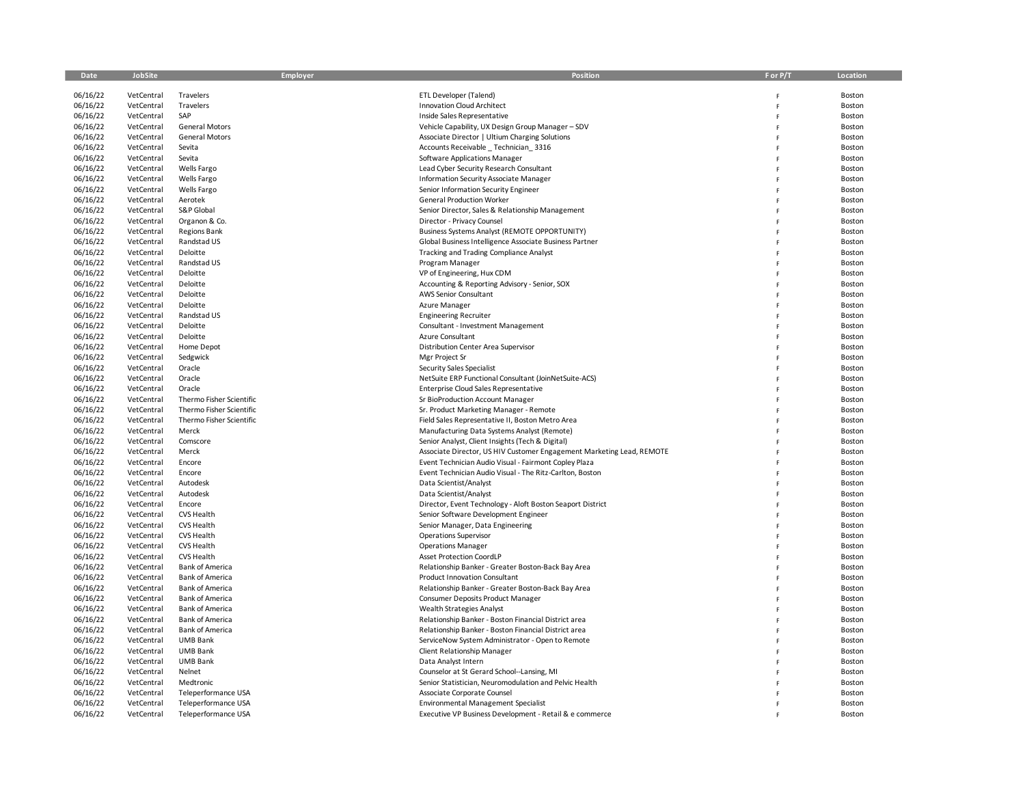| Date     | <b>JobSite</b> | Employer                 | Position                                                              | F or P/T | Location |
|----------|----------------|--------------------------|-----------------------------------------------------------------------|----------|----------|
|          |                |                          |                                                                       |          |          |
| 06/16/22 | VetCentral     | Travelers                | ETL Developer (Talend)                                                | F        | Boston   |
| 06/16/22 | VetCentral     | Travelers                | <b>Innovation Cloud Architect</b>                                     | F        | Boston   |
| 06/16/22 | VetCentral     | SAP                      | Inside Sales Representative                                           | F        | Boston   |
| 06/16/22 | VetCentral     | <b>General Motors</b>    | Vehicle Capability, UX Design Group Manager - SDV                     | F        | Boston   |
| 06/16/22 | VetCentral     | <b>General Motors</b>    | Associate Director   Ultium Charging Solutions                        | F        | Boston   |
| 06/16/22 | VetCentral     | Sevita                   | Accounts Receivable Technician 3316                                   | F        | Boston   |
| 06/16/22 | VetCentral     | Sevita                   | Software Applications Manager                                         |          | Boston   |
| 06/16/22 | VetCentral     | Wells Fargo              | Lead Cyber Security Research Consultant                               | F        | Boston   |
| 06/16/22 | VetCentral     | Wells Fargo              | Information Security Associate Manager                                | F        | Boston   |
| 06/16/22 | VetCentral     | Wells Fargo              | Senior Information Security Engineer                                  | F        | Boston   |
| 06/16/22 | VetCentral     | Aerotek                  | <b>General Production Worker</b>                                      | F        | Boston   |
| 06/16/22 | VetCentral     | S&P Global               | Senior Director, Sales & Relationship Management                      | F        | Boston   |
| 06/16/22 | VetCentral     | Organon & Co.            | Director - Privacy Counsel                                            | F        | Boston   |
| 06/16/22 | VetCentral     | <b>Regions Bank</b>      | <b>Business Systems Analyst (REMOTE OPPORTUNITY)</b>                  | F        | Boston   |
| 06/16/22 | VetCentral     | Randstad US              | Global Business Intelligence Associate Business Partner               | F        | Boston   |
| 06/16/22 | VetCentral     | Deloitte                 | Tracking and Trading Compliance Analyst                               | F        | Boston   |
| 06/16/22 | VetCentral     | Randstad US              | Program Manager                                                       | F        | Boston   |
| 06/16/22 | VetCentral     | Deloitte                 | VP of Engineering, Hux CDM                                            | F        | Boston   |
| 06/16/22 | VetCentral     | Deloitte                 | Accounting & Reporting Advisory - Senior, SOX                         | F        | Boston   |
| 06/16/22 | VetCentral     | Deloitte                 | <b>AWS Senior Consultant</b>                                          | F        | Boston   |
| 06/16/22 | VetCentral     | Deloitte                 | Azure Manager                                                         | F        | Boston   |
| 06/16/22 | VetCentral     | Randstad US              | <b>Engineering Recruiter</b>                                          | F        | Boston   |
| 06/16/22 | VetCentral     | Deloitte                 | Consultant - Investment Management                                    | F        | Boston   |
| 06/16/22 | VetCentral     | Deloitte                 | Azure Consultant                                                      | F        | Boston   |
| 06/16/22 | VetCentral     | Home Depot               | Distribution Center Area Supervisor                                   | F        | Boston   |
| 06/16/22 | VetCentral     | Sedgwick                 | Mgr Project Sr                                                        |          | Boston   |
| 06/16/22 | VetCentral     | Oracle                   | Security Sales Specialist                                             | F        | Boston   |
| 06/16/22 | VetCentral     | Oracle                   | NetSuite ERP Functional Consultant (JoinNetSuite-ACS)                 | F        | Boston   |
| 06/16/22 | VetCentral     | Oracle                   | <b>Enterprise Cloud Sales Representative</b>                          | F        | Boston   |
| 06/16/22 | VetCentral     | Thermo Fisher Scientific | Sr BioProduction Account Manager                                      | F        | Boston   |
| 06/16/22 | VetCentral     | Thermo Fisher Scientific | Sr. Product Marketing Manager - Remote                                | F        | Boston   |
| 06/16/22 | VetCentral     | Thermo Fisher Scientific | Field Sales Representative II, Boston Metro Area                      | F        | Boston   |
| 06/16/22 | VetCentral     | Merck                    | Manufacturing Data Systems Analyst (Remote)                           | F        | Boston   |
| 06/16/22 | VetCentral     | Comscore                 | Senior Analyst, Client Insights (Tech & Digital)                      | F        | Boston   |
| 06/16/22 | VetCentral     | Merck                    | Associate Director, US HIV Customer Engagement Marketing Lead, REMOTE | F        | Boston   |
| 06/16/22 | VetCentral     | Encore                   | Event Technician Audio Visual - Fairmont Copley Plaza                 | F        | Boston   |
| 06/16/22 | VetCentral     | Encore                   | Event Technician Audio Visual - The Ritz-Carlton, Boston              | F        | Boston   |
| 06/16/22 | VetCentral     | Autodesk                 | Data Scientist/Analyst                                                | F        | Boston   |
| 06/16/22 | VetCentral     | Autodesk                 | Data Scientist/Analyst                                                | F        | Boston   |
| 06/16/22 | VetCentral     | Encore                   | Director, Event Technology - Aloft Boston Seaport District            | F        | Boston   |
| 06/16/22 | VetCentral     | <b>CVS Health</b>        | Senior Software Development Engineer                                  | F        | Boston   |
| 06/16/22 | VetCentral     | <b>CVS Health</b>        | Senior Manager, Data Engineering                                      | F        | Boston   |
| 06/16/22 | VetCentral     | CVS Health               | <b>Operations Supervisor</b>                                          | F        | Boston   |
| 06/16/22 | VetCentral     | <b>CVS Health</b>        | <b>Operations Manager</b>                                             | F        | Boston   |
| 06/16/22 | VetCentral     | CVS Health               | <b>Asset Protection CoordLP</b>                                       | F        | Boston   |
| 06/16/22 | VetCentral     | <b>Bank of America</b>   | Relationship Banker - Greater Boston-Back Bay Area                    | F        | Boston   |
| 06/16/22 | VetCentral     | <b>Bank of America</b>   | <b>Product Innovation Consultant</b>                                  | F        | Boston   |
| 06/16/22 | VetCentral     | <b>Bank of America</b>   | Relationship Banker - Greater Boston-Back Bay Area                    | F        | Boston   |
| 06/16/22 | VetCentral     | <b>Bank of America</b>   | Consumer Deposits Product Manager                                     | F        | Boston   |
| 06/16/22 | VetCentral     | <b>Bank of America</b>   | <b>Wealth Strategies Analyst</b>                                      |          | Boston   |
| 06/16/22 | VetCentral     | <b>Bank of America</b>   | Relationship Banker - Boston Financial District area                  | F        | Boston   |
| 06/16/22 | VetCentral     | <b>Bank of America</b>   | Relationship Banker - Boston Financial District area                  | F        | Boston   |
| 06/16/22 | VetCentral     | <b>UMB Bank</b>          | ServiceNow System Administrator - Open to Remote                      | F        | Boston   |
| 06/16/22 | VetCentral     | <b>UMB Bank</b>          | Client Relationship Manager                                           | F        | Boston   |
| 06/16/22 | VetCentral     | <b>UMB Bank</b>          | Data Analyst Intern                                                   | F        | Boston   |
| 06/16/22 | VetCentral     | Nelnet                   | Counselor at St Gerard School--Lansing, MI                            |          | Boston   |
| 06/16/22 | VetCentral     | Medtronic                | Senior Statistician, Neuromodulation and Pelvic Health                |          | Boston   |
| 06/16/22 | VetCentral     | Teleperformance USA      | Associate Corporate Counsel                                           |          | Boston   |
| 06/16/22 | VetCentral     | Teleperformance USA      | <b>Environmental Management Specialist</b>                            |          | Boston   |
| 06/16/22 | VetCentral     | Teleperformance USA      | Executive VP Business Development - Retail & e commerce               |          | Boston   |
|          |                |                          |                                                                       |          |          |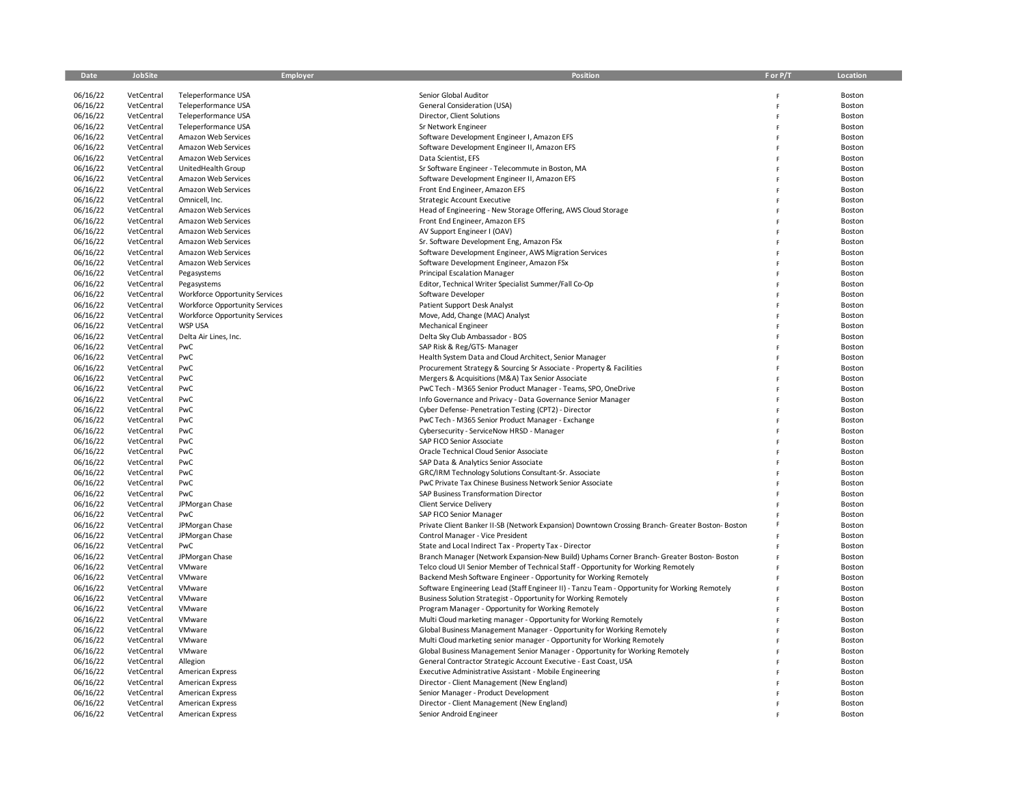| Date                 | JobSite                  | Employer                                   | Position                                                                                                                                            | F or P/T | Location         |
|----------------------|--------------------------|--------------------------------------------|-----------------------------------------------------------------------------------------------------------------------------------------------------|----------|------------------|
|                      |                          |                                            |                                                                                                                                                     |          |                  |
| 06/16/22             | VetCentral               | Teleperformance USA                        | Senior Global Auditor                                                                                                                               | F        | Boston           |
| 06/16/22             | VetCentral               | Teleperformance USA                        | General Consideration (USA)                                                                                                                         | F        | Boston           |
| 06/16/22             | VetCentral               | Teleperformance USA                        | Director, Client Solutions                                                                                                                          | F        | Boston           |
| 06/16/22             | VetCentral               | Teleperformance USA                        | Sr Network Engineer                                                                                                                                 | F        | Boston           |
| 06/16/22             | VetCentral               | Amazon Web Services                        | Software Development Engineer I, Amazon EFS                                                                                                         | F        | Boston           |
| 06/16/22             | VetCentral               | Amazon Web Services                        | Software Development Engineer II, Amazon EFS                                                                                                        | F        | Boston           |
| 06/16/22             | VetCentral               | Amazon Web Services                        | Data Scientist, EFS                                                                                                                                 | F        | Boston           |
| 06/16/22             | VetCentral               | UnitedHealth Group                         | Sr Software Engineer - Telecommute in Boston, MA                                                                                                    | F        | Boston           |
| 06/16/22             | VetCentral               | Amazon Web Services                        | Software Development Engineer II, Amazon EFS                                                                                                        | F        | Boston           |
| 06/16/22             | VetCentral               | Amazon Web Services                        | Front End Engineer, Amazon EFS                                                                                                                      | F        | Boston           |
| 06/16/22             | VetCentral               | Omnicell, Inc.                             | <b>Strategic Account Executive</b>                                                                                                                  | F        | Boston           |
| 06/16/22             | VetCentral               | Amazon Web Services                        | Head of Engineering - New Storage Offering, AWS Cloud Storage                                                                                       |          | Boston           |
| 06/16/22<br>06/16/22 | VetCentral<br>VetCentral | Amazon Web Services<br>Amazon Web Services | Front End Engineer, Amazon EFS<br>AV Support Engineer I (OAV)                                                                                       |          | Boston<br>Boston |
| 06/16/22             | VetCentral               | Amazon Web Services                        | Sr. Software Development Eng, Amazon FSx                                                                                                            | F<br>F   | Boston           |
| 06/16/22             | VetCentral               | Amazon Web Services                        | Software Development Engineer, AWS Migration Services                                                                                               | F        | Boston           |
| 06/16/22             | VetCentral               | Amazon Web Services                        | Software Development Engineer, Amazon FSx                                                                                                           |          | Boston           |
| 06/16/22             | VetCentral               | Pegasystems                                | <b>Principal Escalation Manager</b>                                                                                                                 | F        | Boston           |
| 06/16/22             | VetCentral               | Pegasystems                                | Editor, Technical Writer Specialist Summer/Fall Co-Op                                                                                               | F        | Boston           |
| 06/16/22             | VetCentral               | Workforce Opportunity Services             | Software Developer                                                                                                                                  | F        | Boston           |
| 06/16/22             | VetCentral               | Workforce Opportunity Services             | Patient Support Desk Analyst                                                                                                                        | F        | Boston           |
| 06/16/22             | VetCentral               | Workforce Opportunity Services             | Move, Add, Change (MAC) Analyst                                                                                                                     | F        | Boston           |
| 06/16/22             | VetCentral               | <b>WSP USA</b>                             | <b>Mechanical Engineer</b>                                                                                                                          | F        | Boston           |
| 06/16/22             | VetCentral               | Delta Air Lines, Inc.                      | Delta Sky Club Ambassador - BOS                                                                                                                     | F        | Boston           |
| 06/16/22             | VetCentral               | PwC                                        | SAP Risk & Reg/GTS-Manager                                                                                                                          | F        | Boston           |
| 06/16/22             | VetCentral               | PwC                                        | Health System Data and Cloud Architect, Senior Manager                                                                                              | F        | Boston           |
| 06/16/22             | VetCentral               | PwC                                        | Procurement Strategy & Sourcing Sr Associate - Property & Facilities                                                                                | F        | Boston           |
| 06/16/22             | VetCentral               | PwC                                        | Mergers & Acquisitions (M&A) Tax Senior Associate                                                                                                   | F        | Boston           |
| 06/16/22             | VetCentral               | PwC                                        | PwC Tech - M365 Senior Product Manager - Teams, SPO, OneDrive                                                                                       | F        | Boston           |
| 06/16/22             | VetCentral               | PwC                                        | Info Governance and Privacy - Data Governance Senior Manager                                                                                        | F        | Boston           |
| 06/16/22             | VetCentral               | PwC                                        | Cyber Defense- Penetration Testing (CPT2) - Director                                                                                                | F        | Boston           |
| 06/16/22             | VetCentral               | PwC                                        | PwC Tech - M365 Senior Product Manager - Exchange                                                                                                   | F        | Boston           |
| 06/16/22             | VetCentral               | PwC                                        | Cybersecurity - ServiceNow HRSD - Manager                                                                                                           | F        | Boston           |
| 06/16/22             | VetCentral               | PwC                                        | SAP FICO Senior Associate                                                                                                                           | F        | Boston           |
| 06/16/22             | VetCentral               | PwC                                        | Oracle Technical Cloud Senior Associate                                                                                                             |          | Boston           |
| 06/16/22             | VetCentral               | PwC                                        | SAP Data & Analytics Senior Associate                                                                                                               | F        | Boston           |
| 06/16/22             | VetCentral               | PwC                                        | GRC/IRM Technology Solutions Consultant-Sr. Associate                                                                                               | F        | Boston           |
| 06/16/22             | VetCentral               | PwC                                        | PwC Private Tax Chinese Business Network Senior Associate                                                                                           | F        | Boston           |
| 06/16/22             | VetCentral               | PwC                                        | SAP Business Transformation Director                                                                                                                | F        | Boston           |
| 06/16/22             | VetCentral               | JPMorgan Chase                             | Client Service Delivery                                                                                                                             | F        | Boston           |
| 06/16/22             | VetCentral               | PwC                                        | SAP FICO Senior Manager                                                                                                                             |          | Boston           |
| 06/16/22             | VetCentral               | JPMorgan Chase                             | Private Client Banker II-SB (Network Expansion) Downtown Crossing Branch- Greater Boston- Boston                                                    | F        | Boston           |
| 06/16/22<br>06/16/22 | VetCentral               | JPMorgan Chase<br>PwC                      | Control Manager - Vice President                                                                                                                    | F        | Boston           |
| 06/16/22             | VetCentral<br>VetCentral |                                            | State and Local Indirect Tax - Property Tax - Director<br>Branch Manager (Network Expansion-New Build) Uphams Corner Branch- Greater Boston- Boston | F<br>F   | Boston<br>Boston |
| 06/16/22             | VetCentral               | JPMorgan Chase<br>VMware                   | Telco cloud UI Senior Member of Technical Staff - Opportunity for Working Remotely                                                                  |          | Boston           |
| 06/16/22             | VetCentral               | VMware                                     | Backend Mesh Software Engineer - Opportunity for Working Remotely                                                                                   | F        | Boston           |
| 06/16/22             | VetCentral               | VMware                                     | Software Engineering Lead (Staff Engineer II) - Tanzu Team - Opportunity for Working Remotely                                                       | F        | Boston           |
| 06/16/22             | VetCentral               | VMware                                     | Business Solution Strategist - Opportunity for Working Remotely                                                                                     | F        | Boston           |
| 06/16/22             | VetCentral               | VMware                                     | Program Manager - Opportunity for Working Remotely                                                                                                  | F        | Boston           |
| 06/16/22             | VetCentral               | VMware                                     | Multi Cloud marketing manager - Opportunity for Working Remotely                                                                                    | F        | Boston           |
| 06/16/22             | VetCentral               | VMware                                     | Global Business Management Manager - Opportunity for Working Remotely                                                                               | F        | Boston           |
| 06/16/22             | VetCentral               | VMware                                     | Multi Cloud marketing senior manager - Opportunity for Working Remotely                                                                             | F        | Boston           |
| 06/16/22             | VetCentral               | VMware                                     | Global Business Management Senior Manager - Opportunity for Working Remotely                                                                        | F        | Boston           |
| 06/16/22             | VetCentral               | Allegion                                   | General Contractor Strategic Account Executive - East Coast, USA                                                                                    |          | Boston           |
| 06/16/22             | VetCentral               | <b>American Express</b>                    | Executive Administrative Assistant - Mobile Engineering                                                                                             | F        | Boston           |
| 06/16/22             | VetCentral               | American Express                           | Director - Client Management (New England)                                                                                                          | F        | Boston           |
| 06/16/22             | VetCentral               | <b>American Express</b>                    | Senior Manager - Product Development                                                                                                                |          | Boston           |
| 06/16/22             | VetCentral               | <b>American Express</b>                    | Director - Client Management (New England)                                                                                                          |          | Boston           |
| 06/16/22             | VetCentral               | <b>American Express</b>                    | Senior Android Engineer                                                                                                                             |          | Boston           |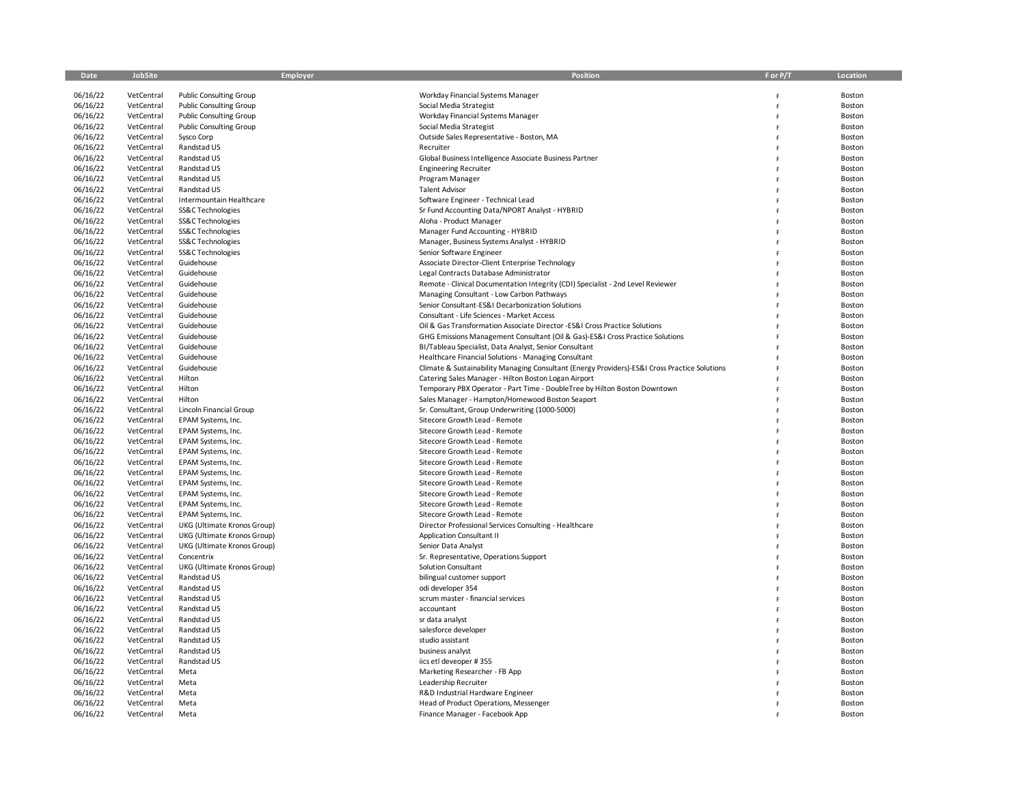| Date                 | JobSite                  | Employer                                 | Position                                                                                      | F or P/T | Location         |
|----------------------|--------------------------|------------------------------------------|-----------------------------------------------------------------------------------------------|----------|------------------|
|                      |                          |                                          |                                                                                               |          |                  |
| 06/16/22             | VetCentral               | <b>Public Consulting Group</b>           | Workday Financial Systems Manager                                                             |          | Boston           |
| 06/16/22             | VetCentral               | <b>Public Consulting Group</b>           | Social Media Strategist                                                                       |          | Boston           |
| 06/16/22             | VetCentral               | <b>Public Consulting Group</b>           | Workday Financial Systems Manager                                                             | F        | Boston           |
| 06/16/22             | VetCentral               | <b>Public Consulting Group</b>           | Social Media Strategist                                                                       | F        | Boston           |
| 06/16/22             | VetCentral               | Sysco Corp                               | Outside Sales Representative - Boston, MA                                                     | F        | Boston           |
| 06/16/22             | VetCentral               | Randstad US                              | Recruiter                                                                                     |          | Boston           |
| 06/16/22             | VetCentral               | Randstad US                              | Global Business Intelligence Associate Business Partner                                       |          | Boston           |
| 06/16/22             | VetCentral               | Randstad US                              | <b>Engineering Recruiter</b>                                                                  |          | Boston           |
| 06/16/22             | VetCentral               | Randstad US                              | Program Manager                                                                               | F        | Boston           |
| 06/16/22             | VetCentral               | Randstad US                              | <b>Talent Advisor</b>                                                                         |          | Boston           |
| 06/16/22             | VetCentral               | Intermountain Healthcare                 | Software Engineer - Technical Lead                                                            |          | Boston           |
| 06/16/22             | VetCentral               | SS&C Technologies                        | Sr Fund Accounting Data/NPORT Analyst - HYBRID                                                |          | Boston           |
| 06/16/22             | VetCentral               | SS&C Technologies                        | Aloha - Product Manager                                                                       | F        | Boston           |
| 06/16/22             | VetCentral               | SS&C Technologies                        | Manager Fund Accounting - HYBRID                                                              | F        | Boston           |
| 06/16/22             | VetCentral               | SS&C Technologies                        | Manager, Business Systems Analyst - HYBRID                                                    |          | Boston           |
| 06/16/22             | VetCentral               | SS&C Technologies                        | Senior Software Engineer                                                                      |          | Boston           |
| 06/16/22             | VetCentral               | Guidehouse                               | Associate Director-Client Enterprise Technology                                               |          | Boston           |
| 06/16/22             | VetCentral               | Guidehouse                               | Legal Contracts Database Administrator                                                        |          | Boston           |
| 06/16/22             | VetCentral               | Guidehouse                               | Remote - Clinical Documentation Integrity (CDI) Specialist - 2nd Level Reviewer               | F        | Boston           |
| 06/16/22             | VetCentral               | Guidehouse                               | Managing Consultant - Low Carbon Pathways                                                     |          | Boston           |
| 06/16/22             | VetCentral               | Guidehouse                               | Senior Consultant-ES&I Decarbonization Solutions                                              |          | Boston           |
| 06/16/22             | VetCentral               | Guidehouse                               | Consultant - Life Sciences - Market Access                                                    | F        | Boston           |
| 06/16/22             | VetCentral               | Guidehouse                               | Oil & Gas Transformation Associate Director -ES&I Cross Practice Solutions                    | F        | Boston           |
| 06/16/22             | VetCentral               | Guidehouse                               | GHG Emissions Management Consultant (Oil & Gas)-ES&I Cross Practice Solutions                 | F        | Boston           |
| 06/16/22             | VetCentral               | Guidehouse                               | BI/Tableau Specialist, Data Analyst, Senior Consultant                                        |          | Boston           |
| 06/16/22             | VetCentral               | Guidehouse                               | Healthcare Financial Solutions - Managing Consultant                                          |          | Boston           |
| 06/16/22             | VetCentral               | Guidehouse                               | Climate & Sustainability Managing Consultant (Energy Providers)-ES&I Cross Practice Solutions |          | Boston           |
| 06/16/22             | VetCentral               | Hilton                                   | Catering Sales Manager - Hilton Boston Logan Airport                                          | F        | Boston           |
| 06/16/22             | VetCentral               | Hilton                                   | Temporary PBX Operator - Part Time - DoubleTree by Hilton Boston Downtown                     | Ė        | Boston           |
| 06/16/22             | VetCentral               | Hilton                                   | Sales Manager - Hampton/Homewood Boston Seaport                                               |          | Boston           |
| 06/16/22             | VetCentral               | Lincoln Financial Group                  | Sr. Consultant, Group Underwriting (1000-5000)                                                | F        | Boston           |
| 06/16/22             | VetCentral               | EPAM Systems, Inc.                       | Sitecore Growth Lead - Remote<br>Sitecore Growth Lead - Remote                                | F        | Boston           |
| 06/16/22<br>06/16/22 | VetCentral<br>VetCentral | EPAM Systems, Inc.<br>EPAM Systems, Inc. | Sitecore Growth Lead - Remote                                                                 |          | Boston<br>Boston |
| 06/16/22             | VetCentral               | EPAM Systems, Inc.                       | Sitecore Growth Lead - Remote                                                                 |          | Boston           |
| 06/16/22             | VetCentral               | EPAM Systems, Inc.                       | Sitecore Growth Lead - Remote                                                                 |          | Boston           |
| 06/16/22             | VetCentral               | EPAM Systems, Inc.                       | Sitecore Growth Lead - Remote                                                                 | F        | Boston           |
| 06/16/22             | VetCentral               | EPAM Systems, Inc.                       | Sitecore Growth Lead - Remote                                                                 | Ė        | Boston           |
| 06/16/22             | VetCentral               | EPAM Systems, Inc.                       | Sitecore Growth Lead - Remote                                                                 |          | Boston           |
| 06/16/22             | VetCentral               | EPAM Systems, Inc.                       | Sitecore Growth Lead - Remote                                                                 |          | Boston           |
| 06/16/22             | VetCentral               | EPAM Systems, Inc.                       | Sitecore Growth Lead - Remote                                                                 | F        | Boston           |
| 06/16/22             | VetCentral               | UKG (Ultimate Kronos Group)              | Director Professional Services Consulting - Healthcare                                        |          | Boston           |
| 06/16/22             | VetCentral               | UKG (Ultimate Kronos Group)              | <b>Application Consultant II</b>                                                              | F        | Boston           |
| 06/16/22             | VetCentral               | UKG (Ultimate Kronos Group)              | Senior Data Analyst                                                                           |          | Boston           |
| 06/16/22             | VetCentral               | Concentrix                               | Sr. Representative, Operations Support                                                        |          | Boston           |
| 06/16/22             | VetCentral               | UKG (Ultimate Kronos Group)              | Solution Consultant                                                                           | F        | Boston           |
| 06/16/22             | VetCentral               | Randstad US                              | bilingual customer support                                                                    | F        | Boston           |
| 06/16/22             | VetCentral               | Randstad US                              | odi developer 354                                                                             |          | Boston           |
| 06/16/22             | VetCentral               | Randstad US                              | scrum master - financial services                                                             |          | Boston           |
| 06/16/22             | VetCentral               | Randstad US                              | accountant                                                                                    |          | Boston           |
| 06/16/22             | VetCentral               | Randstad US                              | sr data analyst                                                                               |          | Boston           |
| 06/16/22             | VetCentral               | Randstad US                              | salesforce developer                                                                          | F        | Boston           |
| 06/16/22             | VetCentral               | Randstad US                              | studio assistant                                                                              |          | Boston           |
| 06/16/22             | VetCentral               | Randstad US                              | business analyst                                                                              |          | Boston           |
| 06/16/22             | VetCentral               | Randstad US                              | iics etl deveoper #355                                                                        | F        | Boston           |
| 06/16/22             | VetCentral               | Meta                                     | Marketing Researcher - FB App                                                                 |          | Boston           |
| 06/16/22             | VetCentral               | Meta                                     | Leadership Recruiter                                                                          |          | Boston           |
| 06/16/22             | VetCentral               | Meta                                     | R&D Industrial Hardware Engineer                                                              |          | Boston           |
| 06/16/22             | VetCentral               | Meta                                     | Head of Product Operations, Messenger                                                         |          | Boston           |
| 06/16/22             | VetCentral               | Meta                                     | Finance Manager - Facebook App                                                                |          | Boston           |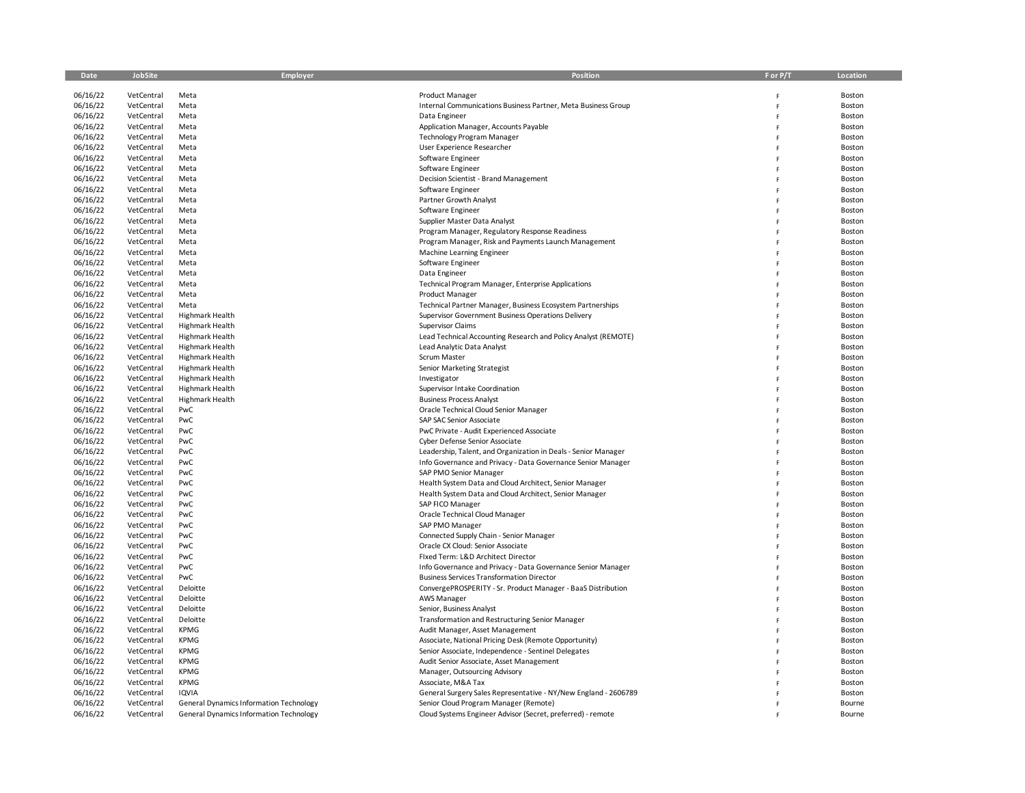| Date                 | <b>JobSite</b>           | Employer                                       | <b>Position</b>                                                              | F or P/T | Location         |
|----------------------|--------------------------|------------------------------------------------|------------------------------------------------------------------------------|----------|------------------|
|                      |                          |                                                |                                                                              |          |                  |
| 06/16/22             | VetCentral               | Meta                                           | Product Manager                                                              | F        | Boston           |
| 06/16/22             | VetCentral               | Meta                                           | Internal Communications Business Partner, Meta Business Group                | F        | Boston           |
| 06/16/22             | VetCentral               | Meta                                           | Data Engineer                                                                | F        | Boston           |
| 06/16/22<br>06/16/22 | VetCentral<br>VetCentral | Meta<br>Meta                                   | Application Manager, Accounts Payable<br><b>Technology Program Manager</b>   |          | Boston<br>Boston |
| 06/16/22             | VetCentral               | Meta                                           | User Experience Researcher                                                   |          | Boston           |
| 06/16/22             | VetCentral               | Meta                                           | Software Engineer                                                            | F        | Boston           |
| 06/16/22             | VetCentral               | Meta                                           | Software Engineer                                                            | Ė        | Boston           |
| 06/16/22             | VetCentral               | Meta                                           | Decision Scientist - Brand Management                                        |          | Boston           |
| 06/16/22             | VetCentral               | Meta                                           | Software Engineer                                                            |          | Boston           |
| 06/16/22             | VetCentral               | Meta                                           | Partner Growth Analyst                                                       |          | Boston           |
| 06/16/22             | VetCentral               | Meta                                           | Software Engineer                                                            |          | Boston           |
| 06/16/22             | VetCentral               | Meta                                           | Supplier Master Data Analyst                                                 | F        | Boston           |
| 06/16/22             | VetCentral               | Meta                                           | Program Manager, Regulatory Response Readiness                               |          | Boston           |
| 06/16/22             | VetCentral               | Meta                                           | Program Manager, Risk and Payments Launch Management                         |          | Boston           |
| 06/16/22             | VetCentral               | Meta                                           | Machine Learning Engineer                                                    |          | Boston           |
| 06/16/22             | VetCentral               | Meta                                           | Software Engineer                                                            |          | Boston           |
| 06/16/22             | VetCentral               | Meta                                           | Data Engineer                                                                |          | Boston           |
| 06/16/22             | VetCentral               | Meta                                           | Technical Program Manager, Enterprise Applications                           |          | Boston           |
| 06/16/22             | VetCentral               | Meta                                           | Product Manager                                                              |          | Boston           |
| 06/16/22             | VetCentral               | Meta                                           | Technical Partner Manager, Business Ecosystem Partnerships                   | F        | Boston           |
| 06/16/22             | VetCentral               | Highmark Health                                | Supervisor Government Business Operations Delivery                           | Ė        | Boston           |
| 06/16/22             | VetCentral               | Highmark Health                                | Supervisor Claims                                                            | F        | Boston           |
| 06/16/22             | VetCentral<br>VetCentral | <b>Highmark Health</b><br>Highmark Health      | Lead Technical Accounting Research and Policy Analyst (REMOTE)               |          | Boston           |
| 06/16/22<br>06/16/22 | VetCentral               | Highmark Health                                | Lead Analytic Data Analyst<br>Scrum Master                                   | F        | Boston<br>Boston |
| 06/16/22             | VetCentral               | Highmark Health                                | Senior Marketing Strategist                                                  | Ė        | Boston           |
| 06/16/22             | VetCentral               | Highmark Health                                | Investigator                                                                 | F        | Boston           |
| 06/16/22             | VetCentral               | <b>Highmark Health</b>                         | Supervisor Intake Coordination                                               |          | Boston           |
| 06/16/22             | VetCentral               | Highmark Health                                | <b>Business Process Analyst</b>                                              |          | Boston           |
| 06/16/22             | VetCentral               | PwC                                            | Oracle Technical Cloud Senior Manager                                        |          | Boston           |
| 06/16/22             | VetCentral               | PwC                                            | SAP SAC Senior Associate                                                     | F        | Boston           |
| 06/16/22             | VetCentral               | PwC                                            | PwC Private - Audit Experienced Associate                                    | Ė        | Boston           |
| 06/16/22             | VetCentral               | PwC                                            | Cyber Defense Senior Associate                                               |          | Boston           |
| 06/16/22             | VetCentral               | PwC                                            | Leadership, Talent, and Organization in Deals - Senior Manager               |          | Boston           |
| 06/16/22             | VetCentral               | PwC                                            | Info Governance and Privacy - Data Governance Senior Manager                 |          | Boston           |
| 06/16/22             | VetCentral               | PwC                                            | SAP PMO Senior Manager                                                       |          | Boston           |
| 06/16/22             | VetCentral               | PwC                                            | Health System Data and Cloud Architect, Senior Manager                       |          | Boston           |
| 06/16/22             | VetCentral               | PwC                                            | Health System Data and Cloud Architect, Senior Manager                       |          | Boston           |
| 06/16/22             | VetCentral               | PwC                                            | SAP FICO Manager                                                             |          | Boston           |
| 06/16/22             | VetCentral               | PwC                                            | Oracle Technical Cloud Manager                                               |          | Boston           |
| 06/16/22             | VetCentral               | PwC                                            | SAP PMO Manager                                                              |          | Boston           |
| 06/16/22             | VetCentral<br>VetCentral | PwC<br>PwC                                     | Connected Supply Chain - Senior Manager<br>Oracle CX Cloud: Senior Associate |          | Boston           |
| 06/16/22<br>06/16/22 | VetCentral               | PwC                                            | Fixed Term: L&D Architect Director                                           |          | Boston<br>Boston |
| 06/16/22             | VetCentral               | PwC                                            | Info Governance and Privacy - Data Governance Senior Manager                 |          | Boston           |
| 06/16/22             | VetCentral               | PwC                                            | <b>Business Services Transformation Director</b>                             |          | Boston           |
| 06/16/22             | VetCentral               | Deloitte                                       | ConvergePROSPERITY - Sr. Product Manager - BaaS Distribution                 |          | Boston           |
| 06/16/22             | VetCentral               | Deloitte                                       | <b>AWS Manager</b>                                                           |          | Boston           |
| 06/16/22             | VetCentral               | Deloitte                                       | Senior, Business Analyst                                                     |          | Boston           |
| 06/16/22             | VetCentral               | Deloitte                                       | Transformation and Restructuring Senior Manager                              |          | Boston           |
| 06/16/22             | VetCentral               | <b>KPMG</b>                                    | Audit Manager, Asset Management                                              |          | Boston           |
| 06/16/22             | VetCentral               | KPMG                                           | Associate, National Pricing Desk (Remote Opportunity)                        |          | Boston           |
| 06/16/22             | VetCentral               | <b>KPMG</b>                                    | Senior Associate, Independence - Sentinel Delegates                          |          | Boston           |
| 06/16/22             | VetCentral               | KPMG                                           | Audit Senior Associate, Asset Management                                     |          | Boston           |
| 06/16/22             | VetCentral               | <b>KPMG</b>                                    | Manager, Outsourcing Advisory                                                |          | Boston           |
| 06/16/22             | VetCentral               | <b>KPMG</b>                                    | Associate, M&A Tax                                                           |          | Boston           |
| 06/16/22             | VetCentral               | <b>IQVIA</b>                                   | General Surgery Sales Representative - NY/New England - 2606789              |          | Boston           |
| 06/16/22             | VetCentral               | General Dynamics Information Technology        | Senior Cloud Program Manager (Remote)                                        |          | Bourne           |
| 06/16/22             | VetCentral               | <b>General Dynamics Information Technology</b> | Cloud Systems Engineer Advisor (Secret, preferred) - remote                  |          | Bourne           |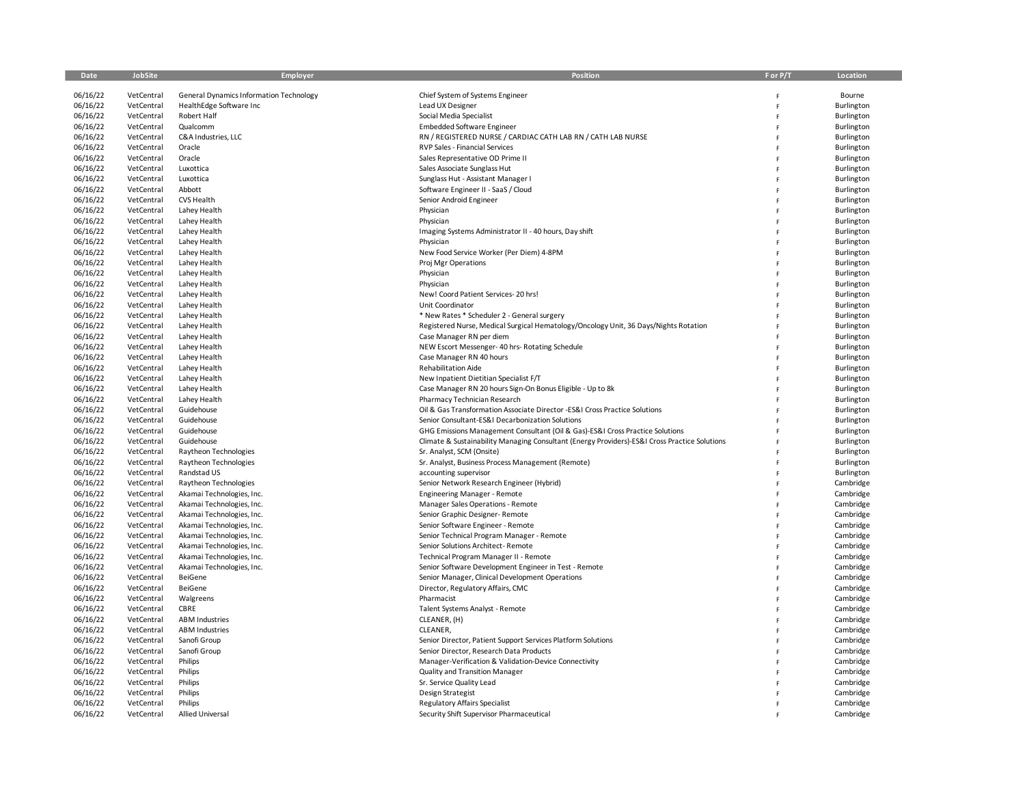| Date     | JobSite    | Employer                                       | Position                                                                                      | F or P/T     | Location   |
|----------|------------|------------------------------------------------|-----------------------------------------------------------------------------------------------|--------------|------------|
|          |            |                                                |                                                                                               |              |            |
| 06/16/22 | VetCentral | <b>General Dynamics Information Technology</b> | Chief System of Systems Engineer                                                              | F            | Bourne     |
| 06/16/22 | VetCentral | HealthEdge Software Inc                        | Lead UX Designer                                                                              | F            | Burlington |
| 06/16/22 | VetCentral | Robert Half                                    | Social Media Specialist                                                                       | F            | Burlington |
| 06/16/22 | VetCentral | Qualcomm                                       | <b>Embedded Software Engineer</b>                                                             | F            | Burlington |
| 06/16/22 | VetCentral | C&A Industries, LLC                            | RN / REGISTERED NURSE / CARDIAC CATH LAB RN / CATH LAB NURSE                                  | F            | Burlington |
| 06/16/22 | VetCentral | Oracle                                         | RVP Sales - Financial Services                                                                | F            | Burlington |
| 06/16/22 | VetCentral | Oracle                                         | Sales Representative OD Prime II                                                              |              | Burlington |
| 06/16/22 | VetCentral | Luxottica                                      | Sales Associate Sunglass Hut                                                                  | F            | Burlington |
| 06/16/22 | VetCentral | Luxottica                                      | Sunglass Hut - Assistant Manager I                                                            | F            | Burlington |
| 06/16/22 | VetCentral | Abbott                                         | Software Engineer II - SaaS / Cloud                                                           | Ė            | Burlington |
| 06/16/22 | VetCentral | CVS Health                                     | Senior Android Engineer                                                                       | F            | Burlington |
| 06/16/22 | VetCentral | Lahey Health                                   | Physician                                                                                     |              | Burlington |
| 06/16/22 | VetCentral | Lahey Health                                   | Physician                                                                                     | F            | Burlington |
| 06/16/22 | VetCentral | Lahey Health                                   | Imaging Systems Administrator II - 40 hours, Day shift                                        | F            | Burlington |
| 06/16/22 | VetCentral | Lahey Health                                   | Physician                                                                                     | F            | Burlington |
| 06/16/22 | VetCentral | Lahey Health                                   | New Food Service Worker (Per Diem) 4-8PM                                                      | F            | Burlington |
| 06/16/22 | VetCentral | Lahey Health                                   | Proj Mgr Operations                                                                           | F            | Burlington |
| 06/16/22 | VetCentral | Lahey Health                                   | Physician                                                                                     | F            | Burlington |
| 06/16/22 | VetCentral | Lahey Health                                   | Physician                                                                                     | F            | Burlington |
| 06/16/22 | VetCentral | Lahey Health                                   | New! Coord Patient Services-20 hrs!                                                           | F            | Burlington |
| 06/16/22 | VetCentral | Lahey Health                                   | Unit Coordinator                                                                              |              | Burlington |
| 06/16/22 | VetCentral | Lahey Health                                   | * New Rates * Scheduler 2 - General surgery                                                   | F            | Burlington |
| 06/16/22 | VetCentral | Lahey Health                                   | Registered Nurse, Medical Surgical Hematology/Oncology Unit, 36 Days/Nights Rotation          | F            | Burlington |
| 06/16/22 | VetCentral | Lahey Health                                   | Case Manager RN per diem                                                                      | F            | Burlington |
| 06/16/22 | VetCentral | Lahey Health                                   | NEW Escort Messenger- 40 hrs- Rotating Schedule                                               | F            | Burlington |
| 06/16/22 | VetCentral | Lahey Health                                   | Case Manager RN 40 hours                                                                      |              | Burlington |
| 06/16/22 | VetCentral | Lahey Health                                   | <b>Rehabilitation Aide</b>                                                                    | F            | Burlington |
| 06/16/22 | VetCentral | Lahey Health                                   | New Inpatient Dietitian Specialist F/T                                                        | F            | Burlington |
| 06/16/22 | VetCentral | Lahey Health                                   | Case Manager RN 20 hours Sign-On Bonus Eligible - Up to 8k                                    | F            | Burlington |
| 06/16/22 | VetCentral | Lahey Health                                   | Pharmacy Technician Research                                                                  |              | Burlington |
| 06/16/22 | VetCentral | Guidehouse                                     | Oil & Gas Transformation Associate Director -ES&I Cross Practice Solutions                    |              | Burlington |
| 06/16/22 | VetCentral | Guidehouse                                     | Senior Consultant-ES&I Decarbonization Solutions                                              | F            | Burlington |
| 06/16/22 | VetCentral | Guidehouse                                     | GHG Emissions Management Consultant (Oil & Gas)-ES&I Cross Practice Solutions                 | F            | Burlington |
| 06/16/22 | VetCentral | Guidehouse                                     | Climate & Sustainability Managing Consultant (Energy Providers)-ES&I Cross Practice Solutions | F            | Burlington |
| 06/16/22 | VetCentral | Raytheon Technologies                          | Sr. Analyst, SCM (Onsite)                                                                     | F            | Burlington |
| 06/16/22 | VetCentral | Raytheon Technologies                          | Sr. Analyst, Business Process Management (Remote)                                             | F            | Burlington |
| 06/16/22 | VetCentral | Randstad US                                    | accounting supervisor                                                                         | F            | Burlington |
| 06/16/22 | VetCentral | Raytheon Technologies                          | Senior Network Research Engineer (Hybrid)                                                     | $\mathsf{F}$ | Cambridge  |
| 06/16/22 | VetCentral | Akamai Technologies, Inc.                      | <b>Engineering Manager - Remote</b>                                                           | F            | Cambridge  |
| 06/16/22 | VetCentral | Akamai Technologies, Inc.                      | Manager Sales Operations - Remote                                                             |              | Cambridge  |
| 06/16/22 | VetCentral | Akamai Technologies, Inc.                      | Senior Graphic Designer-Remote                                                                |              | Cambridge  |
| 06/16/22 | VetCentral | Akamai Technologies, Inc.                      | Senior Software Engineer - Remote                                                             | F            | Cambridge  |
| 06/16/22 | VetCentral | Akamai Technologies, Inc.                      | Senior Technical Program Manager - Remote                                                     | F            | Cambridge  |
| 06/16/22 | VetCentral | Akamai Technologies, Inc.                      | Senior Solutions Architect-Remote                                                             | F            | Cambridge  |
| 06/16/22 | VetCentral | Akamai Technologies, Inc.                      | Technical Program Manager II - Remote                                                         |              | Cambridge  |
| 06/16/22 | VetCentral | Akamai Technologies, Inc.                      | Senior Software Development Engineer in Test - Remote                                         | F            | Cambridge  |
| 06/16/22 | VetCentral | BeiGene                                        | Senior Manager, Clinical Development Operations                                               | F            | Cambridge  |
| 06/16/22 | VetCentral | BeiGene                                        | Director, Regulatory Affairs, CMC                                                             | F            | Cambridge  |
| 06/16/22 | VetCentral | Walgreens                                      | Pharmacist                                                                                    |              | Cambridge  |
| 06/16/22 | VetCentral | CBRE                                           | Talent Systems Analyst - Remote                                                               |              | Cambridge  |
| 06/16/22 | VetCentral | <b>ABM Industries</b>                          | CLEANER, (H)                                                                                  | F            | Cambridge  |
| 06/16/22 | VetCentral | <b>ABM Industries</b>                          | CLEANER,                                                                                      | F            | Cambridge  |
| 06/16/22 | VetCentral | Sanofi Group                                   | Senior Director, Patient Support Services Platform Solutions                                  | F            | Cambridge  |
| 06/16/22 | VetCentral | Sanofi Group                                   | Senior Director, Research Data Products                                                       | F            | Cambridge  |
| 06/16/22 | VetCentral | Philips                                        | Manager-Verification & Validation-Device Connectivity                                         |              | Cambridge  |
| 06/16/22 | VetCentral | Philips                                        | Quality and Transition Manager                                                                | F            | Cambridge  |
| 06/16/22 | VetCentral | Philips                                        | Sr. Service Quality Lead                                                                      | F            | Cambridge  |
| 06/16/22 | VetCentral | Philips                                        | Design Strategist                                                                             |              | Cambridge  |
| 06/16/22 | VetCentral | Philips                                        | <b>Regulatory Affairs Specialist</b>                                                          |              | Cambridge  |
| 06/16/22 | VetCentral | <b>Allied Universal</b>                        | Security Shift Supervisor Pharmaceutical                                                      |              | Cambridge  |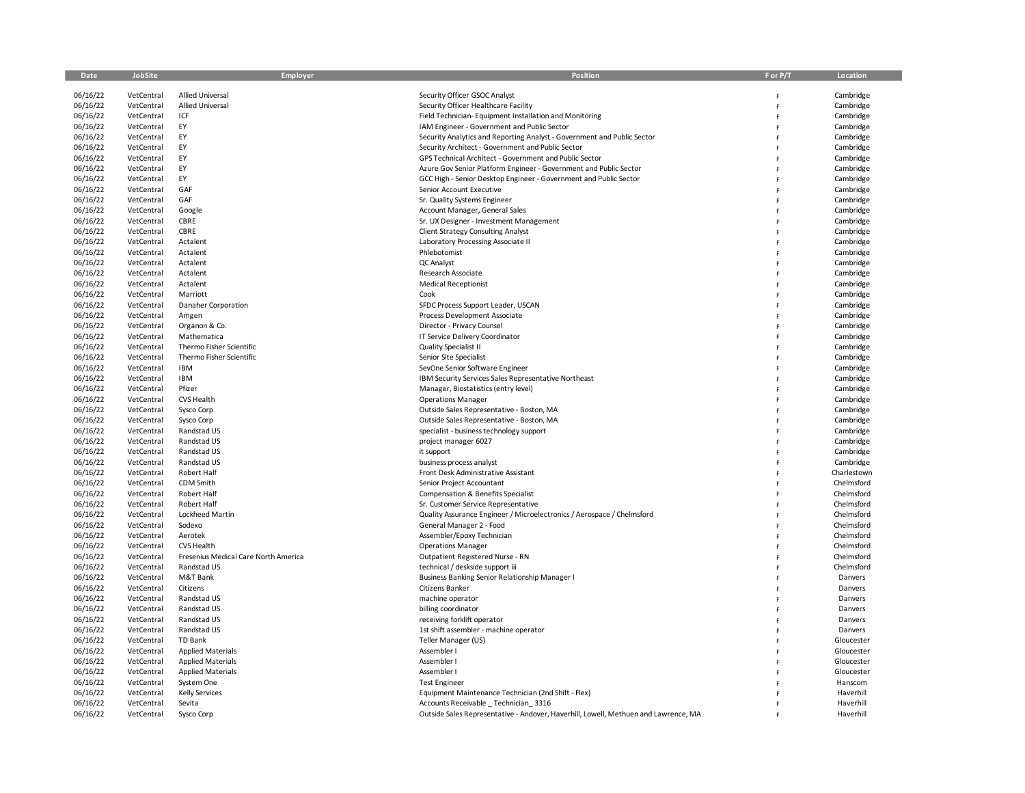| Date                 | <b>JobSite</b>           | Employer                             | Position                                                                                       | F or P/T | Location               |
|----------------------|--------------------------|--------------------------------------|------------------------------------------------------------------------------------------------|----------|------------------------|
|                      |                          |                                      |                                                                                                |          |                        |
| 06/16/22             | VetCentral               | <b>Allied Universal</b>              | Security Officer GSOC Analyst                                                                  | F        | Cambridge              |
| 06/16/22<br>06/16/22 | VetCentral<br>VetCentral | <b>Allied Universal</b><br>ICF       | Security Officer Healthcare Facility<br>Field Technician-Equipment Installation and Monitoring | F<br>F   | Cambridge<br>Cambridge |
| 06/16/22             | VetCentral               | EY                                   | IAM Engineer - Government and Public Sector                                                    | F        | Cambridge              |
| 06/16/22             | VetCentral               | EY                                   | Security Analytics and Reporting Analyst - Government and Public Sector                        | Ë        | Cambridge              |
| 06/16/22             | VetCentral               | EY                                   | Security Architect - Government and Public Sector                                              | Ë        | Cambridge              |
| 06/16/22             | VetCentral               | EY                                   | GPS Technical Architect - Government and Public Sector                                         | F        | Cambridge              |
| 06/16/22             | VetCentral               | EY                                   | Azure Gov Senior Platform Engineer - Government and Public Sector                              | F        | Cambridge              |
| 06/16/22             | VetCentral               | EY                                   | GCC High - Senior Desktop Engineer - Government and Public Sector                              | p        | Cambridge              |
| 06/16/22             | VetCentral               | GAF                                  | Senior Account Executive                                                                       |          | Cambridge              |
| 06/16/22             | VetCentral               | GAF                                  | Sr. Quality Systems Engineer                                                                   | Ë        | Cambridge              |
| 06/16/22             | VetCentral               | Google                               | Account Manager, General Sales                                                                 | F        | Cambridge              |
| 06/16/22             | VetCentral               | CBRE                                 | Sr. UX Designer - Investment Management                                                        | Ë        | Cambridge              |
| 06/16/22             | VetCentral               | CBRE                                 | <b>Client Strategy Consulting Analyst</b>                                                      |          | Cambridge              |
| 06/16/22             | VetCentral               | Actalent                             | Laboratory Processing Associate II                                                             |          | Cambridge              |
| 06/16/22             | VetCentral               | Actalent                             | Phlebotomist                                                                                   |          | Cambridge              |
| 06/16/22             | VetCentral               | Actalent                             | QC Analyst                                                                                     | F        | Cambridge              |
| 06/16/22             | VetCentral               | Actalent                             | Research Associate                                                                             | Ë        | Cambridge              |
| 06/16/22             | VetCentral               | Actalent                             | <b>Medical Receptionist</b>                                                                    |          | Cambridge              |
| 06/16/22             | VetCentral               | Marriott                             | Cook                                                                                           |          | Cambridge              |
| 06/16/22             | VetCentral               | Danaher Corporation                  | SFDC Process Support Leader, USCAN                                                             |          | Cambridge              |
| 06/16/22             | VetCentral               | Amgen                                | Process Development Associate                                                                  | Ë        | Cambridge              |
| 06/16/22             | VetCentral               | Organon & Co.                        | Director - Privacy Counsel                                                                     | F        | Cambridge              |
| 06/16/22             | VetCentral               | Mathematica                          | IT Service Delivery Coordinator                                                                |          | Cambridge              |
| 06/16/22             | VetCentral               | Thermo Fisher Scientific             | <b>Quality Specialist II</b>                                                                   |          | Cambridge              |
| 06/16/22             | VetCentral               | Thermo Fisher Scientific             | Senior Site Specialist                                                                         | F        | Cambridge              |
| 06/16/22             | VetCentral               | <b>IBM</b>                           | SevOne Senior Software Engineer                                                                | Ë        | Cambridge              |
| 06/16/22             | VetCentral               | IBM<br>Pfizer                        | IBM Security Services Sales Representative Northeast                                           | F        | Cambridge              |
| 06/16/22             | VetCentral               | CVS Health                           | Manager, Biostatistics (entry level)                                                           |          | Cambridge              |
| 06/16/22<br>06/16/22 | VetCentral<br>VetCentral | Sysco Corp                           | <b>Operations Manager</b>                                                                      | p        | Cambridge<br>Cambridge |
| 06/16/22             | VetCentral               | Sysco Corp                           | Outside Sales Representative - Boston, MA<br>Outside Sales Representative - Boston, MA         | F        | Cambridge              |
| 06/16/22             | VetCentral               | Randstad US                          | specialist - business technology support                                                       | Ë        | Cambridge              |
| 06/16/22             | VetCentral               | Randstad US                          | project manager 6027                                                                           | F        | Cambridge              |
| 06/16/22             | VetCentral               | Randstad US                          | it support                                                                                     |          | Cambridge              |
| 06/16/22             | VetCentral               | Randstad US                          | business process analyst                                                                       | Ë        | Cambridge              |
| 06/16/22             | VetCentral               | Robert Half                          | Front Desk Administrative Assistant                                                            | Ë        | Charlestown            |
| 06/16/22             | VetCentral               | CDM Smith                            | Senior Project Accountant                                                                      | F        | Chelmsford             |
| 06/16/22             | VetCentral               | Robert Half                          | Compensation & Benefits Specialist                                                             | p        | Chelmsford             |
| 06/16/22             | VetCentral               | Robert Half                          | Sr. Customer Service Representative                                                            |          | Chelmsford             |
| 06/16/22             | VetCentral               | Lockheed Martin                      | Quality Assurance Engineer / Microelectronics / Aerospace / Chelmsford                         | F        | Chelmsford             |
| 06/16/22             | VetCentral               | Sodexo                               | General Manager 2 - Food                                                                       | Ë        | Chelmsford             |
| 06/16/22             | VetCentral               | Aerotek                              | Assembler/Epoxy Technician                                                                     | Ë        | Chelmsford             |
| 06/16/22             | VetCentral               | CVS Health                           | <b>Operations Manager</b>                                                                      |          | Chelmsford             |
| 06/16/22             | VetCentral               | Fresenius Medical Care North America | Outpatient Registered Nurse - RN                                                               | F        | Chelmsford             |
| 06/16/22             | VetCentral               | Randstad US                          | technical / deskside support iii                                                               | F        | Chelmsford             |
| 06/16/22             | VetCentral               | M&T Bank                             | Business Banking Senior Relationship Manager I                                                 | F        | Danvers                |
| 06/16/22             | VetCentral               | Citizens                             | Citizens Banker                                                                                | F        | Danvers                |
| 06/16/22             | VetCentral               | Randstad US                          | machine operator                                                                               |          | Danvers                |
| 06/16/22             | VetCentral               | Randstad US                          | billing coordinator                                                                            | F        | Danvers                |
| 06/16/22             | VetCentral               | Randstad US                          | receiving forklift operator                                                                    | F        | Danvers                |
| 06/16/22             | VetCentral               | Randstad US                          | 1st shift assembler - machine operator                                                         | Ë        | Danvers                |
| 06/16/22             | VetCentral               | <b>TD Bank</b>                       | Teller Manager (US)                                                                            |          | Gloucester             |
| 06/16/22             | VetCentral               | <b>Applied Materials</b>             | Assembler I                                                                                    |          | Gloucester             |
| 06/16/22             | VetCentral               | <b>Applied Materials</b>             | Assembler I                                                                                    | Ë        | Gloucester             |
| 06/16/22             | VetCentral               | <b>Applied Materials</b>             | Assembler I                                                                                    | F        | Gloucester             |
| 06/16/22             | VetCentral<br>VetCentral | System One                           | <b>Test Engineer</b>                                                                           | F        | Hanscom<br>Haverhill   |
| 06/16/22<br>06/16/22 | VetCentral               | <b>Kelly Services</b><br>Sevita      | Equipment Maintenance Technician (2nd Shift - Flex)<br>Accounts Receivable Technician 3316     |          | Haverhill              |
| 06/16/22             | VetCentral               | Sysco Corp                           | Outside Sales Representative - Andover, Haverhill, Lowell, Methuen and Lawrence, MA            |          | Haverhill              |
|                      |                          |                                      |                                                                                                |          |                        |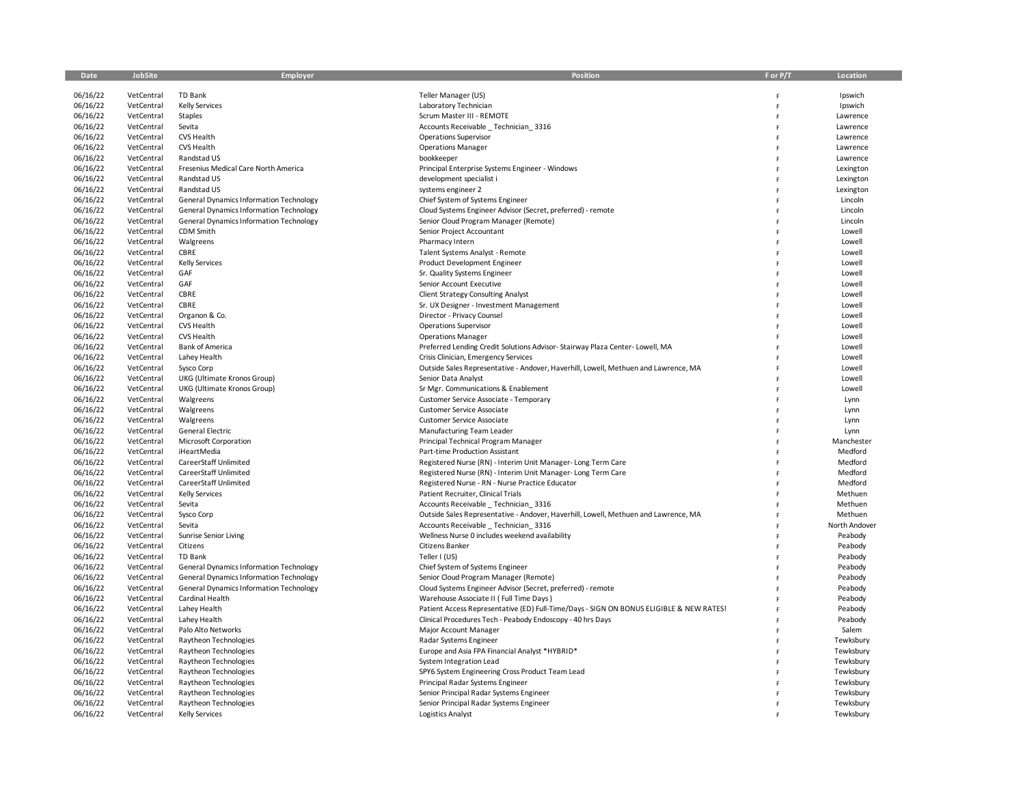| Date                 | JobSite                  | Employer                                                                                  | <b>Position</b>                                                                         | F or P/T | Location           |
|----------------------|--------------------------|-------------------------------------------------------------------------------------------|-----------------------------------------------------------------------------------------|----------|--------------------|
| 06/16/22             |                          | TD Bank                                                                                   |                                                                                         |          | Ipswich            |
| 06/16/22             | VetCentral<br>VetCentral | <b>Kelly Services</b>                                                                     | Teller Manager (US)<br>Laboratory Technician                                            |          | Ipswich            |
| 06/16/22             | VetCentral               | Staples                                                                                   | Scrum Master III - REMOTE                                                               | Ė        | Lawrence           |
| 06/16/22             | VetCentral               | Sevita                                                                                    | Accounts Receivable Technician 3316                                                     | F        | Lawrence           |
| 06/16/22             | VetCentral               | CVS Health                                                                                | <b>Operations Supervisor</b>                                                            |          | Lawrence           |
| 06/16/22             | VetCentral               | CVS Health                                                                                | <b>Operations Manager</b>                                                               |          | Lawrence           |
| 06/16/22             | VetCentral               | Randstad US                                                                               | bookkeeper                                                                              |          | Lawrence           |
| 06/16/22             | VetCentral               | Fresenius Medical Care North America                                                      | Principal Enterprise Systems Engineer - Windows                                         |          | Lexington          |
| 06/16/22             | VetCentral               | Randstad US                                                                               | development specialist i                                                                |          | Lexington          |
| 06/16/22             | VetCentral               | Randstad US                                                                               | systems engineer 2                                                                      |          | Lexington          |
| 06/16/22             | VetCentral               | <b>General Dynamics Information Technology</b>                                            | Chief System of Systems Engineer                                                        |          | Lincoln            |
| 06/16/22             | VetCentral               | General Dynamics Information Technology                                                   | Cloud Systems Engineer Advisor (Secret, preferred) - remote                             |          | Lincoln            |
| 06/16/22             | VetCentral               | <b>General Dynamics Information Technology</b>                                            | Senior Cloud Program Manager (Remote)                                                   |          | Lincoln            |
| 06/16/22             | VetCentral               | CDM Smith                                                                                 | Senior Project Accountant                                                               |          | Lowell             |
| 06/16/22             | VetCentral               | Walgreens                                                                                 | Pharmacy Intern                                                                         |          | Lowell             |
| 06/16/22             | VetCentral               | CBRE                                                                                      | Talent Systems Analyst - Remote                                                         |          | Lowell             |
| 06/16/22             | VetCentral               | <b>Kelly Services</b>                                                                     | Product Development Engineer                                                            | F        | Lowell             |
| 06/16/22             | VetCentral               | GAF                                                                                       | Sr. Quality Systems Engineer                                                            |          | Lowell             |
| 06/16/22             | VetCentral               | GAF                                                                                       | Senior Account Executive                                                                |          | Lowell             |
| 06/16/22             | VetCentral               | CBRE                                                                                      | <b>Client Strategy Consulting Analyst</b>                                               |          | Lowell             |
| 06/16/22             | VetCentral               | CBRE                                                                                      | Sr. UX Designer - Investment Management                                                 |          | Lowell             |
| 06/16/22             | VetCentral               | Organon & Co.                                                                             | Director - Privacy Counsel                                                              | Ë        | Lowell             |
| 06/16/22             | VetCentral               | CVS Health                                                                                | <b>Operations Supervisor</b>                                                            | Ë        | Lowell             |
| 06/16/22             | VetCentral               | <b>CVS Health</b>                                                                         | <b>Operations Manager</b>                                                               |          | Lowell             |
| 06/16/22             | VetCentral               | <b>Bank of America</b>                                                                    | Preferred Lending Credit Solutions Advisor-Stairway Plaza Center-Lowell, MA             |          | Lowell             |
| 06/16/22             | VetCentral               | Lahey Health                                                                              | Crisis Clinician, Emergency Services                                                    |          | Lowell             |
| 06/16/22             | VetCentral               | Sysco Corp                                                                                | Outside Sales Representative - Andover, Haverhill, Lowell, Methuen and Lawrence, MA     | Ë        | Lowell             |
| 06/16/22             | VetCentral               | UKG (Ultimate Kronos Group)                                                               | Senior Data Analyst                                                                     |          | Lowell             |
| 06/16/22             | VetCentral               | UKG (Ultimate Kronos Group)                                                               | Sr Mgr. Communications & Enablement                                                     |          | Lowell             |
| 06/16/22             | VetCentral               | Walgreens                                                                                 | Customer Service Associate - Temporary                                                  |          | Lynn               |
| 06/16/22             | VetCentral               | Walgreens                                                                                 | Customer Service Associate                                                              |          | Lynn               |
| 06/16/22             | VetCentral               | Walgreens                                                                                 | Customer Service Associate                                                              | Ë        | Lynn               |
| 06/16/22             | VetCentral               | General Electric                                                                          | Manufacturing Team Leader                                                               | Ë        | Lynn               |
| 06/16/22             | VetCentral               | Microsoft Corporation                                                                     | Principal Technical Program Manager                                                     |          | Manchester         |
| 06/16/22             | VetCentral               | iHeartMedia                                                                               | Part-time Production Assistant                                                          |          | Medford            |
| 06/16/22             | VetCentral               | CareerStaff Unlimited                                                                     | Registered Nurse (RN) - Interim Unit Manager-Long Term Care                             |          | Medford            |
| 06/16/22             | VetCentral               | CareerStaff Unlimited                                                                     | Registered Nurse (RN) - Interim Unit Manager-Long Term Care                             |          | Medford            |
| 06/16/22             | VetCentral               | CareerStaff Unlimited                                                                     | Registered Nurse - RN - Nurse Practice Educator                                         |          | Medford            |
| 06/16/22             | VetCentral               | <b>Kelly Services</b>                                                                     | Patient Recruiter, Clinical Trials                                                      |          | Methuen            |
| 06/16/22             | VetCentral               | Sevita                                                                                    | Accounts Receivable _ Technician_3316                                                   |          | Methuen            |
| 06/16/22             | VetCentral               | Sysco Corp                                                                                | Outside Sales Representative - Andover, Haverhill, Lowell, Methuen and Lawrence, MA     |          | Methuen            |
| 06/16/22             | VetCentral               | Sevita                                                                                    | Accounts Receivable Technician 3316                                                     |          | North Andover      |
| 06/16/22             | VetCentral               | Sunrise Senior Living                                                                     | Wellness Nurse 0 includes weekend availability                                          |          | Peabody            |
| 06/16/22             | VetCentral               | Citizens                                                                                  | Citizens Banker                                                                         |          | Peabody            |
| 06/16/22             | VetCentral               | TD Bank                                                                                   | Teller I (US)                                                                           |          | Peabody            |
| 06/16/22<br>06/16/22 | VetCentral<br>VetCentral | General Dynamics Information Technology                                                   | Chief System of Systems Engineer<br>Senior Cloud Program Manager (Remote)               |          | Peabody            |
| 06/16/22             | VetCentral               | General Dynamics Information Technology<br><b>General Dynamics Information Technology</b> | Cloud Systems Engineer Advisor (Secret, preferred) - remote                             |          | Peabody<br>Peabody |
| 06/16/22             | VetCentral               | Cardinal Health                                                                           | Warehouse Associate II (Full Time Days)                                                 |          | Peabody            |
| 06/16/22             | VetCentral               | Lahey Health                                                                              | Patient Access Representative (ED) Full-Time/Days - SIGN ON BONUS ELIGIBLE & NEW RATES! |          | Peabody            |
| 06/16/22             | VetCentral               | Lahey Health                                                                              | Clinical Procedures Tech - Peabody Endoscopy - 40 hrs Days                              |          | Peabody            |
| 06/16/22             | VetCentral               | Palo Alto Networks                                                                        | Major Account Manager                                                                   |          | Salem              |
| 06/16/22             | VetCentral               | Raytheon Technologies                                                                     | Radar Systems Engineer                                                                  |          | Tewksbury          |
| 06/16/22             | VetCentral               | Raytheon Technologies                                                                     | Europe and Asia FPA Financial Analyst *HYBRID*                                          |          | Tewksbury          |
| 06/16/22             | VetCentral               | Raytheon Technologies                                                                     | System Integration Lead                                                                 |          | Tewksbury          |
| 06/16/22             | VetCentral               | Raytheon Technologies                                                                     | SPY6 System Engineering Cross Product Team Lead                                         | Ë        | Tewksbury          |
| 06/16/22             | VetCentral               | Raytheon Technologies                                                                     | Principal Radar Systems Engineer                                                        |          | Tewksbury          |
| 06/16/22             | VetCentral               | Raytheon Technologies                                                                     | Senior Principal Radar Systems Engineer                                                 |          | Tewksbury          |
| 06/16/22             | VetCentral               | Raytheon Technologies                                                                     | Senior Principal Radar Systems Engineer                                                 |          | Tewksbury          |
| 06/16/22             | VetCentral               | <b>Kelly Services</b>                                                                     | Logistics Analyst                                                                       |          | Tewksbury          |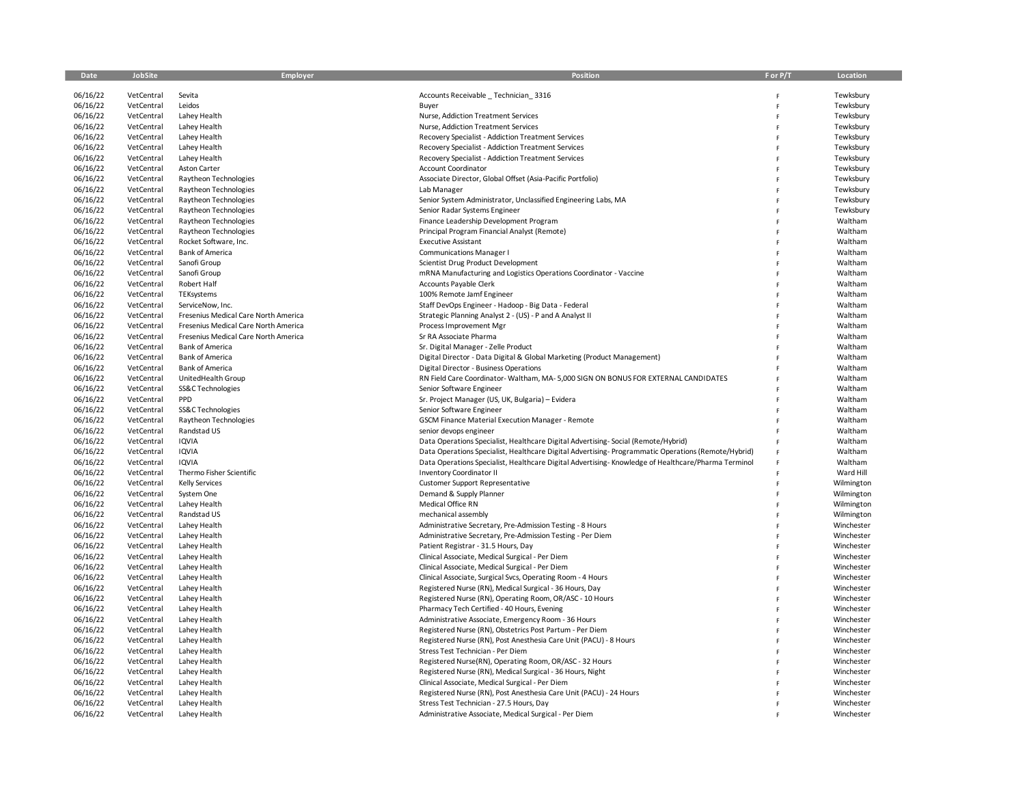| Date                 | JobSite                  | Employer                                     | <b>Position</b>                                                                                                              | F or P/T | Location           |
|----------------------|--------------------------|----------------------------------------------|------------------------------------------------------------------------------------------------------------------------------|----------|--------------------|
| 06/16/22             | VetCentral               | Sevita                                       | Accounts Receivable _ Technician_3316                                                                                        | F        | Tewksbury          |
| 06/16/22             | VetCentral               | Leidos                                       | Buyer                                                                                                                        |          | Tewksbury          |
| 06/16/22             | VetCentral               | Lahey Health                                 | Nurse, Addiction Treatment Services                                                                                          | Ė        | Tewksbury          |
| 06/16/22             | VetCentral               | Lahey Health                                 | Nurse, Addiction Treatment Services                                                                                          |          | Tewksbury          |
| 06/16/22             | VetCentral               | Lahey Health                                 | Recovery Specialist - Addiction Treatment Services                                                                           |          | Tewksbury          |
| 06/16/22             | VetCentral               | Lahey Health                                 | <b>Recovery Specialist - Addiction Treatment Services</b>                                                                    |          | Tewksbury          |
| 06/16/22             | VetCentral               | Lahey Health                                 | Recovery Specialist - Addiction Treatment Services                                                                           |          | Tewksbury          |
| 06/16/22             | VetCentral               | Aston Carter                                 | <b>Account Coordinator</b>                                                                                                   |          | Tewksbury          |
| 06/16/22             | VetCentral               | Raytheon Technologies                        | Associate Director, Global Offset (Asia-Pacific Portfolio)                                                                   |          | Tewksbury          |
| 06/16/22             | VetCentral               | Raytheon Technologies                        | Lab Manager                                                                                                                  |          | Tewksbury          |
| 06/16/22             | VetCentral               | Raytheon Technologies                        | Senior System Administrator, Unclassified Engineering Labs, MA                                                               |          | Tewksbury          |
| 06/16/22             | VetCentral               | Raytheon Technologies                        | Senior Radar Systems Engineer                                                                                                |          | Tewksbury          |
| 06/16/22             | VetCentral               | Raytheon Technologies                        | Finance Leadership Development Program                                                                                       |          | Waltham            |
| 06/16/22             | VetCentral               | Raytheon Technologies                        | Principal Program Financial Analyst (Remote)                                                                                 |          | Waltham            |
| 06/16/22             | VetCentral               | Rocket Software, Inc.                        | <b>Executive Assistant</b>                                                                                                   |          | Waltham            |
| 06/16/22             | VetCentral               | <b>Bank of America</b>                       | <b>Communications Manager I</b>                                                                                              |          | Waltham            |
| 06/16/22             | VetCentral               | Sanofi Group                                 | Scientist Drug Product Development                                                                                           | Ë        | Waltham            |
| 06/16/22             | VetCentral               | Sanofi Group                                 | mRNA Manufacturing and Logistics Operations Coordinator - Vaccine                                                            |          | Waltham            |
| 06/16/22             | VetCentral               | Robert Half                                  | Accounts Payable Clerk                                                                                                       |          | Waltham            |
| 06/16/22             | VetCentral               | TEKsystems                                   | 100% Remote Jamf Engineer                                                                                                    |          | Waltham            |
| 06/16/22             | VetCentral               | ServiceNow, Inc.                             | Staff DevOps Engineer - Hadoop - Big Data - Federal                                                                          |          | Waltham            |
| 06/16/22             | VetCentral               | Fresenius Medical Care North America         | Strategic Planning Analyst 2 - (US) - P and A Analyst II                                                                     | Ė        | Waltham            |
| 06/16/22             | VetCentral               | Fresenius Medical Care North America         | Process Improvement Mgr                                                                                                      | Ë        | Waltham            |
| 06/16/22             | VetCentral               | Fresenius Medical Care North America         | Sr RA Associate Pharma                                                                                                       |          | Waltham            |
| 06/16/22             | VetCentral               | <b>Bank of America</b>                       | Sr. Digital Manager - Zelle Product                                                                                          |          | Waltham            |
| 06/16/22             | VetCentral               | <b>Bank of America</b>                       | Digital Director - Data Digital & Global Marketing (Product Management)                                                      |          | Waltham            |
| 06/16/22<br>06/16/22 | VetCentral<br>VetCentral | <b>Bank of America</b><br>UnitedHealth Group | Digital Director - Business Operations<br>RN Field Care Coordinator-Waltham, MA- 5,000 SIGN ON BONUS FOR EXTERNAL CANDIDATES | Ė        | Waltham<br>Waltham |
| 06/16/22             | VetCentral               | SS&C Technologies                            | Senior Software Engineer                                                                                                     |          | Waltham            |
| 06/16/22             | VetCentral               | PPD                                          | Sr. Project Manager (US, UK, Bulgaria) - Evidera                                                                             |          | Waltham            |
| 06/16/22             | VetCentral               | SS&C Technologies                            | Senior Software Engineer                                                                                                     |          | Waltham            |
| 06/16/22             | VetCentral               | Raytheon Technologies                        | <b>GSCM Finance Material Execution Manager - Remote</b>                                                                      | Ë        | Waltham            |
| 06/16/22             | VetCentral               | Randstad US                                  | senior devops engineer                                                                                                       | Ë        | Waltham            |
| 06/16/22             | VetCentral               | IQVIA                                        | Data Operations Specialist, Healthcare Digital Advertising-Social (Remote/Hybrid)                                            |          | Waltham            |
| 06/16/22             | VetCentral               | IQVIA                                        | Data Operations Specialist, Healthcare Digital Advertising-Programmatic Operations (Remote/Hybrid)                           |          | Waltham            |
| 06/16/22             | VetCentral               | IQVIA                                        | Data Operations Specialist, Healthcare Digital Advertising-Knowledge of Healthcare/Pharma Terminol                           |          | Waltham            |
| 06/16/22             | VetCentral               | Thermo Fisher Scientific                     | <b>Inventory Coordinator II</b>                                                                                              |          | Ward Hill          |
| 06/16/22             | VetCentral               | <b>Kelly Services</b>                        | <b>Customer Support Representative</b>                                                                                       | Ë        | Wilmington         |
| 06/16/22             | VetCentral               | System One                                   | Demand & Supply Planner                                                                                                      | Ë        | Wilmington         |
| 06/16/22             | VetCentral               | Lahey Health                                 | Medical Office RN                                                                                                            |          | Wilmington         |
| 06/16/22             | VetCentral               | Randstad US                                  | mechanical assembly                                                                                                          |          | Wilmington         |
| 06/16/22             | VetCentral               | Lahey Health                                 | Administrative Secretary, Pre-Admission Testing - 8 Hours                                                                    |          | Winchester         |
| 06/16/22             | VetCentral               | Lahey Health                                 | Administrative Secretary, Pre-Admission Testing - Per Diem                                                                   |          | Winchester         |
| 06/16/22             | VetCentral               | Lahey Health                                 | Patient Registrar - 31.5 Hours, Day                                                                                          |          | Winchester         |
| 06/16/22             | VetCentral               | Lahey Health                                 | Clinical Associate, Medical Surgical - Per Diem                                                                              |          | Winchester         |
| 06/16/22             | VetCentral               | Lahey Health                                 | Clinical Associate, Medical Surgical - Per Diem                                                                              |          | Winchester         |
| 06/16/22             | VetCentral               | Lahey Health                                 | Clinical Associate, Surgical Svcs, Operating Room - 4 Hours                                                                  |          | Winchester         |
| 06/16/22             | VetCentral               | Lahey Health                                 | Registered Nurse (RN), Medical Surgical - 36 Hours, Day                                                                      |          | Winchester         |
| 06/16/22             | VetCentral               | Lahey Health                                 | Registered Nurse (RN), Operating Room, OR/ASC - 10 Hours                                                                     |          | Winchester         |
| 06/16/22             | VetCentral               | Lahey Health                                 | Pharmacy Tech Certified - 40 Hours, Evening                                                                                  |          | Winchester         |
| 06/16/22             | VetCentral               | Lahey Health                                 | Administrative Associate, Emergency Room - 36 Hours                                                                          |          | Winchester         |
| 06/16/22             | VetCentral               | Lahey Health                                 | Registered Nurse (RN), Obstetrics Post Partum - Per Diem                                                                     |          | Winchester         |
| 06/16/22             | VetCentral               | Lahey Health                                 | Registered Nurse (RN), Post Anesthesia Care Unit (PACU) - 8 Hours                                                            |          | Winchester         |
| 06/16/22             | VetCentral               | Lahey Health                                 | Stress Test Technician - Per Diem                                                                                            |          | Winchester         |
| 06/16/22             | VetCentral               | Lahey Health                                 | Registered Nurse(RN), Operating Room, OR/ASC - 32 Hours                                                                      |          | Winchester         |
| 06/16/22             | VetCentral               | Lahey Health                                 | Registered Nurse (RN), Medical Surgical - 36 Hours, Night                                                                    | Ë        | Winchester         |
| 06/16/22             | VetCentral               | Lahey Health                                 | Clinical Associate, Medical Surgical - Per Diem                                                                              |          | Winchester         |
| 06/16/22             | VetCentral               | Lahey Health                                 | Registered Nurse (RN), Post Anesthesia Care Unit (PACU) - 24 Hours                                                           |          | Winchester         |
| 06/16/22             | VetCentral               | Lahey Health                                 | Stress Test Technician - 27.5 Hours, Day                                                                                     |          | Winchester         |
| 06/16/22             | VetCentral               | Lahey Health                                 | Administrative Associate, Medical Surgical - Per Diem                                                                        |          | Winchester         |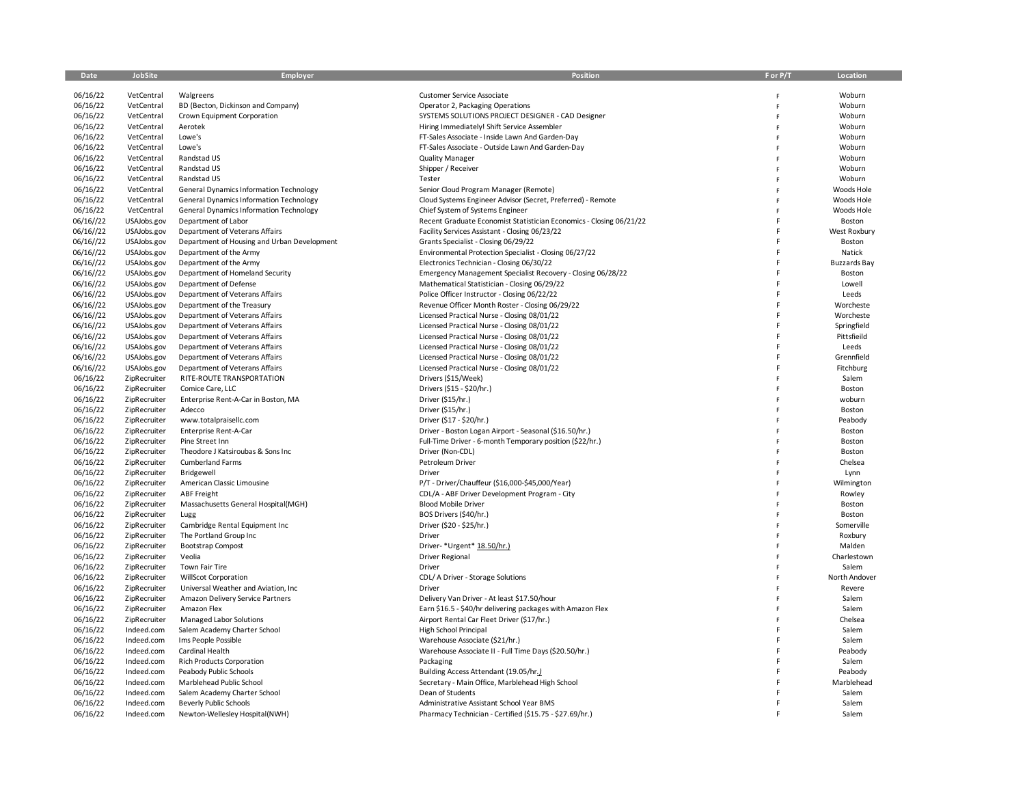| Date                 | JobSite                      | <b>Employer</b>                                    | Position                                                                    | F or P/T | Location             |
|----------------------|------------------------------|----------------------------------------------------|-----------------------------------------------------------------------------|----------|----------------------|
|                      |                              |                                                    |                                                                             |          |                      |
| 06/16/22             | VetCentral                   | Walgreens                                          | Customer Service Associate                                                  |          | Woburn               |
| 06/16/22             | VetCentral                   | BD (Becton, Dickinson and Company)                 | Operator 2, Packaging Operations                                            | F        | Woburn               |
| 06/16/22             | VetCentral                   | Crown Equipment Corporation                        | SYSTEMS SOLUTIONS PROJECT DESIGNER - CAD Designer                           | F        | Woburn               |
| 06/16/22             | VetCentral                   | Aerotek                                            | Hiring Immediately! Shift Service Assembler                                 | F        | Woburn               |
| 06/16/22             | VetCentral                   | Lowe's                                             | FT-Sales Associate - Inside Lawn And Garden-Day                             | F        | Woburn               |
| 06/16/22             | VetCentral                   | Lowe's                                             | FT-Sales Associate - Outside Lawn And Garden-Day                            | F        | Woburn               |
| 06/16/22             | VetCentral                   | Randstad US                                        | <b>Quality Manager</b>                                                      |          | Woburn               |
| 06/16/22             | VetCentral                   | Randstad US                                        | Shipper / Receiver                                                          |          | Woburn               |
| 06/16/22             | VetCentral                   | Randstad US                                        | Tester                                                                      | F        | Woburn               |
| 06/16/22             | VetCentral                   | General Dynamics Information Technology            | Senior Cloud Program Manager (Remote)                                       | F        | Woods Hole           |
| 06/16/22             | VetCentral                   | <b>General Dynamics Information Technology</b>     | Cloud Systems Engineer Advisor (Secret, Preferred) - Remote                 |          | Woods Hole           |
| 06/16/22             | VetCentral                   | General Dynamics Information Technology            | Chief System of Systems Engineer                                            |          | Woods Hole           |
| 06/16//22            | USAJobs.gov                  | Department of Labor                                | Recent Graduate Economist Statistician Economics - Closing 06/21/22         |          | Boston               |
| 06/16//22            | USAJobs.gov                  | Department of Veterans Affairs                     | Facility Services Assistant - Closing 06/23/22                              | E        | West Roxbury         |
| 06/16//22            | USAJobs.gov                  | Department of Housing and Urban Development        | Grants Specialist - Closing 06/29/22                                        | E        | Boston               |
| 06/16//22            | USAJobs.gov                  | Department of the Army                             | Environmental Protection Specialist - Closing 06/27/22                      | F        | Natick               |
| 06/16//22            | USAJobs.gov                  | Department of the Army                             | Electronics Technician - Closing 06/30/22                                   | F        | <b>Buzzards Bay</b>  |
| 06/16//22            | USAJobs.gov                  | Department of Homeland Security                    | Emergency Management Specialist Recovery - Closing 06/28/22                 |          | Boston               |
| 06/16//22            | USAJobs.gov                  | Department of Defense                              | Mathematical Statistician - Closing 06/29/22                                |          | Lowell               |
| 06/16//22            | USAJobs.gov                  | Department of Veterans Affairs                     | Police Officer Instructor - Closing 06/22/22                                | F        | Leeds                |
| 06/16//22            | USAJobs.gov                  | Department of the Treasury                         | Revenue Officer Month Roster - Closing 06/29/22                             |          | Worcheste            |
| 06/16//22            | USAJobs.gov                  | Department of Veterans Affairs                     | Licensed Practical Nurse - Closing 08/01/22                                 | F        | Worcheste            |
| 06/16//22            | USAJobs.gov                  | Department of Veterans Affairs                     | Licensed Practical Nurse - Closing 08/01/22                                 |          | Springfield          |
| 06/16//22            | USAJobs.gov                  | Department of Veterans Affairs                     | Licensed Practical Nurse - Closing 08/01/22                                 | F        | Pittsfieild          |
| 06/16//22            | USAJobs.gov                  | Department of Veterans Affairs                     | Licensed Practical Nurse - Closing 08/01/22                                 | F        | Leeds                |
| 06/16//22            | USAJobs.gov                  | Department of Veterans Affairs                     | Licensed Practical Nurse - Closing 08/01/22                                 |          | Grennfield           |
| 06/16//22            | USAJobs.gov                  | Department of Veterans Affairs                     | Licensed Practical Nurse - Closing 08/01/22                                 | E        | Fitchburg            |
| 06/16/22             | ZipRecruiter                 | RITE-ROUTE TRANSPORTATION                          | Drivers (\$15/Week)                                                         | F        | Salem                |
| 06/16/22             | ZipRecruiter                 | Comice Care, LLC                                   | Drivers (\$15 - \$20/hr.)                                                   | F        | Boston               |
| 06/16/22             | ZipRecruiter                 | Enterprise Rent-A-Car in Boston, MA                | Driver (\$15/hr.)                                                           |          | woburn               |
| 06/16/22             | ZipRecruiter                 | Adecco                                             | Driver (\$15/hr.)                                                           |          | Boston               |
| 06/16/22             | ZipRecruiter                 | www.totalpraisellc.com                             | Driver (\$17 - \$20/hr.)                                                    | F        | Peabody              |
| 06/16/22             | ZipRecruiter                 | Enterprise Rent-A-Car                              | Driver - Boston Logan Airport - Seasonal (\$16.50/hr.)                      | F        | Boston               |
| 06/16/22             | ZipRecruiter                 | Pine Street Inn                                    | Full-Time Driver - 6-month Temporary position (\$22/hr.)                    | F        | Boston               |
| 06/16/22             | ZipRecruiter                 | Theodore J Katsiroubas & Sons Inc                  | Driver (Non-CDL)                                                            |          | Boston               |
| 06/16/22             | ZipRecruiter                 | Cumberland Farms                                   | Petroleum Driver                                                            |          | Chelsea              |
| 06/16/22             | ZipRecruiter                 | Bridgewell                                         | Driver                                                                      | F        | Lynn                 |
| 06/16/22             | ZipRecruiter                 | American Classic Limousine                         | P/T - Driver/Chauffeur (\$16,000-\$45,000/Year)                             | F<br>F   | Wilmington           |
| 06/16/22             | ZipRecruiter                 | <b>ABF</b> Freight                                 | CDL/A - ABF Driver Development Program - City<br><b>Blood Mobile Driver</b> | F        | Rowley               |
| 06/16/22             | ZipRecruiter                 | Massachusetts General Hospital(MGH)                |                                                                             | F        | Boston               |
| 06/16/22<br>06/16/22 | ZipRecruiter<br>ZipRecruiter | Lugg<br>Cambridge Rental Equipment Inc             | BOS Drivers (\$40/hr.)<br>Driver (\$20 - \$25/hr.)                          | F        | Boston<br>Somerville |
| 06/16/22             |                              |                                                    | Driver                                                                      | F        |                      |
| 06/16/22             | ZipRecruiter<br>ZipRecruiter | The Portland Group Inc<br><b>Bootstrap Compost</b> | Driver-*Urgent* 18.50/hr.)                                                  | F        | Roxbury<br>Malden    |
| 06/16/22             | ZipRecruiter                 | Veolia                                             | <b>Driver Regional</b>                                                      | F        | Charlestown          |
| 06/16/22             | ZipRecruiter                 | Town Fair Tire                                     | <b>Driver</b>                                                               | F        | Salem                |
| 06/16/22             | ZipRecruiter                 | <b>WillScot Corporation</b>                        | CDL/ A Driver - Storage Solutions                                           | F        | North Andover        |
| 06/16/22             | ZipRecruiter                 | Universal Weather and Aviation, Inc.               | Driver                                                                      | F        | Revere               |
| 06/16/22             | ZipRecruiter                 | Amazon Delivery Service Partners                   | Delivery Van Driver - At least \$17.50/hour                                 | F        | Salem                |
| 06/16/22             | ZipRecruiter                 | Amazon Flex                                        | Earn \$16.5 - \$40/hr delivering packages with Amazon Flex                  | F        | Salem                |
| 06/16/22             | ZipRecruiter                 | Managed Labor Solutions                            | Airport Rental Car Fleet Driver (\$17/hr.)                                  | F        | Chelsea              |
| 06/16/22             | Indeed.com                   | Salem Academy Charter School                       | High School Principal                                                       | F        | Salem                |
| 06/16/22             | Indeed.com                   | Ims People Possible                                | Warehouse Associate (\$21/hr.)                                              | F        | Salem                |
| 06/16/22             | Indeed.com                   | Cardinal Health                                    | Warehouse Associate II - Full Time Days (\$20.50/hr.)                       | E        | Peabody              |
| 06/16/22             | Indeed.com                   | <b>Rich Products Corporation</b>                   | Packaging                                                                   |          | Salem                |
| 06/16/22             | Indeed.com                   | Peabody Public Schools                             | Building Access Attendant (19.05/hr.)                                       |          | Peabody              |
| 06/16/22             | Indeed.com                   | Marblehead Public School                           | Secretary - Main Office, Marblehead High School                             | F        | Marblehead           |
| 06/16/22             | Indeed.com                   | Salem Academy Charter School                       | Dean of Students                                                            |          | Salem                |
| 06/16/22             | Indeed.com                   | Beverly Public Schools                             | Administrative Assistant School Year BMS                                    |          | Salem                |
| 06/16/22             | Indeed.com                   | Newton-Wellesley Hospital(NWH)                     | Pharmacy Technician - Certified (\$15.75 - \$27.69/hr.)                     |          | Salem                |
|                      |                              |                                                    |                                                                             |          |                      |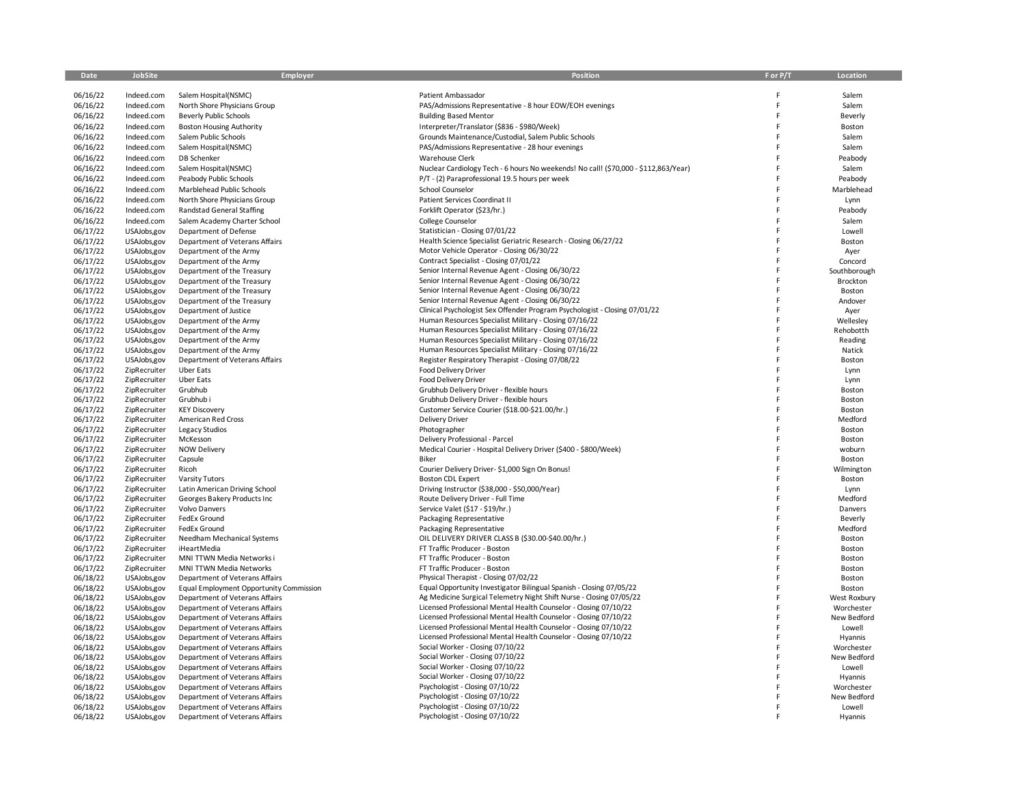| Date                 | JobSite                      | Employer                                                         | <b>Position</b>                                                                                                                      | F or P/T | Location              |
|----------------------|------------------------------|------------------------------------------------------------------|--------------------------------------------------------------------------------------------------------------------------------------|----------|-----------------------|
|                      |                              |                                                                  |                                                                                                                                      |          |                       |
| 06/16/22<br>06/16/22 | Indeed.com<br>Indeed.com     | Salem Hospital(NSMC)<br>North Shore Physicians Group             | Patient Ambassador<br>PAS/Admissions Representative - 8 hour EOW/EOH evenings                                                        | E        | Salem<br>Salem        |
| 06/16/22             | Indeed.com                   | <b>Beverly Public Schools</b>                                    | <b>Building Based Mentor</b>                                                                                                         | Ë        | Beverly               |
| 06/16/22             | Indeed.com                   | <b>Boston Housing Authority</b>                                  | Interpreter/Translator (\$836 - \$980/Week)                                                                                          | F        | Boston                |
| 06/16/22             | Indeed.com                   | Salem Public Schools                                             | Grounds Maintenance/Custodial, Salem Public Schools                                                                                  |          | Salem                 |
| 06/16/22             | Indeed.com                   | Salem Hospital(NSMC)                                             | PAS/Admissions Representative - 28 hour evenings                                                                                     |          | Salem                 |
| 06/16/22             | Indeed.com                   | DB Schenker                                                      | Warehouse Clerk                                                                                                                      |          | Peabody               |
| 06/16/22             | Indeed.com                   | Salem Hospital(NSMC)                                             | Nuclear Cardiology Tech - 6 hours No weekends! No call! (\$70,000 - \$112,863/Year)                                                  |          | Salem                 |
| 06/16/22             | Indeed.com                   | Peabody Public Schools                                           | P/T - (2) Paraprofessional 19.5 hours per week                                                                                       |          | Peabody               |
| 06/16/22             | Indeed.com                   | Marblehead Public Schools                                        | School Counselor                                                                                                                     |          | Marblehead            |
| 06/16/22             | Indeed.com                   | North Shore Physicians Group                                     | Patient Services Coordinat II                                                                                                        |          | Lynn                  |
| 06/16/22             | Indeed.com                   | <b>Randstad General Staffing</b>                                 | Forklift Operator (\$23/hr.)                                                                                                         |          | Peabody               |
| 06/16/22             | Indeed.com                   | Salem Academy Charter School                                     | <b>College Counselor</b>                                                                                                             |          | Salem                 |
| 06/17/22             | USAJobs,gov                  | Department of Defense                                            | Statistician - Closing 07/01/22                                                                                                      |          | Lowell                |
| 06/17/22<br>06/17/22 | USAJobs,gov                  | Department of Veterans Affairs                                   | Health Science Specialist Geriatric Research - Closing 06/27/22<br>Motor Vehicle Operator - Closing 06/30/22                         |          | Boston                |
| 06/17/22             | USAJobs,gov<br>USAJobs,gov   | Department of the Army<br>Department of the Army                 | Contract Specialist - Closing 07/01/22                                                                                               | F        | Ayer<br>Concord       |
| 06/17/22             | USAJobs,gov                  | Department of the Treasury                                       | Senior Internal Revenue Agent - Closing 06/30/22                                                                                     |          | Southborough          |
| 06/17/22             | USAJobs,gov                  | Department of the Treasury                                       | Senior Internal Revenue Agent - Closing 06/30/22                                                                                     | F        | Brockton              |
| 06/17/22             | USAJobs,gov                  | Department of the Treasury                                       | Senior Internal Revenue Agent - Closing 06/30/22                                                                                     |          | Boston                |
| 06/17/22             | USAJobs,gov                  | Department of the Treasury                                       | Senior Internal Revenue Agent - Closing 06/30/22                                                                                     |          | Andover               |
| 06/17/22             | USAJobs,gov                  | Department of Justice                                            | Clinical Psychologist Sex Offender Program Psychologist - Closing 07/01/22                                                           |          | Ayer                  |
| 06/17/22             | USAJobs,gov                  | Department of the Army                                           | Human Resources Specialist Military - Closing 07/16/22                                                                               |          | Wellesley             |
| 06/17/22             | USAJobs,gov                  | Department of the Army                                           | Human Resources Specialist Military - Closing 07/16/22                                                                               |          | Rehobotth             |
| 06/17/22<br>06/17/22 | USAJobs,gov<br>USAJobs,gov   | Department of the Army<br>Department of the Army                 | Human Resources Specialist Military - Closing 07/16/22<br>Human Resources Specialist Military - Closing 07/16/22                     |          | Reading<br>Natick     |
| 06/17/22             | USAJobs,gov                  | Department of Veterans Affairs                                   | Register Respiratory Therapist - Closing 07/08/22                                                                                    | F        | Boston                |
| 06/17/22             | ZipRecruiter                 | <b>Uber Eats</b>                                                 | Food Delivery Driver                                                                                                                 |          | Lynn                  |
| 06/17/22             | ZipRecruiter                 | <b>Uber Eats</b>                                                 | Food Delivery Driver                                                                                                                 |          | Lynn                  |
| 06/17/22             | ZipRecruiter                 | Grubhub                                                          | Grubhub Delivery Driver - flexible hours                                                                                             |          | Boston                |
| 06/17/22             | ZipRecruiter                 | Grubhub i                                                        | Grubhub Delivery Driver - flexible hours                                                                                             |          | Boston                |
| 06/17/22             | ZipRecruiter                 | <b>KEY Discoverv</b>                                             | Customer Service Courier (\$18.00-\$21.00/hr.)                                                                                       |          | Boston                |
| 06/17/22             | ZipRecruiter                 | American Red Cross                                               | <b>Delivery Driver</b>                                                                                                               |          | Medford               |
| 06/17/22             | ZipRecruiter                 | Legacy Studios                                                   | Photographer                                                                                                                         |          | Boston                |
| 06/17/22<br>06/17/22 | ZipRecruiter<br>ZipRecruiter | McKesson<br><b>NOW Delivery</b>                                  | Delivery Professional - Parcel<br>Medical Courier - Hospital Delivery Driver (\$400 - \$800/Week)                                    |          | Boston<br>woburn      |
| 06/17/22             | ZipRecruiter                 | Capsule                                                          | Biker                                                                                                                                |          | Boston                |
| 06/17/22             | ZipRecruiter                 | Ricoh                                                            | Courier Delivery Driver-\$1,000 Sign On Bonus!                                                                                       |          | Wilmington            |
| 06/17/22             | ZipRecruiter                 | Varsity Tutors                                                   | <b>Boston CDL Expert</b>                                                                                                             |          | Boston                |
| 06/17/22             | ZipRecruiter                 | Latin American Driving School                                    | Driving Instructor (\$38,000 - \$50,000/Year)                                                                                        |          | Lynn                  |
| 06/17/22             | ZipRecruiter                 | Georges Bakery Products Inc                                      | Route Delivery Driver - Full Time                                                                                                    |          | Medford               |
| 06/17/22             | ZipRecruiter                 | <b>Volvo Danvers</b>                                             | Service Valet (\$17 - \$19/hr.)                                                                                                      |          | Danvers               |
| 06/17/22             | ZipRecruiter                 | FedEx Ground                                                     | Packaging Representative                                                                                                             |          | Beverly               |
| 06/17/22<br>06/17/22 | ZipRecruiter<br>ZipRecruiter | FedEx Ground<br>Needham Mechanical Systems                       | Packaging Representative<br>OIL DELIVERY DRIVER CLASS B (\$30.00-\$40.00/hr.)                                                        |          | Medford<br>Boston     |
| 06/17/22             | ZipRecruiter                 | iHeartMedia                                                      | FT Traffic Producer - Boston                                                                                                         |          | Boston                |
| 06/17/22             | ZipRecruiter                 | MNI TTWN Media Networks i                                        | FT Traffic Producer - Boston                                                                                                         |          | Boston                |
| 06/17/22             | ZipRecruiter                 | MNI TTWN Media Networks                                          | FT Traffic Producer - Boston                                                                                                         |          | Boston                |
| 06/18/22             | USAJobs,gov                  | Department of Veterans Affairs                                   | Physical Therapist - Closing 07/02/22                                                                                                |          | Boston                |
| 06/18/22             | USAJobs,gov                  | Equal Employment Opportunity Commission                          | Equal Opportunity Investigator Bilingual Spanish - Closing 07/05/22                                                                  | F        | Boston                |
| 06/18/22             | USAJobs,gov                  | Department of Veterans Affairs                                   | Ag Medicine Surgical Telemetry Night Shift Nurse - Closing 07/05/22                                                                  |          | West Roxbury          |
| 06/18/22             | USAJobs,gov                  | Department of Veterans Affairs                                   | Licensed Professional Mental Health Counselor - Closing 07/10/22                                                                     | F<br>F   | Worchester            |
| 06/18/22<br>06/18/22 | USAJobs,gov                  | Department of Veterans Affairs<br>Department of Veterans Affairs | Licensed Professional Mental Health Counselor - Closing 07/10/22<br>Licensed Professional Mental Health Counselor - Closing 07/10/22 | F        | New Bedford<br>Lowell |
| 06/18/22             | USAJobs,gov<br>USAJobs,gov   | Department of Veterans Affairs                                   | Licensed Professional Mental Health Counselor - Closing 07/10/22                                                                     | F        | Hyannis               |
| 06/18/22             | USAJobs,gov                  | Department of Veterans Affairs                                   | Social Worker - Closing 07/10/22                                                                                                     | F        | Worchester            |
| 06/18/22             | USAJobs,gov                  | Department of Veterans Affairs                                   | Social Worker - Closing 07/10/22                                                                                                     |          | New Bedford           |
| 06/18/22             | USAJobs,gov                  | Department of Veterans Affairs                                   | Social Worker - Closing 07/10/22                                                                                                     |          | Lowell                |
| 06/18/22             | USAJobs,gov                  | Department of Veterans Affairs                                   | Social Worker - Closing 07/10/22                                                                                                     |          | Hyannis               |
| 06/18/22             | USAJobs,gov                  | Department of Veterans Affairs                                   | Psychologist - Closing 07/10/22                                                                                                      |          | Worchester            |
| 06/18/22             | USAJobs,gov                  | Department of Veterans Affairs                                   | Psychologist - Closing 07/10/22                                                                                                      |          | New Bedford           |
| 06/18/22             | USAJobs,gov                  | Department of Veterans Affairs                                   | Psychologist - Closing 07/10/22<br>Psychologist - Closing 07/10/22                                                                   | F        | Lowell                |
| 06/18/22             | USAJobs,gov                  | Department of Veterans Affairs                                   |                                                                                                                                      |          | Hyannis               |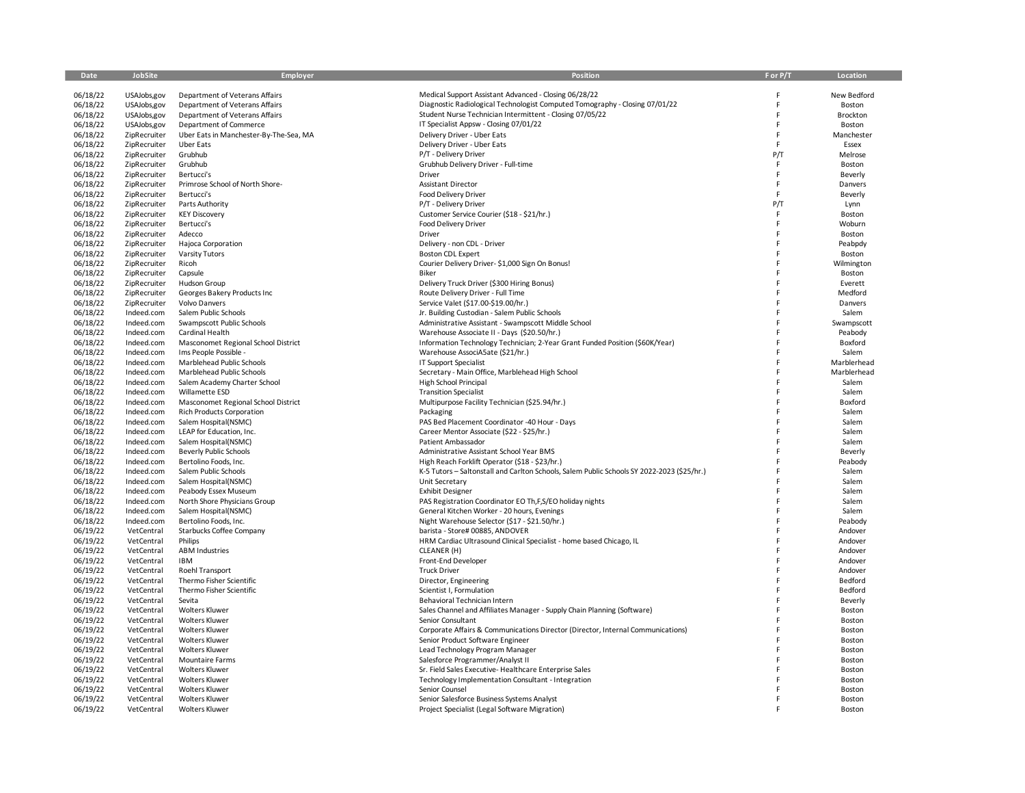| Date                 | JobSite                      | <b>Employer</b>                                       | Position                                                                                   | F or P/T | Location           |
|----------------------|------------------------------|-------------------------------------------------------|--------------------------------------------------------------------------------------------|----------|--------------------|
|                      |                              |                                                       |                                                                                            |          |                    |
| 06/18/22             | USAJobs,gov                  | Department of Veterans Affairs                        | Medical Support Assistant Advanced - Closing 06/28/22                                      | F        | New Bedford        |
| 06/18/22             | USAJobs,gov                  | Department of Veterans Affairs                        | Diagnostic Radiological Technologist Computed Tomography - Closing 07/01/22                | F        | Boston             |
| 06/18/22             | USAJobs,gov                  | Department of Veterans Affairs                        | Student Nurse Technician Intermittent - Closing 07/05/22                                   | F        | Brockton           |
| 06/18/22             | USAJobs,gov                  | Department of Commerce                                | IT Specialist Appsw - Closing 07/01/22                                                     | F        | Boston             |
| 06/18/22             | ZipRecruiter                 | Uber Eats in Manchester-By-The-Sea, MA                | Delivery Driver - Uber Eats                                                                | E        | Manchester         |
| 06/18/22             | ZipRecruiter                 | <b>Uber Eats</b>                                      | Delivery Driver - Uber Eats                                                                | F        | Essex              |
| 06/18/22             | ZipRecruiter                 | Grubhub                                               | P/T - Delivery Driver                                                                      | P/T      | Melrose            |
| 06/18/22             | ZipRecruiter                 | Grubhub                                               | Grubhub Delivery Driver - Full-time                                                        | F<br>F   | Boston             |
| 06/18/22<br>06/18/22 | ZipRecruiter<br>ZipRecruiter | Bertucci's<br>Primrose School of North Shore-         | Driver                                                                                     | F        | Beverly            |
| 06/18/22             | ZipRecruiter                 | Bertucci's                                            | <b>Assistant Director</b><br>Food Delivery Driver                                          | F        | Danvers            |
| 06/18/22             | ZipRecruiter                 | Parts Authority                                       | P/T - Delivery Driver                                                                      | P/T      | Beverly<br>Lynn    |
| 06/18/22             | ZipRecruiter                 | <b>KEY Discovery</b>                                  | Customer Service Courier (\$18 - \$21/hr.)                                                 | F        | Boston             |
| 06/18/22             | ZipRecruiter                 | Bertucci's                                            | Food Delivery Driver                                                                       | F        | Woburn             |
| 06/18/22             | ZipRecruiter                 | Adecco                                                | Driver                                                                                     |          | Boston             |
| 06/18/22             | ZipRecruiter                 | Hajoca Corporation                                    | Delivery - non CDL - Driver                                                                |          | Peabpdy            |
| 06/18/22             | ZipRecruiter                 | Varsity Tutors                                        | <b>Boston CDL Expert</b>                                                                   | F        | Boston             |
| 06/18/22             | ZipRecruiter                 | Ricoh                                                 | Courier Delivery Driver-\$1,000 Sign On Bonus!                                             | F        | Wilmington         |
| 06/18/22             | ZipRecruiter                 | Capsule                                               | Biker                                                                                      |          | Boston             |
| 06/18/22             | ZipRecruiter                 | Hudson Group                                          | Delivery Truck Driver (\$300 Hiring Bonus)                                                 | F        | Everett            |
| 06/18/22             | ZipRecruiter                 | Georges Bakery Products Inc                           | Route Delivery Driver - Full Time                                                          |          | Medford            |
| 06/18/22             | ZipRecruiter                 | Volvo Danvers                                         | Service Valet (\$17.00-\$19.00/hr.)                                                        |          | Danvers            |
| 06/18/22             | Indeed.com                   | Salem Public Schools                                  | Jr. Building Custodian - Salem Public Schools                                              |          | Salem              |
| 06/18/22             | Indeed.com                   | Swampscott Public Schools                             | Administrative Assistant - Swampscott Middle School                                        |          | Swampscott         |
| 06/18/22             | Indeed.com                   | Cardinal Health                                       | Warehouse Associate II - Days (\$20.50/hr.)                                                | F        | Peabody            |
| 06/18/22             | Indeed.com                   | Masconomet Regional School District                   | Information Technology Technician; 2-Year Grant Funded Position (\$60K/Year)               | F        | Boxford            |
| 06/18/22             | Indeed.com                   | Ims People Possible -                                 | Warehouse AssociA5ate (\$21/hr.)                                                           | F        | Salem              |
| 06/18/22             | Indeed.com                   | Marblehead Public Schools                             | IT Support Specialist                                                                      | F        | Marblerhead        |
| 06/18/22             | Indeed.com                   | Marblehead Public Schools                             | Secretary - Main Office, Marblehead High School                                            |          | Marblerhead        |
| 06/18/22             | Indeed.com                   | Salem Academy Charter School                          | High School Principal                                                                      | F<br>F   | Salem              |
| 06/18/22<br>06/18/22 | Indeed.com<br>Indeed.com     | Willamette ESD<br>Masconomet Regional School District | <b>Transition Specialist</b><br>Multipurpose Facility Technician (\$25.94/hr.)             |          | Salem<br>Boxford   |
| 06/18/22             | Indeed.com                   | <b>Rich Products Corporation</b>                      | Packaging                                                                                  | F        | Salem              |
| 06/18/22             | Indeed.com                   | Salem Hospital(NSMC)                                  | PAS Bed Placement Coordinator -40 Hour - Days                                              | E        | Salem              |
| 06/18/22             | Indeed.com                   | LEAP for Education, Inc.                              | Career Mentor Associate (\$22 - \$25/hr.)                                                  |          | Salem              |
| 06/18/22             | Indeed.com                   | Salem Hospital(NSMC)                                  | Patient Ambassador                                                                         | F        | Salem              |
| 06/18/22             | Indeed.com                   | <b>Beverly Public Schools</b>                         | Administrative Assistant School Year BMS                                                   | F        | Beverly            |
| 06/18/22             | Indeed.com                   | Bertolino Foods, Inc.                                 | High Reach Forklift Operator (\$18 - \$23/hr.)                                             | F        | Peabody            |
| 06/18/22             | Indeed.com                   | Salem Public Schools                                  | K-5 Tutors - Saltonstall and Carlton Schools, Salem Public Schools SY 2022-2023 (\$25/hr.) | F        | Salem              |
| 06/18/22             | Indeed.com                   | Salem Hospital(NSMC)                                  | Unit Secretary                                                                             | F        | Salem              |
| 06/18/22             | Indeed.com                   | Peabody Essex Museum                                  | <b>Exhibit Designer</b>                                                                    | E        | Salem              |
| 06/18/22             | Indeed.com                   | North Shore Physicians Group                          | PAS Registration Coordinator EO Th, F, S/EO holiday nights                                 |          | Salem              |
| 06/18/22             | Indeed.com                   | Salem Hospital(NSMC)                                  | General Kitchen Worker - 20 hours, Evenings                                                | F        | Salem              |
| 06/18/22             | Indeed.com                   | Bertolino Foods, Inc.                                 | Night Warehouse Selector (\$17 - \$21.50/hr.)                                              | E        | Peabody            |
| 06/19/22             | VetCentral                   | Starbucks Coffee Company                              | barista - Store# 00885, ANDOVER                                                            |          | Andover            |
| 06/19/22             | VetCentral                   | Philips                                               | HRM Cardiac Ultrasound Clinical Specialist - home based Chicago, IL                        | F        | Andover            |
| 06/19/22             | VetCentral                   | <b>ABM Industries</b>                                 | CLEANER (H)                                                                                | F        | Andover            |
| 06/19/22             | VetCentral                   | IBM                                                   | Front-End Developer                                                                        |          | Andover            |
| 06/19/22<br>06/19/22 | VetCentral<br>VetCentral     | Roehl Transport<br>Thermo Fisher Scientific           | <b>Truck Driver</b><br>Director, Engineering                                               | F        | Andover<br>Bedford |
| 06/19/22             | VetCentral                   | Thermo Fisher Scientific                              | Scientist I, Formulation                                                                   | E        | Bedford            |
| 06/19/22             | VetCentral                   | Sevita                                                | Behavioral Technician Intern                                                               |          | Beverly            |
| 06/19/22             | VetCentral                   | <b>Wolters Kluwer</b>                                 | Sales Channel and Affiliates Manager - Supply Chain Planning (Software)                    | F        | Boston             |
| 06/19/22             | VetCentral                   | <b>Wolters Kluwer</b>                                 | Senior Consultant                                                                          |          | Boston             |
| 06/19/22             | VetCentral                   | <b>Wolters Kluwer</b>                                 | Corporate Affairs & Communications Director (Director, Internal Communications)            |          | Boston             |
| 06/19/22             | VetCentral                   | <b>Wolters Kluwer</b>                                 | Senior Product Software Engineer                                                           |          | Boston             |
| 06/19/22             | VetCentral                   | <b>Wolters Kluwer</b>                                 | Lead Technology Program Manager                                                            | F        | Boston             |
| 06/19/22             | VetCentral                   | <b>Mountaire Farms</b>                                | Salesforce Programmer/Analyst II                                                           | E        | Boston             |
| 06/19/22             | VetCentral                   | <b>Wolters Kluwer</b>                                 | Sr. Field Sales Executive-Healthcare Enterprise Sales                                      |          | Boston             |
| 06/19/22             | VetCentral                   | <b>Wolters Kluwer</b>                                 | Technology Implementation Consultant - Integration                                         |          | Boston             |
| 06/19/22             | VetCentral                   | <b>Wolters Kluwer</b>                                 | Senior Counsel                                                                             |          | Boston             |
| 06/19/22             | VetCentral                   | <b>Wolters Kluwer</b>                                 | Senior Salesforce Business Systems Analyst                                                 |          | Boston             |
| 06/19/22             | VetCentral                   | <b>Wolters Kluwer</b>                                 | Project Specialist (Legal Software Migration)                                              |          | Boston             |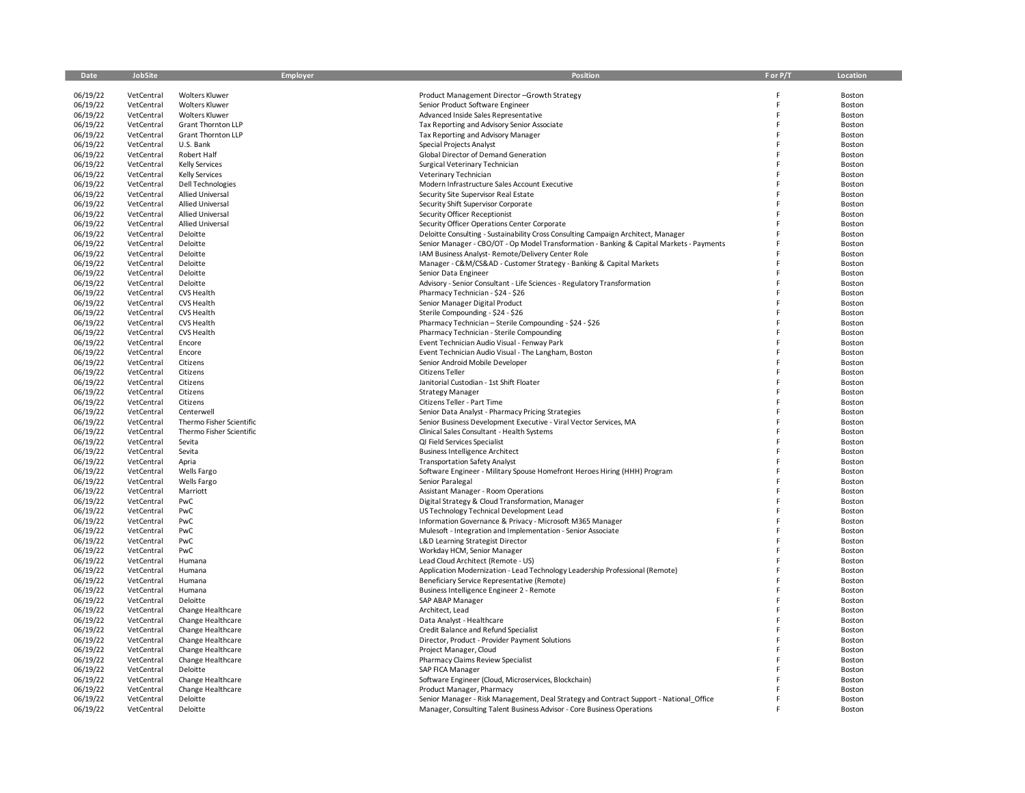| Date                 | JobSite                  | Employer                                       | <b>Position</b>                                                                                                     | F or P/T | Location         |
|----------------------|--------------------------|------------------------------------------------|---------------------------------------------------------------------------------------------------------------------|----------|------------------|
|                      |                          |                                                |                                                                                                                     |          |                  |
| 06/19/22<br>06/19/22 | VetCentral<br>VetCentral | <b>Wolters Kluwer</b><br><b>Wolters Kluwer</b> | Product Management Director-Growth Strategy                                                                         |          | Boston<br>Boston |
| 06/19/22             | VetCentral               | <b>Wolters Kluwer</b>                          | Senior Product Software Engineer<br>Advanced Inside Sales Representative                                            | F        | Boston           |
| 06/19/22             | VetCentral               | <b>Grant Thornton LLP</b>                      | Tax Reporting and Advisory Senior Associate                                                                         |          | Boston           |
| 06/19/22             | VetCentral               | <b>Grant Thornton LLP</b>                      | Tax Reporting and Advisory Manager                                                                                  |          | Boston           |
| 06/19/22             | VetCentral               | U.S. Bank                                      | Special Projects Analyst                                                                                            |          | Boston           |
| 06/19/22             | VetCentral               | Robert Half                                    | Global Director of Demand Generation                                                                                |          | Boston           |
| 06/19/22             | VetCentral               | <b>Kelly Services</b>                          | Surgical Veterinary Technician                                                                                      |          | Boston           |
| 06/19/22             | VetCentral               | <b>Kelly Services</b>                          | Veterinary Technician                                                                                               |          | Boston           |
| 06/19/22             | VetCentral               | Dell Technologies                              | Modern Infrastructure Sales Account Executive                                                                       |          | Boston           |
| 06/19/22             | VetCentral               | <b>Allied Universal</b>                        | Security Site Supervisor Real Estate                                                                                |          | Boston           |
| 06/19/22             | VetCentral               | Allied Universal                               | Security Shift Supervisor Corporate                                                                                 |          | Boston           |
| 06/19/22             | VetCentral               | Allied Universal                               | Security Officer Receptionist                                                                                       |          | Boston           |
| 06/19/22             | VetCentral               | <b>Allied Universal</b>                        | Security Officer Operations Center Corporate                                                                        |          | Boston           |
| 06/19/22             | VetCentral               | Deloitte                                       | Deloitte Consulting - Sustainability Cross Consulting Campaign Architect, Manager                                   |          | Boston           |
| 06/19/22             | VetCentral               | Deloitte                                       | Senior Manager - CBO/OT - Op Model Transformation - Banking & Capital Markets - Payments                            |          | Boston           |
| 06/19/22             | VetCentral               | Deloitte                                       | IAM Business Analyst-Remote/Delivery Center Role                                                                    |          | Boston           |
| 06/19/22             | VetCentral               | Deloitte                                       | Manager - C&M/CS&AD - Customer Strategy - Banking & Capital Markets                                                 |          | Boston           |
| 06/19/22             | VetCentral               | Deloitte                                       | Senior Data Engineer                                                                                                |          | Boston           |
| 06/19/22             | VetCentral               | Deloitte                                       | Advisory - Senior Consultant - Life Sciences - Regulatory Transformation                                            |          | Boston           |
| 06/19/22             | VetCentral               | CVS Health                                     | Pharmacy Technician - \$24 - \$26                                                                                   |          | Boston           |
| 06/19/22             | VetCentral               | <b>CVS Health</b>                              | Senior Manager Digital Product                                                                                      |          | Boston           |
| 06/19/22<br>06/19/22 | VetCentral<br>VetCentral | <b>CVS Health</b><br><b>CVS Health</b>         | Sterile Compounding - \$24 - \$26                                                                                   |          | Boston<br>Boston |
| 06/19/22             | VetCentral               | <b>CVS Health</b>                              | Pharmacy Technician - Sterile Compounding - \$24 - \$26<br>Pharmacy Technician - Sterile Compounding                |          | Boston           |
| 06/19/22             | VetCentral               | Encore                                         | Event Technician Audio Visual - Fenway Park                                                                         |          | Boston           |
| 06/19/22             | VetCentral               | Encore                                         | Event Technician Audio Visual - The Langham, Boston                                                                 |          | Boston           |
| 06/19/22             | VetCentral               | Citizens                                       | Senior Android Mobile Developer                                                                                     |          | Boston           |
| 06/19/22             | VetCentral               | Citizens                                       | <b>Citizens Teller</b>                                                                                              |          | Boston           |
| 06/19/22             | VetCentral               | Citizens                                       | Janitorial Custodian - 1st Shift Floater                                                                            |          | Boston           |
| 06/19/22             | VetCentral               | Citizens                                       | <b>Strategy Manager</b>                                                                                             |          | Boston           |
| 06/19/22             | VetCentral               | Citizens                                       | Citizens Teller - Part Time                                                                                         |          | Boston           |
| 06/19/22             | VetCentral               | Centerwell                                     | Senior Data Analyst - Pharmacy Pricing Strategies                                                                   |          | Boston           |
| 06/19/22             | VetCentral               | Thermo Fisher Scientific                       | Senior Business Development Executive - Viral Vector Services, MA                                                   |          | Boston           |
| 06/19/22             | VetCentral               | Thermo Fisher Scientific                       | Clinical Sales Consultant - Health Systems                                                                          |          | Boston           |
| 06/19/22             | VetCentral               | Sevita                                         | QI Field Services Specialist                                                                                        |          | Boston           |
| 06/19/22             | VetCentral               | Sevita                                         | <b>Business Intelligence Architect</b>                                                                              |          | Boston           |
| 06/19/22             | VetCentral               | Apria                                          | <b>Transportation Safety Analyst</b>                                                                                |          | Boston           |
| 06/19/22             | VetCentral               | Wells Fargo                                    | Software Engineer - Military Spouse Homefront Heroes Hiring (HHH) Program                                           |          | Boston           |
| 06/19/22             | VetCentral               | Wells Fargo                                    | Senior Paralegal                                                                                                    |          | Boston           |
| 06/19/22             | VetCentral               | Marriott                                       | Assistant Manager - Room Operations                                                                                 |          | Boston           |
| 06/19/22<br>06/19/22 | VetCentral<br>VetCentral | PwC<br>PwC                                     | Digital Strategy & Cloud Transformation, Manager                                                                    |          | Boston<br>Boston |
| 06/19/22             | VetCentral               | PwC                                            | US Technology Technical Development Lead<br>Information Governance & Privacy - Microsoft M365 Manager               |          | Boston           |
| 06/19/22             | VetCentral               | PwC                                            | Mulesoft - Integration and Implementation - Senior Associate                                                        |          | Boston           |
| 06/19/22             | VetCentral               | PwC                                            | L&D Learning Strategist Director                                                                                    |          | Boston           |
| 06/19/22             | VetCentral               | PwC                                            | Workday HCM, Senior Manager                                                                                         |          | Boston           |
| 06/19/22             | VetCentral               | Humana                                         | Lead Cloud Architect (Remote - US)                                                                                  |          | Boston           |
| 06/19/22             | VetCentral               | Humana                                         | Application Modernization - Lead Technology Leadership Professional (Remote)                                        |          | Boston           |
| 06/19/22             | VetCentral               | Humana                                         | Beneficiary Service Representative (Remote)                                                                         |          | Boston           |
| 06/19/22             | VetCentral               | Humana                                         | Business Intelligence Engineer 2 - Remote                                                                           |          | Boston           |
| 06/19/22             | VetCentral               | Deloitte                                       | SAP ABAP Manager                                                                                                    |          | Boston           |
| 06/19/22             | VetCentral               | Change Healthcare                              | Architect, Lead                                                                                                     |          | Boston           |
| 06/19/22             | VetCentral               | Change Healthcare                              | Data Analyst - Healthcare                                                                                           |          | Boston           |
| 06/19/22             | VetCentral               | Change Healthcare                              | Credit Balance and Refund Specialist                                                                                |          | Boston           |
| 06/19/22             | VetCentral               | Change Healthcare                              | Director, Product - Provider Payment Solutions                                                                      |          | Boston           |
| 06/19/22             | VetCentral               | Change Healthcare                              | Project Manager, Cloud                                                                                              |          | Boston           |
| 06/19/22             | VetCentral               | Change Healthcare                              | Pharmacy Claims Review Specialist                                                                                   |          | Boston           |
| 06/19/22             | VetCentral               | Deloitte                                       | SAP FICA Manager                                                                                                    |          | Boston           |
| 06/19/22             | VetCentral               | Change Healthcare                              | Software Engineer (Cloud, Microservices, Blockchain)                                                                |          | Boston           |
| 06/19/22<br>06/19/22 | VetCentral<br>VetCentral | Change Healthcare<br>Deloitte                  | Product Manager, Pharmacy<br>Senior Manager - Risk Management, Deal Strategy and Contract Support - National Office |          | Boston<br>Boston |
| 06/19/22             | VetCentral               | Deloitte                                       | Manager, Consulting Talent Business Advisor - Core Business Operations                                              |          | Boston           |
|                      |                          |                                                |                                                                                                                     |          |                  |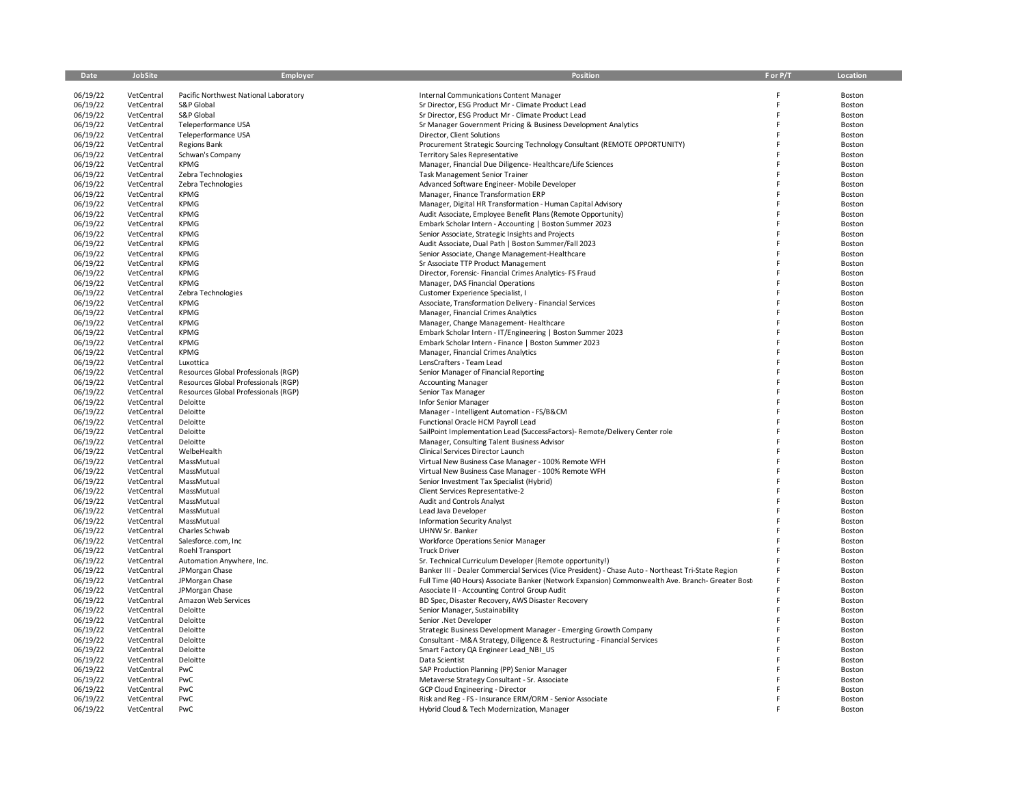| Date     | <b>JobSite</b> | <b>Employer</b>                       | Position                                                                                               | F or P/T | Location |
|----------|----------------|---------------------------------------|--------------------------------------------------------------------------------------------------------|----------|----------|
|          |                |                                       |                                                                                                        |          |          |
| 06/19/22 | VetCentral     | Pacific Northwest National Laboratory | <b>Internal Communications Content Manager</b>                                                         | F        | Boston   |
| 06/19/22 | VetCentral     | S&P Global                            | Sr Director, ESG Product Mr - Climate Product Lead                                                     | E        | Boston   |
| 06/19/22 | VetCentral     | S&P Global                            | Sr Director, ESG Product Mr - Climate Product Lead                                                     | E        | Boston   |
| 06/19/22 | VetCentral     | Teleperformance USA                   | Sr Manager Government Pricing & Business Development Analytics                                         | E        | Boston   |
| 06/19/22 | VetCentral     | Teleperformance USA                   | Director, Client Solutions                                                                             | E        | Boston   |
| 06/19/22 | VetCentral     | <b>Regions Bank</b>                   | Procurement Strategic Sourcing Technology Consultant (REMOTE OPPORTUNITY)                              | F        | Boston   |
| 06/19/22 | VetCentral     | Schwan's Company                      | <b>Territory Sales Representative</b>                                                                  | F        | Boston   |
| 06/19/22 | VetCentral     | KPMG                                  | Manager, Financial Due Diligence-Healthcare/Life Sciences                                              | E        | Boston   |
| 06/19/22 | VetCentral     | Zebra Technologies                    | <b>Task Management Senior Trainer</b>                                                                  | E        | Boston   |
| 06/19/22 | VetCentral     | Zebra Technologies                    | Advanced Software Engineer- Mobile Developer                                                           | F        | Boston   |
| 06/19/22 | VetCentral     | <b>KPMG</b>                           | Manager, Finance Transformation ERP                                                                    | E        | Boston   |
| 06/19/22 | VetCentral     | <b>KPMG</b>                           | Manager, Digital HR Transformation - Human Capital Advisory                                            | F        | Boston   |
| 06/19/22 | VetCentral     | <b>KPMG</b>                           | Audit Associate, Employee Benefit Plans (Remote Opportunity)                                           | F        | Boston   |
| 06/19/22 | VetCentral     | <b>KPMG</b>                           | Embark Scholar Intern - Accounting   Boston Summer 2023                                                | E        | Boston   |
| 06/19/22 | VetCentral     | <b>KPMG</b>                           | Senior Associate, Strategic Insights and Projects                                                      | E        | Boston   |
| 06/19/22 | VetCentral     | <b>KPMG</b>                           |                                                                                                        |          | Boston   |
| 06/19/22 | VetCentral     | <b>KPMG</b>                           | Audit Associate, Dual Path   Boston Summer/Fall 2023<br>Senior Associate, Change Management-Healthcare | F        | Boston   |
|          |                | <b>KPMG</b>                           |                                                                                                        | E        |          |
| 06/19/22 | VetCentral     |                                       | Sr Associate TTP Product Management                                                                    | E        | Boston   |
| 06/19/22 | VetCentral     | <b>KPMG</b>                           | Director, Forensic- Financial Crimes Analytics- FS Fraud                                               | F        | Boston   |
| 06/19/22 | VetCentral     | <b>KPMG</b>                           | Manager, DAS Financial Operations                                                                      |          | Boston   |
| 06/19/22 | VetCentral     | Zebra Technologies                    | Customer Experience Specialist, I                                                                      | E        | Boston   |
| 06/19/22 | VetCentral     | <b>KPMG</b>                           | Associate, Transformation Delivery - Financial Services                                                |          | Boston   |
| 06/19/22 | VetCentral     | <b>KPMG</b>                           | Manager, Financial Crimes Analytics                                                                    |          | Boston   |
| 06/19/22 | VetCentral     | <b>KPMG</b>                           | Manager, Change Management-Healthcare                                                                  | F        | Boston   |
| 06/19/22 | VetCentral     | <b>KPMG</b>                           | Embark Scholar Intern - IT/Engineering   Boston Summer 2023                                            | F        | Boston   |
| 06/19/22 | VetCentral     | <b>KPMG</b>                           | Embark Scholar Intern - Finance   Boston Summer 2023                                                   | F        | Boston   |
| 06/19/22 | VetCentral     | <b>KPMG</b>                           | Manager, Financial Crimes Analytics                                                                    | F        | Boston   |
| 06/19/22 | VetCentral     | Luxottica                             | LensCrafters - Team Lead                                                                               | E        | Boston   |
| 06/19/22 | VetCentral     | Resources Global Professionals (RGP)  | Senior Manager of Financial Reporting                                                                  |          | Boston   |
| 06/19/22 | VetCentral     | Resources Global Professionals (RGP)  | <b>Accounting Manager</b>                                                                              | F        | Boston   |
| 06/19/22 | VetCentral     | Resources Global Professionals (RGP)  | Senior Tax Manager                                                                                     | E        | Boston   |
| 06/19/22 | VetCentral     | Deloitte                              | Infor Senior Manager                                                                                   | F        | Boston   |
| 06/19/22 | VetCentral     | Deloitte                              | Manager - Intelligent Automation - FS/B&CM                                                             | F        | Boston   |
| 06/19/22 | VetCentral     | Deloitte                              | Functional Oracle HCM Payroll Lead                                                                     | F        | Boston   |
| 06/19/22 | VetCentral     | Deloitte                              | SailPoint Implementation Lead (SuccessFactors)- Remote/Delivery Center role                            |          | Boston   |
| 06/19/22 | VetCentral     | Deloitte                              | Manager, Consulting Talent Business Advisor                                                            |          | Boston   |
| 06/19/22 | VetCentral     | WelbeHealth                           | Clinical Services Director Launch                                                                      | F        | Boston   |
| 06/19/22 | VetCentral     | MassMutual                            | Virtual New Business Case Manager - 100% Remote WFH                                                    | E        | Boston   |
| 06/19/22 | VetCentral     | MassMutual                            | Virtual New Business Case Manager - 100% Remote WFH                                                    |          | Boston   |
| 06/19/22 | VetCentral     | MassMutual                            | Senior Investment Tax Specialist (Hybrid)                                                              | F        | Boston   |
| 06/19/22 | VetCentral     | MassMutual                            | Client Services Representative-2                                                                       | F        | Boston   |
| 06/19/22 | VetCentral     | MassMutual                            | Audit and Controls Analyst                                                                             |          | Boston   |
| 06/19/22 | VetCentral     | MassMutual                            | Lead Java Developer                                                                                    | F        | Boston   |
| 06/19/22 | VetCentral     | MassMutual                            | <b>Information Security Analyst</b>                                                                    | E        | Boston   |
| 06/19/22 | VetCentral     | Charles Schwab                        | UHNW Sr. Banker                                                                                        | F        | Boston   |
| 06/19/22 | VetCentral     | Salesforce.com, Inc                   | <b>Workforce Operations Senior Manager</b>                                                             | F        | Boston   |
| 06/19/22 | VetCentral     | Roehl Transport                       | <b>Truck Driver</b>                                                                                    | E        | Boston   |
| 06/19/22 | VetCentral     | Automation Anywhere, Inc.             | Sr. Technical Curriculum Developer (Remote opportunity!)                                               | F        | Boston   |
| 06/19/22 | VetCentral     | JPMorgan Chase                        | Banker III - Dealer Commercial Services (Vice President) - Chase Auto - Northeast Tri-State Region     | F        | Boston   |
| 06/19/22 | VetCentral     | JPMorgan Chase                        | Full Time (40 Hours) Associate Banker (Network Expansion) Commonwealth Ave. Branch- Greater Bost       | F        | Boston   |
| 06/19/22 | VetCentral     | JPMorgan Chase                        | Associate II - Accounting Control Group Audit                                                          |          | Boston   |
| 06/19/22 | VetCentral     | Amazon Web Services                   | BD Spec, Disaster Recovery, AWS Disaster Recovery                                                      | E        | Boston   |
| 06/19/22 | VetCentral     | Deloitte                              | Senior Manager, Sustainability                                                                         | F        | Boston   |
| 06/19/22 | VetCentral     | Deloitte                              | Senior .Net Developer                                                                                  | E        | Boston   |
| 06/19/22 | VetCentral     | Deloitte                              | Strategic Business Development Manager - Emerging Growth Company                                       |          | Boston   |
| 06/19/22 | VetCentral     | Deloitte                              | Consultant - M&A Strategy, Diligence & Restructuring - Financial Services                              |          | Boston   |
| 06/19/22 | VetCentral     | Deloitte                              | Smart Factory QA Engineer Lead NBI US                                                                  | F        | Boston   |
| 06/19/22 | VetCentral     | Deloitte                              | Data Scientist                                                                                         | E        | Boston   |
| 06/19/22 | VetCentral     | PwC                                   | SAP Production Planning (PP) Senior Manager                                                            |          | Boston   |
| 06/19/22 | VetCentral     | PwC                                   | Metaverse Strategy Consultant - Sr. Associate                                                          |          | Boston   |
| 06/19/22 | VetCentral     | PwC                                   | GCP Cloud Engineering - Director                                                                       |          | Boston   |
| 06/19/22 | VetCentral     | PwC                                   | Risk and Reg - FS - Insurance ERM/ORM - Senior Associate                                               |          | Boston   |
| 06/19/22 | VetCentral     | PwC                                   | Hybrid Cloud & Tech Modernization, Manager                                                             |          | Boston   |
|          |                |                                       |                                                                                                        |          |          |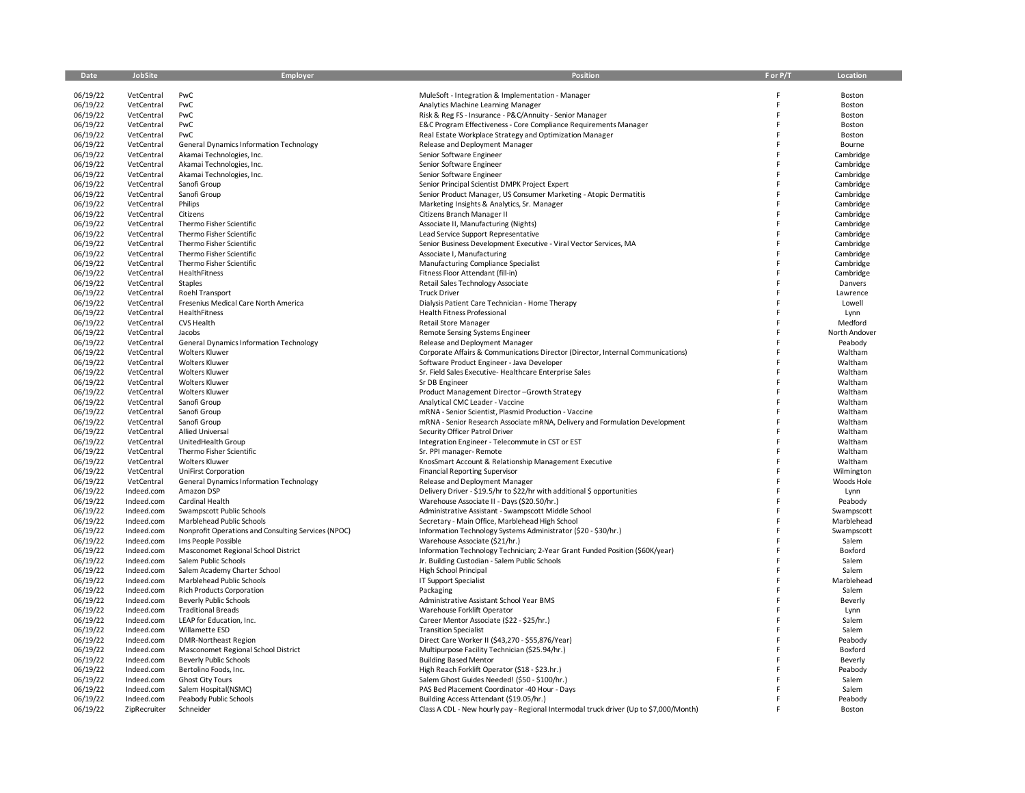| Date                 | JobSite                  | Employer                                                   | <b>Position</b>                                                                                                | F or P/T | Location               |
|----------------------|--------------------------|------------------------------------------------------------|----------------------------------------------------------------------------------------------------------------|----------|------------------------|
| 06/19/22             | VetCentral               | PwC                                                        | MuleSoft - Integration & Implementation - Manager                                                              | F        | Boston                 |
| 06/19/22             | VetCentral               | PwC                                                        | Analytics Machine Learning Manager                                                                             | F        | Boston                 |
| 06/19/22             | VetCentral               | PwC                                                        | Risk & Reg FS - Insurance - P&C/Annuity - Senior Manager                                                       | E        | Boston                 |
| 06/19/22             | VetCentral               | PwC                                                        | E&C Program Effectiveness - Core Compliance Requirements Manager                                               |          | Boston                 |
| 06/19/22             | VetCentral               | PwC                                                        | Real Estate Workplace Strategy and Optimization Manager                                                        | F        | Boston                 |
| 06/19/22             | VetCentral               | <b>General Dynamics Information Technology</b>             | Release and Deployment Manager                                                                                 |          | Bourne                 |
| 06/19/22             | VetCentral               | Akamai Technologies, Inc.                                  | Senior Software Engineer                                                                                       | F        | Cambridge              |
| 06/19/22             | VetCentral               | Akamai Technologies, Inc.                                  | Senior Software Engineer                                                                                       |          | Cambridge              |
| 06/19/22<br>06/19/22 | VetCentral<br>VetCentral | Akamai Technologies, Inc.<br>Sanofi Group                  | Senior Software Engineer<br>Senior Principal Scientist DMPK Project Expert                                     |          | Cambridge<br>Cambridge |
| 06/19/22             | VetCentral               | Sanofi Group                                               | Senior Product Manager, US Consumer Marketing - Atopic Dermatitis                                              |          | Cambridge              |
| 06/19/22             | VetCentral               | Philips                                                    | Marketing Insights & Analytics, Sr. Manager                                                                    |          | Cambridge              |
| 06/19/22             | VetCentral               | Citizens                                                   | Citizens Branch Manager II                                                                                     |          | Cambridge              |
| 06/19/22             | VetCentral               | Thermo Fisher Scientific                                   | Associate II, Manufacturing (Nights)                                                                           |          | Cambridge              |
| 06/19/22             | VetCentral               | Thermo Fisher Scientific                                   | Lead Service Support Representative                                                                            |          | Cambridge              |
| 06/19/22             | VetCentral               | Thermo Fisher Scientific                                   | Senior Business Development Executive - Viral Vector Services, MA                                              |          | Cambridge              |
| 06/19/22             | VetCentral               | Thermo Fisher Scientific                                   | Associate I, Manufacturing                                                                                     |          | Cambridge              |
| 06/19/22             | VetCentral               | Thermo Fisher Scientific                                   | Manufacturing Compliance Specialist                                                                            |          | Cambridge              |
| 06/19/22             | VetCentral               | HealthFitness                                              | Fitness Floor Attendant (fill-in)                                                                              |          | Cambridge              |
| 06/19/22             | VetCentral               | Staples                                                    | Retail Sales Technology Associate                                                                              |          | Danvers                |
| 06/19/22             | VetCentral               | Roehl Transport                                            | <b>Truck Driver</b>                                                                                            |          | Lawrence               |
| 06/19/22<br>06/19/22 | VetCentral<br>VetCentral | Fresenius Medical Care North America<br>HealthFitness      | Dialysis Patient Care Technician - Home Therapy<br><b>Health Fitness Professional</b>                          |          | Lowell<br>Lynn         |
| 06/19/22             | VetCentral               | CVS Health                                                 | <b>Retail Store Manager</b>                                                                                    | F        | Medford                |
| 06/19/22             | VetCentral               | Jacobs                                                     | Remote Sensing Systems Engineer                                                                                |          | North Andover          |
| 06/19/22             | VetCentral               | <b>General Dynamics Information Technology</b>             | Release and Deployment Manager                                                                                 | F        | Peabody                |
| 06/19/22             | VetCentral               | <b>Wolters Kluwer</b>                                      | Corporate Affairs & Communications Director (Director, Internal Communications)                                |          | Waltham                |
| 06/19/22             | VetCentral               | <b>Wolters Kluwer</b>                                      | Software Product Engineer - Java Developer                                                                     |          | Waltham                |
| 06/19/22             | VetCentral               | <b>Wolters Kluwer</b>                                      | Sr. Field Sales Executive-Healthcare Enterprise Sales                                                          |          | Waltham                |
| 06/19/22             | VetCentral               | <b>Wolters Kluwer</b>                                      | Sr DB Engineer                                                                                                 |          | Waltham                |
| 06/19/22             | VetCentral               | <b>Wolters Kluwer</b>                                      | Product Management Director-Growth Strategy                                                                    | F        | Waltham                |
| 06/19/22             | VetCentral               | Sanofi Group                                               | Analytical CMC Leader - Vaccine                                                                                |          | Waltham                |
| 06/19/22             | VetCentral               | Sanofi Group                                               | mRNA - Senior Scientist, Plasmid Production - Vaccine                                                          |          | Waltham                |
| 06/19/22<br>06/19/22 | VetCentral<br>VetCentral | Sanofi Group<br>Allied Universal                           | mRNA - Senior Research Associate mRNA, Delivery and Formulation Development<br>Security Officer Patrol Driver  |          | Waltham<br>Waltham     |
| 06/19/22             | VetCentral               | UnitedHealth Group                                         | Integration Engineer - Telecommute in CST or EST                                                               |          | Waltham                |
| 06/19/22             | VetCentral               | Thermo Fisher Scientific                                   | Sr. PPI manager- Remote                                                                                        |          | Waltham                |
| 06/19/22             | VetCentral               | <b>Wolters Kluwer</b>                                      | KnosSmart Account & Relationship Management Executive                                                          |          | Waltham                |
| 06/19/22             | VetCentral               | <b>UniFirst Corporation</b>                                | <b>Financial Reporting Supervisor</b>                                                                          |          | Wilmington             |
| 06/19/22             | VetCentral               | <b>General Dynamics Information Technology</b>             | Release and Deployment Manager                                                                                 |          | Woods Hole             |
| 06/19/22             | Indeed.com               | Amazon DSP                                                 | Delivery Driver - \$19.5/hr to \$22/hr with additional \$ opportunities                                        |          | Lynn                   |
| 06/19/22             | Indeed.com               | Cardinal Health                                            | Warehouse Associate II - Days (\$20.50/hr.)                                                                    |          | Peabody                |
| 06/19/22             | Indeed.com               | Swampscott Public Schools                                  | Administrative Assistant - Swampscott Middle School                                                            |          | Swampscott             |
| 06/19/22             | Indeed.com               | Marblehead Public Schools                                  | Secretary - Main Office, Marblehead High School                                                                |          | Marblehead             |
| 06/19/22             | Indeed.com               | Nonprofit Operations and Consulting Services (NPOC)        | Information Technology Systems Administrator (\$20 - \$30/hr.)                                                 | E        | Swampscott             |
| 06/19/22<br>06/19/22 | Indeed.com<br>Indeed.com | Ims People Possible<br>Masconomet Regional School District | Warehouse Associate (\$21/hr.)<br>Information Technology Technician; 2-Year Grant Funded Position (\$60K/year) |          | Salem<br>Boxford       |
| 06/19/22             | Indeed.com               | Salem Public Schools                                       | Jr. Building Custodian - Salem Public Schools                                                                  |          | Salem                  |
| 06/19/22             | Indeed.com               | Salem Academy Charter School                               | High School Principal                                                                                          |          | Salem                  |
| 06/19/22             | Indeed.com               | Marblehead Public Schools                                  | IT Support Specialist                                                                                          |          | Marblehead             |
| 06/19/22             | Indeed.com               | <b>Rich Products Corporation</b>                           | Packaging                                                                                                      |          | Salem                  |
| 06/19/22             | Indeed.com               | <b>Beverly Public Schools</b>                              | Administrative Assistant School Year BMS                                                                       |          | Beverly                |
| 06/19/22             | Indeed.com               | <b>Traditional Breads</b>                                  | Warehouse Forklift Operator                                                                                    |          | Lynn                   |
| 06/19/22             | Indeed.com               | LEAP for Education, Inc.                                   | Career Mentor Associate (\$22 - \$25/hr.)                                                                      |          | Salem                  |
| 06/19/22             | Indeed.com               | Willamette ESD                                             | <b>Transition Specialist</b>                                                                                   |          | Salem                  |
| 06/19/22             | Indeed.com               | <b>DMR-Northeast Region</b>                                | Direct Care Worker II (\$43,270 - \$55,876/Year)                                                               |          | Peabody                |
| 06/19/22             | Indeed.com               | Masconomet Regional School District                        | Multipurpose Facility Technician (\$25.94/hr.)                                                                 |          | Boxford                |
| 06/19/22<br>06/19/22 | Indeed.com<br>Indeed.com | <b>Beverly Public Schools</b><br>Bertolino Foods, Inc.     | <b>Building Based Mentor</b>                                                                                   |          | Beverly                |
| 06/19/22             | Indeed.com               | <b>Ghost City Tours</b>                                    | High Reach Forklift Operator (\$18 - \$23.hr.)<br>Salem Ghost Guides Needed! (\$50 - \$100/hr.)                |          | Peabody<br>Salem       |
| 06/19/22             | Indeed.com               | Salem Hospital(NSMC)                                       | PAS Bed Placement Coordinator -40 Hour - Days                                                                  |          | Salem                  |
| 06/19/22             | Indeed.com               | Peabody Public Schools                                     | Building Access Attendant (\$19.05/hr.)                                                                        |          | Peabody                |
| 06/19/22             | ZipRecruiter             | Schneider                                                  | Class A CDL - New hourly pay - Regional Intermodal truck driver (Up to \$7,000/Month)                          |          | Boston                 |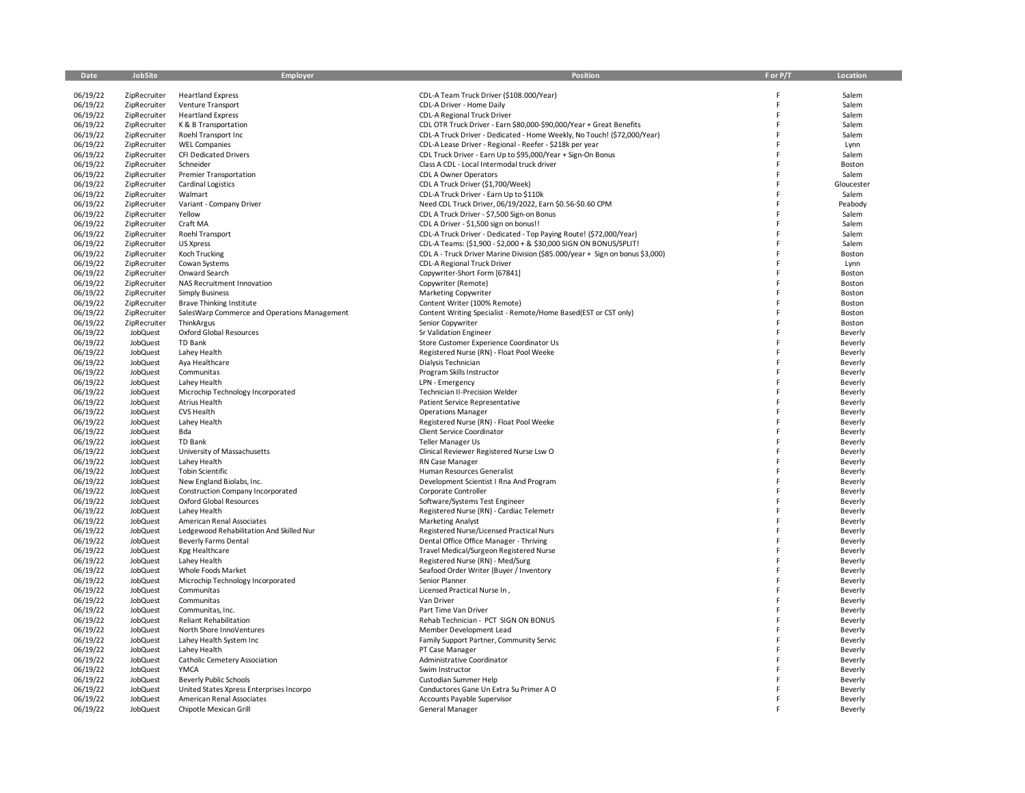| Date                 | JobSite                      | Employer                                           | <b>Position</b>                                                              | F or P/T | Location           |
|----------------------|------------------------------|----------------------------------------------------|------------------------------------------------------------------------------|----------|--------------------|
| 06/19/22             | ZipRecruiter                 | <b>Heartland Express</b>                           | CDL-A Team Truck Driver (\$108.000/Year)                                     | F        | Salem              |
| 06/19/22             | ZipRecruiter                 | <b>Venture Transport</b>                           | CDL-A Driver - Home Daily                                                    | F        | Salem              |
| 06/19/22             | ZipRecruiter                 | <b>Heartland Express</b>                           | CDL-A Regional Truck Driver                                                  | E        | Salem              |
| 06/19/22             | ZipRecruiter                 | K & B Transportation                               | CDL OTR Truck Driver - Earn \$80,000-\$90,000/Year + Great Benefits          |          | Salem              |
| 06/19/22             | ZipRecruiter                 | Roehl Transport Inc                                | CDL-A Truck Driver - Dedicated - Home Weekly, No Touch! (\$72,000/Year)      |          | Salem              |
| 06/19/22             | ZipRecruiter                 | <b>WEL Companies</b>                               | CDL-A Lease Driver - Regional - Reefer - \$218k per year                     |          | Lynn               |
| 06/19/22             | ZipRecruiter                 | CFI Dedicated Drivers                              | CDL Truck Driver - Earn Up to \$95,000/Year + Sign-On Bonus                  |          | Salem              |
| 06/19/22<br>06/19/22 | ZipRecruiter<br>ZipRecruiter | Schneider<br><b>Premier Transportation</b>         | Class A CDL - Local Intermodal truck driver<br>CDL A Owner Operators         |          | Boston<br>Salem    |
| 06/19/22             | ZipRecruiter                 | <b>Cardinal Logistics</b>                          | CDL A Truck Driver (\$1,700/Week)                                            |          | Gloucester         |
| 06/19/22             | ZipRecruiter                 | Walmart                                            | CDL-A Truck Driver - Earn Up to \$110k                                       |          | Salem              |
| 06/19/22             | ZipRecruiter                 | Variant - Company Driver                           | Need CDL Truck Driver, 06/19/2022, Earn \$0.56-\$0.60 CPM                    |          | Peabody            |
| 06/19/22             | ZipRecruiter                 | Yellow                                             | CDL A Truck Driver - \$7,500 Sign-on Bonus                                   |          | Salem              |
| 06/19/22             | ZipRecruiter                 | Craft MA                                           | CDL A Driver - \$1,500 sign on bonus!!                                       |          | Salem              |
| 06/19/22             | ZipRecruiter                 | Roehl Transport                                    | CDL-A Truck Driver - Dedicated - Top Paying Route! (\$72,000/Year)           |          | Salem              |
| 06/19/22             | ZipRecruiter                 | US Xpress                                          | CDL-A Teams: (\$1,900 - \$2,000 + & \$30,000 SIGN ON BONUS/SPLIT!            |          | Salem              |
| 06/19/22             | ZipRecruiter                 | Koch Trucking                                      | CDL A - Truck Driver Marine Division (\$85.000/year + Sign on bonus \$3,000) |          | Boston             |
| 06/19/22             | ZipRecruiter                 | Cowan Systems                                      | CDL-A Regional Truck Driver                                                  |          | Lynn               |
| 06/19/22<br>06/19/22 | ZipRecruiter<br>ZipRecruiter | Onward Search<br>NAS Recruitment Innovation        | Copywriter-Short Form [67841]<br>Copywriter (Remote)                         |          | Boston<br>Boston   |
| 06/19/22             | ZipRecruiter                 | <b>Simply Business</b>                             | <b>Marketing Copywriter</b>                                                  |          | Boston             |
| 06/19/22             | ZipRecruiter                 | <b>Brave Thinking Institute</b>                    | Content Writer (100% Remote)                                                 |          | Boston             |
| 06/19/22             | ZipRecruiter                 | SalesWarp Commerce and Operations Management       | Content Writing Specialist - Remote/Home Based(EST or CST only)              | F        | Boston             |
| 06/19/22             | ZipRecruiter                 | ThinkArgus                                         | Senior Copywriter                                                            |          | Boston             |
| 06/19/22             | JobQuest                     | Oxford Global Resources                            | Sr Validation Engineer                                                       |          | Beverly            |
| 06/19/22             | JobQuest                     | TD Bank                                            | Store Customer Experience Coordinator Us                                     | F        | Beverly            |
| 06/19/22             | JobQuest                     | Lahey Health                                       | Registered Nurse (RN) - Float Pool Weeke                                     |          | Beverly            |
| 06/19/22             | JobQuest                     | Aya Healthcare                                     | Dialysis Technician                                                          |          | Beverly            |
| 06/19/22             | JobQuest                     | Communitas                                         | Program Skills Instructor                                                    |          | Beverly            |
| 06/19/22             | JobQuest                     | Lahey Health                                       | LPN - Emergency                                                              |          | Beverly            |
| 06/19/22<br>06/19/22 | JobQuest<br>JobQuest         | Microchip Technology Incorporated<br>Atrius Health | <b>Technician II-Precision Welder</b><br>Patient Service Representative      |          | Beverly            |
| 06/19/22             | JobQuest                     | CVS Health                                         | <b>Operations Manager</b>                                                    |          | Beverly<br>Beverly |
| 06/19/22             | JobQuest                     | Lahey Health                                       | Registered Nurse (RN) - Float Pool Weeke                                     |          | Beverly            |
| 06/19/22             | JobQuest                     | Bda                                                | <b>Client Service Coordinator</b>                                            |          | Beverly            |
| 06/19/22             | JobQuest                     | TD Bank                                            | Teller Manager Us                                                            |          | Beverly            |
| 06/19/22             | JobQuest                     | University of Massachusetts                        | Clinical Reviewer Registered Nurse Lsw O                                     |          | Beverly            |
| 06/19/22             | JobQuest                     | Lahey Health                                       | RN Case Manager                                                              |          | Beverly            |
| 06/19/22             | JobQuest                     | <b>Tobin Scientific</b>                            | Human Resources Generalist                                                   |          | Beverly            |
| 06/19/22             | JobQuest                     | New England Biolabs, Inc.                          | Development Scientist I Rna And Program                                      |          | Beverly            |
| 06/19/22             | JobQuest                     | Construction Company Incorporated                  | Corporate Controller                                                         |          | Beverly            |
| 06/19/22<br>06/19/22 | JobQuest<br>JobQuest         | Oxford Global Resources<br>Lahey Health            | Software/Systems Test Engineer<br>Registered Nurse (RN) - Cardiac Telemetr   |          | Beverly<br>Beverly |
| 06/19/22             | JobQuest                     | American Renal Associates                          | <b>Marketing Analyst</b>                                                     |          | Beverly            |
| 06/19/22             | JobQuest                     | Ledgewood Rehabilitation And Skilled Nur           | Registered Nurse/Licensed Practical Nurs                                     |          | Beverly            |
| 06/19/22             | JobQuest                     | <b>Beverly Farms Dental</b>                        | Dental Office Office Manager - Thriving                                      |          | Beverly            |
| 06/19/22             | JobQuest                     | Kpg Healthcare                                     | Travel Medical/Surgeon Registered Nurse                                      | F        | Beverly            |
| 06/19/22             | JobQuest                     | Lahey Health                                       | Registered Nurse (RN) - Med/Surg                                             |          | Beverly            |
| 06/19/22             | JobQuest                     | Whole Foods Market                                 | Seafood Order Writer (Buyer / Inventory                                      |          | Beverly            |
| 06/19/22             | JobQuest                     | Microchip Technology Incorporated                  | Senior Planner                                                               |          | Beverly            |
| 06/19/22             | JobQuest                     | Communitas                                         | Licensed Practical Nurse In,                                                 |          | Beverly            |
| 06/19/22             | JobQuest                     | Communitas                                         | Van Driver                                                                   |          | Beverly            |
| 06/19/22<br>06/19/22 | JobQuest<br>JobQuest         | Communitas, Inc.<br><b>Reliant Rehabilitation</b>  | Part Time Van Driver<br>Rehab Technician - PCT SIGN ON BONUS                 |          | Beverly<br>Beverly |
| 06/19/22             | JobQuest                     | North Shore InnoVentures                           | Member Development Lead                                                      |          | Beverly            |
| 06/19/22             | JobQuest                     | Lahey Health System Inc                            | Family Support Partner, Community Servic                                     |          | Beverly            |
| 06/19/22             | JobQuest                     | Lahey Health                                       | PT Case Manager                                                              |          | Beverly            |
| 06/19/22             | JobQuest                     | Catholic Cemetery Association                      | Administrative Coordinator                                                   |          | Beverly            |
| 06/19/22             | JobQuest                     | YMCA                                               | Swim Instructor                                                              |          | Beverly            |
| 06/19/22             | JobQuest                     | Beverly Public Schools                             | Custodian Summer Help                                                        |          | Beverly            |
| 06/19/22             | JobQuest                     | United States Xpress Enterprises Incorpo           | Conductores Gane Un Extra Su Primer A O                                      |          | Beverly            |
| 06/19/22             | JobQuest                     | American Renal Associates                          | Accounts Payable Supervisor                                                  |          | Beverly            |
| 06/19/22             | JobQuest                     | Chipotle Mexican Grill                             | General Manager                                                              |          | Beverly            |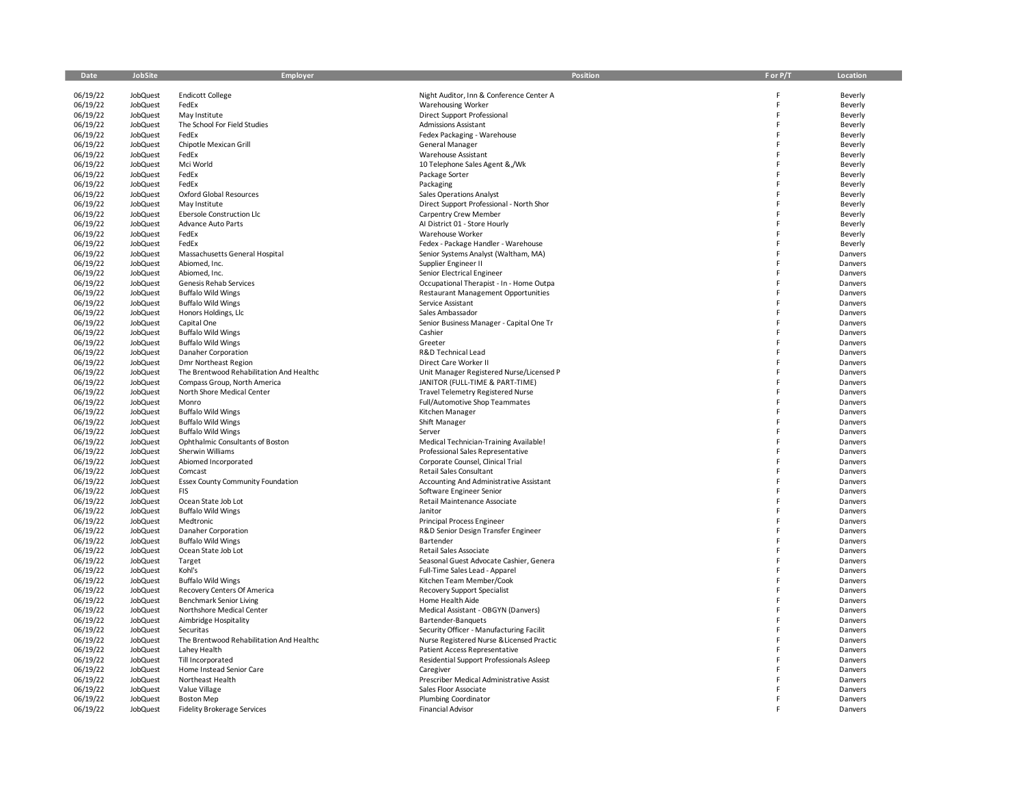| Date                 | JobSite                            | Employer                                              | Position                                                                              | F or P/T | Location           |
|----------------------|------------------------------------|-------------------------------------------------------|---------------------------------------------------------------------------------------|----------|--------------------|
| 06/19/22             | JobQuest                           | <b>Endicott College</b>                               | Night Auditor, Inn & Conference Center A                                              | F        | Beverly            |
| 06/19/22             | <b>JobQuest</b>                    | FedEx                                                 | <b>Warehousing Worker</b>                                                             | F        | Beverly            |
| 06/19/22             | <b>JobQuest</b>                    | May Institute                                         | Direct Support Professional                                                           | F        | Beverly            |
| 06/19/22             | <b>JobQuest</b>                    | The School For Field Studies                          | <b>Admissions Assistant</b>                                                           | F        | Beverly            |
| 06/19/22             | JobQuest                           | FedEx                                                 | Fedex Packaging - Warehouse                                                           | F        | Beverly            |
| 06/19/22             | <b>JobQuest</b>                    | Chipotle Mexican Grill                                | General Manager                                                                       |          | Beverly            |
| 06/19/22<br>06/19/22 | JobQuest<br><b>JobQuest</b>        | FedEx<br>Mci World                                    | Warehouse Assistant<br>10 Telephone Sales Agent &,/Wk                                 | F        | Beverly<br>Beverly |
| 06/19/22             | <b>JobQuest</b>                    | FedEx                                                 | Package Sorter                                                                        | F        | Beverly            |
| 06/19/22             | JobQuest                           | FedEx                                                 | Packaging                                                                             | E        | Beverly            |
| 06/19/22             | <b>JobQuest</b>                    | Oxford Global Resources                               | Sales Operations Analyst                                                              | F        | Beverly            |
| 06/19/22             | JobQuest                           | May Institute                                         | Direct Support Professional - North Shor                                              | F        | Beverly            |
| 06/19/22             | JobQuest                           | Ebersole Construction Llc                             | Carpentry Crew Member                                                                 | F        | Beverly            |
| 06/19/22             | JobQuest                           | <b>Advance Auto Parts</b>                             | Al District 01 - Store Hourly                                                         |          | Beverly            |
| 06/19/22             | <b>JobQuest</b>                    | FedEx                                                 | Warehouse Worker                                                                      | F        | Beverly            |
| 06/19/22<br>06/19/22 | <b>JobQuest</b><br><b>JobQuest</b> | FedEx<br>Massachusetts General Hospital               | Fedex - Package Handler - Warehouse<br>Senior Systems Analyst (Waltham, MA)           | F<br>F   | Beverly            |
| 06/19/22             | <b>JobQuest</b>                    | Abiomed, Inc.                                         | Supplier Engineer II                                                                  | F        | Danvers<br>Danvers |
| 06/19/22             | JobQuest                           | Abiomed, Inc.                                         | Senior Electrical Engineer                                                            | F        | Danvers            |
| 06/19/22             | <b>JobQuest</b>                    | Genesis Rehab Services                                | Occupational Therapist - In - Home Outpa                                              | F        | Danvers            |
| 06/19/22             | <b>JobQuest</b>                    | <b>Buffalo Wild Wings</b>                             | <b>Restaurant Management Opportunities</b>                                            | F        | Danvers            |
| 06/19/22             | JobQuest                           | <b>Buffalo Wild Wings</b>                             | Service Assistant                                                                     | F        | Danvers            |
| 06/19/22             | JobQuest                           | Honors Holdings, Llc                                  | Sales Ambassador                                                                      | F        | Danvers            |
| 06/19/22             | <b>JobQuest</b>                    | Capital One                                           | Senior Business Manager - Capital One Tr                                              | F        | Danvers            |
| 06/19/22             | <b>JobQuest</b>                    | <b>Buffalo Wild Wings</b>                             | Cashier                                                                               | F        | Danvers            |
| 06/19/22             | JobQuest                           | <b>Buffalo Wild Wings</b>                             | Greeter                                                                               | Ë        | Danvers            |
| 06/19/22<br>06/19/22 | <b>JobQuest</b><br>JobQuest        | Danaher Corporation<br>Dmr Northeast Region           | R&D Technical Lead<br>Direct Care Worker II                                           | F        | Danvers<br>Danvers |
| 06/19/22             | JobQuest                           | The Brentwood Rehabilitation And Healthc              | Unit Manager Registered Nurse/Licensed P                                              | F        | Danvers            |
| 06/19/22             | JobQuest                           | Compass Group, North America                          | JANITOR (FULL-TIME & PART-TIME)                                                       | F        | Danvers            |
| 06/19/22             | <b>JobQuest</b>                    | North Shore Medical Center                            | <b>Travel Telemetry Registered Nurse</b>                                              | F        | Danvers            |
| 06/19/22             | <b>JobQuest</b>                    | Monro                                                 | Full/Automotive Shop Teammates                                                        | F        | Danvers            |
| 06/19/22             | JobQuest                           | <b>Buffalo Wild Wings</b>                             | Kitchen Manager                                                                       | F        | Danvers            |
| 06/19/22             | <b>JobQuest</b>                    | <b>Buffalo Wild Wings</b>                             | Shift Manager                                                                         |          | Danvers            |
| 06/19/22             | JobQuest                           | <b>Buffalo Wild Wings</b>                             | Server                                                                                | F        | Danvers            |
| 06/19/22<br>06/19/22 | JobQuest<br>JobQuest               | Ophthalmic Consultants of Boston<br>Sherwin Williams  | Medical Technician-Training Available!<br>Professional Sales Representative           | F<br>F   | Danvers<br>Danvers |
| 06/19/22             | <b>JobQuest</b>                    | Abiomed Incorporated                                  | Corporate Counsel, Clinical Trial                                                     | F        | Danvers            |
| 06/19/22             | JobQuest                           | Comcast                                               | Retail Sales Consultant                                                               | F        | Danvers            |
| 06/19/22             | JobQuest                           | Essex County Community Foundation                     | Accounting And Administrative Assistant                                               | F        | Danvers            |
| 06/19/22             | <b>JobQuest</b>                    | <b>FIS</b>                                            | Software Engineer Senior                                                              |          | Danvers            |
| 06/19/22             | JobQuest                           | Ocean State Job Lot                                   | Retail Maintenance Associate                                                          | F        | Danvers            |
| 06/19/22             | <b>JobQuest</b>                    | <b>Buffalo Wild Wings</b>                             | Janitor                                                                               | F        | Danvers            |
| 06/19/22             | <b>JobQuest</b>                    | Medtronic                                             | Principal Process Engineer                                                            | F        | Danvers            |
| 06/19/22             | <b>JobQuest</b>                    | Danaher Corporation<br><b>Buffalo Wild Wings</b>      | R&D Senior Design Transfer Engineer<br>Bartender                                      | F<br>F   | Danvers<br>Danvers |
| 06/19/22<br>06/19/22 | <b>JobQuest</b><br>JobQuest        | Ocean State Job Lot                                   | Retail Sales Associate                                                                | F        | Danvers            |
| 06/19/22             | <b>JobQuest</b>                    | Target                                                | Seasonal Guest Advocate Cashier, Genera                                               | F        | Danvers            |
| 06/19/22             | <b>JobQuest</b>                    | Kohl's                                                | Full-Time Sales Lead - Apparel                                                        | F        | Danvers            |
| 06/19/22             | JobQuest                           | <b>Buffalo Wild Wings</b>                             | Kitchen Team Member/Cook                                                              | F        | Danvers            |
| 06/19/22             | JobQuest                           | Recovery Centers Of America                           | <b>Recovery Support Specialist</b>                                                    | F        | Danvers            |
| 06/19/22             | <b>JobQuest</b>                    | <b>Benchmark Senior Living</b>                        | Home Health Aide                                                                      | F        | Danvers            |
| 06/19/22             | JobQuest                           | Northshore Medical Center                             | Medical Assistant - OBGYN (Danvers)                                                   | F        | Danvers            |
| 06/19/22             | JobQuest                           | Aimbridge Hospitality                                 | Bartender-Banquets                                                                    | F        | Danvers            |
| 06/19/22<br>06/19/22 | <b>JobQuest</b><br><b>JobQuest</b> | Securitas<br>The Brentwood Rehabilitation And Healthc | Security Officer - Manufacturing Facilit<br>Nurse Registered Nurse & Licensed Practic | F<br>F   | Danvers<br>Danvers |
| 06/19/22             | JobQuest                           | Lahey Health                                          | Patient Access Representative                                                         | F        | Danvers            |
| 06/19/22             | JobQuest                           | Till Incorporated                                     | Residential Support Professionals Asleep                                              | F        | Danvers            |
| 06/19/22             | <b>JobQuest</b>                    | Home Instead Senior Care                              | Caregiver                                                                             | F        | Danvers            |
| 06/19/22             | <b>JobQuest</b>                    | Northeast Health                                      | Prescriber Medical Administrative Assist                                              |          | Danvers            |
| 06/19/22             | <b>JobQuest</b>                    | Value Village                                         | Sales Floor Associate                                                                 |          | Danvers            |
| 06/19/22             | <b>JobQuest</b>                    | <b>Boston Mep</b>                                     | Plumbing Coordinator                                                                  |          | Danvers            |
| 06/19/22             | <b>JobQuest</b>                    | <b>Fidelity Brokerage Services</b>                    | <b>Financial Advisor</b>                                                              |          | Danvers            |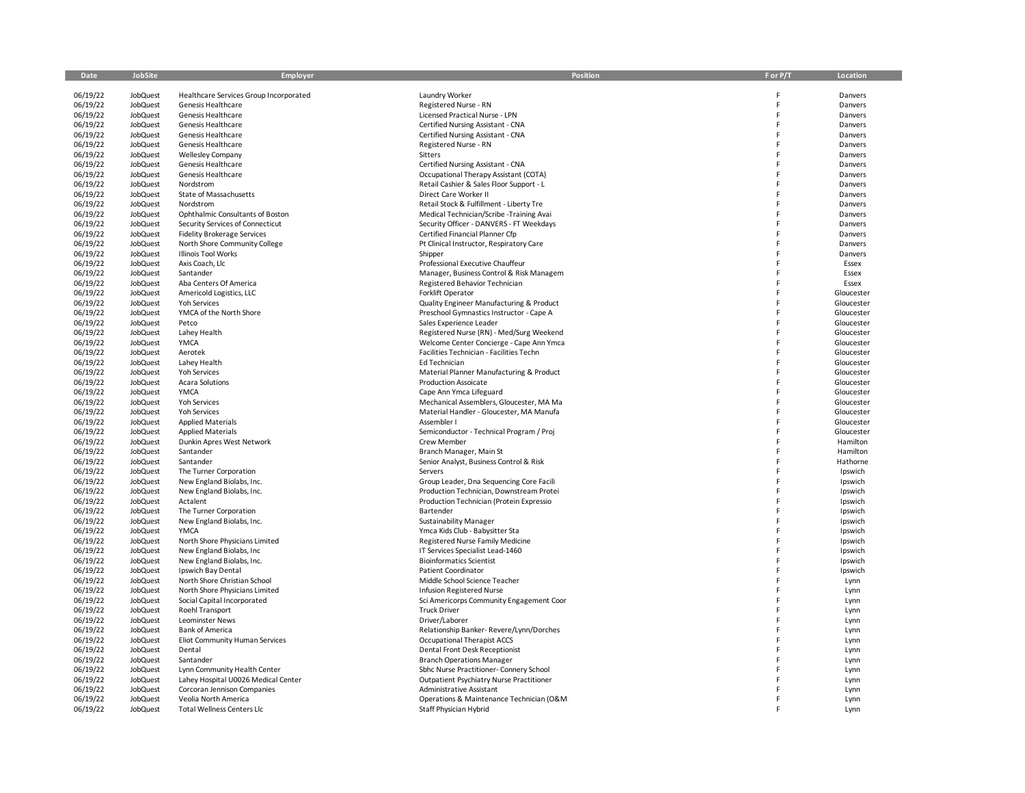| Date                 | JobSite                            | Employer                                       | <b>Position</b>                                                     | F or P/T | Location                 |
|----------------------|------------------------------------|------------------------------------------------|---------------------------------------------------------------------|----------|--------------------------|
|                      |                                    |                                                |                                                                     |          |                          |
| 06/19/22             | <b>JobQuest</b>                    | Healthcare Services Group Incorporated         | Laundry Worker                                                      |          | Danvers                  |
| 06/19/22             | <b>JobQuest</b>                    | Genesis Healthcare                             | Registered Nurse - RN                                               | F<br>F   | Danvers                  |
| 06/19/22<br>06/19/22 | <b>JobQuest</b><br><b>JobQuest</b> | Genesis Healthcare<br>Genesis Healthcare       | Licensed Practical Nurse - LPN<br>Certified Nursing Assistant - CNA | F        | Danvers<br>Danvers       |
| 06/19/22             | JobQuest                           | Genesis Healthcare                             | Certified Nursing Assistant - CNA                                   | F        | Danvers                  |
| 06/19/22             | <b>JobQuest</b>                    | Genesis Healthcare                             | Registered Nurse - RN                                               | F        | Danvers                  |
| 06/19/22             | <b>JobQuest</b>                    | <b>Wellesley Company</b>                       | Sitters                                                             | F        | Danvers                  |
| 06/19/22             | <b>JobQuest</b>                    | Genesis Healthcare                             | Certified Nursing Assistant - CNA                                   |          | Danvers                  |
| 06/19/22             | <b>JobQuest</b>                    | Genesis Healthcare                             | Occupational Therapy Assistant (COTA)                               |          | Danvers                  |
| 06/19/22             | <b>JobQuest</b>                    | Nordstrom                                      | Retail Cashier & Sales Floor Support - L                            | F        | Danvers                  |
| 06/19/22             | <b>JobQuest</b>                    | State of Massachusetts                         | Direct Care Worker II                                               | F        | Danvers                  |
| 06/19/22             | <b>JobQuest</b>                    | Nordstrom                                      | Retail Stock & Fulfillment - Liberty Tre                            | F        | Danvers                  |
| 06/19/22             | <b>JobQuest</b>                    | Ophthalmic Consultants of Boston               | Medical Technician/Scribe -Training Avai                            | F        | Danvers                  |
| 06/19/22             | <b>JobQuest</b>                    | Security Services of Connecticut               | Security Officer - DANVERS - FT Weekdays                            |          | Danvers                  |
| 06/19/22             | JobQuest                           | Fidelity Brokerage Services                    | Certified Financial Planner Cfp                                     |          | Danvers                  |
| 06/19/22             | JobQuest                           | North Shore Community College                  | Pt Clinical Instructor, Respiratory Care                            | F        | Danvers                  |
| 06/19/22             | JobQuest                           | Illinois Tool Works                            | Shipper                                                             | F        | Danvers                  |
| 06/19/22             | JobQuest                           | Axis Coach, Llc                                | Professional Executive Chauffeur                                    | F        | Essex                    |
| 06/19/22             | JobQuest                           | Santander                                      | Manager, Business Control & Risk Managem                            |          | Essex                    |
| 06/19/22             | JobQuest                           | Aba Centers Of America                         | Registered Behavior Technician                                      | F        | Essex                    |
| 06/19/22             | <b>JobQuest</b>                    | Americold Logistics, LLC                       | Forklift Operator                                                   | F        | Gloucester               |
| 06/19/22             | JobQuest                           | Yoh Services                                   | Quality Engineer Manufacturing & Product                            | F        | Gloucester               |
| 06/19/22             | JobQuest                           | YMCA of the North Shore                        | Preschool Gymnastics Instructor - Cape A                            | F        | Gloucester               |
| 06/19/22             | JobQuest                           | Petco                                          | Sales Experience Leader                                             | F        | Gloucester               |
| 06/19/22             | JobQuest                           | Lahey Health                                   | Registered Nurse (RN) - Med/Surg Weekend                            | F        | Gloucester               |
| 06/19/22             | <b>JobQuest</b>                    | YMCA                                           | Welcome Center Concierge - Cape Ann Ymca                            | F        | Gloucester               |
| 06/19/22             | JobQuest                           | Aerotek                                        | Facilities Technician - Facilities Techn                            | F        | Gloucester               |
| 06/19/22             | <b>JobQuest</b>                    | Lahey Health                                   | Ed Technician                                                       | F        | Gloucester               |
| 06/19/22             | <b>JobQuest</b>                    | Yoh Services                                   | Material Planner Manufacturing & Product                            | F        | Gloucester               |
| 06/19/22             | <b>JobQuest</b>                    | <b>Acara Solutions</b>                         | <b>Production Assoicate</b>                                         | F        | Gloucester               |
| 06/19/22<br>06/19/22 | <b>JobQuest</b><br>JobQuest        | YMCA<br>Yoh Services                           | Cape Ann Ymca Lifeguard<br>Mechanical Assemblers, Gloucester, MA Ma | F        | Gloucester<br>Gloucester |
| 06/19/22             | <b>JobQuest</b>                    | Yoh Services                                   | Material Handler - Gloucester, MA Manufa                            | F        | Gloucester               |
| 06/19/22             | <b>JobQuest</b>                    | <b>Applied Materials</b>                       | Assembler I                                                         | F        | Gloucester               |
| 06/19/22             | <b>JobQuest</b>                    | <b>Applied Materials</b>                       | Semiconductor - Technical Program / Proj                            |          | Gloucester               |
| 06/19/22             | <b>JobQuest</b>                    | Dunkin Apres West Network                      | Crew Member                                                         |          | Hamilton                 |
| 06/19/22             | JobQuest                           | Santander                                      | Branch Manager, Main St                                             | F        | Hamilton                 |
| 06/19/22             | <b>JobQuest</b>                    | Santander                                      | Senior Analyst, Business Control & Risk                             | F        | Hathorne                 |
| 06/19/22             | <b>JobQuest</b>                    | The Turner Corporation                         | Servers                                                             | F        | Ipswich                  |
| 06/19/22             | <b>JobQuest</b>                    | New England Biolabs, Inc.                      | Group Leader, Dna Sequencing Core Facili                            | F        | Ipswich                  |
| 06/19/22             | JobQuest                           | New England Biolabs, Inc.                      | Production Technician, Downstream Protei                            |          | Ipswich                  |
| 06/19/22             | <b>JobQuest</b>                    | Actalent                                       | Production Technician (Protein Expressio                            |          | Ipswich                  |
| 06/19/22             | <b>JobQuest</b>                    | The Turner Corporation                         | Bartender                                                           |          | Ipswich                  |
| 06/19/22             | JobQuest                           | New England Biolabs, Inc.                      | Sustainability Manager                                              | F        | Ipswich                  |
| 06/19/22             | JobQuest                           | <b>YMCA</b>                                    | Ymca Kids Club - Babysitter Sta                                     | F        | Ipswich                  |
| 06/19/22             | JobQuest                           | North Shore Physicians Limited                 | Registered Nurse Family Medicine                                    |          | Ipswich                  |
| 06/19/22             | JobQuest                           | New England Biolabs, Inc                       | IT Services Specialist Lead-1460                                    | F        | Ipswich                  |
| 06/19/22             | JobQuest                           | New England Biolabs, Inc.                      | <b>Bioinformatics Scientist</b>                                     |          | Ipswich                  |
| 06/19/22             | JobQuest                           | Ipswich Bay Dental                             | Patient Coordinator                                                 | F        | Ipswich                  |
| 06/19/22             | JobQuest                           | North Shore Christian School                   | Middle School Science Teacher                                       | F        | Lynn                     |
| 06/19/22             | JobQuest                           | North Shore Physicians Limited                 | Infusion Registered Nurse                                           |          | Lynn                     |
| 06/19/22<br>06/19/22 | JobQuest<br>JobQuest               | Social Capital Incorporated<br>Roehl Transport | Sci Americorps Community Engagement Coor<br><b>Truck Driver</b>     |          | Lynn<br>Lynn             |
| 06/19/22             | JobQuest                           | Leominster News                                | Driver/Laborer                                                      | F        | Lynn                     |
| 06/19/22             | <b>JobQuest</b>                    | <b>Bank of America</b>                         | Relationship Banker-Revere/Lynn/Dorches                             |          | Lynn                     |
| 06/19/22             | <b>JobQuest</b>                    | Eliot Community Human Services                 | Occupational Therapist ACCS                                         |          | Lynn                     |
| 06/19/22             | <b>JobQuest</b>                    | Dental                                         | Dental Front Desk Receptionist                                      |          | Lynn                     |
| 06/19/22             | JobQuest                           | Santander                                      | <b>Branch Operations Manager</b>                                    |          | Lynn                     |
| 06/19/22             | JobQuest                           | Lynn Community Health Center                   | Sbhc Nurse Practitioner- Connery School                             |          | Lynn                     |
| 06/19/22             | <b>JobQuest</b>                    | Lahey Hospital U0026 Medical Center            | Outpatient Psychiatry Nurse Practitioner                            |          | Lynn                     |
| 06/19/22             | <b>JobQuest</b>                    | Corcoran Jennison Companies                    | Administrative Assistant                                            |          | Lynn                     |
| 06/19/22             | <b>JobQuest</b>                    | Veolia North America                           | Operations & Maintenance Technician (O&M                            |          | Lynn                     |
| 06/19/22             | <b>JobQuest</b>                    | <b>Total Wellness Centers Llc</b>              | Staff Physician Hybrid                                              |          | Lynn                     |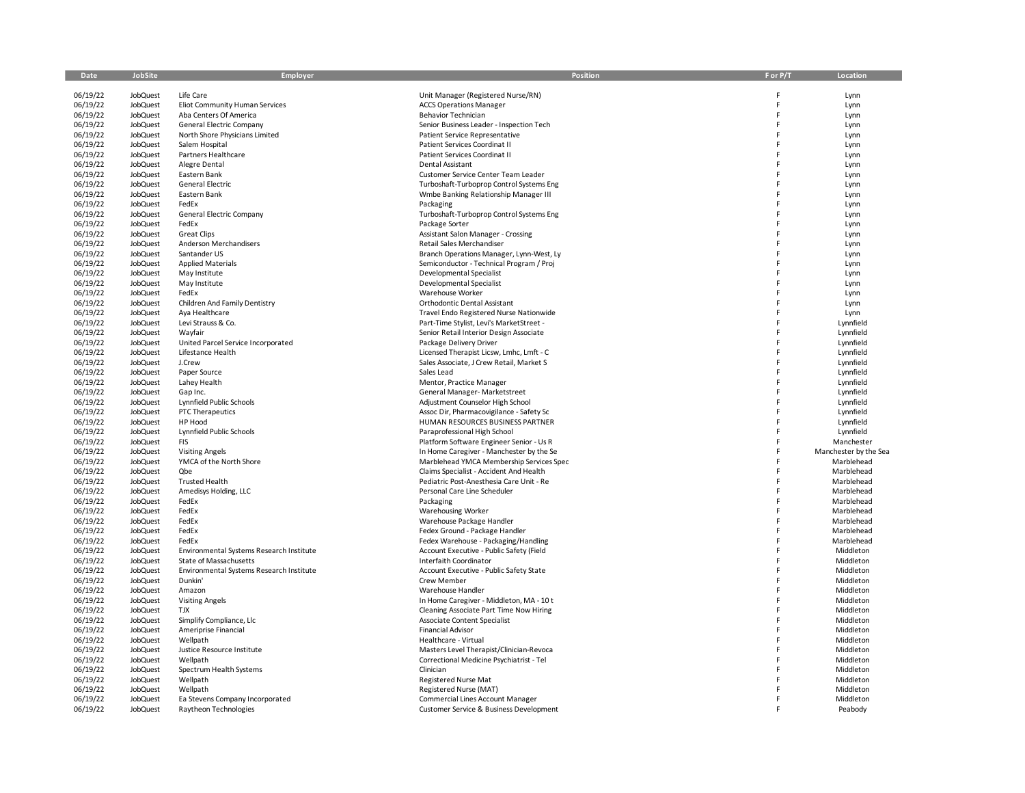| Date                 | JobSite                     | Employer                                         | Position                                                                            | F or P/T | Location               |
|----------------------|-----------------------------|--------------------------------------------------|-------------------------------------------------------------------------------------|----------|------------------------|
|                      |                             |                                                  |                                                                                     |          |                        |
| 06/19/22             | JobQuest                    | Life Care                                        | Unit Manager (Registered Nurse/RN)                                                  |          | Lynn                   |
| 06/19/22             | <b>JobQuest</b>             | Eliot Community Human Services                   | <b>ACCS Operations Manager</b>                                                      | F        | Lynn                   |
| 06/19/22             | JobQuest                    | Aba Centers Of America                           | Behavior Technician                                                                 | F        | Lynn                   |
| 06/19/22             | JobQuest                    | <b>General Electric Company</b>                  | Senior Business Leader - Inspection Tech                                            | F        | Lynn                   |
| 06/19/22             | JobQuest                    | North Shore Physicians Limited                   | <b>Patient Service Representative</b>                                               | F        | Lynn                   |
| 06/19/22             | JobQuest                    | Salem Hospital                                   | Patient Services Coordinat II                                                       |          | Lynn                   |
| 06/19/22             | JobQuest                    | Partners Healthcare                              | Patient Services Coordinat II                                                       | F        | Lynn                   |
| 06/19/22             | JobQuest                    | Alegre Dental                                    | Dental Assistant                                                                    | F        | Lynn                   |
| 06/19/22             | JobQuest                    | Eastern Bank                                     | Customer Service Center Team Leader                                                 | F        | Lynn                   |
| 06/19/22             | <b>JobQuest</b>             | General Electric                                 | Turboshaft-Turboprop Control Systems Eng                                            | F        | Lynn                   |
| 06/19/22             | JobQuest                    | Eastern Bank                                     | Wmbe Banking Relationship Manager III                                               |          | Lynn                   |
| 06/19/22             | JobQuest                    | FedEx                                            | Packaging                                                                           |          | Lynn                   |
| 06/19/22             | JobQuest                    | General Electric Company                         | Turboshaft-Turboprop Control Systems Eng                                            |          | Lynn                   |
| 06/19/22             | JobQuest                    | FedEx                                            | Package Sorter                                                                      | F        | Lynn                   |
| 06/19/22             | <b>JobQuest</b>             | <b>Great Clips</b>                               | Assistant Salon Manager - Crossing                                                  | F        | Lynn                   |
| 06/19/22             | JobQuest                    | Anderson Merchandisers                           | Retail Sales Merchandiser                                                           |          | Lynn                   |
| 06/19/22             | JobQuest                    | Santander US                                     | Branch Operations Manager, Lynn-West, Ly                                            |          | Lynn                   |
| 06/19/22             | JobQuest                    | <b>Applied Materials</b>                         | Semiconductor - Technical Program / Proj                                            |          | Lynn                   |
| 06/19/22             | JobQuest                    | May Institute                                    | Developmental Specialist                                                            | F        | Lynn                   |
| 06/19/22             | JobQuest                    | May Institute                                    | Developmental Specialist                                                            | F        | Lynn                   |
| 06/19/22             | <b>JobQuest</b>             | FedEx                                            | Warehouse Worker                                                                    | F        | Lynn                   |
| 06/19/22             | <b>JobQuest</b>             | Children And Family Dentistry                    | Orthodontic Dental Assistant                                                        |          | Lynn                   |
| 06/19/22             | JobQuest                    | Aya Healthcare                                   | Travel Endo Registered Nurse Nationwide                                             |          | Lynn                   |
| 06/19/22             | JobQuest                    | Levi Strauss & Co.                               | Part-Time Stylist, Levi's MarketStreet -                                            | F        | Lynnfield              |
| 06/19/22             | <b>JobQuest</b>             | Wayfair                                          | Senior Retail Interior Design Associate                                             | F        | Lynnfield              |
| 06/19/22             | <b>JobQuest</b>             | United Parcel Service Incorporated               | Package Delivery Driver                                                             | F        | Lynnfield              |
| 06/19/22             | <b>JobQuest</b>             | Lifestance Health                                | Licensed Therapist Licsw, Lmhc, Lmft - C                                            | F        | Lynnfield              |
| 06/19/22             | JobQuest                    | J.Crew                                           | Sales Associate, J Crew Retail, Market S                                            | F        | Lynnfield              |
| 06/19/22             | JobQuest                    | Paper Source                                     | Sales Lead                                                                          | F        | Lynnfield              |
| 06/19/22             | <b>JobQuest</b>             | Lahey Health                                     | Mentor, Practice Manager                                                            | F        | Lynnfield              |
| 06/19/22             | <b>JobQuest</b>             | Gap Inc.                                         | General Manager- Marketstreet                                                       | F        | Lynnfield              |
| 06/19/22             | JobQuest                    | Lynnfield Public Schools                         | Adjustment Counselor High School                                                    | F        | Lynnfield              |
| 06/19/22             | JobQuest                    | PTC Therapeutics                                 | Assoc Dir, Pharmacovigilance - Safety Sc                                            | F        | Lynnfield              |
| 06/19/22             | JobQuest                    | HP Hood                                          | HUMAN RESOURCES BUSINESS PARTNER                                                    | F        | Lynnfield              |
| 06/19/22             | <b>JobQuest</b>             | Lynnfield Public Schools                         | Paraprofessional High School                                                        | F        | Lynnfield              |
| 06/19/22             | <b>JobQuest</b>             | <b>FIS</b>                                       | Platform Software Engineer Senior - Us R                                            | F        | Manchester             |
| 06/19/22             | <b>JobQuest</b>             | <b>Visiting Angels</b>                           | In Home Caregiver - Manchester by the Se                                            | F        | Manchester by the Sea  |
| 06/19/22             | JobQuest                    | YMCA of the North Shore                          | Marblehead YMCA Membership Services Spec                                            | F        | Marblehead             |
| 06/19/22             | JobQuest                    | Qbe                                              | Claims Specialist - Accident And Health                                             | F        | Marblehead             |
| 06/19/22             | <b>JobQuest</b>             | <b>Trusted Health</b>                            | Pediatric Post-Anesthesia Care Unit - Re                                            | F        | Marblehead             |
| 06/19/22             | <b>JobQuest</b>             | Amedisys Holding, LLC                            | Personal Care Line Scheduler                                                        | F        | Marblehead             |
| 06/19/22             | <b>JobQuest</b>             | FedEx                                            | Packaging                                                                           | F        | Marblehead             |
| 06/19/22             | JobQuest                    | FedEx                                            | <b>Warehousing Worker</b>                                                           | F        | Marblehead             |
| 06/19/22             | <b>JobQuest</b>             | FedEx                                            | Warehouse Package Handler                                                           | F        | Marblehead             |
| 06/19/22             | <b>JobQuest</b>             | FedEx                                            | Fedex Ground - Package Handler                                                      | F        | Marblehead             |
| 06/19/22             | <b>JobQuest</b>             | FedEx                                            | Fedex Warehouse - Packaging/Handling                                                | F        | Marblehead             |
| 06/19/22             | <b>JobQuest</b>             | Environmental Systems Research Institute         | Account Executive - Public Safety (Field                                            | F<br>F   | Middleton              |
| 06/19/22             | JobQuest                    | State of Massachusetts                           | Interfaith Coordinator                                                              | F        | Middleton              |
| 06/19/22             | JobQuest                    | Environmental Systems Research Institute         | Account Executive - Public Safety State                                             | F        | Middleton              |
| 06/19/22             | <b>JobQuest</b>             | Dunkin'                                          | Crew Member                                                                         | F        | Middleton              |
| 06/19/22             | <b>JobQuest</b>             | Amazon                                           | Warehouse Handler                                                                   | F        | Middleton              |
| 06/19/22<br>06/19/22 | JobQuest<br><b>JobQuest</b> | <b>Visiting Angels</b><br><b>TJX</b>             | In Home Caregiver - Middleton, MA - 10 t<br>Cleaning Associate Part Time Now Hiring | F        | Middleton<br>Middleton |
|                      |                             |                                                  |                                                                                     | F        |                        |
| 06/19/22<br>06/19/22 | JobQuest<br><b>JobQuest</b> | Simplify Compliance, Llc<br>Ameriprise Financial | Associate Content Specialist<br>Financial Advisor                                   | F        | Middleton<br>Middleton |
| 06/19/22             | <b>JobQuest</b>             | Wellpath                                         | Healthcare - Virtual                                                                | F        | Middleton              |
| 06/19/22             | <b>JobQuest</b>             | Justice Resource Institute                       | Masters Level Therapist/Clinician-Revoca                                            | F        | Middleton              |
| 06/19/22             | JobQuest                    | Wellpath                                         | Correctional Medicine Psychiatrist - Tel                                            | F        | Middleton              |
| 06/19/22             | JobQuest                    | Spectrum Health Systems                          | Clinician                                                                           |          | Middleton              |
| 06/19/22             | <b>JobQuest</b>             | Wellpath                                         | Registered Nurse Mat                                                                |          | Middleton              |
| 06/19/22             | <b>JobQuest</b>             | Wellpath                                         | Registered Nurse (MAT)                                                              |          | Middleton              |
| 06/19/22             | <b>JobQuest</b>             | Ea Stevens Company Incorporated                  | <b>Commercial Lines Account Manager</b>                                             |          | Middleton              |
| 06/19/22             | <b>JobQuest</b>             | Raytheon Technologies                            | Customer Service & Business Development                                             |          | Peabody                |
|                      |                             |                                                  |                                                                                     |          |                        |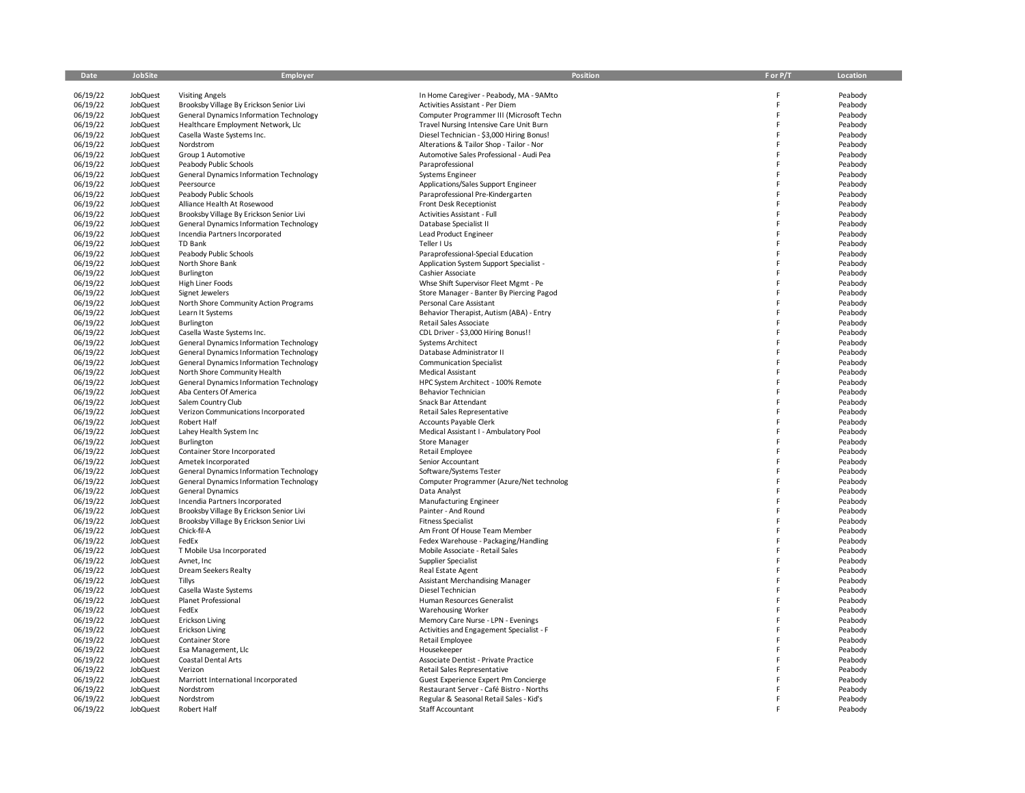| Date                 | <b>JobSite</b>       | <b>Employer</b>                                         | <b>Position</b>                                                       | F or P/T | Location           |
|----------------------|----------------------|---------------------------------------------------------|-----------------------------------------------------------------------|----------|--------------------|
| 06/19/22             | <b>JobQuest</b>      | <b>Visiting Angels</b>                                  | In Home Caregiver - Peabody, MA - 9AMto                               | F        | Peabody            |
| 06/19/22             | JobQuest             | Brooksby Village By Erickson Senior Livi                | Activities Assistant - Per Diem                                       | E        | Peabody            |
| 06/19/22             | JobQuest             | <b>General Dynamics Information Technology</b>          | Computer Programmer III (Microsoft Techn                              | F        | Peabody            |
| 06/19/22             | JobQuest             | Healthcare Employment Network, Llc                      | Travel Nursing Intensive Care Unit Burn                               | F        | Peabody            |
| 06/19/22             | JobQuest             | Casella Waste Systems Inc.                              | Diesel Technician - \$3,000 Hiring Bonus!                             | E        | Peabody            |
| 06/19/22             | JobQuest             | Nordstrom                                               | Alterations & Tailor Shop - Tailor - Nor                              |          | Peabody            |
| 06/19/22             | JobQuest             | Group 1 Automotive                                      | Automotive Sales Professional - Audi Pea                              |          | Peabody            |
| 06/19/22             | JobQuest             | Peabody Public Schools                                  | Paraprofessional                                                      |          | Peabody            |
| 06/19/22             | JobQuest             | <b>General Dynamics Information Technology</b>          | <b>Systems Engineer</b>                                               |          | Peabody            |
| 06/19/22             | JobQuest             | Peersource                                              | Applications/Sales Support Engineer                                   |          | Peabody            |
| 06/19/22             | JobQuest             | Peabody Public Schools                                  | Paraprofessional Pre-Kindergarten                                     |          | Peabody            |
| 06/19/22             | JobQuest             | Alliance Health At Rosewood                             | Front Desk Receptionist                                               |          | Peabody            |
| 06/19/22             | JobQuest             | Brooksby Village By Erickson Senior Livi                | Activities Assistant - Full                                           |          | Peabody            |
| 06/19/22             | JobQuest             | <b>General Dynamics Information Technology</b>          | Database Specialist II                                                |          | Peabody            |
| 06/19/22             | JobQuest             | Incendia Partners Incorporated                          | Lead Product Engineer                                                 |          | Peabody            |
| 06/19/22             | JobQuest             | TD Bank                                                 | Teller I Us                                                           |          | Peabody            |
| 06/19/22             | JobQuest             | Peabody Public Schools                                  | Paraprofessional-Special Education                                    |          | Peabody            |
| 06/19/22             | JobQuest             | North Shore Bank                                        | Application System Support Specialist -                               |          | Peabody            |
| 06/19/22             | JobQuest             | Burlington                                              | Cashier Associate                                                     |          | Peabody            |
| 06/19/22             | JobQuest             | High Liner Foods                                        | Whse Shift Supervisor Fleet Mgmt - Pe                                 |          | Peabody            |
| 06/19/22             | JobQuest             | Signet Jewelers                                         | Store Manager - Banter By Piercing Pagod                              |          | Peabody            |
| 06/19/22             | JobQuest<br>JobQuest | North Shore Community Action Programs                   | Personal Care Assistant                                               |          | Peabody            |
| 06/19/22             | <b>JobQuest</b>      | Learn It Systems<br>Burlington                          | Behavior Therapist, Autism (ABA) - Entry<br>Retail Sales Associate    |          | Peabody<br>Peabody |
| 06/19/22<br>06/19/22 | JobQuest             | Casella Waste Systems Inc.                              | CDL Driver - \$3,000 Hiring Bonus!!                                   |          | Peabody            |
| 06/19/22             | JobQuest             | <b>General Dynamics Information Technology</b>          | <b>Systems Architect</b>                                              |          | Peabody            |
| 06/19/22             | JobQuest             | <b>General Dynamics Information Technology</b>          | Database Administrator II                                             |          | Peabody            |
| 06/19/22             | JobQuest             | General Dynamics Information Technology                 | <b>Communication Specialist</b>                                       |          | Peabody            |
| 06/19/22             | JobQuest             | North Shore Community Health                            | Medical Assistant                                                     |          | Peabody            |
| 06/19/22             | JobQuest             | General Dynamics Information Technology                 | HPC System Architect - 100% Remote                                    |          | Peabody            |
| 06/19/22             | JobQuest             | Aba Centers Of America                                  | <b>Behavior Technician</b>                                            |          | Peabody            |
| 06/19/22             | JobQuest             | Salem Country Club                                      | Snack Bar Attendant                                                   |          | Peabody            |
| 06/19/22             | <b>JobQuest</b>      | Verizon Communications Incorporated                     | Retail Sales Representative                                           |          | Peabody            |
| 06/19/22             | JobQuest             | Robert Half                                             | Accounts Payable Clerk                                                |          | Peabody            |
| 06/19/22             | JobQuest             | Lahey Health System Inc                                 | Medical Assistant I - Ambulatory Pool                                 |          | Peabody            |
| 06/19/22             | JobQuest             | Burlington                                              | <b>Store Manager</b>                                                  |          | Peabody            |
| 06/19/22             | JobQuest             | Container Store Incorporated                            | Retail Employee                                                       |          | Peabody            |
| 06/19/22             | JobQuest             | Ametek Incorporated                                     | Senior Accountant                                                     |          | Peabody            |
| 06/19/22             | JobQuest             | <b>General Dynamics Information Technology</b>          | Software/Systems Tester                                               |          | Peabody            |
| 06/19/22             | <b>JobQuest</b>      | <b>General Dynamics Information Technology</b>          | Computer Programmer (Azure/Net technolog                              |          | Peabody            |
| 06/19/22             | JobQuest             | <b>General Dynamics</b>                                 | Data Analyst                                                          |          | Peabody            |
| 06/19/22             | JobQuest             | Incendia Partners Incorporated                          | <b>Manufacturing Engineer</b>                                         |          | Peabody            |
| 06/19/22             | JobQuest             | Brooksby Village By Erickson Senior Livi                | Painter - And Round                                                   |          | Peabody            |
| 06/19/22             | JobQuest             | Brooksby Village By Erickson Senior Livi<br>Chick-fil-A | <b>Fitness Specialist</b>                                             |          | Peabody            |
| 06/19/22<br>06/19/22 | JobQuest<br>JobQuest | FedEx                                                   | Am Front Of House Team Member<br>Fedex Warehouse - Packaging/Handling |          | Peabody            |
| 06/19/22             | <b>JobQuest</b>      | T Mobile Usa Incorporated                               | Mobile Associate - Retail Sales                                       |          | Peabody<br>Peabody |
| 06/19/22             | JobQuest             | Avnet, Inc                                              | Supplier Specialist                                                   |          | Peabody            |
| 06/19/22             | JobQuest             | Dream Seekers Realty                                    | Real Estate Agent                                                     |          | Peabody            |
| 06/19/22             | JobQuest             | Tillys                                                  | Assistant Merchandising Manager                                       |          | Peabody            |
| 06/19/22             | JobQuest             | Casella Waste Systems                                   | Diesel Technician                                                     |          | Peabody            |
| 06/19/22             | JobQuest             | <b>Planet Professional</b>                              | Human Resources Generalist                                            |          | Peabody            |
| 06/19/22             | JobQuest             | FedEx                                                   | <b>Warehousing Worker</b>                                             |          | Peabody            |
| 06/19/22             | <b>JobQuest</b>      | <b>Erickson Living</b>                                  | Memory Care Nurse - LPN - Evenings                                    | F        | Peabody            |
| 06/19/22             | JobQuest             | <b>Erickson Living</b>                                  | Activities and Engagement Specialist - F                              |          | Peabody            |
| 06/19/22             | JobQuest             | <b>Container Store</b>                                  | <b>Retail Employee</b>                                                |          | Peabody            |
| 06/19/22             | JobQuest             | Esa Management, Llc                                     | Housekeeper                                                           |          | Peabody            |
| 06/19/22             | JobQuest             | Coastal Dental Arts                                     | Associate Dentist - Private Practice                                  |          | Peabody            |
| 06/19/22             | JobQuest             | Verizon                                                 | Retail Sales Representative                                           |          | Peabody            |
| 06/19/22             | JobQuest             | Marriott International Incorporated                     | Guest Experience Expert Pm Concierge                                  |          | Peabody            |
| 06/19/22             | <b>JobQuest</b>      | Nordstrom                                               | Restaurant Server - Café Bistro - Norths                              |          | Peabody            |
| 06/19/22             | JobQuest             | Nordstrom                                               | Regular & Seasonal Retail Sales - Kid's                               |          | Peabody            |
| 06/19/22             | <b>JobQuest</b>      | Robert Half                                             | Staff Accountant                                                      |          | Peabody            |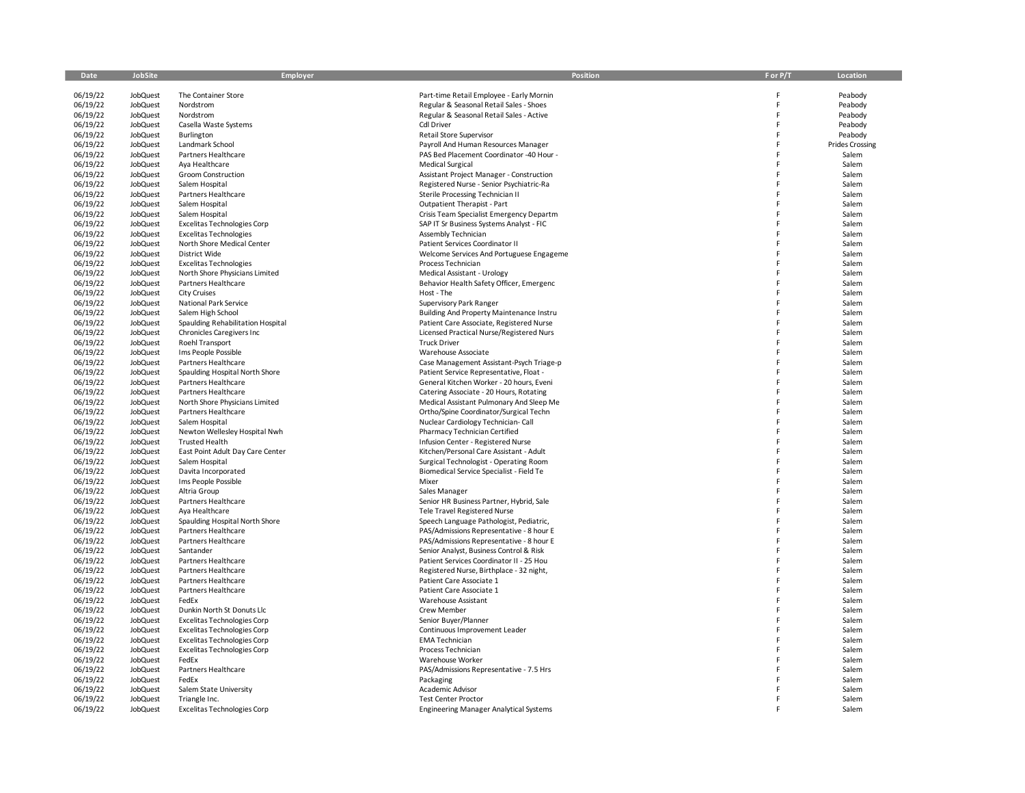| Date                 | JobSite                     | Employer                                                       | Position                                                                             | F or P/T | Location               |
|----------------------|-----------------------------|----------------------------------------------------------------|--------------------------------------------------------------------------------------|----------|------------------------|
| 06/19/22             | <b>JobQuest</b>             | The Container Store                                            | Part-time Retail Employee - Early Mornin                                             |          | Peabody                |
| 06/19/22             | JobQuest                    | Nordstrom                                                      | Regular & Seasonal Retail Sales - Shoes                                              | F        | Peabody                |
| 06/19/22             | JobQuest                    | Nordstrom                                                      | Regular & Seasonal Retail Sales - Active                                             | F        | Peabody                |
| 06/19/22             | JobQuest                    | Casella Waste Systems                                          | <b>Cdl Driver</b>                                                                    | F        | Peabody                |
| 06/19/22             | JobQuest                    | Burlington                                                     | Retail Store Supervisor                                                              | F        | Peabody                |
| 06/19/22             | JobQuest                    | Landmark School                                                | Payroll And Human Resources Manager                                                  | p        | <b>Prides Crossing</b> |
| 06/19/22             | JobQuest                    | Partners Healthcare                                            | PAS Bed Placement Coordinator -40 Hour -                                             | E        | Salem                  |
| 06/19/22             | JobQuest                    | Aya Healthcare                                                 | <b>Medical Surgical</b>                                                              |          | Salem                  |
| 06/19/22             | JobQuest                    | <b>Groom Construction</b>                                      | Assistant Project Manager - Construction                                             |          | Salem                  |
| 06/19/22             | JobQuest                    | Salem Hospital                                                 | Registered Nurse - Senior Psychiatric-Ra                                             |          | Salem                  |
| 06/19/22             | JobQuest<br><b>JobQuest</b> | Partners Healthcare<br>Salem Hospital                          | Sterile Processing Technician II<br>Outpatient Therapist - Part                      |          | Salem<br>Salem         |
| 06/19/22<br>06/19/22 | JobQuest                    | Salem Hospital                                                 | Crisis Team Specialist Emergency Departm                                             |          | Salem                  |
| 06/19/22             | JobQuest                    | Excelitas Technologies Corp                                    | SAP IT Sr Business Systems Analyst - FIC                                             |          | Salem                  |
| 06/19/22             | JobQuest                    | <b>Excelitas Technologies</b>                                  | Assembly Technician                                                                  |          | Salem                  |
| 06/19/22             | JobQuest                    | North Shore Medical Center                                     | Patient Services Coordinator II                                                      |          | Salem                  |
| 06/19/22             | JobQuest                    | District Wide                                                  | Welcome Services And Portuguese Engageme                                             |          | Salem                  |
| 06/19/22             | JobQuest                    | <b>Excelitas Technologies</b>                                  | Process Technician                                                                   |          | Salem                  |
| 06/19/22             | JobQuest                    | North Shore Physicians Limited                                 | Medical Assistant - Urology                                                          | F        | Salem                  |
| 06/19/22             | JobQuest                    | Partners Healthcare                                            | Behavior Health Safety Officer, Emergenc                                             |          | Salem                  |
| 06/19/22             | JobQuest                    | <b>City Cruises</b>                                            | Host - The                                                                           |          | Salem                  |
| 06/19/22             | JobQuest                    | National Park Service                                          | Supervisory Park Ranger                                                              |          | Salem                  |
| 06/19/22             | JobQuest                    | Salem High School                                              | Building And Property Maintenance Instru                                             | F        | Salem                  |
| 06/19/22<br>06/19/22 | JobQuest<br>JobQuest        | Spaulding Rehabilitation Hospital<br>Chronicles Caregivers Inc | Patient Care Associate, Registered Nurse<br>Licensed Practical Nurse/Registered Nurs |          | Salem<br>Salem         |
| 06/19/22             | JobQuest                    | Roehl Transport                                                | <b>Truck Driver</b>                                                                  |          | Salem                  |
| 06/19/22             | JobQuest                    | Ims People Possible                                            | Warehouse Associate                                                                  |          | Salem                  |
| 06/19/22             | JobQuest                    | Partners Healthcare                                            | Case Management Assistant-Psych Triage-p                                             |          | Salem                  |
| 06/19/22             | <b>JobQuest</b>             | Spaulding Hospital North Shore                                 | Patient Service Representative, Float -                                              |          | Salem                  |
| 06/19/22             | JobQuest                    | Partners Healthcare                                            | General Kitchen Worker - 20 hours, Eveni                                             |          | Salem                  |
| 06/19/22             | JobQuest                    | Partners Healthcare                                            | Catering Associate - 20 Hours, Rotating                                              | F        | Salem                  |
| 06/19/22             | JobQuest                    | North Shore Physicians Limited                                 | Medical Assistant Pulmonary And Sleep Me                                             | F        | Salem                  |
| 06/19/22             | JobQuest                    | Partners Healthcare                                            | Ortho/Spine Coordinator/Surgical Techn                                               |          | Salem                  |
| 06/19/22             | JobQuest                    | Salem Hospital                                                 | Nuclear Cardiology Technician-Call                                                   |          | Salem                  |
| 06/19/22             | JobQuest                    | Newton Wellesley Hospital Nwh                                  | Pharmacy Technician Certified                                                        |          | Salem                  |
| 06/19/22             | JobQuest                    | <b>Trusted Health</b>                                          | Infusion Center - Registered Nurse                                                   | F        | Salem                  |
| 06/19/22<br>06/19/22 | JobQuest<br>JobQuest        | East Point Adult Day Care Center<br>Salem Hospital             | Kitchen/Personal Care Assistant - Adult<br>Surgical Technologist - Operating Room    | F        | Salem<br>Salem         |
| 06/19/22             | JobQuest                    | Davita Incorporated                                            | Biomedical Service Specialist - Field Te                                             |          | Salem                  |
| 06/19/22             | JobQuest                    | Ims People Possible                                            | Mixer                                                                                |          | Salem                  |
| 06/19/22             | JobQuest                    | Altria Group                                                   | Sales Manager                                                                        |          | Salem                  |
| 06/19/22             | JobQuest                    | Partners Healthcare                                            | Senior HR Business Partner, Hybrid, Sale                                             |          | Salem                  |
| 06/19/22             | JobQuest                    | Aya Healthcare                                                 | <b>Tele Travel Registered Nurse</b>                                                  |          | Salem                  |
| 06/19/22             | JobQuest                    | Spaulding Hospital North Shore                                 | Speech Language Pathologist, Pediatric,                                              |          | Salem                  |
| 06/19/22             | JobQuest                    | Partners Healthcare                                            | PAS/Admissions Representative - 8 hour E                                             |          | Salem                  |
| 06/19/22             | <b>JobQuest</b>             | Partners Healthcare                                            | PAS/Admissions Representative - 8 hour E                                             | F        | Salem                  |
| 06/19/22<br>06/19/22 | JobQuest<br>JobQuest        | Santander<br>Partners Healthcare                               | Senior Analyst, Business Control & Risk<br>Patient Services Coordinator II - 25 Hou  |          | Salem<br>Salem         |
| 06/19/22             | JobQuest                    | Partners Healthcare                                            | Registered Nurse, Birthplace - 32 night,                                             |          | Salem                  |
| 06/19/22             | JobQuest                    | Partners Healthcare                                            | Patient Care Associate 1                                                             | F        | Salem                  |
| 06/19/22             | JobQuest                    | Partners Healthcare                                            | Patient Care Associate 1                                                             |          | Salem                  |
| 06/19/22             | JobQuest                    | FedEx                                                          | <b>Warehouse Assistant</b>                                                           |          | Salem                  |
| 06/19/22             | JobQuest                    | Dunkin North St Donuts Llc                                     | Crew Member                                                                          |          | Salem                  |
| 06/19/22             | JobQuest                    | <b>Excelitas Technologies Corp</b>                             | Senior Buyer/Planner                                                                 |          | Salem                  |
| 06/19/22             | JobQuest                    | <b>Excelitas Technologies Corp</b>                             | Continuous Improvement Leader                                                        |          | Salem                  |
| 06/19/22             | JobQuest                    | <b>Excelitas Technologies Corp</b>                             | <b>EMA Technician</b>                                                                |          | Salem                  |
| 06/19/22             | JobQuest                    | <b>Excelitas Technologies Corp</b>                             | Process Technician                                                                   |          | Salem                  |
| 06/19/22             | JobQuest                    | FedEx                                                          | Warehouse Worker                                                                     |          | Salem                  |
| 06/19/22             | JobQuest                    | Partners Healthcare<br>FedEx                                   | PAS/Admissions Representative - 7.5 Hrs                                              |          | Salem<br>Salem         |
| 06/19/22<br>06/19/22 | JobQuest<br><b>JobQuest</b> | Salem State University                                         | Packaging<br>Academic Advisor                                                        |          | Salem                  |
| 06/19/22             | JobQuest                    | Triangle Inc.                                                  | <b>Test Center Proctor</b>                                                           |          | Salem                  |
| 06/19/22             | <b>JobQuest</b>             | <b>Excelitas Technologies Corp</b>                             | <b>Engineering Manager Analytical Systems</b>                                        |          | Salem                  |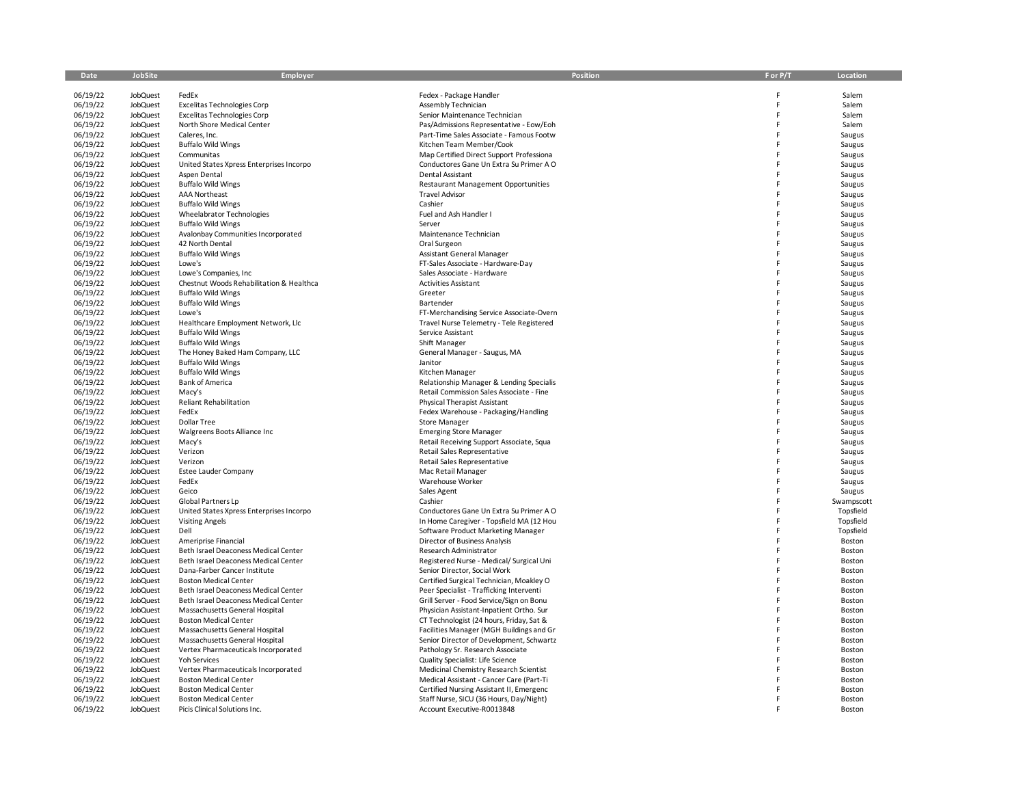| Date                 | JobSite                            | Employer                                                             | <b>Position</b>                                                          | F or P/T | Location         |
|----------------------|------------------------------------|----------------------------------------------------------------------|--------------------------------------------------------------------------|----------|------------------|
| 06/19/22             | JobQuest                           | FedEx                                                                | Fedex - Package Handler                                                  | Ë        | Salem            |
| 06/19/22             | <b>JobQuest</b>                    | <b>Excelitas Technologies Corp</b>                                   | Assembly Technician                                                      | E        | Salem            |
| 06/19/22             | JobQuest                           | <b>Excelitas Technologies Corp</b>                                   | Senior Maintenance Technician                                            | Ë        | Salem            |
| 06/19/22             | <b>JobQuest</b>                    | North Shore Medical Center                                           | Pas/Admissions Representative - Eow/Eoh                                  | Ë        | Salem            |
| 06/19/22             | JobQuest                           | Caleres, Inc.                                                        | Part-Time Sales Associate - Famous Footw                                 | F        | Saugus           |
| 06/19/22             | <b>JobQuest</b>                    | <b>Buffalo Wild Wings</b>                                            | Kitchen Team Member/Cook                                                 |          | Saugus           |
| 06/19/22             | <b>JobQuest</b>                    | Communitas                                                           | Map Certified Direct Support Professiona                                 |          | Saugus           |
| 06/19/22             | JobQuest                           | United States Xpress Enterprises Incorpo                             | Conductores Gane Un Extra Su Primer A O                                  |          | Saugus           |
| 06/19/22             | <b>JobQuest</b>                    | Aspen Dental                                                         | <b>Dental Assistant</b>                                                  |          | Saugus           |
| 06/19/22             | JobQuest                           | <b>Buffalo Wild Wings</b>                                            | <b>Restaurant Management Opportunities</b>                               |          | Saugus           |
| 06/19/22             | <b>JobQuest</b>                    | <b>AAA Northeast</b>                                                 | <b>Travel Advisor</b>                                                    |          | Saugus           |
| 06/19/22             | <b>JobQuest</b>                    | <b>Buffalo Wild Wings</b>                                            | Cashier                                                                  |          | Saugus           |
| 06/19/22             | <b>JobQuest</b>                    | Wheelabrator Technologies                                            | Fuel and Ash Handler I                                                   |          | Saugus           |
| 06/19/22             | <b>JobQuest</b>                    | <b>Buffalo Wild Wings</b>                                            | Server                                                                   | Ë        | Saugus           |
| 06/19/22             | <b>JobQuest</b>                    | Avalonbay Communities Incorporated<br>42 North Dental                | Maintenance Technician                                                   |          | Saugus           |
| 06/19/22<br>06/19/22 | <b>JobQuest</b><br><b>JobQuest</b> | <b>Buffalo Wild Wings</b>                                            | Oral Surgeon<br>Assistant General Manager                                |          | Saugus<br>Saugus |
| 06/19/22             | <b>JobQuest</b>                    | Lowe's                                                               | FT-Sales Associate - Hardware-Day                                        |          | Saugus           |
| 06/19/22             | <b>JobQuest</b>                    | Lowe's Companies, Inc.                                               | Sales Associate - Hardware                                               | F        | Saugus           |
| 06/19/22             | <b>JobQuest</b>                    | Chestnut Woods Rehabilitation & Healthca                             | <b>Activities Assistant</b>                                              |          | Saugus           |
| 06/19/22             | <b>JobQuest</b>                    | <b>Buffalo Wild Wings</b>                                            | Greeter                                                                  | E        | Saugus           |
| 06/19/22             | <b>JobQuest</b>                    | <b>Buffalo Wild Wings</b>                                            | Bartender                                                                |          | Saugus           |
| 06/19/22             | <b>JobQuest</b>                    | Lowe's                                                               | FT-Merchandising Service Associate-Overn                                 | E        | Saugus           |
| 06/19/22             | JobQuest                           | Healthcare Employment Network, Llc                                   | Travel Nurse Telemetry - Tele Registered                                 |          | Saugus           |
| 06/19/22             | <b>JobQuest</b>                    | <b>Buffalo Wild Wings</b>                                            | Service Assistant                                                        |          | Saugus           |
| 06/19/22             | <b>JobQuest</b>                    | <b>Buffalo Wild Wings</b>                                            | Shift Manager                                                            | E        | Saugus           |
| 06/19/22             | <b>JobQuest</b>                    | The Honey Baked Ham Company, LLC                                     | General Manager - Saugus, MA                                             |          | Saugus           |
| 06/19/22             | <b>JobQuest</b>                    | <b>Buffalo Wild Wings</b>                                            | Janitor                                                                  |          | Saugus           |
| 06/19/22             | <b>JobQuest</b>                    | <b>Buffalo Wild Wings</b>                                            | Kitchen Manager                                                          |          | Saugus           |
| 06/19/22             | JobQuest                           | <b>Bank of America</b>                                               | Relationship Manager & Lending Specialis                                 |          | Saugus           |
| 06/19/22             | <b>JobQuest</b>                    | Macy's                                                               | Retail Commission Sales Associate - Fine                                 |          | Saugus           |
| 06/19/22<br>06/19/22 | <b>JobQuest</b><br><b>JobQuest</b> | <b>Reliant Rehabilitation</b><br>FedEx                               | Physical Therapist Assistant                                             |          | Saugus           |
| 06/19/22             | <b>JobQuest</b>                    | Dollar Tree                                                          | Fedex Warehouse - Packaging/Handling<br><b>Store Manager</b>             |          | Saugus           |
| 06/19/22             | <b>JobQuest</b>                    | Walgreens Boots Alliance Inc                                         | <b>Emerging Store Manager</b>                                            | E        | Saugus<br>Saugus |
| 06/19/22             | JobQuest                           | Macy's                                                               | Retail Receiving Support Associate, Squa                                 |          | Saugus           |
| 06/19/22             | <b>JobQuest</b>                    | Verizon                                                              | Retail Sales Representative                                              |          | Saugus           |
| 06/19/22             | JobQuest                           | Verizon                                                              | Retail Sales Representative                                              |          | Saugus           |
| 06/19/22             | <b>JobQuest</b>                    | <b>Estee Lauder Company</b>                                          | Mac Retail Manager                                                       |          | Saugus           |
| 06/19/22             | <b>JobQuest</b>                    | FedEx                                                                | Warehouse Worker                                                         | F        | Saugus           |
| 06/19/22             | <b>JobQuest</b>                    | Geico                                                                | Sales Agent                                                              |          | Saugus           |
| 06/19/22             | <b>JobQuest</b>                    | Global Partners Lp                                                   | Cashier                                                                  |          | Swampscott       |
| 06/19/22             | <b>JobQuest</b>                    | United States Xpress Enterprises Incorpo                             | Conductores Gane Un Extra Su Primer A O                                  |          | Topsfield        |
| 06/19/22             | <b>JobQuest</b>                    | <b>Visiting Angels</b>                                               | In Home Caregiver - Topsfield MA (12 Hou                                 |          | Topsfield        |
| 06/19/22             | <b>JobQuest</b>                    | Dell                                                                 | Software Product Marketing Manager                                       |          | Topsfield        |
| 06/19/22             | <b>JobQuest</b>                    | Ameriprise Financial                                                 | Director of Business Analysis                                            | E        | Boston           |
| 06/19/22<br>06/19/22 | <b>JobQuest</b><br><b>JobQuest</b> | Beth Israel Deaconess Medical Center                                 | Research Administrator                                                   |          | Boston           |
| 06/19/22             | <b>JobQuest</b>                    | Beth Israel Deaconess Medical Center<br>Dana-Farber Cancer Institute | Registered Nurse - Medical/ Surgical Uni<br>Senior Director, Social Work |          | Boston<br>Boston |
| 06/19/22             | <b>JobQuest</b>                    | <b>Boston Medical Center</b>                                         | Certified Surgical Technician, Moakley O                                 |          | Boston           |
| 06/19/22             | JobQuest                           | Beth Israel Deaconess Medical Center                                 | Peer Specialist - Trafficking Interventi                                 |          | Boston           |
| 06/19/22             | <b>JobQuest</b>                    | Beth Israel Deaconess Medical Center                                 | Grill Server - Food Service/Sign on Bonu                                 |          | Boston           |
| 06/19/22             | JobQuest                           | Massachusetts General Hospital                                       | Physician Assistant-Inpatient Ortho. Sur                                 |          | Boston           |
| 06/19/22             | JobQuest                           | <b>Boston Medical Center</b>                                         | CT Technologist (24 hours, Friday, Sat &                                 |          | Boston           |
| 06/19/22             | <b>JobQuest</b>                    | Massachusetts General Hospital                                       | Facilities Manager (MGH Buildings and Gr                                 |          | Boston           |
| 06/19/22             | <b>JobQuest</b>                    | Massachusetts General Hospital                                       | Senior Director of Development, Schwartz                                 |          | Boston           |
| 06/19/22             | <b>JobQuest</b>                    | Vertex Pharmaceuticals Incorporated                                  | Pathology Sr. Research Associate                                         |          | Boston           |
| 06/19/22             | <b>JobQuest</b>                    | Yoh Services                                                         | Quality Specialist: Life Science                                         |          | Boston           |
| 06/19/22             | <b>JobQuest</b>                    | Vertex Pharmaceuticals Incorporated                                  | Medicinal Chemistry Research Scientist                                   |          | Boston           |
| 06/19/22             | <b>JobQuest</b>                    | <b>Boston Medical Center</b>                                         | Medical Assistant - Cancer Care (Part-Ti                                 |          | Boston           |
| 06/19/22             | <b>JobQuest</b>                    | <b>Boston Medical Center</b>                                         | Certified Nursing Assistant II, Emergenc                                 |          | Boston           |
| 06/19/22             | <b>JobQuest</b>                    | <b>Boston Medical Center</b><br>Picis Clinical Solutions Inc.        | Staff Nurse, SICU (36 Hours, Day/Night)                                  |          | Boston<br>Boston |
| 06/19/22             | JobQuest                           |                                                                      | Account Executive-R0013848                                               |          |                  |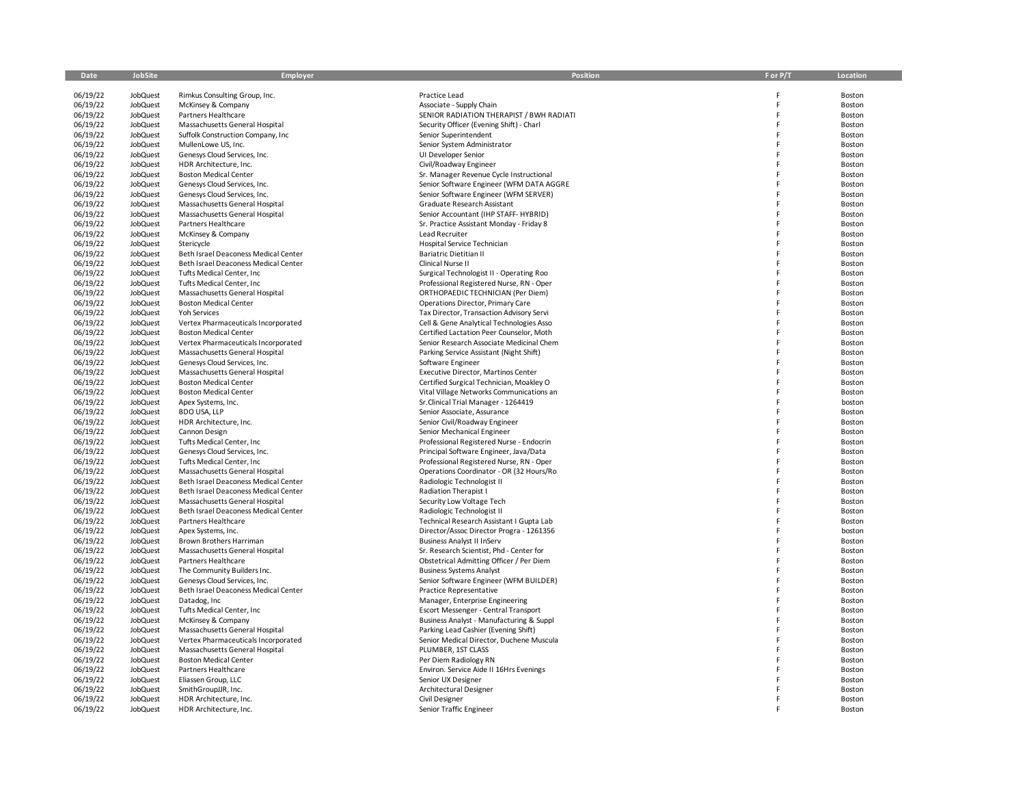| Date                 | JobSite                     | Employer                                                              | <b>Position</b>                                                                      | F or P/T | Location         |
|----------------------|-----------------------------|-----------------------------------------------------------------------|--------------------------------------------------------------------------------------|----------|------------------|
|                      |                             |                                                                       |                                                                                      |          |                  |
| 06/19/22             | <b>JobQuest</b>             | Rimkus Consulting Group, Inc.                                         | Practice Lead                                                                        |          | Boston           |
| 06/19/22             | <b>JobQuest</b>             | McKinsey & Company                                                    | Associate - Supply Chain                                                             |          | Boston           |
| 06/19/22             | JobQuest                    | Partners Healthcare                                                   | SENIOR RADIATION THERAPIST / BWH RADIATI                                             | F        | Boston           |
| 06/19/22             | JobQuest                    | Massachusetts General Hospital                                        | Security Officer (Evening Shift) - Charl                                             |          | Boston           |
| 06/19/22             | JobQuest                    | Suffolk Construction Company, Inc.                                    | Senior Superintendent                                                                |          | Boston           |
| 06/19/22<br>06/19/22 | JobQuest<br>JobQuest        | MullenLowe US, Inc.<br>Genesys Cloud Services, Inc.                   | Senior System Administrator<br>UI Developer Senior                                   |          | Boston<br>Boston |
| 06/19/22             | <b>JobQuest</b>             | HDR Architecture, Inc.                                                | Civil/Roadway Engineer                                                               |          | Boston           |
| 06/19/22             | <b>JobQuest</b>             | <b>Boston Medical Center</b>                                          | Sr. Manager Revenue Cycle Instructional                                              |          | Boston           |
| 06/19/22             | JobQuest                    | Genesys Cloud Services, Inc.                                          | Senior Software Engineer (WFM DATA AGGRE                                             | F        | Boston           |
| 06/19/22             | JobQuest                    | Genesys Cloud Services, Inc.                                          | Senior Software Engineer (WFM SERVER)                                                |          | Boston           |
| 06/19/22             | <b>JobQuest</b>             | Massachusetts General Hospital                                        | Graduate Research Assistant                                                          |          | Boston           |
| 06/19/22             | <b>JobQuest</b>             | Massachusetts General Hospital                                        | Senior Accountant (IHP STAFF- HYBRID)                                                |          | Boston           |
| 06/19/22             | JobQuest                    | Partners Healthcare                                                   | Sr. Practice Assistant Monday - Friday 8                                             |          | Boston           |
| 06/19/22             | JobQuest                    | McKinsey & Company                                                    | Lead Recruiter                                                                       |          | Boston           |
| 06/19/22             | <b>JobQuest</b>             | Stericycle                                                            | Hospital Service Technician                                                          |          | Boston           |
| 06/19/22             | JobQuest                    | Beth Israel Deaconess Medical Center                                  | <b>Bariatric Dietitian II</b>                                                        | F        | Boston           |
| 06/19/22             | <b>JobQuest</b>             | Beth Israel Deaconess Medical Center                                  | Clinical Nurse II                                                                    |          | Boston           |
| 06/19/22             | <b>JobQuest</b>             | Tufts Medical Center, Inc.                                            | Surgical Technologist II - Operating Roo                                             |          | Boston           |
| 06/19/22             | JobQuest                    | Tufts Medical Center, Inc.                                            | Professional Registered Nurse, RN - Oper                                             |          | Boston           |
| 06/19/22             | JobQuest                    | Massachusetts General Hospital                                        | ORTHOPAEDIC TECHNICIAN (Per Diem)                                                    |          | Boston           |
| 06/19/22             | JobQuest                    | <b>Boston Medical Center</b>                                          | Operations Director, Primary Care                                                    |          | Boston           |
| 06/19/22             | <b>JobQuest</b>             | <b>Yoh Services</b>                                                   | Tax Director, Transaction Advisory Servi                                             |          | Boston           |
| 06/19/22             | JobQuest                    | Vertex Pharmaceuticals Incorporated                                   | Cell & Gene Analytical Technologies Asso                                             |          | Boston           |
| 06/19/22             | JobQuest                    | <b>Boston Medical Center</b>                                          | Certified Lactation Peer Counselor, Moth<br>Senior Research Associate Medicinal Chem |          | Boston           |
| 06/19/22<br>06/19/22 | <b>JobQuest</b><br>JobQuest | Vertex Pharmaceuticals Incorporated<br>Massachusetts General Hospital | Parking Service Assistant (Night Shift)                                              |          | Boston<br>Boston |
| 06/19/22             | JobQuest                    | Genesys Cloud Services, Inc.                                          | Software Engineer                                                                    |          | Boston           |
| 06/19/22             | JobQuest                    | Massachusetts General Hospital                                        | Executive Director, Martinos Center                                                  |          | Boston           |
| 06/19/22             | JobQuest                    | <b>Boston Medical Center</b>                                          | Certified Surgical Technician, Moakley O                                             |          | Boston           |
| 06/19/22             | <b>JobQuest</b>             | <b>Boston Medical Center</b>                                          | Vital Village Networks Communications an                                             |          | Boston           |
| 06/19/22             | JobQuest                    | Apex Systems, Inc.                                                    | Sr. Clinical Trial Manager - 1264419                                                 |          | boston           |
| 06/19/22             | JobQuest                    | <b>BDO USA, LLP</b>                                                   | Senior Associate, Assurance                                                          |          | Boston           |
| 06/19/22             | JobQuest                    | HDR Architecture, Inc.                                                | Senior Civil/Roadway Engineer                                                        |          | Boston           |
| 06/19/22             | JobQuest                    | Cannon Design                                                         | Senior Mechanical Engineer                                                           |          | Boston           |
| 06/19/22             | <b>JobQuest</b>             | Tufts Medical Center, Inc                                             | Professional Registered Nurse - Endocrin                                             |          | Boston           |
| 06/19/22             | JobQuest                    | Genesys Cloud Services, Inc.                                          | Principal Software Engineer, Java/Data                                               |          | Boston           |
| 06/19/22             | JobQuest                    | Tufts Medical Center, Inc.                                            | Professional Registered Nurse, RN - Oper                                             |          | Boston           |
| 06/19/22             | <b>JobQuest</b>             | Massachusetts General Hospital                                        | Operations Coordinator - OR (32 Hours/Ro                                             |          | Boston           |
| 06/19/22             | JobQuest                    | Beth Israel Deaconess Medical Center                                  | Radiologic Technologist II                                                           |          | Boston           |
| 06/19/22             | JobQuest                    | Beth Israel Deaconess Medical Center                                  | Radiation Therapist I                                                                |          | Boston           |
| 06/19/22             | JobQuest                    | Massachusetts General Hospital                                        | Security Low Voltage Tech                                                            |          | Boston           |
| 06/19/22             | JobQuest                    | Beth Israel Deaconess Medical Center                                  | Radiologic Technologist II                                                           |          | Boston           |
| 06/19/22<br>06/19/22 | JobQuest                    | Partners Healthcare                                                   | Technical Research Assistant I Gupta Lab                                             |          | Boston           |
| 06/19/22             | JobQuest<br><b>JobQuest</b> | Apex Systems, Inc.<br>Brown Brothers Harriman                         | Director/Assoc Director Progra - 1261356<br><b>Business Analyst II InServ</b>        |          | boston<br>Boston |
| 06/19/22             | JobQuest                    | Massachusetts General Hospital                                        | Sr. Research Scientist, Phd - Center for                                             |          | Boston           |
| 06/19/22             | JobQuest                    | Partners Healthcare                                                   | Obstetrical Admitting Officer / Per Diem                                             |          | Boston           |
| 06/19/22             | <b>JobQuest</b>             | The Community Builders Inc.                                           | <b>Business Systems Analyst</b>                                                      |          | Boston           |
| 06/19/22             | JobQuest                    | Genesys Cloud Services, Inc.                                          | Senior Software Engineer (WFM BUILDER)                                               |          | Boston           |
| 06/19/22             | JobQuest                    | Beth Israel Deaconess Medical Center                                  | <b>Practice Representative</b>                                                       |          | Boston           |
| 06/19/22             | JobQuest                    | Datadog, Inc                                                          | Manager, Enterprise Engineering                                                      |          | Boston           |
| 06/19/22             | <b>JobQuest</b>             | Tufts Medical Center, Inc                                             | Escort Messenger - Central Transport                                                 |          | Boston           |
| 06/19/22             | JobQuest                    | McKinsey & Company                                                    | Business Analyst - Manufacturing & Suppl                                             |          | Boston           |
| 06/19/22             | <b>JobQuest</b>             | Massachusetts General Hospital                                        | Parking Lead Cashier (Evening Shift)                                                 |          | Boston           |
| 06/19/22             | JobQuest                    | Vertex Pharmaceuticals Incorporated                                   | Senior Medical Director, Duchene Muscula                                             |          | Boston           |
| 06/19/22             | JobQuest                    | Massachusetts General Hospital                                        | PLUMBER, 1ST CLASS                                                                   |          | Boston           |
| 06/19/22             | <b>JobQuest</b>             | <b>Boston Medical Center</b>                                          | Per Diem Radiology RN                                                                |          | Boston           |
| 06/19/22             | <b>JobQuest</b>             | Partners Healthcare                                                   | Environ. Service Aide II 16Hrs Evenings                                              |          | Boston           |
| 06/19/22             | <b>JobQuest</b>             | Eliassen Group, LLC                                                   | Senior UX Designer                                                                   |          | Boston           |
| 06/19/22             | JobQuest                    | SmithGroupJJR, Inc.                                                   | Architectural Designer                                                               |          | Boston           |
| 06/19/22<br>06/19/22 | JobQuest<br><b>JobQuest</b> | HDR Architecture, Inc.<br>HDR Architecture, Inc.                      | Civil Designer<br>Senior Traffic Engineer                                            |          | Boston<br>Boston |
|                      |                             |                                                                       |                                                                                      |          |                  |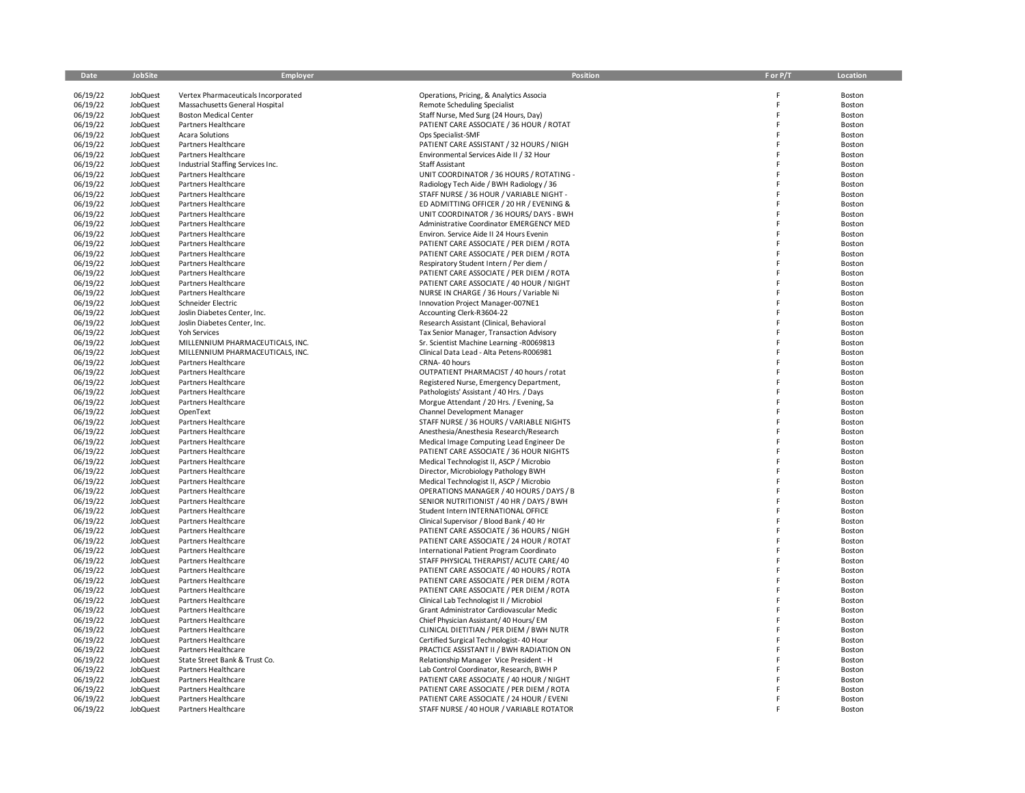| Date                 | JobSite                     | <b>Employer</b>                                         | <b>Position</b>                                                                     | F or P/T | Location         |
|----------------------|-----------------------------|---------------------------------------------------------|-------------------------------------------------------------------------------------|----------|------------------|
| 06/19/22             | <b>JobQuest</b>             | Vertex Pharmaceuticals Incorporated                     | Operations, Pricing, & Analytics Associa                                            |          | Boston           |
| 06/19/22             | <b>JobQuest</b>             | Massachusetts General Hospital                          | Remote Scheduling Specialist                                                        |          | Boston           |
| 06/19/22             | JobQuest                    | <b>Boston Medical Center</b>                            | Staff Nurse, Med Surg (24 Hours, Day)                                               | F        | Boston           |
| 06/19/22             | <b>JobQuest</b>             | Partners Healthcare                                     | PATIENT CARE ASSOCIATE / 36 HOUR / ROTAT                                            |          | Boston           |
| 06/19/22             | JobQuest                    | <b>Acara Solutions</b>                                  | Ops Specialist-SMF                                                                  | F        | Boston           |
| 06/19/22             | <b>JobQuest</b>             | Partners Healthcare                                     | PATIENT CARE ASSISTANT / 32 HOURS / NIGH                                            | F        | Boston           |
| 06/19/22             | <b>JobQuest</b>             | Partners Healthcare                                     | Environmental Services Aide II / 32 Hour                                            |          | Boston           |
| 06/19/22             | <b>JobQuest</b>             | Industrial Staffing Services Inc.                       | Staff Assistant                                                                     |          | Boston           |
| 06/19/22             | <b>JobQuest</b>             | Partners Healthcare                                     | UNIT COORDINATOR / 36 HOURS / ROTATING -                                            |          | Boston           |
| 06/19/22             | <b>JobQuest</b>             | Partners Healthcare                                     | Radiology Tech Aide / BWH Radiology / 36                                            | F        | Boston           |
| 06/19/22             | JobQuest                    | Partners Healthcare                                     | STAFF NURSE / 36 HOUR / VARIABLE NIGHT -                                            |          | Boston           |
| 06/19/22             | <b>JobQuest</b>             | Partners Healthcare                                     | ED ADMITTING OFFICER / 20 HR / EVENING &                                            | F        | Boston           |
| 06/19/22             | JobQuest                    | Partners Healthcare                                     | UNIT COORDINATOR / 36 HOURS/ DAYS - BWH                                             |          | Boston           |
| 06/19/22             | JobQuest                    | Partners Healthcare                                     | Administrative Coordinator EMERGENCY MED                                            |          | Boston           |
| 06/19/22             | JobQuest                    | Partners Healthcare                                     | Environ. Service Aide II 24 Hours Evenin                                            |          | Boston           |
| 06/19/22             | <b>JobQuest</b>             | Partners Healthcare                                     | PATIENT CARE ASSOCIATE / PER DIEM / ROTA                                            |          | Boston           |
| 06/19/22             | JobQuest                    | Partners Healthcare                                     | PATIENT CARE ASSOCIATE / PER DIEM / ROTA                                            | F        | Boston           |
| 06/19/22             | JobQuest                    | Partners Healthcare                                     | Respiratory Student Intern / Per diem /                                             |          | Boston           |
| 06/19/22             | JobQuest                    | Partners Healthcare                                     | PATIENT CARE ASSOCIATE / PER DIEM / ROTA                                            |          | Boston           |
| 06/19/22             | JobQuest                    | Partners Healthcare                                     | PATIENT CARE ASSOCIATE / 40 HOUR / NIGHT                                            |          | Boston           |
| 06/19/22             | <b>JobQuest</b>             | Partners Healthcare                                     | NURSE IN CHARGE / 36 Hours / Variable Ni                                            |          | Boston           |
| 06/19/22             | JobQuest                    | Schneider Electric                                      | Innovation Project Manager-007NE1                                                   |          | Boston           |
| 06/19/22             | JobQuest                    | Joslin Diabetes Center, Inc.                            | Accounting Clerk-R3604-22                                                           |          | Boston           |
| 06/19/22             | JobQuest                    | Joslin Diabetes Center, Inc.                            | Research Assistant (Clinical, Behavioral                                            |          | Boston           |
| 06/19/22             | JobQuest                    | Yoh Services                                            | Tax Senior Manager, Transaction Advisory                                            |          | Boston           |
| 06/19/22<br>06/19/22 | <b>JobQuest</b>             | MILLENNIUM PHARMACEUTICALS, INC.                        | Sr. Scientist Machine Learning -R0069813                                            |          | Boston           |
| 06/19/22             | JobQuest<br><b>JobQuest</b> | MILLENNIUM PHARMACEUTICALS, INC.<br>Partners Healthcare | Clinical Data Lead - Alta Petens-R006981<br>CRNA-40 hours                           |          | Boston<br>Boston |
| 06/19/22             | <b>JobQuest</b>             | Partners Healthcare                                     | OUTPATIENT PHARMACIST / 40 hours / rotat                                            |          | Boston           |
| 06/19/22             | <b>JobQuest</b>             | Partners Healthcare                                     | Registered Nurse, Emergency Department,                                             |          | Boston           |
| 06/19/22             | <b>JobQuest</b>             | Partners Healthcare                                     | Pathologists' Assistant / 40 Hrs. / Days                                            |          | Boston           |
| 06/19/22             | JobQuest                    | Partners Healthcare                                     | Morgue Attendant / 20 Hrs. / Evening, Sa                                            |          | Boston           |
| 06/19/22             | <b>JobQuest</b>             | OpenText                                                | Channel Development Manager                                                         |          | Boston           |
| 06/19/22             | <b>JobQuest</b>             | Partners Healthcare                                     | STAFF NURSE / 36 HOURS / VARIABLE NIGHTS                                            |          | Boston           |
| 06/19/22             | <b>JobQuest</b>             | Partners Healthcare                                     | Anesthesia/Anesthesia Research/Research                                             |          | Boston           |
| 06/19/22             | <b>JobQuest</b>             | Partners Healthcare                                     | Medical Image Computing Lead Engineer De                                            |          | Boston           |
| 06/19/22             | JobQuest                    | Partners Healthcare                                     | PATIENT CARE ASSOCIATE / 36 HOUR NIGHTS                                             |          | Boston           |
| 06/19/22             | <b>JobQuest</b>             | Partners Healthcare                                     | Medical Technologist II, ASCP / Microbio                                            |          | Boston           |
| 06/19/22             | <b>JobQuest</b>             | Partners Healthcare                                     | Director, Microbiology Pathology BWH                                                |          | Boston           |
| 06/19/22             | <b>JobQuest</b>             | Partners Healthcare                                     | Medical Technologist II, ASCP / Microbio                                            |          | Boston           |
| 06/19/22             | JobQuest                    | Partners Healthcare                                     | OPERATIONS MANAGER / 40 HOURS / DAYS / B                                            |          | Boston           |
| 06/19/22             | <b>JobQuest</b>             | Partners Healthcare                                     | SENIOR NUTRITIONIST / 40 HR / DAYS / BWH                                            |          | Boston           |
| 06/19/22             | <b>JobQuest</b>             | Partners Healthcare                                     | Student Intern INTERNATIONAL OFFICE                                                 |          | Boston           |
| 06/19/22             | JobQuest                    | Partners Healthcare                                     | Clinical Supervisor / Blood Bank / 40 Hr                                            |          | Boston           |
| 06/19/22             | JobQuest                    | Partners Healthcare                                     | PATIENT CARE ASSOCIATE / 36 HOURS / NIGH                                            |          | Boston           |
| 06/19/22             | JobQuest                    | Partners Healthcare                                     | PATIENT CARE ASSOCIATE / 24 HOUR / ROTAT                                            |          | Boston           |
| 06/19/22             | JobQuest                    | Partners Healthcare                                     | International Patient Program Coordinato                                            |          | Boston           |
| 06/19/22             | JobQuest                    | Partners Healthcare                                     | STAFF PHYSICAL THERAPIST/ ACUTE CARE/ 40                                            |          | Boston           |
| 06/19/22             | JobQuest                    | Partners Healthcare                                     | PATIENT CARE ASSOCIATE / 40 HOURS / ROTA                                            |          | Boston           |
| 06/19/22             | JobQuest                    | Partners Healthcare                                     | PATIENT CARE ASSOCIATE / PER DIEM / ROTA                                            |          | Boston           |
| 06/19/22             | JobQuest                    | Partners Healthcare                                     | PATIENT CARE ASSOCIATE / PER DIEM / ROTA                                            |          | Boston           |
| 06/19/22             | <b>JobQuest</b>             | Partners Healthcare                                     | Clinical Lab Technologist II / Microbiol                                            |          | Boston           |
| 06/19/22             | JobQuest                    | Partners Healthcare                                     | Grant Administrator Cardiovascular Medic                                            |          | Boston           |
| 06/19/22             | JobQuest<br><b>JobQuest</b> | Partners Healthcare<br>Partners Healthcare              | Chief Physician Assistant/ 40 Hours/ EM<br>CLINICAL DIETITIAN / PER DIEM / BWH NUTR |          | Boston           |
| 06/19/22<br>06/19/22 | <b>JobQuest</b>             |                                                         |                                                                                     |          | Boston           |
| 06/19/22             | <b>JobQuest</b>             | Partners Healthcare<br>Partners Healthcare              | Certified Surgical Technologist-40 Hour<br>PRACTICE ASSISTANT II / BWH RADIATION ON |          | Boston<br>Boston |
| 06/19/22             | <b>JobQuest</b>             | State Street Bank & Trust Co.                           | Relationship Manager Vice President - H                                             |          | Boston           |
| 06/19/22             | JobQuest                    | Partners Healthcare                                     | Lab Control Coordinator, Research, BWH P                                            |          | Boston           |
| 06/19/22             | <b>JobQuest</b>             | Partners Healthcare                                     | PATIENT CARE ASSOCIATE / 40 HOUR / NIGHT                                            |          | Boston           |
| 06/19/22             | <b>JobQuest</b>             | Partners Healthcare                                     | PATIENT CARE ASSOCIATE / PER DIEM / ROTA                                            |          | Boston           |
| 06/19/22             | <b>JobQuest</b>             | Partners Healthcare                                     | PATIENT CARE ASSOCIATE / 24 HOUR / EVENI                                            |          | Boston           |
| 06/19/22             | <b>JobQuest</b>             | Partners Healthcare                                     | STAFF NURSE / 40 HOUR / VARIABLE ROTATOR                                            |          | Boston           |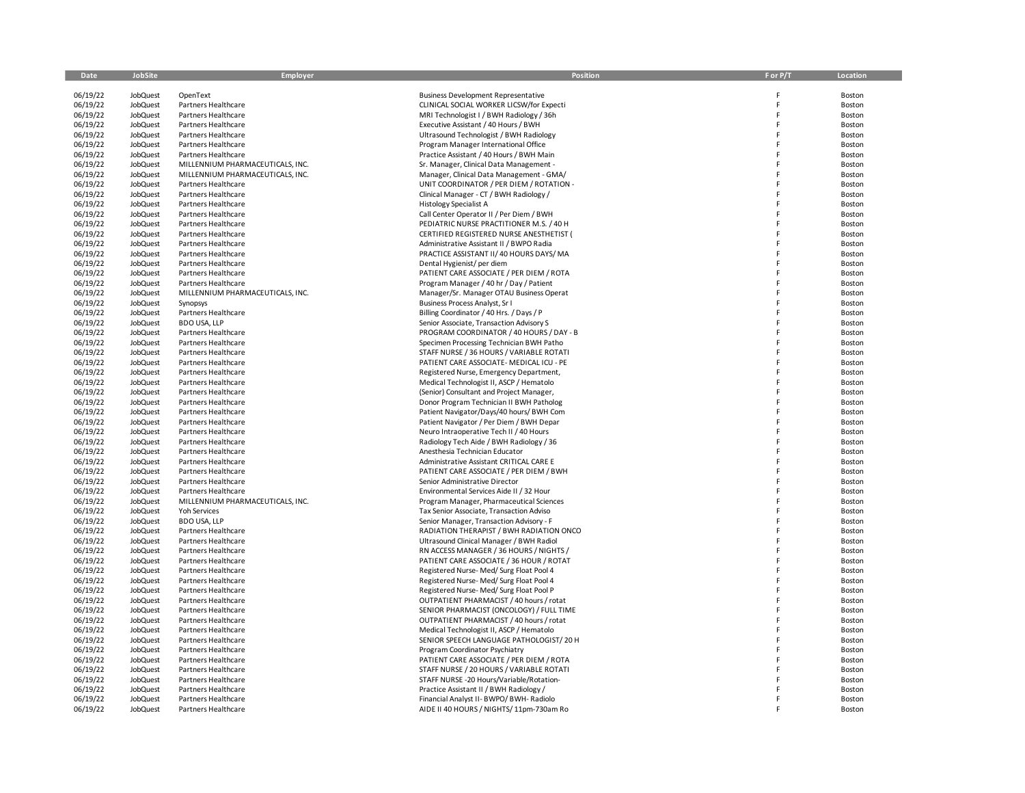| Date                 | <b>JobSite</b>                     | Employer                                   | Position                                                                               | F or P/T | Location         |
|----------------------|------------------------------------|--------------------------------------------|----------------------------------------------------------------------------------------|----------|------------------|
|                      |                                    |                                            |                                                                                        |          |                  |
| 06/19/22<br>06/19/22 | <b>JobQuest</b><br><b>JobQuest</b> | OpenText<br>Partners Healthcare            | <b>Business Development Representative</b><br>CLINICAL SOCIAL WORKER LICSW/for Expecti | F        | Boston<br>Boston |
| 06/19/22             | <b>JobQuest</b>                    | Partners Healthcare                        | MRI Technologist I / BWH Radiology / 36h                                               |          | Boston           |
| 06/19/22             | <b>JobQuest</b>                    | <b>Partners Healthcare</b>                 | Executive Assistant / 40 Hours / BWH                                                   |          | Boston           |
| 06/19/22             | <b>JobQuest</b>                    | Partners Healthcare                        | Ultrasound Technologist / BWH Radiology                                                |          | Boston           |
| 06/19/22             | JobQuest                           | Partners Healthcare                        | Program Manager International Office                                                   |          | Boston           |
| 06/19/22             | JobQuest                           | Partners Healthcare                        | Practice Assistant / 40 Hours / BWH Main                                               |          | Boston           |
| 06/19/22             | JobQuest                           | MILLENNIUM PHARMACEUTICALS, INC.           | Sr. Manager, Clinical Data Management -                                                |          | Boston           |
| 06/19/22             | JobQuest                           | MILLENNIUM PHARMACEUTICALS, INC.           | Manager, Clinical Data Management - GMA/                                               |          | Boston           |
| 06/19/22             | JobQuest                           | Partners Healthcare                        | UNIT COORDINATOR / PER DIEM / ROTATION -                                               |          | Boston           |
| 06/19/22             | JobQuest                           | Partners Healthcare                        | Clinical Manager - CT / BWH Radiology /                                                |          | Boston           |
| 06/19/22             | <b>JobQuest</b>                    | Partners Healthcare                        | <b>Histology Specialist A</b>                                                          |          | Boston           |
| 06/19/22             | JobQuest                           | Partners Healthcare                        | Call Center Operator II / Per Diem / BWH                                               |          | Boston           |
| 06/19/22             | <b>JobQuest</b>                    | Partners Healthcare                        | PEDIATRIC NURSE PRACTITIONER M.S. / 40 H                                               |          | Boston           |
| 06/19/22             | <b>JobQuest</b>                    | Partners Healthcare                        | CERTIFIED REGISTERED NURSE ANESTHETIST (                                               |          | Boston           |
| 06/19/22             | JobQuest                           | Partners Healthcare                        | Administrative Assistant II / BWPO Radia                                               |          | Boston           |
| 06/19/22<br>06/19/22 | JobQuest<br>JobQuest               | Partners Healthcare<br>Partners Healthcare | PRACTICE ASSISTANT II/40 HOURS DAYS/MA<br>Dental Hygienist/ per diem                   |          | Boston           |
| 06/19/22             | <b>JobQuest</b>                    | Partners Healthcare                        | PATIENT CARE ASSOCIATE / PER DIEM / ROTA                                               |          | Boston<br>Boston |
| 06/19/22             | <b>JobQuest</b>                    | Partners Healthcare                        | Program Manager / 40 hr / Day / Patient                                                |          | Boston           |
| 06/19/22             | <b>JobQuest</b>                    | MILLENNIUM PHARMACEUTICALS, INC.           | Manager/Sr. Manager OTAU Business Operat                                               |          | Boston           |
| 06/19/22             | JobQuest                           | Synopsys                                   | Business Process Analyst, Sr I                                                         |          | Boston           |
| 06/19/22             | JobQuest                           | Partners Healthcare                        | Billing Coordinator / 40 Hrs. / Days / P                                               |          | Boston           |
| 06/19/22             | <b>JobQuest</b>                    | <b>BDO USA, LLP</b>                        | Senior Associate, Transaction Advisory S                                               |          | Boston           |
| 06/19/22             | JobQuest                           | Partners Healthcare                        | PROGRAM COORDINATOR / 40 HOURS / DAY - B                                               |          | Boston           |
| 06/19/22             | JobQuest                           | <b>Partners Healthcare</b>                 | Specimen Processing Technician BWH Patho                                               |          | Boston           |
| 06/19/22             | JobQuest                           | Partners Healthcare                        | STAFF NURSE / 36 HOURS / VARIABLE ROTATI                                               |          | Boston           |
| 06/19/22             | JobQuest                           | Partners Healthcare                        | PATIENT CARE ASSOCIATE - MEDICAL ICU - PE                                              |          | Boston           |
| 06/19/22             | <b>JobQuest</b>                    | Partners Healthcare                        | Registered Nurse, Emergency Department,                                                |          | Boston           |
| 06/19/22             | JobQuest                           | Partners Healthcare                        | Medical Technologist II, ASCP / Hematolo                                               |          | Boston           |
| 06/19/22             | <b>JobQuest</b>                    | Partners Healthcare                        | (Senior) Consultant and Project Manager,                                               |          | Boston           |
| 06/19/22             | JobQuest                           | Partners Healthcare                        | Donor Program Technician II BWH Patholog                                               |          | Boston           |
| 06/19/22             | JobQuest                           | Partners Healthcare                        | Patient Navigator/Days/40 hours/ BWH Com                                               |          | Boston           |
| 06/19/22<br>06/19/22 | <b>JobQuest</b><br>JobQuest        | Partners Healthcare                        | Patient Navigator / Per Diem / BWH Depar<br>Neuro Intraoperative Tech II / 40 Hours    |          | Boston           |
| 06/19/22             | <b>JobQuest</b>                    | Partners Healthcare<br>Partners Healthcare | Radiology Tech Aide / BWH Radiology / 36                                               |          | Boston<br>Boston |
| 06/19/22             | <b>JobQuest</b>                    | Partners Healthcare                        | Anesthesia Technician Educator                                                         |          | Boston           |
| 06/19/22             | JobQuest                           | Partners Healthcare                        | Administrative Assistant CRITICAL CARE E                                               |          | Boston           |
| 06/19/22             | <b>JobQuest</b>                    | Partners Healthcare                        | PATIENT CARE ASSOCIATE / PER DIEM / BWH                                                |          | Boston           |
| 06/19/22             | JobQuest                           | Partners Healthcare                        | Senior Administrative Director                                                         |          | Boston           |
| 06/19/22             | <b>JobQuest</b>                    | Partners Healthcare                        | Environmental Services Aide II / 32 Hour                                               |          | Boston           |
| 06/19/22             | <b>JobQuest</b>                    | MILLENNIUM PHARMACEUTICALS, INC.           | Program Manager, Pharmaceutical Sciences                                               |          | Boston           |
| 06/19/22             | <b>JobQuest</b>                    | <b>Yoh Services</b>                        | Tax Senior Associate, Transaction Adviso                                               |          | Boston           |
| 06/19/22             | <b>JobQuest</b>                    | <b>BDO USA, LLP</b>                        | Senior Manager, Transaction Advisory - F                                               |          | Boston           |
| 06/19/22             | <b>JobQuest</b>                    | Partners Healthcare                        | RADIATION THERAPIST / BWH RADIATION ONCO                                               |          | Boston           |
| 06/19/22             | JobQuest                           | Partners Healthcare                        | Ultrasound Clinical Manager / BWH Radiol                                               |          | Boston           |
| 06/19/22<br>06/19/22 | JobQuest                           | Partners Healthcare<br>Partners Healthcare | RN ACCESS MANAGER / 36 HOURS / NIGHTS /<br>PATIENT CARE ASSOCIATE / 36 HOUR / ROTAT    |          | Boston           |
| 06/19/22             | JobQuest<br>JobQuest               | Partners Healthcare                        | Registered Nurse-Med/Surg Float Pool 4                                                 |          | Boston<br>Boston |
| 06/19/22             | JobQuest                           | Partners Healthcare                        | Registered Nurse-Med/ Surg Float Pool 4                                                |          | Boston           |
| 06/19/22             | JobQuest                           | Partners Healthcare                        | Registered Nurse-Med/Surg Float Pool P                                                 |          | Boston           |
| 06/19/22             | JobQuest                           | Partners Healthcare                        | OUTPATIENT PHARMACIST / 40 hours / rotat                                               |          | Boston           |
| 06/19/22             | JobQuest                           | Partners Healthcare                        | SENIOR PHARMACIST (ONCOLOGY) / FULL TIME                                               |          | Boston           |
| 06/19/22             | <b>JobQuest</b>                    | Partners Healthcare                        | OUTPATIENT PHARMACIST / 40 hours / rotat                                               |          | Boston           |
| 06/19/22             | JobQuest                           | Partners Healthcare                        | Medical Technologist II, ASCP / Hematolo                                               |          | Boston           |
| 06/19/22             | JobQuest                           | Partners Healthcare                        | SENIOR SPEECH LANGUAGE PATHOLOGIST/20 H                                                |          | Boston           |
| 06/19/22             | JobQuest                           | Partners Healthcare                        | Program Coordinator Psychiatry                                                         |          | Boston           |
| 06/19/22             | JobQuest                           | Partners Healthcare                        | PATIENT CARE ASSOCIATE / PER DIEM / ROTA                                               |          | Boston           |
| 06/19/22             | <b>JobQuest</b>                    | Partners Healthcare                        | STAFF NURSE / 20 HOURS / VARIABLE ROTATI                                               |          | Boston           |
| 06/19/22             | <b>JobQuest</b>                    | Partners Healthcare                        | STAFF NURSE -20 Hours/Variable/Rotation-                                               |          | Boston           |
| 06/19/22             | JobQuest                           | Partners Healthcare                        | Practice Assistant II / BWH Radiology /                                                |          | Boston           |
| 06/19/22<br>06/19/22 | JobQuest<br>JobQuest               | Partners Healthcare<br>Partners Healthcare | Financial Analyst II- BWPO/ BWH- Radiolo<br>AIDE II 40 HOURS / NIGHTS/11pm-730am Ro    |          | Boston<br>Boston |
|                      |                                    |                                            |                                                                                        |          |                  |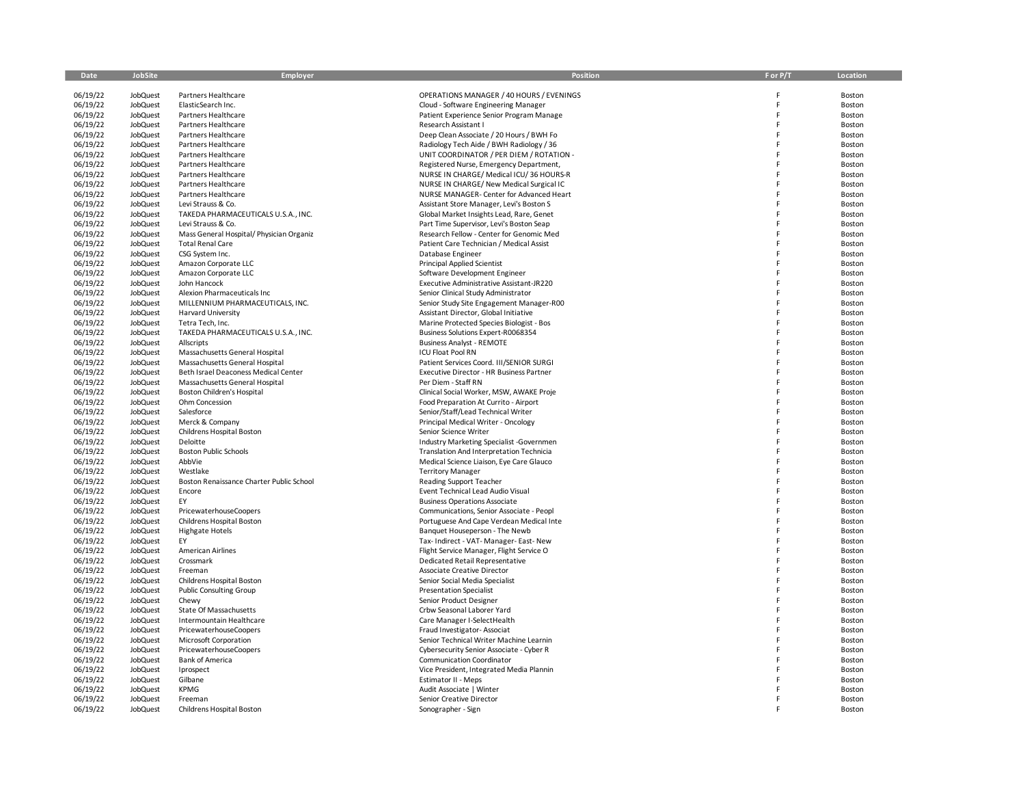| Date                 | JobSite              | Employer                                                | Position                                                                             | F or P/T | Location         |
|----------------------|----------------------|---------------------------------------------------------|--------------------------------------------------------------------------------------|----------|------------------|
| 06/19/22             | JobQuest             | Partners Healthcare                                     | OPERATIONS MANAGER / 40 HOURS / EVENINGS                                             |          | Boston           |
| 06/19/22             | JobQuest             | ElasticSearch Inc.                                      | Cloud - Software Engineering Manager                                                 | F        | Boston           |
| 06/19/22             | JobQuest             | Partners Healthcare                                     | Patient Experience Senior Program Manage                                             | F        | Boston           |
| 06/19/22             | JobQuest             | Partners Healthcare                                     | Research Assistant I                                                                 | F        | Boston           |
| 06/19/22             | JobQuest             | Partners Healthcare                                     | Deep Clean Associate / 20 Hours / BWH Fo                                             |          | Boston           |
| 06/19/22             | JobQuest             | Partners Healthcare                                     | Radiology Tech Aide / BWH Radiology / 36                                             | F        | Boston           |
| 06/19/22             | JobQuest             | Partners Healthcare                                     | UNIT COORDINATOR / PER DIEM / ROTATION -                                             |          | Boston           |
| 06/19/22             | JobQuest             | Partners Healthcare                                     | Registered Nurse, Emergency Department,                                              |          | Boston           |
| 06/19/22             | JobQuest             | Partners Healthcare                                     | NURSE IN CHARGE/ Medical ICU/36 HOURS-R                                              |          | Boston           |
| 06/19/22             | JobQuest             | Partners Healthcare                                     | NURSE IN CHARGE/ New Medical Surgical IC                                             |          | Boston           |
| 06/19/22<br>06/19/22 | JobQuest<br>JobQuest | Partners Healthcare<br>Levi Strauss & Co.               | NURSE MANAGER- Center for Advanced Heart<br>Assistant Store Manager, Levi's Boston S |          | Boston<br>Boston |
| 06/19/22             | JobQuest             | TAKEDA PHARMACEUTICALS U.S.A., INC.                     | Global Market Insights Lead, Rare, Genet                                             | F        | Boston           |
| 06/19/22             | JobQuest             | Levi Strauss & Co.                                      | Part Time Supervisor, Levi's Boston Seap                                             |          | Boston           |
| 06/19/22             | JobQuest             | Mass General Hospital/ Physician Organiz                | Research Fellow - Center for Genomic Med                                             |          | Boston           |
| 06/19/22             | JobQuest             | <b>Total Renal Care</b>                                 | Patient Care Technician / Medical Assist                                             | F        | Boston           |
| 06/19/22             | JobQuest             | CSG System Inc.                                         | Database Engineer                                                                    |          | Boston           |
| 06/19/22             | JobQuest             | Amazon Corporate LLC                                    | <b>Principal Applied Scientist</b>                                                   | F        | Boston           |
| 06/19/22             | JobQuest             | Amazon Corporate LLC                                    | Software Development Engineer                                                        | F        | Boston           |
| 06/19/22             | JobQuest             | John Hancock                                            | Executive Administrative Assistant-JR220                                             |          | Boston           |
| 06/19/22             | JobQuest             | Alexion Pharmaceuticals Inc.                            | Senior Clinical Study Administrator                                                  | F        | Boston           |
| 06/19/22             | JobQuest             | MILLENNIUM PHARMACEUTICALS, INC.                        | Senior Study Site Engagement Manager-R00                                             |          | Boston           |
| 06/19/22             | JobQuest             | <b>Harvard University</b>                               | Assistant Director, Global Initiative                                                | F        | Boston           |
| 06/19/22<br>06/19/22 | JobQuest<br>JobQuest | Tetra Tech, Inc.<br>TAKEDA PHARMACEUTICALS U.S.A., INC. | Marine Protected Species Biologist - Bos<br>Business Solutions Expert-R0068354       |          | Boston<br>Boston |
| 06/19/22             | JobQuest             | <b>Allscripts</b>                                       | <b>Business Analyst - REMOTE</b>                                                     | F        | Boston           |
| 06/19/22             | JobQuest             | Massachusetts General Hospital                          | ICU Float Pool RN                                                                    |          | Boston           |
| 06/19/22             | JobQuest             | Massachusetts General Hospital                          | Patient Services Coord. III/SENIOR SURGI                                             | E        | Boston           |
| 06/19/22             | JobQuest             | Beth Israel Deaconess Medical Center                    | Executive Director - HR Business Partner                                             |          | Boston           |
| 06/19/22             | JobQuest             | Massachusetts General Hospital                          | Per Diem - Staff RN                                                                  |          | Boston           |
| 06/19/22             | JobQuest             | <b>Boston Children's Hospital</b>                       | Clinical Social Worker, MSW, AWAKE Proje                                             | F        | Boston           |
| 06/19/22             | JobQuest             | Ohm Concession                                          | Food Preparation At Currito - Airport                                                |          | Boston           |
| 06/19/22             | JobQuest             | Salesforce                                              | Senior/Staff/Lead Technical Writer                                                   | F        | Boston           |
| 06/19/22             | JobQuest             | Merck & Company                                         | Principal Medical Writer - Oncology                                                  |          | Boston           |
| 06/19/22             | JobQuest             | Childrens Hospital Boston                               | Senior Science Writer                                                                |          | Boston           |
| 06/19/22             | JobQuest             | Deloitte                                                | Industry Marketing Specialist -Governmen                                             | F        | Boston           |
| 06/19/22<br>06/19/22 | JobQuest<br>JobQuest | <b>Boston Public Schools</b><br>AbbVie                  | Translation And Interpretation Technicia<br>Medical Science Liaison, Eye Care Glauco | E        | Boston<br>Boston |
| 06/19/22             | JobQuest             | Westlake                                                | <b>Territory Manager</b>                                                             |          | Boston           |
| 06/19/22             | JobQuest             | Boston Renaissance Charter Public School                | Reading Support Teacher                                                              |          | Boston           |
| 06/19/22             | JobQuest             | Encore                                                  | Event Technical Lead Audio Visual                                                    |          | Boston           |
| 06/19/22             | JobQuest             | EY                                                      | <b>Business Operations Associate</b>                                                 |          | Boston           |
| 06/19/22             | JobQuest             | PricewaterhouseCoopers                                  | Communications, Senior Associate - Peopl                                             | F        | Boston           |
| 06/19/22             | JobQuest             | Childrens Hospital Boston                               | Portuguese And Cape Verdean Medical Inte                                             |          | Boston           |
| 06/19/22             | JobQuest             | <b>Highgate Hotels</b>                                  | Banquet Houseperson - The Newb                                                       |          | Boston           |
| 06/19/22             | JobQuest             | EY                                                      | Tax- Indirect - VAT- Manager- East- New                                              | F        | Boston           |
| 06/19/22             | JobQuest             | American Airlines                                       | Flight Service Manager, Flight Service O                                             |          | Boston           |
| 06/19/22             | JobQuest             | Crossmark                                               | <b>Dedicated Retail Representative</b>                                               |          | Boston           |
| 06/19/22             | JobQuest             | Freeman                                                 | <b>Associate Creative Director</b>                                                   | F        | Boston           |
| 06/19/22             | JobQuest             | Childrens Hospital Boston                               | Senior Social Media Specialist                                                       | F        | Boston           |
| 06/19/22<br>06/19/22 | JobQuest<br>JobQuest | <b>Public Consulting Group</b><br>Chewy                 | <b>Presentation Specialist</b><br>Senior Product Designer                            |          | Boston<br>Boston |
| 06/19/22             | JobQuest             | State Of Massachusetts                                  | Crbw Seasonal Laborer Yard                                                           |          | Boston           |
| 06/19/22             | JobQuest             | Intermountain Healthcare                                | Care Manager I-SelectHealth                                                          |          | Boston           |
| 06/19/22             | JobQuest             | <b>PricewaterhouseCoopers</b>                           | Fraud Investigator-Associat                                                          |          | Boston           |
| 06/19/22             | JobQuest             | Microsoft Corporation                                   | Senior Technical Writer Machine Learnin                                              |          | Boston           |
| 06/19/22             | JobQuest             | <b>PricewaterhouseCoopers</b>                           | Cybersecurity Senior Associate - Cyber R                                             |          | Boston           |
| 06/19/22             | JobQuest             | <b>Bank of America</b>                                  | Communication Coordinator                                                            |          | Boston           |
| 06/19/22             | JobQuest             | Iprospect                                               | Vice President, Integrated Media Plannin                                             |          | Boston           |
| 06/19/22             | JobQuest             | Gilbane                                                 | <b>Estimator II - Meps</b>                                                           |          | Boston           |
| 06/19/22             | JobQuest             | <b>KPMG</b>                                             | Audit Associate   Winter                                                             |          | Boston           |
| 06/19/22             | JobQuest             | Freeman                                                 | Senior Creative Director                                                             |          | Boston           |
| 06/19/22             | JobQuest             | Childrens Hospital Boston                               | Sonographer - Sign                                                                   |          | Boston           |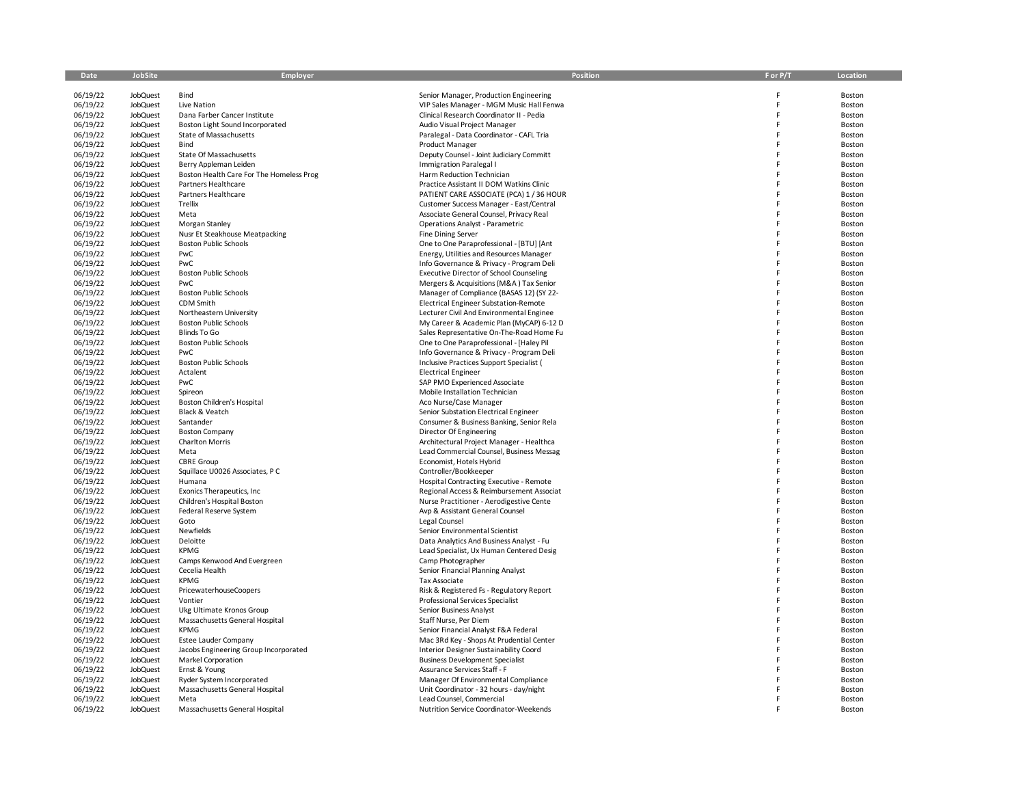| Date                 | JobSite                            | Employer                                                       | <b>Position</b>                                                                  | F or P/T | Location         |
|----------------------|------------------------------------|----------------------------------------------------------------|----------------------------------------------------------------------------------|----------|------------------|
| 06/19/22             | JobQuest                           | Bind                                                           | Senior Manager, Production Engineering                                           | Ë        | Boston           |
| 06/19/22             | <b>JobQuest</b>                    | Live Nation                                                    | VIP Sales Manager - MGM Music Hall Fenwa                                         | Ė        | Boston           |
| 06/19/22             | JobQuest                           | Dana Farber Cancer Institute                                   | Clinical Research Coordinator II - Pedia                                         |          | Boston           |
| 06/19/22             | <b>JobQuest</b>                    | Boston Light Sound Incorporated                                | Audio Visual Project Manager                                                     |          | Boston           |
| 06/19/22             | <b>JobQuest</b>                    | State of Massachusetts                                         | Paralegal - Data Coordinator - CAFL Tria                                         |          | Boston           |
| 06/19/22             | <b>JobQuest</b>                    | Bind                                                           | Product Manager                                                                  |          | Boston           |
| 06/19/22             | <b>JobQuest</b>                    | State Of Massachusetts                                         | Deputy Counsel - Joint Judiciary Committ                                         |          | Boston           |
| 06/19/22             | <b>JobQuest</b>                    | Berry Appleman Leiden                                          | Immigration Paralegal I                                                          |          | Boston           |
| 06/19/22             | <b>JobQuest</b>                    | Boston Health Care For The Homeless Prog                       | Harm Reduction Technician                                                        |          | Boston           |
| 06/19/22             | <b>JobQuest</b>                    | Partners Healthcare                                            | Practice Assistant II DOM Watkins Clinic                                         |          | Boston           |
| 06/19/22             | JobQuest                           | Partners Healthcare                                            | PATIENT CARE ASSOCIATE (PCA) 1 / 36 HOUR                                         |          | Boston           |
| 06/19/22             | <b>JobQuest</b>                    | Trellix                                                        | Customer Success Manager - East/Central                                          |          | Boston           |
| 06/19/22             | <b>JobQuest</b>                    | Meta                                                           | Associate General Counsel, Privacy Real                                          |          | Boston           |
| 06/19/22             | <b>JobQuest</b>                    | Morgan Stanley                                                 | <b>Operations Analyst - Parametric</b>                                           |          | Boston           |
| 06/19/22<br>06/19/22 | <b>JobQuest</b><br><b>JobQuest</b> | Nusr Et Steakhouse Meatpacking<br><b>Boston Public Schools</b> | Fine Dining Server<br>One to One Paraprofessional - [BTU] [Ant                   |          | Boston<br>Boston |
| 06/19/22             | JobQuest                           | PwC                                                            | Energy, Utilities and Resources Manager                                          |          | Boston           |
| 06/19/22             | <b>JobQuest</b>                    | PwC                                                            | Info Governance & Privacy - Program Deli                                         |          | Boston           |
| 06/19/22             | <b>JobQuest</b>                    | <b>Boston Public Schools</b>                                   | <b>Executive Director of School Counseling</b>                                   |          | Boston           |
| 06/19/22             | <b>JobQuest</b>                    | PwC                                                            | Mergers & Acquisitions (M&A) Tax Senior                                          |          | Boston           |
| 06/19/22             | <b>JobQuest</b>                    | <b>Boston Public Schools</b>                                   | Manager of Compliance (BASAS 12) (SY 22-                                         |          | Boston           |
| 06/19/22             | <b>JobQuest</b>                    | CDM Smith                                                      | Electrical Engineer Substation-Remote                                            |          | Boston           |
| 06/19/22             | <b>JobQuest</b>                    | Northeastern University                                        | Lecturer Civil And Environmental Enginee                                         |          | Boston           |
| 06/19/22             | <b>JobQuest</b>                    | <b>Boston Public Schools</b>                                   | My Career & Academic Plan (MyCAP) 6-12 D                                         |          | Boston           |
| 06/19/22             | <b>JobQuest</b>                    | Blinds To Go                                                   | Sales Representative On-The-Road Home Fu                                         |          | Boston           |
| 06/19/22             | JobQuest                           | <b>Boston Public Schools</b>                                   | One to One Paraprofessional - [Haley Pil                                         |          | Boston           |
| 06/19/22             | <b>JobQuest</b>                    | PwC                                                            | Info Governance & Privacy - Program Deli                                         |          | Boston           |
| 06/19/22             | JobQuest                           | <b>Boston Public Schools</b>                                   | Inclusive Practices Support Specialist (                                         |          | Boston           |
| 06/19/22             | <b>JobQuest</b>                    | Actalent                                                       | <b>Electrical Engineer</b>                                                       |          | Boston           |
| 06/19/22             | JobQuest                           | PwC                                                            | SAP PMO Experienced Associate                                                    |          | Boston           |
| 06/19/22             | <b>JobQuest</b>                    | Spireon                                                        | Mobile Installation Technician                                                   |          | Boston           |
| 06/19/22             | <b>JobQuest</b>                    | Boston Children's Hospital                                     | Aco Nurse/Case Manager                                                           |          | Boston           |
| 06/19/22             | <b>JobQuest</b>                    | Black & Veatch                                                 | Senior Substation Electrical Engineer                                            |          | Boston           |
| 06/19/22             | <b>JobQuest</b>                    | Santander                                                      | Consumer & Business Banking, Senior Rela                                         |          | Boston           |
| 06/19/22             | <b>JobQuest</b>                    | <b>Boston Company</b>                                          | Director Of Engineering                                                          |          | Boston           |
| 06/19/22             | <b>JobQuest</b>                    | <b>Charlton Morris</b>                                         | Architectural Project Manager - Healthca                                         |          | Boston           |
| 06/19/22<br>06/19/22 | JobQuest<br><b>JobQuest</b>        | Meta<br><b>CBRE</b> Group                                      | Lead Commercial Counsel, Business Messag<br>Economist, Hotels Hybrid             |          | Boston<br>Boston |
| 06/19/22             | JobQuest                           | Squillace U0026 Associates, PC                                 | Controller/Bookkeeper                                                            |          | Boston           |
| 06/19/22             | <b>JobQuest</b>                    | Humana                                                         | Hospital Contracting Executive - Remote                                          |          | Boston           |
| 06/19/22             | <b>JobQuest</b>                    | Exonics Therapeutics, Inc.                                     | Regional Access & Reimbursement Associat                                         |          | Boston           |
| 06/19/22             | JobQuest                           | Children's Hospital Boston                                     | Nurse Practitioner - Aerodigestive Cente                                         |          | Boston           |
| 06/19/22             | <b>JobQuest</b>                    | Federal Reserve System                                         | Avp & Assistant General Counsel                                                  |          | Boston           |
| 06/19/22             | JobQuest                           | Goto                                                           | Legal Counsel                                                                    |          | Boston           |
| 06/19/22             | JobQuest                           | Newfields                                                      | Senior Environmental Scientist                                                   |          | Boston           |
| 06/19/22             | <b>JobQuest</b>                    | Deloitte                                                       | Data Analytics And Business Analyst - Fu                                         |          | Boston           |
| 06/19/22             | <b>JobQuest</b>                    | <b>KPMG</b>                                                    | Lead Specialist, Ux Human Centered Desig                                         |          | Boston           |
| 06/19/22             | <b>JobQuest</b>                    | Camps Kenwood And Evergreen                                    | Camp Photographer                                                                |          | Boston           |
| 06/19/22             | JobQuest                           | Cecelia Health                                                 | Senior Financial Planning Analyst                                                |          | Boston           |
| 06/19/22             | <b>JobQuest</b>                    | <b>KPMG</b>                                                    | Tax Associate                                                                    |          | Boston           |
| 06/19/22             | JobQuest                           | <b>PricewaterhouseCoopers</b>                                  | Risk & Registered Fs - Regulatory Report                                         |          | Boston           |
| 06/19/22             | <b>JobQuest</b>                    | Vontier                                                        | Professional Services Specialist                                                 |          | Boston           |
| 06/19/22             | JobQuest                           | Ukg Ultimate Kronos Group                                      | Senior Business Analyst                                                          |          | Boston           |
| 06/19/22             | <b>JobQuest</b>                    | Massachusetts General Hospital                                 | Staff Nurse, Per Diem                                                            |          | Boston           |
| 06/19/22             | <b>JobQuest</b>                    | <b>KPMG</b>                                                    | Senior Financial Analyst F&A Federal                                             |          | Boston           |
| 06/19/22             | <b>JobQuest</b>                    | <b>Estee Lauder Company</b>                                    | Mac 3Rd Key - Shops At Prudential Center                                         |          | Boston<br>Boston |
| 06/19/22<br>06/19/22 | <b>JobQuest</b><br><b>JobQuest</b> | Jacobs Engineering Group Incorporated<br>Markel Corporation    | Interior Designer Sustainability Coord<br><b>Business Development Specialist</b> |          | Boston           |
| 06/19/22             | <b>JobQuest</b>                    | Ernst & Young                                                  | Assurance Services Staff - F                                                     |          | Boston           |
| 06/19/22             | <b>JobQuest</b>                    | Ryder System Incorporated                                      | Manager Of Environmental Compliance                                              |          | Boston           |
| 06/19/22             | <b>JobQuest</b>                    | Massachusetts General Hospital                                 | Unit Coordinator - 32 hours - day/night                                          |          | Boston           |
| 06/19/22             | JobQuest                           | Meta                                                           | Lead Counsel, Commercial                                                         |          | Boston           |
| 06/19/22             | JobQuest                           | Massachusetts General Hospital                                 | Nutrition Service Coordinator-Weekends                                           |          | Boston           |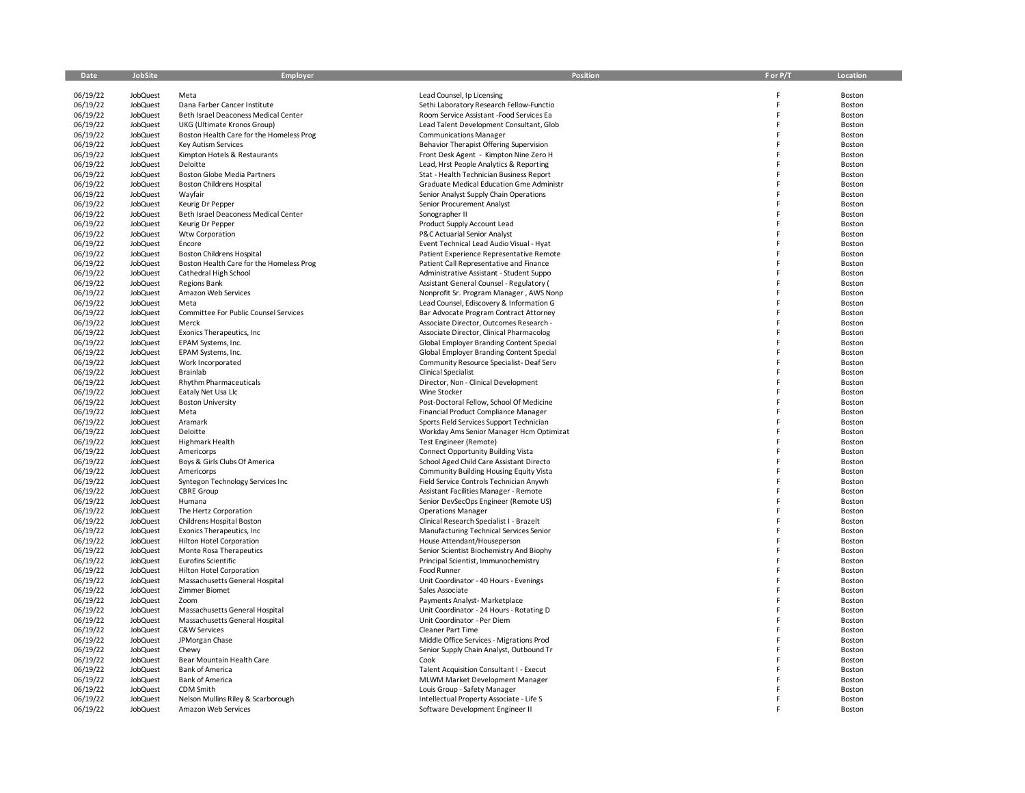| Date                 | JobSite                            | Employer                                     | Position                                                                             | F or P/T | Location         |
|----------------------|------------------------------------|----------------------------------------------|--------------------------------------------------------------------------------------|----------|------------------|
| 06/19/22             | JobQuest                           | Meta                                         | Lead Counsel, Ip Licensing                                                           | Ë        | Boston           |
| 06/19/22             | <b>JobQuest</b>                    | Dana Farber Cancer Institute                 | Sethi Laboratory Research Fellow-Functio                                             | Ė        | Boston           |
| 06/19/22             | JobQuest                           | Beth Israel Deaconess Medical Center         | Room Service Assistant -Food Services Ea                                             | Ë        | Boston           |
| 06/19/22             | <b>JobQuest</b>                    | UKG (Ultimate Kronos Group)                  | Lead Talent Development Consultant, Glob                                             |          | Boston           |
| 06/19/22             | <b>JobQuest</b>                    | Boston Health Care for the Homeless Prog     | <b>Communications Manager</b>                                                        |          | Boston           |
| 06/19/22             | <b>JobQuest</b>                    | Key Autism Services                          | Behavior Therapist Offering Supervision                                              |          | Boston           |
| 06/19/22             | <b>JobQuest</b>                    | Kimpton Hotels & Restaurants                 | Front Desk Agent - Kimpton Nine Zero H                                               |          | Boston           |
| 06/19/22             | <b>JobQuest</b>                    | Deloitte                                     | Lead, Hrst People Analytics & Reporting                                              |          | Boston           |
| 06/19/22             | <b>JobQuest</b>                    | Boston Globe Media Partners                  | Stat - Health Technician Business Report                                             |          | Boston           |
| 06/19/22             | <b>JobQuest</b>                    | <b>Boston Childrens Hospital</b>             | Graduate Medical Education Gme Administr                                             |          | Boston           |
| 06/19/22             | <b>JobQuest</b>                    | Wayfair                                      | Senior Analyst Supply Chain Operations                                               |          | Boston           |
| 06/19/22             | <b>JobQuest</b>                    | Keurig Dr Pepper                             | Senior Procurement Analyst                                                           |          | Boston           |
| 06/19/22             | <b>JobQuest</b>                    | Beth Israel Deaconess Medical Center         | Sonographer II                                                                       |          | Boston           |
| 06/19/22             | JobQuest                           | Keurig Dr Pepper                             | Product Supply Account Lead                                                          |          | Boston           |
| 06/19/22             | <b>JobQuest</b>                    | Wtw Corporation                              | P&C Actuarial Senior Analyst                                                         |          | Boston           |
| 06/19/22             | JobQuest                           | Encore                                       | Event Technical Lead Audio Visual - Hyat                                             |          | Boston           |
| 06/19/22             | JobQuest                           | <b>Boston Childrens Hospital</b>             | Patient Experience Representative Remote                                             |          | Boston           |
| 06/19/22<br>06/19/22 | JobQuest                           | Boston Health Care for the Homeless Prog     | Patient Call Representative and Finance                                              |          | Boston           |
| 06/19/22             | <b>JobQuest</b><br><b>JobQuest</b> | Cathedral High School<br><b>Regions Bank</b> | Administrative Assistant - Student Suppo<br>Assistant General Counsel - Regulatory ( |          | Boston<br>Boston |
| 06/19/22             | <b>JobQuest</b>                    | Amazon Web Services                          | Nonprofit Sr. Program Manager, AWS Nonp                                              |          | Boston           |
| 06/19/22             | <b>JobQuest</b>                    | Meta                                         | Lead Counsel, Ediscovery & Information G                                             |          | Boston           |
| 06/19/22             | JobQuest                           | Committee For Public Counsel Services        | Bar Advocate Program Contract Attorney                                               |          | Boston           |
| 06/19/22             | <b>JobQuest</b>                    | Merck                                        | Associate Director, Outcomes Research -                                              |          | Boston           |
| 06/19/22             | JobQuest                           | Exonics Therapeutics, Inc                    | Associate Director, Clinical Pharmacolog                                             |          | Boston           |
| 06/19/22             | <b>JobQuest</b>                    | EPAM Systems, Inc.                           | Global Employer Branding Content Special                                             |          | Boston           |
| 06/19/22             | JobQuest                           | EPAM Systems, Inc.                           | Global Employer Branding Content Special                                             |          | Boston           |
| 06/19/22             | <b>JobQuest</b>                    | Work Incorporated                            | Community Resource Specialist- Deaf Serv                                             |          | Boston           |
| 06/19/22             | <b>JobQuest</b>                    | Brainlab                                     | <b>Clinical Specialist</b>                                                           |          | Boston           |
| 06/19/22             | JobQuest                           | <b>Rhythm Pharmaceuticals</b>                | Director, Non - Clinical Development                                                 |          | Boston           |
| 06/19/22             | <b>JobQuest</b>                    | Eataly Net Usa Llc                           | Wine Stocker                                                                         |          | Boston           |
| 06/19/22             | <b>JobQuest</b>                    | <b>Boston University</b>                     | Post-Doctoral Fellow, School Of Medicine                                             |          | Boston           |
| 06/19/22             | <b>JobQuest</b>                    | Meta                                         | Financial Product Compliance Manager                                                 |          | Boston           |
| 06/19/22             | <b>JobQuest</b>                    | Aramark                                      | Sports Field Services Support Technician                                             |          | Boston           |
| 06/19/22             | JobQuest                           | Deloitte                                     | Workday Ams Senior Manager Hcm Optimizat                                             |          | Boston           |
| 06/19/22             | <b>JobQuest</b>                    | Highmark Health                              | Test Engineer (Remote)                                                               |          | Boston           |
| 06/19/22             | <b>JobQuest</b>                    | Americorps                                   | <b>Connect Opportunity Building Vista</b>                                            |          | Boston           |
| 06/19/22<br>06/19/22 | JobQuest<br><b>JobQuest</b>        | Boys & Girls Clubs Of America<br>Americorps  | School Aged Child Care Assistant Directo<br>Community Building Housing Equity Vista  |          | Boston<br>Boston |
| 06/19/22             | JobQuest                           | Syntegon Technology Services Inc             | Field Service Controls Technician Anywh                                              |          | Boston           |
| 06/19/22             | <b>JobQuest</b>                    | <b>CBRE</b> Group                            | Assistant Facilities Manager - Remote                                                |          | Boston           |
| 06/19/22             | JobQuest                           | Humana                                       | Senior DevSecOps Engineer (Remote US)                                                |          | Boston           |
| 06/19/22             | JobQuest                           | The Hertz Corporation                        | <b>Operations Manager</b>                                                            |          | Boston           |
| 06/19/22             | <b>JobQuest</b>                    | Childrens Hospital Boston                    | Clinical Research Specialist I - Brazelt                                             |          | Boston           |
| 06/19/22             | JobQuest                           | Exonics Therapeutics, Inc                    | Manufacturing Technical Services Senior                                              |          | Boston           |
| 06/19/22             | <b>JobQuest</b>                    | <b>Hilton Hotel Corporation</b>              | House Attendant/Houseperson                                                          |          | Boston           |
| 06/19/22             | JobQuest                           | Monte Rosa Therapeutics                      | Senior Scientist Biochemistry And Biophy                                             |          | Boston           |
| 06/19/22             | <b>JobQuest</b>                    | <b>Eurofins Scientific</b>                   | Principal Scientist, Immunochemistry                                                 |          | Boston           |
| 06/19/22             | JobQuest                           | <b>Hilton Hotel Corporation</b>              | Food Runner                                                                          |          | Boston           |
| 06/19/22             | <b>JobQuest</b>                    | Massachusetts General Hospital               | Unit Coordinator - 40 Hours - Evenings                                               |          | Boston           |
| 06/19/22             | <b>JobQuest</b>                    | Zimmer Biomet                                | Sales Associate                                                                      |          | Boston           |
| 06/19/22             | <b>JobQuest</b>                    | Zoom                                         | Payments Analyst- Marketplace                                                        |          | Boston           |
| 06/19/22             | <b>JobQuest</b>                    | Massachusetts General Hospital               | Unit Coordinator - 24 Hours - Rotating D                                             |          | Boston           |
| 06/19/22             | JobQuest                           | Massachusetts General Hospital               | Unit Coordinator - Per Diem                                                          |          | Boston           |
| 06/19/22             | JobQuest                           | C&W Services                                 | <b>Cleaner Part Time</b>                                                             |          | Boston           |
| 06/19/22<br>06/19/22 | JobQuest                           | JPMorgan Chase                               | Middle Office Services - Migrations Prod                                             |          | Boston           |
| 06/19/22             | JobQuest<br>JobQuest               | Chewy<br>Bear Mountain Health Care           | Senior Supply Chain Analyst, Outbound Tr<br>Cook                                     |          | Boston<br>Boston |
| 06/19/22             | <b>JobQuest</b>                    | Bank of America                              | Talent Acquisition Consultant I - Execut                                             |          | Boston           |
| 06/19/22             | <b>JobQuest</b>                    | <b>Bank of America</b>                       | MLWM Market Development Manager                                                      |          | Boston           |
| 06/19/22             | <b>JobQuest</b>                    | CDM Smith                                    | Louis Group - Safety Manager                                                         |          | Boston           |
| 06/19/22             | JobQuest                           | Nelson Mullins Riley & Scarborough           | Intellectual Property Associate - Life S                                             |          | Boston           |
| 06/19/22             | JobQuest                           | Amazon Web Services                          | Software Development Engineer II                                                     |          | Boston           |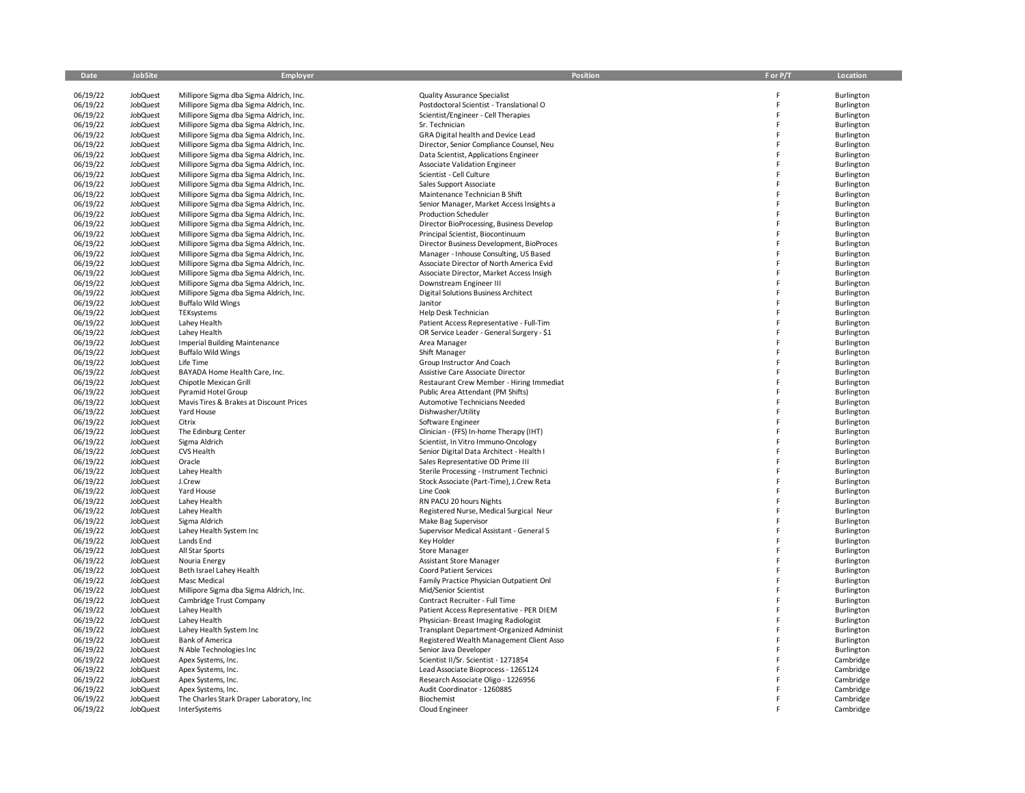| Date                 | JobSite                     | Employer                                                                           | Position                                                                      | F or P/T | Location                 |
|----------------------|-----------------------------|------------------------------------------------------------------------------------|-------------------------------------------------------------------------------|----------|--------------------------|
| 06/19/22             | JobQuest                    | Millipore Sigma dba Sigma Aldrich, Inc.                                            | <b>Quality Assurance Specialist</b>                                           | F        | Burlington               |
| 06/19/22             | JobQuest                    | Millipore Sigma dba Sigma Aldrich, Inc.                                            | Postdoctoral Scientist - Translational O                                      | F        | Burlington               |
| 06/19/22             | JobQuest                    | Millipore Sigma dba Sigma Aldrich, Inc.                                            | Scientist/Engineer - Cell Therapies                                           | F        | Burlington               |
| 06/19/22             | JobQuest                    | Millipore Sigma dba Sigma Aldrich, Inc.                                            | Sr. Technician                                                                | F        | Burlington               |
| 06/19/22             | JobQuest                    | Millipore Sigma dba Sigma Aldrich, Inc.                                            | GRA Digital health and Device Lead                                            | F        | Burlington               |
| 06/19/22             | JobQuest                    | Millipore Sigma dba Sigma Aldrich, Inc.                                            | Director, Senior Compliance Counsel, Neu                                      | F        | Burlington               |
| 06/19/22             | JobQuest                    | Millipore Sigma dba Sigma Aldrich, Inc.                                            | Data Scientist, Applications Engineer                                         | F        | Burlington               |
| 06/19/22             | JobQuest                    | Millipore Sigma dba Sigma Aldrich, Inc.                                            | Associate Validation Engineer                                                 |          | Burlington               |
| 06/19/22             | JobQuest                    | Millipore Sigma dba Sigma Aldrich, Inc.                                            | Scientist - Cell Culture                                                      | E        | Burlington               |
| 06/19/22             | JobQuest                    | Millipore Sigma dba Sigma Aldrich, Inc.                                            | Sales Support Associate                                                       |          | Burlington               |
| 06/19/22             | JobQuest                    | Millipore Sigma dba Sigma Aldrich, Inc.                                            | Maintenance Technician B Shift                                                | F        | Burlington               |
| 06/19/22<br>06/19/22 | <b>JobQuest</b><br>JobQuest | Millipore Sigma dba Sigma Aldrich, Inc.<br>Millipore Sigma dba Sigma Aldrich, Inc. | Senior Manager, Market Access Insights a<br><b>Production Scheduler</b>       |          | Burlington<br>Burlington |
| 06/19/22             | JobQuest                    | Millipore Sigma dba Sigma Aldrich, Inc.                                            | Director BioProcessing, Business Develop                                      | E        | Burlington               |
| 06/19/22             | JobQuest                    | Millipore Sigma dba Sigma Aldrich, Inc.                                            | Principal Scientist, Biocontinuum                                             |          | Burlington               |
| 06/19/22             | JobQuest                    | Millipore Sigma dba Sigma Aldrich, Inc.                                            | Director Business Development, BioProces                                      |          | Burlington               |
| 06/19/22             | JobQuest                    | Millipore Sigma dba Sigma Aldrich, Inc.                                            | Manager - Inhouse Consulting, US Based                                        | F        | Burlington               |
| 06/19/22             | JobQuest                    | Millipore Sigma dba Sigma Aldrich, Inc.                                            | Associate Director of North America Evid                                      |          | Burlington               |
| 06/19/22             | JobQuest                    | Millipore Sigma dba Sigma Aldrich, Inc.                                            | Associate Director, Market Access Insigh                                      | F        | Burlington               |
| 06/19/22             | JobQuest                    | Millipore Sigma dba Sigma Aldrich, Inc.                                            | Downstream Engineer III                                                       |          | Burlington               |
| 06/19/22             | JobQuest                    | Millipore Sigma dba Sigma Aldrich, Inc.                                            | <b>Digital Solutions Business Architect</b>                                   |          | Burlington               |
| 06/19/22             | JobQuest                    | <b>Buffalo Wild Wings</b>                                                          | Janitor                                                                       |          | Burlington               |
| 06/19/22             | JobQuest                    | TEKsystems                                                                         | Help Desk Technician                                                          | F        | Burlington               |
| 06/19/22<br>06/19/22 | JobQuest                    | Lahey Health                                                                       | Patient Access Representative - Full-Tim                                      | F        | Burlington               |
| 06/19/22             | JobQuest<br>JobQuest        | Lahey Health<br><b>Imperial Building Maintenance</b>                               | OR Service Leader - General Surgery - \$1<br>Area Manager                     | E        | Burlington<br>Burlington |
| 06/19/22             | JobQuest                    | <b>Buffalo Wild Wings</b>                                                          | Shift Manager                                                                 |          | Burlington               |
| 06/19/22             | JobQuest                    | Life Time                                                                          | Group Instructor And Coach                                                    |          | Burlington               |
| 06/19/22             | <b>JobQuest</b>             | BAYADA Home Health Care, Inc.                                                      | Assistive Care Associate Director                                             | F        | Burlington               |
| 06/19/22             | JobQuest                    | Chipotle Mexican Grill                                                             | Restaurant Crew Member - Hiring Immediat                                      | Ë        | Burlington               |
| 06/19/22             | JobQuest                    | Pyramid Hotel Group                                                                | Public Area Attendant (PM Shifts)                                             | F        | Burlington               |
| 06/19/22             | JobQuest                    | Mavis Tires & Brakes at Discount Prices                                            | Automotive Technicians Needed                                                 | F        | Burlington               |
| 06/19/22             | JobQuest                    | Yard House                                                                         | Dishwasher/Utility                                                            | F        | Burlington               |
| 06/19/22             | JobQuest                    | Citrix                                                                             | Software Engineer                                                             |          | Burlington               |
| 06/19/22             | JobQuest                    | The Edinburg Center                                                                | Clinician - (FFS) In-home Therapy (IHT)                                       |          | Burlington               |
| 06/19/22             | JobQuest                    | Sigma Aldrich                                                                      | Scientist, In Vitro Immuno-Oncology                                           | F<br>E   | Burlington               |
| 06/19/22<br>06/19/22 | JobQuest<br>JobQuest        | CVS Health<br>Oracle                                                               | Senior Digital Data Architect - Health I<br>Sales Representative OD Prime III | F        | Burlington<br>Burlington |
| 06/19/22             | JobQuest                    | Lahey Health                                                                       | Sterile Processing - Instrument Technici                                      | F        | Burlington               |
| 06/19/22             | JobQuest                    | J.Crew                                                                             | Stock Associate (Part-Time), J. Crew Reta                                     | F        | Burlington               |
| 06/19/22             | JobQuest                    | Yard House                                                                         | Line Cook                                                                     | F        | Burlington               |
| 06/19/22             | JobQuest                    | Lahey Health                                                                       | RN PACU 20 hours Nights                                                       |          | Burlington               |
| 06/19/22             | JobQuest                    | Lahey Health                                                                       | Registered Nurse, Medical Surgical Neur                                       | F        | Burlington               |
| 06/19/22             | JobQuest                    | Sigma Aldrich                                                                      | Make Bag Supervisor                                                           |          | Burlington               |
| 06/19/22             | JobQuest                    | Lahey Health System Inc                                                            | Supervisor Medical Assistant - General S                                      | F        | Burlington               |
| 06/19/22             | <b>JobQuest</b>             | Lands End                                                                          | Key Holder                                                                    | F        | Burlington               |
| 06/19/22             | JobQuest                    | All Star Sports                                                                    | Store Manager                                                                 |          | Burlington               |
| 06/19/22             | JobQuest                    | Nouria Energy                                                                      | <b>Assistant Store Manager</b>                                                |          | Burlington               |
| 06/19/22             | JobQuest                    | Beth Israel Lahey Health                                                           | <b>Coord Patient Services</b>                                                 | F        | Burlington               |
| 06/19/22<br>06/19/22 | JobQuest                    | Masc Medical                                                                       | Family Practice Physician Outpatient Onl                                      |          | Burlington<br>Burlington |
| 06/19/22             | JobQuest<br>JobQuest        | Millipore Sigma dba Sigma Aldrich, Inc.<br>Cambridge Trust Company                 | Mid/Senior Scientist<br>Contract Recruiter - Full Time                        |          | Burlington               |
| 06/19/22             | JobQuest                    | Lahey Health                                                                       | Patient Access Representative - PER DIEM                                      | F        | Burlington               |
| 06/19/22             | JobQuest                    | Lahey Health                                                                       | Physician- Breast Imaging Radiologist                                         |          | Burlington               |
| 06/19/22             | JobQuest                    | Lahey Health System Inc                                                            | Transplant Department-Organized Administ                                      | E        | Burlington               |
| 06/19/22             | JobQuest                    | <b>Bank of America</b>                                                             | Registered Wealth Management Client Asso                                      |          | Burlington               |
| 06/19/22             | JobQuest                    | N Able Technologies Inc                                                            | Senior Java Developer                                                         |          | Burlington               |
| 06/19/22             | JobQuest                    | Apex Systems, Inc.                                                                 | Scientist II/Sr. Scientist - 1271854                                          |          | Cambridge                |
| 06/19/22             | JobQuest                    | Apex Systems, Inc.                                                                 | Lead Associate Bioprocess - 1265124                                           |          | Cambridge                |
| 06/19/22             | JobQuest                    | Apex Systems, Inc.                                                                 | Research Associate Oligo - 1226956                                            |          | Cambridge                |
| 06/19/22             | <b>JobQuest</b>             | Apex Systems, Inc.                                                                 | Audit Coordinator - 1260885                                                   |          | Cambridge                |
| 06/19/22             | <b>JobQuest</b>             | The Charles Stark Draper Laboratory, Inc                                           | Biochemist                                                                    |          | Cambridge                |
| 06/19/22             | <b>JobQuest</b>             | InterSystems                                                                       | Cloud Engineer                                                                |          | Cambridge                |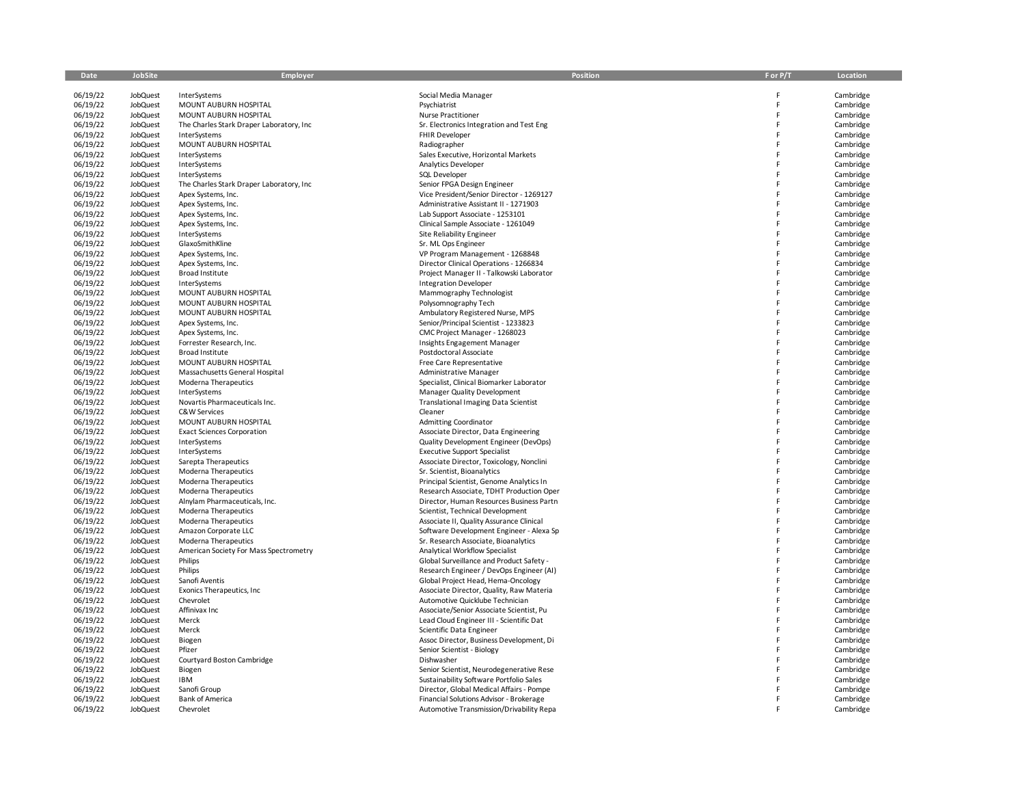| Date                 | JobSite              | Employer                                    | Position                                                              | F or P/T | Location               |
|----------------------|----------------------|---------------------------------------------|-----------------------------------------------------------------------|----------|------------------------|
|                      |                      |                                             |                                                                       |          |                        |
| 06/19/22             | <b>JobQuest</b>      | InterSystems                                | Social Media Manager                                                  |          | Cambridge              |
| 06/19/22             | <b>JobQuest</b>      | MOUNT AUBURN HOSPITAL                       | Psychiatrist                                                          | F        | Cambridge              |
| 06/19/22             | <b>JobQuest</b>      | MOUNT AUBURN HOSPITAL                       | Nurse Practitioner                                                    | F        | Cambridge              |
| 06/19/22             | <b>JobQuest</b>      | The Charles Stark Draper Laboratory, Inc    | Sr. Electronics Integration and Test Eng                              | F        | Cambridge              |
| 06/19/22             | <b>JobQuest</b>      | InterSystems                                | FHIR Developer                                                        |          | Cambridge              |
| 06/19/22             | <b>JobQuest</b>      | MOUNT AUBURN HOSPITAL                       | Radiographer                                                          | F        | Cambridge              |
| 06/19/22             | <b>JobQuest</b>      | InterSystems                                | Sales Executive, Horizontal Markets                                   | F        | Cambridge              |
| 06/19/22             | <b>JobQuest</b>      | InterSystems                                | Analytics Developer                                                   |          | Cambridge              |
| 06/19/22             | <b>JobQuest</b>      | InterSystems                                | SQL Developer                                                         |          | Cambridge              |
| 06/19/22             | <b>JobQuest</b>      | The Charles Stark Draper Laboratory, Inc    | Senior FPGA Design Engineer                                           | F        | Cambridge              |
| 06/19/22             | <b>JobQuest</b>      | Apex Systems, Inc.                          | Vice President/Senior Director - 1269127                              |          | Cambridge              |
| 06/19/22             | JobQuest             | Apex Systems, Inc.                          | Administrative Assistant II - 1271903                                 |          | Cambridge              |
| 06/19/22             | <b>JobQuest</b>      | Apex Systems, Inc.                          | Lab Support Associate - 1253101                                       | F        | Cambridge              |
| 06/19/22             | JobQuest             | Apex Systems, Inc.                          | Clinical Sample Associate - 1261049                                   |          | Cambridge              |
| 06/19/22             | JobQuest             | InterSystems                                | Site Reliability Engineer                                             |          | Cambridge              |
| 06/19/22             | <b>JobQuest</b>      | GlaxoSmithKline                             | Sr. ML Ops Engineer                                                   |          | Cambridge              |
| 06/19/22             | JobQuest             | Apex Systems, Inc.                          | VP Program Management - 1268848                                       | F        | Cambridge              |
| 06/19/22             | <b>JobQuest</b>      | Apex Systems, Inc.                          | Director Clinical Operations - 1266834                                | F        | Cambridge              |
| 06/19/22             | JobQuest             | Broad Institute                             | Project Manager II - Talkowski Laborator                              |          | Cambridge              |
| 06/19/22             | JobQuest             | InterSystems                                | <b>Integration Developer</b>                                          | F        | Cambridge              |
| 06/19/22             | <b>JobQuest</b>      | MOUNT AUBURN HOSPITAL                       | Mammography Technologist                                              |          | Cambridge              |
| 06/19/22             | JobQuest             | MOUNT AUBURN HOSPITAL                       | Polysomnography Tech                                                  |          | Cambridge              |
| 06/19/22<br>06/19/22 | <b>JobQuest</b>      | MOUNT AUBURN HOSPITAL                       | Ambulatory Registered Nurse, MPS                                      |          | Cambridge              |
| 06/19/22             | JobQuest<br>JobQuest | Apex Systems, Inc.                          | Senior/Principal Scientist - 1233823<br>CMC Project Manager - 1268023 |          | Cambridge<br>Cambridge |
| 06/19/22             | <b>JobQuest</b>      | Apex Systems, Inc.                          |                                                                       | F        |                        |
| 06/19/22             | <b>JobQuest</b>      | Forrester Research, Inc.<br>Broad Institute | Insights Engagement Manager<br>Postdoctoral Associate                 | F        | Cambridge<br>Cambridge |
| 06/19/22             | JobQuest             | MOUNT AUBURN HOSPITAL                       | Free Care Representative                                              |          | Cambridge              |
| 06/19/22             | JobQuest             | Massachusetts General Hospital              | <b>Administrative Manager</b>                                         |          | Cambridge              |
| 06/19/22             | JobQuest             | Moderna Therapeutics                        | Specialist, Clinical Biomarker Laborator                              |          | Cambridge              |
| 06/19/22             | <b>JobQuest</b>      | InterSystems                                | Manager Quality Development                                           |          | Cambridge              |
| 06/19/22             | JobQuest             | Novartis Pharmaceuticals Inc.               | <b>Translational Imaging Data Scientist</b>                           | F        | Cambridge              |
| 06/19/22             | JobQuest             | C&W Services                                | Cleaner                                                               | F        | Cambridge              |
| 06/19/22             | <b>JobQuest</b>      | MOUNT AUBURN HOSPITAL                       | <b>Admitting Coordinator</b>                                          |          | Cambridge              |
| 06/19/22             | JobQuest             | <b>Exact Sciences Corporation</b>           | Associate Director, Data Engineering                                  |          | Cambridge              |
| 06/19/22             | <b>JobQuest</b>      | InterSystems                                | Quality Development Engineer (DevOps)                                 |          | Cambridge              |
| 06/19/22             | JobQuest             | InterSystems                                | <b>Executive Support Specialist</b>                                   | F        | Cambridge              |
| 06/19/22             | JobQuest             | Sarepta Therapeutics                        | Associate Director, Toxicology, Nonclini                              | F        | Cambridge              |
| 06/19/22             | JobQuest             | Moderna Therapeutics                        | Sr. Scientist, Bioanalytics                                           |          | Cambridge              |
| 06/19/22             | JobQuest             | Moderna Therapeutics                        | Principal Scientist, Genome Analytics In                              | F        | Cambridge              |
| 06/19/22             | <b>JobQuest</b>      | Moderna Therapeutics                        | Research Associate, TDHT Production Oper                              |          | Cambridge              |
| 06/19/22             | JobQuest             | Alnylam Pharmaceuticals, Inc.               | Director, Human Resources Business Partn                              |          | Cambridge              |
| 06/19/22             | JobQuest             | Moderna Therapeutics                        | Scientist, Technical Development                                      | F        | Cambridge              |
| 06/19/22             | <b>JobQuest</b>      | Moderna Therapeutics                        | Associate II, Quality Assurance Clinical                              |          | Cambridge              |
| 06/19/22             | <b>JobQuest</b>      | Amazon Corporate LLC                        | Software Development Engineer - Alexa Sp                              |          | Cambridge              |
| 06/19/22             | <b>JobQuest</b>      | Moderna Therapeutics                        | Sr. Research Associate, Bioanalytics                                  | F        | Cambridge              |
| 06/19/22             | <b>JobQuest</b>      | American Society For Mass Spectrometry      | Analytical Workflow Specialist                                        | F        | Cambridge              |
| 06/19/22             | JobQuest             | Philips                                     | Global Surveillance and Product Safety -                              |          | Cambridge              |
| 06/19/22             | JobQuest             | Philips                                     | Research Engineer / DevOps Engineer (AI)                              |          | Cambridge              |
| 06/19/22             | <b>JobQuest</b>      | Sanofi Aventis                              | Global Project Head, Hema-Oncology                                    | F        | Cambridge              |
| 06/19/22             | <b>JobQuest</b>      | Exonics Therapeutics, Inc.                  | Associate Director, Quality, Raw Materia                              | F        | Cambridge              |
| 06/19/22             | JobQuest             | Chevrolet                                   | Automotive Quicklube Technician                                       | F        | Cambridge              |
| 06/19/22             | JobQuest             | Affinivax Inc                               | Associate/Senior Associate Scientist, Pu                              | F        | Cambridge              |
| 06/19/22             | <b>JobQuest</b>      | Merck                                       | Lead Cloud Engineer III - Scientific Dat                              |          | Cambridge              |
| 06/19/22             | <b>JobQuest</b>      | Merck                                       | Scientific Data Engineer                                              |          | Cambridge              |
| 06/19/22             | JobQuest             | Biogen                                      | Assoc Director, Business Development, Di                              |          | Cambridge              |
| 06/19/22             | JobQuest             | Pfizer                                      | Senior Scientist - Biology                                            | F        | Cambridge              |
| 06/19/22             | JobQuest             | Courtyard Boston Cambridge                  | Dishwasher                                                            |          | Cambridge              |
| 06/19/22             | <b>JobQuest</b>      | Biogen                                      | Senior Scientist, Neurodegenerative Rese                              |          | Cambridge              |
| 06/19/22             | <b>JobQuest</b>      | <b>IBM</b>                                  | Sustainability Software Portfolio Sales                               |          | Cambridge              |
| 06/19/22             | <b>JobQuest</b>      | Sanofi Group                                | Director, Global Medical Affairs - Pompe                              |          | Cambridge              |
| 06/19/22             | JobQuest             | <b>Bank of America</b>                      | Financial Solutions Advisor - Brokerage                               |          | Cambridge              |
| 06/19/22             | JobQuest             | Chevrolet                                   | Automotive Transmission/Drivability Repa                              |          | Cambridge              |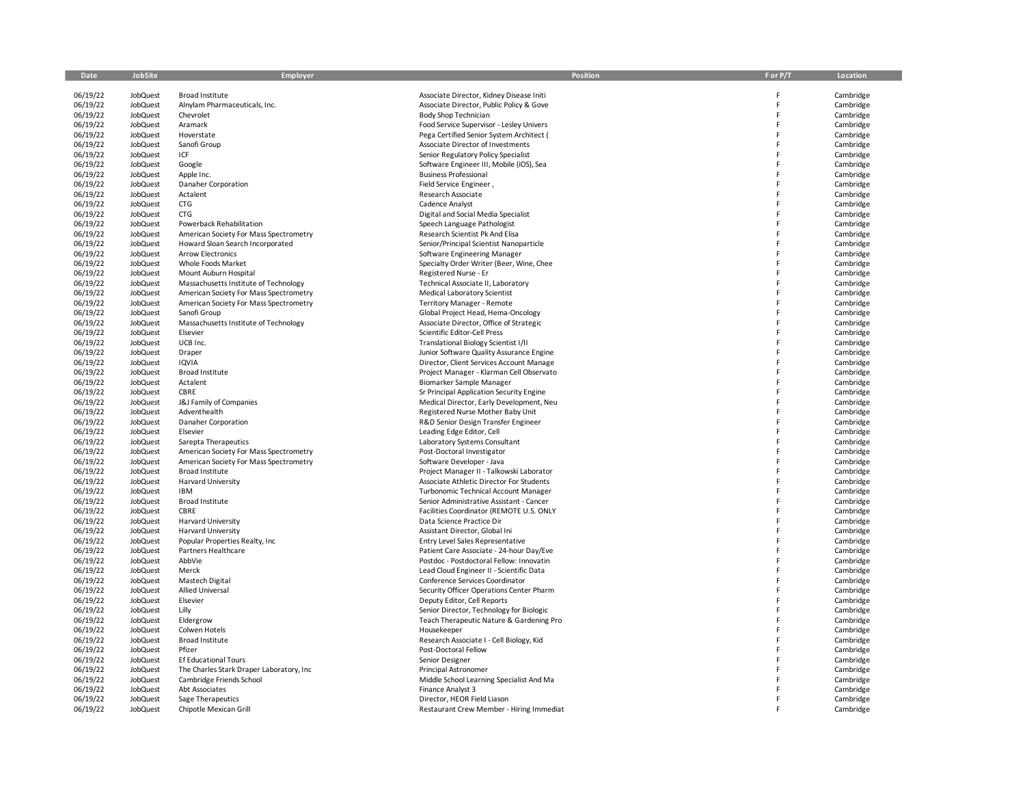| Date                 | <b>JobSite</b>                     | Employer                                                                         | <b>Position</b>                                                         | F or P/T | Location               |
|----------------------|------------------------------------|----------------------------------------------------------------------------------|-------------------------------------------------------------------------|----------|------------------------|
| 06/19/22             | <b>JobQuest</b>                    | <b>Broad Institute</b>                                                           | Associate Director, Kidney Disease Initi                                | Ë        | Cambridge              |
| 06/19/22             | JobQuest                           | Alnylam Pharmaceuticals, Inc.                                                    | Associate Director, Public Policy & Gove                                | F        | Cambridge              |
| 06/19/22             | JobQuest                           | Chevrolet                                                                        | Body Shop Technician                                                    | F        | Cambridge              |
| 06/19/22             | JobQuest                           | Aramark                                                                          | Food Service Supervisor - Lesley Univers                                | Ë        | Cambridge              |
| 06/19/22             | JobQuest                           | Hoverstate                                                                       | Pega Certified Senior System Architect (                                | E        | Cambridge              |
| 06/19/22             | JobQuest                           | Sanofi Group                                                                     | Associate Director of Investments                                       | Ë        | Cambridge              |
| 06/19/22             | JobQuest                           | ICF                                                                              | Senior Regulatory Policy Specialist                                     |          | Cambridge              |
| 06/19/22             | JobQuest                           | Google                                                                           | Software Engineer III, Mobile (iOS), Sea                                |          | Cambridge              |
| 06/19/22             | JobQuest                           | Apple Inc.                                                                       | <b>Business Professional</b>                                            | Ë        | Cambridge              |
| 06/19/22             | <b>JobQuest</b>                    | Danaher Corporation                                                              | Field Service Engineer,                                                 |          | Cambridge              |
| 06/19/22             | <b>JobQuest</b>                    | Actalent                                                                         | Research Associate                                                      |          | Cambridge              |
| 06/19/22             | JobQuest                           | <b>CTG</b>                                                                       | <b>Cadence Analyst</b>                                                  | Ë        | Cambridge              |
| 06/19/22             | <b>JobQuest</b>                    | <b>CTG</b>                                                                       | Digital and Social Media Specialist                                     | E        | Cambridge              |
| 06/19/22             | <b>JobQuest</b>                    | Powerback Rehabilitation                                                         | Speech Language Pathologist                                             |          | Cambridge              |
| 06/19/22             | JobQuest                           | American Society For Mass Spectrometry                                           | Research Scientist Pk And Elisa                                         | E        | Cambridge              |
| 06/19/22<br>06/19/22 | JobQuest<br><b>JobQuest</b>        | Howard Sloan Search Incorporated<br><b>Arrow Electronics</b>                     | Senior/Principal Scientist Nanoparticle<br>Software Engineering Manager |          | Cambridge<br>Cambridge |
| 06/19/22             | JobQuest                           | Whole Foods Market                                                               | Specialty Order Writer (Beer, Wine, Chee                                |          | Cambridge              |
| 06/19/22             | JobQuest                           | Mount Auburn Hospital                                                            | Registered Nurse - Er                                                   | Ë        | Cambridge              |
| 06/19/22             | JobQuest                           | Massachusetts Institute of Technology                                            | Technical Associate II, Laboratory                                      |          | Cambridge              |
| 06/19/22             | <b>JobQuest</b>                    | American Society For Mass Spectrometry                                           | Medical Laboratory Scientist                                            | E        | Cambridge              |
| 06/19/22             | <b>JobQuest</b>                    | American Society For Mass Spectrometry                                           | Territory Manager - Remote                                              |          | Cambridge              |
| 06/19/22             | JobQuest                           | Sanofi Group                                                                     | Global Project Head, Hema-Oncology                                      | F        | Cambridge              |
| 06/19/22             | JobQuest                           | Massachusetts Institute of Technology                                            | Associate Director, Office of Strategic                                 |          | Cambridge              |
| 06/19/22             | JobQuest                           | Elsevier                                                                         | Scientific Editor-Cell Press                                            | Ë        | Cambridge              |
| 06/19/22             | <b>JobQuest</b>                    | UCB Inc.                                                                         | Translational Biology Scientist I/II                                    | F        | Cambridge              |
| 06/19/22             | JobQuest                           | Draper                                                                           | Junior Software Quality Assurance Engine                                |          | Cambridge              |
| 06/19/22             | JobQuest                           | <b>IQVIA</b>                                                                     | Director, Client Services Account Manage                                |          | Cambridge              |
| 06/19/22             | JobQuest                           | Broad Institute                                                                  | Project Manager - Klarman Cell Observato                                |          | Cambridge              |
| 06/19/22             | JobQuest                           | Actalent                                                                         | Biomarker Sample Manager                                                |          | Cambridge              |
| 06/19/22             | JobQuest                           | CBRE                                                                             | Sr Principal Application Security Engine                                | Ë        | Cambridge              |
| 06/19/22             | JobQuest                           | J&J Family of Companies                                                          | Medical Director, Early Development, Neu                                |          | Cambridge              |
| 06/19/22             | JobQuest                           | Adventhealth                                                                     | Registered Nurse Mother Baby Unit                                       | Ë        | Cambridge              |
| 06/19/22             | JobQuest                           | Danaher Corporation                                                              | R&D Senior Design Transfer Engineer                                     | E        | Cambridge              |
| 06/19/22             | <b>JobQuest</b>                    | Elsevier                                                                         | Leading Edge Editor, Cell                                               |          | Cambridge              |
| 06/19/22<br>06/19/22 | JobQuest<br>JobQuest               | Sarepta Therapeutics                                                             | Laboratory Systems Consultant<br>Post-Doctoral Investigator             |          | Cambridge<br>Cambridge |
| 06/19/22             | JobQuest                           | American Society For Mass Spectrometry<br>American Society For Mass Spectrometry | Software Developer - Java                                               |          | Cambridge              |
| 06/19/22             | JobQuest                           | <b>Broad Institute</b>                                                           | Project Manager II - Talkowski Laborator                                |          | Cambridge              |
| 06/19/22             | JobQuest                           | <b>Harvard University</b>                                                        | Associate Athletic Director For Students                                | Ë        | Cambridge              |
| 06/19/22             | <b>JobQuest</b>                    | IBM                                                                              | <b>Turbonomic Technical Account Manager</b>                             |          | Cambridge              |
| 06/19/22             | JobQuest                           | <b>Broad Institute</b>                                                           | Senior Administrative Assistant - Cancer                                |          | Cambridge              |
| 06/19/22             | JobQuest                           | CBRE                                                                             | Facilities Coordinator (REMOTE U.S. ONLY                                |          | Cambridge              |
| 06/19/22             | <b>JobQuest</b>                    | Harvard University                                                               | Data Science Practice Dir                                               |          | Cambridge              |
| 06/19/22             | JobQuest                           | <b>Harvard University</b>                                                        | Assistant Director, Global Ini                                          | Ë        | Cambridge              |
| 06/19/22             | JobQuest                           | Popular Properties Realty, Inc.                                                  | Entry Level Sales Representative                                        |          | Cambridge              |
| 06/19/22             | JobQuest                           | Partners Healthcare                                                              | Patient Care Associate - 24-hour Day/Eve                                | Ë        | Cambridge              |
| 06/19/22             | JobQuest                           | AbbVie                                                                           | Postdoc - Postdoctoral Fellow: Innovatin                                |          | Cambridge              |
| 06/19/22             | JobQuest                           | Merck                                                                            | Lead Cloud Engineer II - Scientific Data                                |          | Cambridge              |
| 06/19/22             | JobQuest                           | Mastech Digital                                                                  | Conference Services Coordinator                                         |          | Cambridge              |
| 06/19/22             | JobQuest                           | <b>Allied Universal</b>                                                          | Security Officer Operations Center Pharm                                |          | Cambridge              |
| 06/19/22             | JobQuest                           | Elsevier                                                                         | Deputy Editor, Cell Reports                                             |          | Cambridge              |
| 06/19/22             | JobQuest                           | Lilly                                                                            | Senior Director, Technology for Biologic                                | Ė        | Cambridge              |
| 06/19/22<br>06/19/22 | <b>JobQuest</b><br><b>JobQuest</b> | Eldergrow<br>Colwen Hotels                                                       | Teach Therapeutic Nature & Gardening Pro<br>Housekeeper                 |          | Cambridge<br>Cambridge |
| 06/19/22             | <b>JobQuest</b>                    | <b>Broad Institute</b>                                                           | Research Associate I - Cell Biology, Kid                                |          | Cambridge              |
| 06/19/22             | JobQuest                           | Pfizer                                                                           | Post-Doctoral Fellow                                                    |          | Cambridge              |
| 06/19/22             | JobQuest                           | Ef Educational Tours                                                             | Senior Designer                                                         |          | Cambridge              |
| 06/19/22             | <b>JobQuest</b>                    | The Charles Stark Draper Laboratory, Inc                                         | Principal Astronomer                                                    |          | Cambridge              |
| 06/19/22             | JobQuest                           | Cambridge Friends School                                                         | Middle School Learning Specialist And Ma                                |          | Cambridge              |
| 06/19/22             | JobQuest                           | Abt Associates                                                                   | Finance Analyst 3                                                       |          | Cambridge              |
| 06/19/22             | JobQuest                           | Sage Therapeutics                                                                | Director, HEOR Field Liason                                             |          | Cambridge              |
| 06/19/22             | JobQuest                           | Chipotle Mexican Grill                                                           | Restaurant Crew Member - Hiring Immediat                                |          | Cambridge              |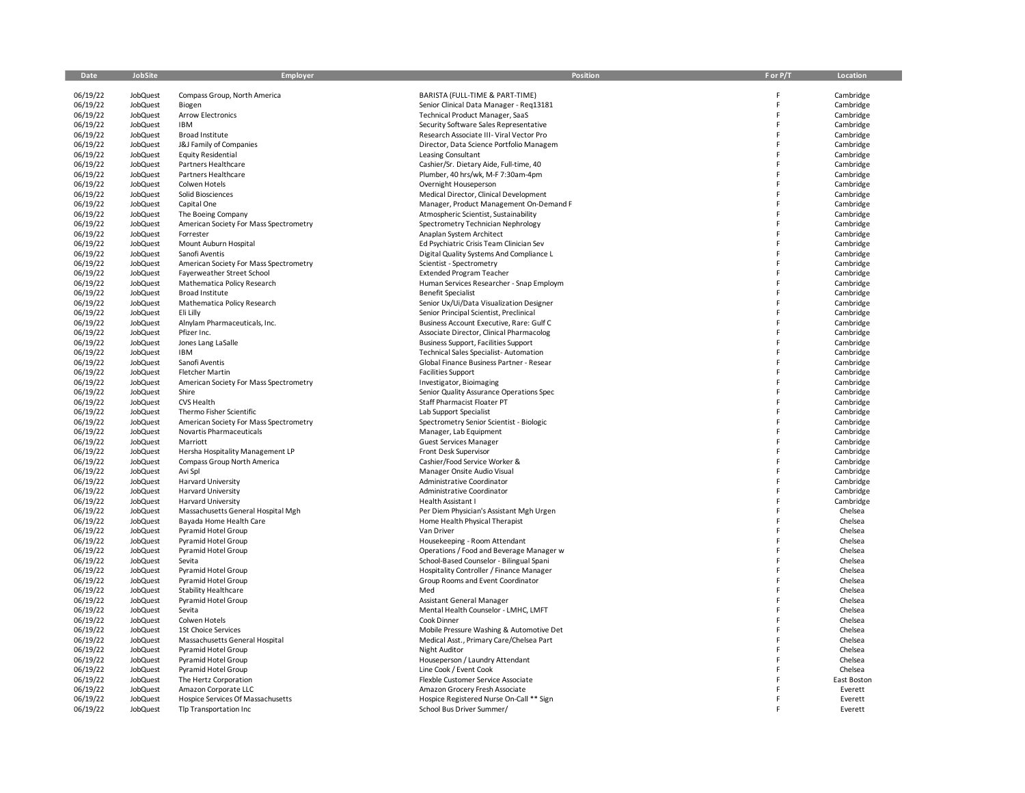| Date                 | <b>JobSite</b>       | Employer                                                        | <b>Position</b>                                                      | F or P/T | Location               |
|----------------------|----------------------|-----------------------------------------------------------------|----------------------------------------------------------------------|----------|------------------------|
| 06/19/22             | <b>JobQuest</b>      | Compass Group, North America                                    | BARISTA (FULL-TIME & PART-TIME)                                      | Ë        | Cambridge              |
| 06/19/22             | <b>JobQuest</b>      | Biogen                                                          | Senior Clinical Data Manager - Reg13181                              | Ë        | Cambridge              |
| 06/19/22             | JobQuest             | <b>Arrow Electronics</b>                                        | Technical Product Manager, SaaS                                      | F        | Cambridge              |
| 06/19/22             | JobQuest             | <b>IBM</b>                                                      | Security Software Sales Representative                               | Ë        | Cambridge              |
| 06/19/22             | JobQuest             | Broad Institute                                                 | Research Associate III- Viral Vector Pro                             | Ë        | Cambridge              |
| 06/19/22             | JobQuest             | J&J Family of Companies                                         | Director, Data Science Portfolio Managem                             | p        | Cambridge              |
| 06/19/22             | JobQuest             | <b>Equity Residential</b>                                       | Leasing Consultant                                                   | E        | Cambridge              |
| 06/19/22             | JobQuest             | Partners Healthcare                                             | Cashier/Sr. Dietary Aide, Full-time, 40                              |          | Cambridge              |
| 06/19/22             | JobQuest             | Partners Healthcare                                             | Plumber, 40 hrs/wk, M-F 7:30am-4pm                                   |          | Cambridge              |
| 06/19/22             | JobQuest             | Colwen Hotels                                                   | Overnight Houseperson                                                |          | Cambridge              |
| 06/19/22             | JobQuest             | Solid Biosciences                                               | Medical Director, Clinical Development                               |          | Cambridge              |
| 06/19/22             | JobQuest             | Capital One                                                     | Manager, Product Management On-Demand F                              |          | Cambridge              |
| 06/19/22             | JobQuest             | The Boeing Company                                              | Atmospheric Scientist, Sustainability                                |          | Cambridge              |
| 06/19/22             | <b>JobQuest</b>      | American Society For Mass Spectrometry                          | Spectrometry Technician Nephrology                                   |          | Cambridge              |
| 06/19/22             | JobQuest             | Forrester                                                       | Anaplan System Architect                                             |          | Cambridge              |
| 06/19/22             | <b>JobQuest</b>      | Mount Auburn Hospital                                           | Ed Psychiatric Crisis Team Clinician Sev                             |          | Cambridge              |
| 06/19/22<br>06/19/22 | JobQuest<br>JobQuest | Sanofi Aventis<br>American Society For Mass Spectrometry        | Digital Quality Systems And Compliance L<br>Scientist - Spectrometry |          | Cambridge<br>Cambridge |
| 06/19/22             | <b>JobQuest</b>      | Fayerweather Street School                                      | <b>Extended Program Teacher</b>                                      | Ė        | Cambridge              |
| 06/19/22             | JobQuest             | Mathematica Policy Research                                     | Human Services Researcher - Snap Employm                             |          | Cambridge              |
| 06/19/22             | JobQuest             | Broad Institute                                                 | <b>Benefit Specialist</b>                                            |          | Cambridge              |
| 06/19/22             | JobQuest             | Mathematica Policy Research                                     | Senior Ux/Ui/Data Visualization Designer                             |          | Cambridge              |
| 06/19/22             | JobQuest             | Eli Lilly                                                       | Senior Principal Scientist, Preclinical                              |          | Cambridge              |
| 06/19/22             | JobQuest             | Alnylam Pharmaceuticals, Inc.                                   | Business Account Executive, Rare: Gulf C                             | Ë        | Cambridge              |
| 06/19/22             | JobQuest             | Pfizer Inc.                                                     | Associate Director, Clinical Pharmacolog                             |          | Cambridge              |
| 06/19/22             | JobQuest             | Jones Lang LaSalle                                              | <b>Business Support, Facilities Support</b>                          | E        | Cambridge              |
| 06/19/22             | JobQuest             | IBM                                                             | Technical Sales Specialist-Automation                                |          | Cambridge              |
| 06/19/22             | JobQuest             | Sanofi Aventis                                                  | Global Finance Business Partner - Resear                             |          | Cambridge              |
| 06/19/22             | JobQuest             | <b>Fletcher Martin</b>                                          | <b>Facilities Support</b>                                            |          | Cambridge              |
| 06/19/22             | JobQuest             | American Society For Mass Spectrometry                          | Investigator, Bioimaging                                             |          | Cambridge              |
| 06/19/22             | JobQuest             | Shire                                                           | Senior Quality Assurance Operations Spec                             | Ë        | Cambridge              |
| 06/19/22             | JobQuest             | CVS Health                                                      | Staff Pharmacist Floater PT                                          | Ë        | Cambridge              |
| 06/19/22             | <b>JobQuest</b>      | Thermo Fisher Scientific                                        | Lab Support Specialist                                               | F        | Cambridge              |
| 06/19/22             | <b>JobQuest</b>      | American Society For Mass Spectrometry                          | Spectrometry Senior Scientist - Biologic                             |          | Cambridge              |
| 06/19/22             | <b>JobQuest</b>      | Novartis Pharmaceuticals                                        | Manager, Lab Equipment                                               | Ë        | Cambridge              |
| 06/19/22             | JobQuest             | Marriott                                                        | <b>Guest Services Manager</b>                                        |          | Cambridge              |
| 06/19/22<br>06/19/22 | JobQuest<br>JobQuest | Hersha Hospitality Management LP<br>Compass Group North America | Front Desk Supervisor<br>Cashier/Food Service Worker &               | Ë        | Cambridge<br>Cambridge |
| 06/19/22             | JobQuest             | Avi Spl                                                         | Manager Onsite Audio Visual                                          | Ë        | Cambridge              |
| 06/19/22             | JobQuest             | Harvard University                                              | Administrative Coordinator                                           |          | Cambridge              |
| 06/19/22             | <b>JobQuest</b>      | Harvard University                                              | Administrative Coordinator                                           |          | Cambridge              |
| 06/19/22             | JobQuest             | <b>Harvard University</b>                                       | Health Assistant I                                                   |          | Cambridge              |
| 06/19/22             | JobQuest             | Massachusetts General Hospital Mgh                              | Per Diem Physician's Assistant Mgh Urgen                             |          | Chelsea                |
| 06/19/22             | JobQuest             | Bayada Home Health Care                                         | Home Health Physical Therapist                                       |          | Chelsea                |
| 06/19/22             | JobQuest             | <b>Pyramid Hotel Group</b>                                      | Van Driver                                                           |          | Chelsea                |
| 06/19/22             | JobQuest             | <b>Pyramid Hotel Group</b>                                      | Housekeeping - Room Attendant                                        |          | Chelsea                |
| 06/19/22             | JobQuest             | Pyramid Hotel Group                                             | Operations / Food and Beverage Manager w                             |          | Chelsea                |
| 06/19/22             | JobQuest             | Sevita                                                          | School-Based Counselor - Bilingual Spani                             |          | Chelsea                |
| 06/19/22             | <b>JobQuest</b>      | <b>Pyramid Hotel Group</b>                                      | Hospitality Controller / Finance Manager                             |          | Chelsea                |
| 06/19/22             | JobQuest             | <b>Pyramid Hotel Group</b>                                      | Group Rooms and Event Coordinator                                    |          | Chelsea                |
| 06/19/22             | JobQuest             | <b>Stability Healthcare</b>                                     | Med                                                                  |          | Chelsea                |
| 06/19/22             | JobQuest             | Pyramid Hotel Group                                             | Assistant General Manager                                            |          | Chelsea                |
| 06/19/22             | JobQuest             | Sevita                                                          | Mental Health Counselor - LMHC, LMFT                                 |          | Chelsea                |
| 06/19/22<br>06/19/22 | JobQuest<br>JobQuest | Colwen Hotels<br>1St Choice Services                            | Cook Dinner<br>Mobile Pressure Washing & Automotive Det              |          | Chelsea<br>Chelsea     |
| 06/19/22             | JobQuest             |                                                                 | Medical Asst., Primary Care/Chelsea Part                             |          | Chelsea                |
| 06/19/22             | JobQuest             | Massachusetts General Hospital<br><b>Pyramid Hotel Group</b>    | <b>Night Auditor</b>                                                 |          | Chelsea                |
| 06/19/22             | JobQuest             | Pyramid Hotel Group                                             | Houseperson / Laundry Attendant                                      |          | Chelsea                |
| 06/19/22             | JobQuest             | Pyramid Hotel Group                                             | Line Cook / Event Cook                                               |          | Chelsea                |
| 06/19/22             | JobQuest             | The Hertz Corporation                                           | Flexble Customer Service Associate                                   |          | East Boston            |
| 06/19/22             | <b>JobQuest</b>      | Amazon Corporate LLC                                            | Amazon Grocery Fresh Associate                                       |          | Everett                |
| 06/19/22             | JobQuest             | Hospice Services Of Massachusetts                               | Hospice Registered Nurse On-Call ** Sign                             |          | Everett                |
| 06/19/22             | JobQuest             | Tlp Transportation Inc                                          | School Bus Driver Summer/                                            |          | Everett                |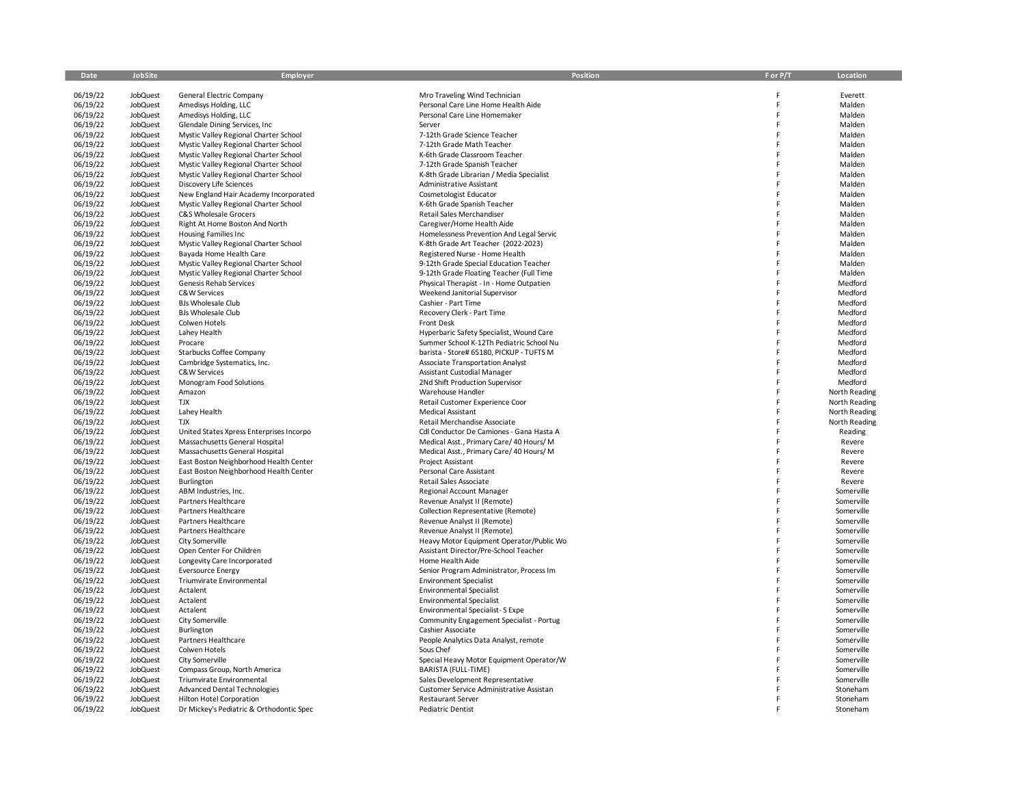| Date                 | JobSite              | Employer                                 | Position                                           | F or P/T | Location                 |
|----------------------|----------------------|------------------------------------------|----------------------------------------------------|----------|--------------------------|
|                      |                      |                                          |                                                    |          |                          |
| 06/19/22             | <b>JobQuest</b>      | General Electric Company                 | Mro Traveling Wind Technician                      |          | Everett                  |
| 06/19/22             | <b>JobQuest</b>      | Amedisys Holding, LLC                    | Personal Care Line Home Health Aide                | F        | Malden                   |
| 06/19/22             | JobQuest             | Amedisys Holding, LLC                    | Personal Care Line Homemaker                       | F        | Malden                   |
| 06/19/22             | JobQuest             | Glendale Dining Services, Inc.           | Server                                             | F        | Malden                   |
| 06/19/22             | JobQuest             | Mystic Valley Regional Charter School    | 7-12th Grade Science Teacher                       | F        | Malden                   |
| 06/19/22             | <b>JobQuest</b>      | Mystic Valley Regional Charter School    | 7-12th Grade Math Teacher                          |          | Malden                   |
| 06/19/22             | <b>JobQuest</b>      | Mystic Valley Regional Charter School    | K-6th Grade Classroom Teacher                      |          | Malden                   |
| 06/19/22             | JobQuest             | Mystic Valley Regional Charter School    | 7-12th Grade Spanish Teacher                       |          | Malden                   |
| 06/19/22             | JobQuest             | Mystic Valley Regional Charter School    | K-8th Grade Librarian / Media Specialist           |          | Malden                   |
| 06/19/22             | JobQuest             | <b>Discovery Life Sciences</b>           | Administrative Assistant                           |          | Malden                   |
| 06/19/22             | JobQuest             | New England Hair Academy Incorporated    | Cosmetologist Educator                             |          | Malden                   |
| 06/19/22             | JobQuest             | Mystic Valley Regional Charter School    | K-6th Grade Spanish Teacher                        |          | Malden                   |
| 06/19/22             | JobQuest             | C&S Wholesale Grocers                    | Retail Sales Merchandiser                          |          | Malden                   |
| 06/19/22             | JobQuest             | Right At Home Boston And North           | Caregiver/Home Health Aide                         |          | Malden                   |
| 06/19/22             | JobQuest             | <b>Housing Families Inc</b>              | Homelessness Prevention And Legal Servic           |          | Malden                   |
| 06/19/22             | <b>JobQuest</b>      | Mystic Valley Regional Charter School    | K-8th Grade Art Teacher (2022-2023)                |          | Malden                   |
| 06/19/22             | JobQuest             | Bayada Home Health Care                  | Registered Nurse - Home Health                     |          | Malden                   |
| 06/19/22             | JobQuest             | Mystic Valley Regional Charter School    | 9-12th Grade Special Education Teacher             | F        | Malden                   |
| 06/19/22             | JobQuest             | Mystic Valley Regional Charter School    | 9-12th Grade Floating Teacher (Full Time           | F        | Malden                   |
| 06/19/22             | <b>JobQuest</b>      | Genesis Rehab Services                   | Physical Therapist - In - Home Outpatien           | F        | Medford                  |
| 06/19/22             | JobQuest             | C&W Services                             | Weekend Janitorial Supervisor                      |          | Medford                  |
| 06/19/22             | JobQuest             | <b>BJs Wholesale Club</b>                | Cashier - Part Time                                |          | Medford                  |
| 06/19/22             | JobQuest             | <b>BJs Wholesale Club</b>                | Recovery Clerk - Part Time                         |          | Medford                  |
| 06/19/22             | <b>JobQuest</b>      | Colwen Hotels                            | Front Desk                                         | F        | Medford                  |
| 06/19/22             | <b>JobQuest</b>      | Lahey Health                             | Hyperbaric Safety Specialist, Wound Care           | F        | Medford                  |
| 06/19/22             | <b>JobQuest</b>      | Procare                                  | Summer School K-12Th Pediatric School Nu           | F        | Medford                  |
| 06/19/22             | <b>JobQuest</b>      | Starbucks Coffee Company                 | barista - Store# 65180. PICKUP - TUFTS M           | F        | Medford                  |
| 06/19/22             | JobQuest             | Cambridge Systematics, Inc.              | <b>Associate Transportation Analyst</b>            |          | Medford                  |
| 06/19/22             | <b>JobQuest</b>      | C&W Services                             | Assistant Custodial Manager                        |          | Medford                  |
| 06/19/22             | JobQuest             | Monogram Food Solutions                  | 2Nd Shift Production Supervisor                    |          | Medford                  |
| 06/19/22             | JobQuest             | Amazon                                   | Warehouse Handler                                  | F        | North Reading            |
| 06/19/22             | JobQuest             | <b>TJX</b>                               | Retail Customer Experience Coor                    | F        | North Reading            |
| 06/19/22             | <b>JobQuest</b>      | Lahey Health                             | Medical Assistant                                  | F        | North Reading            |
| 06/19/22             | JobQuest             | <b>TJX</b>                               | Retail Merchandise Associate                       | F        | North Reading            |
| 06/19/22             | JobQuest             | United States Xpress Enterprises Incorpo | Cdl Conductor De Camiones - Gana Hasta A           |          | Reading                  |
| 06/19/22             | JobQuest             | Massachusetts General Hospital           | Medical Asst., Primary Care/ 40 Hours/ M           | F        | Revere                   |
| 06/19/22             | JobQuest             | Massachusetts General Hospital           | Medical Asst., Primary Care/ 40 Hours/ M           | F        | Revere                   |
| 06/19/22             | JobQuest             | East Boston Neighborhood Health Center   | Project Assistant                                  | F        | Revere                   |
| 06/19/22             | JobQuest             | East Boston Neighborhood Health Center   | Personal Care Assistant                            |          | Revere                   |
| 06/19/22             | JobQuest             | Burlington                               | Retail Sales Associate                             | F        | Revere                   |
| 06/19/22             | JobQuest             | ABM Industries, Inc.                     | Regional Account Manager                           | F        | Somerville               |
| 06/19/22             | JobQuest             | Partners Healthcare                      | Revenue Analyst II (Remote)                        | F        | Somerville               |
| 06/19/22             | JobQuest             | Partners Healthcare                      | Collection Representative (Remote)                 | F        | Somerville               |
| 06/19/22             | JobQuest             | Partners Healthcare                      | Revenue Analyst II (Remote)                        | F        | Somerville               |
| 06/19/22             | JobQuest             | Partners Healthcare                      | Revenue Analyst II (Remote)                        | F        | Somerville               |
| 06/19/22             | JobQuest             | City Somerville                          | Heavy Motor Equipment Operator/Public Wo           | F        | Somerville               |
| 06/19/22             | <b>JobQuest</b>      | Open Center For Children                 | Assistant Director/Pre-School Teacher              | F<br>F   | Somerville               |
| 06/19/22             | JobQuest             | Longevity Care Incorporated              | Home Health Aide                                   |          | Somerville               |
| 06/19/22             | JobQuest             | <b>Eversource Energy</b>                 | Senior Program Administrator, Process Im           |          | Somerville               |
| 06/19/22             | JobQuest             | Triumvirate Environmental                | <b>Environment Specialist</b>                      | E        | Somerville               |
| 06/19/22             | JobQuest             | Actalent                                 | <b>Environmental Specialist</b>                    | F        | Somerville               |
| 06/19/22<br>06/19/22 | <b>JobQuest</b>      | Actalent                                 | <b>Environmental Specialist</b>                    | F        | Somerville               |
|                      | JobQuest             | Actalent                                 | <b>Environmental Specialist-S Expe</b>             |          | Somerville               |
| 06/19/22<br>06/19/22 | JobQuest             | City Somerville                          | Community Engagement Specialist - Portug           |          | Somerville               |
| 06/19/22             | JobQuest<br>JobQuest | Burlington                               | Cashier Associate                                  |          | Somerville<br>Somerville |
| 06/19/22             | <b>JobQuest</b>      | Partners Healthcare<br>Colwen Hotels     | People Analytics Data Analyst, remote<br>Sous Chef | F        | Somerville               |
| 06/19/22             | JobQuest             | City Somerville                          | Special Heavy Motor Equipment Operator/W           | F        | Somerville               |
| 06/19/22             | JobQuest             | Compass Group, North America             | BARISTA (FULL-TIME)                                |          | Somerville               |
| 06/19/22             | <b>JobQuest</b>      | Triumvirate Environmental                | Sales Development Representative                   |          | Somerville               |
| 06/19/22             | JobQuest             | <b>Advanced Dental Technologies</b>      | Customer Service Administrative Assistan           |          | Stoneham                 |
| 06/19/22             | <b>JobQuest</b>      | <b>Hilton Hotel Corporation</b>          | <b>Restaurant Server</b>                           |          | Stoneham                 |
| 06/19/22             | <b>JobQuest</b>      | Dr Mickey's Pediatric & Orthodontic Spec | <b>Pediatric Dentist</b>                           |          | Stoneham                 |
|                      |                      |                                          |                                                    |          |                          |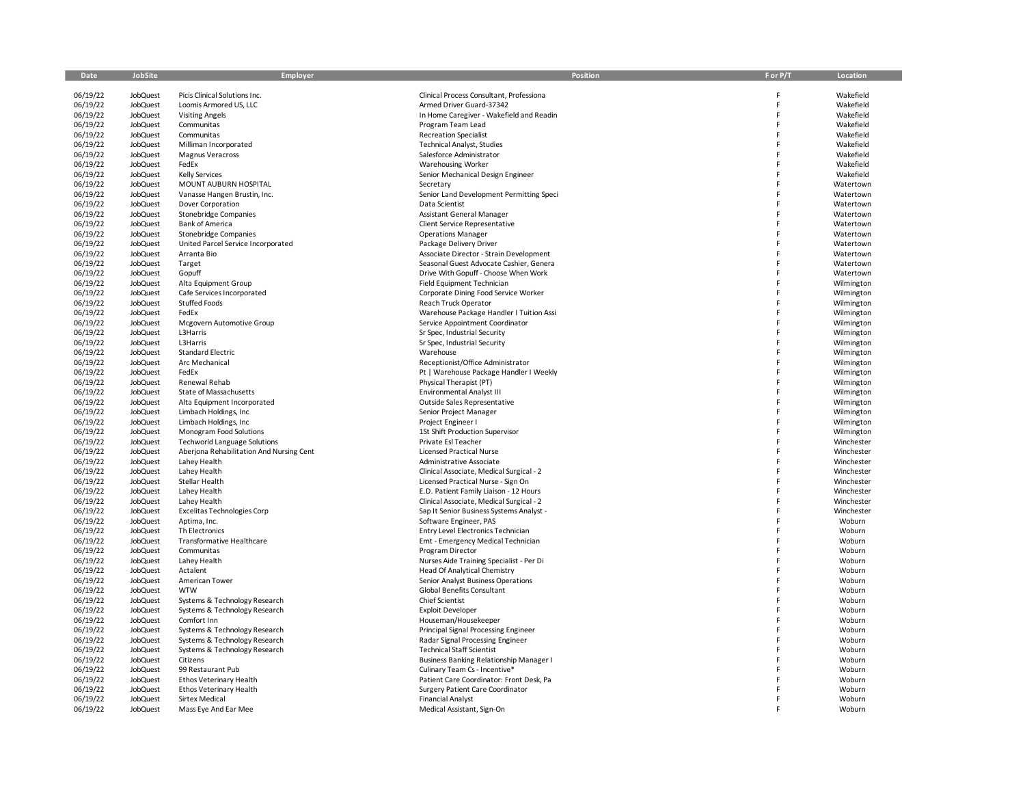| Date                 | <b>JobSite</b>                     | <b>Employer</b>                                  | <b>Position</b>                                                           | F or P/T | Location                 |
|----------------------|------------------------------------|--------------------------------------------------|---------------------------------------------------------------------------|----------|--------------------------|
|                      |                                    |                                                  |                                                                           |          |                          |
| 06/19/22             | <b>JobQuest</b>                    | Picis Clinical Solutions Inc.                    | Clinical Process Consultant, Professiona                                  | F        | Wakefield                |
| 06/19/22             | <b>JobQuest</b>                    | Loomis Armored US, LLC                           | Armed Driver Guard-37342                                                  | F<br>F   | Wakefield<br>Wakefield   |
| 06/19/22             | JobQuest                           | <b>Visiting Angels</b>                           | In Home Caregiver - Wakefield and Readin                                  | F        |                          |
| 06/19/22<br>06/19/22 | <b>JobQuest</b><br>JobQuest        | Communitas<br>Communitas                         | Program Team Lead<br><b>Recreation Specialist</b>                         | F        | Wakefield<br>Wakefield   |
| 06/19/22             | <b>JobQuest</b>                    | Milliman Incorporated                            | <b>Technical Analyst, Studies</b>                                         | F        | Wakefield                |
| 06/19/22             | <b>JobQuest</b>                    | <b>Magnus Veracross</b>                          | Salesforce Administrator                                                  | F        | Wakefield                |
| 06/19/22             | <b>JobQuest</b>                    | FedEx                                            | <b>Warehousing Worker</b>                                                 | F        | Wakefield                |
| 06/19/22             | <b>JobQuest</b>                    | <b>Kelly Services</b>                            | Senior Mechanical Design Engineer                                         | F        | Wakefield                |
| 06/19/22             | JobQuest                           | MOUNT AUBURN HOSPITAL                            | Secretary                                                                 | F        | Watertown                |
| 06/19/22             | <b>JobQuest</b>                    | Vanasse Hangen Brustin, Inc.                     | Senior Land Development Permitting Speci                                  | F        | Watertown                |
| 06/19/22             | <b>JobQuest</b>                    | Dover Corporation                                | Data Scientist                                                            | F        | Watertown                |
| 06/19/22             | <b>JobQuest</b>                    | <b>Stonebridge Companies</b>                     | <b>Assistant General Manager</b>                                          | F        | Watertown                |
| 06/19/22             | JobQuest                           | <b>Bank of America</b>                           | Client Service Representative                                             | F        | Watertown                |
| 06/19/22             | JobQuest                           | Stonebridge Companies                            | <b>Operations Manager</b>                                                 |          | Watertown                |
| 06/19/22             | <b>JobQuest</b>                    | United Parcel Service Incorporated               | Package Delivery Driver                                                   | F        | Watertown                |
| 06/19/22             | JobQuest                           | Arranta Bio                                      | Associate Director - Strain Development                                   | F        | Watertown                |
| 06/19/22             | JobQuest                           | Target                                           | Seasonal Guest Advocate Cashier, Genera                                   | F        | Watertown                |
| 06/19/22             | JobQuest                           | Gopuff                                           | Drive With Gopuff - Choose When Work                                      | F        | Watertown                |
| 06/19/22             | JobQuest                           | Alta Equipment Group                             | Field Equipment Technician                                                | F        | Wilmington               |
| 06/19/22             | <b>JobQuest</b>                    | Cafe Services Incorporated                       | Corporate Dining Food Service Worker                                      | F        | Wilmington               |
| 06/19/22             | JobQuest                           | Stuffed Foods                                    | Reach Truck Operator                                                      | F        | Wilmington               |
| 06/19/22             | JobQuest                           | FedEx                                            | Warehouse Package Handler I Tuition Assi                                  | F        | Wilmington               |
| 06/19/22             | JobQuest                           | Mcgovern Automotive Group                        | Service Appointment Coordinator                                           | F        | Wilmington               |
| 06/19/22             | JobQuest                           | L3Harris                                         | Sr Spec, Industrial Security                                              | F        | Wilmington               |
| 06/19/22             | <b>JobQuest</b>                    | L3Harris                                         | Sr Spec, Industrial Security                                              | F        | Wilmington               |
| 06/19/22             | JobQuest                           | Standard Electric                                | Warehouse                                                                 | F        | Wilmington               |
| 06/19/22             | <b>JobQuest</b>                    | Arc Mechanical                                   | Receptionist/Office Administrator                                         | F        | Wilmington               |
| 06/19/22             | <b>JobQuest</b>                    | FedEx                                            | Pt   Warehouse Package Handler I Weekly                                   |          | Wilmington               |
| 06/19/22             | <b>JobQuest</b>                    | Renewal Rehab                                    | Physical Therapist (PT)                                                   | F        | Wilmington               |
| 06/19/22             | <b>JobQuest</b>                    | State of Massachusetts                           | Environmental Analyst III                                                 | F        | Wilmington               |
| 06/19/22             | JobQuest                           | Alta Equipment Incorporated                      | Outside Sales Representative                                              | F<br>F   | Wilmington               |
| 06/19/22<br>06/19/22 | <b>JobQuest</b>                    | Limbach Holdings, Inc.<br>Limbach Holdings, Inc. | Senior Project Manager                                                    | F        | Wilmington               |
| 06/19/22             | <b>JobQuest</b><br><b>JobQuest</b> | Monogram Food Solutions                          | Project Engineer I<br>1St Shift Production Supervisor                     | F        | Wilmington<br>Wilmington |
| 06/19/22             | <b>JobQuest</b>                    | <b>Techworld Language Solutions</b>              | Private Esl Teacher                                                       | F        | Winchester               |
| 06/19/22             | JobQuest                           | Aberjona Rehabilitation And Nursing Cent         | <b>Licensed Practical Nurse</b>                                           | F        | Winchester               |
| 06/19/22             | <b>JobQuest</b>                    | Lahey Health                                     | Administrative Associate                                                  | F        | Winchester               |
| 06/19/22             | <b>JobQuest</b>                    | Lahey Health                                     | Clinical Associate, Medical Surgical - 2                                  | F        | Winchester               |
| 06/19/22             | <b>JobQuest</b>                    | Stellar Health                                   | Licensed Practical Nurse - Sign On                                        | F        | Winchester               |
| 06/19/22             | JobQuest                           | Lahey Health                                     | E.D. Patient Family Liaison - 12 Hours                                    | F        | Winchester               |
| 06/19/22             | <b>JobQuest</b>                    | Lahey Health                                     | Clinical Associate, Medical Surgical - 2                                  |          | Winchester               |
| 06/19/22             | <b>JobQuest</b>                    | <b>Excelitas Technologies Corp</b>               | Sap It Senior Business Systems Analyst -                                  | F        | Winchester               |
| 06/19/22             | JobQuest                           | Aptima, Inc.                                     | Software Engineer, PAS                                                    | F        | Woburn                   |
| 06/19/22             | JobQuest                           | Th Electronics                                   | Entry Level Electronics Technician                                        | F        | Woburn                   |
| 06/19/22             | JobQuest                           | Transformative Healthcare                        | Emt - Emergency Medical Technician                                        | F        | Woburn                   |
| 06/19/22             | JobQuest                           | Communitas                                       | Program Director                                                          | F        | Woburn                   |
| 06/19/22             | JobQuest                           | Lahey Health                                     | Nurses Aide Training Specialist - Per Di                                  | F        | Woburn                   |
| 06/19/22             | JobQuest                           | Actalent                                         | <b>Head Of Analytical Chemistry</b>                                       | F        | Woburn                   |
| 06/19/22             | JobQuest                           | American Tower                                   | Senior Analyst Business Operations                                        | F        | Woburn                   |
| 06/19/22             | JobQuest                           | <b>WTW</b>                                       | <b>Global Benefits Consultant</b>                                         |          | Woburn                   |
| 06/19/22             | JobQuest                           | Systems & Technology Research                    | <b>Chief Scientist</b>                                                    |          | Woburn                   |
| 06/19/22             | JobQuest                           | Systems & Technology Research                    | <b>Exploit Developer</b>                                                  |          | Woburn                   |
| 06/19/22             | JobQuest                           | Comfort Inn                                      | Houseman/Housekeeper                                                      | F        | Woburn                   |
| 06/19/22             | JobQuest                           | Systems & Technology Research                    | Principal Signal Processing Engineer                                      |          | Woburn                   |
| 06/19/22             | <b>JobQuest</b>                    | Systems & Technology Research                    | Radar Signal Processing Engineer                                          |          | Woburn                   |
| 06/19/22             | <b>JobQuest</b>                    | Systems & Technology Research                    | <b>Technical Staff Scientist</b>                                          |          | Woburn                   |
| 06/19/22             | JobQuest                           | Citizens                                         | <b>Business Banking Relationship Manager I</b>                            |          | Woburn                   |
| 06/19/22<br>06/19/22 | JobQuest<br><b>JobQuest</b>        | 99 Restaurant Pub<br>Ethos Veterinary Health     | Culinary Team Cs - Incentive*<br>Patient Care Coordinator: Front Desk, Pa |          | Woburn<br>Woburn         |
| 06/19/22             | <b>JobQuest</b>                    | Ethos Veterinary Health                          | Surgery Patient Care Coordinator                                          |          | Woburn                   |
| 06/19/22             | <b>JobQuest</b>                    | Sirtex Medical                                   | <b>Financial Analyst</b>                                                  |          | Woburn                   |
| 06/19/22             | <b>JobQuest</b>                    | Mass Eye And Ear Mee                             | Medical Assistant, Sign-On                                                |          | Woburn                   |
|                      |                                    |                                                  |                                                                           |          |                          |